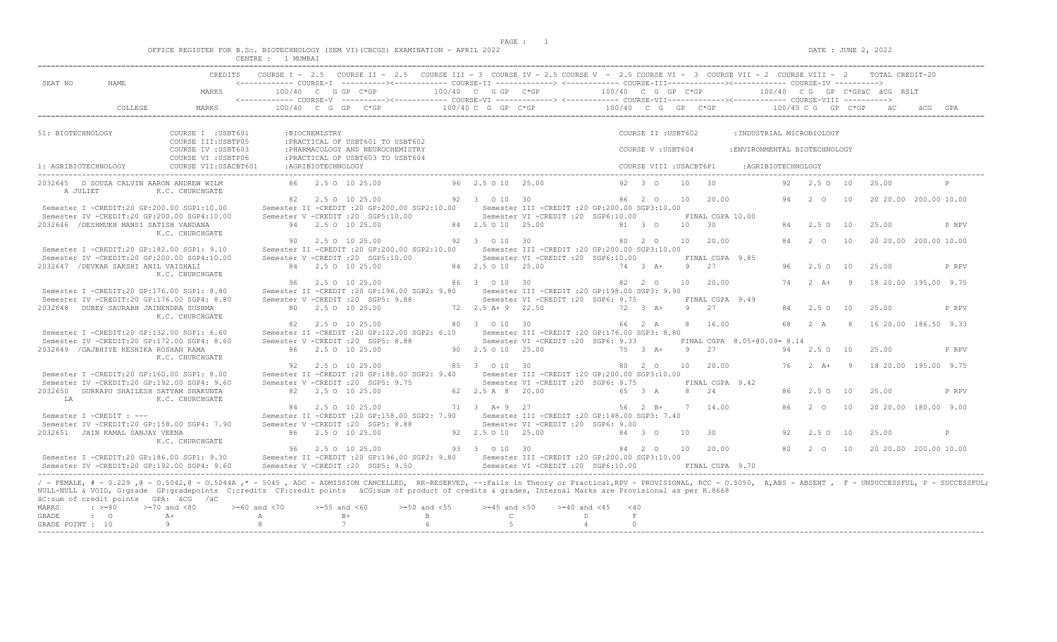$DATA: JUNE 2, 2022$ 

| OFFICE REGISTER FOR B.Sc. BIOTECHNOLOGY (SEM VI)(CBCGS) EXAMINATION - APRIL 2022 |  |
|----------------------------------------------------------------------------------|--|
|----------------------------------------------------------------------------------|--|

|                                                                                                                                                                                                                                                                                                                                                                                                                                                                        |                                              |                                  |                    | CREDITS COURSE I - 2.5 COURSE II - 2.5 COURSE III - 3 COURSE IV - 2.5 COURSE V - 2.5 COURSE VI - 3 COURSE VII - 2 COURSE VIII - 2 TOTAL CREDIT-20 |                                  |                                  |                                                                                        |                                           |                           |                |                        |                               |        |                        |               |                              |                                              |
|------------------------------------------------------------------------------------------------------------------------------------------------------------------------------------------------------------------------------------------------------------------------------------------------------------------------------------------------------------------------------------------------------------------------------------------------------------------------|----------------------------------------------|----------------------------------|--------------------|---------------------------------------------------------------------------------------------------------------------------------------------------|----------------------------------|----------------------------------|----------------------------------------------------------------------------------------|-------------------------------------------|---------------------------|----------------|------------------------|-------------------------------|--------|------------------------|---------------|------------------------------|----------------------------------------------|
| SEAT NO<br>NAME                                                                                                                                                                                                                                                                                                                                                                                                                                                        | MARKS                                        | 100/40 C G GP C*GP               |                    |                                                                                                                                                   |                                  | 100/40 C G GP C*GP               |                                                                                        | 100/40 C G GP C*GP                        |                           |                |                        |                               |        |                        |               | 100/40 CG GP C*GPäC äCG RSLT |                                              |
|                                                                                                                                                                                                                                                                                                                                                                                                                                                                        |                                              |                                  |                    |                                                                                                                                                   |                                  |                                  |                                                                                        |                                           |                           |                |                        |                               |        |                        |               |                              |                                              |
| COLLEGE                                                                                                                                                                                                                                                                                                                                                                                                                                                                | MARKS                                        |                                  |                    | $100/40$ C G GP C*GP                                                                                                                              |                                  | $100/40$ C G GP $C*GP$           |                                                                                        | $100/40$ C G GP C*GP $100/40$ C G GP C*GP |                           |                |                        |                               |        |                        |               | äС                           | äCG                                          |
| 51: BIOTECHNOLOGY                                                                                                                                                                                                                                                                                                                                                                                                                                                      | COURSE I : USBT601                           |                                  | :BIOCHEMISTRY      |                                                                                                                                                   |                                  |                                  |                                                                                        |                                           | COURSE II : USBT602       |                |                        | : INDUSTRIAL MICROBIOLOGY     |        |                        |               |                              |                                              |
|                                                                                                                                                                                                                                                                                                                                                                                                                                                                        | COURSE III: USBTP05<br>COURSE IV : USBT603   |                                  |                    | : PRACTICAL OF USBT601 TO USBT602<br>: PHARMACOLOGY AND NEUROCHEMISTRY                                                                            |                                  |                                  |                                                                                        |                                           | COURSE V: USBT604         |                |                        | : ENVIRONMENTAL BIOTECHNOLOGY |        |                        |               |                              |                                              |
| 1: AGRIBIOTECHNOLOGY                                                                                                                                                                                                                                                                                                                                                                                                                                                   | COURSE VI : USBTP06<br>COURSE VII: USACBT601 |                                  | :AGRIBIOTECHNOLOGY | : PRACTICAL OF USBT603 TO USBT604                                                                                                                 |                                  |                                  |                                                                                        |                                           | COURSE VIII : USACBT6P1   |                |                        | :AGRIBIOTECHNOLOGY            |        |                        |               |                              |                                              |
| 2032645 D SOUZA CALVIN AARON ANDREW WILM                                                                                                                                                                                                                                                                                                                                                                                                                               |                                              |                                  |                    | 86 2.5 0 10 25.00                                                                                                                                 |                                  | 96 2.5 0 10 25.00                |                                                                                        |                                           | $92 \quad 3 \quad \Omega$ | 10             | 30                     |                               |        | $92 \t 2.50 \t 10$     |               | 25.00                        |                                              |
| A JULIET                                                                                                                                                                                                                                                                                                                                                                                                                                                               | K.C. CHURCHGATE                              |                                  |                    |                                                                                                                                                   |                                  |                                  |                                                                                        |                                           |                           |                |                        |                               |        |                        |               |                              |                                              |
| Semester I -CREDIT:20 GP:200.00 SGP1:10.00                                                                                                                                                                                                                                                                                                                                                                                                                             |                                              |                                  |                    | 82 2.5 0 10 25.00<br>Semester II -CREDIT : 20 GP: 200.00 SGP2: 10.00                                                                              |                                  | 92 3 0 10 30                     | Semester III - CREDIT : 20 GP: 200.00 SGP3: 10.00                                      |                                           | 86 2 0                    | 10             | 20.00                  |                               | 94     | 20                     | 10            |                              | 20 20.00 200.00 10.00                        |
| Semester IV -CREDIT:20 GP:200.00 SGP4:10.00<br>2032646 / DESHMUKH MANSI SATISH VANDANA                                                                                                                                                                                                                                                                                                                                                                                 |                                              |                                  |                    | Semester V -CREDIT : 20 SGP5:10.00<br>94 2.5 0 10 25.00                                                                                           |                                  | 84 2.5 0 10 25.00                | Semester VI -CREDIT :20 SGP6:10.00                                                     |                                           | 81 3 0                    | 10             | FINAL CGPA 10.00<br>30 |                               |        | 84 2.5 0 10            |               | 25.00                        | P RPV                                        |
|                                                                                                                                                                                                                                                                                                                                                                                                                                                                        | K.C. CHURCHGATE                              |                                  |                    | 90 2.5 0 10 25.00                                                                                                                                 |                                  | 92 3 0 10 30                     |                                                                                        |                                           | 80 2 0                    | 10             | 20.00                  |                               | 84 2 0 |                        | 10            |                              | 20 20.00 200.00 10.00                        |
| Semester I -CREDIT:20 GP:182.00 SGP1: 9.10<br>Semester IV -CREDIT:20 GP:200.00 SGP4:10.00                                                                                                                                                                                                                                                                                                                                                                              |                                              |                                  |                    | Semester II -CREDIT : 20 GP: 200.00 SGP2: 10.00<br>Semester V -CREDIT : 20 SGP5:10.00                                                             |                                  |                                  | Semester III -CREDIT : 20 GP: 200.00 SGP3: 10.00<br>Semester VI -CREDIT :20 SGP6:10.00 |                                           |                           |                | FINAL CGPA 9.85        |                               |        |                        |               |                              |                                              |
| 2032647 / DEVKAR SAKSHI ANIL VAISHALI                                                                                                                                                                                                                                                                                                                                                                                                                                  | K.C. CHURCHGATE                              |                                  |                    | 84 2.5 0 10 25.00                                                                                                                                 |                                  | 84 2.5 0 10 25.00                |                                                                                        |                                           | 74 3 A+                   |                | $9 \t 27$              |                               | 96     | 2.50 10                |               | 25.00                        | P RPV                                        |
| Semester I -CREDIT:20 GP:176.00 SGP1: 8.80                                                                                                                                                                                                                                                                                                                                                                                                                             |                                              |                                  |                    | 96 2.5 0 10 25.00<br>Semester II -CREDIT :20 GP:196.00 SGP2: 9.80                                                                                 |                                  | 86 3 0 10 30                     | Semester III - CREDIT : 20 GP: 198.00 SGP3: 9.90                                       |                                           | 82 2 0                    | 10             | 20.00                  |                               |        |                        |               |                              | 74   2   A+   9   18   20.00   195.00   9.75 |
| Semester IV -CREDIT:20 GP:176.00 SGP4: 8.80<br>2032648 DUBEY SAURABH JAINENDRA SUSHMA                                                                                                                                                                                                                                                                                                                                                                                  |                                              |                                  |                    | Semester V -CREDIT : 20 SGP5: 9.88<br>80 2.5 0 10 25.00                                                                                           |                                  | 72 2.5 A + 9 22.50               | Semester VI - CREDIT : 20 SGP6: 9.75                                                   |                                           | $72 \t 3 \t A+$           | 9              | FINAL CGPA 9.49<br>2.7 |                               | 84     | $2.5^\circ$            | 10            | 25.00                        | P RPV                                        |
|                                                                                                                                                                                                                                                                                                                                                                                                                                                                        | K.C. CHURCHGATE                              |                                  |                    | 82 2.5 0 10 25.00                                                                                                                                 |                                  | 80 3 0 10 30                     |                                                                                        |                                           | 66 2 A                    |                | 8 16.00                |                               | 68     | 2A                     | $\mathcal{B}$ |                              | 16 20 00 186 50 9.33                         |
| Semester I -CREDIT:20 GP:132.00 SGP1: 6.60                                                                                                                                                                                                                                                                                                                                                                                                                             |                                              |                                  |                    | Semester II -CREDIT :20 GP:122.00 SGP2: 6.10                                                                                                      |                                  |                                  | Semester III - CREDIT : 20 GP: 176.00 SGP3: 8.80                                       |                                           |                           |                |                        |                               |        |                        |               |                              |                                              |
| Semester IV -CREDIT:20 GP:172.00 SGP4: 8.60<br>2032649 / GAJBHIYE KESHIKA ROSHAN RAMA                                                                                                                                                                                                                                                                                                                                                                                  | K.C. CHURCHGATE                              |                                  |                    | Semester V -CREDIT : 20 SGP5: 8.88<br>86 2.5 0 10 25.00                                                                                           |                                  | 90 2.5 0 10 25.00                | Semester VI - CREDIT : 20 SGP6: 9.33                                                   |                                           | $75 \t3 \tA+$             | $\overline{9}$ | 2.7                    | FINAL CGPA 8.05+00.09= 8.14   | 94     | 2.50 10                |               | 25.00                        | P RPV                                        |
| Semester I -CREDIT:20 GP:160.00 SGP1: 8.00                                                                                                                                                                                                                                                                                                                                                                                                                             |                                              |                                  |                    | 92 2.5 0 10 25.00<br>Semester II -CREDIT : 20 GP: 188.00 SGP2: 9.40                                                                               |                                  | 85 3 0 10 30                     | Semester III -CREDIT :20 GP:200.00 SGP3:10.00                                          |                                           | $80 \t 20$                | 10             | 20.00                  |                               |        | $76$ $2$ $\lambda +$ 9 |               |                              | 18 20.00 195.00 9.75                         |
| Semester IV -CREDIT:20 GP:192.00 SGP4: 9.60                                                                                                                                                                                                                                                                                                                                                                                                                            |                                              |                                  |                    | Semester V -CREDIT : 20 SGP5: 9.75                                                                                                                |                                  |                                  | Semester VI -CREDIT : 20 SGP6: 9.75                                                    |                                           |                           |                | FINAL CGPA 9.42        |                               |        |                        |               |                              |                                              |
| 2032650 GURRAPU SHAILESH SATYAM SHAKUNTA<br>LA                                                                                                                                                                                                                                                                                                                                                                                                                         | K.C. CHURCHGATE                              |                                  |                    | 82  2.5  0  10  25.00                                                                                                                             |                                  | 62  2.5  A  8  20.00             |                                                                                        |                                           | 65 3 A                    | 8              | 2.4                    |                               | 86.    | 2.50 10                |               | 25.00                        | P RPV                                        |
| Semester I -CREDIT : ---                                                                                                                                                                                                                                                                                                                                                                                                                                               |                                              |                                  |                    | 84 2.5 0 10 25.00<br>Semester II -CREDIT : 20 GP:158.00 SGP2: 7.90                                                                                |                                  | 71 3 A + 9 27                    | Semester III -CREDIT : 20 GP: 148.00 SGP3: 7.40                                        |                                           | 56 2 B+                   |                | 7 14.00                |                               | 86.    | 2 0 10                 |               |                              | 20 20.00 180.00 9.00                         |
| Semester IV -CREDIT:20 GP:158.00 SGP4: 7.90<br>2032651 JAIN KAMAL SANJAY VEENA                                                                                                                                                                                                                                                                                                                                                                                         |                                              |                                  |                    | Semester V -CREDIT : 20 SGP5: 8.88<br>86 2.5 0 10 25.00                                                                                           |                                  | 92 2.5 0 10 25.00                | Semester VI -CREDIT : 20 SGP6: 9.00                                                    |                                           | 84 3 0                    | 10             | 30                     |                               | 92     | 2.50 10                |               | 25.00                        | $\mathsf{P}$                                 |
|                                                                                                                                                                                                                                                                                                                                                                                                                                                                        | K.C. CHURCHGATE                              |                                  |                    | 96 2.5 0 10 25.00                                                                                                                                 |                                  | 93 3 0 10 30                     |                                                                                        |                                           | 84 2 0                    | 10             | 20.00                  |                               |        |                        |               |                              |                                              |
| Semester I -CREDIT:20 GP:186.00 SGP1: 9.30<br>Semester IV -CREDIT:20 GP:192.00 SGP4: 9.60                                                                                                                                                                                                                                                                                                                                                                              |                                              |                                  |                    | Semester II -CREDIT :20 GP:196.00 SGP2: 9.80 Semester III -CREDIT :20 GP:200.00 SGP3:10.00<br>Semester V -CREDIT : 20 SGP5: 9.50                  |                                  |                                  | Semester VI -CREDIT : 20 SGP6:10.00                                                    |                                           |                           |                | FINAL CGPA 9.70        |                               |        |                        |               |                              |                                              |
| / - FEMALE, # - 0.229, @ - 0.5042, @ - 0.5044A,* - 5045, ADC - ADMISSION CANCELLED, RR-RESERVED, --:Fails in Theory or Practical,RPV - PROVISIONAL, RCC - 0.5050, A,ABS - ABSENT, F - UNSUCCESSFUL, P - SUCCESSFUL;<br>NULL-NULL & VOID, G:grade GP:gradepoints C:credits CP:credit points äCG:sum of product of credits & grades, Internal Marks are Provisional as per R.8668<br>äC:sum of credit points GPA: äCG /äC<br>MARKS<br>$\cdot$ >=80<br>GRADE<br>$\cdot$ 0 | $>=70$ and $<80$<br>$A+$                     | $>=60$ and $<70$<br>$\mathbb{A}$ | $>=55$ and $<60$   | $B+$                                                                                                                                              | $>=50$ and $<55$<br>$\mathbf{B}$ | $>=45$ and $<50$<br>$\mathbb{C}$ | $>= 40$ and $< 45$                                                                     | D                                         | $<$ 40<br>$\,$ F          |                |                        |                               |        |                        |               |                              |                                              |
| GRADE POINT : 10                                                                                                                                                                                                                                                                                                                                                                                                                                                       | $\alpha$                                     | 8                                | 7                  |                                                                                                                                                   | 6                                |                                  |                                                                                        | $\overline{4}$                            | $\Omega$                  |                |                        |                               |        |                        |               |                              |                                              |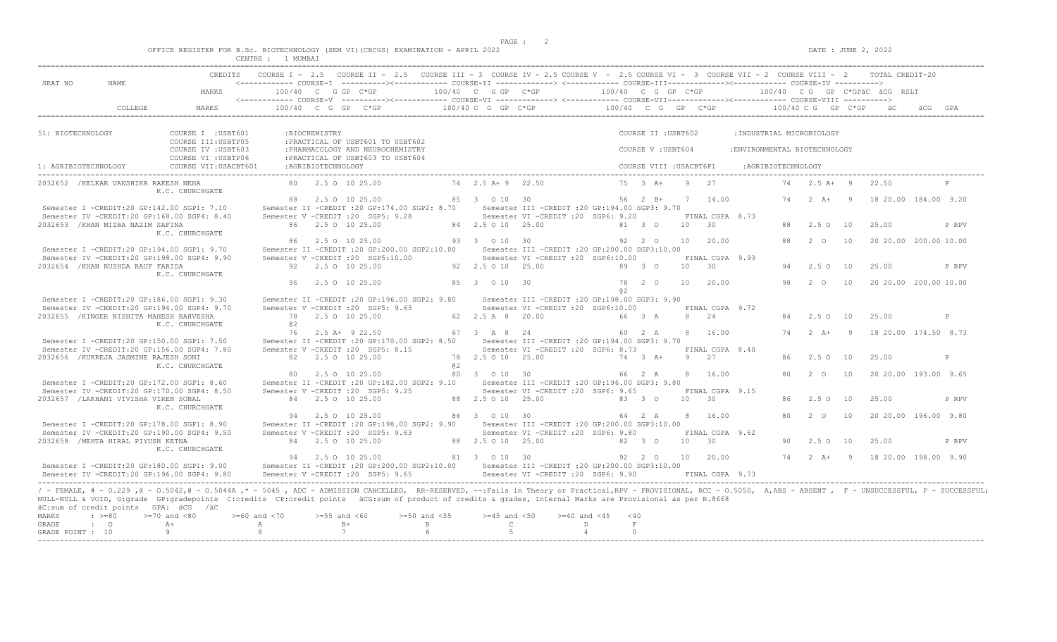$DATA: JUNE 2, 2022$ 

|  |  |         |               |  |  | OFFICE REGISTER FOR B.Sc. BIOTECHNOLOGY (SEM VI)(CBCGS) EXAMINATION - APRIL 2022 |  |  |
|--|--|---------|---------------|--|--|----------------------------------------------------------------------------------|--|--|
|  |  | CENTRE. | <b>MUMBAT</b> |  |  |                                                                                  |  |  |

| SEAT NO              |                                                                               |                                                                                                                                                                                                                                                                                                                                                                                     |                   |                |                                                                                                            |                                         |             | CREDITS COURSE I - 2.5 COURSE II - 2.5 COURSE III - 3 COURSE IV - 2.5 COURSE V - 2.5 COURSE VI - 3 COURSE VII - 2 COURSE VIII - 2 TOTAL CREDIT-20<br><------------ COURSE-T ----------><----------- COURSE-TT --------------> <------------ COURSE-TTT----------><------------- COURSE-TV ----------> |                 |             |                     |  |                               |                       |                                                             |       |
|----------------------|-------------------------------------------------------------------------------|-------------------------------------------------------------------------------------------------------------------------------------------------------------------------------------------------------------------------------------------------------------------------------------------------------------------------------------------------------------------------------------|-------------------|----------------|------------------------------------------------------------------------------------------------------------|-----------------------------------------|-------------|-------------------------------------------------------------------------------------------------------------------------------------------------------------------------------------------------------------------------------------------------------------------------------------------------------|-----------------|-------------|---------------------|--|-------------------------------|-----------------------|-------------------------------------------------------------|-------|
|                      |                                                                               | MARKS                                                                                                                                                                                                                                                                                                                                                                               |                   |                |                                                                                                            |                                         |             |                                                                                                                                                                                                                                                                                                       |                 |             |                     |  |                               |                       |                                                             |       |
|                      |                                                                               | $\texttt{COLLEGE} \texttt{MARKS} \texttt{100/40 C G G P C*G P} \texttt{100/40 C G G P C*G P} \texttt{100/40 C G G P C*G P} \texttt{100/40 C G G P C*G P} \texttt{100/40 C G G P C*G P} \texttt{100/40 C G G P C*G P} \texttt{100/40 C G G P C*G P} \texttt{100/40 C G G P C*G P} \texttt{100/40 C G G P C*G P} \texttt{100/40 C G G P C*G P} \texttt{100/40 C G G P C$              |                   |                |                                                                                                            |                                         |             |                                                                                                                                                                                                                                                                                                       |                 |             |                     |  |                               |                       |                                                             |       |
| 51: BIOTECHNOLOGY    |                                                                               | COURSE I : USBT601                                                                                                                                                                                                                                                                                                                                                                  |                   | :BIOCHEMISTRY  |                                                                                                            |                                         |             |                                                                                                                                                                                                                                                                                                       |                 |             | COURSE II : USBT602 |  | : INDUSTRIAL MICROBIOLOGY     |                       |                                                             |       |
|                      |                                                                               | COURSE III: USBTP05<br>COURSE IV : USBT603<br>COURSE VI : USBTP06                                                                                                                                                                                                                                                                                                                   |                   |                | :PRACTICAL OF USBT601 TO USBT602<br>: PHARMACOLOGY AND NEUROCHEMISTRY<br>: PRACTICAL OF USBT603 TO USBT604 |                                         |             |                                                                                                                                                                                                                                                                                                       |                 |             | COURSE V : USBT604  |  | : ENVIRONMENTAL BIOTECHNOLOGY |                       |                                                             |       |
| 1: AGRIBIOTECHNOLOGY |                                                                               |                                                                                                                                                                                                                                                                                                                                                                                     |                   |                |                                                                                                            |                                         |             |                                                                                                                                                                                                                                                                                                       |                 |             |                     |  |                               |                       |                                                             |       |
|                      |                                                                               | 2032652 / KELKAR VANSHIKA RAKESH NEHA<br>K.C. CHURCHGATE                                                                                                                                                                                                                                                                                                                            |                   |                |                                                                                                            |                                         |             |                                                                                                                                                                                                                                                                                                       |                 |             |                     |  |                               |                       | 74  2.5 A + 9  22.50                                        |       |
|                      |                                                                               |                                                                                                                                                                                                                                                                                                                                                                                     |                   |                |                                                                                                            |                                         |             | 88  2.5  0  10  25.00   85   3   0   10   30   56   2   B+   7   14.00   74   2   A+   9   18   20.00  184.00  9.20                                                                                                                                                                                   |                 |             |                     |  |                               |                       |                                                             |       |
|                      |                                                                               | Semester I -CREDIT:20 GP:142.00 SGP1: 7.10<br>Semester IV -CREDIT:20 GP:168.00 SGP4: 8.40                                                                                                                                                                                                                                                                                           |                   |                |                                                                                                            |                                         |             | Semester II -CREDIT :20 GP:174.00 SGP2: 8.70 Semester III -CREDIT :20 GP:194.00 SGP3: 9.70<br>Semester V -CREDIT :20 SGP5: 9.28 Semester VI -CREDIT :20 SGP6: 9.20 FINAL CGPA 8.73                                                                                                                    |                 |             |                     |  |                               |                       |                                                             |       |
|                      | 2032653 / KHAN MIZBA NAZIM SAFINA                                             |                                                                                                                                                                                                                                                                                                                                                                                     |                   |                |                                                                                                            |                                         |             | 86   2.5   0   10   25.00   84   2.5   0   10   25.00   81   3   0   10   30                                                                                                                                                                                                                          |                 |             |                     |  |                               | 88  2.5  0  10  25.00 |                                                             | P RPV |
|                      |                                                                               | K.C. CHURCHGATE                                                                                                                                                                                                                                                                                                                                                                     |                   |                |                                                                                                            |                                         |             |                                                                                                                                                                                                                                                                                                       |                 |             |                     |  |                               |                       |                                                             |       |
|                      |                                                                               | Semester I -CREDIT:20 GP:194.00 SGP1: 9.70                                                                                                                                                                                                                                                                                                                                          |                   |                |                                                                                                            |                                         |             | 86  2.5  0  10  25.00   93   3   3   0   10   30   92   2   0   10   20.00   88   2   0   10   20   200.00   10.00                                                                                                                                                                                    |                 |             |                     |  |                               |                       |                                                             |       |
|                      |                                                                               | Semester IV -CREDIT:20 GP:198.00 SGP4: 9.90                                                                                                                                                                                                                                                                                                                                         |                   |                |                                                                                                            |                                         |             | Semester II -CREDIT :20 GP:200.00 SGP2:10.00 Semester III -CREDIT :20 GP:200.00 SGP3:10.00<br>Semester V -CREDIT :20 SGP5:10.00 Semester VI -CREDIT :20 SGP6:10.00 FINAL CGPA 9.93                                                                                                                    |                 |             |                     |  |                               |                       |                                                             |       |
|                      | 2032654 / KHAN RUSHDA RAUF FARIDA                                             |                                                                                                                                                                                                                                                                                                                                                                                     |                   |                |                                                                                                            |                                         |             | 92  2.5  0  10  25.00   92  2.5  0  10  25.00   92   93   0   10   93   0   10   93   0                                                                                                                                                                                                               |                 |             |                     |  |                               | 94 2.5 0 10           | 25.00                                                       | P RPV |
|                      |                                                                               | K.C. CHURCHGATE                                                                                                                                                                                                                                                                                                                                                                     |                   |                |                                                                                                            | 96  2.5  0  10  25.00  85  3  0  10  30 |             |                                                                                                                                                                                                                                                                                                       |                 |             |                     |  |                               |                       | 78  2  0  10  20.00  98  2  0  10  20  20.00  200.00  10.00 |       |
|                      |                                                                               |                                                                                                                                                                                                                                                                                                                                                                                     |                   |                |                                                                                                            |                                         |             |                                                                                                                                                                                                                                                                                                       | 0.2             |             |                     |  |                               |                       |                                                             |       |
|                      |                                                                               | Semester I -CREDIT:20 GP:186.00 SGP1: 9.30                                                                                                                                                                                                                                                                                                                                          |                   |                |                                                                                                            |                                         |             | Semester II -CREDIT : 20 GP:196.00 SGP2: 9.80 Semester III -CREDIT : 20 GP:198.00 SGP3: 9.90                                                                                                                                                                                                          |                 |             |                     |  |                               |                       |                                                             |       |
|                      |                                                                               | Semester IV -CREDIT:20 GP:194.00 SGP4: 9.70                                                                                                                                                                                                                                                                                                                                         |                   |                |                                                                                                            |                                         |             | Semester V - CREDIT : 20 SGP5: 9.63 Semester VI - CREDIT : 20 SGP6:10.00 FINAL CGPA 9.72                                                                                                                                                                                                              |                 |             |                     |  |                               |                       |                                                             |       |
|                      | 2032655 / KINGER NISHITA MAHESH BAHVESHA                                      | K.C. CHURCHGATE                                                                                                                                                                                                                                                                                                                                                                     | 0.2               |                |                                                                                                            |                                         |             | 78  2.5  0  10  25.00          62   2.5  A 8   20.00           66  3 A   8   24                                                                                                                                                                                                                       |                 |             |                     |  |                               | 84 2.5 0 10 25.00     |                                                             | P     |
|                      |                                                                               |                                                                                                                                                                                                                                                                                                                                                                                     |                   |                |                                                                                                            |                                         |             | $76$ $2.5$ A+ $9$ $22.50$ $67$ $3$ A $8$ $24$ $60$ $2$ A $8$ $16.00$                                                                                                                                                                                                                                  |                 |             |                     |  |                               |                       | 74   2   A+   9   18   20.00   174.50   8.73                |       |
|                      |                                                                               | Semester I -CREDIT:20 GP:150.00 SGP1: 7.50                                                                                                                                                                                                                                                                                                                                          |                   |                |                                                                                                            |                                         |             | Semester II -CREDIT :20 GP:170.00 SGP2: 8.50 Semester III -CREDIT :20 GP:194.00 SGP3: 9.70                                                                                                                                                                                                            |                 |             |                     |  |                               |                       |                                                             |       |
|                      |                                                                               | Semester IV -CREDIT:20 GP:156.00 SGP4: 7.80                                                                                                                                                                                                                                                                                                                                         |                   |                |                                                                                                            |                                         |             | Semester V -CREDIT :20 SGP5: 8.15 Semester VI -CREDIT :20 SGP6: 8.73 FINAL CGPA 8.40                                                                                                                                                                                                                  |                 |             |                     |  |                               |                       |                                                             |       |
|                      | 2032656 / KUKREJA JASMINE RAJESH SONI                                         |                                                                                                                                                                                                                                                                                                                                                                                     | 82 2.5 0 10 25.00 |                |                                                                                                            |                                         |             | 78  2.5  0  10  25.00  25.00  74  3  A+  9  27                                                                                                                                                                                                                                                        |                 |             |                     |  |                               | 86 2.50 10            | 25.00                                                       | P     |
|                      |                                                                               | K.C. CHURCHGATE                                                                                                                                                                                                                                                                                                                                                                     |                   |                |                                                                                                            |                                         |             |                                                                                                                                                                                                                                                                                                       |                 |             |                     |  |                               |                       | 80 2 0 10 20 20 00 193,00 9.65                              |       |
|                      |                                                                               | Semester I -CREDIT:20 GP:172.00 SGP1: 8.60                                                                                                                                                                                                                                                                                                                                          |                   |                |                                                                                                            |                                         |             | Semester II - CREDIT : 20 GP:182.00 SGP2: 9.10 Semester III - CREDIT : 20 GP:196.00 SGP3: 9.80                                                                                                                                                                                                        |                 |             |                     |  |                               |                       |                                                             |       |
|                      |                                                                               | Semester IV -CREDIT:20 GP:170.00 SGP4: 8.50                                                                                                                                                                                                                                                                                                                                         |                   |                |                                                                                                            |                                         |             | Semester V - CREDIT : 20 SGP5: 9.25 Semester VI - CREDIT : 20 SGP6: 9.65 FINAL CGPA 9.15                                                                                                                                                                                                              |                 |             |                     |  |                               |                       |                                                             |       |
|                      | 2032657 / LAKHANI VIVISHA VIREN SONAL                                         |                                                                                                                                                                                                                                                                                                                                                                                     |                   |                |                                                                                                            |                                         |             | 84  2.5  0  10  25.00   88  2.5  0  10  25.00   83   3   0  10   30                                                                                                                                                                                                                                   |                 |             |                     |  |                               | 86 2.50 10            | 25.00                                                       | P RPV |
|                      |                                                                               | K.C. CHURCHGATE                                                                                                                                                                                                                                                                                                                                                                     |                   |                |                                                                                                            |                                         |             |                                                                                                                                                                                                                                                                                                       |                 |             |                     |  |                               |                       |                                                             |       |
|                      |                                                                               | Semester I -CREDIT:20 GP:178.00 SGP1: 8.90                                                                                                                                                                                                                                                                                                                                          |                   |                |                                                                                                            |                                         |             | $94$ 2.5 0 10 25.00 86 3 0 10 30 64 2 A 8 16.00<br>Semester II -CREDIT :20 GP:198.00 SGP2: 9.90 Semester III -CREDIT :20 GP:200.00 SGP3:10.00                                                                                                                                                         |                 |             |                     |  |                               |                       | 80  2  0  10  20  20  00  196  00  9.80                     |       |
|                      |                                                                               | Semester IV -CREDIT:20 GP:190.00 SGP4: 9.50                                                                                                                                                                                                                                                                                                                                         |                   |                |                                                                                                            |                                         |             | Semester V - CREDIT : 20 SGP5: 9.63 Semester VI - CREDIT : 20 SGP6: 9.80 FINAL CGPA 9.62                                                                                                                                                                                                              |                 |             |                     |  |                               |                       |                                                             |       |
|                      | 2032658 / MEHTA HIRAL PIYUSH KETNA                                            |                                                                                                                                                                                                                                                                                                                                                                                     |                   |                |                                                                                                            |                                         |             | 84   2.5   0   10   25.00   88   2.5   0   10   25.00   82   3   0   10   30                                                                                                                                                                                                                          |                 |             |                     |  |                               | 90  2.5  0  10  25.00 |                                                             | P RPV |
|                      |                                                                               | K.C. CHURCHGATE                                                                                                                                                                                                                                                                                                                                                                     |                   |                |                                                                                                            |                                         |             |                                                                                                                                                                                                                                                                                                       |                 |             |                     |  |                               |                       |                                                             |       |
|                      |                                                                               |                                                                                                                                                                                                                                                                                                                                                                                     |                   |                |                                                                                                            |                                         |             |                                                                                                                                                                                                                                                                                                       |                 |             |                     |  |                               |                       |                                                             |       |
|                      |                                                                               | Semester I -CREDIT:20 GP:180.00 SGP1: 9.00 Semester II -CREDIT:20 GP:200.00 SGP2:10.00 Semester III -CREDIT:20 GP:200.00 SGP3:10.00<br>Semester IV -CREDIT:20 GP:196.00 SGP4: 9.80 Semester V -CREDIT :20 SGP5: 9.65 Semester VI -CREDIT :20 SGP6: 9.90 FINAL CGPA 9.73                                                                                                             |                   |                |                                                                                                            |                                         |             |                                                                                                                                                                                                                                                                                                       |                 |             |                     |  |                               |                       |                                                             |       |
| MARKS                | äC:sum of credit points GPA: äCG /äC<br>$\Rightarrow$ $>=80$ $>=70$ and $<80$ | / - FEMALE, # - 0.229, @ - 0.5042, @ - 0.5044A, * - 5045, ADC - ADMISSION CANCELLED, RR-RESERVED, --: Fails in Theory or Practical, RPV - PROVISIONAL, RCC - 0.5050, A, ABS - ABSENT, F - UNSUCCESSFUL, P - SUCCESSFUL;<br>NULL-NULL & VOID, G:grade GP:gradepoints C:credits CP:credit points äCG:sum of product of credits & grades, Internal Marks are Provisional as per R.8668 |                   |                |                                                                                                            |                                         |             | $> = 60$ and <70 $> = 55$ and <60 $> = 50$ and <55 $> = 45$ and <50 $> = 40$ and <45 <40                                                                                                                                                                                                              |                 |             |                     |  |                               |                       |                                                             |       |
| GRADE                | $\cdot$ 0                                                                     | $A+$                                                                                                                                                                                                                                                                                                                                                                                |                   |                |                                                                                                            | 6 <sup>6</sup>                          |             | A B+ B C D                                                                                                                                                                                                                                                                                            |                 | F<br>$\cap$ |                     |  |                               |                       |                                                             |       |
| GRADE POINT : 10     |                                                                               | $9 \qquad \qquad$                                                                                                                                                                                                                                                                                                                                                                   | $8 - 8$           | $\overline{7}$ |                                                                                                            |                                         | $5^{\circ}$ |                                                                                                                                                                                                                                                                                                       | $4\overline{ }$ |             |                     |  |                               |                       |                                                             |       |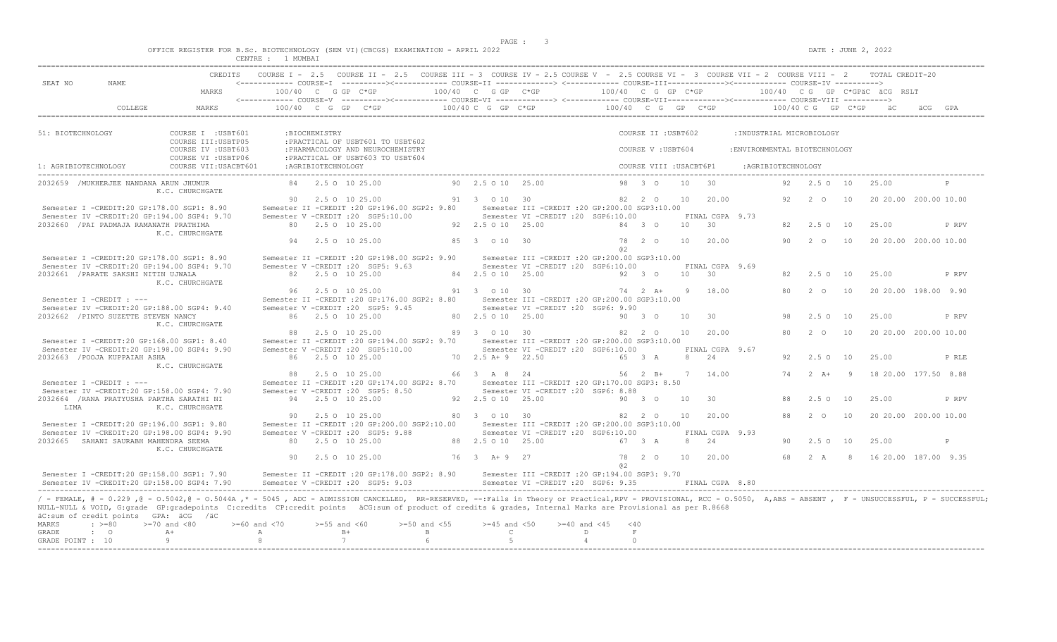$DATE: JUNE 2, 2022$ 

|  |  |         |  |  | OFFICE REGISTER FOR B.Sc. BIOTECHNOLOGY (SEM VI)(CBCGS) EXAMINATION - APRIL 2022 |  |  |
|--|--|---------|--|--|----------------------------------------------------------------------------------|--|--|
|  |  | ∩ENTRE. |  |  |                                                                                  |  |  |

|                                                              |                                                   |                                                                                                                                                                                                                                                                                                                                                                                                                                   |                                                                       |                    | CREDITS COURSE I - 2.5 COURSE II - 2.5 COURSE III - 3 COURSE IV - 2.5 COURSE V - 2.5 COURSE VI - 3 COURSE VII - 2 COURSE VIII - 2 TOTAL CREDIT-20                                           |                                                 |                   |                                                                                                                                                                                                                                                                                                                                                                            |                     |               |                         |      |                          |                               |                     |                       |       |                                                           |
|--------------------------------------------------------------|---------------------------------------------------|-----------------------------------------------------------------------------------------------------------------------------------------------------------------------------------------------------------------------------------------------------------------------------------------------------------------------------------------------------------------------------------------------------------------------------------|-----------------------------------------------------------------------|--------------------|---------------------------------------------------------------------------------------------------------------------------------------------------------------------------------------------|-------------------------------------------------|-------------------|----------------------------------------------------------------------------------------------------------------------------------------------------------------------------------------------------------------------------------------------------------------------------------------------------------------------------------------------------------------------------|---------------------|---------------|-------------------------|------|--------------------------|-------------------------------|---------------------|-----------------------|-------|-----------------------------------------------------------|
| SEAT NO                                                      | NAME.                                             | MARKS                                                                                                                                                                                                                                                                                                                                                                                                                             |                                                                       |                    | <------------ COURSE-I ----------><----------- COURSE-II -------------> <------------ COURSE-III------------><-----------> COURSE-IV ---------->                                            |                                                 |                   |                                                                                                                                                                                                                                                                                                                                                                            |                     |               |                         |      |                          |                               |                     |                       |       |                                                           |
|                                                              |                                                   |                                                                                                                                                                                                                                                                                                                                                                                                                                   |                                                                       |                    |                                                                                                                                                                                             |                                                 |                   |                                                                                                                                                                                                                                                                                                                                                                            |                     |               |                         |      |                          |                               |                     |                       |       |                                                           |
| 51: BIOTECHNOLOGY                                            |                                                   | COURSE I : USBT601                                                                                                                                                                                                                                                                                                                                                                                                                |                                                                       | :BIOCHEMISTRY      |                                                                                                                                                                                             |                                                 |                   |                                                                                                                                                                                                                                                                                                                                                                            |                     |               | COURSE II : USBT602     |      |                          | : INDUSTRIAL MICROBIOLOGY     |                     |                       |       |                                                           |
|                                                              |                                                   | COURSE III: USBTP05<br>COURSE IV : USBT603<br>COURSE VI : USBTP06                                                                                                                                                                                                                                                                                                                                                                 |                                                                       |                    | :PRACTICAL OF USBT601 TO USBT602<br>: PHARMACOLOGY AND NEUROCHEMISTRY<br>: PRACTICAL OF USBT603 TO USBT604                                                                                  |                                                 |                   |                                                                                                                                                                                                                                                                                                                                                                            |                     |               | COURSE V: USBT604       |      |                          | : ENVIRONMENTAL BIOTECHNOLOGY |                     |                       |       |                                                           |
| 1: AGRIBIOTECHNOLOGY                                         |                                                   | COURSE VII: USACBT601                                                                                                                                                                                                                                                                                                                                                                                                             |                                                                       | :AGRIBIOTECHNOLOGY |                                                                                                                                                                                             |                                                 |                   |                                                                                                                                                                                                                                                                                                                                                                            |                     |               | COURSE VIII : USACBT6P1 |      |                          |                               | : AGRIBIOTECHNOLOGY |                       |       |                                                           |
|                                                              | 2032659 /MUKHERJEE NANDANA ARUN JHUMUR            | K.C. CHURCHGATE                                                                                                                                                                                                                                                                                                                                                                                                                   |                                                                       |                    | 84   2.5   0   10   25.00                                                                                                                                                                   |                                                 |                   | 90 2.5 0 10 25.00                                                                                                                                                                                                                                                                                                                                                          |                     |               | 98 3 0 10 30            |      |                          |                               |                     | 92  2.5  0  10  25.00 |       |                                                           |
|                                                              |                                                   | Semester I -CREDIT:20 GP:178.00 SGP1: 8.90                                                                                                                                                                                                                                                                                                                                                                                        |                                                                       |                    | 90   2.5   0   10   25.00   91   3   0   10   30<br>Semester II -CREDIT :20 GP:196.00 SGP2: 9.80 Semester III -CREDIT :20 GP:200.00 SGP3:10.00                                              |                                                 |                   |                                                                                                                                                                                                                                                                                                                                                                            |                     |               |                         |      | 82  2  0  10  20.00      |                               |                     |                       |       | 92   2   0   10   20   20   00   200   00   10   00       |
|                                                              | 2032660 / PAI PADMAJA RAMANATH PRATHIMA           | Semester IV -CREDIT:20 GP:194.00 SGP4: 9.70                                                                                                                                                                                                                                                                                                                                                                                       |                                                                       |                    | Semester V - CREDIT : 20 SGP5:10.00 Semester VI - CREDIT : 20 SGP6:10.00<br>80 2.5 0 10 25.00                                                                                               | 92 2.5 0 10 25.00                               |                   |                                                                                                                                                                                                                                                                                                                                                                            | 84 3 0              |               |                         |      | FINAL CGPA 9.73<br>10 30 |                               |                     | 82 2.5 0 10           | 25.00 | P RPV                                                     |
|                                                              |                                                   | K.C. CHURCHGATE                                                                                                                                                                                                                                                                                                                                                                                                                   |                                                                       |                    | 94 2.5 0 10 25.00                                                                                                                                                                           | 85 3 0 10 30                                    |                   |                                                                                                                                                                                                                                                                                                                                                                            |                     |               |                         |      | 78  2  0  10  20.00      |                               |                     |                       |       | 90  2  0  10  20  20  00  200  00  10  00                 |
|                                                              |                                                   | Semester I -CREDIT:20 GP:178.00 SGP1: 8.90<br>Semester IV -CREDIT:20 GP:194.00 SGP4: 9.70                                                                                                                                                                                                                                                                                                                                         |                                                                       |                    | Semester II -CREDIT :20 GP:198.00 SGP2: 9.90 Semester III -CREDIT :20 GP:200.00 SGP3:10.00<br>Semester V - CREDIT : 20 SGP5: 9.63                                                           |                                                 |                   | Semester VI - CREDIT : 20 SGP6:10.00 FINAL CGPA 9.69                                                                                                                                                                                                                                                                                                                       |                     |               |                         |      |                          |                               |                     |                       |       |                                                           |
|                                                              | 2032661 / PARATE SAKSHI NITIN UJWALA              | K.C. CHURCHGATE                                                                                                                                                                                                                                                                                                                                                                                                                   |                                                                       |                    | 82   2.5   0   10   25.00                                                                                                                                                                   | 84 2.5 0 10 25.00                               |                   |                                                                                                                                                                                                                                                                                                                                                                            | 92 3 0 10 30        |               |                         |      |                          |                               |                     | 82  2.5  0  10  25.00 |       | P RPV                                                     |
| Semester I -CREDIT : ---                                     |                                                   |                                                                                                                                                                                                                                                                                                                                                                                                                                   |                                                                       |                    | 96 2.5 0 10 25.00<br>Semester II -CREDIT : 20 GP:176.00 SGP2: 8.80 Semester III -CREDIT : 20 GP:200.00 SGP3:10.00                                                                           | 91 3 0 10 30                                    |                   |                                                                                                                                                                                                                                                                                                                                                                            | $74$ 2 A+ 9 18.00   |               |                         |      |                          |                               |                     |                       |       | 80   2   0   10   20   20   00   198.00   9.90            |
|                                                              | 2032662 / PINTO SUZETTE STEVEN NANCY              | Semester IV -CREDIT:20 GP:188.00 SGP4: 9.40                                                                                                                                                                                                                                                                                                                                                                                       |                                                                       |                    | Semester V - CREDIT : 20 SGP5: 9.45<br>86 2.5 0 10 25.00                                                                                                                                    |                                                 |                   | Semester VI - CREDIT : 20 SGP6: 9.90<br>80  2.5  0  10  25.00  90  3  0  10  30                                                                                                                                                                                                                                                                                            |                     |               |                         |      |                          |                               | 98                  | 2.50 10               | 25.00 | P RPV                                                     |
|                                                              |                                                   | K.C. CHURCHGATE                                                                                                                                                                                                                                                                                                                                                                                                                   |                                                                       |                    | 88 2.5 0 10 25.00                                                                                                                                                                           |                                                 |                   | 89 3 0 10 30 82 2 0 10 20.00                                                                                                                                                                                                                                                                                                                                               |                     |               |                         |      |                          |                               |                     |                       |       | 80   2   0   10   20   20.00   200.00   10.00             |
|                                                              | 2032663 / POOJA KUPPAIAH ASHA                     | Semester I -CREDIT:20 GP:168.00 SGP1: 8.40<br>Semester IV -CREDIT:20 GP:198.00 SGP4: 9.90                                                                                                                                                                                                                                                                                                                                         |                                                                       |                    | Semester II -CREDIT :20 GP:194.00 SGP2: 9.70 Semester III -CREDIT :20 GP:200.00 SGP3:10.00<br>Semester V - CREDIT : 20 SGP5:10.00 Semester VI - CREDIT : 20 SGP6:10.00<br>86 2.5 0 10 25.00 |                                                 |                   | 70  2.5 A + 9  22.50  65  3  A                                                                                                                                                                                                                                                                                                                                             |                     |               |                         |      | FINAL CGPA 9.67<br>8 24  |                               |                     | 92 2.5 0 10           | 25.00 | P RLE                                                     |
|                                                              |                                                   | K.C. CHURCHGATE                                                                                                                                                                                                                                                                                                                                                                                                                   |                                                                       |                    | 88  2.5  0  10  25.00  66  3  A  8  24  56  2  B+  7  14.00                                                                                                                                 |                                                 |                   |                                                                                                                                                                                                                                                                                                                                                                            |                     |               |                         |      |                          |                               |                     |                       |       | 74   2   A+   9   18   20.00   177.50   8.88              |
| Semester I -CREDIT : ---                                     |                                                   | Semester IV -CREDIT:20 GP:158.00 SGP4: 7.90                                                                                                                                                                                                                                                                                                                                                                                       |                                                                       |                    | Semester II -CREDIT :20 GP:174.00 SGP2: 8.70 Semester III -CREDIT :20 GP:170.00 SGP3: 8.50<br>Semester V -CREDIT : 20 SGP5: 8.50                                                            |                                                 |                   | Semester VI - CREDIT : 20 SGP6: 8.88                                                                                                                                                                                                                                                                                                                                       |                     |               |                         |      |                          |                               |                     |                       |       |                                                           |
| LIMA                                                         |                                                   | 2032664 / RANA PRATYUSHA PARTHA SARATHI NI<br>K.C. CHURCHGATE                                                                                                                                                                                                                                                                                                                                                                     |                                                                       |                    | 94 2.5 0 10 25.00                                                                                                                                                                           |                                                 |                   | 92  2.5  0  10  25.00  90  3  0  10  30                                                                                                                                                                                                                                                                                                                                    |                     |               |                         |      |                          |                               |                     | 88 2.50 10            | 25.00 | P RPV                                                     |
|                                                              |                                                   | Semester I -CREDIT:20 GP:196.00 SGP1: 9.80                                                                                                                                                                                                                                                                                                                                                                                        |                                                                       |                    | 90 2.5 0 10 25.00<br>Semester II -CREDIT :20 GP:200.00 SGP2:10.00 Semester III -CREDIT :20 GP:200.00 SGP3:10.00                                                                             |                                                 |                   | 80 3 0 10 30                                                                                                                                                                                                                                                                                                                                                               |                     |               |                         |      | 82  2  0  10  20.00      |                               |                     | 88  2  0  10          |       | 20 20.00 200.00 10.00                                     |
|                                                              | 2032665 SAHANI SAURABH MAHENDRA SEEMA             | Semester IV -CREDIT:20 GP:198.00 SGP4: 9.90                                                                                                                                                                                                                                                                                                                                                                                       |                                                                       |                    | Semester V -CREDIT : 20 SGP5: 9.88<br>80 2.5 0 10 25.00                                                                                                                                     |                                                 | 88 2.5 0 10 25.00 | Semester VI - CREDIT : 20 SGP6:10.00                                                                                                                                                                                                                                                                                                                                       |                     |               | 67 3 A                  | 8 24 | FINAL CGPA 9.93          |                               |                     | 90 2.5 0 10           | 25.00 | P                                                         |
|                                                              |                                                   | K.C. CHURCHGATE                                                                                                                                                                                                                                                                                                                                                                                                                   |                                                                       |                    | 90 2.5 0 10 25.00                                                                                                                                                                           | 76 3 A + 9 27                                   |                   |                                                                                                                                                                                                                                                                                                                                                                            |                     | a2            |                         |      |                          |                               |                     |                       |       | 78  2  0  10  20.00  68  2  A  8  16  20.00  187.00  9.35 |
|                                                              |                                                   | Semester I -CREDIT:20 GP:158.00 SGP1: 7.90                                                                                                                                                                                                                                                                                                                                                                                        |                                                                       |                    | Semester II -CREDIT :20 GP:178.00 SGP2: 8.90 Semester III -CREDIT :20 GP:194.00 SGP3: 9.70                                                                                                  |                                                 |                   |                                                                                                                                                                                                                                                                                                                                                                            |                     |               |                         |      |                          |                               |                     |                       |       |                                                           |
| $\cdot \rightarrow 80$<br>MARKS<br>GRADE<br>GRADE POINT : 10 | äC:sum of credit points GPA: äCG /äC<br>$\cdot$ 0 | / - FEMALE, # - 0.229, @ - 0.5042, @ - 0.5044A, * - 5045, ADC - ADMISSION CANCELLED, RR-RESERVED, --: Fails in Theory or Practical, RPV - PROVISIONAL, RCC - 0.5050, A, ABS - ABSENT, F - UNSUCCESSFUL, P - SUCCESSFUL;<br>NULL-NULL & VOID, G:grade GP:gradepoints C:credits CP:credit points äCG:sum of product of credits & grades, Internal Marks are Provisional as per R.8668<br>$>=70$ and $<80$<br>$A+$<br>$\overline{a}$ | $>=60$ and $<70$ $>=55$ and $<60$<br>A <sub>2</sub><br>8 <sup>1</sup> |                    | $B+$<br>7                                                                                                                                                                                   | $>=50$ and $<55$<br>$\mathbf{B}$<br>$6^{\circ}$ | $\overline{5}$    | $>=45$ and $<50$ $>=40$ and $<45$ $<40$<br>$\mathbb C$ and $\mathbb C$ and $\mathbb C$ and $\mathbb C$ and $\mathbb C$ and $\mathbb C$ and $\mathbb C$ and $\mathbb C$ and $\mathbb C$ and $\mathbb C$ and $\mathbb C$ and $\mathbb C$ and $\mathbb C$ and $\mathbb C$ and $\mathbb C$ and $\mathbb C$ and $\mathbb C$ and $\mathbb C$ and $\mathbb C$ and $\mathbb C$ and | D<br>$\overline{4}$ | F<br>$\Omega$ |                         |      |                          |                               |                     |                       |       |                                                           |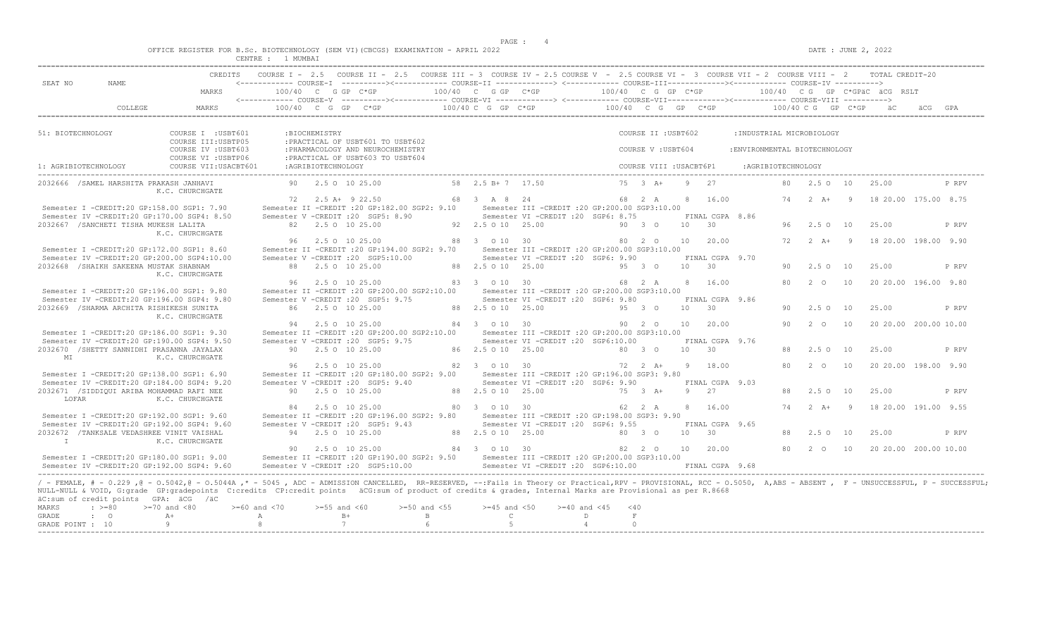| OFFICE REGISTER FOR B.Sc. BIOTECHNOLOGY (SEM VI) (CBCGS) EXAMINATION - APRIL 2022 | : JUNE 2, 2022<br>DATE<br>the contract of the contract of the contract of the contract of the contract of the contract of the contract of |
|-----------------------------------------------------------------------------------|-------------------------------------------------------------------------------------------------------------------------------------------|
| <b>METARD B</b><br>התחוגה?                                                        |                                                                                                                                           |

| SEAT NO<br>51: BIOTECHNOLOGY<br>1: AGRIBIOTECHNOLOGY<br>Semester IV -CREDIT:20 GP:200.00 SGP4:10.00<br>2032668 / SHAIKH SAKEENA MUSTAK SHABNAM | NAME<br>COLLEGE<br>2032666 / SAMEL HARSHITA PRAKASH JANHAVI | MARKS<br>MARKS<br>COURSE I : USBT601<br>COURSE III: USBTP05<br>COURSE IV : USBT603<br>COURSE VI : USBTP06<br>COURSE VII: USACBT601<br>K.C. CHURCHGATE                                                                                                                                                                                                                           | 100/40 C G GP C*GP | :BIOCHEMISTRY<br>:AGRIBIOTECHNOLOGY | $100/40$ C G GP C*GP<br>: PRACTICAL OF USBT601 TO USBT602<br>: PHARMACOLOGY AND NEUROCHEMISTRY<br>: PRACTICAL OF USBT603 TO USBT604 |              | 100/40 C G GP C*GP<br>100/40 C G GP C*GP |                                                   | 100/40 C G GP C*GP<br>$100/40$ C G GP C*GP $100/40$ C G GP C*GP |                         |                 |                       |                               |     |                     |                | 100/40 CG GP C*GPäC äCG RSLT<br>ăС | äCG |       |
|------------------------------------------------------------------------------------------------------------------------------------------------|-------------------------------------------------------------|---------------------------------------------------------------------------------------------------------------------------------------------------------------------------------------------------------------------------------------------------------------------------------------------------------------------------------------------------------------------------------|--------------------|-------------------------------------|-------------------------------------------------------------------------------------------------------------------------------------|--------------|------------------------------------------|---------------------------------------------------|-----------------------------------------------------------------|-------------------------|-----------------|-----------------------|-------------------------------|-----|---------------------|----------------|------------------------------------|-----|-------|
|                                                                                                                                                |                                                             |                                                                                                                                                                                                                                                                                                                                                                                 |                    |                                     |                                                                                                                                     |              |                                          |                                                   |                                                                 |                         |                 |                       |                               |     |                     |                |                                    |     |       |
|                                                                                                                                                |                                                             |                                                                                                                                                                                                                                                                                                                                                                                 |                    |                                     |                                                                                                                                     |              |                                          |                                                   |                                                                 |                         |                 |                       |                               |     |                     |                |                                    |     |       |
|                                                                                                                                                |                                                             |                                                                                                                                                                                                                                                                                                                                                                                 |                    |                                     |                                                                                                                                     |              |                                          |                                                   |                                                                 |                         |                 |                       |                               |     |                     |                |                                    |     |       |
|                                                                                                                                                |                                                             |                                                                                                                                                                                                                                                                                                                                                                                 |                    |                                     |                                                                                                                                     |              |                                          |                                                   |                                                                 | COURSE II : USBT602     |                 |                       | : INDUSTRIAL MICROBIOLOGY     |     |                     |                |                                    |     |       |
|                                                                                                                                                |                                                             |                                                                                                                                                                                                                                                                                                                                                                                 |                    |                                     |                                                                                                                                     |              |                                          |                                                   |                                                                 | COURSE V: USBT604       |                 |                       | : ENVIRONMENTAL BIOTECHNOLOGY |     |                     |                |                                    |     |       |
|                                                                                                                                                |                                                             |                                                                                                                                                                                                                                                                                                                                                                                 |                    |                                     |                                                                                                                                     |              |                                          |                                                   |                                                                 | COURSE VIII : USACBT6P1 |                 |                       | :AGRIBIOTECHNOLOGY            |     |                     |                |                                    |     |       |
|                                                                                                                                                |                                                             |                                                                                                                                                                                                                                                                                                                                                                                 |                    |                                     | 90 2.5 0 10 25.00                                                                                                                   |              | 58 2.5 B + 7 17.50                       |                                                   |                                                                 | $75 \t3 \tA+$           | $\overline{q}$  | 27                    |                               | 80  | 2.50 10             |                | 25.00                              |     | P RPV |
|                                                                                                                                                |                                                             |                                                                                                                                                                                                                                                                                                                                                                                 |                    |                                     | 72 2.5 A + 9 22.50                                                                                                                  |              | 68 3 A 8 24                              |                                                   |                                                                 | 68 2 A                  |                 | 8 16.00               |                               | 74  | $2+A+$              | $\overline{9}$ | 18 20.00 175.00 8.75               |     |       |
|                                                                                                                                                |                                                             | Semester I -CREDIT:20 GP:158.00 SGP1: 7.90                                                                                                                                                                                                                                                                                                                                      |                    |                                     | Semester II -CREDIT : 20 GP: 182.00 SGP2: 9.10                                                                                      |              |                                          | Semester III - CREDIT : 20 GP: 200.00 SGP3: 10.00 |                                                                 |                         |                 |                       |                               |     |                     |                |                                    |     |       |
|                                                                                                                                                |                                                             | Semester IV -CREDIT:20 GP:170.00 SGP4: 8.50                                                                                                                                                                                                                                                                                                                                     |                    |                                     | Semester V -CREDIT : 20 SGP5: 8.90                                                                                                  |              |                                          | Semester VI - CREDIT : 20 SGP6: 8.75              |                                                                 |                         |                 | FINAL CGPA 8.86       |                               |     |                     |                |                                    |     |       |
|                                                                                                                                                | 2032667 / SANCHETI TISHA MUKESH LALITA                      | K.C. CHURCHGATE                                                                                                                                                                                                                                                                                                                                                                 |                    |                                     | 82 2.5 0 10 25.00                                                                                                                   |              | 92  2.5  0  10  25.00                    |                                                   |                                                                 | 90 3 0                  | 10              | 30                    |                               | 96  | 2.50 10             |                | 25.00                              |     | P RPV |
|                                                                                                                                                |                                                             |                                                                                                                                                                                                                                                                                                                                                                                 | 96                 |                                     | 2.5 0 10 25.00                                                                                                                      |              | 88 3 0 10 30                             |                                                   |                                                                 | 80 2 0                  | 10              | 20.00                 |                               | 72. | $2 \overline{A}$ +  | $\overline{9}$ | 18 20.00 198.00 9.90               |     |       |
|                                                                                                                                                |                                                             | Semester I -CREDIT:20 GP:172.00 SGP1: 8.60                                                                                                                                                                                                                                                                                                                                      |                    |                                     | Semester II -CREDIT : 20 GP:194.00 SGP2: 9.70                                                                                       |              |                                          | Semester III -CREDIT : 20 GP: 200.00 SGP3: 10.00  |                                                                 |                         |                 |                       |                               |     |                     |                |                                    |     |       |
|                                                                                                                                                |                                                             |                                                                                                                                                                                                                                                                                                                                                                                 |                    |                                     | Semester V -CREDIT : 20 SGP5:10.00                                                                                                  |              |                                          | Semester VI - CREDIT : 20 SGP6: 9.90              |                                                                 |                         |                 | FINAL CGPA 9.70       |                               |     |                     |                |                                    |     |       |
|                                                                                                                                                |                                                             | K.C. CHURCHGATE                                                                                                                                                                                                                                                                                                                                                                 |                    |                                     | 88 2.5 0 10 25.00                                                                                                                   |              | 88 2.5 0 10 25.00                        |                                                   |                                                                 | 95 3 0                  | $10 \t 30$      |                       |                               | 90. | 2.5010              |                | 25.00                              |     | P RPV |
|                                                                                                                                                |                                                             |                                                                                                                                                                                                                                                                                                                                                                                 |                    |                                     | 96 2.5 0 10 25.00                                                                                                                   |              | 83 3 0 10 30                             |                                                   |                                                                 | 68 2 A                  | 8               | 16.00                 |                               | 80  | $2^{\circ}$         | 10             | 20 20.00 196.00 9.80               |     |       |
|                                                                                                                                                |                                                             | Semester I -CREDIT:20 GP:196.00 SGP1: 9.80                                                                                                                                                                                                                                                                                                                                      |                    |                                     | Semester II -CREDIT :20 GP:200.00 SGP2:10.00                                                                                        |              |                                          | Semester III -CREDIT : 20 GP: 200.00 SGP3: 10.00  |                                                                 |                         |                 |                       |                               |     |                     |                |                                    |     |       |
|                                                                                                                                                |                                                             | Semester IV -CREDIT:20 GP:196.00 SGP4: 9.80                                                                                                                                                                                                                                                                                                                                     |                    |                                     | Semester V -CREDIT : 20 SGP5: 9.75                                                                                                  |              |                                          | Semester VI -CREDIT : 20 SGP6: 9.80               |                                                                 |                         |                 | FINAL CGPA 9.86       |                               |     |                     |                |                                    |     |       |
|                                                                                                                                                | 2032669 / SHARMA ARCHITA RISHIKESH SUNITA                   |                                                                                                                                                                                                                                                                                                                                                                                 |                    |                                     | 86 2.5 0 10 25.00                                                                                                                   |              | 88 2.5 0 10 25.00                        |                                                   |                                                                 | 95 3 0                  | 10              | 30                    |                               | 90. | $2.5^\circ$         | 10             | 25.00                              |     | P RPV |
|                                                                                                                                                |                                                             | K.C. CHURCHGATE                                                                                                                                                                                                                                                                                                                                                                 |                    |                                     |                                                                                                                                     |              |                                          |                                                   |                                                                 |                         |                 |                       |                               |     |                     |                |                                    |     |       |
|                                                                                                                                                |                                                             |                                                                                                                                                                                                                                                                                                                                                                                 |                    |                                     | 94 2.5 0 10 25.00                                                                                                                   |              | 84 3 0 10 30                             |                                                   |                                                                 | 90 2 0                  | 10 <sup>1</sup> | 20.00                 |                               | 90  | $2^{\circ}$ $\circ$ | 10             | 20 20.00 200.00 10.00              |     |       |
|                                                                                                                                                |                                                             | Semester I -CREDIT:20 GP:186.00 SGP1: 9.30                                                                                                                                                                                                                                                                                                                                      |                    |                                     | Semester II -CREDIT : 20 GP: 200.00 SGP2: 10.00                                                                                     |              |                                          | Semester III - CREDIT : 20 GP: 200.00 SGP3: 10.00 |                                                                 |                         |                 |                       |                               |     |                     |                |                                    |     |       |
|                                                                                                                                                |                                                             | Semester IV -CREDIT:20 GP:190.00 SGP4: 9.50                                                                                                                                                                                                                                                                                                                                     |                    |                                     | Semester V -CREDIT : 20 SGP5: 9.75                                                                                                  |              |                                          | Semester VI -CREDIT :20 SGP6:10.00                |                                                                 |                         |                 | FINAL CGPA 9.76       |                               |     |                     |                |                                    |     |       |
| MT                                                                                                                                             |                                                             | 2032670 /SHETTY SANNIDHI PRASANNA JAYALAX<br>K.C. CHURCHGATE                                                                                                                                                                                                                                                                                                                    |                    |                                     | 90 2.5 0 10 25.00                                                                                                                   |              | 86 2.5 0 10 25.00                        |                                                   |                                                                 | 80 3 0                  | 10              | $\overline{30}$       |                               | 88  | 2.50 10             |                | 25.00                              |     | P RPV |
|                                                                                                                                                |                                                             |                                                                                                                                                                                                                                                                                                                                                                                 |                    |                                     | 96 2.5 0 10 25.00                                                                                                                   |              | 82 3 0 10 30                             |                                                   |                                                                 | $72 \t 2 \t A+$         |                 | 9 18.00               |                               | 80  | 2 0                 | 10             | 20 20.00 198.00 9.90               |     |       |
|                                                                                                                                                |                                                             | Semester I -CREDIT:20 GP:138.00 SGP1: 6.90                                                                                                                                                                                                                                                                                                                                      |                    |                                     | Semester II -CREDIT : 20 GP:180.00 SGP2: 9.00                                                                                       |              |                                          | Semester III -CREDIT :20 GP:196.00 SGP3: 9.80     |                                                                 |                         |                 |                       |                               |     |                     |                |                                    |     |       |
|                                                                                                                                                |                                                             | Semester IV -CREDIT:20 GP:184.00 SGP4: 9.20                                                                                                                                                                                                                                                                                                                                     |                    |                                     | Semester V -CREDIT : 20 SGP5: 9.40                                                                                                  |              |                                          | Semester VI - CREDIT : 20 SGP6: 9.90              |                                                                 |                         |                 | FINAL CGPA 9.03       |                               |     |                     |                |                                    |     |       |
|                                                                                                                                                |                                                             | 2032671 /SIDDIOUI ARIBA MOHAMMAD RAFI NEE                                                                                                                                                                                                                                                                                                                                       |                    |                                     | 90 2.5 0 10 25.00                                                                                                                   |              | 88 2.5 0 10 25.00                        |                                                   |                                                                 | 75 3 A+                 | -9              | 2.7                   |                               | 88  | 2.50 10             |                | 25.00                              |     | P RPV |
| LOFAR                                                                                                                                          |                                                             | K.C. CHURCHGATE                                                                                                                                                                                                                                                                                                                                                                 |                    |                                     |                                                                                                                                     |              |                                          |                                                   |                                                                 |                         |                 |                       |                               |     |                     |                |                                    |     |       |
|                                                                                                                                                |                                                             |                                                                                                                                                                                                                                                                                                                                                                                 | 84                 |                                     | 2.5 0 10 25.00                                                                                                                      |              | 80 3 0 10 30                             |                                                   |                                                                 | 62 2 A                  |                 | 8 16.00               |                               |     | 74 2 A+ 9           |                | 18 20.00 191.00 9.55               |     |       |
|                                                                                                                                                |                                                             | Semester I -CREDIT:20 GP:192.00 SGP1: 9.60                                                                                                                                                                                                                                                                                                                                      |                    |                                     | Semester II -CREDIT : 20 GP:196.00 SGP2: 9.80                                                                                       |              |                                          | Semester III - CREDIT : 20 GP: 198.00 SGP3: 9.90  |                                                                 |                         |                 |                       |                               |     |                     |                |                                    |     |       |
|                                                                                                                                                |                                                             | Semester IV -CREDIT:20 GP:192.00 SGP4: 9.60<br>2032672 /TANKSALE VEDASHREE VINIT VAISHAL                                                                                                                                                                                                                                                                                        |                    |                                     | Semester V -CREDIT : 20 SGP5: 9.43<br>94 2.5 0 10 25.00                                                                             |              | 88 2.5 0 10 25.00                        | Semester VI -CREDIT :20 SGP6: 9.55                |                                                                 | 80 3 0                  | 10              | FINAL CGPA 9.65<br>30 |                               | 88  | 2.50 10             |                | 25.00                              |     | P RPV |
| $\mathbb{I}$                                                                                                                                   |                                                             | K.C. CHURCHGATE                                                                                                                                                                                                                                                                                                                                                                 |                    |                                     |                                                                                                                                     |              |                                          |                                                   |                                                                 |                         |                 |                       |                               |     |                     |                |                                    |     |       |
|                                                                                                                                                |                                                             | Semester I -CREDIT:20 GP:180.00 SGP1: 9.00                                                                                                                                                                                                                                                                                                                                      |                    |                                     | 90 2.5 0 10 25.00<br>Semester II -CREDIT :20 GP:190.00 SGP2: 9.50 Semester III -CREDIT :20 GP:200.00 SGP3:10.00                     |              | 84 3 0 10 30                             |                                                   |                                                                 | 82 2 0                  |                 | 10 20.00              |                               |     | 80 2 0 10           |                | 20 20.00 200.00 10.00              |     |       |
|                                                                                                                                                |                                                             | Semester IV -CREDIT:20 GP:192.00 SGP4: 9.60                                                                                                                                                                                                                                                                                                                                     |                    |                                     | Semester V -CREDIT :20 SGP5:10.00                                                                                                   |              |                                          | Semester VI -CREDIT : 20 SGP6:10.00               |                                                                 |                         |                 | FINAL CGPA 9.68       |                               |     |                     |                |                                    |     |       |
|                                                                                                                                                |                                                             |                                                                                                                                                                                                                                                                                                                                                                                 |                    |                                     |                                                                                                                                     |              |                                          |                                                   |                                                                 |                         |                 |                       |                               |     |                     |                |                                    |     |       |
|                                                                                                                                                | äC:sum of credit points GPA: äCG /äC                        | / - FEMALE, # - 0.229, @ - 0.5042, @ - 0.5044A,* - 5045, ADC - ADMISSION CANCELLED, RR-RESERVED, --:Fails in Theory or Practical,RPV - PROVISIONAL, RCC - 0.5050, A,ABS - ABSENT, F - UNSUCCESSFUL, P - SUCCESSFUL;<br>NULL-NULL & VOID, G:grade GP:gradepoints C:credits CP:credit points äCG:sum of product of credits & grades, Internal Marks are Provisional as per R.8668 |                    |                                     |                                                                                                                                     |              |                                          |                                                   |                                                                 |                         |                 |                       |                               |     |                     |                |                                    |     |       |
| MARKS                                                                                                                                          | $\cdot$ >=80                                                | $>=70$ and $<80$                                                                                                                                                                                                                                                                                                                                                                | $>= 60$ and $< 70$ | $>=55$ and $<60$                    | $>=50$ and $<55$<br>$B+$                                                                                                            | $\mathbf{B}$ | $>=45$ and $<50$                         | $>=40$ and $<45$                                  |                                                                 | < 40                    |                 |                       |                               |     |                     |                |                                    |     |       |
| GRADE<br>$\cdot$ 0<br>GRADE POINT : 10                                                                                                         |                                                             | $A+$                                                                                                                                                                                                                                                                                                                                                                            | A                  |                                     |                                                                                                                                     |              | $\mathbb{C}$                             |                                                   | D                                                               | $\mathbf F$             |                 |                       |                               |     |                     |                |                                    |     |       |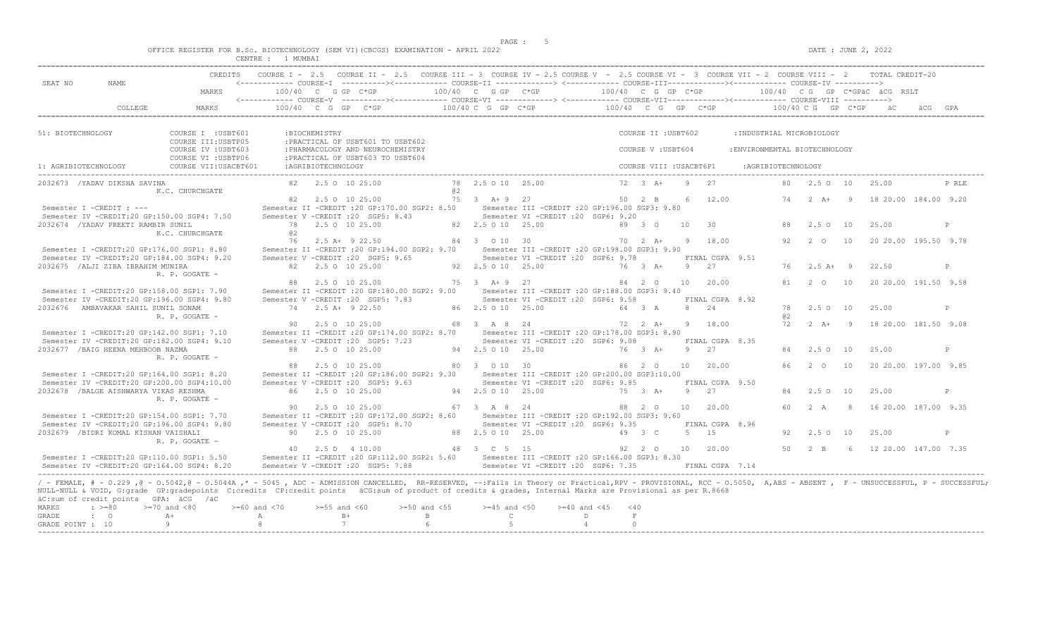$DATA: JUNE 2, 2022$ 

|  |  |               |         |  | OFFICE REGISTER FOR B.Sc. BIOTECHNOLOGY (SEM VI)(CBCGS) EXAMINATION - APRIL 2022 |  |  |
|--|--|---------------|---------|--|----------------------------------------------------------------------------------|--|--|
|  |  | <b>CENTRE</b> | MI IMRA |  |                                                                                  |  |  |

|                                           |                                        |                                                                                                                                                                                                                                                                                                                                                                                                                                                            | CENTRE : I MUMBA.          |                    |                                                                       |                                                                |    |                                        |                                                                                                                                                                                                                                                                                                                                                                           |                                                                                                                |                             |                         |           |                                            |                               |           |                            |    |                                               |       |
|-------------------------------------------|----------------------------------------|------------------------------------------------------------------------------------------------------------------------------------------------------------------------------------------------------------------------------------------------------------------------------------------------------------------------------------------------------------------------------------------------------------------------------------------------------------|----------------------------|--------------------|-----------------------------------------------------------------------|----------------------------------------------------------------|----|----------------------------------------|---------------------------------------------------------------------------------------------------------------------------------------------------------------------------------------------------------------------------------------------------------------------------------------------------------------------------------------------------------------------------|----------------------------------------------------------------------------------------------------------------|-----------------------------|-------------------------|-----------|--------------------------------------------|-------------------------------|-----------|----------------------------|----|-----------------------------------------------|-------|
| SEAT NO                                   | NAME.                                  |                                                                                                                                                                                                                                                                                                                                                                                                                                                            |                            |                    |                                                                       |                                                                |    |                                        | COURSE I - 2.5 COURSE II - 2.5 COURSE III - 3 COURSE IV - 2.5 COURSE V - 2.5 COURSE VI - 3 COURSE VII - 2 COURSE VIII - 2 TOTAL CREDIT-20<br><------------ COURSE-I ----------><----------- COURSE-II --------------> <------------ COURSE-III-------------><----------> COURSE-IV ---------->                                                                            |                                                                                                                |                             |                         |           |                                            |                               |           |                            |    |                                               |       |
|                                           |                                        | MARKS                                                                                                                                                                                                                                                                                                                                                                                                                                                      |                            |                    |                                                                       |                                                                |    |                                        | 100/40 C G GP C*GP $100/40$ C G GP C*GP $100/40$ C G GP C*GP $100/40$ C G GP C*GP $100/40$ C G GP C*GP acc                                                                                                                                                                                                                                                                |                                                                                                                |                             |                         |           |                                            |                               |           |                            |    |                                               |       |
|                                           | COLLEGE                                | MARKS                                                                                                                                                                                                                                                                                                                                                                                                                                                      |                            |                    |                                                                       |                                                                |    |                                        | <------------ COURSE-V ----------><----------- COURSE-VI -------------> <------------ COURSE-VII---------------- COURSE-VIII ----------><br>100/40 C G GP C*GP according to the C GP C*GP of C GP C*GP c GP C*GP according to the C GP C*GP according to the C GP C*GP according to the C GP C*GP according to the C GP C*GP according to the C GP C *GP according to the |                                                                                                                |                             |                         |           |                                            |                               |           |                            |    |                                               |       |
| 51: BIOTECHNOLOGY                         |                                        | COURSE I : USBT601<br>COURSE III: USBTP05                                                                                                                                                                                                                                                                                                                                                                                                                  |                            | :BIOCHEMISTRY      | : PRACTICAL OF USBT601 TO USBT602                                     |                                                                |    |                                        |                                                                                                                                                                                                                                                                                                                                                                           |                                                                                                                |                             | COURSE II : USBT602     |           |                                            | : INDUSTRIAL MICROBIOLOGY     |           |                            |    |                                               |       |
|                                           |                                        | COURSE IV : USBT603<br>COURSE VI : USBTP06                                                                                                                                                                                                                                                                                                                                                                                                                 |                            |                    | : PHARMACOLOGY AND NEUROCHEMISTRY<br>:PRACTICAL OF USBT603 TO USBT604 |                                                                |    |                                        |                                                                                                                                                                                                                                                                                                                                                                           |                                                                                                                |                             | COURSE V: USBT604       |           |                                            | : ENVIRONMENTAL BIOTECHNOLOGY |           |                            |    |                                               |       |
| 1: AGRIBIOTECHNOLOGY                      |                                        | COURSE VII: USACBT601                                                                                                                                                                                                                                                                                                                                                                                                                                      |                            | :AGRIBIOTECHNOLOGY |                                                                       |                                                                |    |                                        |                                                                                                                                                                                                                                                                                                                                                                           |                                                                                                                |                             | COURSE VIII : USACBT6P1 |           |                                            | :AGRIBIOTECHNOLOGY            |           |                            |    |                                               |       |
|                                           | 2032673 /YADAV DIKSHA SAVINA           | K.C. CHURCHGATE                                                                                                                                                                                                                                                                                                                                                                                                                                            |                            |                    | 82   2.5   0   10   25.00                                             |                                                                | a2 | 78 2.5 0 10 25.00                      |                                                                                                                                                                                                                                                                                                                                                                           |                                                                                                                |                             | $72 \t3 \tA+ \t9 \t27$  |           |                                            |                               |           |                            |    | 80  2.5  0  10  25.00                         | P RLE |
|                                           | Semester I -CREDIT : ---               | Semester IV -CREDIT:20 GP:150.00 SGP4: 7.50                                                                                                                                                                                                                                                                                                                                                                                                                |                            |                    | 82   2.5   0   10   25.00<br>Semester V - CREDIT : 20 SGP5: 8.43      |                                                                |    |                                        | 75 3 A+9 27 50 2 B 6 12.00<br>Semester II -CREDIT :20 GP:170.00 SGP2: 8.50 Semester III -CREDIT :20 GP:196.00 SGP3: 9.80<br>Semester VI -CREDIT :20 SGP6: 9.20                                                                                                                                                                                                            |                                                                                                                |                             |                         |           |                                            |                               |           |                            |    | 74   2   A+   9   18   20.00   184.00   9.20  |       |
|                                           | 2032674 / YADAV PREETI RAMBIR SUNIL    | K.C. CHURCHGATE                                                                                                                                                                                                                                                                                                                                                                                                                                            | 02                         |                    | 78 2.5 0 10 25.00                                                     |                                                                |    | 82 2.5 0 10 25.00                      |                                                                                                                                                                                                                                                                                                                                                                           |                                                                                                                | 89 3 0                      |                         | 10 30     |                                            |                               |           | 88 2.5 0 10                |    | 25.00                                         | P     |
|                                           |                                        | Semester I -CREDIT:20 GP:176.00 SGP1: 8.80<br>Semester IV -CREDIT:20 GP:184.00 SGP4: 9.20                                                                                                                                                                                                                                                                                                                                                                  |                            |                    | 76 2.5 A+ 9 22.50<br>Semester V -CREDIT : 20 SGP5: 9.65               | 84 3 0 10 30<br>Semester II -CREDIT : 20 GP: 194.00 SGP2: 9.70 |    |                                        | Semester III -CREDIT : 20 GP: 198.00 SGP3: 9.90<br>Semester VI -CREDIT :20 SGP6: 9.78                                                                                                                                                                                                                                                                                     |                                                                                                                |                             |                         |           | 70   2   A+   9   18.00<br>FINAL CGPA 9.51 |                               | 92.       | 2 0                        | 10 | 20 20.00 195.50 9.78                          |       |
|                                           | 2032675 / ALJI ZIBA IBRAHIM MUNIRA     | R. P. GOGATE -                                                                                                                                                                                                                                                                                                                                                                                                                                             |                            |                    | 82 2.5 0 10 25.00                                                     | 92 2.5 0 10 25.00                                              |    |                                        |                                                                                                                                                                                                                                                                                                                                                                           |                                                                                                                | 76 3 A+                     |                         | $9 \t 27$ |                                            |                               |           | $76$ $2.5$ $\text{A}+$ $9$ |    | 22.50                                         | P     |
|                                           |                                        | Semester I -CREDIT:20 GP:158.00 SGP1: 7.90<br>Semester IV -CREDIT:20 GP:196.00 SGP4: 9.80                                                                                                                                                                                                                                                                                                                                                                  |                            |                    | 88 2.5 0 10 25.00<br>Semester V -CREDIT : 20 SGP5: 7.83               | Semester II -CREDIT : 20 GP:180.00 SGP2: 9.00                  |    | 75 3 A + 9 27                          | Semester III -CREDIT :20 GP:188.00 SGP3: 9.40<br>Semester VI -CREDIT :20 SGP6: 9.58                                                                                                                                                                                                                                                                                       |                                                                                                                |                             |                         |           | 84  2  0  10  20.00<br>FINAL CGPA 8.92     |                               |           |                            |    | 81  2  0  10  20  20  00  191.50  9.58        |       |
|                                           | 2032676 AMBAVAKAR SAHIL SUNIL SONAM    | R. P. GOGATE -                                                                                                                                                                                                                                                                                                                                                                                                                                             |                            |                    | 74 2.5 A+ 9 22.50                                                     |                                                                |    | 86 2.5 0 10 25.00                      |                                                                                                                                                                                                                                                                                                                                                                           | 64 3 A                                                                                                         |                             |                         | 8 24      |                                            |                               | 78<br>@ 2 | 2.5 0 10                   |    | 25.00                                         | P     |
|                                           |                                        | Semester I -CREDIT:20 GP:142.00 SGP1: 7.10<br>Semester IV -CREDIT:20 GP:182.00 SGP4: 9.10                                                                                                                                                                                                                                                                                                                                                                  |                            |                    | 90 2.5 0 10 25.00<br>Semester V -CREDIT : 20 SGP5: 7.23               | 68 3 A 8 24                                                    |    |                                        | Semester II -CREDIT :20 GP:174.00 SGP2: 8.70 Semester III -CREDIT :20 GP:178.00 SGP3: 8.90<br>Semester VI - CREDIT : 20 SGP6: 9.08                                                                                                                                                                                                                                        |                                                                                                                | 72 2 A+                     |                         |           | 9 18.00<br>FINAL CGPA 8.35                 |                               |           |                            |    | 72  2  A+  9  18  20.00  181.50  9.08         |       |
|                                           | 2032677 / BAIG HEENA MEHBOOB NAZMA     | R. P. GOGATE -                                                                                                                                                                                                                                                                                                                                                                                                                                             |                            |                    | 88 2.5 0 10 25.00<br>88 2.5 0 10 25.00                                |                                                                |    | 94 2.5 0 10 25.00<br>80 3 0 10 30      |                                                                                                                                                                                                                                                                                                                                                                           | 76 3 A+                                                                                                        |                             | 86 2 0                  | 9 27      | 10 20.00                                   |                               | 86        | 84 2.5 0 10<br>$2^{\circ}$ | 10 | 25.00<br>20 20.00 197.00 9.85                 | P     |
|                                           |                                        | Semester I -CREDIT:20 GP:164.00 SGP1: 8.20<br>Semester IV -CREDIT:20 GP:200.00 SGP4:10.00                                                                                                                                                                                                                                                                                                                                                                  |                            |                    | Semester V -CREDIT : 20 SGP5: 9.63                                    | Semester II -CREDIT : 20 GP: 186.00 SGP2: 9.30                 |    |                                        | Semester III -CREDIT :20 GP:200.00 SGP3:10.00<br>Semester VI - CREDIT : 20 SGP6: 9.85                                                                                                                                                                                                                                                                                     |                                                                                                                |                             |                         |           | FINAL CGPA 9.50                            |                               |           |                            |    |                                               |       |
|                                           | 2032678 / BALGE AISHWARYA VIKAS RESHMA | R. P. GOGATE -                                                                                                                                                                                                                                                                                                                                                                                                                                             |                            |                    | 86 2.5 0 10 25.00<br>90 2.5 0 10 25.00                                |                                                                |    | 94 2.5 0 10 25.00<br>67 3 A 8 24       |                                                                                                                                                                                                                                                                                                                                                                           |                                                                                                                | 75 3 A+                     | 88 2 0                  | 9 27      | 10 20.00                                   |                               |           | 84 2.5 0 10                |    | 25.00<br>60  2  A  8  16  20.00  187.00  9.35 | P     |
|                                           |                                        | Semester I -CREDIT:20 GP:154.00 SGP1: 7.70<br>Semester IV -CREDIT:20 GP:196.00 SGP4: 9.80                                                                                                                                                                                                                                                                                                                                                                  |                            |                    | Semester V -CREDIT : 20 SGP5: 8.70                                    | Semester II -CREDIT : 20 GP: 172.00 SGP2: 8.60                 |    |                                        | Semester III - CREDIT : 20 GP: 192.00 SGP3: 9.60<br>Semester VI - CREDIT : 20 SGP6: 9.35                                                                                                                                                                                                                                                                                  |                                                                                                                |                             |                         |           | FINAL CGPA 8.96                            |                               |           |                            |    |                                               |       |
|                                           | 2032679 /BIDRI KOMAL KISHAN VAISHALI   | R. P. GOGATE -                                                                                                                                                                                                                                                                                                                                                                                                                                             |                            |                    | 90 2.5 0 10 25.00<br>40 2.5 D 4 10.00                                 | 48 3 C 5 15                                                    |    | 88 2.5 0 10 25.00                      |                                                                                                                                                                                                                                                                                                                                                                           | лица и 19 и 3 стала 19 и 3 стала 19 и 3 стала 19 и 3 стала 19 и 3 стала 19 и 3 стала 19 и 3 стала 19 и 3 стала |                             |                         |           | 5 15<br>92  2  0  10  20.00                |                               | 92.       | 2.50 10                    |    | 25.00<br>50 2 B 6 12 20.00 147.00 7.35        | P     |
|                                           |                                        | Semester I -CREDIT:20 GP:110.00 SGP1: 5.50<br>Semester IV -CREDIT:20 GP:164.00 SGP4: 8.20                                                                                                                                                                                                                                                                                                                                                                  |                            |                    | Semester V -CREDIT : 20 SGP5: 7.88                                    |                                                                |    |                                        | Semester II -CREDIT :20 GP:112.00 SGP2: 5.60 Semester III -CREDIT :20 GP:166.00 SGP3: 8.30<br>Semester VI -CREDIT : 20 SGP6: 7.35                                                                                                                                                                                                                                         |                                                                                                                |                             |                         |           | FINAL CGPA 7.14                            |                               |           |                            |    |                                               |       |
| <b>MARKS</b><br>GRADE<br>GRADE POINT : 10 | $: z = 80$<br>$\cdot$ 0                | / - FEMALE, # - 0.229, @ - 0.5042, @ - 0.5044A,* - 5045, ADC - ADMISSION CANCELLED, RR-RESERVED, --:Fails in Theory or Practical,RPV - PROVISIONAL, RCC - 0.5050, A,ABS - ABSENT, F - UNSUCCESSFUL, P - SUCCESSFUL;<br>NULL-NULL & VOID, G:grade GP:gradepoints C:credits CP:credit points äCG:sum of product of credits & grades, Internal Marks are Provisional as per R.8668<br>äC:sum of credit points GPA: äCG /äC<br>$>=70$ and $<80$<br>$A+$<br>- 9 | $>=60$ and $<70$<br>A<br>8 | $>=55$ and $<60$   | $B+$<br>7                                                             | $>=50$ and $<55$<br>$\mathbf{B}$<br>6                          |    | $>=45$ and $<50$<br>$\mathbb{C}$<br>-5 | $>=40$ and $<45$                                                                                                                                                                                                                                                                                                                                                          | D<br>$\overline{4}$                                                                                            | $<$ 40<br>$\;$ F<br>$\circ$ |                         |           |                                            |                               |           |                            |    |                                               |       |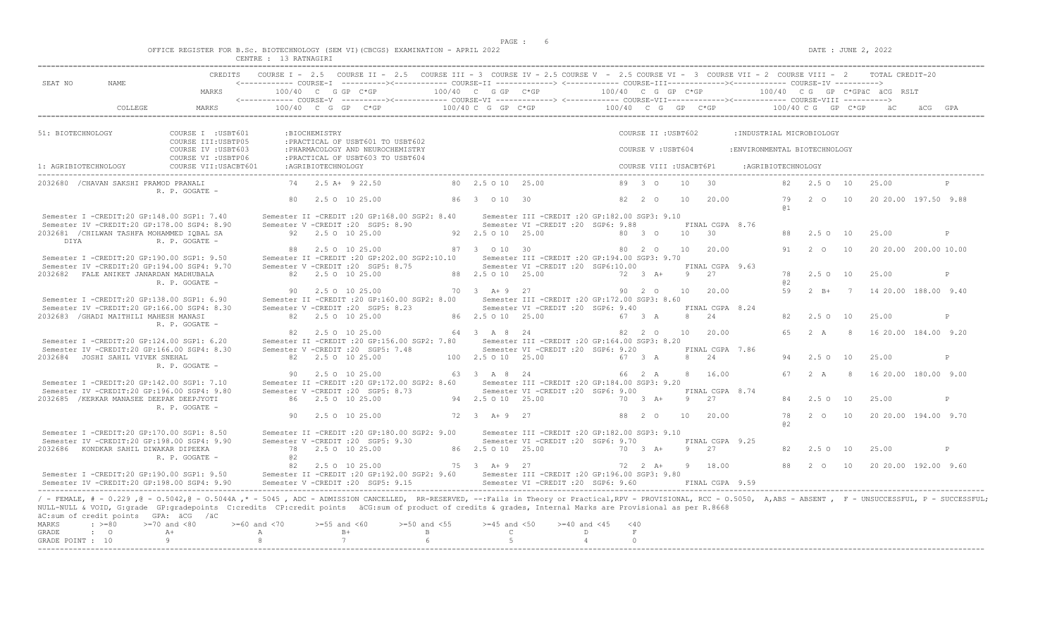$DATE: JUNE 2, 2022$ 

|  |  |                       |  | OFFICE REGISTER FOR B.Sc. BIOTECHNOLOGY (SEM VI)(CBCGS) EXAMINATION - APRIL 2022 |  |  |
|--|--|-----------------------|--|----------------------------------------------------------------------------------|--|--|
|  |  | CENTRE : 13 RATNAGIRI |  |                                                                                  |  |  |

| SEAT NO<br>NAME.                                                                                                                                                                                                                                                                                                                                                                                                                                                             |                                            |                            |                     | CREDITS COURSE I - 2.5 COURSE II - 2.5 COURSE III - 3 COURSE IV - 2.5 COURSE V - 2.5 COURSE VI - 3 COURSE VII - 2 COURSE VIII - 2 TOTAL CREDIT-20<br><------------ COURSE-T ----------><------------ COURSE-TT -------------> <------------ COURSE-TTT------------><------------- COURSE-TV ---------->                                                                                                                                                                                |                                       |                                                    |                                                                                          |                 |                         |                |                          |                               |                      |              |                                                  |   |
|------------------------------------------------------------------------------------------------------------------------------------------------------------------------------------------------------------------------------------------------------------------------------------------------------------------------------------------------------------------------------------------------------------------------------------------------------------------------------|--------------------------------------------|----------------------------|---------------------|----------------------------------------------------------------------------------------------------------------------------------------------------------------------------------------------------------------------------------------------------------------------------------------------------------------------------------------------------------------------------------------------------------------------------------------------------------------------------------------|---------------------------------------|----------------------------------------------------|------------------------------------------------------------------------------------------|-----------------|-------------------------|----------------|--------------------------|-------------------------------|----------------------|--------------|--------------------------------------------------|---|
|                                                                                                                                                                                                                                                                                                                                                                                                                                                                              | MARKS                                      |                            |                     | $100/40$ C G GP C*GP $100/40$ C G GP C*GP $100/40$ C G GP C*GP $100/40$ C G GP C*GPäC äCG RSLT                                                                                                                                                                                                                                                                                                                                                                                         |                                       |                                                    |                                                                                          |                 |                         |                |                          |                               |                      |              |                                                  |   |
| <b>COLLEGE</b>                                                                                                                                                                                                                                                                                                                                                                                                                                                               | MARKS                                      |                            |                     | $100/40 \quad C \quad G \quad GP \qquad C \star GP \qquad \qquad 100/40 \quad C \quad G \quad P \quad C \star GP \qquad \qquad 100/40 \quad C \quad G \quad GP \qquad \qquad 100/40 \quad C \quad G \quad CP \qquad \qquad 100/40 \quad C \quad G \quad CP \quad \qquad 100/40 \quad C \quad C \quad CP \qquad \qquad 100/40 \quad C \quad C \quad CP \quad \qquad 100/40 \quad C \quad C \quad CP \quad \qquad 100/40 \quad C \quad C \quad CP \quad \qquad 100/40 \quad C \quad C \$ |                                       |                                                    |                                                                                          |                 |                         |                |                          |                               |                      |              |                                                  |   |
| 51: BIOTECHNOLOGY                                                                                                                                                                                                                                                                                                                                                                                                                                                            | COURSE I : USBT601<br>COURSE III: USBTP05  |                            | :BIOCHEMISTRY       | : PRACTICAL OF USBT601 TO USBT602                                                                                                                                                                                                                                                                                                                                                                                                                                                      |                                       |                                                    |                                                                                          |                 | COURSE II : USBT602     |                |                          | :INDUSTRIAL MICROBIOLOGY      |                      |              |                                                  |   |
|                                                                                                                                                                                                                                                                                                                                                                                                                                                                              | COURSE IV : USBT603<br>COURSE VI : USBTP06 |                            |                     | : PHARMACOLOGY AND NEUROCHEMISTRY<br>: PRACTICAL OF USBT603 TO USBT604                                                                                                                                                                                                                                                                                                                                                                                                                 |                                       |                                                    |                                                                                          |                 | COURSE V: USBT604       |                |                          | : ENVIRONMENTAL BIOTECHNOLOGY |                      |              |                                                  |   |
| 1: AGRIBIOTECHNOLOGY                                                                                                                                                                                                                                                                                                                                                                                                                                                         | COURSE VII: USACBT601                      |                            | : AGRIBIOTECHNOLOGY |                                                                                                                                                                                                                                                                                                                                                                                                                                                                                        |                                       |                                                    |                                                                                          |                 | COURSE VIII : USACBT6P1 |                |                          | :AGRIBIOTECHNOLOGY            |                      |              |                                                  |   |
| 2032680 / CHAVAN SAKSHI PRAMOD PRANALI                                                                                                                                                                                                                                                                                                                                                                                                                                       | R. P. GOGATE -                             |                            |                     | $74$ $2.5$ $\overline{A}$ + $9$ $22.50$                                                                                                                                                                                                                                                                                                                                                                                                                                                |                                       | 80 2.5 0 10 25.00                                  |                                                                                          |                 | $89 \quad 3 \quad 0$    |                | 10 30                    |                               |                      | 82 2.5 0 10  | 25.00                                            |   |
|                                                                                                                                                                                                                                                                                                                                                                                                                                                                              |                                            |                            |                     | 80 2.5 0 10 25.00                                                                                                                                                                                                                                                                                                                                                                                                                                                                      |                                       | 86 3 0 10 30                                       |                                                                                          |                 | 82 2 0                  | 10             | 20.00                    |                               | 79<br>a <sub>1</sub> | 2 0 10       | 20 20.00 197.50 9.88                             |   |
| Semester I -CREDIT:20 GP:148.00 SGP1: 7.40<br>Semester IV -CREDIT:20 GP:178.00 SGP4: 8.90                                                                                                                                                                                                                                                                                                                                                                                    |                                            |                            |                     | Semester II -CREDIT :20 GP:168.00 SGP2: 8.40 Semester III -CREDIT :20 GP:182.00 SGP3: 9.10<br>Semester V -CREDIT : 20 SGP5: 8.90                                                                                                                                                                                                                                                                                                                                                       |                                       |                                                    | Semester VI - CREDIT : 20 SGP6: 9.88                                                     |                 |                         |                | FINAL CGPA 8.76          |                               |                      |              |                                                  |   |
| 2032681 / CHILWAN TASHFA MOHAMMED IOBAL SA<br>DIYA                                                                                                                                                                                                                                                                                                                                                                                                                           | R. P. GOGATE -                             |                            |                     | 92 2.5 0 10 25.00                                                                                                                                                                                                                                                                                                                                                                                                                                                                      |                                       | 92 2.5 0 10 25.00                                  |                                                                                          |                 | 80 3 0                  | $10 \t 30$     |                          |                               |                      | 88 2.5 0 10  | 25.00                                            | P |
| Semester I -CREDIT:20 GP:190.00 SGP1: 9.50<br>Semester IV -CREDIT:20 GP:194.00 SGP4: 9.70                                                                                                                                                                                                                                                                                                                                                                                    |                                            |                            |                     | 88 2.5 0 10 25.00<br>Semester II -CREDIT : 20 GP: 202.00 SGP2: 10.10<br>Semester V - CREDIT : 20 SGP5: 8.75                                                                                                                                                                                                                                                                                                                                                                            |                                       | 87 3 0 10 30                                       | Semester III -CREDIT :20 GP:194.00 SGP3: 9.70<br>Semester VI -CREDIT :20 SGP6:10.00      |                 | 80 2 0                  | 10             | 20.00<br>FINAL CGPA 9.63 |                               |                      | 91 2 0 10    | 20 20.00 200.00 10.00                            |   |
| 2032682 FALE ANIKET JANARDAN MADHUBALA                                                                                                                                                                                                                                                                                                                                                                                                                                       | R. P. GOGATE -                             |                            |                     | 82  2.5  0  10  25.00                                                                                                                                                                                                                                                                                                                                                                                                                                                                  |                                       | 88 2.5 0 10 25.00                                  |                                                                                          |                 | $72 \t 3 \t A+$         | $\overline{9}$ | 27                       |                               | 78<br>a2             | 2.5 0 10     | 25.00                                            | P |
| Semester I -CREDIT:20 GP:138.00 SGP1: 6.90                                                                                                                                                                                                                                                                                                                                                                                                                                   |                                            |                            |                     | 90 2.5 0 10 25.00<br>Semester II -CREDIT : 20 GP:160.00 SGP2: 8.00                                                                                                                                                                                                                                                                                                                                                                                                                     |                                       | 70 3 A + 9 27                                      | Semester III -CREDIT : 20 GP:172.00 SGP3: 8.60                                           |                 | 90 2 0                  | 10             | 20.00                    |                               | 59                   | $2 \quad B+$ | 7 14 20.00 188.00 9.40                           |   |
| Semester IV -CREDIT:20 GP:166.00 SGP4: 8.30<br>2032683 / GHADI MAITHILI MAHESH MANASI                                                                                                                                                                                                                                                                                                                                                                                        |                                            |                            |                     | Semester V -CREDIT : 20 SGP5: 8.23<br>82 2.5 0 10 25.00                                                                                                                                                                                                                                                                                                                                                                                                                                |                                       | 86 2.5 0 10 25.00                                  | Semester VI -CREDIT : 20 SGP6: 9.40                                                      | 67 3 A          |                         |                | FINAL CGPA 8.24<br>8 24  |                               |                      | 82 2.5 0 10  | 25.00                                            | P |
| Semester I -CREDIT:20 GP:124.00 SGP1: 6.20                                                                                                                                                                                                                                                                                                                                                                                                                                   | R. P. GOGATE -                             |                            |                     | 82 2.5 0 10 25.00<br>Semester II -CREDIT :20 GP:156.00 SGP2: 7.80 Semester III -CREDIT :20 GP:164.00 SGP3: 8.20                                                                                                                                                                                                                                                                                                                                                                        |                                       | 64 3 A 8 24                                        |                                                                                          |                 | 82 2 0                  |                | 10 20.00                 |                               |                      |              | 65 2 A 8 16 20.00 184.00 9.20                    |   |
| Semester IV -CREDIT:20 GP:166.00 SGP4: 8.30<br>2032684 JOSHI SAHIL VIVEK SNEHAL                                                                                                                                                                                                                                                                                                                                                                                              |                                            |                            |                     | Semester V - CREDIT : 20 SGP5: 7.48<br>82 2.5 0 10 25.00                                                                                                                                                                                                                                                                                                                                                                                                                               |                                       | 100 2.5 0 10 25.00                                 | Semester VI -CREDIT : 20 SGP6: 9.20                                                      |                 | 67 3 A                  |                | FINAL CGPA 7.86<br>8 24  |                               |                      | 94 2.5 0 10  | 25.00                                            | P |
|                                                                                                                                                                                                                                                                                                                                                                                                                                                                              | R. P. GOGATE -                             |                            |                     | 90 2.5 0 10 25.00                                                                                                                                                                                                                                                                                                                                                                                                                                                                      |                                       | 63 3 A 8 24                                        |                                                                                          |                 | 66 2 A                  |                | 8 16.00                  |                               |                      |              | 67 2 A 8 16 20.00 180.00 9.00                    |   |
| Semester I -CREDIT:20 GP:142.00 SGP1: 7.10<br>Semester IV -CREDIT:20 GP:196.00 SGP4: 9.80                                                                                                                                                                                                                                                                                                                                                                                    |                                            |                            |                     | Semester II -CREDIT :20 GP:172.00 SGP2: 8.60 Semester III -CREDIT :20 GP:184.00 SGP3: 9.20<br>Semester V - CREDIT : 20 SGP5: 8.73                                                                                                                                                                                                                                                                                                                                                      |                                       |                                                    | Semester VI -CREDIT : 20 SGP6: 9.00                                                      |                 |                         |                | FINAL CGPA 8.74          |                               |                      |              |                                                  |   |
| 2032685 / KERKAR MANASEE DEEPAK DEEPJYOTI                                                                                                                                                                                                                                                                                                                                                                                                                                    | R. P. GOGATE -                             |                            |                     | 86 2.5 0 10 25.00                                                                                                                                                                                                                                                                                                                                                                                                                                                                      |                                       | 94 2.5 0 10 25.00                                  |                                                                                          |                 | 70 3 A+                 |                | 9 2.7                    |                               |                      | 84 2.5 0 10  | 25.00                                            | P |
|                                                                                                                                                                                                                                                                                                                                                                                                                                                                              |                                            |                            |                     | 90 2.5 0 10 25.00                                                                                                                                                                                                                                                                                                                                                                                                                                                                      |                                       | 72 3 A+ 9 27                                       |                                                                                          |                 | 88 2 0                  | 10             | 20.00                    |                               | 78<br>a2             |              | 2 0 10 20 20 00 194 00 9.70                      |   |
| Semester I -CREDIT:20 GP:170.00 SGP1: 8.50<br>Semester IV -CREDIT:20 GP:198.00 SGP4: 9.90                                                                                                                                                                                                                                                                                                                                                                                    |                                            |                            |                     | Semester II -CREDIT : 20 GP:180.00 SGP2: 9.00<br>Semester V - CREDIT : 20 SGP5: 9.30                                                                                                                                                                                                                                                                                                                                                                                                   |                                       |                                                    | Semester III - CREDIT : 20 GP: 182.00 SGP3: 9.10<br>Semester VI - CREDIT : 20 SGP6: 9.70 |                 |                         |                | FINAL CGPA 9.25          |                               |                      |              |                                                  |   |
| 2032686 KONDKAR SAHIL DIWAKAR DIPEEKA                                                                                                                                                                                                                                                                                                                                                                                                                                        | R. P. GOGATE -                             | 0.2                        |                     | 78 2.5 0 10 25.00                                                                                                                                                                                                                                                                                                                                                                                                                                                                      |                                       | 86 2.5 0 10 25.00                                  |                                                                                          |                 | 70 3 A+                 |                | 9 27                     |                               | 82.                  | 2.5 0 10     | 25.00                                            | P |
| Semester I -CREDIT:20 GP:190.00 SGP1: 9.50<br>Semester IV -CREDIT:20 GP:198.00 SGP4: 9.90                                                                                                                                                                                                                                                                                                                                                                                    |                                            |                            |                     | 82  2.5  0  10  25.00<br>Semester II -CREDIT :20 GP:192.00 SGP2: 9.60 Semester III -CREDIT :20 GP:196.00 SGP3: 9.80<br>Semester V -CREDIT : 20 SGP5: 9.15                                                                                                                                                                                                                                                                                                                              |                                       | 75 3 A + 9 27                                      | Semester VI - CREDIT : 20 SGP6: 9.60                                                     |                 | 72  2  A+  9  18.00     |                | FINAL CGPA 9.59          |                               |                      |              | 88   2   0   10   20   20   00   192   00   9.60 |   |
| / - FEMALE, # - 0.229, @ - 0.5042, @ - 0.5044A,* - 5045, ADC - ADMISSION CANCELLED, RR-RESERVED, --:Fails in Theory or Practical,RPV - PROVISIONAL, RCC - 0.5050, A,ABS - ABSENT, F - UNSUCCESSFUL, P - SUCCESSFUL;<br>NULL-NULL & VOID, G:grade GP:gradepoints C:credits CP:credit points äCG:sum of product of credits & grades, Internal Marks are Provisional as per R.8668<br>äC:sum of credit points GPA: äCG /äC<br>$\div$ >=80<br><b>MARKS</b><br>GRADE<br>$\cdot$ 0 | $>=70$ and $<80$<br>$A+$<br>Q              | $>=60$ and $<70$<br>A<br>8 | $>=55$ and $<60$    | $B+$<br>7                                                                                                                                                                                                                                                                                                                                                                                                                                                                              | $>=50$ and $<55$<br>$\mathbb B$<br>-6 | $>=45$ and $<50$<br>$\mathbb{C}$<br>$\overline{5}$ | $>=40$ and $<45$<br>$\overline{4}$                                                       | D<br>$\bigcirc$ | $<$ 40<br>$\;$ F        |                |                          |                               |                      |              |                                                  |   |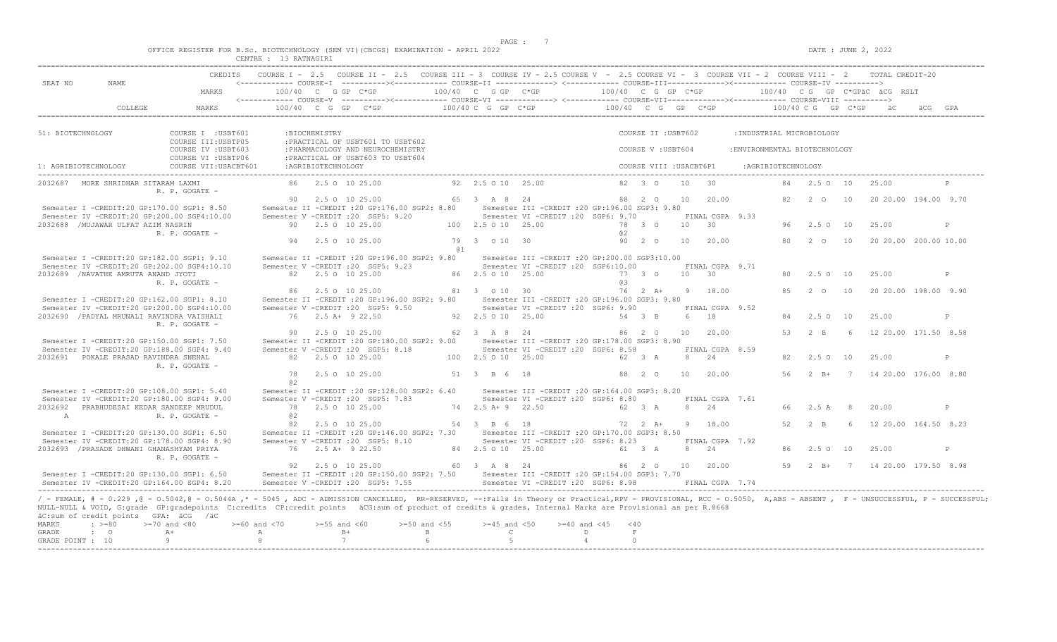$DATE: JUNE 2, 2022$ 

|  |  |          | OFFICE REGISTER FOR B.SC. BIOTECHNOLOGY (SEM VI)(CBCGS) EXAMINATION - APRIL 2022 |  |  |  |
|--|--|----------|----------------------------------------------------------------------------------|--|--|--|
|  |  | -------- | ------------                                                                     |  |  |  |

|                       |                                                                                           |                                                                                                                                                                                                                                                                                                                                                                                                                                        | CENTRE : 13 RATNAGIRI |                                            |                                                                                                                                                                                                                                                                                                 |                   |                                        |                                                                                                  |                     |                              |    |                          |                               |     |                 |                |                              |         |              |
|-----------------------|-------------------------------------------------------------------------------------------|----------------------------------------------------------------------------------------------------------------------------------------------------------------------------------------------------------------------------------------------------------------------------------------------------------------------------------------------------------------------------------------------------------------------------------------|-----------------------|--------------------------------------------|-------------------------------------------------------------------------------------------------------------------------------------------------------------------------------------------------------------------------------------------------------------------------------------------------|-------------------|----------------------------------------|--------------------------------------------------------------------------------------------------|---------------------|------------------------------|----|--------------------------|-------------------------------|-----|-----------------|----------------|------------------------------|---------|--------------|
| SEAT NO               | NAME                                                                                      | CREDITS                                                                                                                                                                                                                                                                                                                                                                                                                                |                       |                                            | COURSE I - 2.5 COURSE II - 2.5 COURSE III - 3 COURSE IV - 2.5 COURSE V - 2.5 COURSE VI - 3 COURSE VII - 2 COURSE VIII - 2 TOTAL CREDIT-20<br><------------ COURSE-I ----------><----------- COURSE-II --------------> <------------ COURSE-III-------------><------------ COURSE-IV ----------> |                   |                                        |                                                                                                  |                     |                              |    |                          |                               |     |                 |                |                              |         |              |
|                       |                                                                                           | MARKS                                                                                                                                                                                                                                                                                                                                                                                                                                  | $100/40$ C G GP C*GP  |                                            |                                                                                                                                                                                                                                                                                                 |                   | $100/40$ C G GP $C*GP$                 |                                                                                                  |                     | 100/40 C G GP C*GP           |    |                          |                               |     |                 |                | 100/40 CG GP C*GPÄC ÄCG RSLT |         |              |
|                       | COLLEGE                                                                                   | <b>MARKS</b>                                                                                                                                                                                                                                                                                                                                                                                                                           |                       |                                            | <------------ COURSE-V ----------><----------- COURSE-VI --------------> <------------ COURSE-VIII------------> COURSE-VIII ----------><br>100/40 C G GP C*GP                                                                                                                                   |                   |                                        | $100/40$ C G GP C*GP $100/40$ C G GP C*GP $100/40$ C G GP C*GP $100/40$ C G GP C*GP $100/40$ C G |                     |                              |    |                          |                               |     |                 |                |                              | äCG GPA |              |
|                       |                                                                                           |                                                                                                                                                                                                                                                                                                                                                                                                                                        |                       |                                            |                                                                                                                                                                                                                                                                                                 |                   |                                        |                                                                                                  |                     |                              |    |                          |                               |     |                 |                |                              |         |              |
| 51: BIOTECHNOLOGY     |                                                                                           | COURSE I : USBT601<br>COURSE III: USBTP05                                                                                                                                                                                                                                                                                                                                                                                              |                       | :BIOCHEMISTRY                              | : PRACTICAL OF USBT601 TO USBT602                                                                                                                                                                                                                                                               |                   |                                        |                                                                                                  |                     | COURSE II : USBT602          |    |                          | : INDUSTRIAL MICROBIOLOGY     |     |                 |                |                              |         |              |
|                       |                                                                                           | COURSE IV : USBT603<br>COURSE VI : USBTP06                                                                                                                                                                                                                                                                                                                                                                                             |                       |                                            | : PHARMACOLOGY AND NEUROCHEMISTRY<br>: PRACTICAL OF USBT603 TO USBT604                                                                                                                                                                                                                          |                   |                                        |                                                                                                  |                     | COURSE V: USBT604            |    |                          | : ENVIRONMENTAL BIOTECHNOLOGY |     |                 |                |                              |         |              |
| 1: AGRIBIOTECHNOLOGY  |                                                                                           | COURSE VII: USACBT601                                                                                                                                                                                                                                                                                                                                                                                                                  |                       | :AGRIBIOTECHNOLOGY                         |                                                                                                                                                                                                                                                                                                 |                   |                                        |                                                                                                  |                     | COURSE VIII : USACBT6P1      |    |                          | :AGRIBIOTECHNOLOGY            |     |                 |                |                              |         |              |
|                       | 2032687 MORE SHRIDHAR SITARAM LAXMI                                                       | R. P. GOGATE -                                                                                                                                                                                                                                                                                                                                                                                                                         |                       | 86 2.5 0 10 25.00                          |                                                                                                                                                                                                                                                                                                 |                   | 92 2.5 0 10 25.00                      |                                                                                                  |                     | $82 \t 30$                   | 10 | 30                       |                               |     | 84 2.5 0 10     |                | 25.00                        |         |              |
|                       | Semester I -CREDIT:20 GP:170.00 SGP1: 8.50                                                |                                                                                                                                                                                                                                                                                                                                                                                                                                        |                       | 90 2.5 0 10 25.00                          | Semester II -CREDIT : 20 GP: 176.00 SGP2: 8.80                                                                                                                                                                                                                                                  |                   | 65 3 A 8 24                            | Semester III - CREDIT : 20 GP: 196.00 SGP3: 9.80                                                 |                     | 88 2 0                       | 10 | 20.00                    |                               |     | 82 2 0 10       |                | 20 20.00 194.00 9.70         |         |              |
|                       | Semester IV -CREDIT:20 GP:200.00 SGP4:10.00<br>2032688 / MUJAWAR ULFAT AZIM NASRIN        |                                                                                                                                                                                                                                                                                                                                                                                                                                        |                       | 90 2.5 0 10 25.00                          | Semester V -CREDIT : 20 SGP5: 9.20                                                                                                                                                                                                                                                              |                   | 100 2.5 0 10 25.00                     | Semester VI - CREDIT : 20 SGP6: 9.70                                                             |                     | 78 3 0                       |    | FINAL CGPA 9.33<br>10 30 |                               | 96. | $2.5^\circ$     | 10             | 25.00                        |         | $\mathbb{P}$ |
|                       |                                                                                           | R. P. GOGATE -                                                                                                                                                                                                                                                                                                                                                                                                                         |                       | 94 2.5 0 10 25.00                          |                                                                                                                                                                                                                                                                                                 | @ 1               | 79 3 0 10 30                           |                                                                                                  | a2                  | 90 2 0                       | 10 | 20.00                    |                               | 80  | $2\degree$ 0    | 10             | 20 20.00 200.00 10.00        |         |              |
|                       | Semester I -CREDIT:20 GP:182.00 SGP1: 9.10<br>Semester IV -CREDIT:20 GP:202.00 SGP4:10.10 |                                                                                                                                                                                                                                                                                                                                                                                                                                        |                       |                                            | Semester II -CREDIT : 20 GP: 196.00 SGP2: 9.80<br>Semester V -CREDIT : 20 SGP5: 9.23                                                                                                                                                                                                            |                   |                                        | Semester III -CREDIT : 20 GP: 200.00 SGP3: 10.00<br>Semester VI -CREDIT : 20 SGP6:10.00          |                     |                              |    | FINAL CGPA 9.71          |                               |     |                 |                |                              |         |              |
|                       | 2032689 /NAVATHE AMRUTA ANAND JYOTI                                                       | R. P. GOGATE -                                                                                                                                                                                                                                                                                                                                                                                                                         |                       | 82 2.5 0 10 25.00                          |                                                                                                                                                                                                                                                                                                 |                   | 86 2.5 0 10 25.00                      |                                                                                                  | 6.3                 | 77 3 0                       |    | 10 30                    |                               | 80  | 2.5010          |                | 25.00                        |         | P            |
|                       | Semester I -CREDIT:20 GP:162.00 SGP1: 8.10                                                |                                                                                                                                                                                                                                                                                                                                                                                                                                        |                       | 86 2.5 0 10 25.00                          | Semester II -CREDIT : 20 GP: 196.00 SGP2: 9.80                                                                                                                                                                                                                                                  |                   | 81 3 0 10 30                           | Semester III - CREDIT : 20 GP: 196.00 SGP3: 9.80                                                 |                     | $76$ $2$ $\mathsf{A}+$       | 9  | 18.00                    |                               |     | 85 2 0          | 10             | 20 20 00 198 00 9 90         |         |              |
|                       | Semester IV -CREDIT:20 GP:200.00 SGP4:10.00<br>2032690 / PADYAL MRUNALI RAVINDRA VAISHALI | R. P. GOGATE -                                                                                                                                                                                                                                                                                                                                                                                                                         |                       | 76 2.5 A+ 9 22.50                          | Semester V -CREDIT : 20 SGP5: 9.50                                                                                                                                                                                                                                                              |                   | 92  2.5  0  10  25.00                  | Semester VI - CREDIT : 20 SGP6: 9.90                                                             |                     | 54 3 B                       |    | FINAL CGPA 9.52<br>6 18  |                               | 84  | $2.5^\circ$     | 10             | 25.00                        |         | P            |
|                       | Semester I -CREDIT:20 GP:150.00 SGP1: 7.50                                                |                                                                                                                                                                                                                                                                                                                                                                                                                                        |                       | 90 2.5 0 10 25.00                          | Semester II -CREDIT :20 GP:180.00 SGP2: 9.00 Semester III -CREDIT :20 GP:178.00 SGP3: 8.90                                                                                                                                                                                                      |                   | 62 3 A 8 24                            |                                                                                                  |                     | 86 2 0                       |    | 10 20.00                 |                               | 53  | 2 R             | -6             | 12 20.00 171.50 8.58         |         |              |
|                       | Semester IV -CREDIT:20 GP:188.00 SGP4: 9.40<br>2032691 POKALE PRASAD RAVINDRA SNEHAL      |                                                                                                                                                                                                                                                                                                                                                                                                                                        |                       | 82 2.5 0 10 25.00                          | Semester V -CREDIT : 20 SGP5: 8.18                                                                                                                                                                                                                                                              |                   | 100 2.5 0 10 25.00                     | Semester VI -CREDIT : 20 SGP6: 8.58                                                              |                     | 62 3 A                       | 8  | FINAL CGPA 8.59<br>24    |                               | 82  | 2.5 0 10        |                | 25.00                        |         | $\mathsf{P}$ |
|                       |                                                                                           | R. P. GOGATE -                                                                                                                                                                                                                                                                                                                                                                                                                         | 78<br>02              | 2.5 0 10 25.00                             |                                                                                                                                                                                                                                                                                                 |                   | 51 3 B 6 18                            |                                                                                                  |                     | 88 2 0                       | 10 | 20.00                    |                               | 56  | $2 \text{ B}$ + |                | 7 14 20.00 176.00 8.80       |         |              |
|                       | Semester I -CREDIT:20 GP:108.00 SGP1: 5.40<br>Semester IV -CREDIT:20 GP:180.00 SGP4: 9.00 |                                                                                                                                                                                                                                                                                                                                                                                                                                        |                       |                                            | Semester II -CREDIT : 20 GP: 128.00 SGP2: 6.40<br>Semester V -CREDIT : 20 SGP5: 7.83                                                                                                                                                                                                            |                   |                                        | Semester III -CREDIT :20 GP:164.00 SGP3: 8.20<br>Semester VI - CREDIT : 20 SGP6: 8.80            |                     |                              |    | FINAL CGPA 7.61          |                               |     |                 |                |                              |         |              |
| A                     | 2032692 PRABHUDESAI KEDAR SANDEEP MRUDUL                                                  | R. P. GOGATE -                                                                                                                                                                                                                                                                                                                                                                                                                         | @ 2                   | 78 2.5 0 10 25.00                          |                                                                                                                                                                                                                                                                                                 |                   | 74 2.5 A + 9 22.50                     |                                                                                                  |                     | 62 3 A                       |    | 8 24                     |                               | 66. | 2.5 A           | - 8            | 20.00                        |         | P            |
|                       | Semester I -CREDIT:20 GP:130.00 SGP1: 6.50                                                |                                                                                                                                                                                                                                                                                                                                                                                                                                        | 82                    | 2.5 0 10 25.00                             | Semester II -CREDIT :20 GP:146.00 SGP2: 7.30 Semester III -CREDIT :20 GP:170.00 SGP3: 8.50                                                                                                                                                                                                      |                   | 54 3 B 6 18                            |                                                                                                  |                     | 72 2 A+                      |    | 9 18.00                  |                               | 52  | $2 \quad B$     | -6             | 12 20.00 164.50 8.23         |         |              |
|                       | Semester IV -CREDIT:20 GP:178.00 SGP4: 8.90<br>2032693 / PRASADE DHWANI GHANASHYAM PRIYA  | R. P. GOGATE -                                                                                                                                                                                                                                                                                                                                                                                                                         |                       | 76 2.5 A+ 9 22.50                          | Semester V -CREDIT : 20 SGP5: 8.10                                                                                                                                                                                                                                                              |                   | 84 2.5 0 10 25.00                      | Semester VI -CREDIT : 20 SGP6: 8.23                                                              |                     | 61 3 A                       |    | FINAL CGPA 7.92<br>8 24  |                               | 86. | 2.5010          |                | 25.00                        |         | P            |
|                       | Semester I -CREDIT:20 GP:130.00 SGP1: 6.50                                                | Semester TV -CREDIT: 20 GP: 164.00 SGP4: 8.20                                                                                                                                                                                                                                                                                                                                                                                          |                       | 92 2.5 0 10 25.00                          | Semester II -CREDIT :20 GP:150.00 SGP2: 7.50 Semester III -CREDIT :20 GP:154.00 SGP3: 7.70<br>Semester V -CREDIT : 20 SGP5: 7.55                                                                                                                                                                |                   | 60 3 A 8 24                            | Semester VI -CREDIT : 20 SGP6: 8.98                                                              |                     | 86 2 0 10                    |    | 20.00<br>FINAL CGPA 7.74 |                               | 59  | $2 R +$         | $\overline{7}$ | 14 20.00 179.50 8.98         |         |              |
| <b>MARKS</b><br>GRADE | äC:sum of credit points GPA: äCG /äC<br>$\div$ >=80<br>$\cdot$ 0                          | / - FEMALE, # - 0.229, @ - 0.5042, @ - 0.5044A,* - 5045, ADC - ADMISSION CANCELLED, RR-RESERVED, --:Fails in Theory or Practical,RPV - PROVISIONAL, RCC - 0.5050, A,ABS - ABSENT, F - UNSUCCESSFUL, P - SUCCESSFUL;<br>NULL-NULL & VOID, G:grade GP:gradepoints C:credits CP:credit points äCG:sum of product of credits & grades, Internal Marks are Provisional as per R.8668<br>$>=70$ and $<80$<br>$>= 60$ and $< 70$<br>$A+$<br>Q | A<br>8                | $>=55$ and $<60$<br>$B+$<br>$\overline{7}$ | $>=50$ and $<55$                                                                                                                                                                                                                                                                                | $\mathbf{B}$<br>6 | $>=45$ and $<50$<br>$\mathbb{C}$<br>-5 | $>= 40$ and $< 45$                                                                               | D<br>$\overline{4}$ | $<$ 40<br>$\,$ F<br>$\Omega$ |    |                          |                               |     |                 |                |                              |         |              |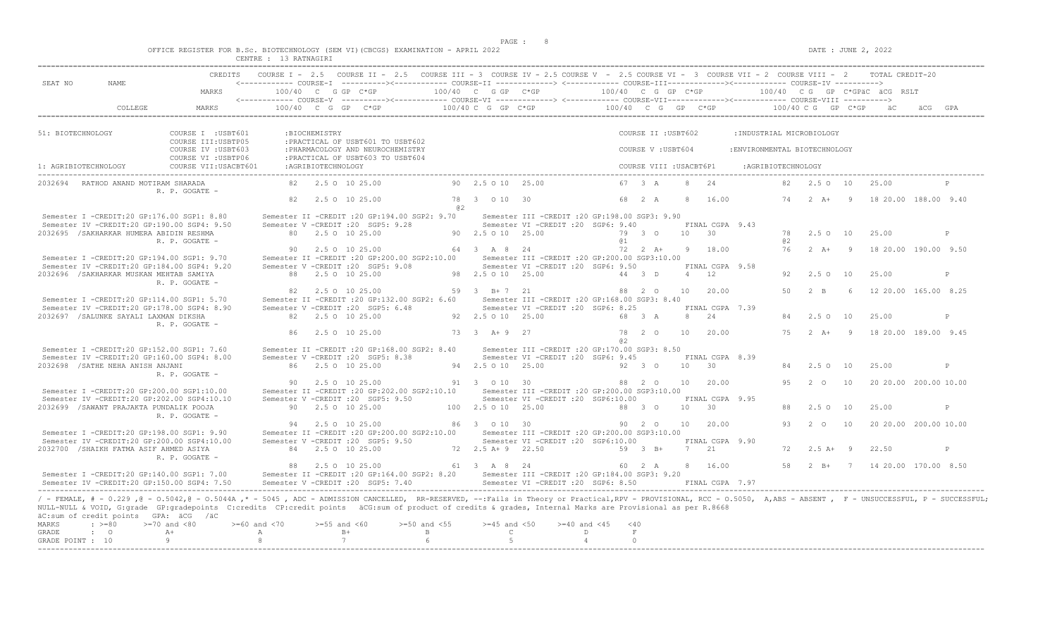$DATE: JUNE 2, 2022$ 

|  |  | OFFICE REGISTER FOR B.Sc. BIOTECHNOLOGY (SEM VI)(CBCGS) EXAMINATION - APRIL 2022 |  |  |  |
|--|--|----------------------------------------------------------------------------------|--|--|--|
|  |  | $10$ paminary                                                                    |  |  |  |

|                      |                                                     |                                                                                                                                                                                                                                                                                                                                                                                                     | CENTRE : 13 RATNAGIRI |                    |                                                                                                                                                                  |                  |                       |                                                                                        |                    |            |                         |                 |                 |                                              |    |                       |                |                                              |         |              |
|----------------------|-----------------------------------------------------|-----------------------------------------------------------------------------------------------------------------------------------------------------------------------------------------------------------------------------------------------------------------------------------------------------------------------------------------------------------------------------------------------------|-----------------------|--------------------|------------------------------------------------------------------------------------------------------------------------------------------------------------------|------------------|-----------------------|----------------------------------------------------------------------------------------|--------------------|------------|-------------------------|-----------------|-----------------|----------------------------------------------|----|-----------------------|----------------|----------------------------------------------|---------|--------------|
|                      |                                                     |                                                                                                                                                                                                                                                                                                                                                                                                     |                       |                    | CREDITS COURSE I - 2.5 COURSE II - 2.5 COURSE III - 3 COURSE IV - 2.5 COURSE V - 2.5 COURSE VI - 3 COURSE VII - 2 COURSE VIII - 2 TOTAL CREDIT-20                |                  |                       |                                                                                        |                    |            |                         |                 |                 |                                              |    |                       |                |                                              |         |              |
| SEAT NO              | NAME                                                |                                                                                                                                                                                                                                                                                                                                                                                                     |                       |                    | <------------ COURSE-I ----------><----------- COURSE-II --------------> <------------ COURSE-III-------------><------------ COURSE-IV ---------->               |                  |                       |                                                                                        |                    |            |                         |                 |                 |                                              |    |                       |                |                                              |         |              |
|                      |                                                     | MARKS                                                                                                                                                                                                                                                                                                                                                                                               |                       |                    | $100/40$ C G GP C*GP<br><------------ COURSE-V ----------><----------- COURSE-VI -------------> <------------ COURSE-VII---------------- COURSE-VIII ----------> |                  | 100/40 C G GP C*GP    |                                                                                        |                    |            | 100/40 C G GP C*GP      |                 |                 |                                              |    |                       |                | 100/40 CG GP C*GPäC äCG RSLT                 |         |              |
|                      | COLLEGE                                             | MARKS                                                                                                                                                                                                                                                                                                                                                                                               |                       |                    | $100/40$ C G GP C*GP                                                                                                                                             |                  |                       | 100/40 C G GP C*GP                                                                     |                    |            |                         |                 |                 | $100/40$ C G GP C*GP $100/40$ C G GP C*GP äC |    |                       |                |                                              | äCG GPA |              |
|                      |                                                     |                                                                                                                                                                                                                                                                                                                                                                                                     |                       |                    |                                                                                                                                                                  |                  |                       |                                                                                        |                    |            |                         |                 |                 |                                              |    |                       |                |                                              |         |              |
| 51: BIOTECHNOLOGY    |                                                     | COURSE I : USBT601                                                                                                                                                                                                                                                                                                                                                                                  |                       | :BIOCHEMISTRY      |                                                                                                                                                                  |                  |                       |                                                                                        |                    |            | COURSE II : USBT602     |                 |                 | : INDUSTRIAL MICROBIOLOGY                    |    |                       |                |                                              |         |              |
|                      |                                                     | COURSE III: USBTP05<br>COURSE IV : USBT603                                                                                                                                                                                                                                                                                                                                                          |                       |                    | : PRACTICAL OF USBT601 TO USBT602<br>: PHARMACOLOGY AND NEUROCHEMISTRY                                                                                           |                  |                       |                                                                                        |                    |            | COURSE V: USBT604       |                 |                 | : ENVIRONMENTAL BIOTECHNOLOGY                |    |                       |                |                                              |         |              |
| 1: AGRIBIOTECHNOLOGY |                                                     | COURSE VI : USBTP06<br>COURSE VII: USACBT601                                                                                                                                                                                                                                                                                                                                                        |                       | :AGRIBIOTECHNOLOGY | : PRACTICAL OF USBT603 TO USBT604                                                                                                                                |                  |                       |                                                                                        |                    |            | COURSE VIII : USACBT6P1 |                 |                 | :AGRIBIOTECHNOLOGY                           |    |                       |                |                                              |         |              |
|                      | 2032694 RATHOD ANAND MOTIRAM SHARADA                |                                                                                                                                                                                                                                                                                                                                                                                                     |                       |                    | 82 2.5 0 10 25.00                                                                                                                                                |                  | 90 2.5 0 10 25.00     |                                                                                        |                    |            | 67 3 A                  |                 | 8 24            |                                              |    | 82  2.5  0  10  25.00 |                |                                              |         |              |
|                      |                                                     | R. P. GOGATE -                                                                                                                                                                                                                                                                                                                                                                                      | 82                    |                    | 2.5 0 10 25.00                                                                                                                                                   |                  | 78 3 0 10 30          |                                                                                        |                    |            | 68 2 A                  | -8              | 16.00           |                                              |    |                       |                | 74   2   A+   9   18   20.00   188.00   9.40 |         |              |
|                      |                                                     |                                                                                                                                                                                                                                                                                                                                                                                                     |                       |                    |                                                                                                                                                                  | @ 2              |                       |                                                                                        |                    |            |                         |                 |                 |                                              |    |                       |                |                                              |         |              |
|                      | Semester I -CREDIT:20 GP:176.00 SGP1: 8.80          | Semester IV -CREDIT:20 GP:190.00 SGP4: 9.50                                                                                                                                                                                                                                                                                                                                                         |                       |                    | Semester II -CREDIT : 20 GP: 194.00 SGP2: 9.70<br>Semester V -CREDIT : 20 SGP5: 9.28                                                                             |                  |                       | Semester III -CREDIT : 20 GP: 198.00 SGP3: 9.90<br>Semester VI -CREDIT : 20 SGP6: 9.40 |                    |            |                         |                 | FINAL CGPA 9.43 |                                              |    |                       |                |                                              |         |              |
|                      | 2032695 / SAKHARKAR HUMERA ABIDIN RESHMA            |                                                                                                                                                                                                                                                                                                                                                                                                     |                       |                    | 80 2.5 0 10 25.00                                                                                                                                                |                  | 90 2.5 0 10 25.00     |                                                                                        |                    |            | 79 3 0                  | $10 \t 30$      |                 |                                              | 78 | 2.5 0 10              |                | 25.00                                        |         | P            |
|                      |                                                     | R. P. GOGATE -                                                                                                                                                                                                                                                                                                                                                                                      |                       |                    |                                                                                                                                                                  |                  |                       |                                                                                        |                    | <b>a</b> 1 |                         |                 |                 |                                              | a2 |                       |                |                                              |         |              |
|                      |                                                     |                                                                                                                                                                                                                                                                                                                                                                                                     | 90.                   |                    | 2.5 0 10 25.00                                                                                                                                                   |                  | 64 3 A 8 24           |                                                                                        |                    |            | $72 \t2 \tA+$           |                 | 9 18.00         |                                              | 76 | $2 \overline{A}$ +    | $\overline{9}$ | 18 20.00 190.00 9.50                         |         |              |
|                      | Semester I -CREDIT:20 GP:194.00 SGP1: 9.70          |                                                                                                                                                                                                                                                                                                                                                                                                     |                       |                    | Semester II -CREDIT : 20 GP: 200.00 SGP2: 10.00                                                                                                                  |                  |                       | Semester III -CREDIT :20 GP:200.00 SGP3:10.00                                          |                    |            |                         |                 |                 |                                              |    |                       |                |                                              |         |              |
|                      |                                                     | Semester IV -CREDIT:20 GP:184.00 SGP4: 9.20                                                                                                                                                                                                                                                                                                                                                         |                       |                    | Semester V -CREDIT : 20 SGP5: 9.08                                                                                                                               |                  |                       | Semester VI -CREDIT : 20 SGP6: 9.50                                                    |                    |            |                         |                 | FINAL CGPA 9.58 |                                              |    |                       |                |                                              |         |              |
|                      | 2032696 / SAKHARKAR MUSKAN MEHTAB SAMIYA            | R. P. GOGATE -                                                                                                                                                                                                                                                                                                                                                                                      |                       |                    | 88 2.5 0 10 25.00                                                                                                                                                |                  | 98 2.5 0 10 25.00     |                                                                                        |                    |            | 44 3 D                  |                 | $4 \t 12$       |                                              | 92 | 2.50 10               |                | 25.00                                        |         | P            |
|                      |                                                     |                                                                                                                                                                                                                                                                                                                                                                                                     |                       |                    | 82 2.5 0 10 25.00                                                                                                                                                |                  | 59 3 B+7 21           |                                                                                        |                    |            | 88 2 0                  | 10              | 20.00           |                                              | 50 | $2 \quad B$           | 6 <sup>6</sup> | 12 20.00 165.00 8.25                         |         |              |
|                      | Semester I -CREDIT:20 GP:114.00 SGP1: 5.70          |                                                                                                                                                                                                                                                                                                                                                                                                     |                       |                    | Semester II -CREDIT : 20 GP:132.00 SGP2: 6.60                                                                                                                    |                  |                       | Semester III - CREDIT : 20 GP: 168.00 SGP3: 8.40                                       |                    |            |                         |                 |                 |                                              |    |                       |                |                                              |         |              |
|                      |                                                     | Semester TV -CREDIT:20 GP:178.00 SGP4: 8.90                                                                                                                                                                                                                                                                                                                                                         |                       |                    | Semester V -CREDIT : 20 SGP5: 6.48                                                                                                                               |                  |                       | Semester VI -CREDIT :20 SGP6: 8.25                                                     |                    |            |                         |                 | FINAL CGPA 7.39 |                                              |    |                       |                |                                              |         |              |
|                      | 2032697 /SALUNKE SAYALI LAXMAN DIKSHA               | R. P. GOGATE -                                                                                                                                                                                                                                                                                                                                                                                      |                       |                    | 82 2.5 0 10 25.00                                                                                                                                                |                  | 92  2.5  0  10  25.00 |                                                                                        |                    |            | 68 3 A                  |                 | 8 24            |                                              |    | $2.5^\circ$           | 10             | 25.00                                        |         | P            |
|                      |                                                     |                                                                                                                                                                                                                                                                                                                                                                                                     |                       |                    | 86 2.5 0 10 25.00                                                                                                                                                |                  | 73 3 A+ 9 27          |                                                                                        |                    |            | 78 2 0                  | 10              | 20.00           |                                              |    | $75 \t 2 \t A+$       | $\overline{9}$ | 18 20.00 189.00 9.45                         |         |              |
|                      |                                                     |                                                                                                                                                                                                                                                                                                                                                                                                     |                       |                    |                                                                                                                                                                  |                  |                       |                                                                                        |                    | a2         |                         |                 |                 |                                              |    |                       |                |                                              |         |              |
|                      | Semester I -CREDIT:20 GP:152.00 SGP1: 7.60          | Semester IV -CREDIT:20 GP:160.00 SGP4: 8.00                                                                                                                                                                                                                                                                                                                                                         |                       |                    | Semester II -CREDIT : 20 GP: 168.00 SGP2: 8.40<br>Semester V -CREDIT : 20 SGP5: 8.38                                                                             |                  |                       | Semester III -CREDIT : 20 GP: 170.00 SGP3: 8.50<br>Semester VI -CREDIT : 20 SGP6: 9.45 |                    |            |                         |                 | FINAL CGPA 8.39 |                                              |    |                       |                |                                              |         |              |
|                      | 2032698 / SATHE NEHA ANISH ANJANI                   |                                                                                                                                                                                                                                                                                                                                                                                                     |                       |                    | 86 2.5 0 10 25.00                                                                                                                                                |                  | 94 2.5 0 10 25.00     |                                                                                        |                    |            | 92 3 0                  | 10 <sup>1</sup> | $\overline{30}$ |                                              |    | 84 2.5 0 10           |                | 25.00                                        |         | P            |
|                      |                                                     | R. P. GOGATE -                                                                                                                                                                                                                                                                                                                                                                                      |                       |                    |                                                                                                                                                                  |                  |                       |                                                                                        |                    |            |                         |                 |                 |                                              |    |                       |                |                                              |         |              |
|                      |                                                     |                                                                                                                                                                                                                                                                                                                                                                                                     |                       |                    | 90 2.5 0 10 25.00                                                                                                                                                |                  | 91 3 0 10 30          |                                                                                        |                    |            | 88 2 0                  | 10              | 20.00           |                                              |    | 95 2 0                | 10             | 20 20.00 200.00 10.00                        |         |              |
|                      | Semester I -CREDIT:20 GP:200.00 SGP1:10.00          |                                                                                                                                                                                                                                                                                                                                                                                                     |                       |                    | Semester II -CREDIT : 20 GP: 202.00 SGP2: 10.10                                                                                                                  |                  |                       | Semester III - CREDIT : 20 GP: 200.00 SGP3: 10.00                                      |                    |            |                         |                 |                 |                                              |    |                       |                |                                              |         |              |
|                      |                                                     | Semester IV -CREDIT:20 GP:202.00 SGP4:10.10                                                                                                                                                                                                                                                                                                                                                         |                       |                    | Semester V -CREDIT : 20 SGP5: 9.50                                                                                                                               |                  |                       | Semester VI -CREDIT : 20 SGP6:10.00                                                    |                    |            |                         |                 | FINAL CGPA 9.95 |                                              |    |                       |                |                                              |         |              |
|                      | 2032699 / SAWANT PRAJAKTA PUNDALIK POOJA            | R. P. GOGATE -                                                                                                                                                                                                                                                                                                                                                                                      |                       |                    | 90 2.5 0 10 25.00                                                                                                                                                |                  | 100 2.5 0 10 25.00    |                                                                                        |                    |            | 88 3 0                  | $10 \t 30$      |                 |                                              | 88 | $2.5^\circ$           | 10             | 25.00                                        |         | $\mathsf{P}$ |
|                      |                                                     |                                                                                                                                                                                                                                                                                                                                                                                                     |                       |                    | 94 2.5 0 10 25.00                                                                                                                                                |                  | 86 3 0 10 30          |                                                                                        |                    |            | 90 2 0                  |                 | 10 20.00        |                                              | 93 | $2\degree$ O          | 10             | 20 20.00 200.00 10.00                        |         |              |
|                      | Semester I -CREDIT:20 GP:198.00 SGP1: 9.90          |                                                                                                                                                                                                                                                                                                                                                                                                     |                       |                    | Semester II -CREDIT : 20 GP: 200.00 SGP2: 10.00                                                                                                                  |                  |                       | Semester III - CREDIT : 20 GP: 200.00 SGP3: 10.00                                      |                    |            |                         |                 |                 |                                              |    |                       |                |                                              |         |              |
|                      |                                                     | Semester IV -CREDIT:20 GP:200.00 SGP4:10.00                                                                                                                                                                                                                                                                                                                                                         |                       |                    | Semester V -CREDIT : 20 SGP5: 9.50                                                                                                                               |                  |                       | Semester VI -CREDIT :20 SGP6:10.00                                                     |                    |            |                         |                 | FINAL CGPA 9.90 |                                              |    |                       |                |                                              |         |              |
|                      | 2032700 / SHAIKH FATMA ASIF AHMED ASIYA             | R. P. GOGATE -                                                                                                                                                                                                                                                                                                                                                                                      |                       |                    | 84 2.5 0 10 25.00                                                                                                                                                |                  | 72 2.5 A + 9 22.50    |                                                                                        |                    |            | 59 3 B+                 | 7 21            |                 |                                              |    | $72$ $2.5$ $A+$ 9     |                | 22.50                                        |         | P            |
|                      |                                                     |                                                                                                                                                                                                                                                                                                                                                                                                     |                       |                    | 88 2.5 0 10 25.00                                                                                                                                                |                  | 61 3 A 8 24           |                                                                                        |                    |            | 60 2 A                  |                 | 8 16.00         |                                              | 58 | $2 \quad B+$          |                | 7 14 20.00 170.00 8.50                       |         |              |
|                      | Semester I -CREDIT:20 GP:140.00 SGP1: 7.00          | Semester IV -CREDIT:20 GP:150.00 SGP4: 7.50                                                                                                                                                                                                                                                                                                                                                         |                       |                    | Semester II -CREDIT :20 GP:164.00 SGP2: 8.20 Semester III -CREDIT :20 GP:184.00 SGP3: 9.20<br>Semester V -CREDIT : 20 SGP5: 7.40                                 |                  |                       | Semester VI - CREDIT : 20 SGP6: 8.50                                                   |                    |            |                         |                 | FINAL CGPA 7.97 |                                              |    |                       |                |                                              |         |              |
| MARKS                | äC:sum of credit points GPA: äCG /äC<br>$\div$ >=80 | / - FEMALE, # - 0.229, @ - 0.5042, @ - 0.5044A,* - 5045, ADC - ADMISSION CANCELLED, RR-RESERVED, --:Fails in Theory or Practical,RPV - PROVISIONAL, RCC - 0.5050, A,ABS - ABSENT, F - UNSUCCESSFUL, P - SUCCESSFUL;<br>NULL-NULL & VOID, G:grade GP:gradepoints C:credits CP:credit points äCG:sum of product of credits & grades, Internal Marks are Provisional as per R.8668<br>$>=70$ and $<80$ | $>= 60$ and $< 70$    | $>=55$ and $<60$   |                                                                                                                                                                  | $>=50$ and $<55$ | $>=45$ and $<50$      |                                                                                        | $>= 40$ and $< 45$ | < 40       |                         |                 |                 |                                              |    |                       |                |                                              |         |              |
| GRADE                | $\cdot$ 0                                           | $A+$                                                                                                                                                                                                                                                                                                                                                                                                | $\mathbb{A}$          |                    | $B+$                                                                                                                                                             | $\mathbf{B}$     | $\mathbb{C}$          |                                                                                        | D                  | $\;$ F     |                         |                 |                 |                                              |    |                       |                |                                              |         |              |
| GRADE POINT : 10     |                                                     | Q                                                                                                                                                                                                                                                                                                                                                                                                   | $\mathcal{B}$         |                    | 7                                                                                                                                                                | 6                | 5                     |                                                                                        | $\overline{4}$     | $\bigcirc$ |                         |                 |                 |                                              |    |                       |                |                                              |         |              |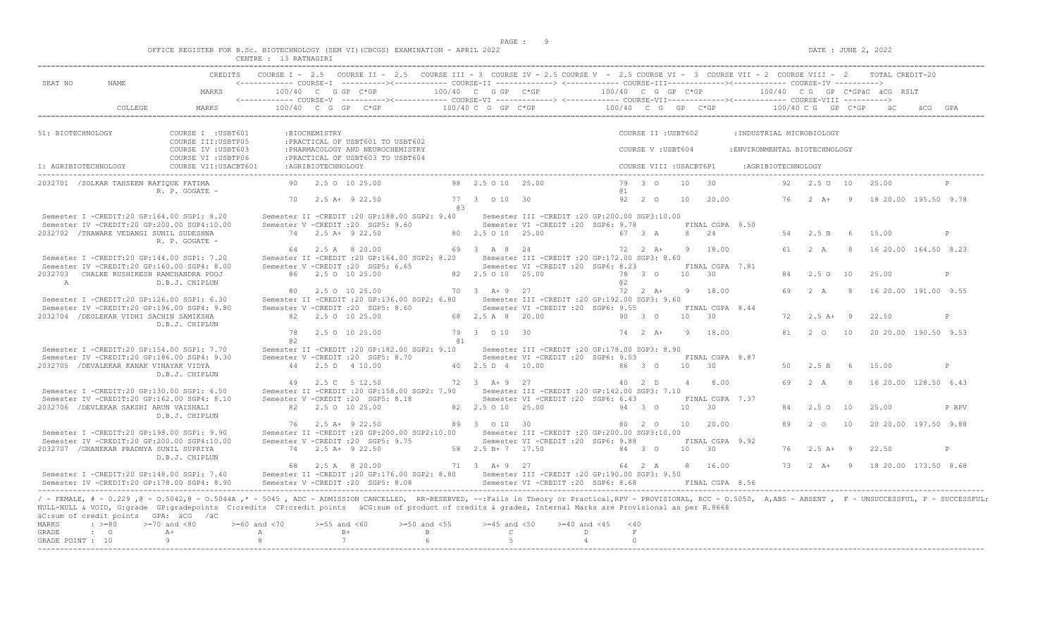$DATE: JUNE 2, 2022$ 

|  |  | OFFICE REGISTER FOR B.Sc. BIOTECHNOLOGY (SEM VI)(CBCGS) EXAMINATION - APRIL 2022 |  |  |  |
|--|--|----------------------------------------------------------------------------------|--|--|--|
|  |  | $CDMMDD$ $(12.5)$ $DAMMATAT$                                                     |  |  |  |

| SEAT NO              | NAME                                                                      |                                                                                                                                                                                                                                                                                                                                                                                |                      |                    | CREDITS COURSE I - 2.5 COURSE II - 2.5 COURSE III - 3 COURSE IV - 2.5 COURSE V - 2.5 COURSE VI - 3 COURSE VII - 2 COURSE VIII - 2 TOTAL CREDIT-20     |           |                        |                                                                                          |                    |                         |                |                            |                               |    |                          |                |                                              |       |
|----------------------|---------------------------------------------------------------------------|--------------------------------------------------------------------------------------------------------------------------------------------------------------------------------------------------------------------------------------------------------------------------------------------------------------------------------------------------------------------------------|----------------------|--------------------|-------------------------------------------------------------------------------------------------------------------------------------------------------|-----------|------------------------|------------------------------------------------------------------------------------------|--------------------|-------------------------|----------------|----------------------------|-------------------------------|----|--------------------------|----------------|----------------------------------------------|-------|
|                      |                                                                           | MARKS                                                                                                                                                                                                                                                                                                                                                                          | $100/40$ C G GP C*GP |                    | <------------ COURSE-V ----------><----------- COURSE-VI --------------> <------------ COURSE-VIII------------> COURSE-VIII ---------->               |           | $100/40$ C G GP $C*GP$ |                                                                                          | 100/40 C G GP C*GP |                         |                |                            |                               |    |                          |                | 100/40 CG GP C*GPÄC ÄCG RSLT                 |       |
|                      | COLLEGE                                                                   | MARKS                                                                                                                                                                                                                                                                                                                                                                          |                      |                    |                                                                                                                                                       |           |                        |                                                                                          |                    |                         |                |                            |                               |    |                          |                |                                              |       |
| 51: BIOTECHNOLOGY    |                                                                           | COURSE I : USBT601                                                                                                                                                                                                                                                                                                                                                             |                      | :BIOCHEMISTRY      |                                                                                                                                                       |           |                        |                                                                                          |                    | COURSE II : USBT602     |                |                            | : INDUSTRIAL MICROBIOLOGY     |    |                          |                |                                              |       |
|                      |                                                                           | COURSE III: USBTP05<br>COURSE IV : USBT603                                                                                                                                                                                                                                                                                                                                     |                      |                    | : PRACTICAL OF USBT601 TO USBT602<br>: PHARMACOLOGY AND NEUROCHEMISTRY                                                                                |           |                        |                                                                                          |                    | COURSE V : USBT604      |                |                            | : ENVIRONMENTAL BIOTECHNOLOGY |    |                          |                |                                              |       |
| 1: AGRIBIOTECHNOLOGY |                                                                           | COURSE VI : USBTP06<br>COURSE VII: USACBT601                                                                                                                                                                                                                                                                                                                                   |                      | :AGRIBIOTECHNOLOGY | : PRACTICAL OF USBT603 TO USBT604                                                                                                                     |           |                        |                                                                                          |                    | COURSE VIII : USACBT6P1 |                |                            | :AGRIBIOTECHNOLOGY            |    |                          |                |                                              |       |
|                      | 2032701 / SOLKAR TAHSEEN RAFIQUE FATIMA                                   | R. P. GOGATE -                                                                                                                                                                                                                                                                                                                                                                 |                      |                    | 90 2.5 0 10 25.00                                                                                                                                     |           | 98 2.5 0 10 25.00      |                                                                                          | @ 1                | 79 3 0                  | 10 30          |                            |                               |    | 92  2.5  0  10  25.00    |                |                                              |       |
|                      |                                                                           |                                                                                                                                                                                                                                                                                                                                                                                |                      |                    | 70 2.5 A+ 9 22.50                                                                                                                                     | <b>@3</b> | 77 3 0 10 30           |                                                                                          |                    | 92 2 0                  | 10             | 20.00                      |                               |    |                          |                | 76  2  A+  9  18  20.00  195.50  9.78        |       |
|                      |                                                                           | Semester I -CREDIT:20 GP:164.00 SGP1: 8.20<br>Semester IV -CREDIT:20 GP:200.00 SGP4:10.00                                                                                                                                                                                                                                                                                      |                      |                    | Semester II -CREDIT : 20 GP: 188.00 SGP2: 9.40<br>Semester V - CREDIT : 20 SGP5: 9.60                                                                 |           |                        | Semester III -CREDIT : 20 GP: 200.00 SGP3: 10.00<br>Semester VI - CREDIT : 20 SGP6: 9.78 |                    |                         |                | FINAL CGPA 9.50            |                               |    |                          |                |                                              |       |
|                      | 2032702 / THAWARE VEDANGI SUNIL SUDESHNA                                  | R. P. GOGATE -                                                                                                                                                                                                                                                                                                                                                                 |                      |                    | 74 2.5 A+ 9 22.50                                                                                                                                     |           | 80 2.5 0 10 25.00      |                                                                                          |                    | 67 3 A                  |                | 8 24                       |                               |    | 54 2.5 B                 | 6 <sup>6</sup> | 15.00                                        | P     |
|                      |                                                                           | Semester I -CREDIT:20 GP:144.00 SGP1: 7.20                                                                                                                                                                                                                                                                                                                                     |                      |                    | 64 2.5 A 8 20.00<br>Semester II -CREDIT : 20 GP:164.00 SGP2: 8.20<br>Semester V -CREDIT : 20 SGP5: 6.65                                               |           | 69 3 A 8 24            | Semester III -CREDIT : 20 GP:172.00 SGP3: 8.60<br>Semester VI -CREDIT : 20 SGP6: 8.23    |                    | 72 2 A+                 |                | 9 18.00<br>FINAL CGPA 7.81 |                               |    | 61 2 A                   |                | 8 16 20.00 164.50 8.23                       |       |
| A                    | 2032703 CHALKE RUSHIKESH RAMCHANDRA POOJ                                  | Semester IV -CREDIT:20 GP:160.00 SGP4: 8.00<br>D.B.J. CHIPLUN                                                                                                                                                                                                                                                                                                                  |                      |                    | 86 2.5 0 10 25.00                                                                                                                                     |           | 82  2.5  0  10  25.00  |                                                                                          | @ 2                | 78 3 0                  | 10 30          |                            |                               |    | 2.5010                   |                | 25.00                                        | P     |
|                      |                                                                           | Semester I -CREDIT:20 GP:126.00 SGP1: 6.30                                                                                                                                                                                                                                                                                                                                     |                      |                    | 80 2.5 0 10 25.00<br>Semester II -CREDIT :20 GP:136.00 SGP2: 6.80                                                                                     |           | 70 3 A + 9 27          | Semester III - CREDIT : 20 GP: 192.00 SGP3: 9.60                                         |                    | 72 2 A+                 |                | 9 18.00                    |                               |    |                          |                | 69  2  A  8  16  20  00  191.00  9.55        |       |
|                      | 2032704 / DEOLEKAR VIDHI SACHIN SAMIKSHA                                  | Semester IV -CREDIT:20 GP:196.00 SGP4: 9.80                                                                                                                                                                                                                                                                                                                                    |                      |                    | Semester V -CREDIT : 20 SGP5: 8.60<br>82 2.5 0 10 25.00                                                                                               |           | 68  2.5  A  8  20.00   | Semester VI - CREDIT : 20 SGP6: 9.55                                                     | 90 3 0             |                         |                | FINAL CGPA 8.44<br>10 30   |                               | 72 | $2.5 A+ 9$               |                | 22.50                                        | P     |
|                      |                                                                           | D.B.J. CHIPLUN                                                                                                                                                                                                                                                                                                                                                                 | 78<br>a2             |                    | 2.5 0 10 25.00                                                                                                                                        | @ 1       | 79 3 0 10 30           |                                                                                          |                    | 74 2 A+                 | $\overline{q}$ | 18.00                      |                               |    | 81 2 0 10                |                | 20 20.00 190.50 9.53                         |       |
|                      |                                                                           | Semester I -CREDIT:20 GP:154.00 SGP1: 7.70<br>Semester IV -CREDIT:20 GP:186.00 SGP4: 9.30                                                                                                                                                                                                                                                                                      |                      |                    | Semester II -CREDIT : 20 GP:182.00 SGP2: 9.10<br>Semester V -CREDIT : 20 SGP5: 8.70                                                                   |           |                        | Semester III -CREDIT :20 GP:178.00 SGP3: 8.90<br>Semester VI - CREDIT : 20 SGP6: 9.53    |                    |                         |                | FINAL CGPA 8.87            |                               |    |                          |                |                                              |       |
|                      | 2032705 / DEVALEKAR KANAK VINAYAK VIDYA                                   | D.B.J. CHIPLUN                                                                                                                                                                                                                                                                                                                                                                 |                      |                    | 44 2.5 D 4 10.00                                                                                                                                      |           | 40 2.5 D 4 10.00       |                                                                                          | 8630               |                         | $10 \t 30$     |                            |                               | 50 | 2.5 B                    | - 6            | 15.00                                        | P     |
|                      |                                                                           | Semester I -CREDIT:20 GP:130.00 SGP1: 6.50                                                                                                                                                                                                                                                                                                                                     |                      |                    | 49 2.5 C 5 12.50<br>Semester II -CREDIT : 20 GP:158.00 SGP2: 7.90 Semester III -CREDIT : 20 GP:142.00 SGP3: 7.10                                      |           | 72 3 A + 9 27          |                                                                                          |                    | 40 2 D                  |                | 4 8.00                     |                               |    |                          |                | 69 2 A 8 16 20.00 128.50 6.43                |       |
|                      | 2032706 / DEVLEKAR SAKSHI ARUN VAISHALI                                   | Semester IV -CREDIT:20 GP:162.00 SGP4: 8.10                                                                                                                                                                                                                                                                                                                                    |                      |                    | Semester V -CREDIT : 20 SGP5: 8.18<br>82 2.5 0 10 25.00                                                                                               |           | 82  2.5  0  10  25.00  | Semester VI - CREDIT : 20 SGP6: 6.43                                                     |                    | 94 3 0                  |                | FINAL CGPA 7.37<br>10 30   |                               | 84 | 2.50                     | 10             | 25.00                                        | P RPV |
|                      |                                                                           | D.B.J. CHIPLUN                                                                                                                                                                                                                                                                                                                                                                 |                      |                    | 76 2.5 A+ 9 22.50                                                                                                                                     |           | 89 3 0 10 30           |                                                                                          |                    | 80 2 0                  |                | 10 20.00                   |                               | 89 | $2^{\circ}$              | 10             | 20 20.00 197.50 9.88                         |       |
|                      | 2032707 / GHANEKAR PRADNYA SUNIL SUPRIYA                                  | Semester I -CREDIT:20 GP:198.00 SGP1: 9.90<br>Semester IV -CREDIT:20 GP:200.00 SGP4:10.00                                                                                                                                                                                                                                                                                      |                      |                    | Semester II -CREDIT :20 GP:200.00 SGP2:10.00 Semester III -CREDIT :20 GP:200.00 SGP3:10.00<br>Semester V -CREDIT : 20 SGP5: 9.75<br>74 2.5 A+ 9 22.50 |           | 58 2.5 B + 7 17.50     | Semester VI - CREDIT : 20 SGP6: 9.88                                                     |                    | 84 3 0                  | 10 30          | FINAL CGPA 9.92            |                               |    | $76$ $2.5$ $\text{A}+$ 9 |                | 22.50                                        | P     |
|                      |                                                                           | D.B.J. CHIPLUN                                                                                                                                                                                                                                                                                                                                                                 |                      |                    | 68  2.5  A   8  20.00                                                                                                                                 |           | 71 3 A + 9 27          |                                                                                          | $64$ 2 A           |                         |                | 8 16.00                    |                               |    |                          |                | 73   2   A+   9   18   20.00   173.50   8.68 |       |
|                      |                                                                           | Semester I -CREDIT:20 GP:148.00 SGP1: 7.40<br>Semester TV -CREDIT: 20 GP: 178.00 SGP4: 8.90                                                                                                                                                                                                                                                                                    |                      |                    | Semester II -CREDIT : 20 GP: 176.00 SGP2: 8.80<br>Semester V -CREDIT : 20 SGP5: 8.08                                                                  |           |                        | Semester III - CREDIT : 20 GP: 190.00 SGP3: 9.50<br>Semester VI -CREDIT : 20 SGP6: 8.68  |                    |                         |                | FINAL CGPA 8.56            |                               |    |                          |                |                                              |       |
|                      | äC:sum of credit points GPA: äCG /äC<br>$: \; > = 80$<br>$>=70$ and $<80$ | - FEMALE, # - 0.229, @ - 0.5042, @ - 0.5044A, * - 5045, ADC - ADMISSION CANCELLED, RR-RESERVED, --:Fails in Theory or Practical,RPV - PROVISIONAL, RCC - 0.5050, A,ABS - ABSENT, F - UNSUCCESSFUL, P - SUCCESSFUL;<br>NULL-NULL & VOID, G:grade GP:gradepoints C:credits CP:credit points äCG:sum of product of credits & grades, Internal Marks are Provisional as per R.8668 | $>= 60$ and $< 70$   | $>=55$ and $<60$   | $>=50$ and $<55$                                                                                                                                      |           |                        | $>=45$ and $<50$<br>$>= 40$ and $< 45$                                                   |                    |                         |                |                            |                               |    |                          |                |                                              |       |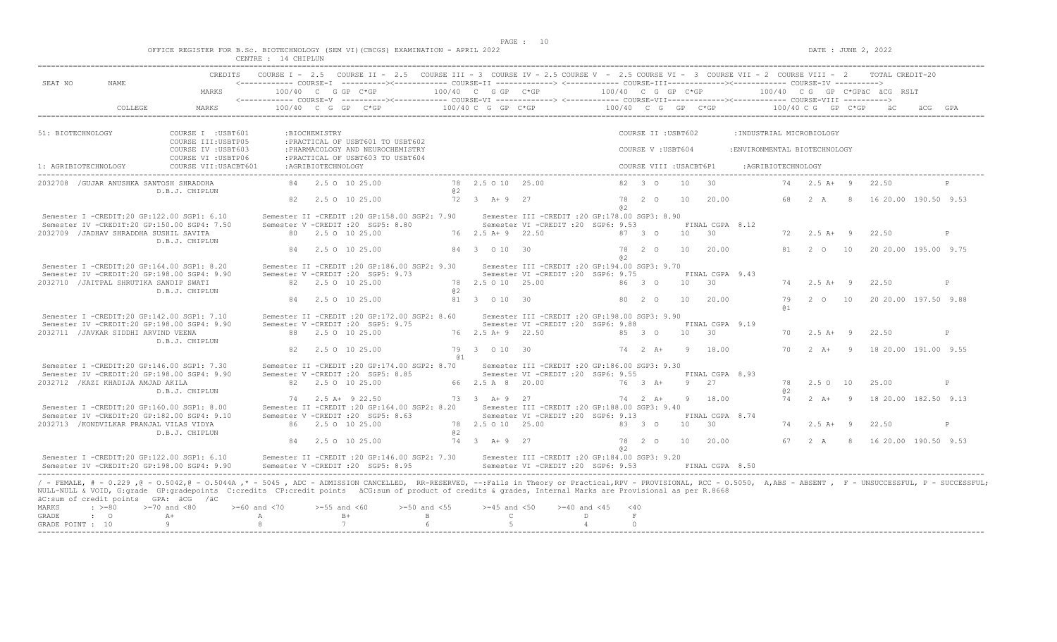$DATA: JUNE 2, 2022$ 

| OFFICE REGISTER FOR B.Sc. BIOTECHNOLOGY (SEM VI)(CBCGS) EXAMINATION - APRIL 2022 |                           |                       |  |  |  |
|----------------------------------------------------------------------------------|---------------------------|-----------------------|--|--|--|
|                                                                                  | ∩ENTRE.<br>تتلالم لالمتلب | CHIPLUN<br>$\sqrt{1}$ |  |  |  |

| SEAT NO<br>NAME.                                                                                                                                                                                                        | CREDITS                                    |                  |                    | COURSE I - 2.5 COURSE II - 2.5 COURSE III - 3 COURSE IV - 2.5 COURSE V - 2.5 COURSE VI - 3 COURSE VII - 2 COURSE VIII - 2 TOTAL CREDIT-20 |                   |                    |                                                  |                      |                        |                         |       |                     |                               |                      |                       |                                              |   |
|-------------------------------------------------------------------------------------------------------------------------------------------------------------------------------------------------------------------------|--------------------------------------------|------------------|--------------------|-------------------------------------------------------------------------------------------------------------------------------------------|-------------------|--------------------|--------------------------------------------------|----------------------|------------------------|-------------------------|-------|---------------------|-------------------------------|----------------------|-----------------------|----------------------------------------------|---|
|                                                                                                                                                                                                                         | MARKS                                      |                  |                    |                                                                                                                                           |                   |                    |                                                  |                      |                        |                         |       |                     |                               |                      |                       |                                              |   |
| COLLEGE                                                                                                                                                                                                                 | MARKS                                      |                  |                    | 100/40 C G GP C*GP $100/40$ C G GP C*GP $100/40$ C G GP C*GP $100/40$ C G GP C*GP $100/40$ C G GP C*GP                                    |                   |                    |                                                  |                      |                        |                         |       |                     |                               |                      |                       | a a a a                                      |   |
|                                                                                                                                                                                                                         |                                            |                  |                    |                                                                                                                                           |                   |                    |                                                  |                      |                        |                         |       |                     |                               |                      |                       |                                              |   |
| 51: BIOTECHNOLOGY                                                                                                                                                                                                       | COURSE I : USBT601<br>COURSE III: USBTP05  |                  | :BIOCHEMISTRY      | : PRACTICAL OF USBT601 TO USBT602                                                                                                         |                   |                    |                                                  |                      |                        | COURSE II : USBT602     |       |                     | : INDUSTRIAL MICROBIOLOGY     |                      |                       |                                              |   |
|                                                                                                                                                                                                                         | COURSE IV : USBT603<br>COURSE VI : USBTP06 |                  |                    | : PHARMACOLOGY AND NEUROCHEMISTRY<br>: PRACTICAL OF USBT603 TO USBT604                                                                    |                   |                    |                                                  |                      |                        | COURSE V: USBT604       |       |                     | : ENVIRONMENTAL BIOTECHNOLOGY |                      |                       |                                              |   |
| 1: AGRIBIOTECHNOLOGY                                                                                                                                                                                                    | COURSE VII: USACBT601                      |                  | :AGRIBIOTECHNOLOGY |                                                                                                                                           |                   |                    |                                                  |                      |                        | COURSE VIII : USACBT6P1 |       |                     | :AGRIBIOTECHNOLOGY            |                      |                       |                                              |   |
| 2032708 / GUJAR ANUSHKA SANTOSH SHRADDHA                                                                                                                                                                                | D.B.J. CHIPLUN                             |                  |                    | 84 2.5 0 10 25.00                                                                                                                         | @ 2               | 78 2.5 0 10 25.00  |                                                  |                      |                        | 82 3 0                  | 10    | $\overline{30}$     |                               |                      | 74  2.5 A + 9  22.50  |                                              |   |
|                                                                                                                                                                                                                         |                                            |                  |                    | 82  2.5  0  10  25.00                                                                                                                     |                   | 72 3 A+ 9 27       |                                                  |                      | 82.                    |                         |       | 78  2  0  10  20.00 |                               |                      |                       | 68  2  A  8  16  20.00  190.50  9.53         |   |
| Semester I -CREDIT:20 GP:122.00 SGP1: 6.10                                                                                                                                                                              |                                            |                  |                    | Semester II -CREDIT : 20 GP:158.00 SGP2: 7.90                                                                                             |                   |                    | Semester III -CREDIT :20 GP:178.00 SGP3: 8.90    |                      |                        |                         |       |                     |                               |                      |                       |                                              |   |
| Semester IV -CREDIT:20 GP:150.00 SGP4: 7.50                                                                                                                                                                             |                                            |                  |                    | Semester V -CREDIT : 20 SGP5: 8.80                                                                                                        |                   |                    | Semester VI - CREDIT : 20 SGP6: 9.53             |                      |                        |                         |       | FINAL CGPA 8.12     |                               |                      |                       |                                              |   |
| 2032709 / JADHAV SHRADDHA SUSHIL SAVITA                                                                                                                                                                                 | D.B.J. CHIPLUN                             |                  |                    | 80 2.5 0 10 25.00                                                                                                                         |                   | 76 2.5 A + 9 22.50 |                                                  |                      |                        | 87 3 0                  | 10 30 |                     |                               |                      | $72 \t 2.5 \t A+ 9$   | 22.50                                        | P |
|                                                                                                                                                                                                                         |                                            |                  |                    | 84 2.5 0 10 25.00                                                                                                                         |                   | 84 3 0 10 30       |                                                  |                      | a2                     |                         |       | 78  2  0  10  20.00 |                               |                      |                       | 81  2  0  10  20  20  00  195  00  9.75      |   |
| Semester I -CREDIT:20 GP:164.00 SGP1: 8.20                                                                                                                                                                              |                                            |                  |                    | Semester II -CREDIT : 20 GP:186.00 SGP2: 9.30                                                                                             |                   |                    | Semester III - CREDIT : 20 GP: 194.00 SGP3: 9.70 |                      |                        |                         |       |                     |                               |                      |                       |                                              |   |
| Semester IV -CREDIT:20 GP:198.00 SGP4: 9.90                                                                                                                                                                             |                                            |                  |                    | Semester V -CREDIT : 20 SGP5: 9.73                                                                                                        |                   |                    | Semester VI - CREDIT : 20 SGP6: 9.75             |                      |                        |                         | 10 30 | FINAL CGPA 9.43     |                               |                      |                       |                                              |   |
| 2032710 / JAITPAL SHRUTIKA SANDIP SWATI                                                                                                                                                                                 | D.B.J. CHIPLUN                             |                  |                    | 82 2.5 0 10 25.00                                                                                                                         | @ 2               | 78 2.5 0 10 25.00  |                                                  | 8630                 |                        |                         |       |                     |                               |                      | $74$ 2.5 A+ 9         | 22.50                                        | P |
|                                                                                                                                                                                                                         |                                            |                  |                    | 84 2.5 0 10 25.00                                                                                                                         |                   | 81 3 0 10 30       |                                                  |                      |                        |                         |       | 80  2  0  10  20.00 |                               | 79<br>a <sub>1</sub> |                       | 2 0 10 20 20 00 197.50 9.88                  |   |
| Semester I -CREDIT:20 GP:142.00 SGP1: 7.10                                                                                                                                                                              |                                            |                  |                    | Semester II -CREDIT : 20 GP:172.00 SGP2: 8.60                                                                                             |                   |                    | Semester III - CREDIT : 20 GP: 198.00 SGP3: 9.90 |                      |                        |                         |       |                     |                               |                      |                       |                                              |   |
| Semester IV -CREDIT:20 GP:198.00 SGP4: 9.90                                                                                                                                                                             |                                            |                  |                    | Semester V -CREDIT : 20 SGP5: 9.75                                                                                                        |                   |                    | Semester VI - CREDIT : 20 SGP6: 9.88             |                      |                        |                         |       | FINAL CGPA 9.19     |                               |                      |                       |                                              |   |
| 2032711 / JAVKAR SIDDHI ARVIND VEENA                                                                                                                                                                                    | D.B.J. CHIPLUN                             |                  |                    | 88 2.5 0 10 25.00                                                                                                                         |                   | 76 2.5 A + 9 22.50 |                                                  | $85 \quad 3 \quad 0$ |                        |                         |       | $10 \t 30$          |                               | 70                   | $2.5 A+ 9$            | 22.50                                        | P |
|                                                                                                                                                                                                                         |                                            |                  |                    | 82 2.5 0 10 25.00                                                                                                                         | @ 1               | 79 3 0 10 30       |                                                  |                      |                        |                         |       | 74  2  A+  9  18.00 |                               |                      |                       | 70  2  A+  9  18  20.00  191.00  9.55        |   |
| Semester I -CREDIT:20 GP:146.00 SGP1: 7.30                                                                                                                                                                              |                                            |                  |                    | Semester II -CREDIT : 20 GP: 174.00 SGP2: 8.70                                                                                            |                   |                    | Semester III - CREDIT : 20 GP: 186.00 SGP3: 9.30 |                      |                        |                         |       |                     |                               |                      |                       |                                              |   |
| Semester IV -CREDIT:20 GP:198.00 SGP4: 9.90                                                                                                                                                                             |                                            |                  |                    | Semester V -CREDIT : 20 SGP5: 8.85                                                                                                        |                   |                    | Semester VI - CREDIT : 20 SGP6: 9.55             |                      |                        |                         |       | FINAL CGPA 8.93     |                               |                      |                       |                                              |   |
| 2032712 / KAZI KHADIJA AMJAD AKILA                                                                                                                                                                                      | D.B.J. CHIPLUN                             |                  |                    | 82 2.5 0 10 25.00                                                                                                                         |                   | 66 2.5 A 8 20.00   |                                                  | 76 3 A+              |                        |                         |       | 9 2.7               |                               | a2                   | 78  2.5  0  10  25.00 |                                              | P |
|                                                                                                                                                                                                                         |                                            |                  |                    | 74 2.5 A+ 9 22.50                                                                                                                         |                   |                    | 73 3 A + 9 27                                    |                      |                        | 74 2 A+                 |       | 9 18.00             |                               |                      |                       | 74   2   A+   9   18   20.00   182.50   9.13 |   |
| Semester I -CREDIT:20 GP:160.00 SGP1: 8.00                                                                                                                                                                              |                                            |                  |                    | Semester II -CREDIT : 20 GP:164.00 SGP2: 8.20 Semester III -CREDIT : 20 GP:188.00 SGP3: 9.40                                              |                   |                    |                                                  |                      |                        |                         |       |                     |                               |                      |                       |                                              |   |
| Semester IV -CREDIT:20 GP:182.00 SGP4: 9.10                                                                                                                                                                             |                                            |                  |                    | Semester V -CREDIT : 20 SGP5: 8.63                                                                                                        |                   |                    | Semester VI - CREDIT : 20 SGP6: 9.13             |                      |                        |                         |       | FINAL CGPA 8.74     |                               |                      |                       |                                              |   |
| 2032713 / KONDVILKAR PRANJAL VILAS VIDYA                                                                                                                                                                                | D.B.J. CHIPLUN                             |                  |                    | 86 2.5 0 10 25.00                                                                                                                         | @ 2               | 78 2.5 0 10 25.00  |                                                  |                      |                        | 83 3 0                  |       | $10 \t 30$          |                               |                      | 74  2.5 A + 9  22.50  |                                              | P |
|                                                                                                                                                                                                                         |                                            |                  |                    | 84 2.5 0 10 25.00                                                                                                                         |                   | 74 3 A+ 9 27       |                                                  |                      |                        | 78 2 0                  | 10    | 20.00               |                               |                      |                       | 67 2 A 8 16 20.00 190.50 9.53                |   |
| Semester I -CREDIT:20 GP:122.00 SGP1: 6.10                                                                                                                                                                              |                                            |                  |                    | Semester II -CREDIT :20 GP:146.00 SGP2: 7.30 Semester III -CREDIT :20 GP:184.00 SGP3: 9.20                                                |                   |                    |                                                  |                      | a2                     |                         |       |                     |                               |                      |                       |                                              |   |
| Semester IV -CREDIT:20 GP:198.00 SGP4: 9.90                                                                                                                                                                             |                                            |                  |                    | Semester V -CREDIT : 20 SGP5: 8.95                                                                                                        |                   |                    | Semester VI - CREDIT : 20 SGP6: 9.53             |                      |                        |                         |       | FINAL CGPA 8.50     |                               |                      |                       |                                              |   |
| / - FEMALE, # - 0.229, @ - 0.5042, @ - 0.5044A, * - 5045, ADC - ADMISSION CANCELLED, RR-RESERVED, --: Fails in Theory or Practical, RPV - PROVISIONAL, RCC - 0.5050, A, ABS - ABSENT, F - UNSUCCESSFUL, P - SUCCESSFUL; |                                            |                  |                    |                                                                                                                                           |                   |                    |                                                  |                      |                        |                         |       |                     |                               |                      |                       |                                              |   |
| NULL-NULL & VOID, G:grade GP:gradepoints C:credits CP:credit points äCG:sum of product of credits & grades, Internal Marks are Provisional as per R.8668<br>äC:sum of credit points GPA: äCG /äC                        |                                            |                  |                    |                                                                                                                                           |                   |                    |                                                  |                      |                        |                         |       |                     |                               |                      |                       |                                              |   |
| $: \; > = 80$<br>MARKS                                                                                                                                                                                                  | $>=70$ and $<80$                           | $>=60$ and $<70$ | $>=55$ and $<60$   |                                                                                                                                           | $>=50$ and $<55$  | $>=45$ and $<50$   |                                                  | $>=40$ and $<45$     | $<$ 40                 |                         |       |                     |                               |                      |                       |                                              |   |
| GRADE<br>$\cdot$ 0<br>GRADE POINT : 10                                                                                                                                                                                  | $A+$<br>9                                  | A<br>8           |                    | $B+$<br>7                                                                                                                                 | $\mathbf{B}$<br>6 | $\mathbb{C}$<br>5  |                                                  | D<br>4               | $\mathbb F$<br>$\circ$ |                         |       |                     |                               |                      |                       |                                              |   |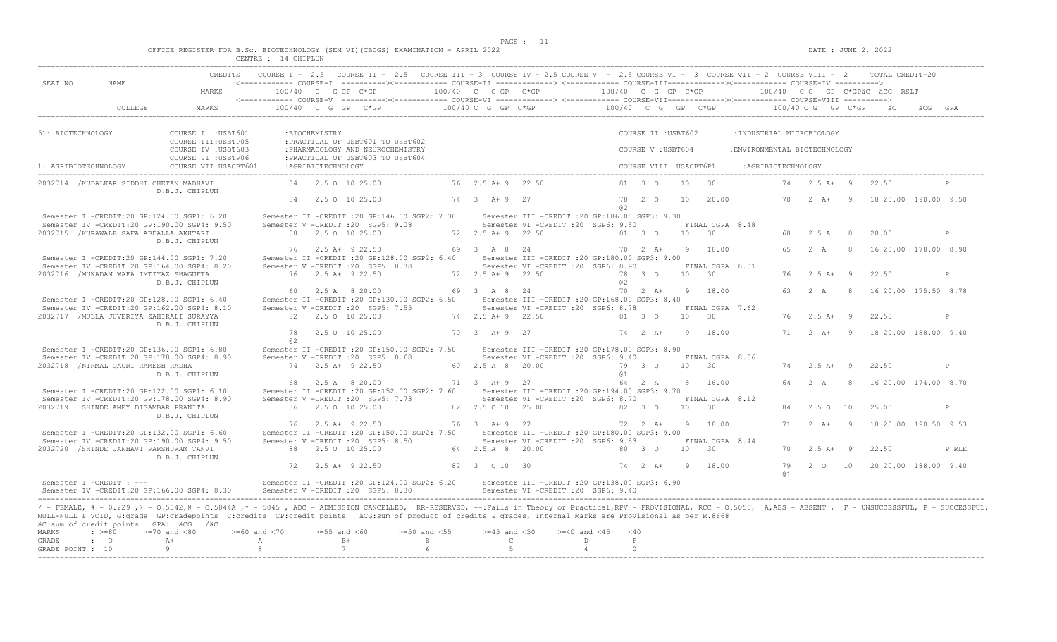$DATE: JUNE 2, 2022$ 

|  |  |  |               |  | OFFICE REGISTER FOR B.Sc. BIOTECHNOLOGY (SEM VI)(CBCGS) EXAMINATION - APRIL 2022 |  |  |
|--|--|--|---------------|--|----------------------------------------------------------------------------------|--|--|
|  |  |  | 1 A CITTETINI |  |                                                                                  |  |  |

|                                         |                                                                                                                                                                                                                                                                                                                                                                                                                                                                                                                                                                                                                                                                                                                                                                                                                                                                                                                                                                                                                                                |                             | CREDITS COURSE I - 2.5 COURSE II - 2.5 COURSE III - 3 COURSE IV - 2.5 COURSE V - 2.5 COURSE VII - 3 COURSE VII - 2 COURSE VIII - 2 TOTAL CREDIT-20 |                                                                                                                                                                                                                                                                                                                                                                                                                                                                                                                                                                                                                                                                          |                                                                                                                                                                                                                                                                                                      |                                                                                                                                                                                                                                                               |        |                                                                                                                                                                                                                                                                                                                          |                                                                                                                                                                                                                                                                                                                                              |                                                                                                                                                                   |                                                                                                                                                                                            |                     |                                                                   |                                                                                                                                                                                         |                                                                                                                                                                                                                                                                                                                 |                                                                                                                                                                                                                               |
|-----------------------------------------|------------------------------------------------------------------------------------------------------------------------------------------------------------------------------------------------------------------------------------------------------------------------------------------------------------------------------------------------------------------------------------------------------------------------------------------------------------------------------------------------------------------------------------------------------------------------------------------------------------------------------------------------------------------------------------------------------------------------------------------------------------------------------------------------------------------------------------------------------------------------------------------------------------------------------------------------------------------------------------------------------------------------------------------------|-----------------------------|----------------------------------------------------------------------------------------------------------------------------------------------------|--------------------------------------------------------------------------------------------------------------------------------------------------------------------------------------------------------------------------------------------------------------------------------------------------------------------------------------------------------------------------------------------------------------------------------------------------------------------------------------------------------------------------------------------------------------------------------------------------------------------------------------------------------------------------|------------------------------------------------------------------------------------------------------------------------------------------------------------------------------------------------------------------------------------------------------------------------------------------------------|---------------------------------------------------------------------------------------------------------------------------------------------------------------------------------------------------------------------------------------------------------------|--------|--------------------------------------------------------------------------------------------------------------------------------------------------------------------------------------------------------------------------------------------------------------------------------------------------------------------------|----------------------------------------------------------------------------------------------------------------------------------------------------------------------------------------------------------------------------------------------------------------------------------------------------------------------------------------------|-------------------------------------------------------------------------------------------------------------------------------------------------------------------|--------------------------------------------------------------------------------------------------------------------------------------------------------------------------------------------|---------------------|-------------------------------------------------------------------|-----------------------------------------------------------------------------------------------------------------------------------------------------------------------------------------|-----------------------------------------------------------------------------------------------------------------------------------------------------------------------------------------------------------------------------------------------------------------------------------------------------------------|-------------------------------------------------------------------------------------------------------------------------------------------------------------------------------------------------------------------------------|
| MARKS                                   |                                                                                                                                                                                                                                                                                                                                                                                                                                                                                                                                                                                                                                                                                                                                                                                                                                                                                                                                                                                                                                                |                             |                                                                                                                                                    |                                                                                                                                                                                                                                                                                                                                                                                                                                                                                                                                                                                                                                                                          |                                                                                                                                                                                                                                                                                                      |                                                                                                                                                                                                                                                               |        |                                                                                                                                                                                                                                                                                                                          |                                                                                                                                                                                                                                                                                                                                              |                                                                                                                                                                   |                                                                                                                                                                                            |                     |                                                                   |                                                                                                                                                                                         |                                                                                                                                                                                                                                                                                                                 |                                                                                                                                                                                                                               |
| MARKS                                   |                                                                                                                                                                                                                                                                                                                                                                                                                                                                                                                                                                                                                                                                                                                                                                                                                                                                                                                                                                                                                                                |                             |                                                                                                                                                    |                                                                                                                                                                                                                                                                                                                                                                                                                                                                                                                                                                                                                                                                          |                                                                                                                                                                                                                                                                                                      |                                                                                                                                                                                                                                                               |        |                                                                                                                                                                                                                                                                                                                          |                                                                                                                                                                                                                                                                                                                                              |                                                                                                                                                                   |                                                                                                                                                                                            |                     |                                                                   |                                                                                                                                                                                         |                                                                                                                                                                                                                                                                                                                 |                                                                                                                                                                                                                               |
|                                         |                                                                                                                                                                                                                                                                                                                                                                                                                                                                                                                                                                                                                                                                                                                                                                                                                                                                                                                                                                                                                                                |                             |                                                                                                                                                    |                                                                                                                                                                                                                                                                                                                                                                                                                                                                                                                                                                                                                                                                          |                                                                                                                                                                                                                                                                                                      |                                                                                                                                                                                                                                                               |        |                                                                                                                                                                                                                                                                                                                          |                                                                                                                                                                                                                                                                                                                                              |                                                                                                                                                                   |                                                                                                                                                                                            |                     |                                                                   |                                                                                                                                                                                         |                                                                                                                                                                                                                                                                                                                 |                                                                                                                                                                                                                               |
|                                         |                                                                                                                                                                                                                                                                                                                                                                                                                                                                                                                                                                                                                                                                                                                                                                                                                                                                                                                                                                                                                                                |                             |                                                                                                                                                    |                                                                                                                                                                                                                                                                                                                                                                                                                                                                                                                                                                                                                                                                          |                                                                                                                                                                                                                                                                                                      |                                                                                                                                                                                                                                                               |        |                                                                                                                                                                                                                                                                                                                          |                                                                                                                                                                                                                                                                                                                                              |                                                                                                                                                                   |                                                                                                                                                                                            |                     |                                                                   |                                                                                                                                                                                         |                                                                                                                                                                                                                                                                                                                 |                                                                                                                                                                                                                               |
|                                         |                                                                                                                                                                                                                                                                                                                                                                                                                                                                                                                                                                                                                                                                                                                                                                                                                                                                                                                                                                                                                                                |                             |                                                                                                                                                    |                                                                                                                                                                                                                                                                                                                                                                                                                                                                                                                                                                                                                                                                          |                                                                                                                                                                                                                                                                                                      |                                                                                                                                                                                                                                                               |        |                                                                                                                                                                                                                                                                                                                          |                                                                                                                                                                                                                                                                                                                                              |                                                                                                                                                                   |                                                                                                                                                                                            |                     |                                                                   |                                                                                                                                                                                         |                                                                                                                                                                                                                                                                                                                 |                                                                                                                                                                                                                               |
|                                         |                                                                                                                                                                                                                                                                                                                                                                                                                                                                                                                                                                                                                                                                                                                                                                                                                                                                                                                                                                                                                                                |                             |                                                                                                                                                    |                                                                                                                                                                                                                                                                                                                                                                                                                                                                                                                                                                                                                                                                          |                                                                                                                                                                                                                                                                                                      |                                                                                                                                                                                                                                                               |        |                                                                                                                                                                                                                                                                                                                          |                                                                                                                                                                                                                                                                                                                                              |                                                                                                                                                                   |                                                                                                                                                                                            |                     |                                                                   |                                                                                                                                                                                         |                                                                                                                                                                                                                                                                                                                 |                                                                                                                                                                                                                               |
|                                         |                                                                                                                                                                                                                                                                                                                                                                                                                                                                                                                                                                                                                                                                                                                                                                                                                                                                                                                                                                                                                                                |                             |                                                                                                                                                    |                                                                                                                                                                                                                                                                                                                                                                                                                                                                                                                                                                                                                                                                          |                                                                                                                                                                                                                                                                                                      |                                                                                                                                                                                                                                                               |        | 10                                                                                                                                                                                                                                                                                                                       | 30                                                                                                                                                                                                                                                                                                                                           |                                                                                                                                                                   |                                                                                                                                                                                            |                     |                                                                   | 22.50                                                                                                                                                                                   |                                                                                                                                                                                                                                                                                                                 |                                                                                                                                                                                                                               |
|                                         |                                                                                                                                                                                                                                                                                                                                                                                                                                                                                                                                                                                                                                                                                                                                                                                                                                                                                                                                                                                                                                                |                             |                                                                                                                                                    |                                                                                                                                                                                                                                                                                                                                                                                                                                                                                                                                                                                                                                                                          |                                                                                                                                                                                                                                                                                                      | a2                                                                                                                                                                                                                                                            |        |                                                                                                                                                                                                                                                                                                                          |                                                                                                                                                                                                                                                                                                                                              |                                                                                                                                                                   |                                                                                                                                                                                            |                     |                                                                   |                                                                                                                                                                                         |                                                                                                                                                                                                                                                                                                                 |                                                                                                                                                                                                                               |
|                                         |                                                                                                                                                                                                                                                                                                                                                                                                                                                                                                                                                                                                                                                                                                                                                                                                                                                                                                                                                                                                                                                |                             |                                                                                                                                                    |                                                                                                                                                                                                                                                                                                                                                                                                                                                                                                                                                                                                                                                                          |                                                                                                                                                                                                                                                                                                      |                                                                                                                                                                                                                                                               |        |                                                                                                                                                                                                                                                                                                                          |                                                                                                                                                                                                                                                                                                                                              |                                                                                                                                                                   |                                                                                                                                                                                            |                     |                                                                   |                                                                                                                                                                                         |                                                                                                                                                                                                                                                                                                                 |                                                                                                                                                                                                                               |
|                                         |                                                                                                                                                                                                                                                                                                                                                                                                                                                                                                                                                                                                                                                                                                                                                                                                                                                                                                                                                                                                                                                |                             |                                                                                                                                                    |                                                                                                                                                                                                                                                                                                                                                                                                                                                                                                                                                                                                                                                                          |                                                                                                                                                                                                                                                                                                      |                                                                                                                                                                                                                                                               |        |                                                                                                                                                                                                                                                                                                                          |                                                                                                                                                                                                                                                                                                                                              |                                                                                                                                                                   |                                                                                                                                                                                            |                     |                                                                   | 20.00                                                                                                                                                                                   |                                                                                                                                                                                                                                                                                                                 | P                                                                                                                                                                                                                             |
|                                         |                                                                                                                                                                                                                                                                                                                                                                                                                                                                                                                                                                                                                                                                                                                                                                                                                                                                                                                                                                                                                                                |                             |                                                                                                                                                    |                                                                                                                                                                                                                                                                                                                                                                                                                                                                                                                                                                                                                                                                          |                                                                                                                                                                                                                                                                                                      |                                                                                                                                                                                                                                                               |        |                                                                                                                                                                                                                                                                                                                          |                                                                                                                                                                                                                                                                                                                                              |                                                                                                                                                                   | 65                                                                                                                                                                                         |                     | - 8                                                               |                                                                                                                                                                                         |                                                                                                                                                                                                                                                                                                                 |                                                                                                                                                                                                                               |
|                                         |                                                                                                                                                                                                                                                                                                                                                                                                                                                                                                                                                                                                                                                                                                                                                                                                                                                                                                                                                                                                                                                |                             |                                                                                                                                                    |                                                                                                                                                                                                                                                                                                                                                                                                                                                                                                                                                                                                                                                                          |                                                                                                                                                                                                                                                                                                      |                                                                                                                                                                                                                                                               |        |                                                                                                                                                                                                                                                                                                                          |                                                                                                                                                                                                                                                                                                                                              |                                                                                                                                                                   |                                                                                                                                                                                            |                     |                                                                   |                                                                                                                                                                                         |                                                                                                                                                                                                                                                                                                                 | P                                                                                                                                                                                                                             |
|                                         |                                                                                                                                                                                                                                                                                                                                                                                                                                                                                                                                                                                                                                                                                                                                                                                                                                                                                                                                                                                                                                                |                             |                                                                                                                                                    |                                                                                                                                                                                                                                                                                                                                                                                                                                                                                                                                                                                                                                                                          |                                                                                                                                                                                                                                                                                                      | a2                                                                                                                                                                                                                                                            |        |                                                                                                                                                                                                                                                                                                                          |                                                                                                                                                                                                                                                                                                                                              |                                                                                                                                                                   |                                                                                                                                                                                            |                     |                                                                   |                                                                                                                                                                                         |                                                                                                                                                                                                                                                                                                                 |                                                                                                                                                                                                                               |
|                                         |                                                                                                                                                                                                                                                                                                                                                                                                                                                                                                                                                                                                                                                                                                                                                                                                                                                                                                                                                                                                                                                |                             |                                                                                                                                                    |                                                                                                                                                                                                                                                                                                                                                                                                                                                                                                                                                                                                                                                                          |                                                                                                                                                                                                                                                                                                      |                                                                                                                                                                                                                                                               |        |                                                                                                                                                                                                                                                                                                                          |                                                                                                                                                                                                                                                                                                                                              |                                                                                                                                                                   |                                                                                                                                                                                            |                     |                                                                   |                                                                                                                                                                                         |                                                                                                                                                                                                                                                                                                                 |                                                                                                                                                                                                                               |
|                                         |                                                                                                                                                                                                                                                                                                                                                                                                                                                                                                                                                                                                                                                                                                                                                                                                                                                                                                                                                                                                                                                |                             |                                                                                                                                                    |                                                                                                                                                                                                                                                                                                                                                                                                                                                                                                                                                                                                                                                                          |                                                                                                                                                                                                                                                                                                      |                                                                                                                                                                                                                                                               |        |                                                                                                                                                                                                                                                                                                                          |                                                                                                                                                                                                                                                                                                                                              |                                                                                                                                                                   |                                                                                                                                                                                            |                     |                                                                   | 22.50                                                                                                                                                                                   |                                                                                                                                                                                                                                                                                                                 | P                                                                                                                                                                                                                             |
|                                         | 78                                                                                                                                                                                                                                                                                                                                                                                                                                                                                                                                                                                                                                                                                                                                                                                                                                                                                                                                                                                                                                             |                             |                                                                                                                                                    |                                                                                                                                                                                                                                                                                                                                                                                                                                                                                                                                                                                                                                                                          |                                                                                                                                                                                                                                                                                                      |                                                                                                                                                                                                                                                               |        |                                                                                                                                                                                                                                                                                                                          |                                                                                                                                                                                                                                                                                                                                              |                                                                                                                                                                   |                                                                                                                                                                                            |                     |                                                                   |                                                                                                                                                                                         |                                                                                                                                                                                                                                                                                                                 |                                                                                                                                                                                                                               |
|                                         |                                                                                                                                                                                                                                                                                                                                                                                                                                                                                                                                                                                                                                                                                                                                                                                                                                                                                                                                                                                                                                                |                             |                                                                                                                                                    |                                                                                                                                                                                                                                                                                                                                                                                                                                                                                                                                                                                                                                                                          |                                                                                                                                                                                                                                                                                                      |                                                                                                                                                                                                                                                               |        |                                                                                                                                                                                                                                                                                                                          |                                                                                                                                                                                                                                                                                                                                              |                                                                                                                                                                   |                                                                                                                                                                                            |                     |                                                                   |                                                                                                                                                                                         |                                                                                                                                                                                                                                                                                                                 |                                                                                                                                                                                                                               |
|                                         |                                                                                                                                                                                                                                                                                                                                                                                                                                                                                                                                                                                                                                                                                                                                                                                                                                                                                                                                                                                                                                                |                             |                                                                                                                                                    |                                                                                                                                                                                                                                                                                                                                                                                                                                                                                                                                                                                                                                                                          |                                                                                                                                                                                                                                                                                                      |                                                                                                                                                                                                                                                               |        |                                                                                                                                                                                                                                                                                                                          |                                                                                                                                                                                                                                                                                                                                              |                                                                                                                                                                   |                                                                                                                                                                                            |                     |                                                                   | 22.50                                                                                                                                                                                   |                                                                                                                                                                                                                                                                                                                 | P                                                                                                                                                                                                                             |
|                                         |                                                                                                                                                                                                                                                                                                                                                                                                                                                                                                                                                                                                                                                                                                                                                                                                                                                                                                                                                                                                                                                |                             |                                                                                                                                                    |                                                                                                                                                                                                                                                                                                                                                                                                                                                                                                                                                                                                                                                                          |                                                                                                                                                                                                                                                                                                      |                                                                                                                                                                                                                                                               |        |                                                                                                                                                                                                                                                                                                                          |                                                                                                                                                                                                                                                                                                                                              |                                                                                                                                                                   |                                                                                                                                                                                            |                     | - 8                                                               |                                                                                                                                                                                         |                                                                                                                                                                                                                                                                                                                 |                                                                                                                                                                                                                               |
|                                         |                                                                                                                                                                                                                                                                                                                                                                                                                                                                                                                                                                                                                                                                                                                                                                                                                                                                                                                                                                                                                                                |                             |                                                                                                                                                    |                                                                                                                                                                                                                                                                                                                                                                                                                                                                                                                                                                                                                                                                          |                                                                                                                                                                                                                                                                                                      |                                                                                                                                                                                                                                                               |        |                                                                                                                                                                                                                                                                                                                          |                                                                                                                                                                                                                                                                                                                                              |                                                                                                                                                                   |                                                                                                                                                                                            |                     |                                                                   |                                                                                                                                                                                         |                                                                                                                                                                                                                                                                                                                 | P                                                                                                                                                                                                                             |
|                                         |                                                                                                                                                                                                                                                                                                                                                                                                                                                                                                                                                                                                                                                                                                                                                                                                                                                                                                                                                                                                                                                |                             |                                                                                                                                                    |                                                                                                                                                                                                                                                                                                                                                                                                                                                                                                                                                                                                                                                                          |                                                                                                                                                                                                                                                                                                      |                                                                                                                                                                                                                                                               |        |                                                                                                                                                                                                                                                                                                                          |                                                                                                                                                                                                                                                                                                                                              |                                                                                                                                                                   |                                                                                                                                                                                            |                     |                                                                   |                                                                                                                                                                                         |                                                                                                                                                                                                                                                                                                                 |                                                                                                                                                                                                                               |
|                                         |                                                                                                                                                                                                                                                                                                                                                                                                                                                                                                                                                                                                                                                                                                                                                                                                                                                                                                                                                                                                                                                |                             |                                                                                                                                                    |                                                                                                                                                                                                                                                                                                                                                                                                                                                                                                                                                                                                                                                                          |                                                                                                                                                                                                                                                                                                      |                                                                                                                                                                                                                                                               |        |                                                                                                                                                                                                                                                                                                                          |                                                                                                                                                                                                                                                                                                                                              |                                                                                                                                                                   |                                                                                                                                                                                            |                     |                                                                   |                                                                                                                                                                                         |                                                                                                                                                                                                                                                                                                                 |                                                                                                                                                                                                                               |
| 2032720 /SHINDE JANHAVI PARSHURAM TANVI |                                                                                                                                                                                                                                                                                                                                                                                                                                                                                                                                                                                                                                                                                                                                                                                                                                                                                                                                                                                                                                                |                             | 88 2.5 0 10 25.00                                                                                                                                  |                                                                                                                                                                                                                                                                                                                                                                                                                                                                                                                                                                                                                                                                          | 64 2.5 A 8 20.00                                                                                                                                                                                                                                                                                     |                                                                                                                                                                                                                                                               | 80 3 0 |                                                                                                                                                                                                                                                                                                                          | 10 30                                                                                                                                                                                                                                                                                                                                        |                                                                                                                                                                   |                                                                                                                                                                                            | $70 \t 2.5 \t A+ 9$ |                                                                   | 22.50                                                                                                                                                                                   |                                                                                                                                                                                                                                                                                                                 | P RLE                                                                                                                                                                                                                         |
| D.B.J. CHIPLUN                          |                                                                                                                                                                                                                                                                                                                                                                                                                                                                                                                                                                                                                                                                                                                                                                                                                                                                                                                                                                                                                                                |                             | 72 2.5 A + 9 22.50                                                                                                                                 |                                                                                                                                                                                                                                                                                                                                                                                                                                                                                                                                                                                                                                                                          | 82 3 0 10 30                                                                                                                                                                                                                                                                                         |                                                                                                                                                                                                                                                               |        |                                                                                                                                                                                                                                                                                                                          | 74  2  A+  9  18.00                                                                                                                                                                                                                                                                                                                          |                                                                                                                                                                   | 79<br><b>a</b> 1                                                                                                                                                                           |                     |                                                                   | 2 0 10 20 20 00 188 00 9 40                                                                                                                                                             |                                                                                                                                                                                                                                                                                                                 |                                                                                                                                                                                                                               |
|                                         |                                                                                                                                                                                                                                                                                                                                                                                                                                                                                                                                                                                                                                                                                                                                                                                                                                                                                                                                                                                                                                                |                             |                                                                                                                                                    |                                                                                                                                                                                                                                                                                                                                                                                                                                                                                                                                                                                                                                                                          |                                                                                                                                                                                                                                                                                                      |                                                                                                                                                                                                                                                               |        |                                                                                                                                                                                                                                                                                                                          |                                                                                                                                                                                                                                                                                                                                              |                                                                                                                                                                   |                                                                                                                                                                                            |                     |                                                                   |                                                                                                                                                                                         |                                                                                                                                                                                                                                                                                                                 |                                                                                                                                                                                                                               |
|                                         | COURSE I : USBT601<br>COURSE III: USBTP05<br>COURSE IV : USBT603<br>COURSE VI : USBTP06<br>2032714 / KUDALKAR SIDDHI CHETAN MADHAVI<br>D.B.J. CHIPLUN<br>Semester I -CREDIT:20 GP:124.00 SGP1: 6.20<br>Semester IV -CREDIT:20 GP:190.00 SGP4: 9.50<br>2032715 / KURAWALE SAFA ABDALLA AKHTARI<br>D.B.J. CHIPLUN<br>Semester I -CREDIT:20 GP:144.00 SGP1: 7.20<br>Semester IV -CREDIT:20 GP:164.00 SGP4: 8.20<br>2032716 / MUKADAM WAFA IMTIYAZ SHAGUFTA<br>D.B.J. CHIPLUN<br>Semester I -CREDIT:20 GP:128.00 SGP1: 6.40<br>Semester IV -CREDIT:20 GP:162.00 SGP4: 8.10<br>2032717 / MULLA JUVERIYA ZAHIRALI SURAYYA<br>D.B.J. CHIPLUN<br>Semester I -CREDIT:20 GP:136.00 SGP1: 6.80<br>Semester IV -CREDIT:20 GP:178.00 SGP4: 8.90<br>2032718 /NIRMAL GAURI RAMESH RADHA<br>D.B.J. CHIPLUN<br>Semester I -CREDIT:20 GP:122.00 SGP1: 6.10<br>Semester IV -CREDIT:20 GP:178.00 SGP4: 8.90<br>2032719 SHINDE AMEY DIGAMBAR PRANITA<br>D.B.J. CHIPLUN<br>Semester I -CREDIT:20 GP:132.00 SGP1: 6.60<br>Semester IV -CREDIT:20 GP:190.00 SGP4: 9.50 | COURSE VII: USACBT601<br>a2 |                                                                                                                                                    | $100/40$ C G GP C*GP<br>:BIOCHEMISTRY<br>: PRACTICAL OF USBT601 TO USBT602<br>: PHARMACOLOGY AND NEUROCHEMISTRY<br>:PRACTICAL OF USBT603 TO USBT604<br>:AGRIBIOTECHNOLOGY<br>84 2.5 0 10 25.00<br>84 2.5 0 10 25.00<br>Semester V -CREDIT : 20 SGP5: 9.08<br>88 2.5 0 10 25.00<br>76 2.5 A+ 9 22.50<br>Semester V -CREDIT : 20 SGP5: 8.38<br>76 2.5 A+ 9 22.50<br>60 2.5 A 8 20.00<br>Semester V -CREDIT : 20 SGP5: 7.55<br>82  2.5  0  10  25.00<br>2.5 0 10 25.00<br>Semester V -CREDIT : 20 SGP5: 8.68<br>74 2.5 A+ 9 22.50<br>68 2.5 A 8 20.00<br>Semester V -CREDIT : 20 SGP5: 7.73<br>86 2.5 0 10 25.00<br>76 2.5 A+ 9 22.50<br>Semester V -CREDIT : 20 SGP5: 8.50 | Semester II -CREDIT : 20 GP: 146.00 SGP2: 7.30<br>Semester II -CREDIT : 20 GP: 128.00 SGP2: 6.40<br>Semester II -CREDIT : 20 GP:130.00 SGP2: 6.50<br>Semester II -CREDIT : 20 GP:150.00 SGP2: 7.50<br>Semester II -CREDIT : 20 GP:152.00 SGP2: 7.60<br>Semester II -CREDIT : 20 GP:150.00 SGP2: 7.50 | 100/40 C G GP C*GP<br>$76$ $2.5$ $A+9$ $22.50$<br>74 3 A + 9 27<br>72 2.5 A + 9 22.50<br>69 3 A 8 24<br>72 2.5 A+ 9 22.50<br>69 3 A 8 24<br>74 2.5 A + 9 22.50<br>70 3 A + 9 27<br>60 2.5 A 8 20.00<br>71 3 A + 9 27<br>82  2.5  0  10  25.00<br>76 3 A+ 9 27 | 01     | 81 3 0<br>78 2 0<br>Semester VI -CREDIT :20 SGP6: 9.50<br>81 3 0<br>Semester VI - CREDIT : 20 SGP6: 8.90<br>78 3 0<br>Semester VI -CREDIT : 20 SGP6: 8.78<br>81 3 0<br>Semester VI - CREDIT : 20 SGP6: 9.40<br>79 3 0<br>64 2 A<br>Semester VI -CREDIT : 20 SGP6: 8.70<br>82 3 0<br>Semester VI - CREDIT : 20 SGP6: 9.53 | Semester III - CREDIT : 20 GP: 186.00 SGP3: 9.30<br>Semester III -CREDIT :20 GP:180.00 SGP3: 9.00<br>70 2 A+<br>Semester III -CREDIT :20 GP:168.00 SGP3: 8.40<br>74 2 A+<br>Semester III - CREDIT : 20 GP: 178.00 SGP3: 8.90<br>Semester III -CREDIT :20 GP:194.00 SGP3: 9.70<br>72 2 A+<br>Semester III - CREDIT : 20 GP: 180.00 SGP3: 9.00 | 100/40 C G GP C*GP<br>COURSE II : USBT602<br>COURSE V: USBT604<br>COURSE VIII : USACBT6P1<br>10<br>10 30<br>10 30<br>$10 \t 30$<br>10 30<br>$\overline{30}$<br>10 | 20.00<br>FINAL CGPA 8.48<br>70  2  A+  9  18.00<br>FINAL CGPA 8.01<br>9 18.00<br>FINAL CGPA 7.62<br>9 18.00<br>FINAL CGPA 8.36<br>8 16.00<br>FINAL CGPA 8.12<br>9 18.00<br>FINAL CGPA 8.44 | 63<br>84<br>71      | : AGRIBIOTECHNOLOGY<br>2 A<br>2 A<br>64 2 A<br>$2 \overline{A}$ + | : INDUSTRIAL MICROBIOLOGY<br>: ENVIRONMENTAL BIOTECHNOLOGY<br>74 2.5 A+ 9<br>68 2.5 A 8<br>$76$ $2.5$ $\text{A}+$ 9<br>- 8<br>$76$ $2.5$ $\text{A}+$ 9<br>74 2.5 A+ 9<br>2.50 10<br>- 9 | <------------ COURSE-T ----------><------------ COURSE-TT -------------> <------------ COURSE-TTT------------><------------ COURSE-TV ----------><br><------------ COURSE-V -----------><----------- COURSE-VI --------------> <------------ COURSE-VIII------------> COURSE-VIII ----------><br>22.50<br>25.00 | 100/40 CG GP C*GPäC äCG RSLT<br>äCG GPA<br>70  2  A +  9  18  20.00  190.00  9.50<br>16 20.00 178.00 8.90<br>16 20.00 175.50 8.78<br>71  2  A +  9  18  20  00  188  00  9.40<br>16 20.00 174.00 8.70<br>18 20.00 190.50 9.53 |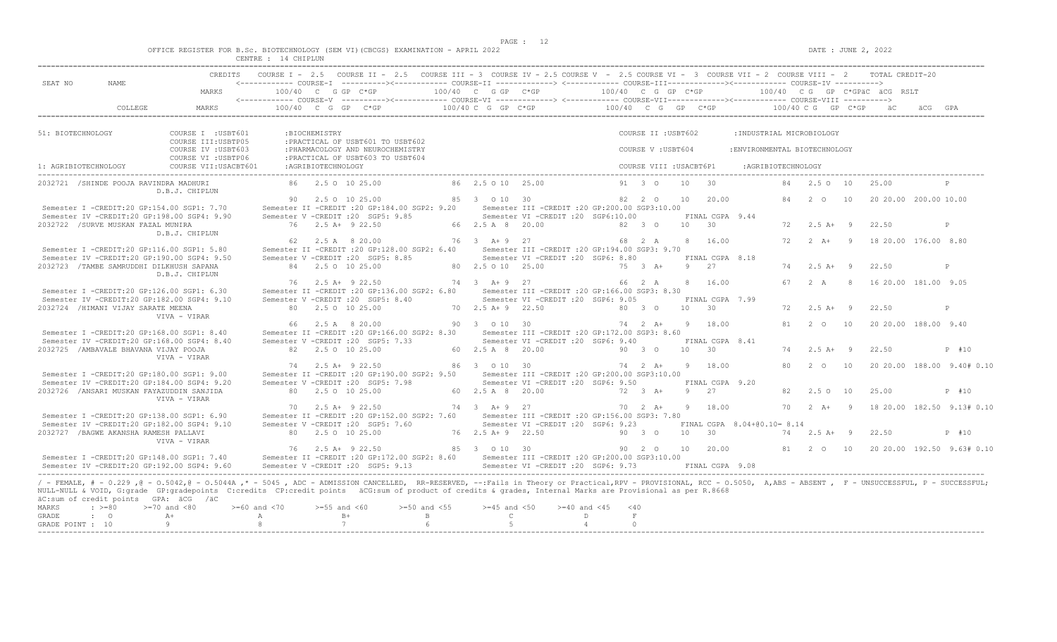$DATA: JUNE 2, 2022$ 

|  |  |  |  |  | OFFICE REGISTER FOR B.Sc. BIOTECHNOLOGY (SEM VI)(CBCGS) EXAMINATION - APRIL 2022 |  |  |
|--|--|--|--|--|----------------------------------------------------------------------------------|--|--|
|  |  |  |  |  |                                                                                  |  |  |

|                                           |                                                                  |                                                                                                                                                                                                                                                                                                                                                                                                                       | CENTRE : 14 CHIPLUN           |                    |                                                                                                                                                   |                                      |                                                    |                                                                                           |                                                       |                                           |                  |                             |                                                            |                                    |     |                                     |                            |
|-------------------------------------------|------------------------------------------------------------------|-----------------------------------------------------------------------------------------------------------------------------------------------------------------------------------------------------------------------------------------------------------------------------------------------------------------------------------------------------------------------------------------------------------------------|-------------------------------|--------------------|---------------------------------------------------------------------------------------------------------------------------------------------------|--------------------------------------|----------------------------------------------------|-------------------------------------------------------------------------------------------|-------------------------------------------------------|-------------------------------------------|------------------|-----------------------------|------------------------------------------------------------|------------------------------------|-----|-------------------------------------|----------------------------|
| SEAT NO                                   | NAME                                                             | CREDITS<br>MARKS                                                                                                                                                                                                                                                                                                                                                                                                      |                               |                    | COURSE I - 2.5 COURSE II - 2.5 COURSE III - 3 COURSE IV - 2.5 COURSE V - 2.5 COURSE VI - 3 COURSE VII - 2 COURSE VIII - 2<br>$100/40$ C G GP C*GP |                                      | 100/40 C G GP C*GP                                 |                                                                                           | 100/40 C G GP C*GP                                    |                                           |                  |                             | 100/40 CG GP C*GPäC äCG RSLT                               |                                    |     | TOTAL CREDIT-20                     |                            |
|                                           | COLLEGE                                                          | MARKS                                                                                                                                                                                                                                                                                                                                                                                                                 |                               |                    | $100/40$ C G GP C*GP                                                                                                                              |                                      | $100/40$ C G GP $C*GP$                             |                                                                                           | 100/40 C G GP C*GP                                    |                                           |                  |                             | 100/40 C G GP C*GP                                         |                                    |     |                                     |                            |
| 51: BIOTECHNOLOGY                         |                                                                  | COURSE I : USBT601<br>COURSE III: USBTP05<br>COURSE IV : USBT603<br>COURSE VI : USBTP06                                                                                                                                                                                                                                                                                                                               |                               | :BIOCHEMISTRY      | : PRACTICAL OF USBT601 TO USBT602<br>: PHARMACOLOGY AND NEUROCHEMISTRY<br>: PRACTICAL OF USBT603 TO USBT604                                       |                                      |                                                    |                                                                                           |                                                       | COURSE II : USBT602<br>COURSE V : USBT604 |                  |                             | : INDUSTRIAL MICROBIOLOGY<br>: ENVIRONMENTAL BIOTECHNOLOGY |                                    |     |                                     |                            |
| 1: AGRIBIOTECHNOLOGY                      |                                                                  | COURSE VII: USACBT601                                                                                                                                                                                                                                                                                                                                                                                                 |                               | :AGRIBIOTECHNOLOGY |                                                                                                                                                   |                                      |                                                    |                                                                                           |                                                       | COURSE VIII : USACBT6P1                   |                  |                             | : AGRIBIOTECHNOLOGY                                        |                                    |     |                                     |                            |
|                                           | 2032721 /SHINDE POOJA RAVINDRA MADHURI                           | D.B.J. CHIPLUN                                                                                                                                                                                                                                                                                                                                                                                                        |                               |                    | 86 2.5 0 10 25.00                                                                                                                                 |                                      | 86 2.5 0 10 25.00                                  |                                                                                           |                                                       | 91 3 0                                    | 10               | $\overline{30}$             | 84                                                         | 2.50 10                            |     | 25.00                               | P                          |
|                                           | 2032722 / SURVE MUSKAN FAZAL MUNIRA                              | Semester I -CREDIT:20 GP:154.00 SGP1: 7.70<br>Semester IV -CREDIT:20 GP:198.00 SGP4: 9.90                                                                                                                                                                                                                                                                                                                             |                               |                    | 90 2.5 0 10 25.00<br>Semester II -CREDIT : 20 GP: 184.00 SGP2: 9.20<br>Semester V -CREDIT : 20 SGP5: 9.85<br>76 2.5 A+ 9 22.50                    |                                      | 85 3 0 10 30<br>66 2.5 A 8 20.00                   | Semester III -CREDIT : 20 GP: 200.00 SGP3: 10.00<br>Semester VI -CREDIT :20 SGP6:10.00    |                                                       | 82 2 0<br>82 3 0                          | 10 30            | 10 20.00<br>FINAL CGPA 9.44 | 84                                                         | $2^{\circ}$<br>$72 \t 2.5 \t A+ 9$ | 10  | 20 20.00 200.00 10.00<br>22.50      | P                          |
|                                           |                                                                  | D.B.J. CHIPLUN<br>Semester I -CREDIT:20 GP:116.00 SGP1: 5.80                                                                                                                                                                                                                                                                                                                                                          |                               |                    | 62 2.5 A 8 20.00<br>Semester II -CREDIT : 20 GP: 128.00 SGP2: 6.40                                                                                |                                      | 76 3 A+ 9 27                                       | Semester III - CREDIT : 20 GP: 194.00 SGP3: 9.70                                          |                                                       | 68 2 A                                    |                  | 8 16.00                     | 72                                                         | $2 A + 9$                          |     | 18 20.00 176.00 8.80                |                            |
|                                           | 2032723 /TAMBE SAMRUDDHI DILKHUSH SAPANA                         | Semester IV -CREDIT:20 GP:190.00 SGP4: 9.50<br>D.B.J. CHIPLUN                                                                                                                                                                                                                                                                                                                                                         |                               |                    | Semester V -CREDIT : 20 SGP5: 8.85<br>84 2.5 0 10 25.00                                                                                           |                                      | 80 2.5 0 10 25.00                                  | Semester VI -CREDIT :20 SGP6: 8.80                                                        |                                                       | $75 \t 3 \t A+$                           | 9 27             | FINAL CGPA 8.18             | 74                                                         | $2.5 A+ 9$                         |     | 22.50                               | $\mathbb{P}$               |
|                                           |                                                                  | Semester I -CREDIT:20 GP:126.00 SGP1: 6.30<br>Semester IV -CREDIT:20 GP:182.00 SGP4: 9.10                                                                                                                                                                                                                                                                                                                             |                               |                    | 76 2.5 A+ 9 22.50<br>Semester II -CREDIT : 20 GP:136.00 SGP2: 6.80<br>Semester V -CREDIT : 20 SGP5: 8.40                                          |                                      | 74 3 A + 9 27                                      | Semester III -CREDIT :20 GP:166.00 SGP3: 8.30<br>Semester VI - CREDIT : 20 SGP6: 9.05     |                                                       | 66 2 A                                    |                  | 8 16.00<br>FINAL CGPA 7.99  | 67                                                         | 2 A                                | - 8 | 16 20.00 181.00 9.05                |                            |
|                                           | 2032724 /HIMANI VIJAY SARATE MEENA                               | VIVA - VIRAR                                                                                                                                                                                                                                                                                                                                                                                                          |                               |                    | 80 2.5 0 10 25.00<br>66 2.5 A 8 20.00                                                                                                             |                                      | 70 2.5 A + 9 22.50<br>90 3 0 10 30                 |                                                                                           |                                                       | 80 3 0<br>74 2 A+                         | 10 30<br>9 18.00 |                             | 72<br>81                                                   | $2.5 A+ 9$<br>$2\degree$ 0         | 10  | 22.50<br>20 20.00 188.00 9.40       | P                          |
|                                           | 2032725 / AMBAVALE BHAVANA VIJAY POOJA                           | Semester I -CREDIT:20 GP:168.00 SGP1: 8.40<br>Semester IV -CREDIT:20 GP:168.00 SGP4: 8.40<br>VIVA - VIRAR                                                                                                                                                                                                                                                                                                             |                               |                    | Semester II -CREDIT : 20 GP: 166.00 SGP2: 8.30<br>Semester V -CREDIT : 20 SGP5: 7.33<br>82 2.5 0 10 25.00                                         |                                      | 60 2.5 A 8 20.00                                   | Semester III - CREDIT : 20 GP: 172.00 SGP3: 8.60<br>Semester VI - CREDIT : 20 SGP6: 9.40  |                                                       | 90 3 0                                    | 10               | FINAL CGPA 8.41<br>30       | 74                                                         | $2.5 A+ 9$                         |     | 22.50                               | P #10                      |
|                                           |                                                                  | Semester I -CREDIT:20 GP:180.00 SGP1: 9.00<br>Semester IV -CREDIT:20 GP:184.00 SGP4: 9.20                                                                                                                                                                                                                                                                                                                             |                               |                    | 74 2.5 A+ 9 22.50<br>Semester II -CREDIT : 20 GP:190.00 SGP2: 9.50<br>Semester V -CREDIT : 20 SGP5: 7.98                                          |                                      | 86 3 0 10 30                                       | Semester III -CREDIT :20 GP:200.00 SGP3:10.00<br>Semester VI -CREDIT :20 SGP6: 9.50       |                                                       | $74 \t2 \tA+$                             |                  | 9 18.00<br>FINAL CGPA 9.20  | 80                                                         | $2\degree$ 0                       | 10  |                                     | 20 20.00 188.00 9.40# 0.10 |
|                                           |                                                                  | 2032726 /ANSARI MUSKAN FAYAZUDDIN SANJIDA<br>VIVA - VIRAR                                                                                                                                                                                                                                                                                                                                                             | 70                            |                    | 80 2.5 0 10 25.00<br>$2.5$ A+ 9 22.50                                                                                                             |                                      | 60 2.5 A 8 20.00<br>74 3 A + 9 27                  |                                                                                           |                                                       | $72 \t3 \tA+$<br>$70 \t2 \tA+$            | 9 27             | 9 18.00                     | 82                                                         | 2.50 10<br>70  2  A + 9            |     | 25.00<br>18 20.00 182.50 9.13# 0.10 | P #10                      |
|                                           | 2032727 / BAGWE AKANSHA RAMESH PALLAVI                           | Semester I -CREDIT:20 GP:138.00 SGP1: 6.90<br>Semester IV -CREDIT:20 GP:182.00 SGP4: 9.10<br>VIVA - VIRAR                                                                                                                                                                                                                                                                                                             |                               |                    | Semester II -CREDIT : 20 GP:152.00 SGP2: 7.60<br>Semester V -CREDIT :20 SGP5: 7.60<br>80 2.5 0 10 25.00                                           |                                      | 76 2.5 A + 9 22.50                                 | Semester III -CREDIT : 20 GP: 156.00 SGP3: 7.80<br>Semester VI -CREDIT : 20 SGP6: 9.23    |                                                       | 90 3 0                                    | 10 30            |                             | FINAL CGPA 8.04+00.10= 8.14                                | 74 2.5 A+ 9                        |     | 22.50                               | P #10                      |
|                                           |                                                                  | Semester I -CREDIT:20 GP:148.00 SGP1: 7.40<br>Semester IV -CREDIT:20 GP:192.00 SGP4: 9.60                                                                                                                                                                                                                                                                                                                             |                               |                    | 76 2.5 A+ 9 22.50<br>Semester II -CREDIT : 20 GP: 172.00 SGP2: 8.60<br>Semester V - CREDIT : 20 SGP5: 9.13                                        |                                      | 85 3 0 10 30                                       | Semester III - CREDIT : 20 GP: 200.00 SGP3: 10.00<br>Semester VI - CREDIT : 20 SGP6: 9.73 |                                                       | 90 2 0                                    |                  | 10 20.00<br>FINAL CGPA 9.08 |                                                            | 81 2 0 10                          |     | 20 20.00 192.50 9.63# 0.10          |                            |
| MARKS<br><b>GRADE</b><br>GRADE POINT : 10 | äC:sum of credit points GPA: äCG /äC<br>$\div$ >=80<br>$\cdot$ 0 | / - FEMALE, # - 0.229, @ - 0.5042, @ - 0.5044A, * - 5045, ADC - ADMISSION CANCELLED, RR-RESERVED, --: Fails in Theory or Practical, RPV - PROVISIONAL, RCC - 0.5050, A, ABS - ABSENT, F - UNSUCCESSFUL, P - SUCCESSFUL;<br>NULL-NULL & VOID, G:grade GP:gradepoints C:credits CP:credit points äCG:sum of product of credits & grades, Internal Marks are Provisional as per R.8668<br>$>=70$ and $<80$<br>$A +$<br>Q | $>= 60$ and $< 70$<br>A<br>-8 | $>=55$ and $<60$   | $B+$<br>7                                                                                                                                         | $>=50$ and $<55$<br>B<br>$6^{\circ}$ | $>=45$ and $<50$<br>$\mathbb{C}$<br>$\overline{5}$ | $>= 40$ and $< 45$                                                                        | < 40<br>$\mathbb{D}$<br>F<br>$\overline{a}$<br>$\cap$ |                                           |                  |                             |                                                            |                                    |     |                                     |                            |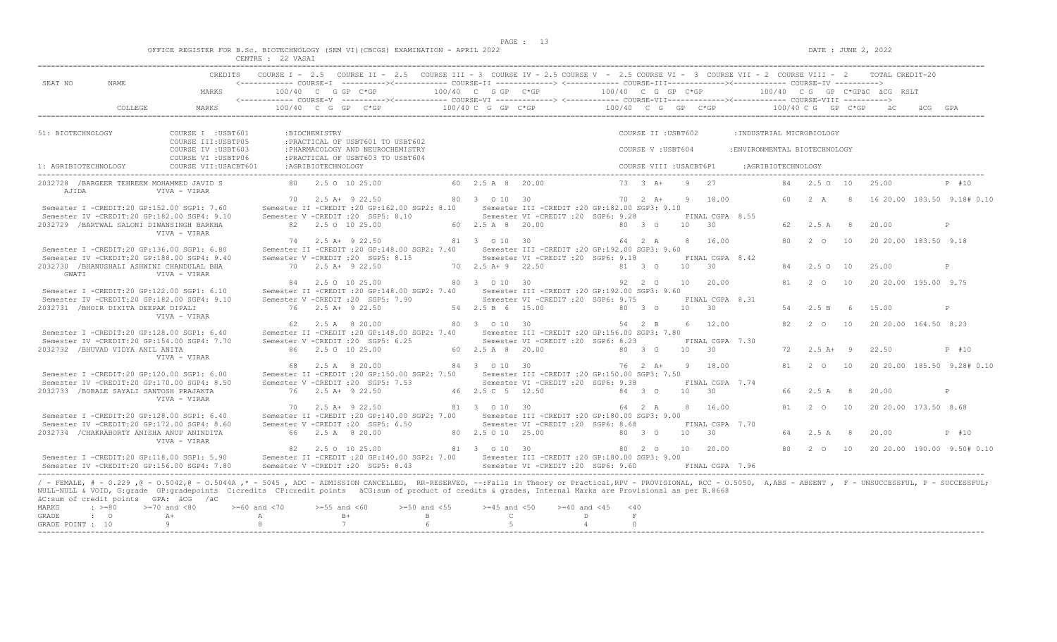$DATA: JUNE 2, 2022$ 

|  |  |  |                   |  | OFFICE REGISTER FOR B.SC. BIOTECHNOLOGY (SEM VI)(CBCGS) EXAMINATION - APRIL 2022 |  |  |
|--|--|--|-------------------|--|----------------------------------------------------------------------------------|--|--|
|  |  |  | CENTRE : 22 VASAI |  |                                                                                  |  |  |

| SEAT NO                   | NAME.                                   |                                                                                                                                                                                                                                                                     |                    |                     | CREDITS COURSE I - 2.5 COURSE II - 2.5 COURSE III - 3 COURSE IV - 2.5 COURSE V - 2.5 COURSE VI - 3 COURSE VII - 2 COURSE VIII - 2 TOTAL CREDIT-20<br><------------ COURSE-I ----------><----------- COURSE-II --------------> <------------ COURSE-III------------><-----------> COURSE-IV ---------->                                                                                                                                                                                   |                  |                    |                                                  |                     |                         |       |                               |                               |    |                   |            |                                                      |                            |
|---------------------------|-----------------------------------------|---------------------------------------------------------------------------------------------------------------------------------------------------------------------------------------------------------------------------------------------------------------------|--------------------|---------------------|------------------------------------------------------------------------------------------------------------------------------------------------------------------------------------------------------------------------------------------------------------------------------------------------------------------------------------------------------------------------------------------------------------------------------------------------------------------------------------------|------------------|--------------------|--------------------------------------------------|---------------------|-------------------------|-------|-------------------------------|-------------------------------|----|-------------------|------------|------------------------------------------------------|----------------------------|
|                           |                                         | MARKS                                                                                                                                                                                                                                                               |                    |                     | $100/40$ C G GP C*GP $100/40$ C G GP C*GP $100/40$ C G GP C*GP $ 100/40$ C G GP C*GP $ 100/40$ C G GP C*GP $ 100/40$ C G GP C*GP $ 100/40$ C G GP C*GP $ 100/40$ C G GP C*GP $ 100/40$ C G GP C*GP $-$                                                                                                                                                                                                                                                                                   |                  |                    |                                                  |                     |                         |       |                               |                               |    |                   |            |                                                      |                            |
|                           | COLLEGE                                 | MARKS                                                                                                                                                                                                                                                               |                    |                     | $100/40 \quad C \quad G \quad GP \qquad C \star GP \qquad 100/40 \quad C \quad G \quad GP \qquad 100/40 \quad C \quad G \quad GP \qquad 100/40 \quad C \quad G \quad P \quad C \star GP \qquad 100/40 \quad C \quad G \quad CP \quad C \star GP \quad 100/40 \quad C \quad F \quad C \star GP \quad 100/40 \quad C \quad F \quad C \star GP \quad 100/40 \quad C \quad F \quad C \star GP \quad 100/40 \quad C \quad F \quad C \star CP \quad 100/40 \quad C \quad F \quad 100/40 \quad$ |                  |                    |                                                  |                     |                         |       |                               |                               |    |                   |            |                                                      |                            |
| 51: BIOTECHNOLOGY         |                                         | COURSE I : USBT601<br>COURSE III: USBTP05                                                                                                                                                                                                                           |                    | :BIOCHEMISTRY       | : PRACTICAL OF USBT601 TO USBT602                                                                                                                                                                                                                                                                                                                                                                                                                                                        |                  |                    |                                                  |                     | COURSE II : USBT602     |       |                               | : INDUSTRIAL MICROBIOLOGY     |    |                   |            |                                                      |                            |
|                           |                                         | COURSE IV : USBT603<br>COURSE VI : USBTP06                                                                                                                                                                                                                          |                    |                     | : PHARMACOLOGY AND NEUROCHEMISTRY<br>: PRACTICAL OF USBT603 TO USBT604                                                                                                                                                                                                                                                                                                                                                                                                                   |                  |                    |                                                  |                     | COURSE V: USBT604       |       |                               | : ENVIRONMENTAL BIOTECHNOLOGY |    |                   |            |                                                      |                            |
| 1: AGRIBIOTECHNOLOGY      |                                         | COURSE VII: USACBT601                                                                                                                                                                                                                                               |                    | :AGRIBIOTECHNOLOGY  |                                                                                                                                                                                                                                                                                                                                                                                                                                                                                          |                  |                    |                                                  |                     | COURSE VIII : USACBT6P1 |       |                               | : AGRIBIOTECHNOLOGY           |    |                   |            |                                                      |                            |
| AJIDA                     |                                         | 2032728 /BARGEER TEHREEM MOHAMMED JAVID S<br>VIVA - VIRAR                                                                                                                                                                                                           |                    |                     | 80 2.5 0 10 25.00                                                                                                                                                                                                                                                                                                                                                                                                                                                                        |                  | 60 2.5 A 8 20.00   |                                                  |                     | 73 3 A+ 9 27            |       |                               |                               |    |                   |            | 84  2.5  0  10  25.00                                | P #10                      |
|                           |                                         | Semester I -CREDIT:20 GP:152.00 SGP1: 7.60                                                                                                                                                                                                                          |                    |                     | 70 2.5 A + 9 22.50<br>Semester II -CREDIT :20 GP:162.00 SGP2: 8.10 Semester III -CREDIT :20 GP:182.00 SGP3: 9.10                                                                                                                                                                                                                                                                                                                                                                         |                  |                    |                                                  |                     |                         |       |                               |                               |    |                   |            | 60  2  A  8  16  20.00  183.50  9.18#  0.10          |                            |
|                           |                                         | Semester IV -CREDIT:20 GP:182.00 SGP4: 9.10<br>2032729 / BARTWAL SALONI DIWANSINGH BARKHA<br>VIVA - VIRAR                                                                                                                                                           |                    | 82 2.5 0 10 25.00   | Semester V -CREDIT : 20 SGP5: 8.10                                                                                                                                                                                                                                                                                                                                                                                                                                                       |                  | 60 2.5 A 8 20.00   | Semester VI -CREDIT :20 SGP6: 9.28               |                     | 80 3 0                  |       | FINAL CGPA 8.55<br>$10 \t 30$ |                               |    | 62 2.5 A          | $_{\rm 8}$ | 20.00                                                | P                          |
|                           |                                         | Semester I -CREDIT:20 GP:136.00 SGP1: 6.80                                                                                                                                                                                                                          |                    | 74 2.5 A + 9 22.50  | Semester II -CREDIT : 20 GP: 148.00 SGP2: 7.40                                                                                                                                                                                                                                                                                                                                                                                                                                           |                  | 81 3 0 10 30       | Semester III - CREDIT : 20 GP: 192.00 SGP3: 9.60 |                     | 64  2  A  8  16.00      |       |                               |                               | 80 | 2 0               | 10         | 20 20.00 183.50 9.18                                 |                            |
| GWATT                     |                                         | Semester IV -CREDIT:20 GP:188.00 SGP4: 9.40<br>2032730 /BHANUSHALI ASHWINI CHANDULAL BHA<br>VIVA - VIRAR                                                                                                                                                            |                    |                     | Semester V -CREDIT : 20 SGP5: 8.15<br>70 2.5 A+ 9 22.50                                                                                                                                                                                                                                                                                                                                                                                                                                  |                  | 70 2.5 A + 9 22.50 | Semester VI - CREDIT : 20 SGP6: 9.18             |                     | 81 3 0                  | 10 30 | FINAL CGPA 8.42               |                               | 84 | 2.50 10           |            | 25.00                                                | P                          |
|                           |                                         | Semester I -CREDIT:20 GP:122.00 SGP1: 6.10                                                                                                                                                                                                                          |                    | 84 2.5 0 10 25.00   | Semester II -CREDIT : 20 GP: 148.00 SGP2: 7.40                                                                                                                                                                                                                                                                                                                                                                                                                                           |                  | 80 3 0 10 30       | Semester III -CREDIT :20 GP:192.00 SGP3: 9.60    |                     | 92 2 0                  |       | 10 20.00                      |                               |    | 81 2 0 10         |            | 20 20 00 195 00 9.75                                 |                            |
|                           | 2032731 /BHOIR DIXITA DEEPAK DIPALI     | Semester IV -CREDIT:20 GP:182.00 SGP4: 9.10                                                                                                                                                                                                                         |                    | 76 2.5 A+ 9 22.50   | Semester V -CREDIT : 20 SGP5: 7.90                                                                                                                                                                                                                                                                                                                                                                                                                                                       |                  | 54 2.5 B 6 15.00   | Semester VI -CREDIT : 20 SGP6: 9.75              | 80 3 0              |                         | 10 30 | FINAL CGPA 8.31               |                               |    | 54 2.5 B          | 6          | 15.00                                                | P                          |
|                           |                                         | VIVA - VIRAR<br>Semester I -CREDIT:20 GP:128.00 SGP1: 6.40                                                                                                                                                                                                          |                    | 62 2.5 A 8 20.00    | Semester II -CREDIT : 20 GP:148.00 SGP2: 7.40 Semester III -CREDIT : 20 GP:156.00 SGP3: 7.80                                                                                                                                                                                                                                                                                                                                                                                             |                  | 80 3 0 10 30       |                                                  |                     | 54 2 B                  |       | 6 12.00                       |                               |    |                   |            | 82 2 0 10 20 20 00 164 50 8 23                       |                            |
|                           | 2032732 /BHUVAD VIDYA ANIL ANITA        | Semester IV -CREDIT:20 GP:154.00 SGP4: 7.70                                                                                                                                                                                                                         |                    | 86 2.5 0 10 25.00   | Semester V -CREDIT : 20 SGP5: 6.25                                                                                                                                                                                                                                                                                                                                                                                                                                                       |                  | 60 2.5 A 8 20.00   | Semester VI -CREDIT : 20 SGP6: 8.23              | 80 3 0              |                         |       | FINAL CGPA 7.30<br>$10 \t 30$ |                               |    | $72 \t2.5 \tA+ 9$ |            | 22.50                                                | P #10                      |
|                           |                                         | VIVA - VIRAR<br>Semester I -CREDIT:20 GP:120.00 SGP1: 6.00                                                                                                                                                                                                          |                    | 68 2.5 A 8 20.00    | Semester II -CREDIT : 20 GP: 150.00 SGP2: 7.50                                                                                                                                                                                                                                                                                                                                                                                                                                           |                  | 84 3 0 10 30       | Semester III - CREDIT : 20 GP: 150.00 SGP3: 7.50 |                     | 76  2  A+  9  18.00     |       |                               |                               | 81 | $2\degree$ O      | 10         |                                                      | 20 20.00 185.50 9.28# 0.10 |
|                           | 2032733 /BOBALE SAYALI SANTOSH PRAJAKTA | Semester IV -CREDIT:20 GP:170.00 SGP4: 8.50                                                                                                                                                                                                                         |                    | 76 2.5 A+ 9 22.50   | Semester V -CREDIT : 20 SGP5: 7.53                                                                                                                                                                                                                                                                                                                                                                                                                                                       |                  | 46 2.5 C 5 12.50   | Semester VI - CREDIT : 20 SGP6: 9.38             |                     | 84 3 0                  | 10 30 | FINAL CGPA 7.74               |                               | 66 | 2.5 A             | 8          | 20.00                                                | P                          |
|                           |                                         | VIVA - VIRAR<br>Semester I -CREDIT:20 GP:128.00 SGP1: 6.40                                                                                                                                                                                                          |                    | $70$ 2.5 A+ 9 22.50 | Semester II -CREDIT : 20 GP: 140.00 SGP2: 7.00                                                                                                                                                                                                                                                                                                                                                                                                                                           |                  | 81 3 0 10 30       | Semester III -CREDIT :20 GP:180.00 SGP3: 9.00    |                     | 64 2 A                  |       | 8 16.00                       |                               |    | 81 2 0 10         |            | 20 20.00 173.50 8.68                                 |                            |
|                           |                                         | Semester IV -CREDIT:20 GP:172.00 SGP4: 8.60<br>2032734 / CHAKRABORTY ANISHA ANUP ANINDITA                                                                                                                                                                           |                    |                     | Semester V -CREDIT :20 SGP5: 6.50<br>66 2.5 A 8 20.00                                                                                                                                                                                                                                                                                                                                                                                                                                    |                  | 80 2.5 0 10 25.00  | Semester VI -CREDIT : 20 SGP6: 8.68              | 80 3 0              |                         | 10 30 | FINAL CGPA 7.70               |                               | 64 | $2.5 A$ 8         |            | 20.00                                                | P #10                      |
|                           |                                         | VIVA - VIRAR<br>Semester I -CREDIT:20 GP:118.00 SGP1: 5.90                                                                                                                                                                                                          |                    |                     | 82 2.5 0 10 25.00<br>Semester II -CREDIT :20 GP:140.00 SGP2: 7.00 Semester III -CREDIT :20 GP:180.00 SGP3: 9.00                                                                                                                                                                                                                                                                                                                                                                          |                  | 81 3 0 10 30       |                                                  |                     | 80  2  0  10  20.00     |       |                               |                               |    |                   |            | 80   2   0   10   20   20.00   190.00   9.50#   0.10 |                            |
|                           |                                         | Semester IV -CREDIT:20 GP:156.00 SGP4: 7.80<br>/ - FEMALE, # - 0.229, @ - 0.5042, @ - 0.5044A, * - 5045, ADC - ADMISSION CANCELLED, RR-RESERVED, --:Fails in Theory or Practical,RPV - PROVISIONAL, RCC - 0.5050, A,ABS - ABSENT, F - UNSUCCESSFUL, P - SUCCESSFUL; |                    |                     | Semester V -CREDIT : 20 SGP5: 8.43                                                                                                                                                                                                                                                                                                                                                                                                                                                       |                  |                    | Semester VI - CREDIT : 20 SGP6: 9.60             |                     |                         |       | FINAL CGPA 7.96               |                               |    |                   |            |                                                      |                            |
| <b>MARKS</b>              | $: >=80$                                | NULL-NULL & VOID, G:grade GP:gradepoints C:credits CP:credit points äCG:sum of product of credits & grades, Internal Marks are Provisional as per R.8668<br>äC:sum of credit points GPA: äCG /äC<br>$>=70$ and $<80$                                                | $>= 60$ and $< 70$ | $>=55$ and $<60$    | $>=50$ and $<55$                                                                                                                                                                                                                                                                                                                                                                                                                                                                         |                  | $>=45$ and $<50$   | $>= 40$ and $< 45$                               |                     | < 40                    |       |                               |                               |    |                   |            |                                                      |                            |
| GRADE<br>GRADE POINT : 10 | $\cdot$ 0                               | $A+$<br>-9                                                                                                                                                                                                                                                          | $\mathbb{A}$<br>8  |                     | $B+$<br>7                                                                                                                                                                                                                                                                                                                                                                                                                                                                                | $\mathbb B$<br>6 | $\mathbb{C}$<br>-5 |                                                  | D<br>$\overline{4}$ | F<br>$\circ$            |       |                               |                               |    |                   |            |                                                      |                            |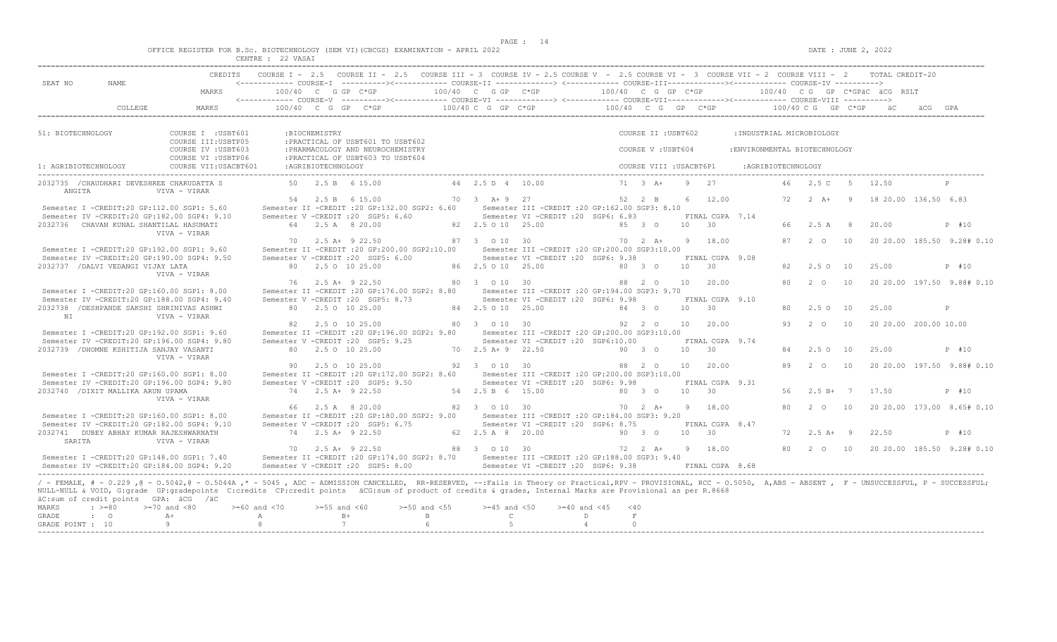$DATA: JUNE 2, 2022$ 

|  |  |        |                  |  | OFFICE REGISTER FOR B.Sc. BIOTECHNOLOGY (SEM VI)(CBCGS) EXAMINATION - APRIL 2022 |  |  |
|--|--|--------|------------------|--|----------------------------------------------------------------------------------|--|--|
|  |  | CDMMDD | $00 + 120 + 120$ |  |                                                                                  |  |  |

|                                    |                                                                   | CREDITS                                                                                                                                                                                                                                                                                                                                                                                                             |                                          |                    | COURSE I - 2.5 COURSE II - 2.5 COURSE III - 3 COURSE IV - 2.5 COURSE V - 2.5 COURSE VI - 3 COURSE VII - 2 COURSE VIII - 2 TOTAL CREDIT-20 |                                                    |                                                                                         |                       |                                           |            |                                    |                                                            |     |                     |                |                              |                            |
|------------------------------------|-------------------------------------------------------------------|---------------------------------------------------------------------------------------------------------------------------------------------------------------------------------------------------------------------------------------------------------------------------------------------------------------------------------------------------------------------------------------------------------------------|------------------------------------------|--------------------|-------------------------------------------------------------------------------------------------------------------------------------------|----------------------------------------------------|-----------------------------------------------------------------------------------------|-----------------------|-------------------------------------------|------------|------------------------------------|------------------------------------------------------------|-----|---------------------|----------------|------------------------------|----------------------------|
| SEAT NO                            | NAME                                                              | MARKS                                                                                                                                                                                                                                                                                                                                                                                                               |                                          |                    | 100/40 C G GP C*GP                                                                                                                        | 100/40 C G GP C*GP                                 |                                                                                         | 100/40 C G GP C*GP    |                                           |            |                                    |                                                            |     |                     |                | 100/40 CG GP C*GPÄC ÄCG RSLT |                            |
|                                    | COLLEGE                                                           | MARKS                                                                                                                                                                                                                                                                                                                                                                                                               |                                          |                    | $100/40$ C G GP C*GP                                                                                                                      | 100/40 C G GP C*GP                                 |                                                                                         | $100/40$ C G GP C*GP  |                                           |            |                                    |                                                            |     | 100/40 C G GP C*GP  |                |                              |                            |
|                                    |                                                                   |                                                                                                                                                                                                                                                                                                                                                                                                                     |                                          |                    |                                                                                                                                           |                                                    |                                                                                         |                       |                                           |            |                                    |                                                            |     |                     |                |                              |                            |
| 51: BIOTECHNOLOGY                  |                                                                   | COURSE I : USBT601<br>COURSE III: USBTP05<br>COURSE IV : USBT603                                                                                                                                                                                                                                                                                                                                                    |                                          | :BIOCHEMISTRY      | : PRACTICAL OF USBT601 TO USBT602<br>: PHARMACOLOGY AND NEUROCHEMISTRY                                                                    |                                                    |                                                                                         |                       | COURSE II : USBT602<br>COURSE V : USBT604 |            |                                    | : INDUSTRIAL MICROBIOLOGY<br>: ENVIRONMENTAL BIOTECHNOLOGY |     |                     |                |                              |                            |
| 1: AGRIBIOTECHNOLOGY               |                                                                   | COURSE VI : USBTP06<br>COURSE VII: USACBT601                                                                                                                                                                                                                                                                                                                                                                        |                                          | :AGRIBIOTECHNOLOGY | : PRACTICAL OF USBT603 TO USBT604                                                                                                         |                                                    |                                                                                         |                       | COURSE VIII : USACBT6P1                   |            |                                    | :AGRIBIOTECHNOLOGY                                         |     |                     |                |                              |                            |
|                                    |                                                                   |                                                                                                                                                                                                                                                                                                                                                                                                                     |                                          |                    |                                                                                                                                           |                                                    |                                                                                         |                       |                                           |            |                                    |                                                            |     |                     |                |                              |                            |
| ANGITA                             |                                                                   | 2032735 / CHAUDHARI DEVESHREE CHARUDATTA S<br>VIVA - VIRAR                                                                                                                                                                                                                                                                                                                                                          |                                          |                    | 50 2.5 B 6 15.00                                                                                                                          | 44 2.5 D 4 10.00                                   |                                                                                         |                       | $71 \t3 \tA+$                             | 9 27       |                                    |                                                            | 46  | 2.5 C               | $-5$           | 12.50                        | $\mathbb{P}$               |
|                                    |                                                                   | Semester I -CREDIT:20 GP:112.00 SGP1: 5.60<br>Semester IV -CREDIT:20 GP:182.00 SGP4: 9.10                                                                                                                                                                                                                                                                                                                           |                                          |                    | 54 2.5 B 6 15.00<br>Semester II -CREDIT : 20 GP:132.00 SGP2: 6.60<br>Semester V -CREDIT : 20 SGP5: 6.60                                   | $70 \t3 \tA+9 \t27$                                | Semester III -CREDIT : 20 GP:162.00 SGP3: 8.10<br>Semester VI - CREDIT : 20 SGP6: 6.83  |                       | 52 2 B                                    |            | 6 12.00<br>FINAL CGPA 7.14         |                                                            | 72  | $2+A+$              | $\overline{9}$ | 18 20 00 136 50 6 83         |                            |
|                                    | 2032736 CHAVAN KUNAL SHANTILAL HASUMATI                           | VIVA - VIRAR                                                                                                                                                                                                                                                                                                                                                                                                        |                                          |                    | 64 2.5 A 8 20.00                                                                                                                          | 82  2.5  0  10  25.00                              |                                                                                         |                       | 85 3 0                                    | 10 30      |                                    |                                                            | 66  | 2.5 A               | 8              | 20.00                        | P #10                      |
|                                    |                                                                   | Semester I -CREDIT:20 GP:192.00 SGP1: 9.60                                                                                                                                                                                                                                                                                                                                                                          |                                          |                    | 70 2.5 A+ 9 22.50<br>Semester II -CREDIT :20 GP:200.00 SGP2:10.00                                                                         | 87 3 0 10 30                                       | Semester III -CREDIT :20 GP:200.00 SGP3:10.00                                           |                       | $70 \t 2 \t A+$                           |            | 9 18.00                            |                                                            | 87  | 20                  | 10             |                              | 20 20.00 185.50 9.28# 0.10 |
|                                    | 2032737 / DALVI VEDANGI VIJAY LATA                                | Semester IV -CREDIT:20 GP:190.00 SGP4: 9.50<br>VIVA - VIRAR                                                                                                                                                                                                                                                                                                                                                         |                                          |                    | Semester V -CREDIT : 20 SGP5: 6.00<br>80 2.5 0 10 25.00                                                                                   | 86 2.5 0 10 25.00                                  | Semester VI - CREDIT : 20 SGP6: 9.38                                                    |                       | 80 3 0                                    | $10 \t 30$ | FINAL CGPA 9.08                    |                                                            | 82  | 2.5010              |                | 25.00                        | P #10                      |
|                                    |                                                                   | Semester I -CREDIT:20 GP:160.00 SGP1: 8.00                                                                                                                                                                                                                                                                                                                                                                          | 76                                       |                    | $2.5$ A+ 9 22.50<br>Semester II -CREDIT : 20 GP: 176.00 SGP2: 8.80                                                                        | 80 3 0 10 30                                       | Semester III -CREDIT :20 GP:194.00 SGP3: 9.70                                           |                       | 88 2 0                                    | 10         | 20.00                              |                                                            | 80  | 2 0                 | 10             |                              | 20 20.00 197.50 9.88# 0.10 |
| NI                                 |                                                                   | Semester IV -CREDIT:20 GP:188.00 SGP4: 9.40<br>2032738 / DESHPANDE SAKSHI SHRINIVAS ASHWI<br>VIVA - VIRAR                                                                                                                                                                                                                                                                                                           |                                          |                    | Semester V -CREDIT : 20 SGP5: 8.73<br>80 2.5 0 10 25.00                                                                                   | 84 2.5 0 10 25.00                                  | Semester VI -CREDIT :20 SGP6: 9.98                                                      |                       | 84 3 0                                    | 10         | FINAL CGPA 9.10<br>$\overline{30}$ |                                                            | 80  | $2.5^\circ$         | 10             | 25.00                        | P                          |
|                                    |                                                                   | Semester I -CREDIT:20 GP:192.00 SGP1: 9.60                                                                                                                                                                                                                                                                                                                                                                          |                                          |                    | 82 2.5 0 10 25.00<br>Semester II -CREDIT : 20 GP: 196.00 SGP2: 9.80                                                                       | 80 3 0 10 30                                       | Semester III -CREDIT : 20 GP: 200.00 SGP3: 10.00                                        |                       | 92 2 0                                    | 10         | 20.00                              |                                                            | 93  | $2\degree$ 0        | 10             | 20 20.00 200.00 10.00        |                            |
|                                    | 2032739 / DHOMNE KSHITIJA SANJAY VASANTI                          | Semester IV -CREDIT:20 GP:196.00 SGP4: 9.80<br>VIVA - VIRAR                                                                                                                                                                                                                                                                                                                                                         |                                          |                    | Semester V -CREDIT : 20 SGP5: 9.25<br>80 2.5 0 10 25.00                                                                                   | $70$ $2.5$ A + 9 $22.50$                           | Semester VI -CREDIT :20 SGP6:10.00                                                      |                       | 90 3 0                                    | 10         | FINAL CGPA 9.74<br>30              |                                                            | 84  | $2.5^{\circ}$       | 10             | 25.00                        | P #10                      |
|                                    |                                                                   | Semester I -CREDIT:20 GP:160.00 SGP1: 8.00                                                                                                                                                                                                                                                                                                                                                                          |                                          |                    | 90 2.5 0 10 25.00<br>Semester II -CREDIT : 20 GP:172.00 SGP2: 8.60                                                                        | 92 3 0 10 30                                       | Semester III -CREDIT :20 GP:200.00 SGP3:10.00                                           |                       | 88 2 0                                    |            | 10 20.00                           |                                                            | 89  | $2^{\circ}$ $\circ$ | 10             |                              | 20 20.00 197.50 9.88# 0.10 |
|                                    | 2032740 / DIXIT MALLIKA ARUN UPAMA                                | Semester IV -CREDIT:20 GP:196.00 SGP4: 9.80<br>VIVA - VIRAR                                                                                                                                                                                                                                                                                                                                                         |                                          |                    | Semester V -CREDIT : 20 SGP5: 9.50<br>74 2.5 A+ 9 22.50                                                                                   | 54 2.5 B 6 15.00                                   | Semester VI - CREDIT : 20 SGP6: 9.98                                                    |                       | 80 3 0                                    | 10         | 30                                 | FINAL CGPA 9.31                                            | 56. | $2.5 B+ 7$          |                | 17.50                        | P #10                      |
|                                    |                                                                   | Semester I -CREDIT:20 GP:160.00 SGP1: 8.00                                                                                                                                                                                                                                                                                                                                                                          | 66                                       |                    | 2.5 A 8 20.00<br>Semester II -CREDIT : 20 GP:180.00 SGP2: 9.00                                                                            | 82 3 0 10 30                                       | Semester III - CREDIT : 20 GP: 184.00 SGP3: 9.20                                        |                       | $70 \t 2 \t A+$                           | 9          | 18.00                              |                                                            | 80  | 2 0 10              |                |                              | 20 20.00 173.00 8.65# 0.10 |
| SARITA                             | 2032741 DUBEY ABHAY KUMAR RAJESHWARNATH                           | Semester IV -CREDIT:20 GP:182.00 SGP4: 9.10<br>VIVA - VIRAR                                                                                                                                                                                                                                                                                                                                                         |                                          |                    | Semester V -CREDIT : 20 SGP5: 6.75<br>74 2.5 A+ 9 22.50                                                                                   | 62 2.5 A 8 20.00                                   | Semester VI -CREDIT :20 SGP6: 8.75                                                      |                       | 90 3 0                                    | 10 30      | FINAL CGPA 8.47                    |                                                            | 72  | $2.5 A+ 9$          |                | 22.50                        | P #10                      |
|                                    |                                                                   | Semester I -CREDIT:20 GP:148.00 SGP1: 7.40<br>Semester IV -CREDIT:20 GP:184.00 SGP4: 9.20                                                                                                                                                                                                                                                                                                                           |                                          |                    | 70 2.5 A+ 9 22.50<br>Semester II -CREDIT : 20 GP: 174.00 SGP2: 8.70<br>Semester V -CREDIT : 20 SGP5: 8.00                                 | 88 3 0 10 30                                       | Semester III - CREDIT : 20 GP: 188.00 SGP3: 9.40<br>Semester VI -CREDIT : 20 SGP6: 9.38 |                       | 72 2 A+                                   |            | 9 18.00<br>FINAL CGPA 8.68         |                                                            | 80  | 2 0 10              |                | 20 20 00 185.50 9.28# 0.10   |                            |
| MARKS<br>GRADE<br>GRADE POINT : 10 | äC:sum of credit points GPA: äCG /äC<br>$\cdot$ >=80<br>$\cdot$ 0 | / - FEMALE, # - 0.229 ,0 - 0.5042,0 - 0.5044A ,* - 5045 , ADC - ADMISSION CANCELLED, RR-RESERVED, --:Fails in Theory or Practical,RPV - PROVISIONAL, RCC - 0.5050, A,ABS - ABSENT , F - UNSUCCESSFUL, P - SUCCESSFUL;<br>NULL-NULL & VOID, G:grade GP:gradepoints C:credits CP:credit points äCG:sum of product of credits & grades, Internal Marks are Provisional as per R.8668<br>$>=70$ and $<80$<br>$A +$<br>9 | $>= 60$ and $< 70$<br>A<br>$\mathcal{B}$ | $>=55$ and $<60$   | $>=50$ and $<55$<br>$B+$<br>$\mathbb B$<br>$\overline{7}$<br>6                                                                            | $>=45$ and $<50$<br>$\mathbb{C}$<br>$\overline{5}$ | $>=40$ and $<45$<br>$\mathbb{D}$<br>$\overline{4}$                                      | < 40<br>F<br>$\Omega$ |                                           |            |                                    |                                                            |     |                     |                |                              |                            |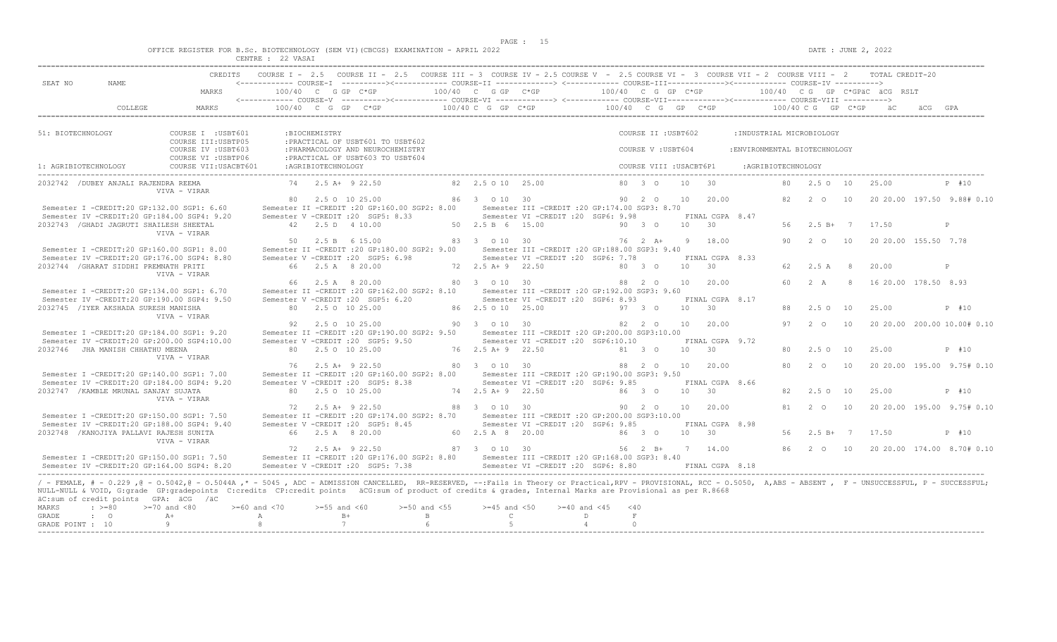$DATA: JUNE 2, 2022$ 

|  |  |                                | OFFICE REGISTER FOR B.SC. BIOTECHNOLOGY (SEM VI)(CBCGS) EXAMINATION - APRIL 2022 |  |  |  |
|--|--|--------------------------------|----------------------------------------------------------------------------------|--|--|--|
|  |  | Charles & March Street, Street | $00$ $1122227$                                                                   |  |  |  |

|                                           |                                                                    |                                                                                                                                                                                                                                                                                                                                                                                                                    | CENTRE : 22 VASAI             |                     |                                                                                                                                                   |                                                    |                                                                                          |                       |                                           |                 |                                    |                                                            |    |                      |    |                                                 |                                                               |
|-------------------------------------------|--------------------------------------------------------------------|--------------------------------------------------------------------------------------------------------------------------------------------------------------------------------------------------------------------------------------------------------------------------------------------------------------------------------------------------------------------------------------------------------------------|-------------------------------|---------------------|---------------------------------------------------------------------------------------------------------------------------------------------------|----------------------------------------------------|------------------------------------------------------------------------------------------|-----------------------|-------------------------------------------|-----------------|------------------------------------|------------------------------------------------------------|----|----------------------|----|-------------------------------------------------|---------------------------------------------------------------|
| SEAT NO                                   | NAME                                                               | CREDITS<br>MARKS                                                                                                                                                                                                                                                                                                                                                                                                   |                               |                     | COURSE I - 2.5 COURSE II - 2.5 COURSE III - 3 COURSE IV - 2.5 COURSE V - 2.5 COURSE VI - 3 COURSE VII - 2 COURSE VIII - 2<br>$100/40$ C G GP C*GP | 100/40 C G GP C*GP                                 |                                                                                          | 100/40 C G GP C*GP    |                                           |                 |                                    |                                                            |    |                      |    | TOTAL CREDIT-20<br>100/40 CG GP C*GPÄC ÄCG RSLT |                                                               |
|                                           | COLLEGE                                                            | MARKS                                                                                                                                                                                                                                                                                                                                                                                                              |                               |                     | $100/40$ C G GP C*GP                                                                                                                              | 100/40 C G GP C*GP                                 |                                                                                          | 100/40 C G GP C*GP    |                                           |                 |                                    |                                                            |    | $100/40$ C G GP C*GP |    |                                                 |                                                               |
|                                           |                                                                    |                                                                                                                                                                                                                                                                                                                                                                                                                    |                               |                     |                                                                                                                                                   |                                                    |                                                                                          |                       |                                           |                 |                                    |                                                            |    |                      |    |                                                 |                                                               |
| 51: BIOTECHNOLOGY                         |                                                                    | COURSE I : USBT601<br>COURSE III: USBTP05<br>COURSE IV : USBT603                                                                                                                                                                                                                                                                                                                                                   |                               | :BIOCHEMISTRY       | : PRACTICAL OF USBT601 TO USBT602<br>: PHARMACOLOGY AND NEUROCHEMISTRY                                                                            |                                                    |                                                                                          |                       | COURSE II : USBT602<br>COURSE V : USBT604 |                 |                                    | : INDUSTRIAL MICROBIOLOGY<br>: ENVIRONMENTAL BIOTECHNOLOGY |    |                      |    |                                                 |                                                               |
| 1: AGRIBIOTECHNOLOGY                      |                                                                    | COURSE VI : USBTP06<br>COURSE VII: USACBT601                                                                                                                                                                                                                                                                                                                                                                       |                               | : AGRIBIOTECHNOLOGY | : PRACTICAL OF USBT603 TO USBT604                                                                                                                 |                                                    |                                                                                          |                       | COURSE VIII : USACBT6P1                   |                 |                                    | : AGRIBIOTECHNOLOGY                                        |    |                      |    |                                                 |                                                               |
|                                           | 2032742 / DUBEY ANJALI RAJENDRA REEMA                              | VIVA - VIRAR                                                                                                                                                                                                                                                                                                                                                                                                       |                               |                     | 74 2.5 A + 9 22.50                                                                                                                                | 82  2.5  0  10  25.00                              |                                                                                          |                       | 80 3 0                                    | 10              | $-30$                              |                                                            | 80 | 2.50 10              |    | 25.00                                           | P #10                                                         |
|                                           | Semester I -CREDIT:20 GP:132.00 SGP1: 6.60                         | Semester IV -CREDIT:20 GP:184.00 SGP4: 9.20                                                                                                                                                                                                                                                                                                                                                                        |                               |                     | 80 2.5 0 10 25.00<br>Semester II -CREDIT : 20 GP: 160.00 SGP2: 8.00<br>Semester V -CREDIT : 20 SGP5: 8.33                                         | 86 3 0 10 30                                       | Semester III -CREDIT : 20 GP: 174.00 SGP3: 8.70<br>Semester VI -CREDIT :20 SGP6: 9.98    |                       | 90 2 0                                    | 10              | 20.00<br>FINAL CGPA 8.47           |                                                            | 82 | $2^{\circ}$          | 10 |                                                 | 20 20.00 197.50 9.88# 0.10                                    |
|                                           | 2032743 / GHADI JAGRUTI SHAILESH SHEETAL                           | VIVA - VIRAR                                                                                                                                                                                                                                                                                                                                                                                                       |                               |                     | 42  2.5 D  4 10.00                                                                                                                                | 50 2.5 B 6 15.00                                   |                                                                                          |                       | 90 3 0                                    | 10              | 30                                 |                                                            |    | 56 2.5 B+ 7          |    | 17.50                                           | P                                                             |
|                                           | Semester I -CREDIT:20 GP:160.00 SGP1: 8.00                         |                                                                                                                                                                                                                                                                                                                                                                                                                    | 50                            |                     | 2.5 B 6 15.00<br>Semester II -CREDIT : 20 GP:180.00 SGP2: 9.00                                                                                    | 83 3 0 10 30                                       | Semester III -CREDIT : 20 GP: 188.00 SGP3: 9.40                                          |                       | 76 2 A+                                   | Q               | 18.00                              |                                                            | 90 | $2\degree$ 0         | 10 | 20 20.00 155.50 7.78                            |                                                               |
|                                           | 2032744 / GHARAT SIDDHI PREMNATH PRITI                             | Semester IV -CREDIT:20 GP:176.00 SGP4: 8.80<br>VIVA - VIRAR                                                                                                                                                                                                                                                                                                                                                        |                               |                     | Semester V -CREDIT : 20 SGP5: 6.98<br>66 2.5 A 8 20.00                                                                                            | 72 2.5 A+ 9 22.50                                  | Semester VI -CREDIT : 20 SGP6: 7.78                                                      |                       | 80 3 0                                    | 10              | FINAL CGPA 8.33<br>$\overline{30}$ |                                                            | 62 | 2.5A                 | -8 | 20.00                                           | $\mathbb{P}$                                                  |
|                                           | Semester I -CREDIT:20 GP:134.00 SGP1: 6.70                         |                                                                                                                                                                                                                                                                                                                                                                                                                    | 66                            |                     | 2.5 A 8 20.00<br>Semester II -CREDIT : 20 GP:162.00 SGP2: 8.10                                                                                    | 80 3 0 10 30                                       | Semester III -CREDIT : 20 GP:192.00 SGP3: 9.60                                           |                       | 88 2 0                                    | 10              | 20.00                              |                                                            | 60 | 2 A                  | -8 | 16 20.00 178.50 8.93                            |                                                               |
|                                           | 2032745 / IYER AKSHADA SURESH MANISHA                              | Semester IV -CREDIT:20 GP:190.00 SGP4: 9.50<br>VIVA - VIRAR                                                                                                                                                                                                                                                                                                                                                        |                               |                     | Semester V -CREDIT : 20 SGP5: 6.20<br>80 2.5 0 10 25.00                                                                                           | 86 2.5 0 10 25.00                                  | Semester VI - CREDIT : 20 SGP6: 8.93                                                     |                       | 97 3 0                                    | 10 <sup>1</sup> | FINAL CGPA 8.17<br>$\overline{30}$ |                                                            | 88 | $2.5^\circ$          | 10 | 25.00                                           | P #10                                                         |
|                                           | Semester I -CREDIT:20 GP:184.00 SGP1: 9.20                         | Semester IV -CREDIT:20 GP:200.00 SGP4:10.00                                                                                                                                                                                                                                                                                                                                                                        |                               |                     | 92 2.5 0 10 25.00<br>Semester II -CREDIT : 20 GP: 190.00 SGP2: 9.50<br>Semester V -CREDIT : 20 SGP5: 9.50                                         | 90 3 0 10 30                                       | Semester III -CREDIT : 20 GP: 200.00 SGP3: 10.00<br>Semester VI -CREDIT : 20 SGP6:10.10  |                       | 82 2 0                                    |                 | 10 20.00<br>FINAL CGPA 9.72        |                                                            | 97 | $2^{\circ}$ $\circ$  | 10 |                                                 | 20 20.00 200.00 10.00# 0.10                                   |
|                                           | 2032746 JHA MANISH CHHATHU MEENA                                   | VIVA - VIRAR                                                                                                                                                                                                                                                                                                                                                                                                       |                               |                     | 80 2.5 0 10 25.00                                                                                                                                 | 76 2.5 A+ 9 22.50                                  |                                                                                          |                       | 81 3 0                                    | 10              | 30                                 |                                                            | 80 | $2.5^\circ$          | 10 | 25.00                                           | P #10                                                         |
|                                           | Semester I -CREDIT:20 GP:140.00 SGP1: 7.00                         | Semester IV -CREDIT:20 GP:184.00 SGP4: 9.20                                                                                                                                                                                                                                                                                                                                                                        |                               |                     | 76 2.5 A+ 9 22.50<br>Semester II -CREDIT : 20 GP:160.00 SGP2: 8.00<br>Semester V -CREDIT : 20 SGP5: 8.38                                          | 80 3 0 10 30                                       | Semester III -CREDIT : 20 GP: 190.00 SGP3: 9.50<br>Semester VI -CREDIT :20 SGP6: 9.85    |                       | 88 2 0                                    | 10              | 20.00<br>FINAL CGPA 8.66           |                                                            | 80 | 2<br>$\circ$         | 10 |                                                 | 20 20.00 195.00 9.75# 0.10                                    |
|                                           | 2032747 / KAMBLE MRUNAL SANJAY SUJATA                              | VIVA - VIRAR                                                                                                                                                                                                                                                                                                                                                                                                       |                               |                     | 80 2.5 0 10 25.00                                                                                                                                 | 74 2.5 A + 9 22.50                                 |                                                                                          |                       | 86 3 0                                    | 10              | 30                                 |                                                            | 82 | 2.50                 | 10 | 25.00                                           | P #10                                                         |
|                                           | Semester I -CREDIT:20 GP:150.00 SGP1: 7.50                         | Semester IV -CREDIT:20 GP:188.00 SGP4: 9.40                                                                                                                                                                                                                                                                                                                                                                        |                               |                     | 72 2.5 A+ 9 22.50<br>Semester II -CREDIT : 20 GP: 174.00 SGP2: 8.70<br>Semester V -CREDIT : 20 SGP5: 8.45                                         | 88 3 0 10 30                                       | Semester III -CREDIT :20 GP:200.00 SGP3:10.00<br>Semester VI - CREDIT : 20 SGP6: 9.85    |                       | 90 2 0                                    | 10              | 20.00<br>FINAL CGPA 8.98           |                                                            | 81 | $2^{\circ}$          | 10 |                                                 | 20 20.00 195.00 9.75# 0.10                                    |
|                                           | 2032748 / KANOJIYA PALLAVI RAJESH SUNITA                           | VIVA - VIRAR                                                                                                                                                                                                                                                                                                                                                                                                       |                               |                     | 66 2.5 A 8 20.00<br>72 2.5 A+ 9 22.50                                                                                                             | 60 2.5 A 8 20.00<br>87 3 0 10 30                   |                                                                                          |                       | 86 3 0<br>56 2 B+                         | 10 30           | 7 14.00                            |                                                            | 56 | $2.5 B+ 7$           |    | 17.50                                           | P #10<br>86   2   0   10   20   20.00   174.00   8.70#   0.10 |
|                                           | Semester I -CREDIT:20 GP:150.00 SGP1: 7.50                         | Semester IV -CREDIT:20 GP:164.00 SGP4: 8.20                                                                                                                                                                                                                                                                                                                                                                        |                               |                     | Semester II -CREDIT : 20 GP: 176.00 SGP2: 8.80<br>Semester V -CREDIT : 20 SGP5: 7.38                                                              |                                                    | Semester III - CREDIT : 20 GP: 168.00 SGP3: 8.40<br>Semester VI - CREDIT : 20 SGP6: 8.80 |                       |                                           |                 | FINAL CGPA 8.18                    |                                                            |    |                      |    |                                                 |                                                               |
| MARKS<br><b>GRADE</b><br>GRADE POINT : 10 | äC:sum of credit points GPA: äCG /äC<br>$: \; > = 80$<br>$\cdot$ 0 | / - FEMALE, # - 0.229, @ - 0.5042, @ - 0.5044A,* - 5045, ADC - ADMISSION CANCELLED, RR-RESERVED, --:Fails in Theory or Practical,RPV - PROVISIONAL, RCC - 0.5050, A,ABS - ABSENT, F - UNSUCCESSFUL, P - SUCCESSFUL;<br>NULL-NULL & VOID, G:grade GP:gradepoints C:credits CP:credit points äCG:sum of product of credits & grades, Internal Marks are Provisional as per R.8668<br>$>=70$ and $< 80$<br>$A +$<br>Q | $>= 60$ and $< 70$<br>A<br>-8 | $>=55$ and $<60$    | $>=50$ and $<55$<br>$B+$<br>B<br>7<br>$6^{\circ}$                                                                                                 | $>=45$ and $<50$<br>$\mathbb{C}$<br>$\overline{5}$ | $>= 40$ and $< 45$<br>$\mathbb{D}$<br>$\overline{4}$                                     | $<$ 40<br>F<br>$\cap$ |                                           |                 |                                    |                                                            |    |                      |    |                                                 |                                                               |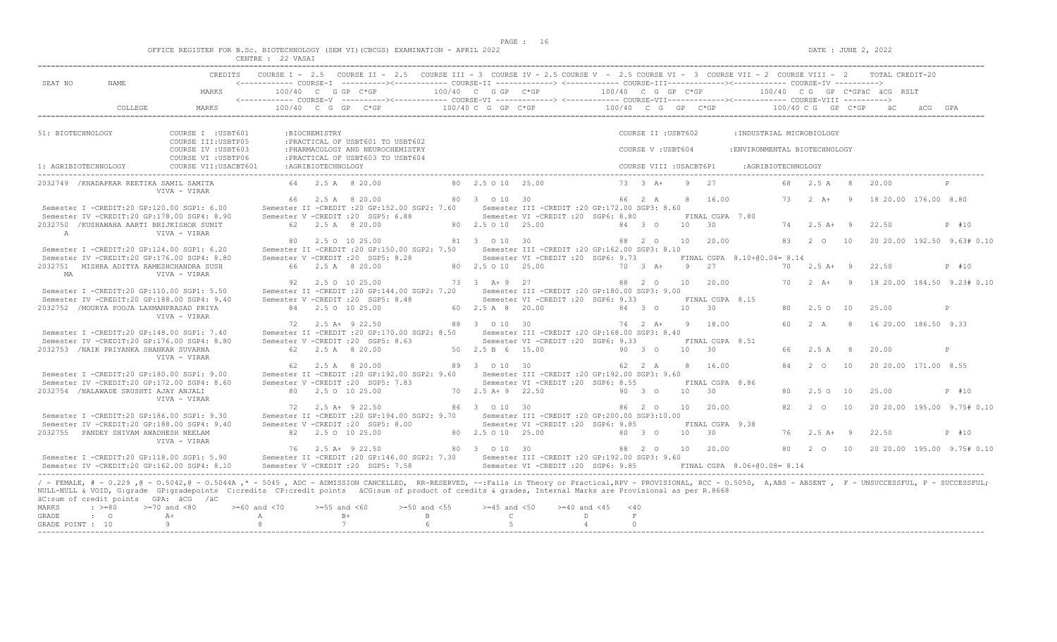$DATA: JUNE 2, 2022$ 

|  |  |        |                     |  | OFFICE REGISTER FOR B.Sc. BIOTECHNOLOGY (SEM VI)(CBCGS) EXAMINATION - APRIL 2022 |  |  |
|--|--|--------|---------------------|--|----------------------------------------------------------------------------------|--|--|
|  |  | CDMMDD | $22$ $772$ $27$ $7$ |  |                                                                                  |  |  |

|                                    |                          |                                                                                                                                                                                                                                                                                                                                                                                                                                                                   | CENTRE : 22 VASAI                        |                    |                                                                                                                           |                                      |                                                    |                                                                                          |                            |                                           |            |                          |                                                            |    |                      |                |                                                 |                            |
|------------------------------------|--------------------------|-------------------------------------------------------------------------------------------------------------------------------------------------------------------------------------------------------------------------------------------------------------------------------------------------------------------------------------------------------------------------------------------------------------------------------------------------------------------|------------------------------------------|--------------------|---------------------------------------------------------------------------------------------------------------------------|--------------------------------------|----------------------------------------------------|------------------------------------------------------------------------------------------|----------------------------|-------------------------------------------|------------|--------------------------|------------------------------------------------------------|----|----------------------|----------------|-------------------------------------------------|----------------------------|
| SEAT NO                            | NAME                     | CREDITS<br>MARKS                                                                                                                                                                                                                                                                                                                                                                                                                                                  | $100/40$ C G GP C*GP                     |                    | COURSE I - 2.5 COURSE II - 2.5 COURSE III - 3 COURSE IV - 2.5 COURSE V - 2.5 COURSE VI - 3 COURSE VII - 2 COURSE VIII - 2 |                                      | 100/40 C G GP C*GP                                 |                                                                                          | 100/40 C G GP C*GP         |                                           |            |                          |                                                            |    |                      |                | TOTAL CREDIT-20<br>100/40 CG GP C*GPÄC ÄCG RSLT |                            |
|                                    | COLLEGE                  | MARKS                                                                                                                                                                                                                                                                                                                                                                                                                                                             |                                          |                    | $100/40$ C G GP C*GP                                                                                                      |                                      | $100/40 C G$ PC $\star$ GP                         |                                                                                          | $100/40$ C G GP C*GP       |                                           |            |                          |                                                            |    | $100/40$ C G GP C*GP |                |                                                 |                            |
|                                    |                          |                                                                                                                                                                                                                                                                                                                                                                                                                                                                   |                                          |                    |                                                                                                                           |                                      |                                                    |                                                                                          |                            |                                           |            |                          |                                                            |    |                      |                |                                                 |                            |
| 51: BIOTECHNOLOGY                  |                          | COURSE I : USBT601<br>COURSE III: USBTP05<br>COURSE IV : USBT603                                                                                                                                                                                                                                                                                                                                                                                                  |                                          | :BIOCHEMISTRY      | : PRACTICAL OF USBT601 TO USBT602<br>: PHARMACOLOGY AND NEUROCHEMISTRY                                                    |                                      |                                                    |                                                                                          |                            | COURSE II : USBT602<br>COURSE V : USBT604 |            |                          | : INDUSTRIAL MICROBIOLOGY<br>: ENVIRONMENTAL BIOTECHNOLOGY |    |                      |                |                                                 |                            |
| 1: AGRIBIOTECHNOLOGY               |                          | COURSE VI : USBTP06<br>COURSE VII: USACBT601                                                                                                                                                                                                                                                                                                                                                                                                                      |                                          | :AGRIBIOTECHNOLOGY | : PRACTICAL OF USBT603 TO USBT604                                                                                         |                                      |                                                    |                                                                                          |                            | COURSE VIII : USACBT6P1                   |            |                          | :AGRIBIOTECHNOLOGY                                         |    |                      |                |                                                 |                            |
|                                    |                          | 2032749 / KHADAPKAR REETIKA SAMIL SAMITA                                                                                                                                                                                                                                                                                                                                                                                                                          |                                          |                    | 64 2.5 A 8 20.00                                                                                                          |                                      | 80 2.5 0 10 25.00                                  |                                                                                          |                            | $73 \t3 \tA+$                             |            | 9 2.7                    |                                                            | 68 | 2.5 A                | -8             | 20.00                                           | $\mathbb{P}$               |
|                                    |                          | VIVA - VIRAR                                                                                                                                                                                                                                                                                                                                                                                                                                                      |                                          |                    | 66 2.5 A 8 20.00                                                                                                          |                                      | 80 3 0 10 30                                       |                                                                                          |                            | 66 2 A                                    |            | 8 16.00                  |                                                            | 73 | 2 $\lambda$ +        | 9              | 18 20.00 176.00 8.80                            |                            |
|                                    |                          | Semester I -CREDIT:20 GP:120.00 SGP1: 6.00<br>Semester IV -CREDIT:20 GP:178.00 SGP4: 8.90                                                                                                                                                                                                                                                                                                                                                                         |                                          |                    | Semester II -CREDIT : 20 GP: 152.00 SGP2: 7.60<br>Semester V -CREDIT : 20 SGP5: 6.88                                      |                                      |                                                    | Semester III -CREDIT : 20 GP: 172.00 SGP3: 8.60<br>Semester VI -CREDIT :20 SGP6: 8.80    |                            |                                           |            | FINAL CGPA 7.80          |                                                            |    |                      |                |                                                 |                            |
| $\mathbb{A}$                       |                          | 2032750 /KUSHAWAHA AARTI BRIJKISHOR SUNIT<br>VIVA - VIRAR                                                                                                                                                                                                                                                                                                                                                                                                         |                                          |                    | 62 2.5 A 8 20.00                                                                                                          |                                      | 80 2.5 0 10 25.00                                  |                                                                                          |                            | 84 3 0                                    | 10 30      |                          |                                                            |    | $74$ 2.5 A+ 9        |                | 22.50                                           | P #10                      |
|                                    |                          | Semester I -CREDIT:20 GP:124.00 SGP1: 6.20                                                                                                                                                                                                                                                                                                                                                                                                                        | 80                                       |                    | 2.5 0 10 25.00<br>Semester II -CREDIT : 20 GP:150.00 SGP2: 7.50                                                           |                                      | 81 3 0 10 30                                       | Semester III -CREDIT : 20 GP:162.00 SGP3: 8.10                                           |                            | 88 2 0                                    | 10         | 20.00                    |                                                            | 83 | $2^{\circ}$ 0        | 10             |                                                 | 20 20.00 192.50 9.63# 0.10 |
| MA                                 |                          | Semester IV -CREDIT:20 GP:176.00 SGP4: 8.80<br>2032751 MISHRA ADITYA RAMESHCHANDRA SUSH<br>VIVA - VIRAR                                                                                                                                                                                                                                                                                                                                                           |                                          |                    | Semester V -CREDIT : 20 SGP5: 8.28<br>66 2.5 A 8 20.00                                                                    |                                      | 80 2.5 0 10 25.00                                  | Semester VI -CREDIT : 20 SGP6: 9.73                                                      |                            | $70 \t 3 \t A+$                           | $9$ 27     |                          | FINAL CGPA 8.10+00.04= 8.14                                | 70 | $2.5 A+ 9$           |                | 22.50                                           | P #10                      |
|                                    |                          | Semester I -CREDIT:20 GP:110.00 SGP1: 5.50                                                                                                                                                                                                                                                                                                                                                                                                                        | 92                                       |                    | 2.5 0 10 25.00<br>Semester II -CREDIT : 20 GP: 144.00 SGP2: 7.20                                                          |                                      | 73 3 A + 9 27                                      | Semester III - CREDIT : 20 GP: 180.00 SGP3: 9.00                                         |                            | 88 2 0                                    | 10         | 20.00                    |                                                            | 70 | $2 A+ 9$             |                |                                                 | 18 20.00 184.50 9.23# 0.10 |
|                                    |                          | Semester IV -CREDIT:20 GP:188.00 SGP4: 9.40<br>2032752 /MOURYA POOJA LAXMANPRASAD PRIYA                                                                                                                                                                                                                                                                                                                                                                           |                                          |                    | Semester V -CREDIT : 20 SGP5: 8.48<br>84 2.5 0 10 25.00                                                                   |                                      | 60 2.5 A 8 20.00                                   | Semester VI - CREDIT : 20 SGP6: 9.33                                                     |                            | 84 3 0                                    | $10 \t 30$ | FINAL CGPA 8.15          |                                                            | 80 | $2.5^\circ$          | 10             | 25.00                                           | P                          |
|                                    |                          | VIVA - VIRAR                                                                                                                                                                                                                                                                                                                                                                                                                                                      |                                          |                    | $72 \t2.5 \tA+ 9 \t22.50$                                                                                                 |                                      | 88 3 0 10 30                                       |                                                                                          |                            | 74  2  A+  9  18.00                       |            |                          |                                                            | 60 | 2A                   | $\overline{8}$ | 16 20.00 186.50 9.33                            |                            |
|                                    |                          | Semester I -CREDIT:20 GP:148.00 SGP1: 7.40<br>Semester IV -CREDIT:20 GP:176.00 SGP4: 8.80                                                                                                                                                                                                                                                                                                                                                                         |                                          |                    | Semester II -CREDIT : 20 GP: 170.00 SGP2: 8.50<br>Semester V -CREDIT : 20 SGP5: 8.63                                      |                                      |                                                    | Semester III - CREDIT : 20 GP: 168.00 SGP3: 8.40<br>Semester VI - CREDIT : 20 SGP6: 9.33 |                            |                                           |            | FINAL CGPA 8.51          |                                                            |    |                      |                |                                                 |                            |
|                                    |                          | 2032753 / NAIK PRIYANKA SHANKAR SUVARNA<br>VIVA - VIRAR                                                                                                                                                                                                                                                                                                                                                                                                           |                                          |                    | 62 2.5 A 8 20.00                                                                                                          |                                      | 50 2.5 B 6 15.00                                   |                                                                                          |                            | 90 3 0                                    | 10         | 30                       |                                                            | 66 | 2.5 A                | 8              | 20.00                                           | P                          |
|                                    |                          | Semester I -CREDIT:20 GP:180.00 SGP1: 9.00<br>Semester IV -CREDIT:20 GP:172.00 SGP4: 8.60                                                                                                                                                                                                                                                                                                                                                                         | 62                                       |                    | 2.5 A 8 20.00<br>Semester II -CREDIT : 20 GP:192.00 SGP2: 9.60<br>Semester V -CREDIT : 20 SGP5: 7.83                      |                                      | 89 3 0 10 30                                       | Semester III -CREDIT :20 GP:192.00 SGP3: 9.60<br>Semester VI -CREDIT :20 SGP6: 8.55      |                            | 62 2 A                                    | 8          | 16.00<br>FINAL CGPA 8.86 |                                                            | 84 | $2\degree$ 0         | 10             | 20 20.00 171.00 8.55                            |                            |
|                                    |                          | 2032754 /NALAWADE SRUSHTI AJAY ANJALI<br>VIVA - VIRAR                                                                                                                                                                                                                                                                                                                                                                                                             |                                          |                    | 80 2.5 0 10 25.00                                                                                                         |                                      | 70 2.5 A + 9 22.50                                 |                                                                                          |                            | 90 3 0                                    | 10         | 30                       |                                                            | 80 | 2.50                 | 10             | 25.00                                           | P #10                      |
|                                    |                          | Semester I -CREDIT:20 GP:186.00 SGP1: 9.30<br>Semester IV -CREDIT:20 GP:188.00 SGP4: 9.40                                                                                                                                                                                                                                                                                                                                                                         |                                          |                    | 72 2.5 A+ 9 22.50<br>Semester II -CREDIT : 20 GP: 194.00 SGP2: 9.70<br>Semester V -CREDIT : 20 SGP5: 8.00                 |                                      | 86 3 0 10 30                                       | Semester III -CREDIT : 20 GP: 200.00 SGP3: 10.00<br>Semester VI - CREDIT : 20 SGP6: 9.85 |                            | 86 2 0                                    | 10         | 20.00<br>FINAL CGPA 9.38 |                                                            | 82 | $2^{\circ}$          | 10             |                                                 | 20 20.00 195.00 9.75# 0.10 |
|                                    |                          | 2032755 PANDEY SHIVAM AWADHESH NEELAM<br>VIVA - VIRAR                                                                                                                                                                                                                                                                                                                                                                                                             |                                          |                    | 82 2.5 0 10 25.00                                                                                                         |                                      | 80 2.5 0 10 25.00                                  |                                                                                          |                            | 80 3 0                                    | 10         | 30                       |                                                            | 76 | $2.5 A+ 9$           |                | 22.50                                           | P #10                      |
|                                    |                          | Semester I -CREDIT:20 GP:118.00 SGP1: 5.90<br>Semester IV -CREDIT:20 GP:162.00 SGP4: 8.10                                                                                                                                                                                                                                                                                                                                                                         |                                          |                    | 76 2.5 A+ 9 22.50<br>Semester II -CREDIT : 20 GP: 146.00 SGP2: 7.30<br>Semester V -CREDIT : 20 SGP5: 7.58                 |                                      | 80 3 0 10 30                                       | Semester III - CREDIT : 20 GP: 192.00 SGP3: 9.60<br>Semester VI -CREDIT :20 SGP6: 9.85   |                            | 88 2 0                                    |            | 10 20.00                 | FINAL CGPA 8.06+00.08= 8.14                                | 80 | 2 0 10               |                |                                                 | 20 20.00 195.00 9.75# 0.10 |
| MARKS<br>GRADE<br>GRADE POINT : 10 | $\div$ >=80<br>$\cdot$ 0 | / - FEMALE, # - 0.229 , @ - 0.5042, @ - 0.5044A ,* - 5045 , ADC - ADMISSION CANCELLED, RR-RESERVED, --: Fails in Theory or Practical, RPV - PROVISIONAL, RCC - 0.5050, A, ABS - ABSENT , F - UNSUCCESSFUL, P - SUCCESSFUL;<br>NULL-NULL & VOID, G:grade GP:gradepoints C:credits CP:credit points äCG:sum of product of credits & grades, Internal Marks are Provisional as per R.8668<br>äC:sum of credit points GPA: äCG /äC<br>$>=70$ and $< 80$<br>$A +$<br>Q | $>= 60$ and $< 70$<br>A<br>$\mathcal{R}$ | $>= 55$ and $< 60$ | $B+$<br>7                                                                                                                 | $>=50$ and $<55$<br>B<br>$6^{\circ}$ | $>=45$ and $<50$<br>$\mathbb{C}$<br>5 <sub>1</sub> | $>= 40$ and $< 45$                                                                       | $\Gamma$<br>$\overline{4}$ | < 40<br>F<br>$\cap$                       |            |                          |                                                            |    |                      |                |                                                 |                            |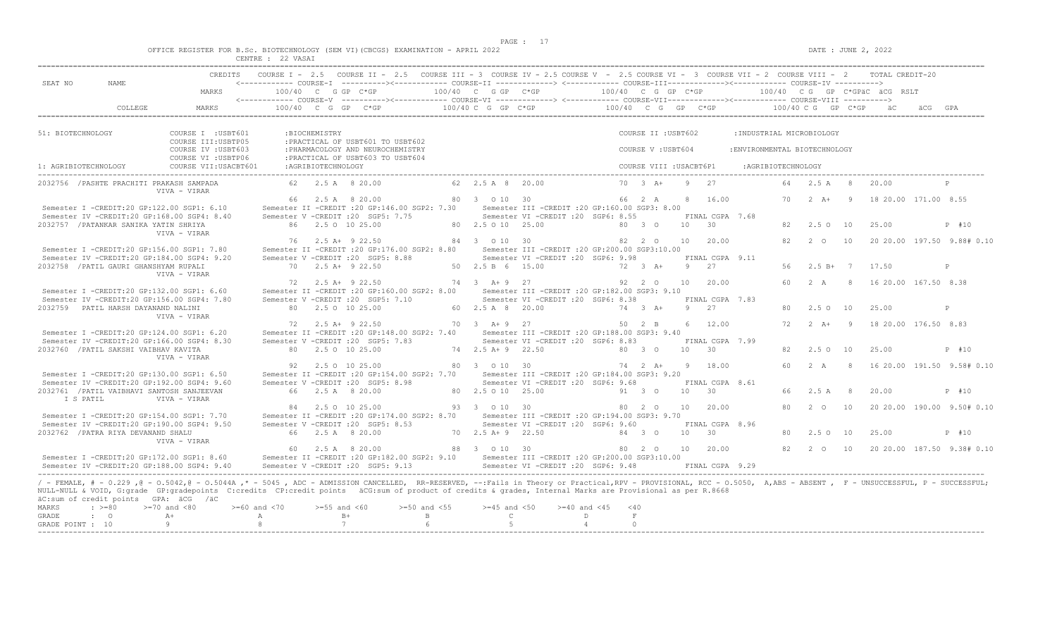$DATA: JUNE 2, 2022$ 

|  |  |                          |                                                       |  | OFFICE REGISTER FOR B.Sc. BIOTECHNOLOGY (SEM VI)(CBCGS) EXAMINATION - APRIL 2022 |  |  |
|--|--|--------------------------|-------------------------------------------------------|--|----------------------------------------------------------------------------------|--|--|
|  |  | Charles & Museum, Street | $\wedge$ $\wedge$ $\cdots$ $\wedge$ $\wedge$ $\cdots$ |  |                                                                                  |  |  |

|                                           |                                                                                           |    |                    | COURSE I - 2.5 COURSE II - 2.5 COURSE III - 3 COURSE IV - 2.5 COURSE V - 2.5 COURSE VI - 3 COURSE VII - 2 COURSE VIII - 2 |                                 |                                                                                      |                    |                                          |    |                              |                                                            |    |                    |                |                                                 |                            |
|-------------------------------------------|-------------------------------------------------------------------------------------------|----|--------------------|---------------------------------------------------------------------------------------------------------------------------|---------------------------------|--------------------------------------------------------------------------------------|--------------------|------------------------------------------|----|------------------------------|------------------------------------------------------------|----|--------------------|----------------|-------------------------------------------------|----------------------------|
| SEAT NO<br>NAME                           | CREDITS<br>MARKS                                                                          |    |                    | 100/40 C G GP C*GP                                                                                                        | 100/40 C G GP C*GP              |                                                                                      | 100/40 C G GP C*GP |                                          |    |                              |                                                            |    |                    |                | TOTAL CREDIT-20<br>100/40 CG GP C*GPÄC ÄCG RSLT |                            |
|                                           | COLLEGE<br>MARKS                                                                          |    |                    | $100/40$ C G GP C*GP                                                                                                      | 100/40 C G GP C*GP              |                                                                                      | 100/40 C G GP C*GP |                                          |    |                              |                                                            |    | 100/40 C G GP C*GP |                |                                                 |                            |
|                                           |                                                                                           |    |                    |                                                                                                                           |                                 |                                                                                      |                    |                                          |    |                              |                                                            |    |                    |                |                                                 |                            |
| 51: BIOTECHNOLOGY                         | COURSE I : USBT601<br>COURSE III: USBTP05<br>COURSE IV : USBT603                          |    | :BIOCHEMISTRY      | : PRACTICAL OF USBT601 TO USBT602<br>: PHARMACOLOGY AND NEUROCHEMISTRY                                                    |                                 |                                                                                      |                    | COURSE II : USBT602<br>COURSE V: USBT604 |    |                              | : INDUSTRIAL MICROBIOLOGY<br>: ENVIRONMENTAL BIOTECHNOLOGY |    |                    |                |                                                 |                            |
| 1: AGRIBIOTECHNOLOGY                      | COURSE VI : USBTP06<br>COURSE VII: USACBT601                                              |    | :AGRIBIOTECHNOLOGY | : PRACTICAL OF USBT603 TO USBT604                                                                                         |                                 |                                                                                      |                    | COURSE VIII : USACBT6P1                  |    |                              | :AGRIBIOTECHNOLOGY                                         |    |                    |                |                                                 |                            |
| 2032756 / PASHTE PRACHITI PRAKASH SAMPADA | VIVA - VIRAR                                                                              |    |                    | 62 2.5 A 8 20.00                                                                                                          | 62 2.5 A 8 20.00                |                                                                                      |                    | $70 \t3 \tA+$                            |    | 9 2.7                        |                                                            | 64 | 2.5 A              | -8             | 20.00                                           | $\mathbb{P}$               |
|                                           | Semester I -CREDIT:20 GP:122.00 SGP1: 6.10                                                |    |                    | 66 2.5 A 8 20.00<br>Semester II -CREDIT : 20 GP: 146.00 SGP2: 7.30                                                        | 80 3 0 10 30                    | Semester III -CREDIT : 20 GP: 160.00 SGP3: 8.00                                      |                    | 66 2 A                                   |    | 8 16.00                      |                                                            | 70 | $2+A+$             | $\overline{9}$ | 18 20.00 171.00 8.55                            |                            |
| 2032757 / PATANKAR SANIKA YATIN SHRIYA    | Semester IV -CREDIT:20 GP:168.00 SGP4: 8.40                                               |    |                    | Semester V -CREDIT :20 SGP5: 7.75<br>86 2.5 0 10 25.00                                                                    | 80 2.5 0 10 25.00               | Semester VI - CREDIT : 20 SGP6: 8.55                                                 |                    | 80 3 0                                   | 10 | FINAL CGPA 7.68<br>30        |                                                            | 82 | 2.5 0 10           |                | 25.00                                           | P #10                      |
|                                           | VIVA - VIRAR<br>Semester I -CREDIT:20 GP:156.00 SGP1: 7.80                                |    |                    | 76 2.5 A+ 9 22.50<br>Semester II -CREDIT : 20 GP:176.00 SGP2: 8.80                                                        | 84 3 0 10 30                    | Semester III -CREDIT :20 GP:200.00 SGP3:10.00                                        |                    | 82 2 0                                   | 10 | 20.00                        |                                                            | 82 | 2 0                | 10             |                                                 | 20 20.00 197.50 9.88# 0.10 |
| 2032758 / PATIL GAURI GHANSHYAM RUPALI    | Semester IV -CREDIT:20 GP:184.00 SGP4: 9.20                                               |    |                    | Semester V -CREDIT : 20 SGP5: 8.88<br>70 2.5 A+ 9 22.50                                                                   | 50 2.5 B 6 15.00                | Semester VI - CREDIT : 20 SGP6: 9.98                                                 |                    | 72 3 A+                                  |    | FINAL CGPA 9.11<br>$9 \t 27$ |                                                            | 56 | $2.5 B+ 7$         |                | 17.50                                           | P                          |
|                                           | VIVA - VIRAR<br>Semester I -CREDIT:20 GP:132.00 SGP1: 6.60                                |    |                    | 72 2.5 A+ 9 22.50<br>Semester II -CREDIT : 20 GP:160.00 SGP2: 8.00                                                        | 74 3 A + 9 27                   | Semester III -CREDIT : 20 GP:182.00 SGP3: 9.10                                       |                    | 92 2 0                                   | 10 | 20.00                        |                                                            | 60 | 2 A                | 8              | 16 20.00 167.50 8.38                            |                            |
| 2032759 PATIL HARSH DAYANAND NALINI       | Semester IV -CREDIT:20 GP:156.00 SGP4: 7.80                                               |    |                    | Semester V -CREDIT : 20 SGP5: 7.10<br>80 2.5 0 10 25.00                                                                   | 60  2.5  A  8  20.00            | Semester VI -CREDIT : 20 SGP6: 8.38                                                  |                    | 74 3 A+                                  |    | FINAL CGPA 7.83<br>$9$ 27    |                                                            | 80 | $2.5^\circ$        | 10             | 25.00                                           | P                          |
|                                           | VIVA - VIRAR<br>Semester I -CREDIT:20 GP:124.00 SGP1: 6.20                                |    |                    | 72 2.5 A+ 9 22.50<br>Semester II -CREDIT : 20 GP: 148.00 SGP2: 7.40                                                       | $70 \quad 3 \quad A+9 \quad 27$ | Semester III -CREDIT : 20 GP: 188.00 SGP3: 9.40                                      |                    | 50 2 B                                   |    | $6 \t 12.00$                 |                                                            | 72 | $2 \overline{A}$   | $\overline{9}$ | 18 20.00 176.50 8.83                            |                            |
| 2032760 / PATIL SAKSHI VAIBHAV KAVITA     | Semester IV -CREDIT:20 GP:166.00 SGP4: 8.30                                               |    |                    | Semester V -CREDIT : 20 SGP5: 7.83<br>80 2.5 0 10 25.00                                                                   | $74$ $2.5$ $A+9$ $22.50$        | Semester VI -CREDIT : 20 SGP6: 8.83                                                  |                    | 80 3 0                                   | 10 | FINAL CGPA 7.99<br>30        |                                                            | 82 | $2.5^\circ$        | 10             | 25.00                                           | P #10                      |
|                                           | VIVA - VIRAR<br>Semester I -CREDIT:20 GP:130.00 SGP1: 6.50                                |    |                    | 92 2.5 0 10 25.00<br>Semester II -CREDIT : 20 GP:154.00 SGP2: 7.70                                                        | 80 3 0 10 30                    | Semester III -CREDIT : 20 GP:184.00 SGP3: 9.20                                       |                    | $74$ 2 $A+$                              |    | 9 18.00                      |                                                            | 60 | 2 A                | -8             |                                                 | 16 20.00 191.50 9.58# 0.10 |
|                                           | Semester IV -CREDIT:20 GP:192.00 SGP4: 9.60<br>2032761 / PATIL VAIBHAVI SANTOSH SANJEEVAN |    |                    | Semester V -CREDIT : 20 SGP5: 8.98<br>66 2.5 A 8 20.00                                                                    | 80 2.5 0 10 25.00               | Semester VI - CREDIT : 20 SGP6: 9.68                                                 |                    | 91 3 0                                   | 10 | FINAL CGPA 8.61<br>30        |                                                            | 66 | 2.5A               | -8             | 20.00                                           | P #10                      |
| I S PATIL                                 | VIVA - VIRAR<br>Semester I -CREDIT:20 GP:154.00 SGP1: 7.70                                | 84 |                    | 2.5 0 10 25.00<br>Semester II -CREDIT : 20 GP: 174.00 SGP2: 8.70                                                          | 93 3 0 10 30                    | Semester III -CREDIT : 20 GP: 194.00 SGP3: 9.70                                      |                    | 80 2 0                                   | 10 | 20.00                        |                                                            | 80 | $2^{\circ}$        | 10             |                                                 | 20 20.00 190.00 9.50# 0.10 |
| 2032762 / PATRA RIYA DEVANAND SHALU       | Semester IV -CREDIT:20 GP:190.00 SGP4: 9.50                                               |    |                    | Semester V -CREDIT : 20 SGP5: 8.53<br>66 2.5 A 8 20.00                                                                    | 70 2.5 A + 9 22.50              | Semester VI -CREDIT : 20 SGP6: 9.60                                                  |                    | 84 3 0                                   | 10 | FINAL CGPA 8.96<br>30        |                                                            | 80 | 2.5010             |                | 25.00                                           | P #10                      |
|                                           | VIVA - VIRAR<br>Semester I -CREDIT:20 GP:172.00 SGP1: 8.60                                |    |                    | 60 2.5 A 8 20.00<br>Semester II -CREDIT : 20 GP:182.00 SGP2: 9.10                                                         | 88 3 0 10 30                    | Semester III -CREDIT :20 GP:200.00 SGP3:10.00<br>Semester VI -CREDIT : 20 SGP6: 9.48 |                    | 80 2 0                                   | 10 | 20.00<br>FINAL CGPA 9.29     |                                                            | 82 | 2 0 10             |                | 20 20.00 187.50 9.38# 0.10                      |                            |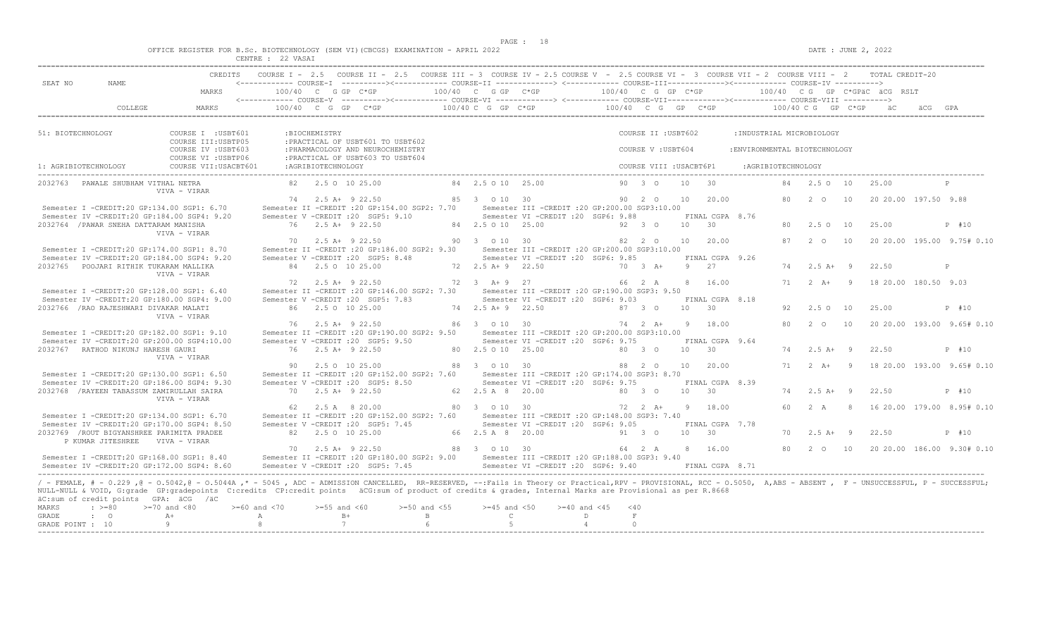$DATA: JUNE 2, 2022$ 

|  |  |                                | OFFICE REGISTER FOR B.Sc. BIOTECHNOLOGY (SEM VI)(CBCGS) EXAMINATION - APRIL 2022 |  |  |  |
|--|--|--------------------------------|----------------------------------------------------------------------------------|--|--|--|
|  |  | Charles & March Street, Street | $\wedge$ $\wedge$ $\cdots$ $\wedge$ $\wedge$ $\cdots$                            |  |  |  |

|                                    |                                                                              | CREDITS                                                                                                                                                                                                                                                                                                                                                                                                              |                               |                    | COURSE I - 2.5 COURSE II - 2.5 COURSE III - 3 COURSE IV - 2.5 COURSE V - 2.5 COURSE VI - 3 COURSE VII - 2 COURSE VIII - 2 TOTAL CREDIT-20 |                                                    |                                                                                          |                                         |                                          |            |                             |                                                           |    |                      |                |                              |                            |
|------------------------------------|------------------------------------------------------------------------------|----------------------------------------------------------------------------------------------------------------------------------------------------------------------------------------------------------------------------------------------------------------------------------------------------------------------------------------------------------------------------------------------------------------------|-------------------------------|--------------------|-------------------------------------------------------------------------------------------------------------------------------------------|----------------------------------------------------|------------------------------------------------------------------------------------------|-----------------------------------------|------------------------------------------|------------|-----------------------------|-----------------------------------------------------------|----|----------------------|----------------|------------------------------|----------------------------|
| SEAT NO                            | NAME                                                                         | MARKS                                                                                                                                                                                                                                                                                                                                                                                                                |                               |                    | 100/40 C G GP C*GP                                                                                                                        | 100/40 C G GP C*GP                                 |                                                                                          | 100/40 C G GP C*GP                      |                                          |            |                             |                                                           |    |                      |                | 100/40 CG GP C*GPäC äCG RSLT |                            |
|                                    | COLLEGE                                                                      | MARKS                                                                                                                                                                                                                                                                                                                                                                                                                |                               |                    | $100/40$ C G GP C*GP                                                                                                                      | 100/40 C G GP C*GP                                 |                                                                                          | 100/40 C G GP C*GP                      |                                          |            |                             |                                                           |    | $100/40$ C G GP C*GP |                |                              |                            |
|                                    |                                                                              |                                                                                                                                                                                                                                                                                                                                                                                                                      |                               |                    |                                                                                                                                           |                                                    |                                                                                          |                                         |                                          |            |                             |                                                           |    |                      |                |                              |                            |
| 51: BIOTECHNOLOGY                  |                                                                              | COURSE I : USBT601<br>COURSE III: USBTP05<br>COURSE IV : USBT603                                                                                                                                                                                                                                                                                                                                                     |                               | :BIOCHEMISTRY      | : PRACTICAL OF USBT601 TO USBT602<br>: PHARMACOLOGY AND NEUROCHEMISTRY                                                                    |                                                    |                                                                                          |                                         | COURSE II : USBT602<br>COURSE V: USBT604 |            |                             | : INDUSTRIAL MICROBIOLOGY<br>:ENVIRONMENTAL BIOTECHNOLOGY |    |                      |                |                              |                            |
| 1: AGRIBIOTECHNOLOGY               |                                                                              | COURSE VI : USBTP06<br>COURSE VII: USACBT601                                                                                                                                                                                                                                                                                                                                                                         |                               | :AGRIBIOTECHNOLOGY | : PRACTICAL OF USBT603 TO USBT604                                                                                                         |                                                    |                                                                                          |                                         | COURSE VIII : USACBT6P1                  |            |                             | :AGRIBIOTECHNOLOGY                                        |    |                      |                |                              |                            |
|                                    |                                                                              |                                                                                                                                                                                                                                                                                                                                                                                                                      |                               |                    |                                                                                                                                           |                                                    |                                                                                          |                                         |                                          |            |                             |                                                           |    |                      |                |                              |                            |
|                                    | 2032763 PAWALE SHUBHAM VITHAL NETRA                                          | VIVA - VIRAR                                                                                                                                                                                                                                                                                                                                                                                                         |                               |                    | 82 2.5 0 10 25.00                                                                                                                         | 84 2.5 0 10 25.00                                  |                                                                                          |                                         | 90 3 0                                   | 10         | 30                          |                                                           | 84 | 2.50 10              |                | 25.00                        | $\mathbb{P}$               |
|                                    |                                                                              | Semester I -CREDIT:20 GP:134.00 SGP1: 6.70<br>Semester IV -CREDIT:20 GP:184.00 SGP4: 9.20                                                                                                                                                                                                                                                                                                                            |                               |                    | 74 2.5 A+ 9 22.50<br>Semester II -CREDIT : 20 GP:154.00 SGP2: 7.70<br>Semester V -CREDIT : 20 SGP5: 9.10                                  | 85 3 0 10 30                                       | Semester III -CREDIT : 20 GP: 200.00 SGP3: 10.00<br>Semester VI - CREDIT : 20 SGP6: 9.88 |                                         | 90 2 0                                   | 10         | 20.00<br>FINAL CGPA 8.76    |                                                           | 80 | $2^{\circ}$ 0        | 10             | 20 20 00 197.50 9.88         |                            |
|                                    | 2032764 / PAWAR SNEHA DATTARAM MANISHA                                       | VIVA - VIRAR                                                                                                                                                                                                                                                                                                                                                                                                         |                               |                    | 76 2.5 A+ 9 22.50                                                                                                                         | 84 2.5 0 10 25.00                                  |                                                                                          |                                         | 92 3 0                                   | 10 30      |                             |                                                           | 80 | 2.5 0 10             |                | 25.00                        | P #10                      |
|                                    |                                                                              | Semester I -CREDIT: 20 GP: 174.00 SGP1: 8.70<br>Semester IV -CREDIT:20 GP:184.00 SGP4: 9.20                                                                                                                                                                                                                                                                                                                          |                               |                    | 70 2.5 A+ 9 22.50<br>Semester II -CREDIT : 20 GP:186.00 SGP2: 9.30<br>Semester V -CREDIT : 20 SGP5: 8.48                                  | 90 3 0 10 30                                       | Semester III -CREDIT :20 GP:200.00 SGP3:10.00<br>Semester VI - CREDIT : 20 SGP6: 9.85    |                                         | 82 2 0                                   |            | 10 20.00<br>FINAL CGPA 9.26 |                                                           | 87 | $2^{\circ}$ 0        | 10             |                              | 20 20.00 195.00 9.75# 0.10 |
|                                    | 2032765 POOJARI RITHIK TUKARAM MALLIKA                                       | VIVA - VIRAR                                                                                                                                                                                                                                                                                                                                                                                                         |                               |                    | 84 2.5 0 10 25.00                                                                                                                         | 72 2.5 A + 9 22.50                                 |                                                                                          |                                         | $70 \t 3 \t A+$                          | 9 27       |                             |                                                           | 74 | $2.5 A+ 9$           |                | 22.50                        | P                          |
|                                    |                                                                              | Semester I -CREDIT:20 GP:128.00 SGP1: 6.40                                                                                                                                                                                                                                                                                                                                                                           | 72                            |                    | 2.5 A+ 9 22.50<br>Semester II -CREDIT : 20 GP: 146.00 SGP2: 7.30                                                                          | 72 3 A + 9 27                                      | Semester III -CREDIT :20 GP:190.00 SGP3: 9.50                                            |                                         | 66 2 A                                   | 8          | 16.00                       |                                                           | 71 | $2 A+ 9$             |                | 18 20.00 180.50 9.03         |                            |
|                                    | 2032766 / RAO RAJESHWARI DIVAKAR MALATI                                      | Semester IV -CREDIT:20 GP:180.00 SGP4: 9.00<br>VIVA - VIRAR                                                                                                                                                                                                                                                                                                                                                          |                               |                    | Semester V -CREDIT : 20 SGP5: 7.83<br>86 2.5 0 10 25.00                                                                                   | 74 2.5 A + 9 22.50                                 | Semester VI - CREDIT : 20 SGP6: 9.03                                                     |                                         | 87 3 0                                   | $10 \t 30$ | FINAL CGPA 8.18             |                                                           | 92 | $2.5^\circ$          | 10             | 25.00                        | P #10                      |
|                                    |                                                                              | Semester I -CREDIT:20 GP:182.00 SGP1: 9.10                                                                                                                                                                                                                                                                                                                                                                           |                               |                    | 76 2.5 A+ 9 22.50<br>Semester II -CREDIT : 20 GP: 190.00 SGP2: 9.50                                                                       | 86 3 0 10 30                                       | Semester III -CREDIT : 20 GP: 200.00 SGP3: 10.00                                         |                                         | 74 2 A+                                  |            | 9 18.00                     |                                                           | 80 | $2\degree$ 0         | 10             |                              | 20 20.00 193.00 9.65# 0.10 |
|                                    | 2032767 RATHOD NIKUNJ HARESH GAURI                                           | Semester IV -CREDIT:20 GP:200.00 SGP4:10.00<br>VIVA - VIRAR                                                                                                                                                                                                                                                                                                                                                          |                               |                    | Semester V -CREDIT : 20 SGP5: 9.50<br>76 2.5 A+ 9 22.50                                                                                   | 80 2.5 0 10 25.00                                  | Semester VI - CREDIT : 20 SGP6: 9.75                                                     |                                         | 80 3 0                                   | 10         | FINAL CGPA 9.64<br>30       |                                                           | 74 | $2.5$ A+ 9           |                | 22.50                        | P #10                      |
|                                    |                                                                              | Semester I -CREDIT:20 GP:130.00 SGP1: 6.50                                                                                                                                                                                                                                                                                                                                                                           |                               |                    | 90 2.5 0 10 25.00<br>Semester II -CREDIT : 20 GP:152.00 SGP2: 7.60                                                                        | 88 3 0 10 30                                       | Semester III - CREDIT : 20 GP: 174.00 SGP3: 8.70                                         |                                         | 88 2 0                                   |            | 10 20.00                    |                                                           | 71 | $2+A+$               | $\overline{9}$ |                              | 18 20.00 193.00 9.65# 0.10 |
|                                    | 2032768 / RAYEEN TABASSUM ZAMIRULLAH SAIRA                                   | Semester IV -CREDIT:20 GP:186.00 SGP4: 9.30<br>VIVA - VIRAR                                                                                                                                                                                                                                                                                                                                                          |                               |                    | Semester V -CREDIT : 20 SGP5: 8.50<br>70 2.5 A+ 9 22.50                                                                                   | 62 2.5 A 8 20.00                                   | Semester VI - CREDIT : 20 SGP6: 9.75                                                     |                                         | 80 3 0                                   | 10         | FINAL CGPA 8.39<br>30       |                                                           | 74 | $2.5 A+ 9$           |                | 22.50                        | P #10                      |
|                                    |                                                                              | Semester I -CREDIT:20 GP:134.00 SGP1: 6.70                                                                                                                                                                                                                                                                                                                                                                           | 62                            |                    | 2.5 A 8 20.00<br>Semester II -CREDIT : 20 GP:152.00 SGP2: 7.60                                                                            | 80 3 0 10 30                                       | Semester III - CREDIT : 20 GP: 148.00 SGP3: 7.40                                         |                                         | $72 \t2 \tA+$                            | - 9        | 18.00                       |                                                           | 60 | 2 A                  | 8              |                              | 16 20.00 179.00 8.95# 0.10 |
|                                    | 2032769 / ROUT BIGYANSHREE PARIMITA PRADEE<br>P KUMAR JITESHREE VIVA - VIRAR | Semester IV -CREDIT:20 GP:170.00 SGP4: 8.50                                                                                                                                                                                                                                                                                                                                                                          |                               |                    | Semester V -CREDIT : 20 SGP5: 7.45<br>82 2.5 0 10 25.00                                                                                   | 66 2.5 A 8 20.00                                   | Semester VI -CREDIT :20 SGP6: 9.05                                                       |                                         | 91 3 0                                   | 10 30      | FINAL CGPA 7.78             |                                                           | 70 | $2.5$ A+             | - 9            | 22.50                        | P #10                      |
|                                    |                                                                              | Semester I -CREDIT:20 GP:168.00 SGP1: 8.40<br>Semester IV -CREDIT:20 GP:172.00 SGP4: 8.60                                                                                                                                                                                                                                                                                                                            |                               |                    | 70 2.5 A+ 9 22.50<br>Semester II -CREDIT : 20 GP:180.00 SGP2: 9.00<br>Semester V -CREDIT : 20 SGP5: 7.45                                  | 88 3 0 10 30                                       | Semester III - CREDIT : 20 GP: 188.00 SGP3: 9.40<br>Semester VI -CREDIT : 20 SGP6: 9.40  |                                         | 64 2 A                                   |            | 8 16.00<br>FINAL CGPA 8.71  |                                                           | 80 | 2 0 10               |                | 20 20 00 186 00 9 30# 0.10   |                            |
| MARKS<br>GRADE<br>GRADE POINT : 10 | äC:sum of credit points GPA: äCG /äC<br>$\cdot$ >=80<br>$\cdot$ 0            | / - FEMALE, # - 0.229 ,0 - 0.5042,0 - 0.5044A ,* - 5045 , ADC - ADMISSION CANCELLED, RR-RESERVED, --: Fails in Theory or Practical, RPV - PROVISIONAL, RCC - 0.5050, A,ABS - ABSENT , F - UNSUCCESSFUL, P - SUCCESSFUL;<br>NULL-NULL & VOID, G:grade GP:gradepoints C:credits CP:credit points äCG:sum of product of credits & grades, Internal Marks are Provisional as per R.8668<br>$>=70$ and $<80$<br>$A+$<br>9 | $>= 60$ and $< 70$<br>A<br>-8 | $>=55$ and $<60$   | $>=50$ and $<55$<br>$B+$<br>$\mathbf{B}$<br>$\overline{7}$<br>6                                                                           | $>=45$ and $<50$<br>$\mathbb{C}$<br>$\overline{5}$ | $>=40$ and $<45$<br>D                                                                    | < 40<br>F<br>$\Omega$<br>$\overline{4}$ |                                          |            |                             |                                                           |    |                      |                |                              |                            |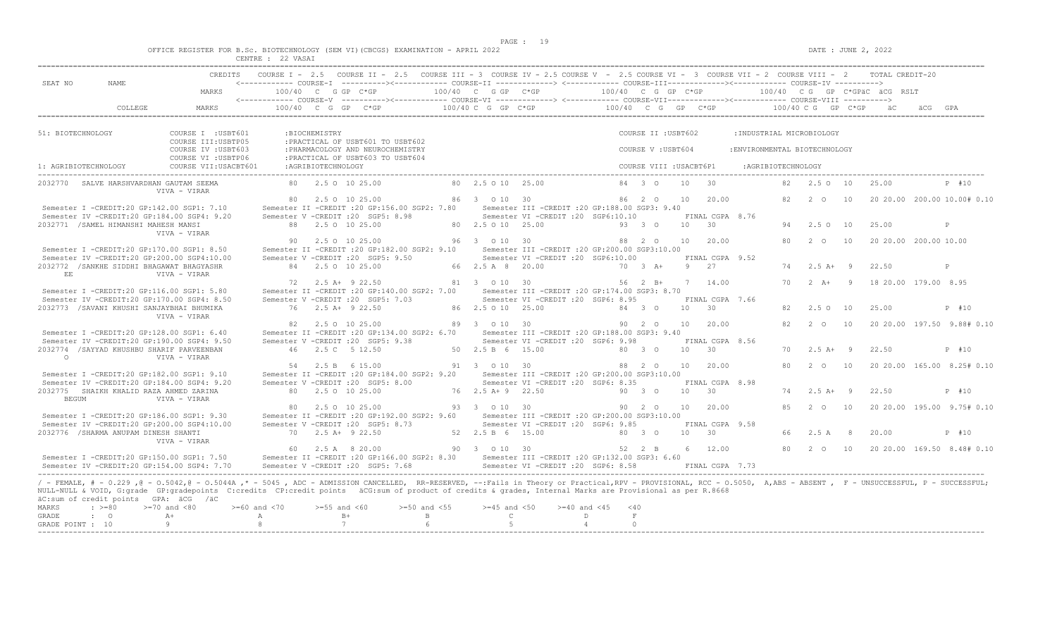$DATA: JUNE 2, 2022$ 

|  |  |  |                   |  | OFFICE REGISTER FOR B.Sc. BIOTECHNOLOGY (SEM VI)(CBCGS) EXAMINATION - APRIL 2022 |  |  |
|--|--|--|-------------------|--|----------------------------------------------------------------------------------|--|--|
|  |  |  | CENTRE : 22 VASAT |  |                                                                                  |  |  |

| SEAT NO               | NAME                                  |                                                                                                                                                                                                                                                                                                                                                                                                                         |                                    |                     | COURSE I - 2.5 COURSE II - 2.5 COURSE III - 3 COURSE IV - 2.5 COURSE V - 2.5 COURSE VI - 3 COURSE VII - 2 COURSE VIII - 2 TOTAL CREDIT-20                                                                                                                                                                                                                                                                                                              |                                  |                                  |                                                                                          |                    |                         |                         |                             |                               |    |                     |                       |                                                       |
|-----------------------|---------------------------------------|-------------------------------------------------------------------------------------------------------------------------------------------------------------------------------------------------------------------------------------------------------------------------------------------------------------------------------------------------------------------------------------------------------------------------|------------------------------------|---------------------|--------------------------------------------------------------------------------------------------------------------------------------------------------------------------------------------------------------------------------------------------------------------------------------------------------------------------------------------------------------------------------------------------------------------------------------------------------|----------------------------------|----------------------------------|------------------------------------------------------------------------------------------|--------------------|-------------------------|-------------------------|-----------------------------|-------------------------------|----|---------------------|-----------------------|-------------------------------------------------------|
|                       |                                       | MARKS                                                                                                                                                                                                                                                                                                                                                                                                                   |                                    |                     | $100/40$ C G GP C*GP $100/40$ C G GP C*GP $100/40$ C G GP C*GP $\overline{AC}$ RSLT $\overline{AC}$ $-$                                                                                                                                                                                                                                                                                                                                                |                                  |                                  |                                                                                          |                    |                         |                         |                             |                               |    |                     |                       |                                                       |
|                       | COLLEGE                               | MARKS                                                                                                                                                                                                                                                                                                                                                                                                                   |                                    |                     | $100/40 \quad C \quad G \quad GP \qquad C \star GP \qquad 100/40 \quad C \quad G \quad GP \qquad 100/40 \qquad C \quad G \quad GP \qquad 100/40 \qquad C \quad G \quad P \quad C \star GP \qquad 100/40 \qquad C \quad G \quad CP \quad 100/40 \qquad C \quad F \quad 100/40 \qquad C \quad F \quad 100/40 \qquad C \quad F \quad 100/40 \qquad C \quad F \quad 100/40 \qquad C \quad F \quad 100/40 \qquad C \quad F \quad 100/40 \qquad C \quad F \$ |                                  |                                  |                                                                                          |                    |                         |                         |                             |                               |    |                     |                       |                                                       |
| 51: BIOTECHNOLOGY     |                                       | COURSE I : USBT601<br>COURSE III: USBTP05                                                                                                                                                                                                                                                                                                                                                                               |                                    | :BIOCHEMISTRY       | : PRACTICAL OF USBT601 TO USBT602                                                                                                                                                                                                                                                                                                                                                                                                                      |                                  |                                  |                                                                                          |                    | COURSE II : USBT602     |                         |                             | : INDUSTRIAL MICROBIOLOGY     |    |                     |                       |                                                       |
|                       |                                       | COURSE IV : USBT603<br>COURSE VI : USBTP06                                                                                                                                                                                                                                                                                                                                                                              |                                    |                     | : PHARMACOLOGY AND NEUROCHEMISTRY<br>: PRACTICAL OF USBT603 TO USBT604                                                                                                                                                                                                                                                                                                                                                                                 |                                  |                                  |                                                                                          |                    | COURSE V: USBT604       |                         |                             | : ENVIRONMENTAL BIOTECHNOLOGY |    |                     |                       |                                                       |
| 1: AGRIBIOTECHNOLOGY  |                                       | COURSE VII: USACBT601                                                                                                                                                                                                                                                                                                                                                                                                   |                                    | : AGRIBIOTECHNOLOGY |                                                                                                                                                                                                                                                                                                                                                                                                                                                        |                                  |                                  |                                                                                          |                    | COURSE VIII : USACBT6P1 |                         |                             | :AGRIBIOTECHNOLOGY            |    |                     |                       |                                                       |
|                       |                                       | 2032770 SALVE HARSHVARDHAN GAUTAM SEEMA<br>VIVA - VIRAR                                                                                                                                                                                                                                                                                                                                                                 |                                    |                     | 80 2.5 0 10 25.00                                                                                                                                                                                                                                                                                                                                                                                                                                      | 80 2.5 0 10 25.00                |                                  |                                                                                          |                    | 84    3    0   10   30  |                         |                             |                               |    |                     | 82  2.5  0  10  25.00 | P #10                                                 |
|                       |                                       | Semester I -CREDIT:20 GP:142.00 SGP1: 7.10                                                                                                                                                                                                                                                                                                                                                                              |                                    |                     | 80 2.5 0 10 25.00<br>Semester II -CREDIT :20 GP:156.00 SGP2: 7.80 Semester III -CREDIT :20 GP:188.00 SGP3: 9.40                                                                                                                                                                                                                                                                                                                                        |                                  |                                  | 86 3 0 10 30 0 86 2 0 10 20.00                                                           |                    |                         |                         |                             |                               |    |                     |                       | 82   2   0   10   20   20.00   200.00   10.00#   0.10 |
|                       | 2032771 / SAMEL HIMANSHI MAHESH MANSI | Semester IV -CREDIT:20 GP:184.00 SGP4: 9.20                                                                                                                                                                                                                                                                                                                                                                             |                                    |                     | Semester V -CREDIT : 20 SGP5: 8.98<br>88 2.5 0 10 25.00                                                                                                                                                                                                                                                                                                                                                                                                | 80 2.5 0 10 25.00                |                                  | Semester VI -CREDIT :20 SGP6:10.10                                                       | $93 \t30$          |                         | 10 30                   | FINAL CGPA 8.76             |                               |    | 94 2.5 0 10         | 25.00                 | P                                                     |
|                       |                                       | VIVA - VIRAR                                                                                                                                                                                                                                                                                                                                                                                                            |                                    |                     | 90 2.5 0 10 25.00                                                                                                                                                                                                                                                                                                                                                                                                                                      | 96 3 0 10 30                     |                                  |                                                                                          | 88 2 0 10 20.00    |                         |                         |                             |                               | 80 | 2 0 10              |                       | 20 20.00 200.00 10.00                                 |
|                       |                                       | Semester I -CREDIT:20 GP:170.00 SGP1: 8.50<br>Semester IV -CREDIT:20 GP:200.00 SGP4:10.00<br>2032772 / SANKHE SIDDHI BHAGAWAT BHAGYASHR                                                                                                                                                                                                                                                                                 |                                    |                     | Semester II -CREDIT : 20 GP:182.00 SGP2: 9.10<br>Semester V - CREDIT : 20 SGP5: 9.50<br>84 2.5 0 10 25.00                                                                                                                                                                                                                                                                                                                                              |                                  | 66 2.5 A 8 20.00                 | Semester III -CREDIT :20 GP:200.00 SGP3:10.00<br>Semester VI -CREDIT :20 SGP6:10.00      |                    | 70 3 A+                 | FINAL CGPA 9.52<br>9 27 |                             |                               |    | 74 2.5 A+ 9         | 22.50                 | P                                                     |
| EE                    |                                       | VIVA - VIRAR                                                                                                                                                                                                                                                                                                                                                                                                            |                                    |                     | 72 2.5 A+ 9 22.50                                                                                                                                                                                                                                                                                                                                                                                                                                      |                                  | 81 3 0 10 30                     |                                                                                          |                    | 56 2 B+ 7 14.00         |                         |                             |                               |    |                     |                       | 70  2  A+  9  18  20.00  179.00  8.95                 |
|                       |                                       | Semester I -CREDIT:20 GP:116.00 SGP1: 5.80<br>Semester IV -CREDIT:20 GP:170.00 SGP4: 8.50                                                                                                                                                                                                                                                                                                                               |                                    |                     | Semester II -CREDIT :20 GP:140.00 SGP2: 7.00<br>Semester V -CREDIT : 20 SGP5: 7.03                                                                                                                                                                                                                                                                                                                                                                     |                                  |                                  | Semester III - CREDIT : 20 GP: 174.00 SGP3: 8.70<br>Semester VI -CREDIT : 20 SGP6: 8.95  |                    |                         |                         | FINAL CGPA 7.66             |                               |    |                     |                       |                                                       |
|                       |                                       | 2032773 /SAVANI KHUSHI SANJAYBHAI BHUMIKA<br>VIVA - VIRAR                                                                                                                                                                                                                                                                                                                                                               |                                    |                     | 76 2.5 A+ 9 22.50                                                                                                                                                                                                                                                                                                                                                                                                                                      |                                  | 86 2.5 0 10 25.00                |                                                                                          | 84 3 0             |                         | 10 30                   |                             |                               |    | 82 2.5 0 10         | 25.00                 | P #10                                                 |
|                       |                                       | Semester I -CREDIT:20 GP:128.00 SGP1: 6.40<br>Semester IV -CREDIT:20 GP:190.00 SGP4: 9.50                                                                                                                                                                                                                                                                                                                               |                                    |                     | 82 2.5 0 10 25.00<br>Semester II -CREDIT : 20 GP:134.00 SGP2: 6.70 Semester III -CREDIT : 20 GP:188.00 SGP3: 9.40<br>Semester V -CREDIT : 20 SGP5: 9.38                                                                                                                                                                                                                                                                                                | 89 3 0 10 30                     |                                  | Semester VI - CREDIT : 20 SGP6: 9.98                                                     |                    | 90  2  0  10  20.00     |                         | FINAL CGPA 8.56             |                               |    |                     |                       | 82   2   0   10   20   20   00   197.50   9.88#  0.10 |
| $\Omega$              |                                       | 2032774 / SAYYAD KHUSHBU SHARIF PARVEENBAN<br>VIVA - VIRAR                                                                                                                                                                                                                                                                                                                                                              |                                    |                     | 46 2.5 C 5 12.50                                                                                                                                                                                                                                                                                                                                                                                                                                       | 50 2.5 B 6 15.00                 |                                  |                                                                                          | $80\quad 3\quad 0$ |                         | 10 30                   |                             |                               |    | $70 \t 2.5 \t A+ 9$ | 22.50                 | P #10                                                 |
|                       |                                       | Semester I -CREDIT:20 GP:182.00 SGP1: 9.10<br>Semester IV -CREDIT:20 GP:184.00 SGP4: 9.20                                                                                                                                                                                                                                                                                                                               |                                    |                     | 54 2.5 B 6 15.00<br>Semester II -CREDIT : 20 GP:184.00 SGP2: 9.20 Semester III -CREDIT : 20 GP:200.00 SGP3:10.00<br>Semester V -CREDIT : 20 SGP5: 8.00                                                                                                                                                                                                                                                                                                 | 91 3 0 10 30                     |                                  | Semester VI -CREDIT :20 SGP6: 8.35                                                       |                    | 88  2  0  10  20.00     |                         | FINAL CGPA 8.98             |                               | 80 | 2 0 10              |                       | 20 20.00 165.00 8.25# 0.10                            |
| <b>BEGUM</b>          |                                       | 2032775 SHAIKH KHALID RAZA AHMED ZARINA<br>VIVA - VIRAR                                                                                                                                                                                                                                                                                                                                                                 |                                    |                     | 80 2.5 0 10 25.00                                                                                                                                                                                                                                                                                                                                                                                                                                      |                                  | 76 2.5 A + 9 22.50               |                                                                                          |                    | 90 3 0                  | 10 30                   |                             |                               |    | 74 2.5 A+ 9         | 22.50                 | P #10                                                 |
|                       |                                       | Semester I -CREDIT:20 GP:186.00 SGP1: 9.30<br>Semester IV -CREDIT:20 GP:200.00 SGP4:10.00                                                                                                                                                                                                                                                                                                                               |                                    |                     | 80 2.5 0 10 25.00<br>Semester II -CREDIT : 20 GP: 192.00 SGP2: 9.60<br>Semester V -CREDIT : 20 SGP5: 8.73                                                                                                                                                                                                                                                                                                                                              |                                  | 93 3 0 10 30                     | Semester III -CREDIT : 20 GP: 200.00 SGP3: 10.00<br>Semester VI - CREDIT : 20 SGP6: 9.85 |                    | 90 2 0                  |                         | 10 20.00<br>FINAL CGPA 9.58 |                               |    | 85 2 0 10           |                       | 20 20.00 195.00 9.75# 0.10                            |
|                       | 2032776 / SHARMA ANUPAM DINESH SHANTI | VIVA - VIRAR                                                                                                                                                                                                                                                                                                                                                                                                            |                                    |                     | 70 2.5 A+ 9 22.50                                                                                                                                                                                                                                                                                                                                                                                                                                      |                                  | 52 2.5 B 6 15.00                 |                                                                                          | 80 3 0 10 30       |                         |                         |                             |                               | 66 | $2.5 A$ 8           | 20.00                 | P #10                                                 |
|                       |                                       | Semester I -CREDIT:20 GP:150.00 SGP1: 7.50<br>Semester IV -CREDIT:20 GP:154.00 SGP4: 7.70                                                                                                                                                                                                                                                                                                                               |                                    |                     | 60 2.5 A 8 20.00<br>Semester II -CREDIT :20 GP:166.00 SGP2: 8.30 Semester III -CREDIT :20 GP:132.00 SGP3: 6.60<br>Semester V -CREDIT : 20 SGP5: 7.68                                                                                                                                                                                                                                                                                                   | 90 3 0 10 30                     |                                  | Semester VI -CREDIT : 20 SGP6: 8.58                                                      |                    | 52 2 B                  | FINAL CGPA 7.73         | 6 12.00                     |                               |    |                     |                       | 80  2  0  10  20  20  00  169  50  8.48#  0.10        |
|                       |                                       | / - FEMALE, # - 0.229, @ - 0.5042, @ - 0.5044A,* - 5045, ADC - ADMISSION CANCELLED, RR-RESERVED, --:Fails in Theory or Practical,RPV - PROVISIONAL, RCC - 0.5050, A,ABS - ABSENT, F - UNSUCCESSFUL, P - SUCCESSFUL;<br>NULL-NULL & VOID, G:grade GP:gradepoints C:credits CP:credit points äCG:sum of product of credits & grades, Internal Marks are Provisional as per R.8668<br>äC:sum of credit points GPA: äCG /äC |                                    |                     |                                                                                                                                                                                                                                                                                                                                                                                                                                                        |                                  |                                  |                                                                                          |                    |                         |                         |                             |                               |    |                     |                       |                                                       |
| <b>MARKS</b><br>GRADE | $: z = 80$<br>$\cdot$ $\cdot$ $\circ$ | $>=70$ and $<80$<br>$A+$                                                                                                                                                                                                                                                                                                                                                                                                | $>= 60$ and $< 70$<br>$\mathbb{A}$ |                     | $>=55$ and $<60$<br>$B+$                                                                                                                                                                                                                                                                                                                                                                                                                               | $>=50$ and $<55$<br>$\mathbf{B}$ | $>=45$ and $<50$<br>$\mathbb{C}$ | $>= 40$ and $< 45$                                                                       | < 40<br>D          | F                       |                         |                             |                               |    |                     |                       |                                                       |
| GRADE POINT : 10      |                                       | -9                                                                                                                                                                                                                                                                                                                                                                                                                      | 8                                  |                     | 7                                                                                                                                                                                                                                                                                                                                                                                                                                                      | 6                                | -5                               |                                                                                          | $\overline{4}$     | $\circ$                 |                         |                             |                               |    |                     |                       |                                                       |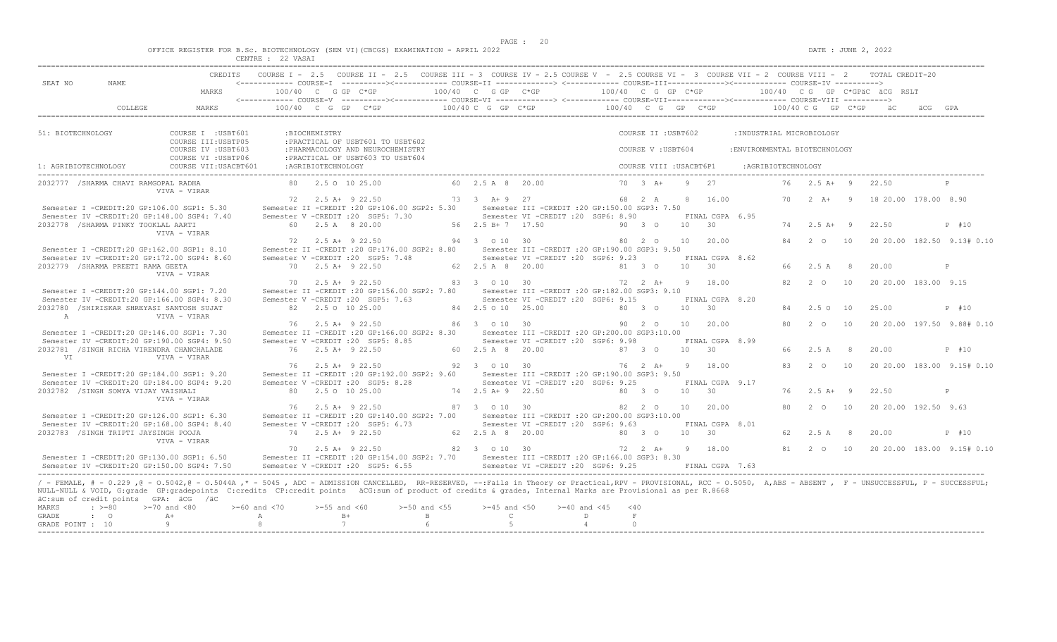$DATA: JUNE 2, 2022$ 

|  |  |  |                   |  | OFFICE REGISTER FOR B.Sc. BIOTECHNOLOGY (SEM VI)(CBCGS) EXAMINATION - APRIL 2022 |  |  |
|--|--|--|-------------------|--|----------------------------------------------------------------------------------|--|--|
|  |  |  | CENTRE : 22 VASAT |  |                                                                                  |  |  |

|                                           |                                       | CREDITS                                                                                                                                                                                                                                                                                                                                                                                                                                                                     |                   |                              |           |                                                                                      |                    |                  |                                        | COURSE I - 2.5 COURSE II - 2.5 COURSE III - 3 COURSE IV - 2.5 COURSE V - 2.5 COURSE VII - 3 COURSE VII - 2 COURSE VIII - 2 TOTAL CREDIT-20       |              |                      |                         |       |                               |                               |                    |              |    |                                                  |                            |
|-------------------------------------------|---------------------------------------|-----------------------------------------------------------------------------------------------------------------------------------------------------------------------------------------------------------------------------------------------------------------------------------------------------------------------------------------------------------------------------------------------------------------------------------------------------------------------------|-------------------|------------------------------|-----------|--------------------------------------------------------------------------------------|--------------------|------------------|----------------------------------------|--------------------------------------------------------------------------------------------------------------------------------------------------|--------------|----------------------|-------------------------|-------|-------------------------------|-------------------------------|--------------------|--------------|----|--------------------------------------------------|----------------------------|
| SEAT NO                                   | NAME.                                 | MARKS                                                                                                                                                                                                                                                                                                                                                                                                                                                                       |                   |                              |           |                                                                                      |                    |                  |                                        | <------------ COURSE-I ----------><----------- COURSE-II --------------> <------------ COURSE-III------------><----------> COURSE-IV ----------> |              |                      |                         |       |                               |                               |                    |              |    |                                                  |                            |
|                                           | COLLEGE                               | <b>MARKS</b>                                                                                                                                                                                                                                                                                                                                                                                                                                                                |                   |                              |           |                                                                                      |                    |                  |                                        | 100/40 C G GP C*GP $100/40$ C G GP C*GP $100/40$ C G GP C*GP $100/40$ C G GP C*GP $100/40$ C G GP C*GP $\alpha$                                  |              |                      |                         |       |                               |                               |                    |              |    |                                                  |                            |
| 51: BIOTECHNOLOGY                         |                                       | COURSE I : USBT601<br>COURSE III: USBTP05                                                                                                                                                                                                                                                                                                                                                                                                                                   |                   | :BIOCHEMISTRY                |           | : PRACTICAL OF USBT601 TO USBT602                                                    |                    |                  |                                        |                                                                                                                                                  |              |                      | COURSE II : USBT602     |       |                               | :INDUSTRIAL MICROBIOLOGY      |                    |              |    |                                                  |                            |
|                                           |                                       | COURSE IV : USBT603<br>COURSE VI : USBTP06                                                                                                                                                                                                                                                                                                                                                                                                                                  |                   |                              |           | : PHARMACOLOGY AND NEUROCHEMISTRY<br>: PRACTICAL OF USBT603 TO USBT604               |                    |                  |                                        |                                                                                                                                                  |              |                      | COURSE V: USBT604       |       |                               | : ENVIRONMENTAL BIOTECHNOLOGY |                    |              |    |                                                  |                            |
| 1: AGRIBIOTECHNOLOGY                      |                                       | COURSE VII: USACBT601                                                                                                                                                                                                                                                                                                                                                                                                                                                       |                   | :AGRIBIOTECHNOLOGY           |           |                                                                                      |                    |                  |                                        |                                                                                                                                                  |              |                      | COURSE VIII : USACBT6P1 |       |                               |                               | :AGRIBIOTECHNOLOGY |              |    |                                                  |                            |
|                                           | 2032777 / SHARMA CHAVI RAMGOPAL RADHA | VIVA - VIRAR                                                                                                                                                                                                                                                                                                                                                                                                                                                                |                   | 80 2.5 0 10 25.00            |           |                                                                                      |                    | 60 2.5 A 8 20.00 |                                        |                                                                                                                                                  |              |                      | 70 3 A+ 9 27            |       |                               |                               |                    |              |    | 76  2.5 A + 9  22.50                             | P                          |
|                                           |                                       | Semester I -CREDIT:20 GP:106.00 SGP1: 5.30                                                                                                                                                                                                                                                                                                                                                                                                                                  |                   |                              |           |                                                                                      |                    |                  |                                        | 72  2.5 A+  9  22.50  73  3  A+  9  27  68  2  A<br>Semester II -CREDIT :20 GP:106.00 SGP2: 5.30 Semester III -CREDIT :20 GP:150.00 SGP3: 7.50   |              |                      |                         |       |                               | 8 16.00                       |                    |              |    | 70  2  A+  9  18  20.00  178.00  8.90            |                            |
|                                           | 2032778 /SHARMA PINKY TOOKLAL AARTI   | Semester IV -CREDIT:20 GP:148.00 SGP4: 7.40<br>VIVA - VIRAR                                                                                                                                                                                                                                                                                                                                                                                                                 |                   | 60 2.5 A 8 20.00             |           | Semester V - CREDIT : 20 SGP5: 7.30                                                  | 56 2.5 B + 7 17.50 |                  |                                        | Semester VI - CREDIT : 20 SGP6: 8.90                                                                                                             | 5 90 3 0     |                      |                         | 10 30 | FINAL CGPA 6.95               |                               | $74$ 2.5 A+ 9      |              |    | 22.50                                            | P #10                      |
|                                           |                                       | Semester I -CREDIT:20 GP:162.00 SGP1: 8.10                                                                                                                                                                                                                                                                                                                                                                                                                                  |                   | $72 \t 2.5 \t A+ 9 \t 22.50$ |           | Semester II -CREDIT : 20 GP: 176.00 SGP2: 8.80                                       | 94 3 0 10 30       |                  |                                        | Semester III -CREDIT :20 GP:190.00 SGP3: 9.50                                                                                                    |              |                      |                         |       | 80  2  0  10  20.00           |                               | 84                 | $2\degree$ 0 | 10 |                                                  | 20 20.00 182.50 9.13# 0.10 |
|                                           | 2032779 / SHARMA PREETI RAMA GEETA    | Semester IV -CREDIT:20 GP:172.00 SGP4: 8.60<br>VIVA - VIRAR                                                                                                                                                                                                                                                                                                                                                                                                                 |                   | 70 2.5 A+ 9 22.50            |           | Semester V -CREDIT : 20 SGP5: 7.48                                                   | 62 2.5 A 8 20.00   |                  |                                        | Semester VI -CREDIT : 20 SGP6: 9.23                                                                                                              | 81 3 0       |                      |                         | 10 30 | FINAL CGPA 8.62               |                               | 66                 | $2.5 A$ 8    |    | 20.00                                            | P                          |
|                                           |                                       | Semester I -CREDIT:20 GP:144.00 SGP1: 7.20                                                                                                                                                                                                                                                                                                                                                                                                                                  |                   | 70 2.5 A+ 9 22.50            |           | Semester II -CREDIT :20 GP:156.00 SGP2: 7.80                                         | 83 3 0 10 30       |                  |                                        | 72 2 A+ 9 18.00<br>Semester III -CREDIT : 20 GP: 182.00 SGP3: 9.10                                                                               |              |                      |                         |       |                               |                               |                    | 82  2  0  10 |    | 20 20.00 183.00 9.15                             |                            |
|                                           |                                       | Semester IV -CREDIT:20 GP:166.00 SGP4: 8.30<br>2032780 / SHIRISKAR SHREYASI SANTOSH SUJAT                                                                                                                                                                                                                                                                                                                                                                                   |                   | 82 2.5 0 10 25.00            |           | Semester V -CREDIT : 20 SGP5: 7.63                                                   |                    |                  |                                        | Semester VI -CREDIT : 20 SGP6: 9.15<br>84  2.5  0  10  25.00   80   3   0                                                                        |              |                      |                         | 10 30 | FINAL CGPA 8.20               |                               |                    | 84 2.5 0 10  |    | 25.00                                            | P #10                      |
| $\overline{A}$                            |                                       | VIVA - VIRAR<br>Semester I -CREDIT:20 GP:146.00 SGP1: 7.30                                                                                                                                                                                                                                                                                                                                                                                                                  |                   | 76 2.5 A+ 9 22.50            |           |                                                                                      |                    | 86 3 0 10 30     |                                        | Semester II -CREDIT :20 GP:166.00 SGP2: 8.30 Semester III -CREDIT :20 GP:200.00 SGP3:10.00                                                       |              |                      |                         |       | 90  2  0  10  20.00           |                               |                    | 80 2 0 10    |    |                                                  | 20 20.00 197.50 9.88# 0.10 |
|                                           |                                       | Semester IV -CREDIT:20 GP:190.00 SGP4: 9.50<br>2032781 /SINGH RICHA VIRENDRA CHANCHALADE                                                                                                                                                                                                                                                                                                                                                                                    |                   | 76 2.5 A+ 9 22.50            |           | Semester V -CREDIT : 20 SGP5: 8.85                                                   | 60 2.5 A 8 20.00   |                  |                                        | Semester VI -CREDIT : 20 SGP6: 9.98                                                                                                              | 87 3 0       |                      |                         |       | FINAL CGPA 8.99<br>$10 \t 30$ |                               |                    | 66 2.5 A     | 8  | 20.00                                            | P #10                      |
| VI                                        |                                       | VIVA - VIRAR                                                                                                                                                                                                                                                                                                                                                                                                                                                                |                   | 76 2.5 A+ 9 22.50            |           |                                                                                      | 92 3 0 10 30       |                  |                                        | 76 2 A+ 9 18.00                                                                                                                                  |              |                      |                         |       |                               |                               | 83                 | 2 0          | 10 |                                                  | 20 20.00 183.00 9.15# 0.10 |
|                                           | 2032782 /SINGH SOMYA VIJAY VAISHALI   | Semester I -CREDIT:20 GP:184.00 SGP1: 9.20<br>Semester IV -CREDIT:20 GP:184.00 SGP4: 9.20                                                                                                                                                                                                                                                                                                                                                                                   |                   | 80 2.5 0 10 25.00            |           | Semester II -CREDIT : 20 GP: 192.00 SGP2: 9.60<br>Semester V -CREDIT : 20 SGP5: 8.28 | 74 2.5 A + 9 22.50 |                  |                                        | Semester III - CREDIT : 20 GP: 190.00 SGP3: 9.50<br>Semester VI -CREDIT :20 SGP6: 9.25                                                           |              | 80 3 0               |                         | 10 30 | FINAL CGPA 9.17               |                               | 76                 | $2.5$ A+ 9   |    | 22.50                                            | P                          |
|                                           |                                       | VIVA - VIRAR                                                                                                                                                                                                                                                                                                                                                                                                                                                                |                   | 76 2.5 A+ 9 22.50            |           |                                                                                      |                    | 87 3 0 10 30     |                                        |                                                                                                                                                  |              |                      |                         |       | 82  2  0  10  20.00           |                               |                    | 80  2  0  10 |    | 20 20.00 192.50 9.63                             |                            |
|                                           | 2032783 /SINGH TRIPTI JAYSINGH POOJA  | Semester I -CREDIT:20 GP:126.00 SGP1: 6.30<br>Semester IV -CREDIT:20 GP:168.00 SGP4: 8.40                                                                                                                                                                                                                                                                                                                                                                                   |                   | 74 2.5 A+ 9 22.50            |           | Semester II -CREDIT : 20 GP:140.00 SGP2: 7.00<br>Semester V -CREDIT : 20 SGP5: 6.73  | 62 2.5 A 8 20.00   |                  |                                        | Semester III -CREDIT :20 GP:200.00 SGP3:10.00<br>Semester VI -CREDIT : 20 SGP6: 9.63                                                             | 80 3 0 10 30 |                      |                         |       | FINAL CGPA 8.01               |                               | 62                 | $2.5 A$ 8    |    | 20.00                                            | P #10                      |
|                                           |                                       | VIVA - VIRAR<br>Semester I -CREDIT:20 GP:130.00 SGP1: 6.50                                                                                                                                                                                                                                                                                                                                                                                                                  |                   | 70 2.5 A+ 9 22.50            |           |                                                                                      | 82 3 0 10 30       |                  |                                        | 72 2 A+ 9 18.00<br>Semester II -CREDIT :20 GP:154.00 SGP2: 7.70 Semester III -CREDIT :20 GP:166.00 SGP3: 8.30                                    |              |                      |                         |       |                               |                               |                    |              |    | 81  2  0  10  20  20  00  183  00  9  15#  0  10 |                            |
|                                           |                                       | Semester IV -CREDIT:20 GP:150.00 SGP4: 7.50<br>/ - FEMALE, # - 0.229 ,0 - 0.5042,0 - 0.5044A ,* - 5045 , ADC - ADMISSION CANCELLED, RR-RESERVED, --: Fails in Theory or Practical, RPV - PROVISIONAL, RCC - 0.5050, A, ABS - ABSENT , F - UNSUCCESSFUL, P - SUCCESSFUL;<br>NULL-NULL & VOID, G:grade GP:gradepoints C:credits CP:credit points äCG:sum of product of credits & grades, Internal Marks are Provisional as per R.8668<br>äC:sum of credit points GPA: äCG /äC |                   |                              |           | Semester V -CREDIT : 20 SGP5: 6.55                                                   |                    |                  |                                        | Semester VI - CREDIT : 20 SGP6: 9.25                                                                                                             |              |                      |                         |       | FINAL CGPA 7.63               |                               |                    |              |    |                                                  |                            |
| <b>MARKS</b><br>GRADE<br>GRADE POINT : 10 | $\div$ >=80<br>$\cdot$ 0              | $>=70$ and $<80$<br>$>=60$ and $<70$<br>$A+$<br>- 9                                                                                                                                                                                                                                                                                                                                                                                                                         | $\mathbb{A}$<br>8 | $>=55$ and $<60$             | $B+$<br>7 | $>=50$ and $<55$<br>$\mathbf{B}$<br>6                                                |                    |                  | $>=45$ and $<50$<br>$\mathbb{C}$<br>-5 | $>=40$ and $<45$<br>D<br>$\overline{4}$                                                                                                          |              | < 40<br>F<br>$\circ$ |                         |       |                               |                               |                    |              |    |                                                  |                            |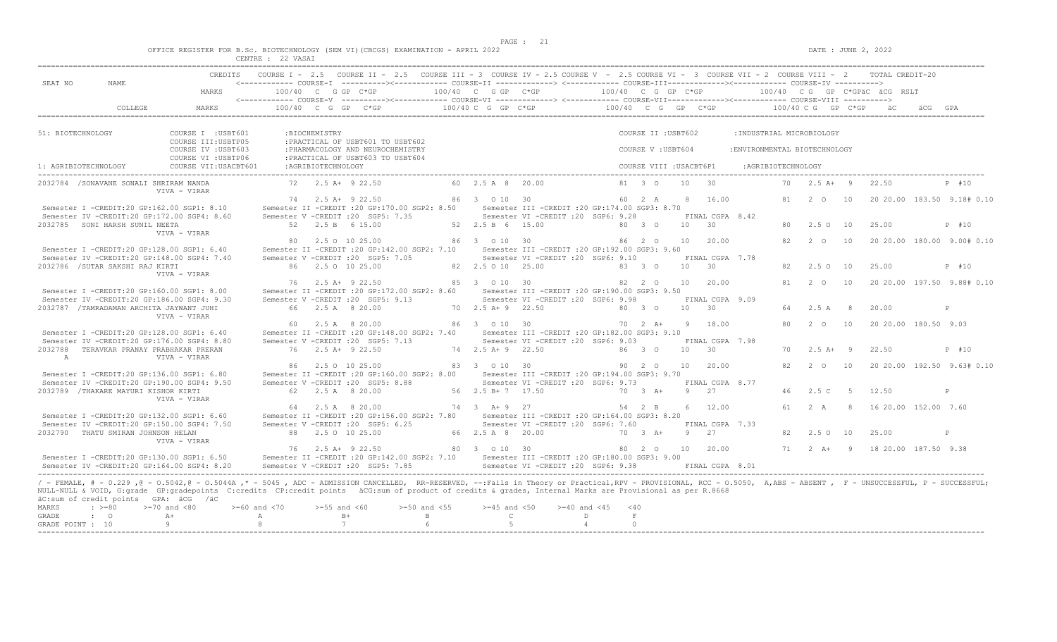$DATA: JUNE 2, 2022$ 

|  |  |                                | OFFICE REGISTER FOR B.Sc. BIOTECHNOLOGY (SEM VI)(CBCGS) EXAMINATION - APRIL 2022 |  |  |  |
|--|--|--------------------------------|----------------------------------------------------------------------------------|--|--|--|
|  |  | Charles & March Street, Street | $\wedge$ $\wedge$ $\cdots$ $\wedge$ $\wedge$ $\cdots$                            |  |  |  |

|                                          | MARKS                                                    |    |                    | 100/40 C G GP C*GP                                       | 100/40 C G GP C*GP                    |                                                  | 100/40 C G GP C*GP   |                         |                 |                                    |                               |    |                      |      | 100/40 CG GP C*GPÄC ÄCG RSLT |                            |
|------------------------------------------|----------------------------------------------------------|----|--------------------|----------------------------------------------------------|---------------------------------------|--------------------------------------------------|----------------------|-------------------------|-----------------|------------------------------------|-------------------------------|----|----------------------|------|------------------------------|----------------------------|
|                                          |                                                          |    |                    |                                                          |                                       |                                                  |                      |                         |                 |                                    |                               |    |                      |      |                              |                            |
|                                          | COLLEGE<br>MARKS                                         |    |                    | $100/40$ C G GP C*GP                                     | 100/40 C G GP C*GP                    |                                                  | $100/40$ C G GP C*GP |                         |                 |                                    |                               |    | 100/40 C G GP C*GP   |      |                              |                            |
|                                          |                                                          |    |                    |                                                          |                                       |                                                  |                      |                         |                 |                                    |                               |    |                      |      |                              |                            |
| 51: BIOTECHNOLOGY                        | COURSE I : USBT601<br>COURSE III: USBTP05                |    | :BIOCHEMISTRY      | : PRACTICAL OF USBT601 TO USBT602                        |                                       |                                                  |                      | COURSE II : USBT602     |                 |                                    | : INDUSTRIAL MICROBIOLOGY     |    |                      |      |                              |                            |
|                                          | COURSE IV : USBT603                                      |    |                    | : PHARMACOLOGY AND NEUROCHEMISTRY                        |                                       |                                                  |                      | COURSE V: USBT604       |                 |                                    | : ENVIRONMENTAL BIOTECHNOLOGY |    |                      |      |                              |                            |
|                                          | COURSE VI : USBTP06                                      |    |                    | : PRACTICAL OF USBT603 TO USBT604                        |                                       |                                                  |                      |                         |                 |                                    |                               |    |                      |      |                              |                            |
| 1: AGRIBIOTECHNOLOGY                     | COURSE VII: USACBT601                                    |    | :AGRIBIOTECHNOLOGY |                                                          |                                       |                                                  |                      | COURSE VIII : USACBT6P1 |                 |                                    | :AGRIBIOTECHNOLOGY            |    |                      |      |                              |                            |
| 2032784 / SONAVANE SONALI SHRIRAM NANDA  | VIVA - VIRAR                                             |    |                    | $72.5 + 9.2.50$                                          | 60 2.5 A 8 20.00                      |                                                  |                      | 81 3 0                  | 10              | 30                                 |                               |    | $70 \t 2.5 \t A+ 9$  |      | 22.50                        | P #10                      |
|                                          |                                                          |    |                    | 74 2.5 A+ 9 22.50                                        | 86 3 0 10 30                          |                                                  |                      | 60 2 A                  |                 | 8 16.00                            |                               | 81 | $2^{\circ}$ 0        | 10   |                              | 20 20.00 183.50 9.18# 0.10 |
|                                          | Semester I -CREDIT:20 GP:162.00 SGP1: 8.10               |    |                    | Semester II -CREDIT : 20 GP: 170.00 SGP2: 8.50           |                                       | Semester III -CREDIT : 20 GP: 174.00 SGP3: 8.70  |                      |                         |                 |                                    |                               |    |                      |      |                              |                            |
| 2032785 SONI HARSH SUNIL NEETA           | Semester IV -CREDIT:20 GP:172.00 SGP4: 8.60              |    |                    | Semester V -CREDIT : 20 SGP5: 7.35<br>52 2.5 B 6 15.00   | 52 2.5 B 6 15.00                      | Semester VI - CREDIT : 20 SGP6: 9.28             |                      | 80 3 0                  | 10 30           | FINAL CGPA 8.42                    |                               | 80 | 2.5 0 10             |      | 25.00                        | P #10                      |
|                                          | VIVA - VIRAR                                             |    |                    |                                                          |                                       |                                                  |                      |                         |                 |                                    |                               |    |                      |      |                              |                            |
|                                          |                                                          | 80 |                    | 2.5 0 10 25.00                                           | 86 3 0 10 30                          |                                                  |                      | 86 2 0                  |                 | 10 20.00                           |                               | 82 | $2^{\circ}$ 0        | 10   |                              | 20 20.00 180.00 9.00# 0.10 |
|                                          | Semester I -CREDIT:20 GP:128.00 SGP1: 6.40               |    |                    | Semester II -CREDIT : 20 GP:142.00 SGP2: 7.10            |                                       | Semester III -CREDIT : 20 GP: 192.00 SGP3: 9.60  |                      |                         |                 |                                    |                               |    |                      |      |                              |                            |
| 2032786 / SUTAR SAKSHI RAJ KIRTI         | Semester IV -CREDIT:20 GP:148.00 SGP4: 7.40              |    |                    | Semester V -CREDIT : 20 SGP5: 7.05<br>86 2.5 0 10 25.00  | 82  2.5  0  10  25.00                 | Semester VI -CREDIT : 20 SGP6: 9.10              |                      | 83 3 0                  | $10 \t 30$      | FINAL CGPA 7.78                    |                               | 82 | 2.5010               |      | 25.00                        | P #10                      |
|                                          | VIVA - VIRAR                                             |    |                    |                                                          |                                       |                                                  |                      |                         |                 |                                    |                               |    |                      |      |                              |                            |
|                                          |                                                          | 76 |                    | $2.5$ A+ 9 22.50                                         | 85 3 0 10 30                          |                                                  |                      | 82 2 0                  | 10              | 20.00                              |                               | 81 | 2 0                  | 10   |                              | 20 20.00 197.50 9.88# 0.10 |
|                                          | Semester I -CREDIT:20 GP:160.00 SGP1: 8.00               |    |                    | Semester II -CREDIT : 20 GP: 172.00 SGP2: 8.60           |                                       | Semester III -CREDIT :20 GP:190.00 SGP3: 9.50    |                      |                         |                 |                                    |                               |    |                      |      |                              |                            |
| 2032787 /TAMRADAMAN ARCHITA JAYWANT JUHI | Semester IV -CREDIT:20 GP:186.00 SGP4: 9.30              |    |                    | Semester V -CREDIT : 20 SGP5: 9.13<br>66 2.5 A 8 20.00   | 70 2.5 A + 9 22.50                    | Semester VI -CREDIT :20 SGP6: 9.98               |                      | 80 3 0                  | 10 <sup>1</sup> | FINAL CGPA 9.09<br>$\overline{30}$ |                               | 64 | 2.5A                 | 8    | 20.00                        | P                          |
|                                          | VIVA - VIRAR                                             |    |                    |                                                          |                                       |                                                  |                      |                         |                 |                                    |                               |    |                      |      |                              |                            |
|                                          |                                                          |    |                    | 60 2.5 A 8 20.00                                         | 86 3 0 10 30                          |                                                  |                      | 70 2 A+                 |                 | 9 18.00                            |                               | 80 | $2\degree$ 0         | 10   | 20 20.00 180.50 9.03         |                            |
|                                          | Semester I -CREDIT:20 GP:128.00 SGP1: 6.40               |    |                    | Semester II -CREDIT : 20 GP: 148.00 SGP2: 7.40           |                                       | Semester III -CREDIT : 20 GP: 182.00 SGP3: 9.10  |                      |                         |                 |                                    |                               |    |                      |      |                              |                            |
|                                          | Semester IV -CREDIT:20 GP:176.00 SGP4: 8.80              |    |                    | Semester V -CREDIT : 20 SGP5: 7.13<br>76 2.5 A + 9 22.50 | $74$ $2.5$ $\overline{A}$ + 9 $22.50$ | Semester VI - CREDIT : 20 SGP6: 9.03             |                      | $86 \quad 3 \quad 0$    | 10              | FINAL CGPA 7.98<br>30              |                               | 70 | $2.5$ $\lambda +$ 9  |      | 22.50                        | P #10                      |
| A                                        | 2032788 TERAVKAR PRANAY PRABHAKAR PRERAN<br>VIVA - VIRAR |    |                    |                                                          |                                       |                                                  |                      |                         |                 |                                    |                               |    |                      |      |                              |                            |
|                                          |                                                          |    |                    | 86 2.5 0 10 25.00                                        | 83 3 0 10 30                          |                                                  |                      | 90 2 0                  |                 | 10 20.00                           |                               | 82 | $2\degree$ 0         | 10   |                              | 20 20.00 192.50 9.63# 0.10 |
|                                          | Semester I -CREDIT:20 GP:136.00 SGP1: 6.80               |    |                    | Semester II -CREDIT : 20 GP:160.00 SGP2: 8.00            |                                       | Semester III - CREDIT : 20 GP: 194.00 SGP3: 9.70 |                      |                         |                 |                                    |                               |    |                      |      |                              |                            |
|                                          | Semester IV -CREDIT:20 GP:190.00 SGP4: 9.50              |    |                    | Semester V -CREDIT : 20 SGP5: 8.88<br>62 2.5 A 8 20.00   | 56 2.5 B+ 7 17.50                     | Semester VI - CREDIT : 20 SGP6: 9.73             |                      | 70 3 A+                 | - 9             | FINAL CGPA 8.77<br>27              |                               | 46 | 2.5 C                | $-5$ | 12.50                        | P                          |
| 2032789 /THAKARE MAYURI KISHOR KIRTI     | VIVA - VIRAR                                             |    |                    |                                                          |                                       |                                                  |                      |                         |                 |                                    |                               |    |                      |      |                              |                            |
|                                          |                                                          |    |                    | 2.5 A 8 20.00                                            | 74 3 A + 9 27                         |                                                  |                      | 54 2 B                  |                 | 6 12.00                            |                               | 61 | 2 A                  | 8    | 16 20.00 152.00 7.60         |                            |
|                                          | Semester I -CREDIT:20 GP:132.00 SGP1: 6.60               |    |                    | Semester II -CREDIT : 20 GP:156.00 SGP2: 7.80            |                                       | Semester III - CREDIT : 20 GP: 164.00 SGP3: 8.20 |                      |                         |                 |                                    |                               |    |                      |      |                              |                            |
| 2032790 THATU SMIRAN JOHNSON HELAN       | Semester IV -CREDIT:20 GP:150.00 SGP4: 7.50              |    |                    | Semester V -CREDIT :20 SGP5: 6.25<br>88 2.5 0 10 25.00   | 66 2.5 A 8 20.00                      | Semester VI -CREDIT :20 SGP6: 7.60               |                      | 70 3 A+                 | 9 27            | FINAL CGPA 7.33                    |                               | 82 | $2.5^\circ$          | 10   | 25.00                        | $\mathbb{P}$               |
|                                          | VIVA - VIRAR                                             |    |                    |                                                          |                                       |                                                  |                      |                         |                 |                                    |                               |    |                      |      |                              |                            |
|                                          |                                                          |    |                    | 76 2.5 A+ 9 22.50                                        | 80 3 0 10 30                          |                                                  |                      | 80 2 0                  |                 | 10 20.00                           |                               |    | $71 \t 2 \t A+ \t 9$ |      | 18 20.00 187.50 9.38         |                            |
|                                          | Semester I -CREDIT:20 GP:130.00 SGP1: 6.50               |    |                    | Semester II -CREDIT : 20 GP: 142.00 SGP2: 7.10           |                                       | Semester III - CREDIT : 20 GP: 180.00 SGP3: 9.00 |                      |                         |                 |                                    |                               |    |                      |      |                              |                            |
|                                          | Semester IV -CREDIT:20 GP:164.00 SGP4: 8.20              |    |                    | Semester V -CREDIT : 20 SGP5: 7.85                       |                                       | Semester VI -CREDIT : 20 SGP6: 9.38              |                      |                         |                 | FINAL CGPA 8.01                    |                               |    |                      |      |                              |                            |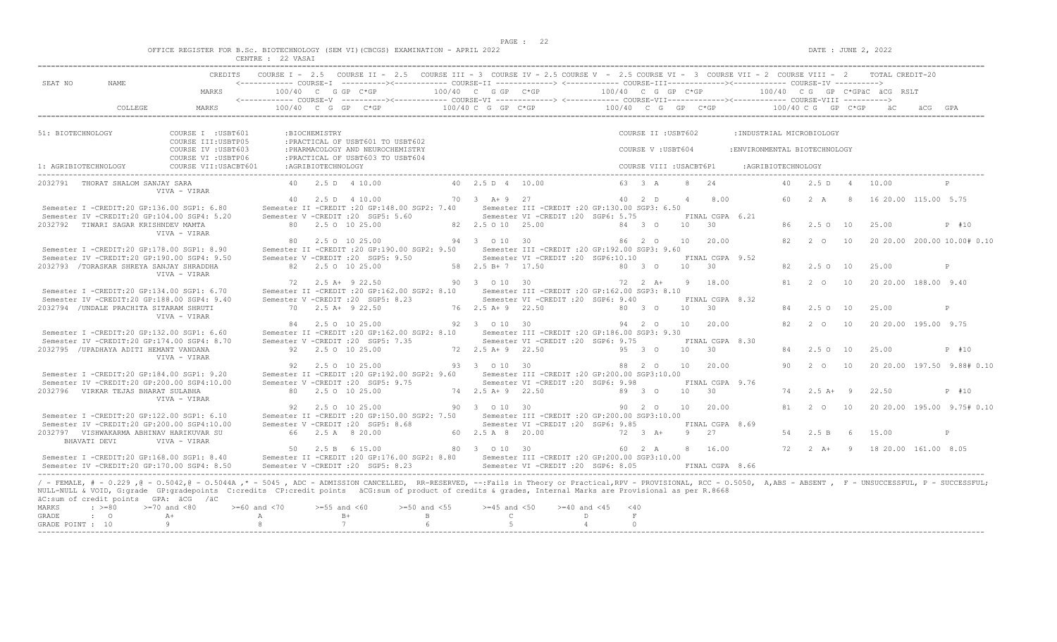$DATA: JUNE 2, 2022$ 

|  |  |                                | OFFICE REGISTER FOR B.Sc. BIOTECHNOLOGY (SEM VI)(CBCGS) EXAMINATION - APRIL 2022 |  |  |  |
|--|--|--------------------------------|----------------------------------------------------------------------------------|--|--|--|
|  |  | Charles & March Street, Street | $\wedge$ $\wedge$ $\cdots$ $\wedge$ $\wedge$ $\cdots$                            |  |  |  |

|                                    |                                                                                           |                                                                                                                                                                                                                                                                                                                                                                                                                   | CENTRE : 22 VASAI                        |                     |                                                                                                                                                 |                    |                                       |                                                                                          |                      |                                           |                 |                            |                                                            |        |                      |                |                                                 |                             |
|------------------------------------|-------------------------------------------------------------------------------------------|-------------------------------------------------------------------------------------------------------------------------------------------------------------------------------------------------------------------------------------------------------------------------------------------------------------------------------------------------------------------------------------------------------------------|------------------------------------------|---------------------|-------------------------------------------------------------------------------------------------------------------------------------------------|--------------------|---------------------------------------|------------------------------------------------------------------------------------------|----------------------|-------------------------------------------|-----------------|----------------------------|------------------------------------------------------------|--------|----------------------|----------------|-------------------------------------------------|-----------------------------|
| SEAT NO                            | NAME                                                                                      | CREDITS<br>MARKS                                                                                                                                                                                                                                                                                                                                                                                                  |                                          |                     | COURSE I - 2.5 COURSE II - 2.5 COURSE III - 3 COURSE IV - 2.5 COURSE V - 2.5 COURSE VI - 3 COURSE VII - 2 COURSE VIII - 2<br>100/40 C G GP C*GP |                    | 100/40 C G GP C*GP                    |                                                                                          | 100/40 C G GP C*GP   |                                           |                 |                            |                                                            |        |                      |                | TOTAL CREDIT-20<br>100/40 CG GP C*GPÄC ÄCG RSLT |                             |
|                                    | COLLEGE                                                                                   | MARKS                                                                                                                                                                                                                                                                                                                                                                                                             |                                          |                     | $100/40$ C G GP C*GP                                                                                                                            |                    | $100/40$ C G GP C*GP                  |                                                                                          | $100/40$ C G GP C*GP |                                           |                 |                            |                                                            |        | $100/40$ C G GP C*GP |                |                                                 |                             |
|                                    |                                                                                           |                                                                                                                                                                                                                                                                                                                                                                                                                   |                                          |                     |                                                                                                                                                 |                    |                                       |                                                                                          |                      |                                           |                 |                            |                                                            |        |                      |                |                                                 |                             |
| 51: BIOTECHNOLOGY                  |                                                                                           | COURSE I : USBT601<br>COURSE III: USBTP05<br>COURSE IV : USBT603                                                                                                                                                                                                                                                                                                                                                  |                                          | :BIOCHEMISTRY       | : PRACTICAL OF USBT601 TO USBT602<br>: PHARMACOLOGY AND NEUROCHEMISTRY                                                                          |                    |                                       |                                                                                          |                      | COURSE II : USBT602<br>COURSE V : USBT604 |                 |                            | : INDUSTRIAL MICROBIOLOGY<br>: ENVIRONMENTAL BIOTECHNOLOGY |        |                      |                |                                                 |                             |
| 1: AGRIBIOTECHNOLOGY               |                                                                                           | COURSE VI : USBTP06<br>COURSE VII: USACBT601                                                                                                                                                                                                                                                                                                                                                                      |                                          | : AGRIBIOTECHNOLOGY | :PRACTICAL OF USBT603 TO USBT604                                                                                                                |                    |                                       |                                                                                          |                      | COURSE VIII : USACBT6P1                   |                 |                            | :AGRIBIOTECHNOLOGY                                         |        |                      |                |                                                 |                             |
|                                    | 2032791 THORAT SHALOM SANJAY SARA                                                         | VIVA - VIRAR                                                                                                                                                                                                                                                                                                                                                                                                      |                                          |                     | 40 2.5 D 4 10.00                                                                                                                                |                    | 40  2.5  D  4  10.00                  |                                                                                          |                      | 63 3 A                                    |                 | 8 24                       |                                                            | $40 -$ | 2.5 D                | $\overline{a}$ | 10.00                                           | $\mathbb{P}$                |
|                                    | Semester I -CREDIT:20 GP:136.00 SGP1: 6.80<br>Semester IV -CREDIT:20 GP:104.00 SGP4: 5.20 |                                                                                                                                                                                                                                                                                                                                                                                                                   |                                          |                     | 40 2.5 D 4 10.00<br>Semester II -CREDIT : 20 GP: 148.00 SGP2: 7.40<br>Semester V -CREDIT : 20 SGP5: 5.60                                        |                    | 70 3 A + 9 27                         | Semester III -CREDIT : 20 GP: 130.00 SGP3: 6.50<br>Semester VI -CREDIT :20 SGP6: 5.75    |                      | 40 2 D                                    | $\overline{4}$  | 8.00<br>FINAL CGPA 6.21    |                                                            | 60     | 2 A                  | 8              | 16 20.00 115.00 5.75                            |                             |
|                                    | 2032792 TIWARI SAGAR KRISHNDEV MAMTA                                                      | VIVA - VIRAR                                                                                                                                                                                                                                                                                                                                                                                                      |                                          |                     | 80 2.5 0 10 25.00                                                                                                                               |                    | 82  2.5  0  10  25.00                 |                                                                                          |                      | 84 3 0                                    | 10              | 30                         |                                                            | 86     | 2.5 0 10             |                | 25.00                                           | P #10                       |
|                                    | Semester I -CREDIT:20 GP:178.00 SGP1: 8.90<br>Semester IV -CREDIT:20 GP:190.00 SGP4: 9.50 |                                                                                                                                                                                                                                                                                                                                                                                                                   | 80.                                      |                     | 2.5 0 10 25.00<br>Semester II -CREDIT : 20 GP: 190.00 SGP2: 9.50<br>Semester V -CREDIT : 20 SGP5: 9.50                                          |                    | 94 3 0 10 30                          | Semester III - CREDIT : 20 GP: 192.00 SGP3: 9.60<br>Semester VI -CREDIT : 20 SGP6:10.10  |                      | 86 2 0                                    | 10              | 20.00<br>FINAL CGPA 9.52   |                                                            | 82     | 2 0                  | 10             |                                                 | 20 20.00 200.00 10.00# 0.10 |
|                                    | 2032793 / TORASKAR SHREYA SANJAY SHRADDHA                                                 | VIVA - VIRAR                                                                                                                                                                                                                                                                                                                                                                                                      |                                          |                     | 82 2.5 0 10 25.00                                                                                                                               |                    | 58 2.5 B+7 17.50                      |                                                                                          |                      | 80 3 0                                    | $10 \t 30$      |                            |                                                            | 82.    | 2.5 0 10             |                | 25.00                                           | P                           |
|                                    | Semester I -CREDIT:20 GP:134.00 SGP1: 6.70<br>Semester IV -CREDIT:20 GP:188.00 SGP4: 9.40 |                                                                                                                                                                                                                                                                                                                                                                                                                   | 72                                       |                     | 2.5 A+ 9 22.50<br>Semester II -CREDIT :20 GP:162.00 SGP2: 8.10<br>Semester V - CREDIT : 20 SGP5: 8.23                                           |                    | 90 3 0 10 30                          | Semester III -CREDIT :20 GP:162.00 SGP3: 8.10<br>Semester VI -CREDIT : 20 SGP6: 9.40     |                      | $72 \t2 \tA+$                             |                 | 9 18.00<br>FINAL CGPA 8.32 |                                                            | 81     | $2^{\circ}$          | 10             | 20 20.00 188.00 9.40                            |                             |
|                                    | 2032794 / UNDALE PRACHITA SITARAM SHRUTI                                                  | VIVA - VIRAR                                                                                                                                                                                                                                                                                                                                                                                                      |                                          |                     | 70 2.5 A+ 9 22.50                                                                                                                               |                    | 76 2.5 A + 9 22.50                    |                                                                                          |                      | 80 3 0                                    | 10 <sup>1</sup> | 30                         |                                                            | 84     | $2.5^\circ$          | 10             | 25.00                                           | P                           |
|                                    | Semester I -CREDIT:20 GP:132.00 SGP1: 6.60<br>Semester IV -CREDIT:20 GP:174.00 SGP4: 8.70 |                                                                                                                                                                                                                                                                                                                                                                                                                   |                                          |                     | 84 2.5 0 10 25.00<br>Semester II -CREDIT : 20 GP: 162.00 SGP2: 8.10<br>Semester V -CREDIT : 20 SGP5: 7.35                                       |                    | 92 3 0 10 30                          | Semester III -CREDIT : 20 GP: 186.00 SGP3: 9.30<br>Semester VI - CREDIT : 20 SGP6: 9.75  |                      | 94 2 0                                    | 10              | 20.00<br>FINAL CGPA 8.30   |                                                            | 82     | $2\degree$ 0         | 10             | 20 20 00 195 00 9.75                            |                             |
|                                    | 2032795 / UPADHAYA ADITI HEMANT VANDANA                                                   | VIVA - VIRAR                                                                                                                                                                                                                                                                                                                                                                                                      |                                          |                     | 92 2.5 0 10 25.00                                                                                                                               |                    | $72, 2.5$ $A + 9$ $22.50$             |                                                                                          |                      | $95 \quad 3 \quad 0$                      | 10              | 30                         |                                                            | 84     | $2.5^\circ$          | 10             | 25.00                                           | P #10                       |
|                                    | Semester I -CREDIT:20 GP:184.00 SGP1: 9.20<br>Semester IV -CREDIT:20 GP:200.00 SGP4:10.00 |                                                                                                                                                                                                                                                                                                                                                                                                                   |                                          |                     | 92 2.5 0 10 25.00<br>Semester II -CREDIT : 20 GP:192.00 SGP2: 9.60<br>Semester V -CREDIT : 20 SGP5: 9.75                                        |                    | 93 3 0 10 30                          | Semester III -CREDIT :20 GP:200.00 SGP3:10.00<br>Semester VI - CREDIT : 20 SGP6: 9.98    |                      | 88 2 0                                    | 10              | 20.00<br>FINAL CGPA 9.76   |                                                            | 90     | 2 0                  | 10             |                                                 | 20 20.00 197.50 9.88# 0.10  |
|                                    | 2032796 VIRKAR TEJAS BHARAT SULABHA                                                       | VIVA - VIRAR                                                                                                                                                                                                                                                                                                                                                                                                      |                                          |                     | 80 2.5 0 10 25.00                                                                                                                               |                    | 74 2.5 A + 9 22.50                    |                                                                                          |                      | 89 3 0                                    | 10              | 30                         |                                                            | 74     | $2.5$ A+ 9           |                | 22.50                                           | P #10                       |
|                                    | Semester I -CREDIT:20 GP:122.00 SGP1: 6.10<br>Semester IV -CREDIT:20 GP:200.00 SGP4:10.00 |                                                                                                                                                                                                                                                                                                                                                                                                                   | 92                                       |                     | 2.5 0 10 25.00<br>Semester II -CREDIT : 20 GP:150.00 SGP2: 7.50<br>Semester V -CREDIT : 20 SGP5: 8.68                                           |                    | 90 3 0 10 30                          | Semester III -CREDIT :20 GP:200.00 SGP3:10.00<br>Semester VI -CREDIT :20 SGP6: 9.85      |                      | 90 2 0                                    | 10              | 20.00<br>FINAL CGPA 8.69   |                                                            | 81     | $2^{\circ}$          | 10             |                                                 | 20 20.00 195.00 9.75# 0.10  |
|                                    | 2032797    VISHWAKARMA ABHINAV HARIKUVAR SU<br>BHAVATI DEVI                               | VIVA - VIRAR                                                                                                                                                                                                                                                                                                                                                                                                      |                                          |                     | 66 2.5 A 8 20.00                                                                                                                                |                    | 60 2.5 A 8 20.00                      |                                                                                          |                      | $72 \t 3 \t A+$                           |                 | 9 27                       |                                                            | 54     | 2.5 B                | - 6            | 15.00                                           | $\mathbb{P}$                |
|                                    | Semester I -CREDIT:20 GP:168.00 SGP1: 8.40<br>Semester IV -CREDIT:20 GP:170.00 SGP4: 8.50 |                                                                                                                                                                                                                                                                                                                                                                                                                   |                                          |                     | 50 2.5 B 6 15.00<br>Semester II -CREDIT : 20 GP: 176.00 SGP2: 8.80<br>Semester V -CREDIT : 20 SGP5: 8.23                                        |                    | 80 3 0 10 30                          | Semester III - CREDIT : 20 GP: 200.00 SGP3: 10.00<br>Semester VI -CREDIT : 20 SGP6: 8.05 |                      | 60 2 A                                    |                 | 8 16.00<br>FINAL CGPA 8.66 |                                                            |        | $72 \t 2 \t A+$      | $\overline{9}$ | 18 20.00 161.00 8.05                            |                             |
| MARKS<br>GRADE<br>GRADE POINT : 10 | äC:sum of credit points GPA: äCG /äC<br>$\cdot$ >=80<br>$\cdot$ 0                         | / - FEMALE, # - 0.229, @ - 0.5042, @ - 0.5044A,* - 5045, ADC - ADMISSION CANCELLED, RR-RESERVED, --:Fails in Theory or Practical,RPV - PROVISIONAL, RCC - 0.5050, A,ABS - ABSENT, F - UNSUCCESSFUL, P - SUCCESSFUL;<br>NULL-NULL & VOID, G:grade GP:gradepoints C:credits CP:credit points äCG:sum of product of credits & grades, Internal Marks are Provisional as per R.8668<br>$>=70$ and $<80$<br>$A +$<br>9 | $>= 60$ and $< 70$<br>$\mathbb{A}$<br>-8 | $>=55$ and $<60$    | $>=50$ and $<55$<br>$B+$<br>7                                                                                                                   | $\mathbf{B}$<br>-6 | $>=45$ and $<50$<br>$\mathbb{C}$<br>5 | $>= 40$ and $< 45$<br>D<br>$\overline{4}$                                                | $<$ 40               | $\,$ F<br>$\Omega$                        |                 |                            |                                                            |        |                      |                |                                                 |                             |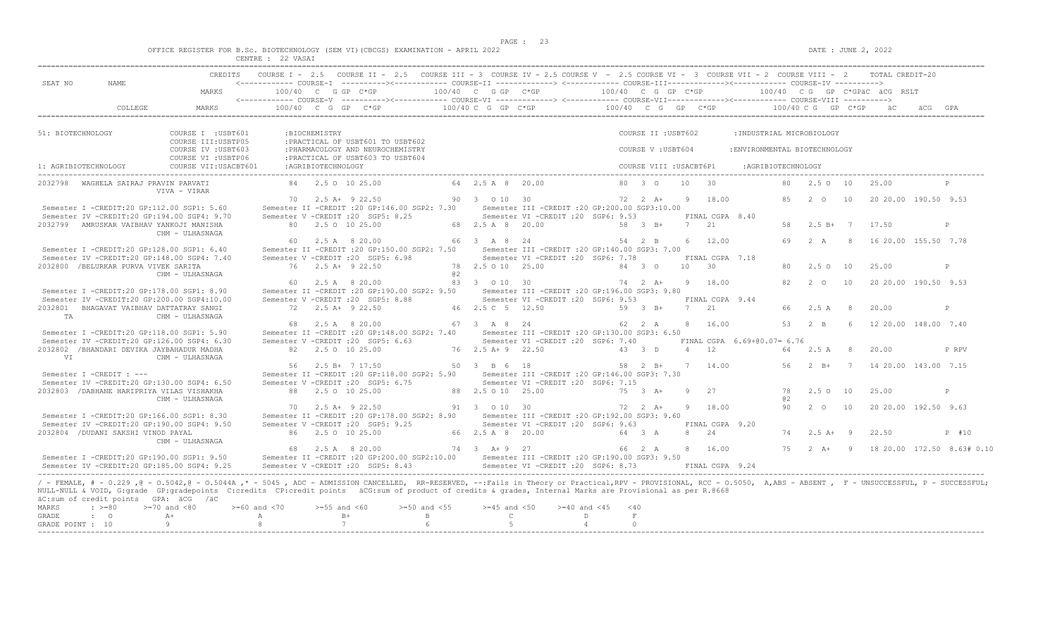$DATA: JUNE 2, 2022$ 

|                                    |                                                                                           |                                                                                                                                                                                                                                                                                                                                                                                                                  | CENTRE : 22 VASAI                        |                    | CREDITS COURSE I - 2.5 COURSE II - 2.5 COURSE III - 3 COURSE IV - 2.5 COURSE V - 2.5 COURSE VI - 3 COURSE VII - 2 COURSE VIII - 2 TOTAL CREDIT-20 |                                       |                                           |                                                                                          |                             |                                           |                       |                            |                                                            |                |                                    |             |                                     |              |
|------------------------------------|-------------------------------------------------------------------------------------------|------------------------------------------------------------------------------------------------------------------------------------------------------------------------------------------------------------------------------------------------------------------------------------------------------------------------------------------------------------------------------------------------------------------|------------------------------------------|--------------------|---------------------------------------------------------------------------------------------------------------------------------------------------|---------------------------------------|-------------------------------------------|------------------------------------------------------------------------------------------|-----------------------------|-------------------------------------------|-----------------------|----------------------------|------------------------------------------------------------|----------------|------------------------------------|-------------|-------------------------------------|--------------|
| SEAT NO                            | NAME                                                                                      | MARKS                                                                                                                                                                                                                                                                                                                                                                                                            | 100/40 C G GP C*GP                       |                    | <------------ COURSE-I ----------><----------- COURSE-II -------------> <------------ COURSE-III-----------><----------- COURSE-IV ---------->    |                                       | 100/40 C G GP C*GP                        |                                                                                          | 100/40 C G GP C*GP          |                                           |                       |                            |                                                            |                |                                    |             | 100/40 CG GP C*GPÄC ÄCG RSLT        |              |
|                                    | COLLEGE                                                                                   | MARKS                                                                                                                                                                                                                                                                                                                                                                                                            |                                          |                    | 100/40 C G GP C*GP                                                                                                                                |                                       | 100/40 C G GP C*GP                        |                                                                                          | 100/40 C G GP C*GP          |                                           |                       |                            |                                                            |                | $100/40$ C G GP C*GP               |             |                                     |              |
|                                    |                                                                                           |                                                                                                                                                                                                                                                                                                                                                                                                                  |                                          |                    |                                                                                                                                                   |                                       |                                           |                                                                                          |                             |                                           |                       |                            |                                                            |                |                                    |             |                                     |              |
| 51: BIOTECHNOLOGY                  |                                                                                           | COURSE I : USBT601<br>COURSE III: USBTP05<br>COURSE IV : USBT603                                                                                                                                                                                                                                                                                                                                                 |                                          | :BIOCHEMISTRY      | : PRACTICAL OF USBT601 TO USBT602<br>: PHARMACOLOGY AND NEUROCHEMISTRY                                                                            |                                       |                                           |                                                                                          |                             | COURSE II : USBT602<br>COURSE V : USBT604 |                       |                            | : INDUSTRIAL MICROBIOLOGY<br>: ENVIRONMENTAL BIOTECHNOLOGY |                |                                    |             |                                     |              |
| 1: AGRIBIOTECHNOLOGY               |                                                                                           | COURSE VI : USBTP06<br>COURSE VII: USACBT601                                                                                                                                                                                                                                                                                                                                                                     |                                          | :AGRIBIOTECHNOLOGY | : PRACTICAL OF USBT603 TO USBT604                                                                                                                 |                                       |                                           |                                                                                          |                             | COURSE VIII : USACBT6P1                   |                       |                            | :AGRIBIOTECHNOLOGY                                         |                |                                    |             |                                     |              |
|                                    | 2032798 WAGHELA SAIRAJ PRAVIN PARVATI                                                     | VIVA - VIRAR                                                                                                                                                                                                                                                                                                                                                                                                     |                                          |                    | 84 2.5 0 10 25.00                                                                                                                                 |                                       | 64 2.5 A 8 20.00                          |                                                                                          |                             | 80 3 0                                    | 10                    | $\overline{30}$            |                                                            | 80             | 2.5010                             |             | 25.00                               | P            |
|                                    | Semester I -CREDIT:20 GP:112.00 SGP1: 5.60                                                |                                                                                                                                                                                                                                                                                                                                                                                                                  |                                          |                    | 70 2.5 A+ 9 22.50<br>Semester II -CREDIT : 20 GP: 146.00 SGP2: 7.30                                                                               |                                       | 90 3 0 10 30                              | Semester III -CREDIT : 20 GP: 200.00 SGP3: 10.00                                         |                             | $72 \t2 \tA+$                             | -9                    | 18.00                      |                                                            | 85             | $2\degree$ 0                       | 10          | 20 20.00 190.50 9.53                |              |
|                                    | Semester IV -CREDIT:20 GP:194.00 SGP4: 9.70<br>2032799 AMRUSKAR VAIBHAV YANKOJI MANISHA   | CHM - ULHASNAGA                                                                                                                                                                                                                                                                                                                                                                                                  |                                          |                    | Semester V -CREDIT : 20 SGP5: 8.25<br>80 2.5 0 10 25.00                                                                                           |                                       | 68  2.5  A  8  20.00                      | Semester VI - CREDIT : 20 SGP6: 9.53                                                     |                             | 58 3 B+                                   | 7 21                  | FINAL CGPA 8.40            |                                                            | 58             | $2.5 B+ 7$                         |             | 17.50                               | P            |
|                                    | Semester I -CREDIT:20 GP:128.00 SGP1: 6.40<br>Semester IV -CREDIT:20 GP:148.00 SGP4: 7.40 |                                                                                                                                                                                                                                                                                                                                                                                                                  | 60                                       |                    | 2.5 A 8 20.00<br>Semester II -CREDIT :20 GP:150.00 SGP2: 7.50<br>Semester V -CREDIT : 20 SGP5: 6.98                                               |                                       | 66 3 A 8 24                               | Semester III -CREDIT :20 GP:140.00 SGP3: 7.00<br>Semester VI - CREDIT : 20 SGP6: 7.78    |                             | 54 2 B                                    |                       | 6 12.00<br>FINAL CGPA 7.18 |                                                            | 69             | 2 A                                | 8           | 16 20.00 155.50 7.78                |              |
|                                    | 2032800 /BELURKAR PURVA VIVEK SARITA                                                      | CHM - ULHASNAGA                                                                                                                                                                                                                                                                                                                                                                                                  |                                          |                    | 76 2.5 A+ 9 22.50                                                                                                                                 | 0.2                                   | 78 2.5 0 10 25.00                         |                                                                                          |                             | 84 3 0                                    | $10 \t 30$            |                            |                                                            | 80             | 2.5 0 10                           |             | 25.00                               | P            |
|                                    | Semester I -CREDIT:20 GP:178.00 SGP1: 8.90<br>Semester IV -CREDIT:20 GP:200.00 SGP4:10.00 |                                                                                                                                                                                                                                                                                                                                                                                                                  | 60.                                      |                    | 2.5 A 8 20.00<br>Semester II -CREDIT : 20 GP:190.00 SGP2: 9.50<br>Semester V -CREDIT : 20 SGP5: 8.88                                              |                                       | 83 3 0 10 30                              | Semester III -CREDIT : 20 GP: 196.00 SGP3: 9.80<br>Semester VI - CREDIT : 20 SGP6: 9.53  |                             | 74 2 A+                                   |                       | 9 18.00<br>FINAL CGPA 9.44 |                                                            | 82             | $2^{\circ}$                        | 10          | 20 20 00 190 50 9.53                |              |
| TA                                 | 2032801 BHAGAVAT VAIBHAV DATTATRAY SANGI                                                  | CHM - ULHASNAGA                                                                                                                                                                                                                                                                                                                                                                                                  |                                          |                    | 72 2.5 A+ 9 22.50                                                                                                                                 |                                       | 46 2.5 C 5 12.50                          |                                                                                          |                             | 59 3 B+                                   |                       | 7 21                       |                                                            | 66             | 2.5A                               | 8           | 20.00                               | $\mathbb{P}$ |
|                                    | Semester I -CREDIT:20 GP:118.00 SGP1: 5.90<br>Semester IV -CREDIT:20 GP:126.00 SGP4: 6.30 |                                                                                                                                                                                                                                                                                                                                                                                                                  | 68                                       |                    | 2.5 A 8 20.00<br>Semester II -CREDIT : 20 GP: 148.00 SGP2: 7.40<br>Semester V -CREDIT : 20 SGP5: 6.63                                             |                                       | 67 3 A 8 24                               | Semester III -CREDIT : 20 GP: 130.00 SGP3: 6.50<br>Semester VI -CREDIT :20 SGP6: 7.40    |                             | 62 2 A                                    |                       | 8 16.00                    | FINAL CGPA 6.69+00.07= 6.76                                | 53             | $2 - B$                            | $6^{\circ}$ | 12 20.00 148.00 7.40                |              |
| VI                                 | 2032802 /BHANDARI DEVIKA JAYBAHADUR MADHA                                                 | CHM - ULHASNAGA                                                                                                                                                                                                                                                                                                                                                                                                  |                                          |                    | 82 2.5 0 10 25.00<br>56 2.5 B + 7 17.50                                                                                                           |                                       | 76 2.5 A + 9 22.50<br>50 3 B 6 18         |                                                                                          |                             | $43 \quad 3 \quad D$<br>58 2 B+           |                       | $4 \t 12$<br>7 14.00       |                                                            | 64<br>56       | 2.5A<br>$2 \quad B+$               | -8          | 20.00<br>7 14 20.00 143.00 7.15     | P RPV        |
|                                    | Semester I -CREDIT : ---<br>Semester IV -CREDIT:20 GP:130.00 SGP4: 6.50                   |                                                                                                                                                                                                                                                                                                                                                                                                                  |                                          |                    | Semester II -CREDIT : 20 GP:118.00 SGP2: 5.90<br>Semester V -CREDIT : 20 SGP5: 6.75                                                               |                                       |                                           | Semester III - CREDIT : 20 GP: 146.00 SGP3: 7.30<br>Semester VI - CREDIT : 20 SGP6: 7.15 |                             |                                           |                       |                            |                                                            |                |                                    |             |                                     |              |
|                                    | 2032803 / DABHANE HARIPRIYA VILAS VISHAKHA                                                | CHM - ULHASNAGA                                                                                                                                                                                                                                                                                                                                                                                                  |                                          |                    | 88 2.5 0 10 25.00<br>70 2.5 A+ 9 22.50                                                                                                            |                                       | 88 2.5 0 10 25.00<br>91 3 0 10 30         |                                                                                          |                             | 75 3 A+<br>$72 \t2 \tA+$                  | $\overline{9}$<br>- 9 | 27<br>18.00                |                                                            | 78<br>02<br>90 | 2.5010<br>$2^{\circ}$              | 10          | 25.00<br>20 20.00 192.50 9.63       | P            |
|                                    | Semester I -CREDIT:20 GP:166.00 SGP1: 8.30<br>Semester IV -CREDIT:20 GP:190.00 SGP4: 9.50 |                                                                                                                                                                                                                                                                                                                                                                                                                  |                                          |                    | Semester II -CREDIT : 20 GP: 178.00 SGP2: 8.90<br>Semester V -CREDIT :20 SGP5: 9.25                                                               |                                       |                                           | Semester III - CREDIT : 20 GP: 192.00 SGP3: 9.60<br>Semester VI -CREDIT :20 SGP6: 9.63   |                             |                                           |                       | FINAL CGPA 9.20            |                                                            |                |                                    |             |                                     |              |
|                                    | 2032804 / DUDANI SAKSHI VINOD PAYAL                                                       | CHM - ULHASNAGA                                                                                                                                                                                                                                                                                                                                                                                                  |                                          |                    | 86 2.5 0 10 25.00<br>68 2.5 A 8 20.00                                                                                                             |                                       | 66 2.5 A 8 20.00<br>74 3 A + 9 27         |                                                                                          |                             | 64 3 A<br>66 2 A                          |                       | 8 24<br>8 16.00            |                                                            | 74             | $2.5 A+ 9$<br>$75 \t 2 \t A+ \t 9$ |             | 22.50<br>18 20.00 172.50 8.63# 0.10 | P #10        |
|                                    | Semester I -CREDIT:20 GP:190.00 SGP1: 9.50<br>Semester IV -CREDIT:20 GP:185.00 SGP4: 9.25 |                                                                                                                                                                                                                                                                                                                                                                                                                  |                                          |                    | Semester II -CREDIT :20 GP:200.00 SGP2:10.00 Semester III -CREDIT :20 GP:190.00 SGP3: 9.50<br>Semester V -CREDIT : 20 SGP5: 8.43                  |                                       |                                           | Semester VI -CREDIT : 20 SGP6: 8.73                                                      |                             |                                           |                       | FINAL CGPA 9.24            |                                                            |                |                                    |             |                                     |              |
| MARKS<br>GRADE<br>GRADE POINT : 10 | äC:sum of credit points GPA: äCG /äC<br>$\cdot$ >=80<br>$\cdot$ 0                         | / - FEMALE, # - 0.229, @ - 0.5042, @ - 0.5044A,* - 5045, ADC - ADMISSION CANCELLED, RR-RESERVED, --:Fails in Theory or Practical,RPV - PROVISIONAL, RCC - 0.5050, A,ABS - ABSENT, F - UNSUCCESSFUL, P - SUCCESSFUL;<br>NULL-NULL & VOID, G:grade GP:gradepoints C:credits CP:credit points äCG:sum of product of credits & grades, Internal Marks are Provisional as per R.8668<br>$>=70$ and $<80$<br>$A+$<br>9 | $>= 60$ and $< 70$<br>A<br>$\mathcal{B}$ | $>=55$ and $<60$   | $B+$<br>7                                                                                                                                         | $>=50$ and $<55$<br>$\mathbf{B}$<br>6 | $>=45$ and $<50$<br>$\mathbb{C}$<br>$5 -$ | $>= 40$ and $< 45$                                                                       | < 40<br>D<br>$\overline{4}$ | F<br>$\Omega$                             |                       |                            |                                                            |                |                                    |             |                                     |              |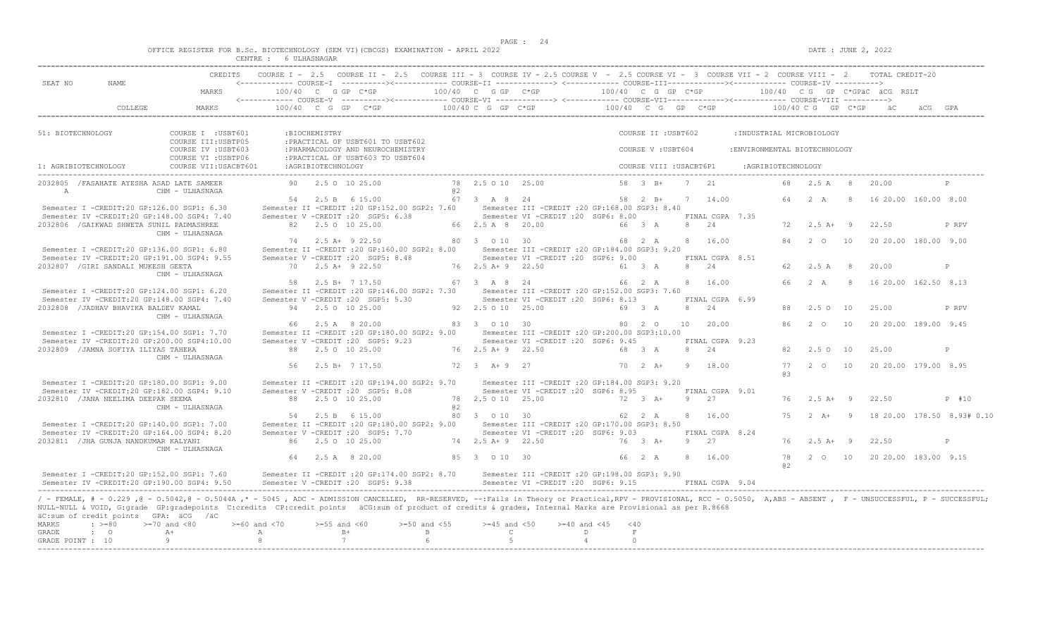$DATE: JUNE 2, 2022$ 

|  |  |                       |  | OFFICE REGISTER FOR B.Sc. BIOTECHNOLOGY (SEM VI)(CBCGS) EXAMINATION - APRIL 2022 |  |  |
|--|--|-----------------------|--|----------------------------------------------------------------------------------|--|--|
|  |  | CENTRE : 6 ULHASNAGAR |  |                                                                                  |  |  |

| SEAT NO<br>NAME                                                                                                                                                                                                                                                                                                                                                                 | MARKS                                      |                    |                     | <------------ COURSE-I ----------><----------- COURSE-II -------------> <------------ COURSE-III------------><----------- COURSE-IV ----------><br>$100/40$ C G GP C*GP |                            | 100/40 C G GP C*GP    |                                                                                         | $100/40$ C G GP C*GP |                         |   |                          |                               |                    |                    |     | $100/40$ CG GP C*GPäC äCG RSLT |                            |
|---------------------------------------------------------------------------------------------------------------------------------------------------------------------------------------------------------------------------------------------------------------------------------------------------------------------------------------------------------------------------------|--------------------------------------------|--------------------|---------------------|-------------------------------------------------------------------------------------------------------------------------------------------------------------------------|----------------------------|-----------------------|-----------------------------------------------------------------------------------------|----------------------|-------------------------|---|--------------------------|-------------------------------|--------------------|--------------------|-----|--------------------------------|----------------------------|
|                                                                                                                                                                                                                                                                                                                                                                                 |                                            |                    |                     |                                                                                                                                                                         |                            |                       |                                                                                         |                      |                         |   |                          |                               |                    |                    |     |                                |                            |
| COLLEGE                                                                                                                                                                                                                                                                                                                                                                         | MARKS                                      |                    |                     | $100/40$ C G GP C*GP                                                                                                                                                    |                            |                       | $100/40$ C G GP C*GP $100/40$ C G GP C*GP $100/40$ C G GP C*GP                          |                      |                         |   |                          |                               |                    |                    |     |                                |                            |
| 51: BIOTECHNOLOGY                                                                                                                                                                                                                                                                                                                                                               | COURSE I : USBT601<br>COURSE III: USBTP05  |                    | :BIOCHEMISTRY       | : PRACTICAL OF USBT601 TO USBT602                                                                                                                                       |                            |                       |                                                                                         |                      | COURSE II : USBT602     |   |                          | :INDUSTRIAL MICROBIOLOGY      |                    |                    |     |                                |                            |
|                                                                                                                                                                                                                                                                                                                                                                                 | COURSE IV : USBT603<br>COURSE VI : USBTP06 |                    |                     | : PHARMACOLOGY AND NEUROCHEMISTRY<br>: PRACTICAL OF USBT603 TO USBT604                                                                                                  |                            |                       |                                                                                         |                      | COURSE V: USBT604       |   |                          | : ENVIRONMENTAL BIOTECHNOLOGY |                    |                    |     |                                |                            |
| 1: AGRIBIOTECHNOLOGY                                                                                                                                                                                                                                                                                                                                                            | COURSE VII: USACBT601                      |                    | : AGRIBIOTECHNOLOGY |                                                                                                                                                                         |                            |                       |                                                                                         |                      | COURSE VIII : USACBT6P1 |   |                          |                               | :AGRIBIOTECHNOLOGY |                    |     |                                |                            |
| 2032805 / FASAHATE AYESHA ASAD LATE SAMEER<br>A                                                                                                                                                                                                                                                                                                                                 | CHM - ULHASNAGA                            |                    |                     | 90 2.5 0 10 25.00                                                                                                                                                       | a2                         | 78 2.5 0 10 25.00     |                                                                                         |                      | 58 3 B+                 |   | 7 21                     |                               |                    | 68 2.5 A 8         |     | 20.00                          | P                          |
| Semester I -CREDIT:20 GP:126.00 SGP1: 6.30                                                                                                                                                                                                                                                                                                                                      |                                            |                    |                     | 54 2.5 B 6 15.00<br>Semester II -CREDIT : 20 GP:152.00 SGP2: 7.60                                                                                                       |                            | 67 3 A 8 24           | Semester III -CREDIT : 20 GP: 168.00 SGP3: 8.40                                         |                      | 58 2 B+                 |   | 7 14.00                  |                               |                    | 2 A                |     | 16 20.00 160.00 8.00           |                            |
| Semester IV -CREDIT:20 GP:148.00 SGP4: 7.40<br>2032806 / GAIKWAD SHWETA SUNIL PADMASHREE                                                                                                                                                                                                                                                                                        | CHM - ULHASNAGA                            |                    |                     | Semester V -CREDIT : 20 SGP5: 6.38<br>82 2.5 0 10 25.00                                                                                                                 |                            | 66 2.5 A 8 20.00      | Semester VI -CREDIT :20 SGP6: 8.00                                                      |                      | 66 3 A                  |   | FINAL CGPA 7.35<br>8 24  |                               | 72                 | $2.5$ A+ 9         |     | 22.50                          | P RPV                      |
| Semester I -CREDIT:20 GP:136.00 SGP1: 6.80                                                                                                                                                                                                                                                                                                                                      |                                            |                    |                     | 74 2.5 A + 9 22.50<br>Semester II -CREDIT : 20 GP:160.00 SGP2: 8.00                                                                                                     |                            | 80 3 0 10 30          | Semester III -CREDIT :20 GP:184.00 SGP3: 9.20                                           |                      | 68 2 A                  |   | 8 16.00                  |                               | 84                 | 2 0                | 10  | 20 20.00 180.00 9.00           |                            |
| Semester IV -CREDIT:20 GP:191.00 SGP4: 9.55<br>2032807 / GIRI SANDALI MUKESH GEETA                                                                                                                                                                                                                                                                                              |                                            |                    |                     | Semester V - CREDIT : 20 SGP5: 8.48<br>70 2.5 A+ 9 22.50                                                                                                                |                            | 76 2.5 A + 9 22.50    | Semester VI - CREDIT : 20 SGP6: 9.00                                                    |                      | 61 3 A                  |   | FINAL CGPA 8.51<br>8 24  |                               | 62                 | 2.5 A              | 8   | 20.00                          | P                          |
| Semester I -CREDIT:20 GP:124.00 SGP1: 6.20                                                                                                                                                                                                                                                                                                                                      | CHM - ULHASNAGA                            |                    |                     | 58 2.5 B+ 7 17.50<br>Semester II -CREDIT : 20 GP: 146.00 SGP2: 7.30                                                                                                     |                            | 67 3 A 8 24           | Semester III - CREDIT : 20 GP: 152.00 SGP3: 7.60                                        |                      | 66 2 A                  |   | 8 16.00                  |                               | 66                 | 2 A                |     | 8 16 20.00 162.50 8.13         |                            |
| Semester IV -CREDIT:20 GP:148.00 SGP4: 7.40<br>2032808 / JADHAV BHAVIKA BALDEV KAMAL                                                                                                                                                                                                                                                                                            |                                            |                    |                     | Semester V -CREDIT : 20 SGP5: 5.30<br>94 2.5 0 10 25.00                                                                                                                 |                            | 92  2.5  0  10  25.00 | Semester VI - CREDIT : 20 SGP6: 8.13                                                    |                      | 69 3 A                  | 8 | FINAL CGPA 6.99<br>2.4   |                               | 88                 | 2.50               | 10  | 25.00                          | P RPV                      |
| Semester I -CREDIT:20 GP:154.00 SGP1: 7.70                                                                                                                                                                                                                                                                                                                                      | CHM - ULHASNAGA                            |                    |                     | 66 2.5 A 8 20.00<br>Semester II -CREDIT : 20 GP: 180.00 SGP2: 9.00                                                                                                      |                            | 83 3 0 10 30          | Semester III - CREDIT : 20 GP: 200.00 SGP3: 10.00                                       |                      | 80 2 0                  |   | 10 20.00                 |                               | 86                 | $2^{\circ}$ 0      | 10  | 20 20.00 189.00 9.45           |                            |
| Semester IV -CREDIT:20 GP:200.00 SGP4:10.00<br>2032809 / JAMNA SOFIYA ILIYAS TAHERA                                                                                                                                                                                                                                                                                             |                                            |                    |                     | Semester V -CREDIT : 20 SGP5: 9.23<br>88 2.5 0 10 25.00                                                                                                                 |                            | 76 2.5 A + 9 22.50    | Semester VI - CREDIT : 20 SGP6: 9.45                                                    |                      | 68 3 A                  |   | FINAL CGPA 9.23<br>8 2.4 |                               | 82.                | 2.5 0 10           |     | 25.00                          | P                          |
|                                                                                                                                                                                                                                                                                                                                                                                 | CHM - ULHASNAGA                            | 56                 |                     | 2.5 B+ 7 17.50                                                                                                                                                          |                            | $72 \t3 \tA+9 \t27$   |                                                                                         |                      | $70 \t 2 \t A+$         | 9 | 18.00                    |                               | 77                 | $2\degree$ 0       | 10  | 20 20.00 179.00 8.95           |                            |
| Semester I -CREDIT:20 GP:180.00 SGP1: 9.00<br>Semester IV -CREDIT:20 GP:182.00 SGP4: 9.10                                                                                                                                                                                                                                                                                       |                                            |                    |                     | Semester II -CREDIT :20 GP:194.00 SGP2: 9.70<br>Semester V -CREDIT : 20 SGP5: 8.08                                                                                      |                            |                       | Semester III -CREDIT : 20 GP:184.00 SGP3: 9.20<br>Semester VI - CREDIT : 20 SGP6: 8.95  |                      |                         |   | FINAL CGPA 9.01          |                               | 63                 |                    |     |                                |                            |
| 2032810 / JANA NEELIMA DEEPAK SEEMA                                                                                                                                                                                                                                                                                                                                             | CHM - ULHASNAGA                            |                    |                     | 88 2.5 0 10 25.00                                                                                                                                                       | a2                         | 78 2.5 0 10 25.00     |                                                                                         |                      | $72 \t3 \tA+$           |   | 9 27                     |                               | 76                 | $2.5 A+ 9$         |     | 22.50                          | $P$ #10                    |
| Semester I -CREDIT:20 GP:140.00 SGP1: 7.00                                                                                                                                                                                                                                                                                                                                      |                                            |                    |                     | 54 2.5 B 6 15.00<br>Semester II -CREDIT : 20 GP:180.00 SGP2: 9.00<br>Semester V -CREDIT : 20 SGP5: 7.70                                                                 |                            | 80 3 0 10 30          | Semester III -CREDIT : 20 GP: 170.00 SGP3: 8.50<br>Semester VI - CREDIT : 20 SGP6: 9.03 |                      | 62 2 A                  |   | 8 16.00                  |                               | 75                 | $2 \overline{A}$ + | - 9 |                                | 18 20.00 178.50 8.93# 0.10 |
| Semester IV -CREDIT:20 GP:164.00 SGP4: 8.20<br>2032811 / JHA GUNJA NANDKUMAR KALYANI                                                                                                                                                                                                                                                                                            | CHM - ULHASNAGA                            |                    |                     | 86 2.5 0 10 25.00                                                                                                                                                       |                            | 74 2.5 A + 9 22.50    |                                                                                         |                      | 76 3 A+                 |   | FINAL CGPA 8.24<br>9 27  |                               | 76                 | $2.5 A+ 9$         |     | 22.50                          | P                          |
|                                                                                                                                                                                                                                                                                                                                                                                 |                                            |                    |                     | 64 2.5 A 8 20.00                                                                                                                                                        |                            | 85 3 0 10 30          |                                                                                         |                      | 66 2 A                  | 8 | 16.00                    |                               | 78<br>a2           | $2^{\circ}$        | 10  | 20 20.00 183.00 9.15           |                            |
| Semester I -CREDIT:20 GP:152.00 SGP1: 7.60<br>Semester IV -CREDIT:20 GP:190.00 SGP4: 9.50                                                                                                                                                                                                                                                                                       |                                            |                    |                     | Semester II -CREDIT : 20 GP: 174.00 SGP2: 8.70<br>Semester V -CREDIT : 20 SGP5: 9.38                                                                                    |                            |                       | Semester III - CREDIT : 20 GP: 198.00 SGP3: 9.90<br>Semester VI -CREDIT : 20 SGP6: 9.15 |                      |                         |   | FINAL CGPA 9.04          |                               |                    |                    |     |                                |                            |
| / - FEMALE, # - 0.229, @ - 0.5042, @ - 0.5044A,* - 5045, ADC - ADMISSION CANCELLED, RR-RESERVED, --:Fails in Theory or Practical,RPV - PROVISIONAL, RCC - 0.5050, A,ABS - ABSENT, F - UNSUCCESSFUL, P - SUCCESSFUL;<br>NULL-NULL & VOID, G:grade GP:gradepoints C:credits CP:credit points äCG:sum of product of credits & grades, Internal Marks are Provisional as per R.8668 |                                            |                    |                     |                                                                                                                                                                         |                            |                       |                                                                                         |                      |                         |   |                          |                               |                    |                    |     |                                |                            |
| äC:sum of credit points GPA: äCG /äC<br>MARKS<br>$\cdot$ >=80                                                                                                                                                                                                                                                                                                                   | $>=70$ and $<80$                           | $>= 60$ and $< 70$ | $>=55$ and $<60$    |                                                                                                                                                                         | $>=50$ and $<55$           | $>=45$ and $<50$      | $>= 40$ and $< 45$                                                                      | $<$ 40               |                         |   |                          |                               |                    |                    |     |                                |                            |
| GRADE<br>$\cdot$ 0<br>GRADE POINT : 10                                                                                                                                                                                                                                                                                                                                          | $A+$<br>$\alpha$                           | A<br>8             |                     | $B+$<br>7                                                                                                                                                               | $\mathbb B$<br>$6^{\circ}$ | $\mathbb{C}$<br>$-5$  |                                                                                         | D<br>$\overline{4}$  | $\,$ F<br>$\circ$       |   |                          |                               |                    |                    |     |                                |                            |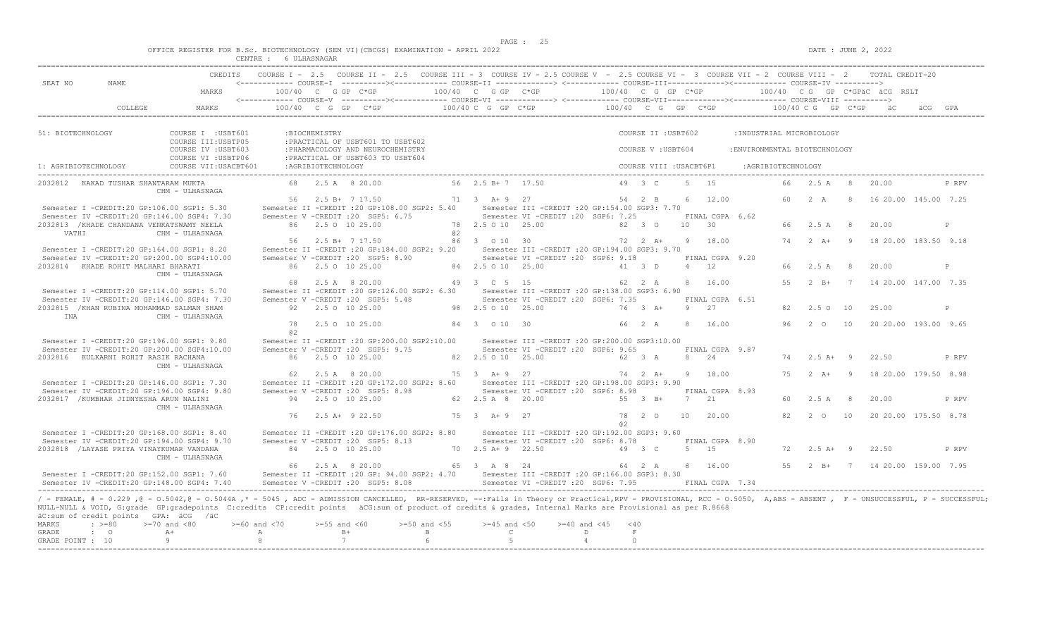$DATE: JUNE 2, 2022$ 

|  |        | OFFICE REGISTER FOR B.Sc. BIOTECHNOLOGY |  | ' (SEM VI)(CBCGS) EXAMINATION - . | APRTT. | 2022 |
|--|--------|-----------------------------------------|--|-----------------------------------|--------|------|
|  | CENTRE | S ULHASNAGAR                            |  |                                   |        |      |

| SEAT NO               | NAME.                                                                                                                            | <b>CREDITS</b>                                                                                                                                                                                                                                                                                                                                                                |                         |                            | COURSE I - 2.5 COURSE II - 2.5 COURSE III - 3 COURSE IV - 2.5 COURSE V - 2.5 COURSE VI - 3 COURSE VII - 2 COURSE VIII - 2<br><------------ COURSE-T ----------><----------- COURSE-TT -------------> <------------ COURSE-TTT----------><---------> COURSE-TV ----------> |                                       |                                  |                                                                                         |                         |                      |                         |    |                         |                               |                     |                           |                | TOTAL CREDIT-20              |       |
|-----------------------|----------------------------------------------------------------------------------------------------------------------------------|-------------------------------------------------------------------------------------------------------------------------------------------------------------------------------------------------------------------------------------------------------------------------------------------------------------------------------------------------------------------------------|-------------------------|----------------------------|---------------------------------------------------------------------------------------------------------------------------------------------------------------------------------------------------------------------------------------------------------------------------|---------------------------------------|----------------------------------|-----------------------------------------------------------------------------------------|-------------------------|----------------------|-------------------------|----|-------------------------|-------------------------------|---------------------|---------------------------|----------------|------------------------------|-------|
|                       |                                                                                                                                  | MARKS                                                                                                                                                                                                                                                                                                                                                                         |                         | 100/40 C G GP C*GP         | <------------ COURSE-V ----------><----------- COURSE-VI -------------> <------------ COURSE-VII---------------- COURSE-VIII ---------->                                                                                                                                  | $100/40$ C G GP $C*GP$                |                                  |                                                                                         | $100/40$ C G GP C*GP    |                      |                         |    |                         |                               |                     |                           |                | 100/40 CG GP C*GPäC äCG RSLT |       |
|                       | COLLEGE                                                                                                                          | <b>MARKS</b>                                                                                                                                                                                                                                                                                                                                                                  |                         |                            | $100/40$ C G GP C*GP                                                                                                                                                                                                                                                      |                                       | 100/40 C G GP C*GP               |                                                                                         |                         |                      |                         |    | 100/40 C G GP C*GP      |                               |                     | 100/40 C G GP C*GP        |                | $\ddot{a}$ C                 |       |
|                       | 51: BIOTECHNOLOGY                                                                                                                | COURSE I : USBT601                                                                                                                                                                                                                                                                                                                                                            |                         | : BIOCHEMISTRY             |                                                                                                                                                                                                                                                                           |                                       |                                  |                                                                                         |                         |                      | COURSE II : USBT602     |    |                         |                               |                     | : INDUSTRIAL MICROBIOLOGY |                |                              |       |
|                       |                                                                                                                                  | COURSE III: USBTP05<br>COURSE IV : USBT603                                                                                                                                                                                                                                                                                                                                    |                         |                            | : PRACTICAL OF USBT601 TO USBT602<br>: PHARMACOLOGY AND NEUROCHEMISTRY                                                                                                                                                                                                    |                                       |                                  |                                                                                         |                         |                      | COURSE V: USBT604       |    |                         | : ENVIRONMENTAL BIOTECHNOLOGY |                     |                           |                |                              |       |
|                       | 1: AGRIBIOTECHNOLOGY                                                                                                             | COURSE VI : USBTP06<br>COURSE VII: USACBT601                                                                                                                                                                                                                                                                                                                                  |                         | : AGRIBIOTECHNOLOGY        | : PRACTICAL OF USBT603 TO USBT604                                                                                                                                                                                                                                         |                                       |                                  |                                                                                         |                         |                      | COURSE VIII : USACBT6P1 |    |                         |                               | : AGRIBIOTECHNOLOGY |                           |                |                              |       |
|                       | 2032812 KAKAD TUSHAR SHANTARAM MUKTA                                                                                             | CHM - ULHASNAGA                                                                                                                                                                                                                                                                                                                                                               |                         | 68 2.5 A 8 20.00           |                                                                                                                                                                                                                                                                           |                                       | 56 2.5 B + 7 17.50               |                                                                                         |                         | 49 3 C               |                         |    | 5 15                    |                               | 66                  | 2.5A                      | 8              | 20.00                        | P RPV |
|                       | Semester I -CREDIT:20 GP:106.00 SGP1: 5.30                                                                                       |                                                                                                                                                                                                                                                                                                                                                                               |                         | 56 2.5 B+ 7 17.50          | Semester II -CREDIT : 20 GP: 108.00 SGP2: 5.40                                                                                                                                                                                                                            |                                       | 71 3 A+ 9 27                     | Semester III - CREDIT : 20 GP: 154.00 SGP3: 7.70                                        |                         | 54 2 B               |                         | 6  | 12.00                   |                               | 60                  | 2A                        | -8             | 16 20.00 145.00 7.25         |       |
|                       | Semester IV -CREDIT:20 GP:146.00 SGP4: 7.30<br>2032813 / KHADE CHANDANA VENKATSWAMY NEELA                                        |                                                                                                                                                                                                                                                                                                                                                                               |                         | 86 2.5 0 10 25.00          | Semester V -CREDIT : 20 SGP5: 6.75                                                                                                                                                                                                                                        |                                       | 78 2.5 0 10 25.00                | Semester VI -CREDIT :20 SGP6: 7.25                                                      |                         | 82 3 0               |                         | 10 | FINAL CGPA 6.62<br>30   |                               | 66                  | 2.5A                      | 8 <sup>8</sup> | 20.00                        | P     |
|                       | VATHI                                                                                                                            | CHM - ULHASNAGA                                                                                                                                                                                                                                                                                                                                                               | 56                      | 2.5 B+ 7 17.50             |                                                                                                                                                                                                                                                                           | a2                                    | 86 3 0 10 30                     |                                                                                         |                         | $72 \t2 \tA+$        |                         |    | 9 18.00                 |                               | 74                  | $2 \overline{A}$ +        | - 9            | 18 20.00 183.50 9.18         |       |
|                       | Semester I -CREDIT:20 GP:164.00 SGP1: 8.20<br>Semester IV -CREDIT:20 GP:200.00 SGP4:10.00<br>2032814 KHADE ROHIT MALHARI BHARATI |                                                                                                                                                                                                                                                                                                                                                                               |                         | 86 2.5 0 10 25.00          | Semester II -CREDIT : 20 GP:184.00 SGP2: 9.20<br>Semester V -CREDIT : 20 SGP5: 8.90                                                                                                                                                                                       |                                       | 84 2.5 0 10 25.00                | Semester III -CREDIT : 20 GP: 194.00 SGP3: 9.70<br>Semester VI -CREDIT : 20 SGP6: 9.18  |                         | 41 3 D               |                         |    | FINAL CGPA 9.20<br>4 12 |                               | 66                  | 2.5A                      | 8 <sup>8</sup> | 20.00                        | P     |
|                       |                                                                                                                                  | CHM - ULHASNAGA                                                                                                                                                                                                                                                                                                                                                               | 68                      | 2.5 A 8 20.00              |                                                                                                                                                                                                                                                                           |                                       | 49 3 C 5 15                      |                                                                                         |                         | 62 2 A               |                         |    | 8 16.00                 |                               | 55                  |                           |                | 2 B+ 7 14 20.00 147.00 7.35  |       |
|                       | Semester I -CREDIT:20 GP:114.00 SGP1: 5.70<br>Semester IV -CREDIT:20 GP:146.00 SGP4: 7.30                                        |                                                                                                                                                                                                                                                                                                                                                                               |                         |                            | Semester II -CREDIT : 20 GP: 126.00 SGP2: 6.30<br>Semester V -CREDIT : 20 SGP5: 5.48                                                                                                                                                                                      |                                       |                                  | Semester III - CREDIT : 20 GP: 138.00 SGP3: 6.90<br>Semester VI -CREDIT :20 SGP6: 7.35  |                         |                      |                         |    | FINAL CGPA 6.51         |                               |                     |                           |                |                              |       |
| INA                   | 2032815 / KHAN RUBINA MOHAMMAD SALMAN SHAM                                                                                       | CHM - ULHASNAGA                                                                                                                                                                                                                                                                                                                                                               |                         | 92 2.5 0 10 25.00          |                                                                                                                                                                                                                                                                           |                                       | 98 2.5 0 10 25.00                |                                                                                         |                         | 76 3 A+              |                         | -9 | 2.7                     |                               | 82.                 | $2.5^\circ$               | 10             | 25.00                        | P     |
|                       | Semester I -CREDIT:20 GP:196.00 SGP1: 9.80                                                                                       |                                                                                                                                                                                                                                                                                                                                                                               | 78<br>02                | 2.5 0 10 25.00             | Semester II -CREDIT : 20 GP: 200.00 SGP2: 10.00                                                                                                                                                                                                                           |                                       | 84 3 0 10 30                     | Semester III -CREDIT : 20 GP: 200.00 SGP3: 10.00                                        |                         | 66 2 A               |                         | -8 | 16.00                   |                               | 96                  | $2^{\circ}$ 0             | 10             | 20 20.00 193.00 9.65         |       |
|                       | Semester IV -CREDIT:20 GP:200.00 SGP4:10.00<br>2032816 KULKARNI ROHIT RASIK RACHANA                                              |                                                                                                                                                                                                                                                                                                                                                                               |                         | 86 2.5 0 10 25.00          | Semester V -CREDIT : 20 SGP5: 9.75                                                                                                                                                                                                                                        |                                       | 82  2.5  0  10  25.00            | Semester VI -CREDIT :20 SGP6: 9.65                                                      |                         | 62 3 A               |                         |    | FINAL CGPA 9.87<br>8 24 |                               | 74                  | $2.5$ A+ 9                |                | 22.50                        | P RPV |
|                       |                                                                                                                                  | CHM - ULHASNAGA                                                                                                                                                                                                                                                                                                                                                               | 62.                     | 2.5 A 8 20.00              |                                                                                                                                                                                                                                                                           |                                       | $75 \t3 \tA+9 \t27$              |                                                                                         |                         | $74$ 2 A+            |                         |    | 9 18.00                 |                               | 75                  | $2 A +$                   | $\overline{9}$ | 18 20.00 179.50 8.98         |       |
|                       | Semester I -CREDIT:20 GP:146.00 SGP1: 7.30<br>Semester IV -CREDIT:20 GP:196.00 SGP4: 9.80                                        |                                                                                                                                                                                                                                                                                                                                                                               |                         |                            | Semester II -CREDIT : 20 GP: 172.00 SGP2: 8.60<br>Semester V -CREDIT : 20 SGP5: 8.98                                                                                                                                                                                      |                                       |                                  | Semester III - CREDIT : 20 GP: 198.00 SGP3: 9.90<br>Semester VI -CREDIT : 20 SGP6: 8.98 |                         |                      |                         |    | FINAL CGPA 8.93         |                               |                     |                           |                |                              |       |
|                       | 2032817 / KUMBHAR JIDNYESHA ARUN NALINI                                                                                          | CHM - ULHASNAGA                                                                                                                                                                                                                                                                                                                                                               |                         | 94 2.5 0 10 25.00          |                                                                                                                                                                                                                                                                           |                                       | 62 2.5 A 8 20.00                 |                                                                                         |                         | 55 3 B+              |                         | 7  | 2.1                     |                               | 60                  | 2.5A                      | 8 <sup>8</sup> | 20.00                        | P RPV |
|                       | Semester I -CREDIT:20 GP:168.00 SGP1: 8.40                                                                                       |                                                                                                                                                                                                                                                                                                                                                                               | 76                      | $2.5$ A+ 9 22.50           | Semester II -CREDIT : 20 GP:176.00 SGP2: 8.80                                                                                                                                                                                                                             |                                       | $75 \t3 \tA+9 \t27$              | Semester III - CREDIT : 20 GP: 192.00 SGP3: 9.60                                        |                         | 78 2 0<br>a2         |                         | 10 | 20.00                   |                               | 82                  | $2\degree$ 0              | 10             | 20 20 00 175 50 8 78         |       |
|                       | Semester IV -CREDIT:20 GP:194.00 SGP4: 9.70<br>2032818 / LAYASE PRIYA VINAYKUMAR VANDANA                                         |                                                                                                                                                                                                                                                                                                                                                                               |                         | 84 2.5 0 10 25.00          | Semester V -CREDIT : 20 SGP5: 8.13                                                                                                                                                                                                                                        |                                       | 70 2.5 A + 9 22.50               | Semester VI -CREDIT : 20 SGP6: 8.78                                                     |                         | 49 3 C               |                         |    | FINAL CGPA 8.90<br>5 15 |                               | 72                  | $2.5 A+ 9$                |                | 22.50                        | P RPV |
|                       |                                                                                                                                  | CHM - ULHASNAGA                                                                                                                                                                                                                                                                                                                                                               | 66                      | 2.5 A 8 20.00              |                                                                                                                                                                                                                                                                           |                                       | 65 3 A 8 24                      |                                                                                         |                         | 64 2 A               |                         |    | 8 16.00                 |                               | 55                  | $2 \quad B+$              |                | 7 14 20 00 159 00 7.95       |       |
|                       | Semester I -CREDIT:20 GP:152.00 SGP1: 7.60<br>Semester IV -CREDIT:20 GP:148.00 SGP4: 7.40                                        |                                                                                                                                                                                                                                                                                                                                                                               |                         |                            | Semester II -CREDIT :20 GP: 94.00 SGP2: 4.70 Semester III -CREDIT :20 GP:166.00 SGP3: 8.30<br>Semester V -CREDIT : 20 SGP5: 8.08                                                                                                                                          |                                       |                                  | Semester VI -CREDIT : 20 SGP6: 7.95                                                     |                         |                      |                         |    | FINAL CGPA 7.34         |                               |                     |                           |                |                              |       |
|                       | äC:sum of credit points GPA: äCG /äC                                                                                             | / - FEMALE, # - 0.229,0 - 0.5042,0 - 0.5044A,* - 5045, ADC - ADMISSION CANCELLED, RR-RESERVED, --:Fails in Theory or Practical,RPV - PROVISIONAL, RCC - 0.5050, A,ABS - ABSENT, F - UNSUCCESSFUL, P - SUCCESSFUL;<br>NULL-NULL & VOID, G:grade GP:gradepoints C:credits CP:credit points äCG:sum of product of credits & grades, Internal Marks are Provisional as per R.8668 |                         |                            |                                                                                                                                                                                                                                                                           |                                       |                                  |                                                                                         |                         |                      |                         |    |                         |                               |                     |                           |                |                              |       |
| <b>MARKS</b><br>GRADE | $\cdot$ >=80<br>$\cdot$ 0                                                                                                        | $>=70$ and $< 80$<br>$A+$                                                                                                                                                                                                                                                                                                                                                     | $>= 60$ and $< 70$<br>Α | $>= 55$ and $< 60$<br>$B+$ |                                                                                                                                                                                                                                                                           | $> = 50$ and $< 55$<br>$\overline{B}$ | $>=45$ and $<50$<br>$\mathbb{C}$ |                                                                                         | $>= 40$ and $< 45$<br>D | < 40<br>$\mathbf{F}$ |                         |    |                         |                               |                     |                           |                |                              |       |
|                       | GRADE POINT : 10                                                                                                                 | Q                                                                                                                                                                                                                                                                                                                                                                             | 8                       | 7                          |                                                                                                                                                                                                                                                                           | $6^{\circ}$                           | -5                               |                                                                                         | $\overline{4}$          | $\cap$               |                         |    |                         |                               |                     |                           |                |                              |       |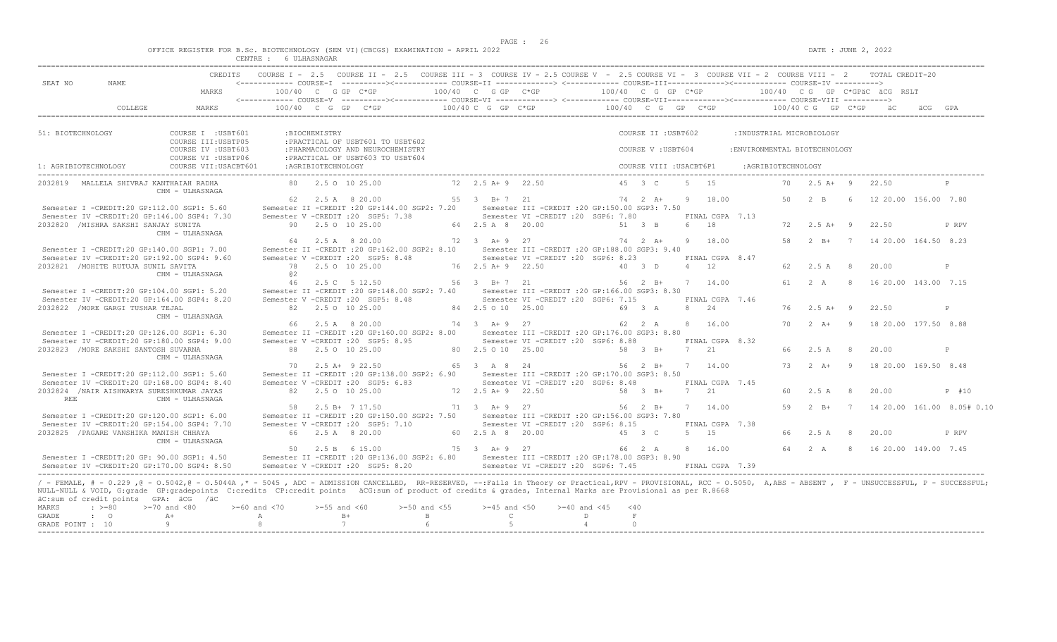$DATA: JUNE 2, 2022$ 

|  | OFFICE REGISTER FOR B.Sc. BIOTECHNOLOGY |                           |            |  | (SEM VI)(CBCGS) EXAMINATION - . | APRIL 2022 |  |
|--|-----------------------------------------|---------------------------|------------|--|---------------------------------|------------|--|
|  |                                         | CENTRE.<br>تتلالم لالمتلب | ULHASNAGAR |  |                                 |            |  |

|                      |                                                     | CREDITS                                                                                                                                                                                                                                                                                                                                                                                                     |                  |                     | COURSE I - 2.5 COURSE II - 2.5 COURSE III - 3 COURSE IV - 2.5 COURSE V - 2.5 COURSE VI - 3 COURSE VII - 2 COURSE VIII - 2 TOTAL CREDIT-20 |                  |                       |                                                                                         |                     |                         |                              |                               |                                              |                |                      |              |
|----------------------|-----------------------------------------------------|-------------------------------------------------------------------------------------------------------------------------------------------------------------------------------------------------------------------------------------------------------------------------------------------------------------------------------------------------------------------------------------------------------------|------------------|---------------------|-------------------------------------------------------------------------------------------------------------------------------------------|------------------|-----------------------|-----------------------------------------------------------------------------------------|---------------------|-------------------------|------------------------------|-------------------------------|----------------------------------------------|----------------|----------------------|--------------|
| SEAT NO              | NAME.                                               | MARKS                                                                                                                                                                                                                                                                                                                                                                                                       |                  |                     |                                                                                                                                           |                  |                       |                                                                                         |                     |                         |                              |                               |                                              |                |                      |              |
|                      |                                                     |                                                                                                                                                                                                                                                                                                                                                                                                             |                  |                     | $100/40$ C G GP C*GP $100/40$ C G GP C*GP $100/40$ C G GP C*GP $100/40$ C G GP C*GPäC äCG RSLT                                            |                  |                       |                                                                                         |                     |                         |                              |                               |                                              |                |                      |              |
|                      | <b>COLLEGE</b>                                      | MARKS                                                                                                                                                                                                                                                                                                                                                                                                       |                  |                     |                                                                                                                                           |                  |                       |                                                                                         |                     |                         |                              |                               |                                              |                | a ac                 |              |
| 51: BIOTECHNOLOGY    |                                                     | COURSE I : USBT601<br>COURSE III: USBTP05                                                                                                                                                                                                                                                                                                                                                                   |                  | :BIOCHEMISTRY       | : PRACTICAL OF USBT601 TO USBT602                                                                                                         |                  |                       |                                                                                         |                     | COURSE II : USBT602     |                              | : INDUSTRIAL MICROBIOLOGY     |                                              |                |                      |              |
|                      |                                                     | COURSE IV : USBT603<br>COURSE VI : USBTP06                                                                                                                                                                                                                                                                                                                                                                  |                  |                     | : PHARMACOLOGY AND NEUROCHEMISTRY<br>: PRACTICAL OF USBT603 TO USBT604                                                                    |                  |                       |                                                                                         |                     | COURSE V: USBT604       |                              | : ENVIRONMENTAL BIOTECHNOLOGY |                                              |                |                      |              |
| 1: AGRIBIOTECHNOLOGY |                                                     | COURSE VII: USACBT601                                                                                                                                                                                                                                                                                                                                                                                       |                  | : AGRIBIOTECHNOLOGY |                                                                                                                                           |                  |                       |                                                                                         |                     | COURSE VIII : USACBT6P1 |                              | :AGRIBIOTECHNOLOGY            |                                              |                |                      |              |
|                      | 2032819 MALLELA SHIVRAJ KANTHAIAH RADHA             | CHM - ULHASNAGA                                                                                                                                                                                                                                                                                                                                                                                             |                  |                     | 80 2.5 0 10 25.00                                                                                                                         |                  | 72 2.5 A + 9 22.50    |                                                                                         |                     | 45 3 C                  | 5 15                         |                               | 70  2.5 A+ 9  22.50                          |                |                      | P            |
|                      |                                                     | Semester I -CREDIT:20 GP:112.00 SGP1: 5.60                                                                                                                                                                                                                                                                                                                                                                  |                  |                     | 62 2.5 A 8 20.00<br>Semester II -CREDIT :20 GP:144.00 SGP2: 7.20 Semester III -CREDIT :20 GP:150.00 SGP3: 7.50                            |                  | 55 3 B+7 21           |                                                                                         |                     | $74 \t2 \tA+$           | 9 18.00                      |                               | 50  2  B  6  12  20.00  156.00  7.80         |                |                      |              |
|                      | 2032820 / MISHRA SAKSHI SANJAY SUNITA               | Semester IV -CREDIT:20 GP:146.00 SGP4: 7.30                                                                                                                                                                                                                                                                                                                                                                 |                  |                     | Semester V -CREDIT : 20 SGP5: 7.38<br>90 2.5 0 10 25.00                                                                                   |                  | 64 2.5 A 8 20.00      | Semester VI -CREDIT : 20 SGP6: 7.80                                                     |                     | 51 3 B                  | FINAL CGPA 7.13<br>$6 \t 18$ |                               | 72   2.5 A+ 9                                |                | 22.50                | P RPV        |
|                      |                                                     | CHM - ULHASNAGA                                                                                                                                                                                                                                                                                                                                                                                             |                  |                     | 64 2.5 A 8 20.00                                                                                                                          |                  | 72 3 A + 9 27         |                                                                                         | $74$ 2 A+           |                         | 9 18.00                      |                               | 58<br>$2 R +$                                | $\overline{7}$ | 14 20.00 164.50 8.23 |              |
|                      |                                                     | Semester I -CREDIT:20 GP:140.00 SGP1: 7.00<br>Semester IV -CREDIT:20 GP:192.00 SGP4: 9.60                                                                                                                                                                                                                                                                                                                   |                  |                     | Semester II -CREDIT : 20 GP:162.00 SGP2: 8.10<br>Semester V - CREDIT : 20 SGP5: 8.48                                                      |                  |                       | Semester III - CREDIT : 20 GP: 188.00 SGP3: 9.40<br>Semester VI -CREDIT : 20 SGP6: 8.23 |                     |                         | FINAL CGPA 8.47              |                               |                                              |                |                      |              |
|                      | 2032821 / MOHITE RUTUJA SUNIL SAVITA                | CHM - ULHASNAGA                                                                                                                                                                                                                                                                                                                                                                                             | @ 2              |                     | 78 2.5 0 10 25.00                                                                                                                         |                  | 76 2.5 A + 9 22.50    |                                                                                         |                     | 40 3 D                  | 4 12                         |                               | 2.5 A<br>62                                  | 8              | 20.00                | P            |
|                      |                                                     | Semester I -CREDIT:20 GP:104.00 SGP1: 5.20                                                                                                                                                                                                                                                                                                                                                                  | 46               |                     | 2.5 C 5 12.50<br>Semester II -CREDIT : 20 GP: 148.00 SGP2: 7.40                                                                           |                  | 56 3 B+7 21           | Semester III -CREDIT : 20 GP:166.00 SGP3: 8.30                                          |                     | 56 2 B+                 | 7 14.00                      |                               | 61 2 A                                       | -8             | 16 20.00 143.00 7.15 |              |
|                      | 2032822 / MORE GARGI TUSHAR TEJAL                   | Semester IV -CREDIT:20 GP:164.00 SGP4: 8.20                                                                                                                                                                                                                                                                                                                                                                 |                  |                     | Semester V -CREDIT : 20 SGP5: 8.48<br>82 2.5 0 10 25.00                                                                                   |                  | 84  2.5  0  10  25.00 | Semester VI -CREDIT : 20 SGP6: 7.15                                                     | 69 3 A              |                         | FINAL CGPA 7.46<br>8 24      |                               | $2.5$ A+ 9<br>76                             |                | 22.50                | $\mathbb{P}$ |
|                      |                                                     | CHM - ULHASNAGA                                                                                                                                                                                                                                                                                                                                                                                             |                  |                     | 66 2.5 A 8 20.00                                                                                                                          |                  | 74 3 A + 9 27         |                                                                                         |                     | 62 2 A                  | 8 16.00                      |                               | 70  2  A+  9  18  20.00  177.50  8.88        |                |                      |              |
|                      |                                                     | Semester I -CREDIT:20 GP:126.00 SGP1: 6.30<br>Semester IV -CREDIT:20 GP:180.00 SGP4: 9.00                                                                                                                                                                                                                                                                                                                   |                  |                     | Semester II -CREDIT :20 GP:160.00 SGP2: 8.00 Semester III -CREDIT :20 GP:176.00 SGP3: 8.80<br>Semester V -CREDIT : 20 SGP5: 8.95          |                  |                       | Semester VI -CREDIT :20 SGP6: 8.88                                                      |                     |                         | FINAL CGPA 8.32              |                               |                                              |                |                      |              |
|                      | 2032823 / MORE SAKSHI SANTOSH SUVARNA               | CHM - ULHASNAGA                                                                                                                                                                                                                                                                                                                                                                                             |                  |                     | 88 2.5 0 10 25.00                                                                                                                         |                  | 80 2.5 0 10 25.00     |                                                                                         | $58$ 3 B+           |                         | 7 21                         |                               | 66 2.5 A                                     | $_{8}$         | 20.00                | P            |
|                      |                                                     | Semester I -CREDIT:20 GP:112.00 SGP1: 5.60                                                                                                                                                                                                                                                                                                                                                                  |                  |                     | $70$ 2.5 A+ 9 22.50<br>Semester II -CREDIT : 20 GP: 138.00 SGP2: 6.90                                                                     |                  | 65 3 A 8 24           | Semester III - CREDIT : 20 GP: 170.00 SGP3: 8.50                                        |                     | 56 2 B+ 7 14.00         |                              |                               | 73<br>$2 \overline{A}$                       | $\overline{9}$ | 18 20.00 169.50 8.48 |              |
| <b>REE</b>           | 2032824 / NAIR AISHWARYA SURESHKUMAR JAYAS          | Semester IV -CREDIT:20 GP:168.00 SGP4: 8.40<br>CHM - ULHASNAGA                                                                                                                                                                                                                                                                                                                                              |                  |                     | Semester V -CREDIT : 20 SGP5: 6.83<br>82 2.5 0 10 25.00                                                                                   |                  | 72 2.5 A + 9 22.50    | Semester VI -CREDIT : 20 SGP6: 8.48                                                     |                     | 58 3 B+                 | FINAL CGPA 7.45<br>7 21      |                               | 2.5 A<br>60.                                 | 8              | 20.00                | P #10        |
|                      |                                                     | Semester I -CREDIT:20 GP:120.00 SGP1: 6.00                                                                                                                                                                                                                                                                                                                                                                  | 58               |                     | 2.5 B+ 7 17.50<br>Semester II -CREDIT : 20 GP:150.00 SGP2: 7.50                                                                           |                  | 71 3 A+ 9 27          | Semester III - CREDIT : 20 GP: 156.00 SGP3: 7.80                                        |                     | $56 \t 2 B+$            | 7 14.00                      |                               | 59  2  B+  7  14  20.00  161.00  8.05#  0.10 |                |                      |              |
|                      | 2032825 / PAGARE VANSHIKA MANISH CHHAYA             | Semester IV -CREDIT:20 GP:154.00 SGP4: 7.70<br>CHM - ULHASNAGA                                                                                                                                                                                                                                                                                                                                              |                  |                     | Semester V -CREDIT : 20 SGP5: 7.10<br>66 2.5 A 8 20.00                                                                                    |                  | 60 2.5 A 8 20.00      | Semester VI -CREDIT :20 SGP6: 8.15                                                      | лица и 45 3 C       |                         | FINAL CGPA 7.38<br>5 15      |                               | 2.5 A<br>66                                  | 8              | 20.00                | P RPV        |
|                      |                                                     | Semester I -CREDIT:20 GP: 90.00 SGP1: 4.50                                                                                                                                                                                                                                                                                                                                                                  |                  |                     | 50 2.5 B 6 15.00<br>Semester II -CREDIT : 20 GP:136.00 SGP2: 6.80 Semester III -CREDIT : 20 GP:178.00 SGP3: 8.90                          |                  | 75 3 A + 9 27         |                                                                                         |                     | 66 2 A                  | 8 16.00                      |                               | 64  2  A  8  16  20  00  149  00  7.45       |                |                      |              |
|                      |                                                     | Semester IV -CREDIT:20 GP:170.00 SGP4: 8.50                                                                                                                                                                                                                                                                                                                                                                 |                  |                     | Semester V -CREDIT : 20 SGP5: 8.20                                                                                                        |                  |                       | Semester VI -CREDIT : 20 SGP6: 7.45                                                     |                     |                         | FINAL CGPA 7.39              |                               |                                              |                |                      |              |
| MARKS                | äC:sum of credit points GPA: äCG /äC<br>$\div$ >=80 | / - FEMALE, # - 0.229 , @ - 0.5042, @ - 0.5044A ,* - 5045 , ADC - ADMISSION CANCELLED, RR-RESERVED, --: Fails in Theory or Practical, RPV - PROVISIONAL, RCC - 0.5050, A, ABS - ABSENT , F - UNSUCCESSFUL, P - SUCCESSFUL;<br>NULL-NULL & VOID, G:grade GP:gradepoints C:credits CP:credit points äCG:sum of product of credits & grades, Internal Marks are Provisional as per R.8668<br>$>=70$ and $< 80$ | $>=60$ and $<70$ | $>=55$ and $<60$    |                                                                                                                                           | $>=50$ and $<55$ | $>=45$ and $<50$      | $>=40$ and $<45$                                                                        | < 40                |                         |                              |                               |                                              |                |                      |              |
| GRADE                | $\cdot$ 0                                           | $A+$<br>Q                                                                                                                                                                                                                                                                                                                                                                                                   | A<br>8           |                     | $B+$<br>7                                                                                                                                 | $\mathbb B$<br>6 | $\mathbb{C}$<br>- 5   |                                                                                         | D<br>$\overline{4}$ | F<br>$\circ$            |                              |                               |                                              |                |                      |              |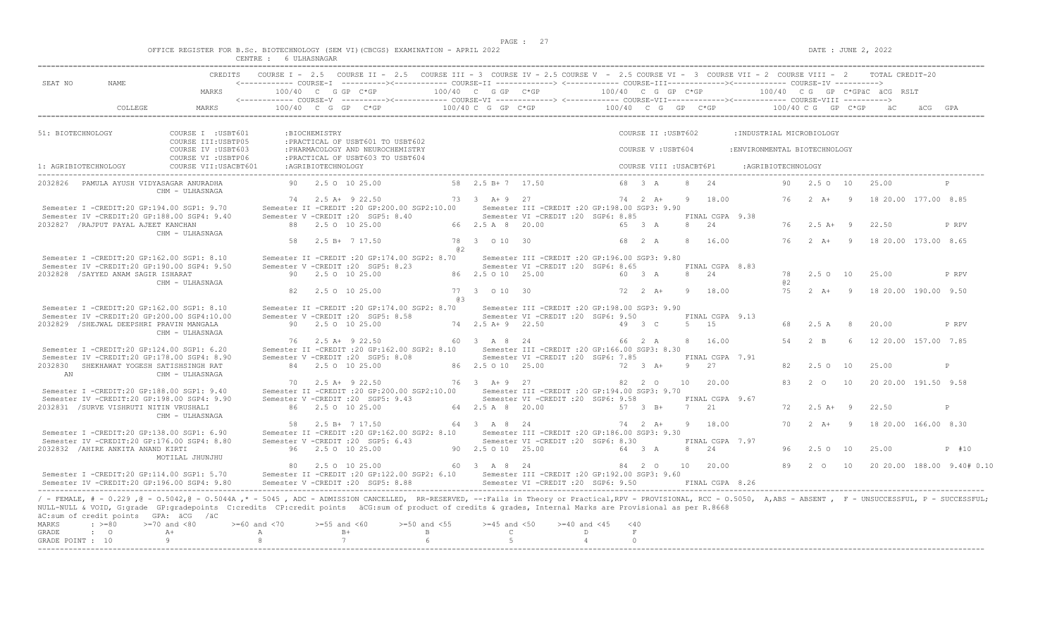$DATE: JUNE 2, 2022$ 

|  | OFFICE REGISTER FOR B.Sc. | .                           | BIOTECHNOLOGY |            | (SEM VI)(CBCGS) | EXAMINATION - | APRTT. | 2022 |
|--|---------------------------|-----------------------------|---------------|------------|-----------------|---------------|--------|------|
|  |                           | CENTRE.<br>نتلالا الالمتلاب |               | ULHASNAGAR |                 |               |        |      |

| SEAT NO<br>NAME.                                                                                                                    | CREDITS COURSE I - 2.5 COURSE II - 2.5 COURSE III - 3 COURSE IV - 2.5 COURSE V - 2.5 COURSE VI - 3 COURSE VII - 2 COURSE VIII - 2 TOTAL CREDIT-20                                                                                                  |                                                                                                              |                                            |                                                                                                                                                                                                                      |
|-------------------------------------------------------------------------------------------------------------------------------------|----------------------------------------------------------------------------------------------------------------------------------------------------------------------------------------------------------------------------------------------------|--------------------------------------------------------------------------------------------------------------|--------------------------------------------|----------------------------------------------------------------------------------------------------------------------------------------------------------------------------------------------------------------------|
| MARKS                                                                                                                               | 100/40 C G GP C*GP                                                                                                                                                                                                                                 |                                                                                                              |                                            | $100/40$ C G GP C*GP $100/40$ C G GP C*GP $100/40$ C G GP C*GPaC äCG RSLT                                                                                                                                            |
| COLLEGE<br>MARKS                                                                                                                    | $100/40$ C G GP C*GP $100/40$ C G GP C*GP $100/40$ C G GP C*GP                                                                                                                                                                                     |                                                                                                              |                                            | 100/40 C G GP C*GP äC                                                                                                                                                                                                |
| 51: BIOTECHNOLOGY<br>COURSE I : USBT601                                                                                             | :BIOCHEMISTRY                                                                                                                                                                                                                                      |                                                                                                              | COURSE II : USBT602                        | : INDUSTRIAL MICROBIOLOGY                                                                                                                                                                                            |
| COURSE III: USBTP05<br>COURSE IV : USBT603<br>COURSE VI : USBTP06                                                                   | : PRACTICAL OF USBT601 TO USBT602<br>: PHARMACOLOGY AND NEUROCHEMISTRY<br>: PRACTICAL OF USBT603 TO USBT604                                                                                                                                        |                                                                                                              | COURSE V : USBT604                         | : ENVIRONMENTAL BIOTECHNOLOGY                                                                                                                                                                                        |
| 1: AGRIBIOTECHNOLOGY<br>COURSE VII: USACBT601                                                                                       | : AGRIBIOTECHNOLOGY                                                                                                                                                                                                                                |                                                                                                              | COURSE VIII : USACBT6P1                    | :AGRIBIOTECHNOLOGY                                                                                                                                                                                                   |
| 2032826 PAMULA AYUSH VIDYASAGAR ANURADHA<br>CHM - ULHASNAGA                                                                         | 90 2.5 0 10 25.00                                                                                                                                                                                                                                  | 58 2.5 B+ 7 17.50                                                                                            | 68 3 A<br>8 24                             | 90 2.5 0 10<br>25.00                                                                                                                                                                                                 |
| Semester I -CREDIT:20 GP:194.00 SGP1: 9.70                                                                                          | 74 2.5 A + 9 22.50<br>Semester II -CREDIT : 20 GP: 200.00 SGP2: 10.00<br>Semester V -CREDIT : 20 SGP5: 8.40                                                                                                                                        | 73 3 A + 9 27<br>Semester III - CREDIT : 20 GP: 198.00 SGP3: 9.90                                            | 9 18.00<br>$74 \t2 \tA+$                   | 76<br>$2 A+ 9$<br>18 20.00 177.00 8.85                                                                                                                                                                               |
| Semester IV -CREDIT:20 GP:188.00 SGP4: 9.40<br>2032827 / RAJPUT PAYAL AJEET KANCHAN<br>CHM - ULHASNAGA                              | 88 2.5 0 10 25.00                                                                                                                                                                                                                                  | Semester VI - CREDIT : 20 SGP6: 8.85<br>66 2.5 A 8 20.00                                                     | FINAL CGPA 9.38<br>65 3 A<br>8 24          | 22.50<br>76<br>$2.5$ A+ 9<br>P RPV                                                                                                                                                                                   |
|                                                                                                                                     | 2.5 B+ 7 17.50<br>58<br>@ 2                                                                                                                                                                                                                        | 78 3 0 10 30                                                                                                 | 68 2 A<br>8 16.00                          | $2 A+ 9$<br>18 20.00 173.00 8.65<br>76                                                                                                                                                                               |
| Semester I -CREDIT:20 GP:162.00 SGP1: 8.10<br>Semester IV -CREDIT:20 GP:190.00 SGP4: 9.50                                           | Semester II -CREDIT : 20 GP:174.00 SGP2: 8.70<br>Semester V - CREDIT : 20 SGP5: 8.23                                                                                                                                                               | Semester III - CREDIT : 20 GP: 196.00 SGP3: 9.80<br>Semester VI -CREDIT :20 SGP6: 8.65<br>86 2.5 0 10 25.00  | FINAL CGPA 8.83<br>8 24<br>60 3 A          | 78                                                                                                                                                                                                                   |
| 2032828 / SAYYED ANAM SAGIR ISHARAT<br>CHM - ULHASNAGA                                                                              | 90 2.5 0 10 25.00<br>2.5 0 10 25.00<br>82.                                                                                                                                                                                                         | 77 3 0 10 30                                                                                                 | $72 \t2 \tA+$<br>9 18.00                   | 2.50 10<br>25.00<br>P RPV<br>a2<br>75<br>$2 A + 9$<br>18 20.00 190.00 9.50                                                                                                                                           |
| Semester I -CREDIT:20 GP:162.00 SGP1: 8.10                                                                                          | @ 3<br>Semester II -CREDIT : 20 GP: 174.00 SGP2: 8.70                                                                                                                                                                                              | Semester III - CREDIT : 20 GP: 198.00 SGP3: 9.90                                                             |                                            |                                                                                                                                                                                                                      |
| Semester IV -CREDIT:20 GP:200.00 SGP4:10.00<br>2032829 / SHEJWAL DEEPSHRI PRAVIN MANGALA                                            | Semester V -CREDIT : 20 SGP5: 8.58<br>90 2.5 0 10 25.00                                                                                                                                                                                            | Semester VI - CREDIT : 20 SGP6: 9.50<br>74 2.5 A + 9 22.50                                                   | FINAL CGPA 9.13<br>49 3 C<br>$5 \qquad 15$ | 2.5 A 8<br>20.00<br>68<br>P RPV                                                                                                                                                                                      |
| CHM - ULHASNAGA<br>Semester I -CREDIT:20 GP:124.00 SGP1: 6.20                                                                       | 76 2.5 A+ 9 22.50<br>Semester II -CREDIT : 20 GP:162.00 SGP2: 8.10                                                                                                                                                                                 | 60 3 A 8 24<br>Semester III -CREDIT : 20 GP: 166.00 SGP3: 8.30                                               | 8 16.00<br>66 2 A                          | $2 \overline{B}$<br>12 20.00 157.00 7.85<br>54<br>- 6                                                                                                                                                                |
| Semester IV -CREDIT:20 GP:178.00 SGP4: 8.90<br>2032830 SHEKHAWAT YOGESH SATISHSINGH RAT                                             | Semester V -CREDIT : 20 SGP5: 8.08<br>84 2.5 0 10 25.00                                                                                                                                                                                            | Semester VI -CREDIT : 20 SGP6: 7.85<br>86 2.5 0 10 25.00                                                     | FINAL CGPA 7.91<br>9 27<br>72 3 A+         | 2.50 10<br>25.00<br>82.<br>P                                                                                                                                                                                         |
| CHM - ULHASNAGA<br>AN                                                                                                               | $70 \qquad 2.5 \text{ A} + 9 \text{ 22.50}$                                                                                                                                                                                                        | 76 3 A + 9 27                                                                                                | 82 2 0<br>10 20.00                         | 2 0 10<br>83<br>20 20.00 191.50 9.58                                                                                                                                                                                 |
| Semester I -CREDIT:20 GP:188.00 SGP1: 9.40<br>Semester IV -CREDIT:20 GP:198.00 SGP4: 9.90<br>2032831 /SURVE VISHRUTI NITIN VRUSHALI | Semester II -CREDIT :20 GP:200.00 SGP2:10.00<br>Semester V -CREDIT : 20 SGP5: 9.43<br>86 2.5 0 10 25.00                                                                                                                                            | Semester III - CREDIT : 20 GP: 194.00 SGP3: 9.70<br>Semester VI - CREDIT : 20 SGP6: 9.58<br>64 2.5 A 8 20.00 | FINAL CGPA 9.67<br>7 21<br>57 3 B+         | $2.5 A+ 9$<br>22.50<br>72<br>P                                                                                                                                                                                       |
| CHM - ULHASNAGA                                                                                                                     | 58 2.5 B+ 7 17.50                                                                                                                                                                                                                                  | 64 3 A 8 24                                                                                                  | 74 2 A+<br>9 18.00                         | 70  2  A+  9  18  20.00  166.00  8.30                                                                                                                                                                                |
| Semester I -CREDIT:20 GP:138.00 SGP1: 6.90<br>Semester IV -CREDIT:20 GP:176.00 SGP4: 8.80                                           | Semester II -CREDIT :20 GP:162.00 SGP2: 8.10 Semester III -CREDIT :20 GP:186.00 SGP3: 9.30<br>Semester V -CREDIT : 20 SGP5: 6.43                                                                                                                   | Semester VI -CREDIT : 20 SGP6: 8.30                                                                          | FINAL CGPA 7.97                            |                                                                                                                                                                                                                      |
| 2032832 / AHIRE ANKITA ANAND KIRTI<br>MOTILAL JHUNJHU                                                                               | 96 2.5 0 10 25.00<br>80 2.5 0 10 25.00                                                                                                                                                                                                             | 90 2.5 0 10 25.00<br>60 3 A 8 24                                                                             | 2.4<br>64 3 A<br>8<br>84  2  0  10  20.00  | 2.50 10<br>25.00<br>P #10<br>96<br>89<br>$2\degree$ 0<br>10<br>20 20.00 188.00 9.40# 0.10                                                                                                                            |
| Semester I -CREDIT:20 GP:114.00 SGP1: 5.70<br>Semester IV -CREDIT:20 GP:196.00 SGP4: 9.80                                           | Semester II -CREDIT : 20 GP:122.00 SGP2: 6.10 Semester III -CREDIT : 20 GP:192.00 SGP3: 9.60<br>Semester V -CREDIT : 20 SGP5: 8.88                                                                                                                 | Semester VI - CREDIT : 20 SGP6: 9.50                                                                         | FINAL CGPA 8.26                            |                                                                                                                                                                                                                      |
| äC:sum of credit points GPA: äCG /äC<br><b>MARKS</b><br>$\div$ >=80<br>$>=70$ and $<80$<br>GRADE<br>$\cdot$ 0<br>$A+$               | NULL-NULL & VOID, G:grade GP:gradepoints C:credits CP:credit points äCG:sum of product of credits & grades, Internal Marks are Provisional as per R.8668<br>$>= 60$ and $< 70$<br>$>=55$ and $<60$<br>$>=50$ and $<55$<br>$B+$<br>A<br>$\mathbb B$ | $>=45$ and $<50$<br>$>=40$ and $<45$<br>$\mathbb{C}$<br>D                                                    | $<$ 40<br>F                                | / - FEMALE, # - 0.229, @ - 0.5042, @ - 0.5044A, * - 5045, ADC - ADMISSION CANCELLED, RR-RESERVED, --:Fails in Theory or Practical,RPV - PROVISIONAL, RCC - 0.5050, A,ABS - ABSENT, F - UNSUCCESSFUL, P - SUCCESSFUL; |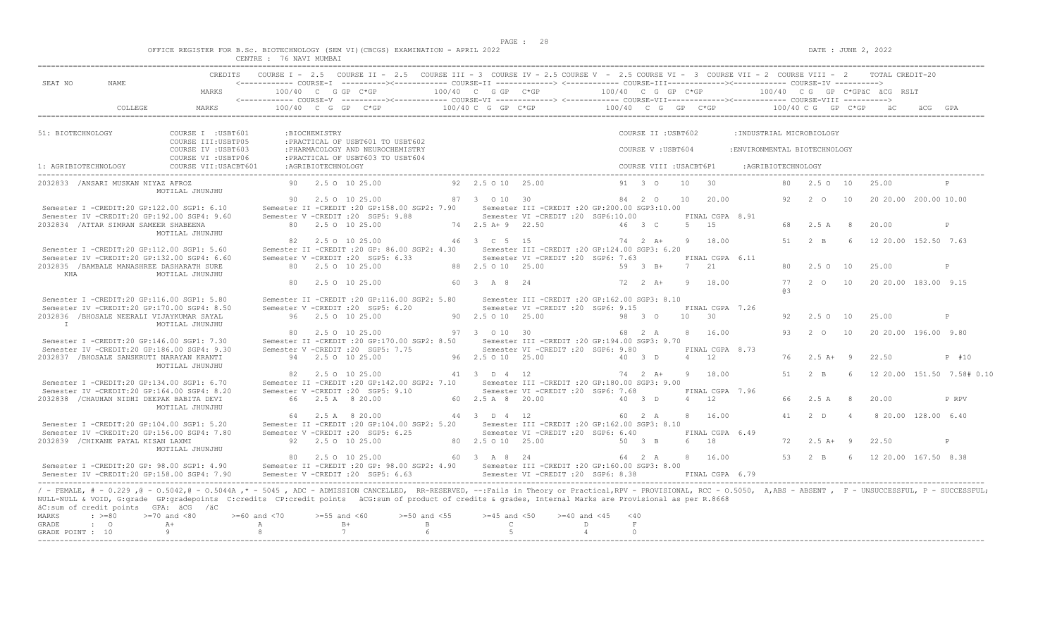$DATE: JUNE 2, 2022$ 

|  |  |                                        |                |  | OFFICE REGISTER FOR B.Sc. BIOTECHNOLOGY (SEM VI)(CBCGS) EXAMINATION - APRIL 2022 |  |  |
|--|--|----------------------------------------|----------------|--|----------------------------------------------------------------------------------|--|--|
|  |  | <b>CENTRE</b><br><b>تلانا 1911 تاب</b> | 76 NAVI MUMBAI |  |                                                                                  |  |  |

| SEAT NO<br>NAME.                                                                                                                                                                                                                                                                                                                                                                                                                                    |                                            |                    |                           | COURSE I - 2.5 COURSE II - 2.5 COURSE III - 3 COURSE IV - 2.5 COURSE V - 2.5 COURSE VI - 3 COURSE VII - 2 COURSE VIII - 2 TOTAL CREDIT-20 |                  |                       |                                                                           |                 |                    |                         |            |                 |                              |     |                     |                |                                                |                            |
|-----------------------------------------------------------------------------------------------------------------------------------------------------------------------------------------------------------------------------------------------------------------------------------------------------------------------------------------------------------------------------------------------------------------------------------------------------|--------------------------------------------|--------------------|---------------------------|-------------------------------------------------------------------------------------------------------------------------------------------|------------------|-----------------------|---------------------------------------------------------------------------|-----------------|--------------------|-------------------------|------------|-----------------|------------------------------|-----|---------------------|----------------|------------------------------------------------|----------------------------|
|                                                                                                                                                                                                                                                                                                                                                                                                                                                     | MARKS                                      |                    | $100/40$ C G GP C*GP      |                                                                                                                                           |                  |                       | $100/40$ C G GP C*GP $100/40$ C G GP C*GP $100/40$ C G GP C*GPäC äCG RSLT |                 |                    |                         |            |                 |                              |     |                     |                |                                                |                            |
| COLLEGE.                                                                                                                                                                                                                                                                                                                                                                                                                                            | MARKS                                      |                    |                           | $100/40$ C G GP C*GP $100/40$ C G P C*GP $ 100/40$ C G GP C*GP $ 100/40$ C G GP C*GP                                                      |                  |                       |                                                                           |                 |                    |                         |            |                 |                              |     |                     |                |                                                |                            |
| 51: BIOTECHNOLOGY                                                                                                                                                                                                                                                                                                                                                                                                                                   | COURSE I : USBT601<br>COURSE III: USBTP05  |                    | :BIOCHEMISTRY             | : PRACTICAL OF USBT601 TO USBT602                                                                                                         |                  |                       |                                                                           |                 |                    | COURSE II : USBT602     |            |                 | : INDUSTRIAL MICROBIOLOGY    |     |                     |                |                                                |                            |
|                                                                                                                                                                                                                                                                                                                                                                                                                                                     | COURSE IV : USBT603<br>COURSE VI : USBTP06 |                    |                           | : PHARMACOLOGY AND NEUROCHEMISTRY<br>: PRACTICAL OF USBT603 TO USBT604                                                                    |                  |                       |                                                                           |                 |                    | COURSE V: USBT604       |            |                 | :ENVIRONMENTAL BIOTECHNOLOGY |     |                     |                |                                                |                            |
| 1: AGRIBIOTECHNOLOGY                                                                                                                                                                                                                                                                                                                                                                                                                                | COURSE VII: USACBT601                      |                    | :AGRIBIOTECHNOLOGY        |                                                                                                                                           |                  |                       |                                                                           |                 |                    | COURSE VIII : USACBT6P1 |            |                 | :AGRIBIOTECHNOLOGY           |     |                     |                |                                                |                            |
| 2032833 /ANSARI MUSKAN NIYAZ AFROZ                                                                                                                                                                                                                                                                                                                                                                                                                  | MOTILAL JHUNJHU                            |                    | 90 2.5 0 10 25.00         |                                                                                                                                           |                  | 92  2.5  0  10  25.00 |                                                                           |                 |                    | 91 3 0                  | 10 30      |                 |                              |     | 80 2.5 0 10         |                | 25.00                                          | P                          |
| Semester I -CREDIT:20 GP:122.00 SGP1: 6.10                                                                                                                                                                                                                                                                                                                                                                                                          |                                            |                    | 90 2.5 0 10 25.00         | Semester II -CREDIT : 20 GP: 158.00 SGP2: 7.90                                                                                            |                  | 87 3 0 10 30          | Semester III -CREDIT : 20 GP: 200.00 SGP3: 10.00                          |                 | 84 2 0             |                         |            | 10 20.00        |                              | 92  | $2\degree$ O        | 10             | 20 20.00 200.00 10.00                          |                            |
| Semester IV -CREDIT:20 GP:192.00 SGP4: 9.60<br>2032834 / ATTAR SIMRAN SAMEER SHABEENA                                                                                                                                                                                                                                                                                                                                                               | MOTILAL JHUNJHU                            |                    | 80 2.5 0 10 25.00         | Semester V -CREDIT : 20 SGP5: 9.88                                                                                                        |                  | 74 2.5 A + 9 22.50    | Semester VI -CREDIT :20 SGP6:10.00                                        |                 | 46 3 C             |                         | 5 15       |                 | FINAL CGPA 8.91              |     | 68 2.5 A 8          |                | 20.00                                          | P                          |
| Semester I -CREDIT:20 GP:112.00 SGP1: 5.60                                                                                                                                                                                                                                                                                                                                                                                                          |                                            |                    | 82   2.5   0   10   25.00 | Semester II -CREDIT : 20 GP: 86.00 SGP2: 4.30                                                                                             |                  | 46 3 C 5 15           | Semester III -CREDIT : 20 GP: 124.00 SGP3: 6.20                           |                 | $74$ 2 $\lambda +$ |                         |            | 9 18.00         |                              |     | 51 2 B              | 6 <sup>6</sup> | 12 20 00 152 50 7.63                           |                            |
| Semester IV -CREDIT:20 GP:132.00 SGP4: 6.60<br>2032835 / BAMBALE MANASHREE DASHARATH SURE<br>KHA                                                                                                                                                                                                                                                                                                                                                    |                                            |                    | 80 2.5 0 10 25.00         | Semester V -CREDIT : 20 SGP5: 6.33                                                                                                        |                  | 88 2.5 0 10 25.00     | Semester VI - CREDIT : 20 SGP6: 7.63                                      |                 | 59 3 B+            |                         | 7 21       |                 | FINAL CGPA 6.11              |     | 80 2.5 0 10         |                | 25.00                                          | P                          |
|                                                                                                                                                                                                                                                                                                                                                                                                                                                     | MOTILAL JHUNJHU                            |                    | 80 2.5 0 10 25.00         |                                                                                                                                           |                  | 60 3 A 8 24           |                                                                           |                 |                    |                         |            | 72 2 A+ 9 18.00 |                              | 63  |                     |                | 77   2   0   10   20   20   00   183.00   9.15 |                            |
| Semester I -CREDIT:20 GP:116.00 SGP1: 5.80                                                                                                                                                                                                                                                                                                                                                                                                          |                                            |                    |                           | Semester II -CREDIT : 20 GP:116.00 SGP2: 5.80                                                                                             |                  |                       | Semester III -CREDIT :20 GP:162.00 SGP3: 8.10                             |                 |                    |                         |            |                 |                              |     |                     |                |                                                |                            |
| Semester IV -CREDIT:20 GP:170.00 SGP4: 8.50<br>2032836 /BHOSALE NEERALI VIJAYKUMAR SAYAL<br>T                                                                                                                                                                                                                                                                                                                                                       | MOTILAL JHUNJHU                            |                    | 96 2.5 0 10 25.00         | Semester V -CREDIT : 20 SGP5: 6.20                                                                                                        |                  | 90 2.5 0 10 25.00     | Semester VI -CREDIT : 20 SGP6: 9.15                                       |                 | 98 3 0             |                         | $10 \t 30$ |                 | FINAL CGPA 7.26              | 92  | 2.50 10             |                | 25.00                                          | P                          |
| Semester I -CREDIT:20 GP:146.00 SGP1: 7.30                                                                                                                                                                                                                                                                                                                                                                                                          |                                            |                    | 80 2.5 0 10 25.00         | Semester II -CREDIT : 20 GP: 170.00 SGP2: 8.50                                                                                            |                  | 97 3 0 10 30          | Semester III - CREDIT : 20 GP: 194.00 SGP3: 9.70                          |                 | 68 2 A             |                         |            | 8 16.00         |                              | 93  | 2 0 10              |                | 20 20.00 196.00 9.80                           |                            |
| Semester IV -CREDIT:20 GP:186.00 SGP4: 9.30<br>2032837 /BHOSALE SANSKRUTI NARAYAN KRANTI                                                                                                                                                                                                                                                                                                                                                            |                                            |                    | 94 2.5 0 10 25.00         | Semester V -CREDIT : 20 SGP5: 7.75                                                                                                        |                  | 96 2.5 0 10 25.00     | Semester VI - CREDIT : 20 SGP6: 9.80                                      |                 | 40 3 D             |                         | 4 12       |                 | FINAL CGPA 8.73              | 76  | $2.5A+$             | $\overline{9}$ | 22.50                                          | P #10                      |
| Semester I -CREDIT:20 GP:134.00 SGP1: 6.70                                                                                                                                                                                                                                                                                                                                                                                                          | MOTILAL JHUNJHU                            |                    | 82   2.5   0   10   25.00 | Semester II -CREDIT : 20 GP:142.00 SGP2: 7.10 Semester III -CREDIT : 20 GP:180.00 SGP3: 9.00                                              |                  | 41 3 D 4 12           |                                                                           | 74 2 A+ 9 18.00 |                    |                         |            |                 |                              | 51  | $2 \quad B$         | -6             |                                                | 12 20.00 151.50 7.58# 0.10 |
| Semester IV -CREDIT:20 GP:164.00 SGP4: 8.20<br>2032838 / CHAUHAN NIDHI DEEPAK BABITA DEVI                                                                                                                                                                                                                                                                                                                                                           |                                            |                    | 66 2.5 A 8 20.00          | Semester V -CREDIT : 20 SGP5: 9.10                                                                                                        |                  | 60 2.5 A 8 20.00      | Semester VI - CREDIT : 20 SGP6: 7.68                                      | 40 3 D          |                    |                         | 4 12       |                 | FINAL CGPA 7.96              | 66. | 2.5 A               | - 8            | 20.00                                          | P RPV                      |
| Semester I -CREDIT:20 GP:104.00 SGP1: 5.20                                                                                                                                                                                                                                                                                                                                                                                                          | MOTILAL JHUNJHU                            |                    | 64 2.5 A 8 20.00          | Semester II -CREDIT : 20 GP: 104.00 SGP2: 5.20                                                                                            |                  | 44 3 D 4 12           | Semester III - CREDIT : 20 GP: 162.00 SGP3: 8.10                          |                 | 60 2 A             |                         |            | 8 16.00         |                              | 41  | 2 <sub>0</sub>      | $\overline{4}$ | 8 20.00 128.00 6.40                            |                            |
| Semester IV -CREDIT:20 GP:156.00 SGP4: 7.80<br>2032839 / CHIKANE PAYAL KISAN LAXMI                                                                                                                                                                                                                                                                                                                                                                  |                                            |                    | 92 2.5 0 10 25.00         | Semester V -CREDIT : 20 SGP5: 6.25                                                                                                        |                  | 80 2.5 0 10 25.00     | Semester VI - CREDIT : 20 SGP6: 6.40                                      |                 | 50 3 B             |                         | 6 18       |                 | FINAL CGPA 6.49              | 72  | $2.5$ $\lambda +$ 9 |                | 22.50                                          | P                          |
|                                                                                                                                                                                                                                                                                                                                                                                                                                                     | MOTILAL JHUNJHU                            |                    | 80 2.5 0 10 25.00         |                                                                                                                                           |                  | 60 3 A 8 24           |                                                                           |                 | 64 2 A             |                         |            | 8 16.00         |                              |     | 53 2 B              |                | 6 12 20 00 167 50 8 38                         |                            |
| Semester I -CREDIT:20 GP: 98.00 SGP1: 4.90<br>Semester IV -CREDIT:20 GP:158.00 SGP4: 7.90                                                                                                                                                                                                                                                                                                                                                           |                                            |                    |                           | Semester II -CREDIT :20 GP: 98.00 SGP2: 4.90 Semester III -CREDIT :20 GP:160.00 SGP3: 8.00<br>Semester V - CREDIT : 20 SGP5: 6.63         |                  |                       | Semester VI - CREDIT : 20 SGP6: 8.38 FINAL CGPA 6.79                      |                 |                    |                         |            |                 |                              |     |                     |                |                                                |                            |
| / - FEMALE, # - 0.229, @ - 0.5042, @ - 0.5044A, * - 5045, ADC - ADMISSION CANCELLED, RR-RESERVED, --: Fails in Theory or Practical, RPV - PROVISIONAL, RCC - 0.5050, A, ABS - ABSENT, F - UNSUCCESSFUL, P - SUCCESSFUL;<br>NULL-NULL & VOID, G:grade GP:gradepoints C:credits CP:credit points äCG:sum of product of credits & grades, Internal Marks are Provisional as per R.8668<br>äC:sum of credit points GPA: äCG /äC<br>MARKS<br>$\div$ >=80 | $>=70$ and $<80$                           | $>= 60$ and $< 70$ | $>=55$ and $<60$          |                                                                                                                                           | $>=50$ and $<55$ | $>=45$ and $<50$      | $>= 40$ and $< 45$                                                        |                 | < 40               |                         |            |                 |                              |     |                     |                |                                                |                            |
| $\mathbf{C}$<br><b>GRADE</b>                                                                                                                                                                                                                                                                                                                                                                                                                        | $A +$                                      | A                  | $B+$                      |                                                                                                                                           | B                | $\mathbb{C}$          |                                                                           | $\Gamma$        | F                  |                         |            |                 |                              |     |                     |                |                                                |                            |
| GRADE POINT : 10                                                                                                                                                                                                                                                                                                                                                                                                                                    | 9                                          | -8                 | 7                         |                                                                                                                                           |                  | $5^{\circ}$           |                                                                           | $\overline{4}$  | $\cap$             |                         |            |                 |                              |     |                     |                |                                                |                            |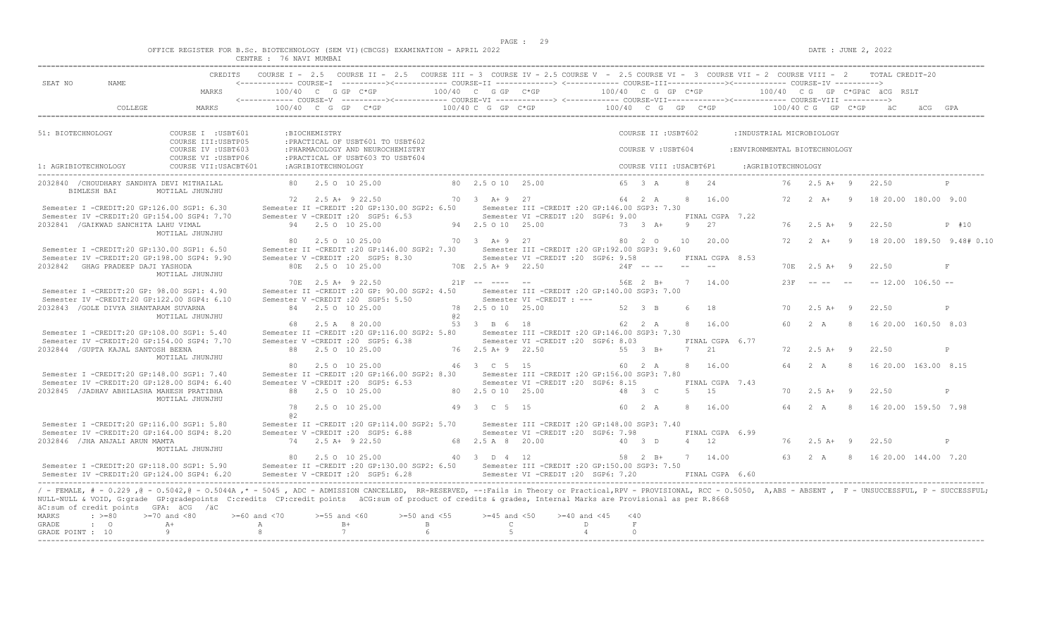$DATA: JUNE 2, 2022$ 

|  |  |                   |           |               |  | OFFICE REGISTER FOR B.Sc. BIOTECHNOLOGY (SEM VI)(CBCGS) EXAMINATION - | - APRIL 2022 |  |
|--|--|-------------------|-----------|---------------|--|-----------------------------------------------------------------------|--------------|--|
|  |  | $C$ ENTRE $\cdot$ | 76 NAVT L | <b>MUMBAT</b> |  |                                                                       |              |  |

|                                              |                                                                                                                                                                                                                                                                                                                                                                                                                         |                       |                                                          |                                                                        |                       |                                  | CREDITS COURSE I - 2.5 COURSE II - 2.5 COURSE III - 3 COURSE IV - 2.5 COURSE V - 2.5 COURSE VI - 3 COURSE VII - 2 COURSE VIII - 2 TOTAL CREDIT-20  |                             |                              |      |                                             |                              |                     |                            |                |                                      |                            |
|----------------------------------------------|-------------------------------------------------------------------------------------------------------------------------------------------------------------------------------------------------------------------------------------------------------------------------------------------------------------------------------------------------------------------------------------------------------------------------|-----------------------|----------------------------------------------------------|------------------------------------------------------------------------|-----------------------|----------------------------------|----------------------------------------------------------------------------------------------------------------------------------------------------|-----------------------------|------------------------------|------|---------------------------------------------|------------------------------|---------------------|----------------------------|----------------|--------------------------------------|----------------------------|
| SEAT NO<br>NAME.                             | MARKS                                                                                                                                                                                                                                                                                                                                                                                                                   |                       |                                                          |                                                                        |                       |                                  |                                                                                                                                                    |                             |                              |      |                                             |                              |                     |                            |                |                                      |                            |
|                                              | COLLEGE<br>MARKS                                                                                                                                                                                                                                                                                                                                                                                                        |                       |                                                          |                                                                        |                       |                                  | 100/40 C G GP C*GP 100/40 C G GP C*GP 100/40 C G GP C*GP 100/40 C G GP C*GP 100/40 C G GP C*GP aC                                                  |                             |                              |      |                                             |                              |                     |                            |                |                                      |                            |
| 51: BIOTECHNOLOGY                            | COURSE I : USBT601<br>COURSE III: USBTP05                                                                                                                                                                                                                                                                                                                                                                               |                       | :BIOCHEMISTRY                                            | : PRACTICAL OF USBT601 TO USBT602                                      |                       |                                  |                                                                                                                                                    |                             | COURSE II : USBT602          |      |                                             |                              |                     | :INDUSTRIAL MICROBIOLOGY   |                |                                      |                            |
|                                              | COURSE IV : USBT603<br>COURSE VI : USBTP06                                                                                                                                                                                                                                                                                                                                                                              |                       |                                                          | : PHARMACOLOGY AND NEUROCHEMISTRY<br>: PRACTICAL OF USBT603 TO USBT604 |                       |                                  |                                                                                                                                                    |                             | COURSE V : USBT604           |      |                                             | :ENVIRONMENTAL BIOTECHNOLOGY |                     |                            |                |                                      |                            |
| 1: AGRIBIOTECHNOLOGY                         | COURSE VII: USACBT601                                                                                                                                                                                                                                                                                                                                                                                                   |                       | :AGRIBIOTECHNOLOGY                                       |                                                                        |                       |                                  |                                                                                                                                                    |                             | COURSE VIII : USACBT6P1      |      |                                             |                              | : AGRIBIOTECHNOLOGY |                            |                |                                      |                            |
| BIMLESH BAI                                  | 2032840 / CHOUDHARY SANDHYA DEVI MITHAILAL<br>MOTILAL JHUNJHU                                                                                                                                                                                                                                                                                                                                                           |                       | 80 2.5 0 10 25.00                                        |                                                                        |                       | 80 2.5 0 10 25.00                |                                                                                                                                                    |                             | 65 3 A                       |      | 8 24                                        |                              |                     | 76 2.5 A+ 9                |                | 22.50                                |                            |
|                                              | Semester I -CREDIT:20 GP:126.00 SGP1: 6.30                                                                                                                                                                                                                                                                                                                                                                              |                       | 72 2.5 A + 9 22.50                                       | Semester II -CREDIT : 20 GP: 130.00 SGP2: 6.50                         |                       | 70 3 A + 9 27                    | Semester III -CREDIT :20 GP:146.00 SGP3: 7.30                                                                                                      |                             | 64 2 A                       |      | 8 16.00                                     |                              | 72                  | $2 A+ 9$                   |                | 18 20.00 180.00 9.00                 |                            |
| 2032841 / GAIKWAD SANCHITA LAHU VIMAL        | Semester IV -CREDIT:20 GP:154.00 SGP4: 7.70<br>MOTILAL JHUNJHU                                                                                                                                                                                                                                                                                                                                                          |                       | Semester V - CREDIT : 20 SGP5: 6.53<br>94 2.5 0 10 25.00 |                                                                        |                       | 94 2.5 0 10 25.00                | Semester VI -CREDIT :20 SGP6: 9.00                                                                                                                 | 73 3 A+                     |                              |      | FINAL CGPA 7.22<br>$9 \t 27$                |                              |                     | $76$ $2.5$ $A+$ 9          |                | 22.50                                | P #10                      |
|                                              | Semester I -CREDIT:20 GP:130.00 SGP1: 6.50                                                                                                                                                                                                                                                                                                                                                                              |                       | 80 2.5 0 10 25.00                                        |                                                                        |                       | 70 3 A + 9 27                    | Semester II -CREDIT : 20 GP:146.00 SGP2: 7.30 Semester III -CREDIT : 20 GP:192.00 SGP3: 9.60                                                       |                             | 80  2  0  10  20.00          |      |                                             |                              |                     | 72 2 A+ 9                  |                |                                      | 18 20.00 189.50 9.48# 0.10 |
| 2032842 GHAG PRADEEP DAJI YASHODA            | Semester IV -CREDIT:20 GP:198.00 SGP4: 9.90                                                                                                                                                                                                                                                                                                                                                                             |                       | Semester V -CREDIT : 20 SGP5: 8.30<br>80E 2.5 O 10 25.00 |                                                                        |                       | 70E 2.5 A + 9 22.50              | Semester VI -CREDIT :20 SGP6: 9.58                                                                                                                 | $24F$ ---                   |                              |      | FINAL CGPA 8.53<br>- 22 - 22 - 23 - 23 - 23 |                              |                     | 70E 2.5 A+ 9               |                | 22.50                                | F                          |
|                                              | MOTILAL JHUNJHU                                                                                                                                                                                                                                                                                                                                                                                                         |                       | 70E 2.5 A+ 9 22.50                                       |                                                                        |                       |                                  | $21F$ -- ---- --                                                                                                                                   |                             | 56E 2 B+ 7 14.00             |      |                                             |                              |                     | $23F$ -- -- --             |                | $-- 12.00 106.50 --$                 |                            |
|                                              | Semester I -CREDIT:20 GP: 98.00 SGP1: 4.90<br>Semester IV -CREDIT:20 GP:122.00 SGP4: 6.10                                                                                                                                                                                                                                                                                                                               |                       | Semester V -CREDIT : 20 SGP5: 5.50                       |                                                                        |                       |                                  | Semester II -CREDIT :20 GP: 90.00 SGP2: 4.50 Semester III -CREDIT :20 GP:140.00 SGP3: 7.00<br>Semester VI -CREDIT : ---                            |                             |                              |      |                                             |                              |                     |                            |                |                                      |                            |
| 2032843 / GOLE DIVYA SHANTARAM SUVARNA       | MOTILAL JHUNJHU                                                                                                                                                                                                                                                                                                                                                                                                         |                       | 84 2.5 0 10 25.00<br>68 2.5 A 8 20.00                    |                                                                        | a2                    | 78 2.5 0 10 25.00<br>53 3 B 6 18 |                                                                                                                                                    |                             | 52 3 B<br>62  2  A  8  16.00 |      | 6 18                                        |                              | 60                  | $70 \t 2.5 \t A+ 9$<br>2 A | - 8            | 22.50<br>16 20.00 160.50 8.03        | P                          |
|                                              | Semester I -CREDIT:20 GP:108.00 SGP1: 5.40<br>Semester IV -CREDIT:20 GP:154.00 SGP4: 7.70                                                                                                                                                                                                                                                                                                                               |                       | Semester V -CREDIT : 20 SGP5: 6.38                       |                                                                        |                       |                                  | Semester II -CREDIT : 20 GP:116.00 SGP2: 5.80 Semester III -CREDIT : 20 GP:146.00 SGP3: 7.30<br>Semester VI - CREDIT : 20 SGP6: 8.03               |                             |                              |      | FINAL CGPA 6.77                             |                              |                     |                            |                |                                      |                            |
| 2032844 / GUPTA KAJAL SANTOSH BEENA          | MOTILAL JHUNJHU                                                                                                                                                                                                                                                                                                                                                                                                         |                       | 88 2.5 0 10 25.00                                        |                                                                        |                       | 76 2.5 A + 9 22.50               |                                                                                                                                                    | 55 3 B+                     |                              | 7 21 |                                             |                              |                     | $72$ $2.5$ $A+$ 9          |                | 22.50                                | P                          |
|                                              | Semester I -CREDIT:20 GP:148.00 SGP1: 7.40                                                                                                                                                                                                                                                                                                                                                                              |                       | 80 2.5 0 10 25.00                                        | Semester II -CREDIT : 20 GP: 166.00 SGP2: 8.30                         |                       | 46 3 C 5 15                      | Semester III -CREDIT :20 GP:156.00 SGP3: 7.80                                                                                                      |                             | 60 2 A                       |      | 8 16.00                                     |                              | 64                  | 2 A                        | 8 <sup>7</sup> | 16 20.00 163.00 8.15                 |                            |
|                                              | Semester IV -CREDIT:20 GP:128.00 SGP4: 6.40<br>2032845 / JADHAV ABHILASHA MAHESH PRATIBHA<br>MOTILAL JHUNJHU                                                                                                                                                                                                                                                                                                            |                       | 88 2.5 0 10 25.00                                        | Semester V - CREDIT : 20 SGP5: 6.53                                    |                       | 80 2.5 0 10 25.00                | Semester VI - CREDIT : 20 SGP6: 8.15                                                                                                               |                             | 48 3 C                       |      | FINAL CGPA 7.43<br>5 15                     |                              | 70                  | $2.5 A+ 9$                 |                | 22.50                                | P                          |
|                                              |                                                                                                                                                                                                                                                                                                                                                                                                                         | a2                    | 78 2.5 0 10 25.00                                        |                                                                        |                       | 49 3 C 5 15                      |                                                                                                                                                    |                             | 60 2 A                       |      | 8 16.00                                     |                              |                     |                            |                | 64  2  A  8  16  20.00  159.50  7.98 |                            |
|                                              | Semester I -CREDIT:20 GP:116.00 SGP1: 5.80<br>Semester IV -CREDIT:20 GP:164.00 SGP4: 8.20                                                                                                                                                                                                                                                                                                                               |                       | Semester V - CREDIT : 20 SGP5: 6.88                      |                                                                        |                       |                                  | Semester II -CREDIT :20 GP:114.00 SGP2: 5.70 Semester III -CREDIT :20 GP:148.00 SGP3: 7.40<br>Semester VI - CREDIT : 20 SGP6: 7.98                 |                             |                              |      | FINAL CGPA 6.99                             |                              |                     |                            |                |                                      |                            |
| 2032846 / JHA ANJALI ARUN MAMTA              | MOTILAL JHUNJHU                                                                                                                                                                                                                                                                                                                                                                                                         |                       | 74 2.5 A+ 9 22.50                                        |                                                                        |                       | 68 2.5 A 8 20.00                 |                                                                                                                                                    | 40 3 D                      |                              |      | 4 12                                        |                              |                     | $76$ $2.5$ $A+$ 9          |                | 22.50                                | P                          |
|                                              | Semester I -CREDIT:20 GP:118.00 SGP1: 5.90<br>Semester IV -CREDIT:20 GP:124.00 SGP4: 6.20                                                                                                                                                                                                                                                                                                                               |                       | 80 2.5 0 10 25.00                                        | Semester V - CREDIT : 20 SGP5: 6.28                                    |                       | 40 3 D 4 12                      | Semester II -CREDIT :20 GP:130.00 SGP2: 6.50 Semester III -CREDIT :20 GP:150.00 SGP3: 7.50<br>Semester VI - CREDIT : 20 SGP6: 7.20 FINAL CGPA 6.60 |                             | 58  2  B+  7  14.00          |      |                                             |                              |                     | 63 2 A                     | 8 <sup>1</sup> | 16 20.00 144.00 7.20                 |                            |
|                                              | / - FEMALE, # - 0.229, @ - 0.5042, @ - 0.5044A,* - 5045, ADC - ADMISSION CANCELLED, RR-RESERVED, --:Fails in Theory or Practical,RPV - PROVISIONAL, RCC - 0.5050, A,ABS - ABSENT, F - UNSUCCESSFUL, P - SUCCESSFUL;<br>NULL-NULL & VOID, G:grade GP:gradepoints C:credits CP:credit points äCG:sum of product of credits & grades, Internal Marks are Provisional as per R.8668<br>äC:sum of credit points GPA: äCG /äC |                       |                                                          |                                                                        |                       |                                  |                                                                                                                                                    |                             |                              |      |                                             |                              |                     |                            |                |                                      |                            |
| MARKS<br>$: \ \ \>=80$<br>GRADE<br>$\cdot$ 0 | $>=70$ and $<80$<br>$A+$                                                                                                                                                                                                                                                                                                                                                                                                | $>=60$ and $<70$<br>A | $>=55$ and $<60$<br>$B+$                                 |                                                                        | $>=50$ and $<55$<br>B | $>=45$ and $<50$<br>$\mathbb{C}$ |                                                                                                                                                    | $>=40$ and $<45$ $<40$<br>D | F                            |      |                                             |                              |                     |                            |                |                                      |                            |
| GRADE POINT : 10                             | 9                                                                                                                                                                                                                                                                                                                                                                                                                       | 8                     | 7                                                        |                                                                        |                       | 5                                |                                                                                                                                                    | $\overline{4}$              | $\Omega$                     |      |                                             |                              |                     |                            |                |                                      |                            |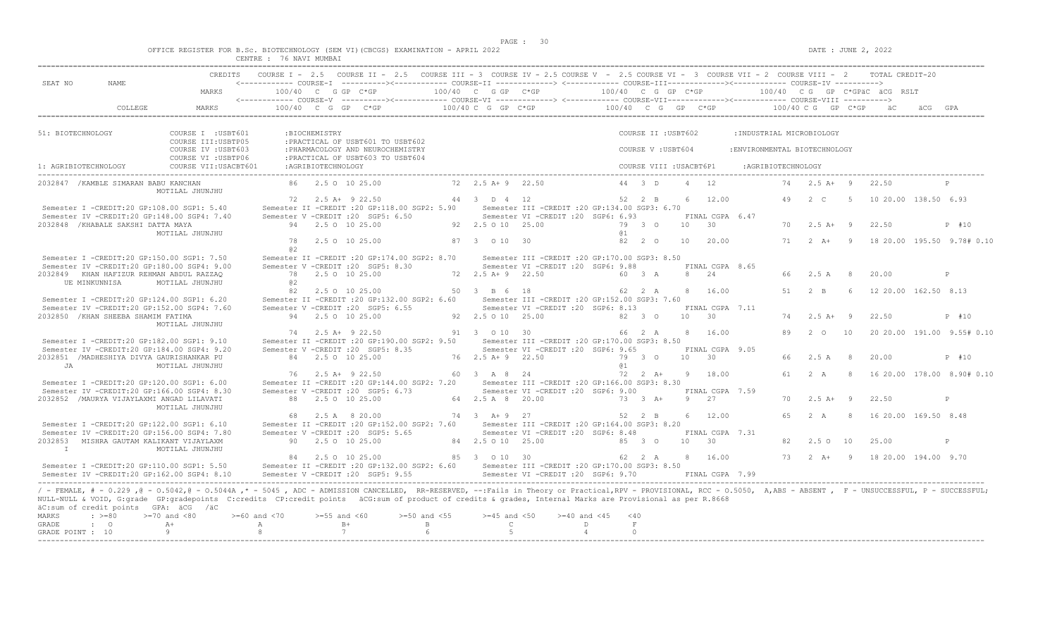$DATE: JUNE 2, 2022$ 

|  |  |  |                         |  | OFFICE REGISTER FOR B.Sc. BIOTECHNOLOGY (SEM VI)(CBCGS) EXAMINATION - APRIL 2022 |  |  |
|--|--|--|-------------------------|--|----------------------------------------------------------------------------------|--|--|
|  |  |  | CENTRE : 76 NAVI MUMBAI |  |                                                                                  |  |  |

| SEAT NO                                                                                                                                                                                                                                                                                                                                                                                                                     |                                            |                       |                    |                                                                                                           |                       |                                   | COURSE I - 2.5 COURSE II - 2.5 COURSE III - 3 COURSE IV - 2.5 COURSE V - 2.5 COURSE VI - 3 COURSE VII - 2 COURSE VIII - 2 TOTAL CREDIT-20                                                                                                                                                                                               |                |                         |            |                               |                               |    |                                 |                |                               |                                                     |
|-----------------------------------------------------------------------------------------------------------------------------------------------------------------------------------------------------------------------------------------------------------------------------------------------------------------------------------------------------------------------------------------------------------------------------|--------------------------------------------|-----------------------|--------------------|-----------------------------------------------------------------------------------------------------------|-----------------------|-----------------------------------|-----------------------------------------------------------------------------------------------------------------------------------------------------------------------------------------------------------------------------------------------------------------------------------------------------------------------------------------|----------------|-------------------------|------------|-------------------------------|-------------------------------|----|---------------------------------|----------------|-------------------------------|-----------------------------------------------------|
| NAME.                                                                                                                                                                                                                                                                                                                                                                                                                       | MARKS                                      |                       |                    | 100/40 C G GP C*GP                                                                                        |                       |                                   | 100/40 C G GP C*GP $100/40$ C G GP C*GP $100/40$ C G GP C*GPäC äCG RSLT                                                                                                                                                                                                                                                                 |                |                         |            |                               |                               |    |                                 |                |                               |                                                     |
| COLLEGE.                                                                                                                                                                                                                                                                                                                                                                                                                    | MARKS                                      |                       |                    |                                                                                                           |                       |                                   | $100/40$ C G GP C*GP $100/40$ C G P C*GP $\overline{C}$ C G GP C*GP $\overline{C}$ C G GP C*GP $\overline{C}$ $\overline{C}$ $\overline{C}$ $\overline{C}$ $\overline{C}$ $\overline{C}$ $\overline{C}$ $\overline{C}$ $\overline{C}$ $\overline{C}$ $\overline{C}$ $\overline{C}$ $\overline{C}$ $\overline{C}$ $\overline{C}$ $\over$ |                |                         |            |                               |                               |    |                                 |                |                               |                                                     |
| 51: BIOTECHNOLOGY                                                                                                                                                                                                                                                                                                                                                                                                           | COURSE I : USBT601<br>COURSE III: USBTP05  |                       | :BIOCHEMISTRY      | : PRACTICAL OF USBT601 TO USBT602                                                                         |                       |                                   |                                                                                                                                                                                                                                                                                                                                         |                | COURSE II : USBT602     |            |                               | : INDUSTRIAL MICROBIOLOGY     |    |                                 |                |                               |                                                     |
|                                                                                                                                                                                                                                                                                                                                                                                                                             | COURSE IV : USBT603<br>COURSE VI : USBTP06 |                       |                    | : PHARMACOLOGY AND NEUROCHEMISTRY<br>: PRACTICAL OF USBT603 TO USBT604                                    |                       |                                   |                                                                                                                                                                                                                                                                                                                                         |                | COURSE V: USBT604       |            |                               | : ENVIRONMENTAL BIOTECHNOLOGY |    |                                 |                |                               |                                                     |
| 1: AGRIBIOTECHNOLOGY                                                                                                                                                                                                                                                                                                                                                                                                        | COURSE VII: USACBT601                      |                       | :AGRIBIOTECHNOLOGY |                                                                                                           |                       |                                   |                                                                                                                                                                                                                                                                                                                                         |                | COURSE VIII : USACBT6P1 |            |                               | :AGRIBIOTECHNOLOGY            |    |                                 |                |                               |                                                     |
| 2032847 / KAMBLE SIMARAN BABU KANCHAN                                                                                                                                                                                                                                                                                                                                                                                       | MOTILAL JHUNJHU                            |                       |                    | 86 2.5 0 10 25.00                                                                                         |                       | 72 2.5 A + 9 22.50                |                                                                                                                                                                                                                                                                                                                                         |                | 44 3 D                  | 4 12       |                               |                               |    | 74   2.5 A   9                  |                | 22.50                         | P                                                   |
| Semester I -CREDIT:20 GP:108.00 SGP1: 5.40                                                                                                                                                                                                                                                                                                                                                                                  |                                            |                       |                    | $72 \t2.5 \tA+ 9 \t22.50$<br>Semester II -CREDIT : 20 GP:118.00 SGP2: 5.90                                |                       | 44 3 D 4 12                       | Semester III -CREDIT : 20 GP: 134.00 SGP3: 6.70                                                                                                                                                                                                                                                                                         |                | $52 \t 2 \t B$          |            | 6 12.00                       |                               |    | 49 2 C                          | 5 <sub>5</sub> | 10 20.00 138.50 6.93          |                                                     |
| Semester IV -CREDIT:20 GP:148.00 SGP4: 7.40<br>2032848 / KHABALE SAKSHI DATTA MAYA                                                                                                                                                                                                                                                                                                                                          | MOTILAL JHUNJHU                            |                       |                    | Semester V -CREDIT : 20 SGP5: 6.50<br>94 2.5 0 10 25.00                                                   | 92 2.5 0 10 25.00     |                                   | Semester VI -CREDIT :20 SGP6: 6.93                                                                                                                                                                                                                                                                                                      | <b>a</b> 1     | 79 3 0                  |            | FINAL CGPA 6.47<br>$10 \t 30$ |                               |    | $70 \t 2.5 \t A+ 9$             |                | 22.50                         | P #10                                               |
|                                                                                                                                                                                                                                                                                                                                                                                                                             |                                            | 78<br>0.2             |                    | 2.5 0 10 25.00                                                                                            |                       | 87 3 0 10 30                      |                                                                                                                                                                                                                                                                                                                                         |                | $82 \t 2 \t 0$          |            | 10 20.00                      |                               |    |                                 |                |                               | 71   2   A+   9   18   20.00   195.50   9.78#  0.10 |
| Semester I -CREDIT:20 GP:150.00 SGP1: 7.50<br>Semester IV -CREDIT:20 GP:180.00 SGP4: 9.00<br>2032849 KHAN HAFIZUR REHMAN ABDUL RAZZAO                                                                                                                                                                                                                                                                                       |                                            | 78                    |                    | Semester II -CREDIT : 20 GP: 174.00 SGP2: 8.70<br>Semester V - CREDIT : 20 SGP5: 8.30<br>2.5 0 10 25.00   |                       | 72 2.5 A + 9 22.50                | Semester III -CREDIT : 20 GP: 170.00 SGP3: 8.50<br>Semester VI - CREDIT : 20 SGP6: 9.88                                                                                                                                                                                                                                                 |                | 60 3 A                  |            | FINAL CGPA 8.65<br>8 24       |                               |    | 66 2.5 A 8                      |                | 20.00                         | P                                                   |
| UE MINKUNNISA                                                                                                                                                                                                                                                                                                                                                                                                               | MOTILAL JHUNJHU                            | 0.2<br>82             |                    | 2.5 0 10 25.00                                                                                            |                       | 50 3 B 6 18                       |                                                                                                                                                                                                                                                                                                                                         |                | 62 2 A                  |            | 8 16.00                       |                               | 51 | $2 \overline{B}$                | - 6 -          | 12 20.00 162.50 8.13          |                                                     |
| Semester I -CREDIT:20 GP:124.00 SGP1: 6.20<br>Semester IV -CREDIT:20 GP:152.00 SGP4: 7.60<br>2032850 / KHAN SHEEBA SHAMIM FATIMA                                                                                                                                                                                                                                                                                            |                                            |                       |                    | Semester II -CREDIT : 20 GP:132.00 SGP2: 6.60<br>Semester V -CREDIT : 20 SGP5: 6.55<br>94 2.5 0 10 25.00  |                       | 92 2.5 0 10 25.00                 | Semester III -CREDIT : 20 GP: 152.00 SGP3: 7.60<br>Semester VI - CREDIT : 20 SGP6: 8.13                                                                                                                                                                                                                                                 |                | 82 3 0                  | $10 \t 30$ | FINAL CGPA 7.11               |                               |    | $74$ 2.5 A+ 9                   |                | 22.50                         | P #10                                               |
|                                                                                                                                                                                                                                                                                                                                                                                                                             | MOTILAL JHUNJHU                            |                       |                    | 74 2.5 A+ 9 22.50                                                                                         |                       | 91 3 0 10 30                      |                                                                                                                                                                                                                                                                                                                                         |                | 66 2 A                  |            | 8 16.00                       |                               | 89 | 2 0 10                          |                |                               | 20 20.00 191.00 9.55# 0.10                          |
| Semester I -CREDIT:20 GP:182.00 SGP1: 9.10<br>Semester IV -CREDIT:20 GP:184.00 SGP4: 9.20<br>2032851 /MADHESHIYA DIVYA GAURISHANKAR PU                                                                                                                                                                                                                                                                                      |                                            |                       |                    | Semester II -CREDIT : 20 GP: 190.00 SGP2: 9.50<br>Semester V -CREDIT : 20 SGP5: 8.35<br>84 2.5 0 10 25.00 |                       | 76 2.5 A + 9 22.50                | Semester III -CREDIT : 20 GP: 170.00 SGP3: 8.50<br>Semester VI -CREDIT :20 SGP6: 9.65                                                                                                                                                                                                                                                   |                | 79 3 0                  |            | FINAL CGPA 9.05<br>10 30      |                               | 66 | 2.5 A                           | - 8            | 20.00                         | P #10                                               |
| JA                                                                                                                                                                                                                                                                                                                                                                                                                          | MOTILAL JHUNJHU                            |                       |                    | 76 2.5 A + 9 22.50                                                                                        |                       | 60 3 A 8 24                       |                                                                                                                                                                                                                                                                                                                                         | a <sub>1</sub> | $72 \t2 \tA+$           |            | 9 18.00                       |                               |    | 61 2 A                          | $\overline{8}$ |                               | 16 20.00 178.00 8.90# 0.10                          |
| Semester I -CREDIT:20 GP:120.00 SGP1: 6.00<br>Semester IV -CREDIT:20 GP:166.00 SGP4: 8.30<br>2032852 /MAURYA VIJAYLAXMI ANGAD LILAVATI                                                                                                                                                                                                                                                                                      |                                            |                       |                    | Semester V -CREDIT : 20 SGP5: 6.73<br>88 2.5 0 10 25.00                                                   |                       | 64 2.5 A 8 20.00                  | Semester II -CREDIT : 20 GP:144.00 SGP2: 7.20 Semester III -CREDIT : 20 GP:166.00 SGP3: 8.30<br>Semester VI -CREDIT :20 SGP6: 9.00                                                                                                                                                                                                      | 73 3 A+        |                         | 9 27       | FINAL CGPA 7.59               |                               | 70 | $2.5$ A+ 9                      |                | 22.50                         | $\mathbb{P}$                                        |
|                                                                                                                                                                                                                                                                                                                                                                                                                             | MOTILAL JHUNJHU                            |                       |                    | 68 2.5 A 8 20.00                                                                                          | 74 3 A + 9 27         |                                   |                                                                                                                                                                                                                                                                                                                                         |                | 52 2 B                  |            | 6 12.00                       |                               | 65 | 2 A                             | -8             | 16 20.00 169.50 8.48          |                                                     |
| Semester I -CREDIT:20 GP:122.00 SGP1: 6.10<br>Semester IV -CREDIT:20 GP:156.00 SGP4: 7.80                                                                                                                                                                                                                                                                                                                                   |                                            |                       |                    | Semester II -CREDIT : 20 GP:152.00 SGP2: 7.60<br>Semester V -CREDIT : 20 SGP5: 5.65                       |                       |                                   | Semester III - CREDIT : 20 GP: 164.00 SGP3: 8.20<br>Semester VI - CREDIT : 20 SGP6: 8.48                                                                                                                                                                                                                                                |                |                         |            | FINAL CGPA 7.31               |                               |    |                                 |                |                               |                                                     |
| 2032853 MISHRA GAUTAM KALIKANT VIJAYLAXM<br>$\mathbb{I}$                                                                                                                                                                                                                                                                                                                                                                    | MOTILAL JHUNJHU                            |                       |                    | 90 2.5 0 10 25.00<br>84 2.5 0 10 25.00                                                                    |                       | 84 2.5 0 10 25.00<br>85 3 0 10 30 |                                                                                                                                                                                                                                                                                                                                         |                | $85 \t30$<br>62 2 A     | $10 \t 30$ | 8 16.00                       |                               | 82 | 2.50 10<br>$73 \t 2 \t A+ \t 9$ |                | 25.00<br>18 20 00 194 00 9 70 | P                                                   |
| Semester I -CREDIT:20 GP:110.00 SGP1: 5.50<br>Semester IV -CREDIT:20 GP:162.00 SGP4: 8.10                                                                                                                                                                                                                                                                                                                                   |                                            |                       |                    | Semester V -CREDIT : 20 SGP5: 9.55                                                                        |                       |                                   | Semester II -CREDIT :20 GP:132.00 SGP2: 6.60 Semester III -CREDIT :20 GP:170.00 SGP3: 8.50<br>Semester VI - CREDIT : 20 SGP6: 9.70 FINAL CGPA 7.99                                                                                                                                                                                      |                |                         |            |                               |                               |    |                                 |                |                               |                                                     |
| / - FEMALE, # - 0.229, @ - 0.5042, @ - 0.5044A, * - 5045, ADC - ADMISSION CANCELLED, RR-RESERVED, --: Fails in Theory or Practical, RPV - PROVISIONAL, RCC - 0.5050, A, ABS - ABSENT, F - UNSUCCESSFUL, P - SUCCESSFUL;<br>NULL-NULL & VOID, G:grade GP:gradepoints C:credits CP:credit points äCG:sum of product of credits & grades, Internal Marks are Provisional as per R.8668<br>äC:sum of credit points GPA: äCG /äC |                                            |                       |                    |                                                                                                           |                       |                                   |                                                                                                                                                                                                                                                                                                                                         |                |                         |            |                               |                               |    |                                 |                |                               |                                                     |
| MARKS<br>$: \ \ \>=80$<br>$\cdot$ 0<br><b>GRADE</b>                                                                                                                                                                                                                                                                                                                                                                         | $>=70$ and $<80$<br>$A +$                  | $>=60$ and $<70$<br>A | $>=55$ and $<60$   | $B+$                                                                                                      | $>=50$ and $<55$<br>B | $>=45$ and $<50$<br>$\mathbb{C}$  | $>= 40$ and $< 45$                                                                                                                                                                                                                                                                                                                      | D.             | $<$ 40<br>F             |            |                               |                               |    |                                 |                |                               |                                                     |
| GRADE POINT : 10                                                                                                                                                                                                                                                                                                                                                                                                            | $\theta$                                   | 8                     |                    | 7                                                                                                         |                       | $5 -$                             |                                                                                                                                                                                                                                                                                                                                         | $\overline{4}$ | $\Omega$                |            |                               |                               |    |                                 |                |                               |                                                     |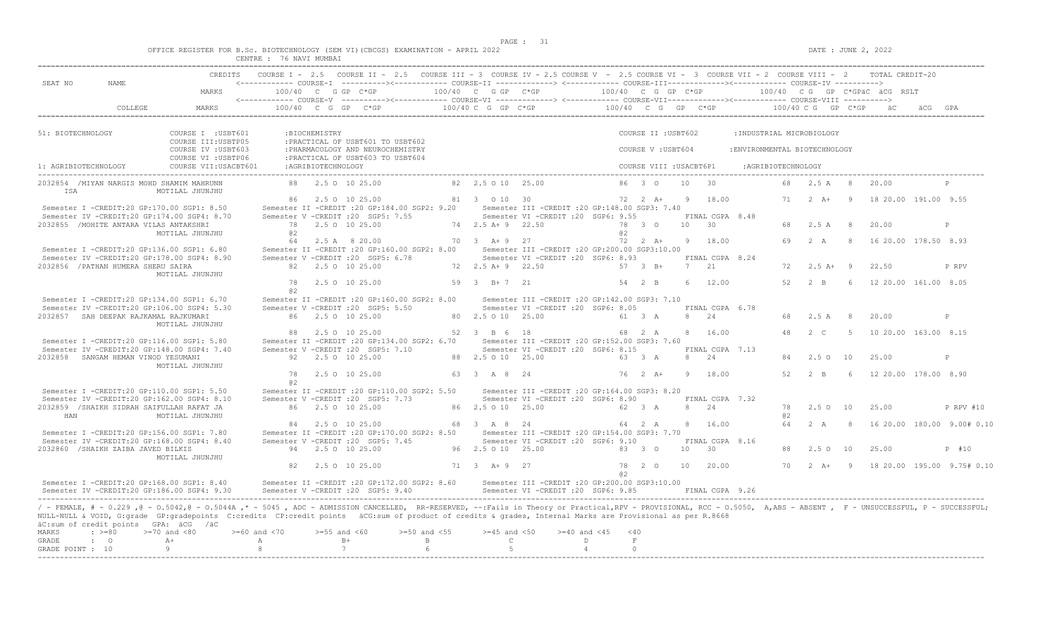$DATA: JUNE 2, 2022$ 

|  |  |                                        |                |  | OFFICE REGISTER FOR B.Sc. BIOTECHNOLOGY (SEM VI)(CBCGS) EXAMINATION - APRIL 2022 |  |  |
|--|--|----------------------------------------|----------------|--|----------------------------------------------------------------------------------|--|--|
|  |  | <b>CENTRE</b><br><b>تلانا 1911 تاب</b> | 76 NAVI MUMBAI |  |                                                                                  |  |  |

|                                                                                                                                                                                                                                                                                                                                                                                                                             | <b>CREDITS</b>                             |                    |                      | COURSE I - 2.5 COURSE II - 2.5 COURSE III - 3 COURSE IV - 2.5 COURSE V - 2.5 COURSE VI - 3 COURSE VII - 2 COURSE VIII - 2 TOTAL CREDIT-20         |                             |                             |                                                                                      |                                                      |                         |    |                       |                               |                    |                    |                |                      |                            |
|-----------------------------------------------------------------------------------------------------------------------------------------------------------------------------------------------------------------------------------------------------------------------------------------------------------------------------------------------------------------------------------------------------------------------------|--------------------------------------------|--------------------|----------------------|---------------------------------------------------------------------------------------------------------------------------------------------------|-----------------------------|-----------------------------|--------------------------------------------------------------------------------------|------------------------------------------------------|-------------------------|----|-----------------------|-------------------------------|--------------------|--------------------|----------------|----------------------|----------------------------|
| SEAT NO<br>NAME.                                                                                                                                                                                                                                                                                                                                                                                                            | MARKS                                      |                    | $100/40$ C G GP C*GP | <------------ COURSE-I ----------><----------- COURSE-II --------------> <------------ COURSE-III------------><-----------> COURSE-IV ----------> |                             | $100/40$ C G GP $C*GP$      |                                                                                      | $100/40$ C G GP C*GP $100/40$ C G GP C*GPäC ÄCG RSLT |                         |    |                       |                               |                    |                    |                |                      |                            |
|                                                                                                                                                                                                                                                                                                                                                                                                                             |                                            |                    |                      | <------------ COURSE-V ----------><----------- COURSE-VI --------------> <------------ COURSE-VII---------------- COURSE-VIII ---------->         |                             |                             |                                                                                      |                                                      |                         |    |                       |                               |                    |                    |                |                      |                            |
| COLLEGE                                                                                                                                                                                                                                                                                                                                                                                                                     | MARKS                                      |                    |                      | 100/40 C G GP C*GP                                                                                                                                |                             |                             | $100/40$ C G GP C*GP $100/40$ C G GP C*GP $100/40$ C G GP C*GP                       |                                                      |                         |    |                       |                               |                    |                    |                |                      |                            |
|                                                                                                                                                                                                                                                                                                                                                                                                                             |                                            |                    |                      |                                                                                                                                                   |                             |                             |                                                                                      |                                                      |                         |    |                       |                               |                    |                    |                |                      |                            |
| 51: BIOTECHNOLOGY                                                                                                                                                                                                                                                                                                                                                                                                           | COURSE I : USBT601<br>COURSE III: USBTP05  |                    | :BIOCHEMISTRY        | : PRACTICAL OF USBT601 TO USBT602                                                                                                                 |                             |                             |                                                                                      |                                                      | COURSE II : USBT602     |    |                       | : INDUSTRIAL MICROBIOLOGY     |                    |                    |                |                      |                            |
|                                                                                                                                                                                                                                                                                                                                                                                                                             | COURSE IV : USBT603<br>COURSE VI : USBTP06 |                    |                      | : PHARMACOLOGY AND NEUROCHEMISTRY<br>: PRACTICAL OF USBT603 TO USBT604                                                                            |                             |                             |                                                                                      |                                                      | COURSE V: USBT604       |    |                       | : ENVIRONMENTAL BIOTECHNOLOGY |                    |                    |                |                      |                            |
| 1: AGRIBIOTECHNOLOGY                                                                                                                                                                                                                                                                                                                                                                                                        | COURSE VII: USACBT601                      |                    | :AGRIBIOTECHNOLOGY   |                                                                                                                                                   |                             |                             |                                                                                      |                                                      | COURSE VIII : USACBT6P1 |    |                       |                               | :AGRIBIOTECHNOLOGY |                    |                |                      |                            |
| 2032854 / MIYAN NARGIS MOHD SHAMIM MAHRUNN<br>ISA                                                                                                                                                                                                                                                                                                                                                                           | MOTILAL JHUNJHU                            |                    |                      | 88 2.5 0 10 25.00                                                                                                                                 |                             | 82  2.5  0  10  25.00       |                                                                                      |                                                      | 86 3 0                  | 10 | $\overline{30}$       |                               | 68                 | 2.5A               | 8              | 20.00                |                            |
|                                                                                                                                                                                                                                                                                                                                                                                                                             |                                            |                    |                      | 86 2.5 0 10 25.00                                                                                                                                 |                             | 81 3 0 10 30                |                                                                                      |                                                      | 72 2 A+                 |    | 9 18.00               |                               |                    | $71 \t 2 \t A+$    | $\overline{9}$ | 18 20.00 191.00 9.55 |                            |
| Semester I -CREDIT:20 GP:170.00 SGP1: 8.50                                                                                                                                                                                                                                                                                                                                                                                  |                                            |                    |                      | Semester II -CREDIT : 20 GP: 184.00 SGP2: 9.20                                                                                                    |                             |                             | Semester III - CREDIT : 20 GP: 148.00 SGP3: 7.40                                     |                                                      |                         |    |                       |                               |                    |                    |                |                      |                            |
| Semester IV -CREDIT:20 GP:174.00 SGP4: 8.70                                                                                                                                                                                                                                                                                                                                                                                 |                                            |                    |                      | Semester V -CREDIT : 20 SGP5: 7.55                                                                                                                |                             |                             | Semester VI - CREDIT : 20 SGP6: 9.55                                                 |                                                      |                         |    | FINAL CGPA 8.48       |                               |                    |                    |                |                      |                            |
| 2032855 /MOHITE ANTARA VILAS ANTAKSHRI                                                                                                                                                                                                                                                                                                                                                                                      |                                            |                    |                      | 78 2.5 0 10 25.00                                                                                                                                 |                             | 74 2.5 A+ 9 22.50           |                                                                                      |                                                      | 78 3 0                  |    | 10 30                 |                               | 68                 | 2.5 A              | 8              | 20.00                | P                          |
|                                                                                                                                                                                                                                                                                                                                                                                                                             | MOTILAL JHUNJHU                            | 0.2                |                      |                                                                                                                                                   |                             |                             |                                                                                      | a2                                                   |                         |    |                       |                               | 69                 |                    |                |                      |                            |
| Semester I -CREDIT:20 GP:136.00 SGP1: 6.80                                                                                                                                                                                                                                                                                                                                                                                  |                                            | 64                 |                      | 2.5 A 8 20.00<br>Semester II -CREDIT : 20 GP:160.00 SGP2: 8.00                                                                                    |                             | 70 3 A + 9 27               | Semester III -CREDIT : 20 GP: 200.00 SGP3: 10.00                                     |                                                      | 72 2 A+                 |    | 9 18.00               |                               |                    | 2A                 | -8             | 16 20.00 178.50 8.93 |                            |
| Semester IV -CREDIT:20 GP:178.00 SGP4: 8.90                                                                                                                                                                                                                                                                                                                                                                                 |                                            |                    |                      | Semester V -CREDIT : 20 SGP5: 6.78                                                                                                                |                             |                             | Semester VI -CREDIT : 20 SGP6: 8.93                                                  |                                                      |                         |    | FINAL CGPA 8.24       |                               |                    |                    |                |                      |                            |
| 2032856 / PATHAN HUMERA SHERU SAIRA                                                                                                                                                                                                                                                                                                                                                                                         |                                            |                    |                      | 82  2.5  0  10  25.00                                                                                                                             |                             | 72 2.5 A + 9 22.50          |                                                                                      |                                                      | 57 3 B+                 |    | 7 21                  |                               | 72                 | $2.5 A+ 9$         |                | 22.50                | P RPV                      |
|                                                                                                                                                                                                                                                                                                                                                                                                                             | MOTILAL JHUNJHU                            |                    |                      |                                                                                                                                                   |                             |                             |                                                                                      |                                                      |                         |    |                       |                               |                    |                    |                |                      |                            |
|                                                                                                                                                                                                                                                                                                                                                                                                                             |                                            | 78<br>a2           |                      | 2.5 0 10 25.00                                                                                                                                    |                             | 59 3 B+7 21                 |                                                                                      |                                                      | 54 2 B                  |    | 6 12.00               |                               | 52                 | $2 - B$            | - 6            | 12 20.00 161.00 8.05 |                            |
| Semester I -CREDIT:20 GP:134.00 SGP1: 6.70                                                                                                                                                                                                                                                                                                                                                                                  |                                            |                    |                      | Semester II -CREDIT : 20 GP:160.00 SGP2: 8.00                                                                                                     |                             |                             | Semester III -CREDIT :20 GP:142.00 SGP3: 7.10                                        |                                                      |                         |    |                       |                               |                    |                    |                |                      |                            |
| Semester IV -CREDIT:20 GP:106.00 SGP4: 5.30                                                                                                                                                                                                                                                                                                                                                                                 |                                            |                    |                      | Semester V -CREDIT : 20 SGP5: 5.50                                                                                                                |                             |                             | Semester VI -CREDIT : 20 SGP6: 8.05                                                  |                                                      |                         |    | FINAL CGPA 6.78       |                               |                    |                    |                |                      |                            |
| 2032857 SAH DEEPAK RAJKAMAL RAJKUMARI                                                                                                                                                                                                                                                                                                                                                                                       | MOTILAL JHUNJHU                            |                    |                      | 86 2.5 0 10 25.00                                                                                                                                 |                             | 80 2.5 0 10 25.00           |                                                                                      |                                                      | 61 3 A                  |    | 8 24                  |                               | 68                 | 2.5 A              | - 8            | 20.00                | P                          |
|                                                                                                                                                                                                                                                                                                                                                                                                                             |                                            |                    |                      | 88 2.5 0 10 25.00                                                                                                                                 |                             | 52 3 B 6 18                 |                                                                                      |                                                      | 68 2 A                  |    | 8 16.00               |                               | $\triangle$        | 2 <sub>c</sub>     | $5^{\circ}$    | 10 20.00 163.00 8.15 |                            |
| Semester I -CREDIT:20 GP:116.00 SGP1: 5.80                                                                                                                                                                                                                                                                                                                                                                                  |                                            |                    |                      | Semester II -CREDIT : 20 GP:134.00 SGP2: 6.70                                                                                                     |                             |                             | Semester III -CREDIT : 20 GP:152.00 SGP3: 7.60                                       |                                                      |                         |    |                       |                               |                    |                    |                |                      |                            |
| Semester IV -CREDIT:20 GP:148.00 SGP4: 7.40                                                                                                                                                                                                                                                                                                                                                                                 |                                            |                    |                      | Semester V -CREDIT : 20 SGP5: 7.10                                                                                                                |                             |                             | Semester VI -CREDIT : 20 SGP6: 8.15                                                  |                                                      |                         |    | FINAL CGPA 7.13       |                               |                    |                    |                |                      |                            |
| 2032858 SANGAM HEMAN VINOD YESUMANI                                                                                                                                                                                                                                                                                                                                                                                         | MOTILAL JHUNJHU                            |                    |                      | 92 2.5 0 10 25.00                                                                                                                                 |                             | 88 2.5 0 10 25.00           |                                                                                      |                                                      | 63 3 A                  | 8  | 24                    |                               | 84                 | 2.50 10            |                | 25.00                | P                          |
|                                                                                                                                                                                                                                                                                                                                                                                                                             |                                            | 78<br>a2           |                      | 2.5 0 10 25.00                                                                                                                                    |                             | 63 3 A 8 24                 |                                                                                      |                                                      | $76 \t 2 \t A+$         | 9  | 18.00                 |                               | 52                 | $2 - B$            | $\kappa$       | 12 20.00 178.00 8.90 |                            |
| Semester I -CREDIT:20 GP:110.00 SGP1: 5.50                                                                                                                                                                                                                                                                                                                                                                                  |                                            |                    |                      | Semester II -CREDIT : 20 GP:110.00 SGP2: 5.50                                                                                                     |                             |                             | Semester III -CREDIT : 20 GP:164.00 SGP3: 8.20                                       |                                                      |                         |    |                       |                               |                    |                    |                |                      |                            |
| Semester IV -CREDIT:20 GP:162.00 SGP4: 8.10                                                                                                                                                                                                                                                                                                                                                                                 |                                            |                    |                      | Semester V - CREDIT : 20 SGP5: 7.73                                                                                                               |                             |                             | Semester VI - CREDIT : 20 SGP6: 8.90                                                 |                                                      |                         |    | FINAL CGPA 7.32       |                               |                    |                    |                |                      |                            |
| 2032859 /SHAIKH SIDRAH SAIFULLAH RAFAT JA                                                                                                                                                                                                                                                                                                                                                                                   |                                            |                    |                      | 86 2.5 0 10 25.00                                                                                                                                 |                             | 86 2.5 0 10 25.00           |                                                                                      |                                                      | 62 3 A                  |    | 8 24                  |                               | 78                 | 2.5010             |                | 25.00                | P RPV #10                  |
| HAN                                                                                                                                                                                                                                                                                                                                                                                                                         | MOTILAL JHUNJHU                            |                    |                      |                                                                                                                                                   |                             |                             |                                                                                      |                                                      |                         |    |                       |                               | a2                 |                    |                |                      |                            |
|                                                                                                                                                                                                                                                                                                                                                                                                                             |                                            |                    |                      | 84 2.5 0 10 25.00                                                                                                                                 |                             | 68 3 A 8 24                 |                                                                                      |                                                      | 64 2 A                  |    | 8 16.00               |                               | 64                 | 2A                 | $\mathcal{R}$  |                      | 16 20.00 180.00 9.00# 0.10 |
| Semester I -CREDIT:20 GP:156.00 SGP1: 7.80                                                                                                                                                                                                                                                                                                                                                                                  |                                            |                    |                      | Semester II -CREDIT : 20 GP: 170.00 SGP2: 8.50                                                                                                    |                             |                             | Semester III - CREDIT : 20 GP: 154.00 SGP3: 7.70                                     |                                                      |                         |    |                       |                               |                    |                    |                |                      |                            |
| Semester IV -CREDIT:20 GP:168.00 SGP4: 8.40<br>2032860 /SHAIKH ZAIBA JAVED BILKIS                                                                                                                                                                                                                                                                                                                                           |                                            |                    |                      | Semester V -CREDIT : 20 SGP5: 7.45<br>94 2.5 0 10 25.00                                                                                           |                             | 96 2.5 0 10 25.00           | Semester VI -CREDIT : 20 SGP6: 9.10                                                  |                                                      | 83 3 0                  | 10 | FINAL CGPA 8.16<br>30 |                               | 88                 | 2.5010             |                | 25.00                | P #10                      |
|                                                                                                                                                                                                                                                                                                                                                                                                                             | MOTILAL JHUNJHU                            |                    |                      |                                                                                                                                                   |                             |                             |                                                                                      |                                                      |                         |    |                       |                               |                    |                    |                |                      |                            |
|                                                                                                                                                                                                                                                                                                                                                                                                                             |                                            | 82                 |                      | 2.5 0 10 25.00                                                                                                                                    |                             | 71 3 A+ 9 27                |                                                                                      |                                                      | 78 2 0                  | 10 | 20.00                 |                               | 70                 | $2 \overline{A}$ + | $\overline{9}$ |                      | 18 20.00 195.00 9.75# 0.10 |
| Semester I -CREDIT:20 GP:168.00 SGP1: 8.40<br>Semester TV -CREDIT: 20 GP: 186.00 SGP4: 9.30                                                                                                                                                                                                                                                                                                                                 |                                            |                    |                      | Semester II -CREDIT :20 GP:172.00 SGP2: 8.60<br>Semester V -CREDIT : 20 SGP5: 9.40                                                                |                             |                             | Semester III -CREDIT :20 GP:200.00 SGP3:10.00<br>Semester VI -CREDIT : 20 SGP6: 9.85 | a2                                                   |                         |    | FINAL CGPA 9.26       |                               |                    |                    |                |                      |                            |
|                                                                                                                                                                                                                                                                                                                                                                                                                             |                                            |                    |                      |                                                                                                                                                   |                             |                             |                                                                                      |                                                      |                         |    |                       |                               |                    |                    |                |                      |                            |
| / - FEMALE, # - 0.229, @ - 0.5042, @ - 0.5044A, * - 5045, ADC - ADMISSION CANCELLED, RR-RESERVED, --: Fails in Theory or Practical, RPV - PROVISIONAL, RCC - 0.5050, A, ABS - ABSENT, F - UNSUCCESSFUL, P - SUCCESSFUL;<br>NULL-NULL & VOID, G:grade GP:gradepoints C:credits CP:credit points äCG:sum of product of credits & grades, Internal Marks are Provisional as per R.8668<br>äC:sum of credit points GPA: äCG /äC |                                            |                    |                      |                                                                                                                                                   |                             |                             |                                                                                      |                                                      |                         |    |                       |                               |                    |                    |                |                      |                            |
| $\div$ >=80<br>MARKS                                                                                                                                                                                                                                                                                                                                                                                                        | $>=70$ and $<80$                           | $>= 60$ and $< 70$ | $>=55$ and $<60$     | $>=50$ and $<55$                                                                                                                                  |                             | $>=45$ and $<50$            | $>=40$ and $<45$                                                                     |                                                      | < 40                    |    |                       |                               |                    |                    |                |                      |                            |
| GRADE<br>$\cdot$ 0<br>GRADE POINT : 10                                                                                                                                                                                                                                                                                                                                                                                      | $A +$<br>$\theta$                          | A<br>8             | $B+$<br>7            |                                                                                                                                                   | $\mathbb{B}$<br>$6^{\circ}$ | $\mathbb{C}$<br>$5^{\circ}$ |                                                                                      | D<br>$\overline{4}$                                  | F<br>$\Omega$           |    |                       |                               |                    |                    |                |                      |                            |
| ----------------------                                                                                                                                                                                                                                                                                                                                                                                                      |                                            |                    |                      |                                                                                                                                                   |                             |                             |                                                                                      |                                                      |                         |    |                       |                               |                    |                    |                |                      |                            |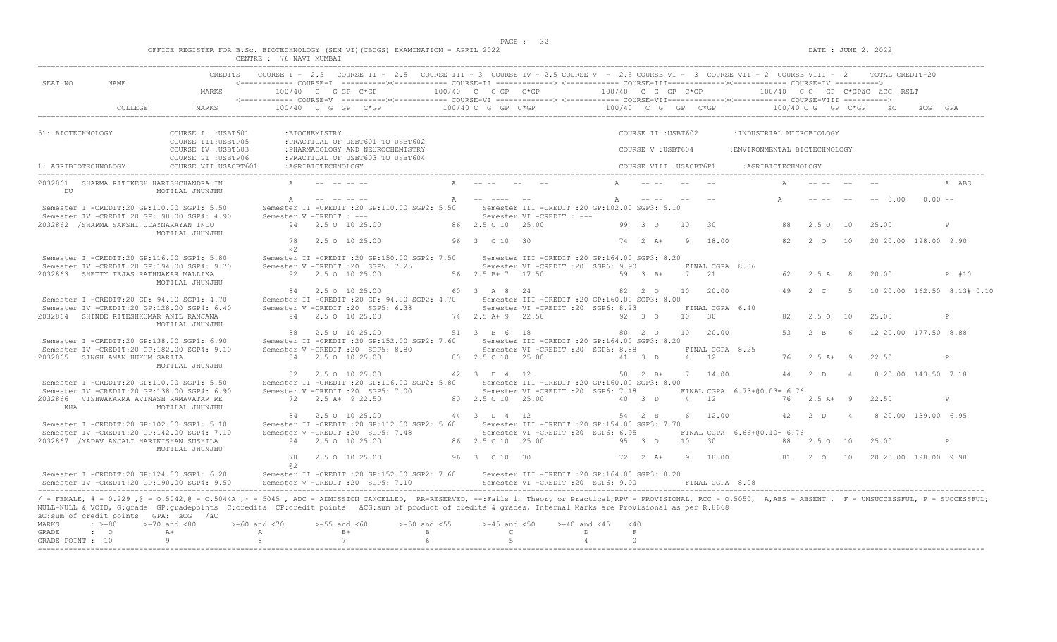$DATE: JUNE 2, 2022$ 

|  |  |          |                |  | OFFICE REGISTER FOR B.SC. BIOTECHNOLOGY (SEM VI)(CBCGS) EXAMINATION - APRIL 2022 |  |
|--|--|----------|----------------|--|----------------------------------------------------------------------------------|--|
|  |  | CENTRE : | 76 NAVI MUMBAI |  |                                                                                  |  |

| SEAT NO<br>NAME.                                                                                                                                                                                                                                                                                                                                                                                                          | <b>CREDITS</b>                             |                         |                                                          | COURSE I - 2.5 COURSE II - 2.5 COURSE III - 3 COURSE IV - 2.5 COURSE V - 2.5 COURSE VI - 3 COURSE VII - 2 COURSE VIII - 2               |   |                                  |                                                                                      |                         |                     |                         |                |                              |                              |                    |                                            |                | TOTAL CREDIT-20              |          |                            |
|---------------------------------------------------------------------------------------------------------------------------------------------------------------------------------------------------------------------------------------------------------------------------------------------------------------------------------------------------------------------------------------------------------------------------|--------------------------------------------|-------------------------|----------------------------------------------------------|-----------------------------------------------------------------------------------------------------------------------------------------|---|----------------------------------|--------------------------------------------------------------------------------------|-------------------------|---------------------|-------------------------|----------------|------------------------------|------------------------------|--------------------|--------------------------------------------|----------------|------------------------------|----------|----------------------------|
|                                                                                                                                                                                                                                                                                                                                                                                                                           | MARKS                                      |                         | 100/40 C G GP C*GP                                       | <------------ COURSE-V ----------><----------- COURSE-VI -------------> <------------ COURSE-VII--------------- COURSE-VIII ----------> |   | 100/40 C G GP C*GP               |                                                                                      |                         |                     | 100/40 C G GP C*GP      |                |                              |                              |                    |                                            |                | 100/40 CG GP C*GPAC ACG RSLT |          |                            |
| COLLEGE                                                                                                                                                                                                                                                                                                                                                                                                                   | MARKS                                      |                         | 100/40 C G GP C*GP                                       |                                                                                                                                         |   | $100/40$ C G GP C*GP             |                                                                                      | $100/40$ C G GP C*GP    |                     |                         |                |                              |                              |                    | $100/40 \, \text{C} \, \text{G}$ GP $C*GP$ |                |                              |          |                            |
| 51: BIOTECHNOLOGY                                                                                                                                                                                                                                                                                                                                                                                                         | COURSE I : USBT601<br>COURSE III: USBTP05  |                         | :BIOCHEMISTRY                                            | : PRACTICAL OF USBT601 TO USBT602                                                                                                       |   |                                  |                                                                                      |                         |                     | COURSE II : USBT602     |                |                              | : INDUSTRIAL MICROBIOLOGY    |                    |                                            |                |                              |          |                            |
|                                                                                                                                                                                                                                                                                                                                                                                                                           | COURSE IV : USBT603<br>COURSE VI : USBTP06 |                         |                                                          | : PHARMACOLOGY AND NEUROCHEMISTRY<br>: PRACTICAL OF USBT603 TO USBT604                                                                  |   |                                  |                                                                                      |                         |                     | COURSE V: USBT604       |                |                              | :ENVIRONMENTAL BIOTECHNOLOGY |                    |                                            |                |                              |          |                            |
| 1: AGRIBIOTECHNOLOGY<br>-----------------------------------                                                                                                                                                                                                                                                                                                                                                               | COURSE VII: USACBT601                      |                         | :AGRIBIOTECHNOLOGY                                       |                                                                                                                                         |   |                                  |                                                                                      |                         |                     | COURSE VIII : USACBT6P1 |                |                              |                              | :AGRIBIOTECHNOLOGY |                                            |                |                              |          |                            |
| 2032861 SHARMA RITIKESH HARISHCHANDRA IN<br>DU                                                                                                                                                                                                                                                                                                                                                                            | MOTILAL JHUNJHU                            |                         |                                                          |                                                                                                                                         |   |                                  |                                                                                      |                         |                     |                         |                |                              |                              |                    |                                            |                |                              |          | A ABS                      |
| Semester I -CREDIT:20 GP:110.00 SGP1: 5.50<br>Semester IV -CREDIT:20 GP: 98.00 SGP4: 4.90                                                                                                                                                                                                                                                                                                                                 |                                            | $\mathbb{A}$            | المحامين المحامين<br>Semester V -CREDIT : ---            | Semester II -CREDIT : 20 GP:110.00 SGP2: 5.50                                                                                           | A | -----------                      | Semester III -CREDIT : 20 GP: 102.00 SGP3: 5.10<br>Semester VI -CREDIT : ---         |                         | $\mathbb{A}$        | <b>Search Control</b>   |                |                              |                              | $\mathbb{A}$       |                                            |                | $-- 0.00$                    | $0.00 -$ |                            |
| 2032862 / SHARMA SAKSHI UDAYNARAYAN INDU                                                                                                                                                                                                                                                                                                                                                                                  | MOTILAL JHUNJHU                            |                         | 94 2.5 0 10 25.00                                        |                                                                                                                                         |   | 86 2.5 0 10 25.00                |                                                                                      |                         |                     | 99 3 0                  | 10             | -30                          |                              | 88                 | 2.5010                                     |                | 25.00                        |          | P                          |
|                                                                                                                                                                                                                                                                                                                                                                                                                           |                                            | 78<br>a2                | 2.5 0 10 25.00                                           |                                                                                                                                         |   | 96 3 0 10 30                     |                                                                                      |                         |                     | $74$ 2 $A+$             | - 9            | 18.00                        |                              | 82                 | $2\degree$ 0                               | 10             | 20 20.00 198.00 9.90         |          |                            |
| Semester I -CREDIT:20 GP:116.00 SGP1: 5.80<br>Semester IV -CREDIT:20 GP:194.00 SGP4: 9.70<br>2032863 SHETTY TEJAS RATHNAKAR MALLIKA                                                                                                                                                                                                                                                                                       |                                            |                         | Semester V -CREDIT : 20 SGP5: 7.25<br>92 2.5 0 10 25.00  | Semester II -CREDIT : 20 GP:150.00 SGP2: 7.50                                                                                           |   | 56 2.5 B + 7 17.50               | Semester III -CREDIT :20 GP:164.00 SGP3: 8.20<br>Semester VI -CREDIT :20 SGP6: 9.90  |                         |                     | 59 3 B+                 | 7 21           | FINAL CGPA 8.06              |                              | 62.                | 2.5 A                                      | - 8            | 20.00                        |          | $P$ #10                    |
| Semester I -CREDIT:20 GP: 94.00 SGP1: 4.70                                                                                                                                                                                                                                                                                                                                                                                | MOTILAL JHUNJHU                            |                         | 84 2.5 0 10 25.00                                        | Semester II -CREDIT : 20 GP: 94.00 SGP2: 4.70                                                                                           |   | 60 3 A 8 24                      | Semester III -CREDIT :20 GP:160.00 SGP3: 8.00                                        |                         |                     | 82 2 0                  | 10             | 20.00                        |                              | 49                 | $2 \quad C$                                | - 5            |                              |          | 10 20.00 162.50 8.13# 0.10 |
| Semester IV -CREDIT:20 GP:128.00 SGP4: 6.40<br>2032864 SHINDE RITESHKUMAR ANIL RANJANA                                                                                                                                                                                                                                                                                                                                    |                                            |                         | Semester V -CREDIT : 20 SGP5: 6.38<br>94 2.5 0 10 25.00  |                                                                                                                                         |   | 74 2.5 A + 9 22.50               | Semester VI - CREDIT : 20 SGP6: 8.23                                                 |                         |                     | 92 3 0                  | $10 \t 30$     | FINAL CGPA 6.40              |                              | 82.                | 2.50 10                                    |                | 25.00                        |          | P                          |
| Semester I -CREDIT:20 GP:138.00 SGP1: 6.90                                                                                                                                                                                                                                                                                                                                                                                | MOTILAL JHUNJHU                            |                         | 88 2.5 0 10 25.00                                        | Semester II -CREDIT : 20 GP:152.00 SGP2: 7.60                                                                                           |   | 51 3 B 6 18                      | Semester III -CREDIT : 20 GP:164.00 SGP3: 8.20                                       |                         |                     | 80 2 0                  |                | 10 20.00                     |                              | 53                 | $2 \overline{B}$                           | -6             | 12 20.00 177.50 8.88         |          |                            |
| Semester IV -CREDIT:20 GP:182.00 SGP4: 9.10<br>2032865 SINGH AMAN HUKUM SARITA                                                                                                                                                                                                                                                                                                                                            | MOTILAL JHUNJHU                            |                         | Semester V -CREDIT : 20 SGP5: 8.80<br>84 2.5 0 10 25.00  |                                                                                                                                         |   | 80 2.5 0 10 25.00                | Semester VI -CREDIT :20 SGP6: 8.88                                                   |                         |                     | 41 3 D                  |                | FINAL CGPA 8.25<br>$4 \t 12$ |                              | 76                 | $2.5$ A + 9                                |                | 22.50                        |          | P                          |
| Semester I -CREDIT:20 GP:110.00 SGP1: 5.50                                                                                                                                                                                                                                                                                                                                                                                |                                            | 82                      | 2.5 0 10 25.00                                           | Semester II -CREDIT : 20 GP:116.00 SGP2: 5.80                                                                                           |   | 42 3 D 4 12                      | Semester III -CREDIT :20 GP:160.00 SGP3: 8.00                                        |                         |                     | 58 2 B+                 |                | 7 14.00                      |                              | 44                 | 2 <sub>0</sub>                             | $\overline{4}$ | 8 20.00 143.50 7.18          |          |                            |
| Semester IV -CREDIT:20 GP:138.00 SGP4: 6.90<br>2032866  VISHWAKARMA AVINASH RAMAVATAR RE<br>KHA                                                                                                                                                                                                                                                                                                                           | MOTILAL JHUNJHU                            |                         | Semester V -CREDIT : 20 SGP5: 7.00<br>72 2.5 A+ 9 22.50  |                                                                                                                                         |   | 80 2.5 0 10 25.00                | Semester VI -CREDIT : 20 SGP6: 7.18                                                  |                         |                     | 40 3 D                  |                | $4 \t 12$                    | FINAL CGPA 6.73+00.03= 6.76  | 76                 | $2.5$ A+ 9                                 |                | 22.50                        |          | P                          |
| Semester I -CREDIT:20 GP:102.00 SGP1: 5.10                                                                                                                                                                                                                                                                                                                                                                                |                                            | 84                      | 2.5 0 10 25.00                                           | Semester II -CREDIT : 20 GP:112.00 SGP2: 5.60                                                                                           |   | 44 3 D 4 12                      | Semester III -CREDIT : 20 GP: 154.00 SGP3: 7.70                                      |                         |                     | 54 2 B                  | 6              | 12.00                        |                              | 42                 | 2 <sub>D</sub>                             | $\overline{4}$ | 8 20.00 139.00 6.95          |          |                            |
| Semester IV -CREDIT:20 GP:142.00 SGP4: 7.10<br>2032867 / YADAV ANJALI HARIKISHAN SUSHILA                                                                                                                                                                                                                                                                                                                                  | MOTILAL JHUNJHU                            |                         | Semester V - CREDIT : 20 SGP5: 7.48<br>94 2.5 0 10 25.00 |                                                                                                                                         |   | 86 2.5 0 10 25.00                | Semester VI -CREDIT :20 SGP6: 6.95                                                   |                         |                     | 95 3 0                  | 10 30          |                              | FINAL CGPA 6.66+00.10= 6.76  | 88                 | 2.50                                       | 10             | 25.00                        |          | $\mathbb{P}$               |
|                                                                                                                                                                                                                                                                                                                                                                                                                           |                                            | 78<br>a2                | 2.5 0 10 25.00                                           |                                                                                                                                         |   | 96 3 0 10 30                     |                                                                                      |                         |                     | $72 \t 2 \t A+$         | $\overline{9}$ | 18.00                        |                              |                    | 81 2 0                                     | 10             | 20 20 00 198 00 9 90         |          |                            |
| Semester I -CREDIT:20 GP:124.00 SGP1: 6.20<br>Semester IV -CREDIT:20 GP:190.00 SGP4: 9.50                                                                                                                                                                                                                                                                                                                                 |                                            |                         | Semester V -CREDIT : 20 SGP5: 7.10                       | Semester II -CREDIT : 20 GP:152.00 SGP2: 7.60                                                                                           |   |                                  | Semester III -CREDIT : 20 GP:164.00 SGP3: 8.20<br>Semester VI -CREDIT :20 SGP6: 9.90 |                         |                     |                         |                | FINAL CGPA 8.08              |                              |                    |                                            |                |                              |          |                            |
| / - FEMALE, # - 0.229 ,@ - 0.5042,@ - 0.5044A ,* - 5045 , ADC - ADMISSION CANCELLED, RR-RESERVED, --:Fails in Theory or Practical,RPV - PROVISIONAL, RCC - 0.5050, A,ABS - ABSENT , F - UNSUCCESSFUL, P - SUCCESSFUL;<br>NULL-NULL & VOID, G:grade GP:gradepoints C:credits CP:credit points äCG:sum of product of credits & grades, Internal Marks are Provisional as per R.8668<br>äC:sum of credit points GPA: äCG /äC |                                            |                         |                                                          |                                                                                                                                         |   |                                  |                                                                                      |                         |                     |                         |                |                              |                              |                    |                                            |                |                              |          |                            |
| $>=70$ and $<80$<br>MARKS<br>$\div$ >=80<br>$A +$<br>GRADE<br>$\cdot$ 0                                                                                                                                                                                                                                                                                                                                                   |                                            | $>= 60$ and $< 70$<br>A | $>=55$ and $<60$<br>$B+$                                 | $>=50$ and $<55$<br>$\mathbb B$                                                                                                         |   | $>=45$ and $<50$<br>$\mathsf{C}$ |                                                                                      | $>= 40$ and $< 45$<br>D | < 40<br>$\mathbf F$ |                         |                |                              |                              |                    |                                            |                |                              |          |                            |
| 9<br>GRADE POINT : 10                                                                                                                                                                                                                                                                                                                                                                                                     |                                            | 8                       | 7                                                        | 6                                                                                                                                       |   | 5                                |                                                                                      | $\overline{4}$          | $\Omega$            |                         |                |                              |                              |                    |                                            |                |                              |          |                            |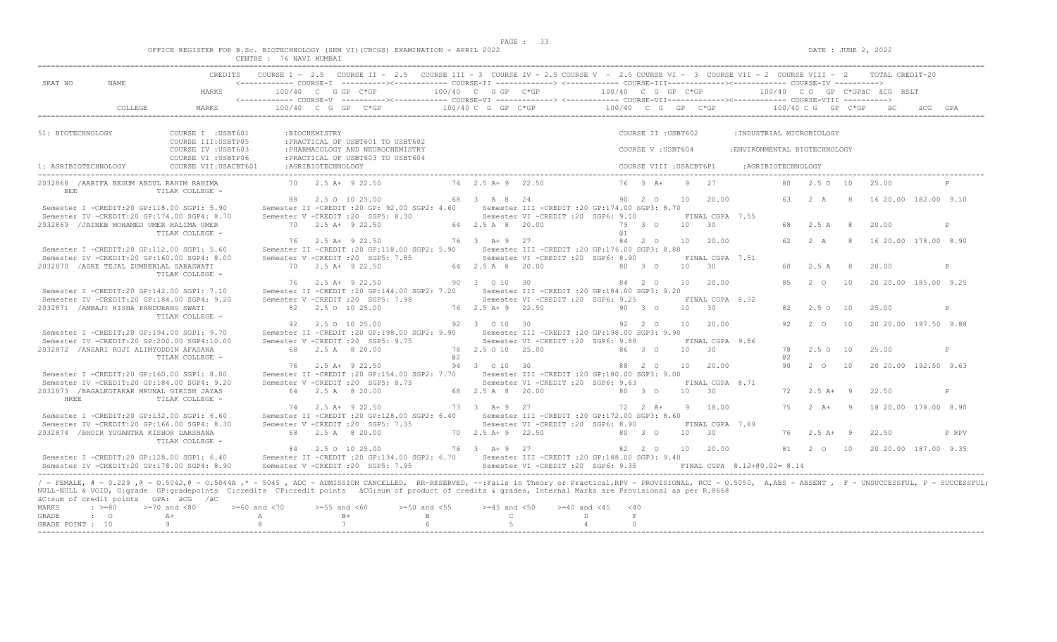$DATA: JUNE 2, 2022$ 

|  |  |                    |         |        | OFFICE REGISTER FOR B.Sc. BIOTECHNOLOGY (SEM VI)(CBCGS) EXAMINATION - APRIL 2022 |  |  |
|--|--|--------------------|---------|--------|----------------------------------------------------------------------------------|--|--|
|  |  | <b>CENTRE</b><br>. | 76 NAVI | MUMBAI |                                                                                  |  |  |

|                      |                                           | CREDITS                                                                                                                                                                                                                                                                                                                                                                            |                       |                      | COURSE I - 2.5 COURSE II - 2.5 COURSE III - 3 COURSE IV - 2.5 COURSE V - 2.5 COURSE VI - 3 COURSE VII - 2 COURSE VIII - 2 TOTAL CREDIT-20                                                        |                             |                    |                                                                                         |                    |                          |                         |            |                     |                               |     |                       |    |                                         |              |
|----------------------|-------------------------------------------|------------------------------------------------------------------------------------------------------------------------------------------------------------------------------------------------------------------------------------------------------------------------------------------------------------------------------------------------------------------------------------|-----------------------|----------------------|--------------------------------------------------------------------------------------------------------------------------------------------------------------------------------------------------|-----------------------------|--------------------|-----------------------------------------------------------------------------------------|--------------------|--------------------------|-------------------------|------------|---------------------|-------------------------------|-----|-----------------------|----|-----------------------------------------|--------------|
| SEAT NO              | NAME.                                     | MARKS                                                                                                                                                                                                                                                                                                                                                                              |                       |                      | $100/40$ C G GP C*GP $100/40$ C G GP C*GP $100/40$ C G GP C*GP $100/40$ C G GP C*GPäC äCG RSLT                                                                                                   |                             |                    |                                                                                         |                    |                          |                         |            |                     |                               |     |                       |    |                                         |              |
|                      | COLLEGE                                   | MARKS                                                                                                                                                                                                                                                                                                                                                                              |                       |                      | 100/40 C G GP C*GP 100/40 C G GP C*GP 100/40 C G GP C*GP 100/40 C G GP C*GP 200 C G GP C*GP 200 200 C                                                                                            |                             |                    |                                                                                         |                    |                          |                         |            |                     |                               |     |                       |    |                                         |              |
| 51: BIOTECHNOLOGY    |                                           | COURSE I : USBT601<br>COURSE III: USBTP05                                                                                                                                                                                                                                                                                                                                          |                       | :BIOCHEMISTRY        | : PRACTICAL OF USBT601 TO USBT602                                                                                                                                                                |                             |                    |                                                                                         |                    |                          | COURSE II : USBT602     |            |                     | :INDUSTRIAL MICROBIOLOGY      |     |                       |    |                                         |              |
|                      |                                           | COURSE IV : USBT603<br>COURSE VI : USBTP06                                                                                                                                                                                                                                                                                                                                         |                       |                      | : PHARMACOLOGY AND NEUROCHEMISTRY<br>: PRACTICAL OF USBT603 TO USBT604                                                                                                                           |                             |                    |                                                                                         |                    |                          | COURSE V: USBT604       |            |                     | : ENVIRONMENTAL BIOTECHNOLOGY |     |                       |    |                                         |              |
| 1: AGRIBIOTECHNOLOGY |                                           | COURSE VII: USACBT601                                                                                                                                                                                                                                                                                                                                                              |                       | :AGRIBIOTECHNOLOGY   |                                                                                                                                                                                                  |                             |                    |                                                                                         |                    |                          | COURSE VIII : USACBT6P1 |            |                     | : AGRIBIOTECHNOLOGY           |     |                       |    |                                         |              |
| <b>BEE</b>           | 2032868 / AARIFA BEGUM ABDUL RAHIM RAHIMA | TILAK COLLEGE -                                                                                                                                                                                                                                                                                                                                                                    |                       | 70 2.5 A+ 9 22.50    |                                                                                                                                                                                                  |                             | 74 2.5 A + 9 22.50 |                                                                                         |                    |                          | 76 3 A+ 9 27            |            |                     |                               |     | 80  2.5  0  10  25.00 |    |                                         |              |
|                      |                                           | Semester I -CREDIT:20 GP:118.00 SGP1: 5.90                                                                                                                                                                                                                                                                                                                                         |                       | 88 2.5 0 10 25.00    | Semester II -CREDIT : 20 GP: 92.00 SGP2: 4.60                                                                                                                                                    |                             | 68 3 A 8 24        | Semester III -CREDIT : 20 GP: 174.00 SGP3: 8.70                                         |                    |                          | 90 2 0 10               |            | 20.00               |                               |     |                       |    | 63  2  A  8  16  20.00  182.00  9.10    |              |
|                      |                                           | Semester IV -CREDIT:20 GP:174.00 SGP4: 8.70                                                                                                                                                                                                                                                                                                                                        |                       |                      | Semester V -CREDIT : 20 SGP5: 8.30                                                                                                                                                               |                             |                    | Semester VI - CREDIT : 20 SGP6: 9.10                                                    |                    |                          |                         |            | FINAL CGPA 7.55     |                               |     |                       |    |                                         |              |
|                      | 2032869 / JAINEB MOHAMED UMER HALIMA UMER | TILAK COLLEGE -                                                                                                                                                                                                                                                                                                                                                                    |                       | 70 2.5 A+ 9 22.50    |                                                                                                                                                                                                  |                             | 64 2.5 A 8 20.00   |                                                                                         |                    | 79 3 0<br>a <sub>1</sub> |                         |            | 10 30               |                               | 68  | 2.5 A 8               |    | 20.00                                   | P            |
|                      |                                           | Semester I -CREDIT:20 GP:112.00 SGP1: 5.60                                                                                                                                                                                                                                                                                                                                         |                       | 76 2.5 A+ 9 22.50    | Semester II -CREDIT :20 GP:118.00 SGP2: 5.90 Semester III -CREDIT :20 GP:176.00 SGP3: 8.80                                                                                                       |                             |                    | 76 3 A + 9 27                                                                           |                    |                          |                         |            | 84  2  0  10  20.00 |                               |     | 62 2 A                |    | 8 16 20.00 178.00 8.90                  |              |
|                      |                                           | Semester IV -CREDIT:20 GP:160.00 SGP4: 8.00                                                                                                                                                                                                                                                                                                                                        |                       |                      | Semester V -CREDIT : 20 SGP5: 7.85                                                                                                                                                               |                             |                    | Semester VI -CREDIT : 20 SGP6: 8.90                                                     |                    |                          |                         |            | FINAL CGPA 7.51     |                               |     |                       |    |                                         |              |
|                      | 2032870 / AGRE TEJAL ZUMBERLAL SARASWATI  | TILAK COLLEGE -                                                                                                                                                                                                                                                                                                                                                                    |                       | 70 2.5 A+ 9 22.50    |                                                                                                                                                                                                  |                             | 64 2.5 A 8 20.00   |                                                                                         |                    | 80 3 0                   |                         | $10 \t 30$ |                     |                               |     | 60 2.5 A 8            |    | 20.00                                   | $\mathbb{P}$ |
|                      |                                           |                                                                                                                                                                                                                                                                                                                                                                                    |                       | 76 2.5 A+ 9 22.50    |                                                                                                                                                                                                  | 90 3 0 10 30                |                    |                                                                                         | 84  2  0  10       |                          |                         |            | 20.00               |                               | 8.5 | 2 O                   | 10 | 20 20.00 185.00 9.25                    |              |
|                      |                                           | Semester I -CREDIT:20 GP:142.00 SGP1: 7.10<br>Semester IV -CREDIT:20 GP:184.00 SGP4: 9.20                                                                                                                                                                                                                                                                                          |                       |                      | Semester II -CREDIT :20 GP:144.00 SGP2: 7.20 Semester III -CREDIT :20 GP:184.00 SGP3: 9.20<br>Semester V - CREDIT : 20 SGP5: 7.98                                                                |                             |                    | Semester VI - CREDIT : 20 SGP6: 9.25                                                    |                    |                          |                         |            | FINAL CGPA 8.32     |                               |     |                       |    |                                         |              |
|                      | 2032871 / AMBAJI NISHA PANDURANG SWATI    | TILAK COLLEGE -                                                                                                                                                                                                                                                                                                                                                                    |                       | 82 2.5 0 10 25.00    |                                                                                                                                                                                                  |                             | 76 2.5 A + 9 22.50 |                                                                                         |                    | 90 3 0                   |                         | 10 30      |                     |                               | 82  | 2.5 0 10              |    | 25.00                                   | P            |
|                      |                                           |                                                                                                                                                                                                                                                                                                                                                                                    | 92                    | 2.5 0 10 25.00       |                                                                                                                                                                                                  |                             | 92 3 0 10 30       |                                                                                         |                    | 92 2 0                   |                         | 10         | 20.00               |                               | 92. | $2\degree$ 0          | 10 | 20 20.00 197.50 9.88                    |              |
|                      |                                           | Semester I -CREDIT:20 GP:194.00 SGP1: 9.70                                                                                                                                                                                                                                                                                                                                         |                       |                      | Semester II -CREDIT : 20 GP: 198.00 SGP2: 9.90<br>Semester V -CREDIT : 20 SGP5: 9.75                                                                                                             |                             |                    | Semester III -CREDIT : 20 GP: 198.00 SGP3: 9.90<br>Semester VI - CREDIT : 20 SGP6: 9.88 |                    |                          |                         |            |                     |                               |     |                       |    |                                         |              |
|                      | 2032872 /ANSARI ROJI ALIMYODDIN AFASANA   | Semester IV -CREDIT:20 GP:200.00 SGP4:10.00                                                                                                                                                                                                                                                                                                                                        |                       | 68  2.5  A  8  20.00 |                                                                                                                                                                                                  |                             |                    | 78  2.5  0  10  25.00  86  3  0                                                         |                    |                          |                         | 10 30      | FINAL CGPA 9.86     |                               |     | 78  2.5  0  10        |    | 25.00                                   | $\mathbb{P}$ |
|                      |                                           | TILAK COLLEGE -                                                                                                                                                                                                                                                                                                                                                                    |                       |                      |                                                                                                                                                                                                  | a2                          |                    |                                                                                         |                    |                          |                         |            |                     |                               | a2  |                       |    |                                         |              |
|                      |                                           | Semester I -CREDIT:20 GP:160.00 SGP1: 8.00                                                                                                                                                                                                                                                                                                                                         |                       | 76 2.5 A+ 9 22.50    | Semester II -CREDIT : 20 GP:154.00 SGP2: 7.70 Semester III -CREDIT : 20 GP:180.00 SGP3: 9.00                                                                                                     |                             |                    | 94 3 0 10 30 88 2 0                                                                     |                    |                          |                         | 10         | 20.00               |                               |     |                       |    | 90  2  0  10  20  20  00  192  50  9.63 |              |
|                      |                                           | Semester IV -CREDIT:20 GP:184.00 SGP4: 9.20                                                                                                                                                                                                                                                                                                                                        |                       |                      | Semester V -CREDIT : 20 SGP5: 8.73                                                                                                                                                               |                             |                    | Semester VI - CREDIT : 20 SGP6: 9.63                                                    |                    |                          |                         |            | FINAL CGPA 8.71     |                               |     |                       |    |                                         |              |
| HREE                 | 2032873 /BAGALKOTAKAR MRUNAL GIRISH JAYAS | TILAK COLLEGE -                                                                                                                                                                                                                                                                                                                                                                    |                       | 64 2.5 A 8 20.00     |                                                                                                                                                                                                  |                             |                    | 68 2.5 A 8 20.00 80 3 0                                                                 |                    |                          |                         |            | $10 \t 30$          |                               |     | $72 \t2.5 \tA+ 9$     |    | 22.50                                   | $\mathbb{D}$ |
|                      |                                           |                                                                                                                                                                                                                                                                                                                                                                                    |                       | 74 2.5 A+ 9 22.50    |                                                                                                                                                                                                  |                             |                    |                                                                                         |                    |                          |                         |            |                     |                               | 75  | $2 A+ 9$              |    | 18 20.00 178.00 8.90                    |              |
|                      |                                           | Semester I -CREDIT:20 GP:132.00 SGP1: 6.60<br>Semester IV -CREDIT:20 GP:166.00 SGP4: 8.30                                                                                                                                                                                                                                                                                          |                       |                      | Semester II -CREDIT : 20 GP:128.00 SGP2: 6.40 Semester III -CREDIT : 20 GP:172.00 SGP3: 8.60<br>Semester V - CREDIT : 20 SGP5: 7.35 Semester VI - CREDIT : 20 SGP6: 8.90                         |                             |                    |                                                                                         |                    |                          |                         |            | FINAL CGPA 7.69     |                               |     |                       |    |                                         |              |
|                      | 2032874 / BHOIR YUGANTHA KISHOR DARSHANA  | TILAK COLLEGE -                                                                                                                                                                                                                                                                                                                                                                    |                       | 68 2.5 A 8 20.00     |                                                                                                                                                                                                  | 70 2.5 A + 9 22.50          |                    |                                                                                         | $80\quad 3\quad 0$ |                          |                         | 10 30      |                     |                               |     | 76 2.5 A+ 9           |    | 22.50                                   | P RPV        |
|                      |                                           |                                                                                                                                                                                                                                                                                                                                                                                    |                       | 84 2.5 0 10 25.00    |                                                                                                                                                                                                  | 76 3 A + 9 27               |                    |                                                                                         |                    |                          | 82  2  0  10            |            | 20.00               |                               |     |                       |    | 81  2  0  10  20  20  00  187.00  9.35  |              |
|                      |                                           | Semester I -CREDIT:20 GP:128.00 SGP1: 6.40<br>Semester IV -CREDIT:20 GP:178.00 SGP4: 8.90                                                                                                                                                                                                                                                                                          |                       |                      | Semester II -CREDIT :20 GP:134.00 SGP2: 6.70 Semester III -CREDIT :20 GP:188.00 SGP3: 9.40<br>Semester V -CREDIT : 20 SGP5: 7.95 Semester VI -CREDIT : 20 SGP6: 9.35 FINAL CGPA 8.12+00.02= 8.14 |                             |                    |                                                                                         |                    |                          |                         |            |                     |                               |     |                       |    |                                         |              |
|                      | äC:sum of credit points GPA: äCG /äC      | / - FEMALE, # - 0.229, @ - 0.5042, @ - 0.5044A, * - 5045, ADC - ADMISSION CANCELLED, RR-RESERVED, --:Fails in Theory or Practical, RPV - PROVISIONAL, RCC - 0.5050, A, ABS - ABSENT, F - UNSUCCESSFUL, P - SUCCESSFUL;<br>NULL-NULL & VOID, G:grade GP:gradepoints C:credits CP:credit points äCG:sum of product of credits & grades, Internal Marks are Provisional as per R.8668 |                       |                      |                                                                                                                                                                                                  |                             |                    |                                                                                         |                    |                          |                         |            |                     |                               |     |                       |    |                                         |              |
| MARKS<br>GRADE       | $\div$ >=80<br>$\cdot$ 0                  | $>=70$ and $<80$<br>$A +$                                                                                                                                                                                                                                                                                                                                                          | $>=60$ and $<70$<br>A | $>=55$ and $<60$     | $B+$                                                                                                                                                                                             | $>=50$ and $<55$<br>$B = 1$ |                    | $>=45$ and $<50$ $>=40$ and $<45$ $<40$<br>$\mathbb{C}$ and $\mathbb{C}$                | D                  | $\mathbf F$              |                         |            |                     |                               |     |                       |    |                                         |              |
| GRADE POINT : 10     |                                           | $\overline{9}$                                                                                                                                                                                                                                                                                                                                                                     | 8 <sup>1</sup>        |                      | 7                                                                                                                                                                                                | 6 <sup>6</sup>              | 5                  |                                                                                         | 4                  | $\Omega$                 |                         |            |                     |                               |     |                       |    |                                         |              |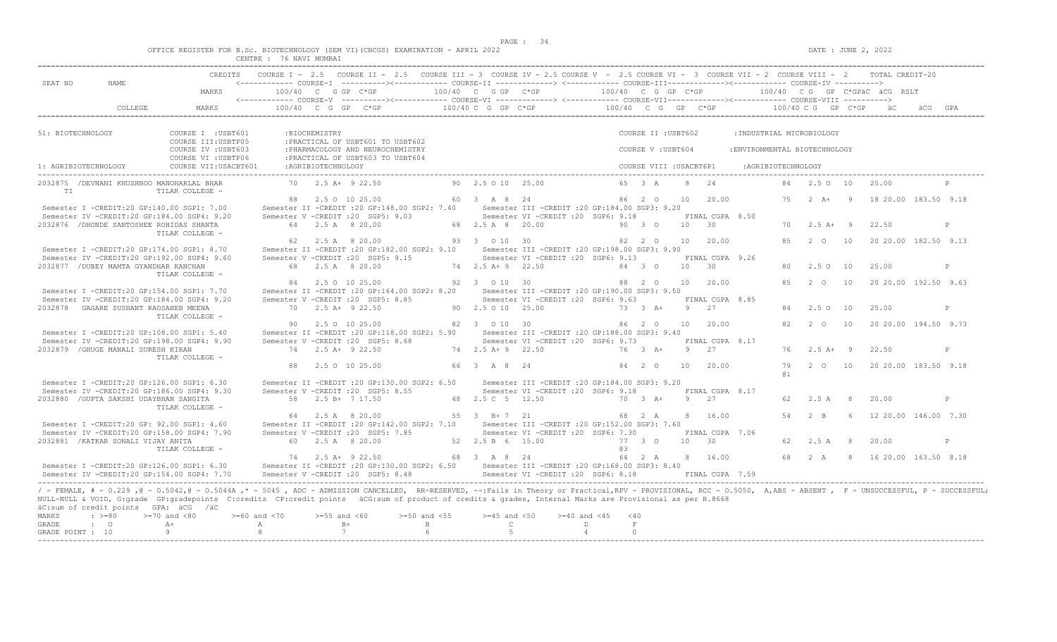$DATA: JUNE 2, 2022$ 

|  |  |                   |         |        |  | OFFICE REGISTER FOR B.Sc. BIOTECHNOLOGY (SEM VI)(CBCGS) EXAMINATION - APRIL 2022 |  |  |
|--|--|-------------------|---------|--------|--|----------------------------------------------------------------------------------|--|--|
|  |  | $C$ RNTRE $\cdot$ | 76 NAVI | MUMBAI |  |                                                                                  |  |  |

| SEAT NO<br>NAME<br>$100/40$ C G GP $C*GP$<br>$100/40$ C G GP C*GP<br>MARKS<br><------------ COURSE-V ----------><----------- COURSE-VI --------------> <------------ COURSE-VIII------------> COURSE-VIII ---------->                                                                                                                                                                                                    | <------------ COURSE-I ----------><----------- COURSE-II -------------> <------------ COURSE-III-----------><------------ COURSE-IV ----------> |
|--------------------------------------------------------------------------------------------------------------------------------------------------------------------------------------------------------------------------------------------------------------------------------------------------------------------------------------------------------------------------------------------------------------------------|-------------------------------------------------------------------------------------------------------------------------------------------------|
|                                                                                                                                                                                                                                                                                                                                                                                                                          | $100/40$ C G GP C*GP $100/40$ C G GP C*GPäC ÄCG RSLT                                                                                            |
| COLLEGE<br>MARKS                                                                                                                                                                                                                                                                                                                                                                                                         | 100/40 C G GP C*GP 100/40 C G GP C*GP 100/40 C G GP C*GP 100/40 C G GP C*GP 200/40 C G GP C*GP 200 20                                           |
| 51: BIOTECHNOLOGY<br>COURSE I : USBT601<br>:BIOCHEMISTRY<br>COURSE III: USBTP05<br>: PRACTICAL OF USBT601 TO USBT602                                                                                                                                                                                                                                                                                                     | COURSE II : USBT602<br>: INDUSTRIAL MICROBIOLOGY                                                                                                |
| COURSE IV : USBT603<br>: PHARMACOLOGY AND NEUROCHEMISTRY<br>COURSE VI : USBTP06<br>: PRACTICAL OF USBT603 TO USBT604                                                                                                                                                                                                                                                                                                     | COURSE V: USBT604<br>: ENVIRONMENTAL BIOTECHNOLOGY                                                                                              |
| 1: AGRIBIOTECHNOLOGY<br>COURSE VII: USACBT601<br>: AGRIBIOTECHNOLOGY                                                                                                                                                                                                                                                                                                                                                     | COURSE VIII : USACBT6P1<br>:AGRIBIOTECHNOLOGY                                                                                                   |
| 70 2.5 A+ 9 22.50<br>2032875 / DEVNANI KHUSHBOO MANOHARLAL BHAR<br>90 2.5 0 10 25.00<br>TI<br>TILAK COLLEGE -                                                                                                                                                                                                                                                                                                            | 65 3 A<br>8 24<br>84  2.5  0  10  25.00                                                                                                         |
| 60 3 A 8 24<br>88 2.5 0 10 25.00<br>Semester II -CREDIT : 20 GP: 148.00 SGP2: 7.40<br>Semester I -CREDIT:20 GP:140.00 SGP1: 7.00                                                                                                                                                                                                                                                                                         | 86 2 0<br>10<br>20.00<br>75 2 A+<br>18 20.00 183.50 9.18<br>$\overline{9}$<br>Semester III -CREDIT : 20 GP:184.00 SGP3: 9.20                    |
| Semester IV -CREDIT:20 GP:184.00 SGP4: 9.20<br>Semester V -CREDIT : 20 SGP5: 9.03<br>2032876 / DHONDE SANTOSHEE ROHIDAS SHANTA<br>64 2.5 A 8 20.00<br>68 2.5 A 8 20.00<br>TILAK COLLEGE -                                                                                                                                                                                                                                | Semester VI - CREDIT : 20 SGP6: 9.18<br>FINAL CGPA 8.50<br>10<br>30<br>90 3 0<br>70<br>$2.5A+9$<br>22.50<br>P                                   |
| 62 2.5 A 8 20.00<br>93 3 0 10 30<br>Semester I -CREDIT:20 GP:174.00 SGP1: 8.70<br>Semester II -CREDIT : 20 GP:182.00 SGP2: 9.10                                                                                                                                                                                                                                                                                          | 10<br>2 0 10<br>20 20.00 182.50 9.13<br>82 2 0<br>20.00<br>85<br>Semester III -CREDIT : 20 GP: 198.00 SGP3: 9.90                                |
| Semester IV -CREDIT:20 GP:192.00 SGP4: 9.60<br>Semester V -CREDIT : 20 SGP5: 9.15<br>2032877 / DUBEY MAMTA GYANDHAR KANCHAN<br>68 2.5 A 8 20.00<br>74 2.5 A + 9 22.50<br>TILAK COLLEGE -                                                                                                                                                                                                                                 | Semester VI -CREDIT : 20 SGP6: 9.13<br>FINAL CGPA 9.26<br>10 30<br>2.5010<br>25.00<br>84 3 0<br>80<br>P                                         |
| 84 2.5 0 10 25.00<br>92 3 0 10 30<br>Semester I -CREDIT:20 GP:154.00 SGP1: 7.70<br>Semester II - CREDIT : 20 GP:164.00 SGP2: 8.20 Semester III - CREDIT : 20 GP:190.00 SGP3: 9.50                                                                                                                                                                                                                                        | 88 2 0<br>10<br>20.00<br>85<br>2 0 10 20 20 00 192.50 9.63                                                                                      |
| Semester V -CREDIT : 20 SGP5: 8.85<br>Semester IV -CREDIT:20 GP:184.00 SGP4: 9.20<br>2032878 GAGARE SUSHANT RAOSAHEB MEENA<br>70 2.5 A + 9 22.50<br>90 2.5 0 10 25.00<br>TILAK COLLEGE -                                                                                                                                                                                                                                 | Semester VI - CREDIT : 20 SGP6: 9.63<br>FINAL CGPA 8.85<br>$73 \t3 \tA+$<br>9<br>2.7<br>$2.5^\circ$<br>10<br>25.00<br>84<br>P                   |
| 82 3 0 10 30<br>90 2.5 0 10 25.00<br>Semester I -CREDIT:20 GP:108.00 SGP1: 5.40<br>Semester II -CREDIT :20 GP:118.00 SGP2: 5.90 Semester III -CREDIT :20 GP:188.00 SGP3: 9.40                                                                                                                                                                                                                                            | 20 20 00 194.50 9.73<br>86 2 0<br>10 <sup>1</sup><br>20.00<br>82<br>$2\degree$ 0<br>10                                                          |
| Semester IV -CREDIT:20 GP:198.00 SGP4: 9.90<br>Semester V -CREDIT : 20 SGP5: 8.68<br>2032879 / GHUGE MANALI SURESH KIRAN<br>$74$ $2.5$ $\lambda +$ 9 22.50<br>$74$ $2.5$ $\lambda + 9$ $22.50$<br>TILAK COLLEGE -                                                                                                                                                                                                        | Semester VI - CREDIT : 20 SGP6: 9.73<br>FINAL CGPA 8.17<br>76 3 A+<br>$\alpha$<br>2.7<br>$76$ $2.5$ $\lambda +$ 9<br>22.50<br>P                 |
| 2.5 0 10 25.00<br>66 3 A 8 24<br>88                                                                                                                                                                                                                                                                                                                                                                                      | 79<br>84 2 0<br>10<br>20.00<br>2 0 10<br>20 20.00 183.50 9.18<br><b>a</b> 1                                                                     |
| Semester I -CREDIT:20 GP:126.00 SGP1: 6.30<br>Semester II -CREDIT : 20 GP: 130.00 SGP2: 6.50<br>Semester IV -CREDIT:20 GP:186.00 SGP4: 9.30<br>Semester V -CREDIT : 20 SGP5: 8.55                                                                                                                                                                                                                                        | Semester III - CREDIT : 20 GP: 184.00 SGP3: 9.20<br>Semester VI -CREDIT : 20 SGP6: 9.18<br>FINAL CGPA 8.17                                      |
| 48  2.5  C  5  12.50<br>2032880 / GUPTA SAKSHI UDAYBHAN SANGITA<br>58 2.5 B+ 7 17.50<br>TILAK COLLEGE -<br>64 2.5 A 8 20.00<br>55 3 B + 7 21                                                                                                                                                                                                                                                                             | $70 \t 3 \t A+$<br>$9 \t 27$<br>$2.5 A$ 8<br>62.<br>20.00<br>P<br>68 2 A<br>16.00<br>12 20.00 146.00 7.30<br>8<br>54<br>2 R<br>$6^{\circ}$      |
| Semester II -CREDIT : 20 GP:142.00 SGP2: 7.10<br>Semester I -CREDIT:20 GP: 92.00 SGP1: 4.60<br>Semester V -CREDIT : 20 SGP5: 7.85<br>Semester IV -CREDIT:20 GP:158.00 SGP4: 7.90                                                                                                                                                                                                                                         | Semester III -CREDIT : 20 GP:152.00 SGP3: 7.60<br>Semester VI -CREDIT : 20 SGP6: 7.30<br>FINAL CGPA 7.06                                        |
| 2032881 / KATKAR SONALI VIJAY ANITA<br>60 2.5 A 8 20.00<br>52 2.5 B 6 15.00<br>TILAK COLLEGE -                                                                                                                                                                                                                                                                                                                           | 77 3 0<br>10 30<br>2.5 A<br>20.00<br>P<br>62<br>- 8<br>6.3                                                                                      |
| 68 3 A 8 24<br>74 2.5 A+ 9 22.50<br>Semester I -CREDIT:20 GP:126.00 SGP1: 6.30<br>Semester II -CREDIT :20 GP:130.00 SGP2: 6.50 Semester III -CREDIT :20 GP:168.00 SGP3: 8.40<br>Semester V - CREDIT : 20 SGP5: 8.48<br>Semester IV -CREDIT:20 GP:154.00 SGP4: 7.70                                                                                                                                                       | 64 2 A<br>8 16.00<br>68<br>2 A<br>16 20.00 163.50 8.18<br>-8<br>Semester VI - CREDIT : 20 SGP6: 8.18<br>FINAL CGPA 7.59                         |
| / - FEMALE, # - 0.229, @ - 0.5042, @ - 0.5044A, * - 5045, ADC - ADMISSION CANCELLED, RR-RESERVED, --:Fails in Theory or Practical,RPV - PROVISIONAL, RCC - 0.5050, A,ABS - ABSENT, F - UNSUCCESSFUL, P - SUCCESSFUL;<br>NULL-NULL & VOID, G:grade GP:gradepoints C:credits CP:credit points äCG:sum of product of credits & grades, Internal Marks are Provisional as per R.8668<br>äC:sum of credit points GPA: äCG /äC |                                                                                                                                                 |
| $>=70$ and $<80$<br>$>=60$ and $<70$<br>$>=55$ and $<60$<br>$>=50$ and $<55$<br>$>=45$ and $<50$<br>MARKS<br>$: \ \ \>=80$<br>$A +$<br>$B+$<br>B<br>$\mathbb{C}$<br><b>GRADE</b><br>$\cdot$ 0<br>$\mathbb{A}$<br>7<br>Q<br>$5^{\circ}$<br>GRADE POINT : 10                                                                                                                                                               | $>=40$ and $<45$<br>< 40<br>$\Box$<br>F<br>$\overline{4}$<br>$\cap$                                                                             |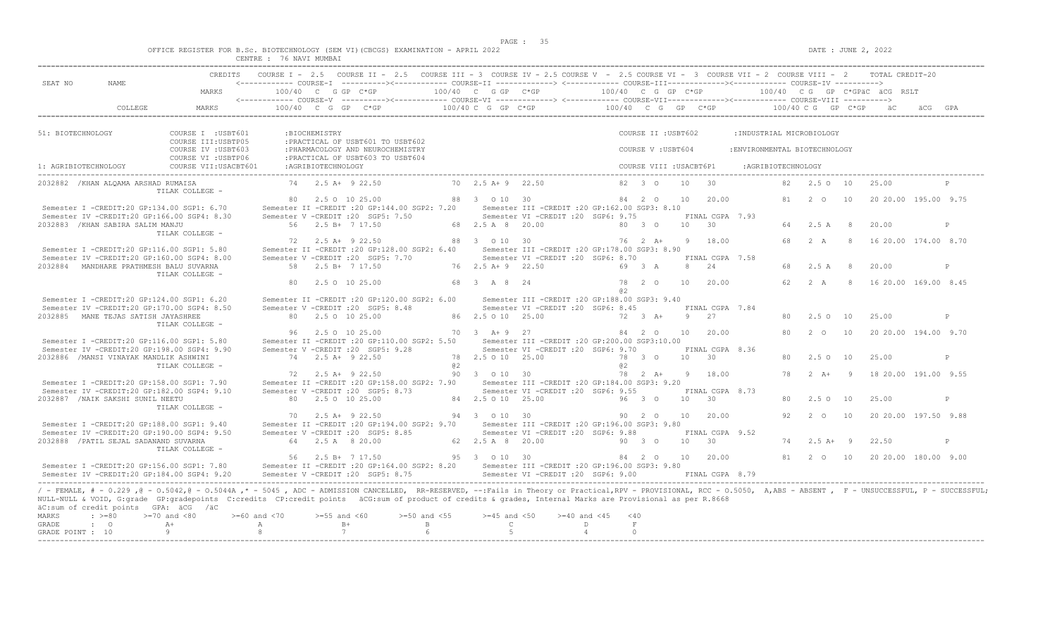$DATE: JUNE 2, 2022$ 

|  |  |                                        |                |  | OFFICE REGISTER FOR B.Sc. BIOTECHNOLOGY (SEM VI)(CBCGS) EXAMINATION - APRIL 2022 |  |  |
|--|--|----------------------------------------|----------------|--|----------------------------------------------------------------------------------|--|--|
|  |  | <b>CENTRE</b><br><b>تلانا 1911 تاب</b> | 76 NAVI MUMBAI |  |                                                                                  |  |  |

| SEAT NO<br>NAME.                                               | <b>CREDITS</b>                                                                                                                                                                                                                                                                                                                                                                                                                     |                    |                                        |                                                                        | COURSE I - 2.5 COURSE II - 2.5 COURSE III - 3 COURSE IV - 2.5 COURSE V - 2.5 COURSE VI - 3 COURSE VII - 2 COURSE VIII - 2 TOTAL CREDIT-20                                                                            |                                    |                                                                                         |                            |                       |                         |                 |                                    |                               |                    |                           |                |                               |              |
|----------------------------------------------------------------|------------------------------------------------------------------------------------------------------------------------------------------------------------------------------------------------------------------------------------------------------------------------------------------------------------------------------------------------------------------------------------------------------------------------------------|--------------------|----------------------------------------|------------------------------------------------------------------------|----------------------------------------------------------------------------------------------------------------------------------------------------------------------------------------------------------------------|------------------------------------|-----------------------------------------------------------------------------------------|----------------------------|-----------------------|-------------------------|-----------------|------------------------------------|-------------------------------|--------------------|---------------------------|----------------|-------------------------------|--------------|
|                                                                | MARKS                                                                                                                                                                                                                                                                                                                                                                                                                              |                    | $100/40$ C G GP C*GP                   |                                                                        | $100/40$ C G GP C*GP $100/40$ C G GP C*GP $100/40$ C G GP C*GPäC äCG RSLT<br><------------ COURSE-V ----------><----------- COURSE-VI -------------> <------------ COURSE-VII--------------- COURSE-VIII ----------> |                                    |                                                                                         |                            |                       |                         |                 |                                    |                               |                    |                           |                |                               |              |
| COLLEGE                                                        | <b>MARKS</b>                                                                                                                                                                                                                                                                                                                                                                                                                       |                    |                                        |                                                                        | 100/40 C G GP C*GP $\leftarrow$ 100/40 C G GP C*GP $\leftarrow$ 100/40 C G GP C*GP $\leftarrow$ 100/40 C G GP C*GP äC                                                                                                |                                    |                                                                                         |                            |                       |                         |                 |                                    |                               |                    |                           |                |                               |              |
| 51: BIOTECHNOLOGY                                              | COURSE I : USBT601<br>COURSE III: USBTP05                                                                                                                                                                                                                                                                                                                                                                                          |                    | : BIOCHEMISTRY                         | : PRACTICAL OF USBT601 TO USBT602                                      |                                                                                                                                                                                                                      |                                    |                                                                                         |                            |                       | COURSE II : USBT602     |                 |                                    |                               |                    | : INDUSTRIAL MICROBIOLOGY |                |                               |              |
|                                                                | COURSE IV : USBT603<br>COURSE VI : USBTP06                                                                                                                                                                                                                                                                                                                                                                                         |                    |                                        | : PHARMACOLOGY AND NEUROCHEMISTRY<br>: PRACTICAL OF USBT603 TO USBT604 |                                                                                                                                                                                                                      |                                    |                                                                                         |                            |                       | COURSE V: USBT604       |                 |                                    | : ENVIRONMENTAL BIOTECHNOLOGY |                    |                           |                |                               |              |
| 1: AGRIBIOTECHNOLOGY                                           | COURSE VII: USACBT601                                                                                                                                                                                                                                                                                                                                                                                                              |                    | :AGRIBIOTECHNOLOGY                     |                                                                        |                                                                                                                                                                                                                      |                                    |                                                                                         |                            |                       | COURSE VIII : USACBT6P1 |                 |                                    |                               | :AGRIBIOTECHNOLOGY |                           |                |                               |              |
| 2032882 / KHAN ALOAMA ARSHAD RUMAISA                           | TILAK COLLEGE -                                                                                                                                                                                                                                                                                                                                                                                                                    |                    | $74$ $2.5$ $\lambda +$ 9 22.50         |                                                                        |                                                                                                                                                                                                                      | $70$ $2.5$ $A+9$ $22.50$           |                                                                                         |                            |                       | $82 \t 30$              | 10              | 30                                 |                               |                    | 82 2.5 0 10               |                | 25.00                         |              |
|                                                                | Semester I -CREDIT:20 GP:134.00 SGP1: 6.70                                                                                                                                                                                                                                                                                                                                                                                         |                    | 80 2.5 0 10 25.00                      |                                                                        | Semester II -CREDIT : 20 GP: 144.00 SGP2: 7.20                                                                                                                                                                       | 88 3 0 10 30                       | Semester III -CREDIT :20 GP:162.00 SGP3: 8.10                                           |                            |                       | 84 2 0                  | 10              | 20.00                              |                               |                    | $81 \quad 2 \quad \Omega$ | 10             | 20 20 00 195 00 9.75          |              |
| 2032883 / KHAN SABIRA SALIM MANJU                              | Semester IV -CREDIT:20 GP:166.00 SGP4: 8.30<br>TILAK COLLEGE -                                                                                                                                                                                                                                                                                                                                                                     |                    | 56 2.5 B+ 7 17.50                      | Semester V -CREDIT : 20 SGP5: 7.50                                     |                                                                                                                                                                                                                      | 68 2.5 A 8 20.00                   | Semester VI -CREDIT : 20 SGP6: 9.75                                                     |                            |                       | 80 3 0                  |                 | FINAL CGPA 7.93<br>10 30           |                               |                    | 64 2.5 A 8                |                | 20.00                         | P            |
|                                                                | Semester I -CREDIT:20 GP:116.00 SGP1: 5.80                                                                                                                                                                                                                                                                                                                                                                                         | 72                 | 2.5 A+ 9 22.50                         |                                                                        | Semester II -CREDIT : 20 GP: 128.00 SGP2: 6.40                                                                                                                                                                       | 88 3 0 10 30                       | Semester III -CREDIT : 20 GP: 178.00 SGP3: 8.90                                         |                            |                       | 76 2 A+                 | -9              | 18.00                              |                               | 68                 | 2A                        | -8             | 16 20.00 174.00 8.70          |              |
| 2032884 MANDHARE PRATHMESH BALU SUVARNA                        | Semester IV -CREDIT:20 GP:160.00 SGP4: 8.00<br>TILAK COLLEGE -                                                                                                                                                                                                                                                                                                                                                                     |                    | 58 2.5 B+ 7 17.50                      | Semester V - CREDIT : 20 SGP5: 7.70                                    |                                                                                                                                                                                                                      | 76 2.5 A + 9 22.50                 | Semester VI - CREDIT : 20 SGP6: 8.70                                                    |                            |                       | 69 3 A                  |                 | FINAL CGPA 7.58<br>8 24            |                               | 68                 | 2.5A                      | - 8            | 20.00                         | P            |
|                                                                |                                                                                                                                                                                                                                                                                                                                                                                                                                    | 80                 | 2.5 0 10 25.00                         |                                                                        |                                                                                                                                                                                                                      | 68 3 A 8 24                        |                                                                                         |                            | a2                    | 78 2 0                  | 10              | 20.00                              |                               | 62                 | 2 A                       |                | 8 16 20.00 169.00 8.45        |              |
|                                                                | Semester I -CREDIT:20 GP:124.00 SGP1: 6.20<br>Semester IV -CREDIT:20 GP:170.00 SGP4: 8.50                                                                                                                                                                                                                                                                                                                                          |                    |                                        | Semester V -CREDIT : 20 SGP5: 8.48                                     | Semester II -CREDIT : 20 GP: 120.00 SGP2: 6.00                                                                                                                                                                       |                                    | Semester III -CREDIT : 20 GP: 188.00 SGP3: 9.40<br>Semester VI - CREDIT : 20 SGP6: 8.45 |                            |                       |                         |                 | FINAL CGPA 7.84                    |                               |                    |                           |                |                               |              |
| 2032885 MANE TEJAS SATISH JAYASHREE                            | TILAK COLLEGE -                                                                                                                                                                                                                                                                                                                                                                                                                    |                    | 80 2.5 0 10 25.00<br>96 2.5 0 10 25.00 |                                                                        |                                                                                                                                                                                                                      | 86 2.5 0 10 25.00<br>70 3 A + 9 27 |                                                                                         |                            |                       | 72 3 A+<br>84 2 0       | Q<br>10         | 27<br>20.00                        |                               | 80<br>80           | 2.5010<br>$2^{\circ}$ O   | 10             | 25.00<br>20 20.00 194.00 9.70 | P            |
|                                                                | Semester I -CREDIT:20 GP:116.00 SGP1: 5.80<br>Semester IV -CREDIT:20 GP:198.00 SGP4: 9.90                                                                                                                                                                                                                                                                                                                                          |                    |                                        | Semester V -CREDIT : 20 SGP5: 9.28                                     | Semester II -CREDIT : 20 GP:110.00 SGP2: 5.50                                                                                                                                                                        |                                    | Semester III -CREDIT : 20 GP: 200.00 SGP3: 10.00<br>Semester VI -CREDIT : 20 SGP6: 9.70 |                            |                       |                         |                 | FINAL CGPA 8.36                    |                               |                    |                           |                |                               |              |
| 2032886 / MANSI VINAYAK MANDLIK ASHWINI                        | TILAK COLLEGE -                                                                                                                                                                                                                                                                                                                                                                                                                    |                    | 74 2.5 A+ 9 22.50                      |                                                                        | a2                                                                                                                                                                                                                   | 78 2.5 0 10 25.00                  |                                                                                         |                            | a2                    | 78 3 0                  |                 | $10 \t 30$                         |                               | 80                 | $2.5^\circ$ O             | 10             | 25.00                         | P            |
|                                                                | Semester I -CREDIT:20 GP:158.00 SGP1: 7.90<br>Semester IV -CREDIT:20 GP:182.00 SGP4: 9.10                                                                                                                                                                                                                                                                                                                                          |                    | 72 2.5 A+ 9 22.50                      | Semester V - CREDIT : 20 SGP5: 8.73                                    | Semester II -CREDIT : 20 GP:158.00 SGP2: 7.90 Semester III -CREDIT : 20 GP:184.00 SGP3: 9.20                                                                                                                         | 90 3 0 10 30                       | Semester VI -CREDIT : 20 SGP6: 9.55                                                     |                            |                       | 78 2 A+                 |                 | 9 18.00<br>FINAL CGPA 8.73         |                               | 78                 | $2 \overline{A}$          | $\overline{q}$ | 18 20.00 191.00 9.55          |              |
| 2032887 / NAIK SAKSHI SUNIL NEETU                              | TILAK COLLEGE -                                                                                                                                                                                                                                                                                                                                                                                                                    |                    | 80 2.5 0 10 25.00                      |                                                                        |                                                                                                                                                                                                                      | 84 2.5 0 10 25.00                  |                                                                                         |                            |                       | 96 3 0                  | 10 <sup>1</sup> | $\overline{30}$                    |                               | 80                 | 2.5010                    |                | 25.00                         | $\mathsf{P}$ |
|                                                                | Semester I -CREDIT:20 GP:188.00 SGP1: 9.40                                                                                                                                                                                                                                                                                                                                                                                         |                    | 70 2.5 A+ 9 22.50                      |                                                                        | Semester II -CREDIT : 20 GP:194.00 SGP2: 9.70                                                                                                                                                                        | 94 3 0 10 30                       | Semester III -CREDIT : 20 GP: 196.00 SGP3: 9.80                                         |                            |                       | 90 2 0                  | 10              | 20.00                              |                               | 92                 | $2\degree$ 0              | 10             | 20 20.00 197.50 9.88          |              |
| 2032888 / PATIL SEJAL SADANAND SUVARNA                         | Semester IV -CREDIT:20 GP:190.00 SGP4: 9.50<br>TILAK COLLEGE -                                                                                                                                                                                                                                                                                                                                                                     |                    | 64 2.5 A 8 20.00                       | Semester V -CREDIT : 20 SGP5: 8.85                                     |                                                                                                                                                                                                                      | 62  2.5  A  8  20.00               | Semester VI -CREDIT : 20 SGP6: 9.88                                                     |                            |                       | 90 3 0                  | 10              | FINAL CGPA 9.52<br>$\overline{30}$ |                               |                    | $74$ 2.5 A+ 9             |                | 22.50                         | P            |
|                                                                | Semester I -CREDIT:20 GP:156.00 SGP1: 7.80                                                                                                                                                                                                                                                                                                                                                                                         |                    | 56 2.5 B+ 7 17.50                      |                                                                        | Semester II -CREDIT :20 GP:164.00 SGP2: 8.20 Semester III -CREDIT :20 GP:196.00 SGP3: 9.80                                                                                                                           | 95 3 0 10 30                       |                                                                                         |                            |                       | 84 2 0                  | 10              | 20.00                              |                               |                    | 81 2 0 10                 |                | 20 20 00 180 00 9 00          |              |
|                                                                | Semester IV -CREDIT:20 GP:184.00 SGP4: 9.20<br>/ - FEMALE, # - 0.229, @ - 0.5042, @ - 0.5044A, * - 5045, ADC - ADMISSION CANCELLED, RR-RESERVED, --: Fails in Theory or Practical, RPV - PROVISIONAL, RCC - 0.5050, A, ABS - ABSENT, F - UNSUCCESSFUL, P - SUCCESSFUL;<br>NULL-NULL & VOID, G:grade GP:gradepoints C:credits CP:credit points äCG:sum of product of credits & grades, Internal Marks are Provisional as per R.8668 |                    |                                        | Semester V -CREDIT : 20 SGP5: 8.75                                     |                                                                                                                                                                                                                      |                                    | Semester VI -CREDIT : 20 SGP6: 9.00                                                     |                            |                       |                         |                 | FINAL CGPA 8.79                    |                               |                    |                           |                |                               |              |
| äC:sum of credit points GPA: äCG /äC<br>MARKS<br>$: \ \ \>=80$ | $>=70$ and $<80$                                                                                                                                                                                                                                                                                                                                                                                                                   | $>=60$ and $<70$   | $>=55$ and $<60$                       |                                                                        | $>=50$ and $<55$                                                                                                                                                                                                     | $>=45$ and $<50$                   |                                                                                         | $>=40$ and $<45$           | $<$ 40                |                         |                 |                                    |                               |                    |                           |                |                               |              |
| <b>GRADE</b><br>$\cdot$ 0<br>GRADE POINT : 10                  | $A +$<br>9                                                                                                                                                                                                                                                                                                                                                                                                                         | A<br>$\mathcal{R}$ | $B+$<br>7                              |                                                                        | $\overline{B}$                                                                                                                                                                                                       | $\mathbb{C}$<br>$5^{\circ}$        |                                                                                         | $\Gamma$<br>$\overline{4}$ | $\mathbb F$<br>$\cap$ |                         |                 |                                    |                               |                    |                           |                |                               |              |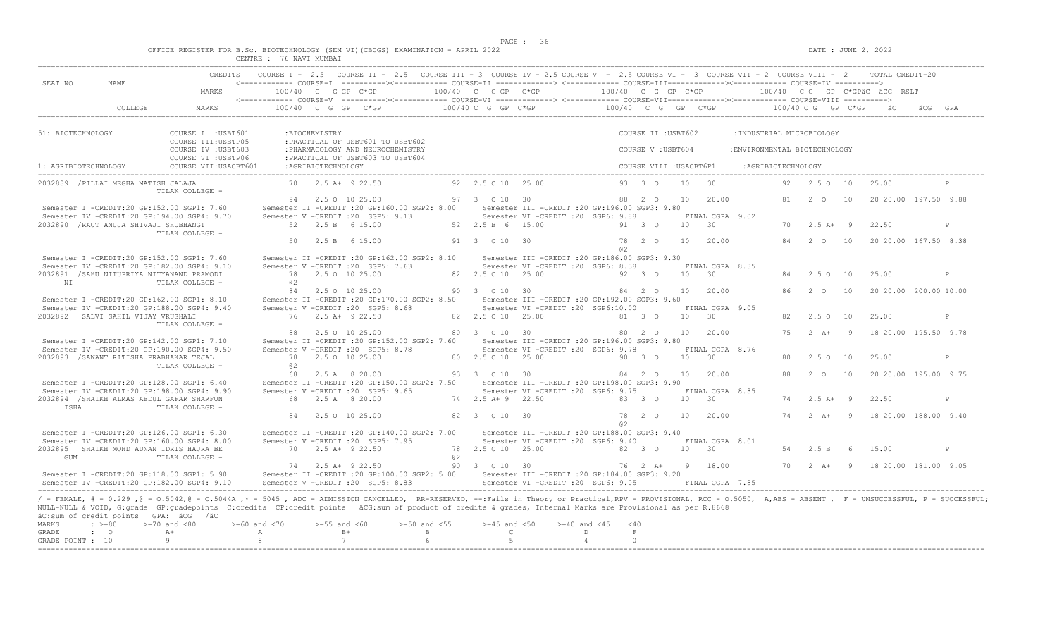$DATE: JUNE 2, 2022$ 

|  |  |                    |         |        | OFFICE REGISTER FOR B.Sc. BIOTECHNOLOGY (SEM VI)(CBCGS) EXAMINATION - APRIL 2022 |  |  |
|--|--|--------------------|---------|--------|----------------------------------------------------------------------------------|--|--|
|  |  | <b>CENTRE</b><br>. | 76 NAVI | MUMBAI |                                                                                  |  |  |

| SEAT NO<br>NAME.                                                                                                                                                                                                                                                                                                                                                                                                                                                                                                                                  | CREDITS                                    |                                                                     |                       |                                                                        | COURSE I - 2.5 COURSE II - 2.5 COURSE III - 3 COURSE IV - 2.5 COURSE V - 2.5 COURSE VI - 3 COURSE VII - 2 COURSE VIII - 2 TOTAL CREDIT-20 |    |                                       |                                                                                         |      |                         |                 |                                    |                               |                    |                               |                |                                       |   |
|---------------------------------------------------------------------------------------------------------------------------------------------------------------------------------------------------------------------------------------------------------------------------------------------------------------------------------------------------------------------------------------------------------------------------------------------------------------------------------------------------------------------------------------------------|--------------------------------------------|---------------------------------------------------------------------|-----------------------|------------------------------------------------------------------------|-------------------------------------------------------------------------------------------------------------------------------------------|----|---------------------------------------|-----------------------------------------------------------------------------------------|------|-------------------------|-----------------|------------------------------------|-------------------------------|--------------------|-------------------------------|----------------|---------------------------------------|---|
|                                                                                                                                                                                                                                                                                                                                                                                                                                                                                                                                                   | MARKS                                      | 100/40 C G GP C*GP                                                  |                       |                                                                        |                                                                                                                                           |    | 100/40 C G GP C*GP                    | 100/40 C G GP C*GP                                                                      |      |                         |                 |                                    |                               |                    |                               |                | 100/40 CG GP C*GPÄC ÄCG RSLT          |   |
| COLLEGE.                                                                                                                                                                                                                                                                                                                                                                                                                                                                                                                                          | MARKS                                      |                                                                     |                       | $100/40$ C G GP C*GP                                                   | <------------ COURSE-V ----------><----------- COURSE-VI -------------> <------------ COURSE-VII--------------- COURSE-VIII ---------->   |    | $100/40$ C G GP C*GP                  | $100/40$ C G GP C*GP $100/40$ C G GP C*GP                                               |      |                         |                 |                                    |                               |                    |                               |                |                                       |   |
| 51: BIOTECHNOLOGY                                                                                                                                                                                                                                                                                                                                                                                                                                                                                                                                 | COURSE I : USBT601<br>COURSE III: USBTP05  |                                                                     | :BIOCHEMISTRY         | : PRACTICAL OF USBT601 TO USBT602                                      |                                                                                                                                           |    |                                       |                                                                                         |      | COURSE II : USBT602     |                 |                                    | : INDUSTRIAL MICROBIOLOGY     |                    |                               |                |                                       |   |
|                                                                                                                                                                                                                                                                                                                                                                                                                                                                                                                                                   | COURSE IV : USBT603<br>COURSE VI : USBTP06 |                                                                     |                       | : PHARMACOLOGY AND NEUROCHEMISTRY<br>: PRACTICAL OF USBT603 TO USBT604 |                                                                                                                                           |    |                                       |                                                                                         |      | COURSE V: USBT604       |                 |                                    | : ENVIRONMENTAL BIOTECHNOLOGY |                    |                               |                |                                       |   |
| 1: AGRIBIOTECHNOLOGY                                                                                                                                                                                                                                                                                                                                                                                                                                                                                                                              | COURSE VII: USACBT601                      |                                                                     | :AGRIBIOTECHNOLOGY    |                                                                        |                                                                                                                                           |    |                                       |                                                                                         |      | COURSE VIII : USACBT6P1 |                 |                                    |                               | :AGRIBIOTECHNOLOGY |                               |                |                                       |   |
| 2032889 / PILLAI MEGHA MATISH JALAJA                                                                                                                                                                                                                                                                                                                                                                                                                                                                                                              | TILAK COLLEGE -                            |                                                                     |                       | 70 2.5 A+ 9 22.50                                                      |                                                                                                                                           |    | 92 2.5 0 10 25.00                     |                                                                                         |      | 93 3 0                  | 10              | $\overline{30}$                    |                               |                    | 92 2.5 0 10                   |                | 25.00                                 | P |
| Semester I -CREDIT:20 GP:152.00 SGP1: 7.60                                                                                                                                                                                                                                                                                                                                                                                                                                                                                                        |                                            |                                                                     |                       | 94 2.5 0 10 25.00                                                      | Semester II -CREDIT : 20 GP: 160.00 SGP2: 8.00                                                                                            |    | 97 3 0 10 30                          | Semester III - CREDIT : 20 GP: 196.00 SGP3: 9.80                                        |      | 88 2 0                  | 10              | 20.00                              |                               | 81                 | 2 0                           | 10             | 20 20.00 197.50 9.88                  |   |
| Semester IV -CREDIT:20 GP:194.00 SGP4: 9.70<br>2032890 / RAUT ANUJA SHIVAJI SHUBHANGI                                                                                                                                                                                                                                                                                                                                                                                                                                                             | TILAK COLLEGE -                            | Semester V -CREDIT : 20 SGP5: 9.13                                  |                       | 52 2.5 B 6 15.00                                                       |                                                                                                                                           |    | 52 2.5 B 6 15.00                      | Semester VI - CREDIT : 20 SGP6: 9.88                                                    |      | 91 3 0                  | 10              | FINAL CGPA 9.02<br>$\overline{30}$ |                               |                    | $70 \t 2.5 \t A+ 9$           |                | 22.50                                 | P |
|                                                                                                                                                                                                                                                                                                                                                                                                                                                                                                                                                   |                                            | 50                                                                  |                       | 2.5 B 6 15.00                                                          |                                                                                                                                           |    | 91 3 0 10 30                          |                                                                                         | a2   | 78 2 0                  | 10              | 20.00                              |                               | 84                 | 2 O                           | 10             | 20 20.00 167.50 8.38                  |   |
| Semester I -CREDIT:20 GP:152.00 SGP1: 7.60<br>Semester IV -CREDIT:20 GP:182.00 SGP4: 9.10<br>2032891 / SAHU NITUPRIYA NITYANAND PRAMODI                                                                                                                                                                                                                                                                                                                                                                                                           |                                            | Semester V - CREDIT : 20 SGP5: 7.63                                 |                       | 78 2.5 0 10 25.00                                                      | Semester II -CREDIT : 20 GP:162.00 SGP2: 8.10                                                                                             |    | 82  2.5  0  10  25.00                 | Semester III - CREDIT : 20 GP: 186.00 SGP3: 9.30<br>Semester VI -CREDIT : 20 SGP6: 8.38 |      | 92 3 0                  | 10 <sup>1</sup> | FINAL CGPA 8.35<br>$\overline{30}$ |                               | 84                 | 2.50 10                       |                | 25.00                                 | P |
| NI                                                                                                                                                                                                                                                                                                                                                                                                                                                                                                                                                | TILAK COLLEGE -                            | @2<br>84                                                            |                       | 2.5 0 10 25.00                                                         |                                                                                                                                           |    | 90 3 0 10 30                          |                                                                                         |      | 84 2 0                  | 10              | 20.00                              |                               | 86                 | $2^{\circ}$ O                 | 10             | 20 20.00 200.00 10.00                 |   |
| Semester I -CREDIT:20 GP:162.00 SGP1: 8.10<br>Semester IV -CREDIT:20 GP:188.00 SGP4: 9.40                                                                                                                                                                                                                                                                                                                                                                                                                                                         |                                            | Semester V -CREDIT : 20 SGP5: 8.68                                  |                       |                                                                        | Semester II -CREDIT : 20 GP: 170.00 SGP2: 8.50                                                                                            |    |                                       | Semester III -CREDIT :20 GP:192.00 SGP3: 9.60<br>Semester VI -CREDIT : 20 SGP6:10.00    |      |                         |                 | FINAL CGPA 9.05                    |                               |                    |                               |                |                                       |   |
| 2032892 SALVI SAHIL VIJAY VRUSHALI                                                                                                                                                                                                                                                                                                                                                                                                                                                                                                                | TILAK COLLEGE -                            |                                                                     |                       | 76 2.5 A+ 9 22.50<br>88 2.5 0 10 25.00                                 |                                                                                                                                           |    | 82  2.5  0  10  25.00<br>80 3 0 10 30 |                                                                                         |      | 81 3 0<br>80 2 0        | 10<br>10        | $\overline{30}$<br>20.00           |                               | 82.<br>75          | 2.50 10<br>$2 \overline{A}$ + | $\overline{9}$ | 25.00<br>18 20.00 195.50 9.78         | P |
| Semester I -CREDIT:20 GP:142.00 SGP1: 7.10<br>Semester IV -CREDIT:20 GP:190.00 SGP4: 9.50                                                                                                                                                                                                                                                                                                                                                                                                                                                         |                                            | Semester V -CREDIT : 20 SGP5: 8.78                                  |                       |                                                                        | Semester II -CREDIT : 20 GP: 152.00 SGP2: 7.60                                                                                            |    |                                       | Semester III -CREDIT :20 GP:196.00 SGP3: 9.80<br>Semester VI - CREDIT : 20 SGP6: 9.78   |      |                         |                 | FINAL CGPA 8.76                    |                               |                    |                               |                |                                       |   |
| 2032893 / SAWANT RITISHA PRABHAKAR TEJAL                                                                                                                                                                                                                                                                                                                                                                                                                                                                                                          | TILAK COLLEGE -                            | 0.2                                                                 |                       | 78 2.5 0 10 25.00                                                      |                                                                                                                                           |    | 80 2.5 0 10 25.00                     |                                                                                         |      | 90 3 0                  | 10              | 30                                 |                               | 80                 | 2.5010                        |                | 25.00                                 | P |
| Semester I -CREDIT:20 GP:128.00 SGP1: 6.40<br>Semester IV -CREDIT:20 GP:198.00 SGP4: 9.90                                                                                                                                                                                                                                                                                                                                                                                                                                                         |                                            | 68<br>Semester V -CREDIT : 20 SGP5: 9.65                            |                       | 2.5 A 8 20.00                                                          | Semester II -CREDIT : 20 GP:150.00 SGP2: 7.50                                                                                             |    | 93 3 0 10 30                          | Semester III -CREDIT :20 GP:198.00 SGP3: 9.90<br>Semester VI -CREDIT : 20 SGP6: 9.75    |      | 84 2 0                  | 10              | 20.00<br>FINAL CGPA 8.85           |                               | 88                 | $2^{\circ}$ $\circ$           | 10             | 20 20 00 195 00 9.75                  |   |
| 2032894 /SHAIKH ALMAS ABDUL GAFAR SHARFUN<br>TSHA                                                                                                                                                                                                                                                                                                                                                                                                                                                                                                 | TILAK COLLEGE -                            |                                                                     |                       | 68 2.5 A 8 20.00                                                       |                                                                                                                                           |    | 74 2.5 A+ 9 22.50                     |                                                                                         |      | 83 3 0                  | 10 <sup>1</sup> | 30                                 |                               | 74                 | $2.5 A+ 9$                    |                | 22.50                                 | P |
| Semester I -CREDIT:20 GP:126.00 SGP1: 6.30                                                                                                                                                                                                                                                                                                                                                                                                                                                                                                        |                                            | 84                                                                  |                       | 2.5 0 10 25.00                                                         | Semester II -CREDIT : 20 GP: 140.00 SGP2: 7.00                                                                                            |    | 82 3 0 10 30                          | Semester III - CREDIT : 20 GP: 188.00 SGP3: 9.40                                        | a2   | 78 2 0                  | 10              | 20.00                              |                               | 74                 |                               |                | 2 A+ 9 18 20.00 188.00 9.40           |   |
| Semester IV -CREDIT:20 GP:160.00 SGP4: 8.00<br>2032895 SHAIKH MOHD ADNAN IDRIS HAJRA BE<br>GUM                                                                                                                                                                                                                                                                                                                                                                                                                                                    | TILAK COLLEGE -                            | Semester V - CREDIT : 20 SGP5: 7.95                                 |                       | 70 2.5 A+ 9 22.50                                                      |                                                                                                                                           | a2 | 78 2.5 0 10 25.00                     | Semester VI -CREDIT : 20 SGP6: 9.40                                                     |      | 82 3 0                  | 10              | FINAL CGPA 8.01<br>$\overline{30}$ |                               | 54                 | 2.5 B                         |                | 15.00                                 | P |
| Semester I -CREDIT:20 GP:118.00 SGP1: 5.90                                                                                                                                                                                                                                                                                                                                                                                                                                                                                                        |                                            |                                                                     |                       | 74 2.5 A+ 9 22.50                                                      | Semester II -CREDIT : 20 GP:100.00 SGP2: 5.00                                                                                             |    | 90 3 0 10 30                          | Semester III - CREDIT : 20 GP: 184.00 SGP3: 9.20                                        |      |                         |                 | 76  2  A+  9  18.00                |                               |                    |                               |                | 70  2  A+  9  18  20.00  181.00  9.05 |   |
| Semester IV -CREDIT:20 GP:182.00 SGP4: 9.10<br>/ - FEMALE, # - 0.229, @ - 0.5042, @ - 0.5044A,* - 5045, ADC - ADMISSION CANCELLED, RR-RESERVED, --:Fails in Theory or Practical,RPV - PROVISIONAL, RCC - 0.5050, A,ABS - ABSENT, F - UNSUCCESSFUL, P - SUCCESSFUL;<br>NULL-NULL & VOID, G:grade GP:gradepoints C:credits CP:credit points äCG:sum of product of credits & grades, Internal Marks are Provisional as per R.8668<br>äC:sum of credit points GPA: äCG /äC<br>MARKS<br>$: \; > = 80$<br><b>GRADE</b><br>$\cdot$ 0<br>GRADE POINT : 10 | $>=70$ and $<80$<br>$A +$<br>9             | Semester V - CREDIT : 20 SGP5: 8.83<br>$>= 60$ and $< 70$<br>A<br>8 | $>=55$ and $<60$<br>7 | $B+$                                                                   | $>=50$ and $<55$<br>$\mathbf{B}$<br>6                                                                                                     |    | $>=45$ and $<50$<br>$\mathbb{C}$<br>5 | Semester VI -CREDIT : 20 SGP6: 9.05<br>$>=40$ and $<45$<br>D<br>$\overline{4}$          | < 40 | $\,$ F $\,$<br>$\circ$  |                 | FINAL CGPA 7.85                    |                               |                    |                               |                |                                       |   |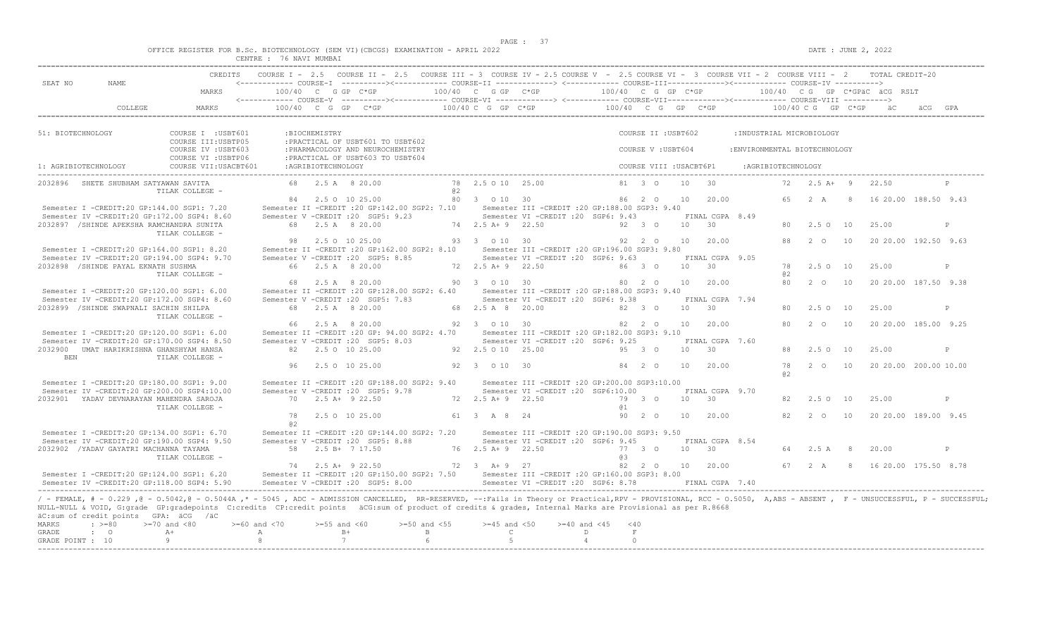$DATE: JUNE 2, 2022$ 

|  |  |               |         |        | OFFICE REGISTER FOR B.Sc. BIOTECHNOLOGY (SEM VI)(CBCGS) EXAMINATION - APRIL 2022 |  |
|--|--|---------------|---------|--------|----------------------------------------------------------------------------------|--|
|  |  | <b>CENTRE</b> | 76 NAVI | MUMBAT |                                                                                  |  |

| $100/40 \text{ C}$ G $\text{GP}$ $\sim$ $\star$ GP $\sim$ $100/40 \text{ C}$ G $\sim$ GP $\sim$ $\star$ GP $\sim$ $\star$ GP $\sim$ $\star$ GP $\sim$ $\star$ GP $\sim$ $\star$ GP $\sim$ $\star$ GP $\sim$ $\star$ GP $\sim$ $\star$ GP $\sim$ $\star$ GP $\sim$ $\star$ GP $\sim$ $\star$ GP $\sim$ $\star$ GP $\sim$ $\star$ GP<br>COLLEGE<br>$100/40$ C G GP C*GP<br>MARKS<br>– äC<br>äCG GPA<br>COURSE I : USBT601<br>COURSE II : USBT602<br>51: BIOTECHNOLOGY<br>:BIOCHEMISTRY<br>: INDUSTRIAL MICROBIOLOGY<br>COURSE III: USBTP05<br>: PRACTICAL OF USBT601 TO USBT602<br>COURSE IV : USBT603<br>: PHARMACOLOGY AND NEUROCHEMISTRY<br>COURSE V: USBT604<br>:ENVIRONMENTAL BIOTECHNOLOGY<br>COURSE VI : USBTP06<br>: PRACTICAL OF USBT603 TO USBT604<br>1: AGRIBIOTECHNOLOGY<br>COURSE VII: USACBT601<br>:AGRIBIOTECHNOLOGY<br>COURSE VIII : USACBT6P1<br>:AGRIBIOTECHNOLOGY<br>68 2.5 A 8 20.00<br>78 2.5 0 10 25.00<br>10<br>30<br>$72 \t 2.5 \t A+ 9$<br>2032896 SHETE SHUBHAM SATYAWAN SAVITA<br>81 3 0<br>22.50<br>02<br>TILAK COLLEGE -<br>80 3 0 10 30<br>20.00<br>84 2.5 0 10 25.00<br>86 2 0<br>10<br>65<br>2 A<br>16 20.00 188.50 9.43<br>- 8<br>Semester I -CREDIT:20 GP:144.00 SGP1: 7.20<br>Semester II -CREDIT : 20 GP:142.00 SGP2: 7.10<br>Semester III - CREDIT : 20 GP: 188.00 SGP3: 9.40<br>Semester IV -CREDIT:20 GP:172.00 SGP4: 8.60<br>Semester V -CREDIT : 20 SGP5: 9.23<br>Semester VI - CREDIT : 20 SGP6: 9.43<br>FINAL CGPA 8.49<br>2032897 / SHINDE APEKSHA RAMCHANDRA SUNITA<br>68 2.5 A 8 20.00<br>74 2.5 A + 9 22.50<br>92 3 0<br>10<br>30<br>80<br>2.5 0 10<br>25.00<br>P<br>TILAK COLLEGE -<br>93 3 0 10 30<br>2.5 0 10 25.00<br>92 2 0<br>10<br>20.00<br>88<br>2 0 10<br>20 20.00 192.50 9.63<br>98.<br>Semester I -CREDIT:20 GP:164.00 SGP1: 8.20<br>Semester II -CREDIT : 20 GP:162.00 SGP2: 8.10<br>Semester III -CREDIT : 20 GP: 196.00 SGP3: 9.80<br>Semester VI -CREDIT : 20 SGP6: 9.63<br>Semester IV -CREDIT:20 GP:194.00 SGP4: 9.70<br>Semester V -CREDIT : 20 SGP5: 8.85<br>FINAL CGPA 9.05<br>66 2.5 A 8 20.00<br>72 2.5 A+ 9 22.50<br>86 3 0<br>10<br>30<br>78<br>2.5010<br>25.00<br>2032898 / SHINDE PAYAL EKNATH SUSHMA<br>P<br>TILAK COLLEGE -<br>a2<br>68 2.5 A 8 20.00<br>90 3 0 10 30<br>80 2 0<br>10<br>20.00<br>80<br>2 0 10<br>20 20.00 187.50 9.38<br>Semester I -CREDIT:20 GP:120.00 SGP1: 6.00<br>Semester II -CREDIT : 20 GP: 128.00 SGP2: 6.40<br>Semester III -CREDIT : 20 GP: 188.00 SGP3: 9.40<br>Semester IV -CREDIT:20 GP:172.00 SGP4: 8.60<br>Semester V -CREDIT : 20 SGP5: 7.83<br>Semester VI - CREDIT : 20 SGP6: 9.38<br>FINAL CGPA 7.94<br>68 2.5 A 8 20.00<br>2032899 /SHINDE SWAPNALI SACHIN SHILPA<br>68 2.5 A 8 20.00<br>82 3 0<br>10 <sup>1</sup><br>30<br>$2.5^\circ$<br>10<br>25.00<br>$\mathsf{P}$<br>TILAK COLLEGE -<br>66 2.5 A 8 20.00<br>92 3 0 10 30<br>10<br>20.00<br>20 20.00 185.00 9.25<br>82 2 0<br>80<br>$2^{\circ}$<br>10<br>Semester I -CREDIT:20 GP:120.00 SGP1: 6.00<br>Semester II -CREDIT : 20 GP: 94.00 SGP2: 4.70<br>Semester III - CREDIT : 20 GP: 182.00 SGP3: 9.10<br>Semester IV -CREDIT:20 GP:170.00 SGP4: 8.50<br>Semester V -CREDIT : 20 SGP5: 8.03<br>Semester VI -CREDIT : 20 SGP6: 9.25<br>FINAL CGPA 7.60<br>2032900 UMAT HARIKRISHNA GHANSHYAM HANSA<br>82 2.5 0 10 25.00<br>92 2.5 0 10 25.00<br>95 3 0<br>10<br>30<br>2.50 10<br>88<br>25.00<br>P<br>BEN<br>TILAK COLLEGE -<br>2.5 0 10 25.00<br>92 3 0 10 30<br>84 2 0<br>10<br>20.00<br>78<br>$2^{\circ}$<br>10<br>20 20.00 200.00 10.00<br>96<br>a2<br>Semester I -CREDIT:20 GP:180.00 SGP1: 9.00<br>Semester II -CREDIT : 20 GP:188.00 SGP2: 9.40<br>Semester III -CREDIT :20 GP:200.00 SGP3:10.00<br>Semester IV -CREDIT:20 GP:200.00 SGP4:10.00<br>Semester V -CREDIT : 20 SGP5: 9.78<br>Semester VI -CREDIT : 20 SGP6:10.00<br>FINAL CGPA 9.70<br>2032901 YADAV DEVNARAYAN MAHENDRA SAROJA<br>$70 \qquad 2.5 \text{ A} + 9 \text{ 22.50}$<br>72 2.5 A + 9 22.50<br>79 3 0<br>10<br>30<br>2.5010<br>25.00<br>P<br>82.<br>TILAK COLLEGE -<br>0 1<br>61 3 A 8 24<br>78<br>2.5 0 10 25.00<br>$90 \quad 20$<br>10<br>20.00<br>82<br>$2\degree$ 0<br>10<br>20 20 00 189 00 9.45<br>02<br>Semester I -CREDIT:20 GP:134.00 SGP1: 6.70<br>Semester II -CREDIT : 20 GP:144.00 SGP2: 7.20<br>Semester III - CREDIT : 20 GP: 190.00 SGP3: 9.50<br>Semester IV -CREDIT:20 GP:190.00 SGP4: 9.50<br>Semester V -CREDIT : 20 SGP5: 8.88<br>Semester VI - CREDIT : 20 SGP6: 9.45<br>FINAL CGPA 8.54<br>2032902 / YADAV GAYATRI MACHANNA TAYAMA<br>58 2.5 B+ 7 17.50<br>76 2.5 A+ 9 22.50<br>77 3 0<br>10 <sup>1</sup><br>30<br>64<br>2.5 A<br>20.00<br>P<br>- 8<br>6.3<br>TILAK COLLEGE -<br>72 3 A+ 9 27<br>10<br>74 2.5 A+ 9 22.50<br>82 2 0<br>20.00<br>67<br>2 A<br>16 20.00 175.50 8.78<br>Semester I -CREDIT:20 GP:124.00 SGP1: 6.20<br>Semester II -CREDIT : 20 GP: 150.00 SGP2: 7.50<br>Semester III - CREDIT : 20 GP: 160.00 SGP3: 8.00<br>Semester IV -CREDIT:20 GP:118.00 SGP4: 5.90<br>Semester V -CREDIT : 20 SGP5: 8.00<br>Semester VI -CREDIT : 20 SGP6: 8.78<br>FINAL CGPA 7.40<br>/ - FEMALE, # - 0.229,0 - 0.5042,0 - 0.5044A,* - 5045, ADC - ADMISSION CANCELLED, RR-RESERVED, --:Fails in Theory or Practical,RPV - PROVISIONAL, RCC - 0.5050, A,ABS - ABSENT, F - UNSUCCESSFUL, P - SUCCESSFUL;<br>NULL-NULL & VOID, G:grade GP:gradepoints C:credits CP:credit points äCG:sum of product of credits & grades, Internal Marks are Provisional as per R.8668<br>äC:sum of credit points GPA: äCG /äC<br><b>MARKS</b><br>$: \; > = 80$<br>$>=70$ and $< 80$<br>$>=60$ and $<70$<br>$>=55$ and $<60$<br>$>= 50$ and $< 55$<br>$>=45$ and $<50$<br>$>= 40$ and $< 45$<br>$<$ 40<br>GRADE<br>$\cdot$ 0<br>$A +$<br>$\mathbb{A}$<br>$B+$<br>$\overline{B}$<br>$\mathbb{C}$<br>D<br>F<br>Q<br>7<br>GRADE POINT : 10<br>8<br>$6^{\circ}$<br>-5<br>$\overline{4}$<br>$\Omega$ | SEAT NO<br>NAME. | MARKS |  | <------------ COURSE-I ----------><----------- COURSE-II -------------> <------------ COURSE-III-----------><------------ COURSE-IV ----------><br>100/40 C G GP C*GP | $100/40$ C G GP $C*GP$ |  | 100/40 C G GP C*GP |  |  |  |  | 100/40 C G GP C*GPÄC ÄCG RSLT |  |
|-----------------------------------------------------------------------------------------------------------------------------------------------------------------------------------------------------------------------------------------------------------------------------------------------------------------------------------------------------------------------------------------------------------------------------------------------------------------------------------------------------------------------------------------------------------------------------------------------------------------------------------------------------------------------------------------------------------------------------------------------------------------------------------------------------------------------------------------------------------------------------------------------------------------------------------------------------------------------------------------------------------------------------------------------------------------------------------------------------------------------------------------------------------------------------------------------------------------------------------------------------------------------------------------------------------------------------------------------------------------------------------------------------------------------------------------------------------------------------------------------------------------------------------------------------------------------------------------------------------------------------------------------------------------------------------------------------------------------------------------------------------------------------------------------------------------------------------------------------------------------------------------------------------------------------------------------------------------------------------------------------------------------------------------------------------------------------------------------------------------------------------------------------------------------------------------------------------------------------------------------------------------------------------------------------------------------------------------------------------------------------------------------------------------------------------------------------------------------------------------------------------------------------------------------------------------------------------------------------------------------------------------------------------------------------------------------------------------------------------------------------------------------------------------------------------------------------------------------------------------------------------------------------------------------------------------------------------------------------------------------------------------------------------------------------------------------------------------------------------------------------------------------------------------------------------------------------------------------------------------------------------------------------------------------------------------------------------------------------------------------------------------------------------------------------------------------------------------------------------------------------------------------------------------------------------------------------------------------------------------------------------------------------------------------------------------------------------------------------------------------------------------------------------------------------------------------------------------------------------------------------------------------------------------------------------------------------------------------------------------------------------------------------------------------------------------------------------------------------------------------------------------------------------------------------------------------------------------------------------------------------------------------------------------------------------------------------------------------------------------------------------------------------------------------------------------------------------------------------------------------------------------------------------------------------------------------------------------------------------------------------------------------------------------------------------------------------------------------------------------------------------------------------------------------------------------------------------------------------------------------------------------------------------------------------------------------------------------------------------------------------------------------------------------------------------------------------------------------------------------------------------------------------------------------------------------------------------------------------------------------------------------------------------------------------------------------------------------------------------------------------------------------------------------------------------------------------------------------------------------------------------------------------------------------------------------------------------------------------------------------------------------------------------------------------------------------------------------------------------------------------------------------------------------------------------------------------------------------------|------------------|-------|--|-----------------------------------------------------------------------------------------------------------------------------------------------------------------------|------------------------|--|--------------------|--|--|--|--|-------------------------------|--|
|                                                                                                                                                                                                                                                                                                                                                                                                                                                                                                                                                                                                                                                                                                                                                                                                                                                                                                                                                                                                                                                                                                                                                                                                                                                                                                                                                                                                                                                                                                                                                                                                                                                                                                                                                                                                                                                                                                                                                                                                                                                                                                                                                                                                                                                                                                                                                                                                                                                                                                                                                                                                                                                                                                                                                                                                                                                                                                                                                                                                                                                                                                                                                                                                                                                                                                                                                                                                                                                                                                                                                                                                                                                                                                                                                                                                                                                                                                                                                                                                                                                                                                                                                                                                                                                                                                                                                                                                                                                                                                                                                                                                                                                                                                                                                                                                                                                                                                                                                                                                                                                                                                                                                                                                                                                                                                                                                                                                                                                                                                                                                                                                                                                                                                                                                                                                                                                     |                  |       |  |                                                                                                                                                                       |                        |  |                    |  |  |  |  |                               |  |
|                                                                                                                                                                                                                                                                                                                                                                                                                                                                                                                                                                                                                                                                                                                                                                                                                                                                                                                                                                                                                                                                                                                                                                                                                                                                                                                                                                                                                                                                                                                                                                                                                                                                                                                                                                                                                                                                                                                                                                                                                                                                                                                                                                                                                                                                                                                                                                                                                                                                                                                                                                                                                                                                                                                                                                                                                                                                                                                                                                                                                                                                                                                                                                                                                                                                                                                                                                                                                                                                                                                                                                                                                                                                                                                                                                                                                                                                                                                                                                                                                                                                                                                                                                                                                                                                                                                                                                                                                                                                                                                                                                                                                                                                                                                                                                                                                                                                                                                                                                                                                                                                                                                                                                                                                                                                                                                                                                                                                                                                                                                                                                                                                                                                                                                                                                                                                                                     |                  |       |  |                                                                                                                                                                       |                        |  |                    |  |  |  |  |                               |  |
|                                                                                                                                                                                                                                                                                                                                                                                                                                                                                                                                                                                                                                                                                                                                                                                                                                                                                                                                                                                                                                                                                                                                                                                                                                                                                                                                                                                                                                                                                                                                                                                                                                                                                                                                                                                                                                                                                                                                                                                                                                                                                                                                                                                                                                                                                                                                                                                                                                                                                                                                                                                                                                                                                                                                                                                                                                                                                                                                                                                                                                                                                                                                                                                                                                                                                                                                                                                                                                                                                                                                                                                                                                                                                                                                                                                                                                                                                                                                                                                                                                                                                                                                                                                                                                                                                                                                                                                                                                                                                                                                                                                                                                                                                                                                                                                                                                                                                                                                                                                                                                                                                                                                                                                                                                                                                                                                                                                                                                                                                                                                                                                                                                                                                                                                                                                                                                                     |                  |       |  |                                                                                                                                                                       |                        |  |                    |  |  |  |  |                               |  |
|                                                                                                                                                                                                                                                                                                                                                                                                                                                                                                                                                                                                                                                                                                                                                                                                                                                                                                                                                                                                                                                                                                                                                                                                                                                                                                                                                                                                                                                                                                                                                                                                                                                                                                                                                                                                                                                                                                                                                                                                                                                                                                                                                                                                                                                                                                                                                                                                                                                                                                                                                                                                                                                                                                                                                                                                                                                                                                                                                                                                                                                                                                                                                                                                                                                                                                                                                                                                                                                                                                                                                                                                                                                                                                                                                                                                                                                                                                                                                                                                                                                                                                                                                                                                                                                                                                                                                                                                                                                                                                                                                                                                                                                                                                                                                                                                                                                                                                                                                                                                                                                                                                                                                                                                                                                                                                                                                                                                                                                                                                                                                                                                                                                                                                                                                                                                                                                     |                  |       |  |                                                                                                                                                                       |                        |  |                    |  |  |  |  |                               |  |
|                                                                                                                                                                                                                                                                                                                                                                                                                                                                                                                                                                                                                                                                                                                                                                                                                                                                                                                                                                                                                                                                                                                                                                                                                                                                                                                                                                                                                                                                                                                                                                                                                                                                                                                                                                                                                                                                                                                                                                                                                                                                                                                                                                                                                                                                                                                                                                                                                                                                                                                                                                                                                                                                                                                                                                                                                                                                                                                                                                                                                                                                                                                                                                                                                                                                                                                                                                                                                                                                                                                                                                                                                                                                                                                                                                                                                                                                                                                                                                                                                                                                                                                                                                                                                                                                                                                                                                                                                                                                                                                                                                                                                                                                                                                                                                                                                                                                                                                                                                                                                                                                                                                                                                                                                                                                                                                                                                                                                                                                                                                                                                                                                                                                                                                                                                                                                                                     |                  |       |  |                                                                                                                                                                       |                        |  |                    |  |  |  |  |                               |  |
|                                                                                                                                                                                                                                                                                                                                                                                                                                                                                                                                                                                                                                                                                                                                                                                                                                                                                                                                                                                                                                                                                                                                                                                                                                                                                                                                                                                                                                                                                                                                                                                                                                                                                                                                                                                                                                                                                                                                                                                                                                                                                                                                                                                                                                                                                                                                                                                                                                                                                                                                                                                                                                                                                                                                                                                                                                                                                                                                                                                                                                                                                                                                                                                                                                                                                                                                                                                                                                                                                                                                                                                                                                                                                                                                                                                                                                                                                                                                                                                                                                                                                                                                                                                                                                                                                                                                                                                                                                                                                                                                                                                                                                                                                                                                                                                                                                                                                                                                                                                                                                                                                                                                                                                                                                                                                                                                                                                                                                                                                                                                                                                                                                                                                                                                                                                                                                                     |                  |       |  |                                                                                                                                                                       |                        |  |                    |  |  |  |  |                               |  |
|                                                                                                                                                                                                                                                                                                                                                                                                                                                                                                                                                                                                                                                                                                                                                                                                                                                                                                                                                                                                                                                                                                                                                                                                                                                                                                                                                                                                                                                                                                                                                                                                                                                                                                                                                                                                                                                                                                                                                                                                                                                                                                                                                                                                                                                                                                                                                                                                                                                                                                                                                                                                                                                                                                                                                                                                                                                                                                                                                                                                                                                                                                                                                                                                                                                                                                                                                                                                                                                                                                                                                                                                                                                                                                                                                                                                                                                                                                                                                                                                                                                                                                                                                                                                                                                                                                                                                                                                                                                                                                                                                                                                                                                                                                                                                                                                                                                                                                                                                                                                                                                                                                                                                                                                                                                                                                                                                                                                                                                                                                                                                                                                                                                                                                                                                                                                                                                     |                  |       |  |                                                                                                                                                                       |                        |  |                    |  |  |  |  |                               |  |
|                                                                                                                                                                                                                                                                                                                                                                                                                                                                                                                                                                                                                                                                                                                                                                                                                                                                                                                                                                                                                                                                                                                                                                                                                                                                                                                                                                                                                                                                                                                                                                                                                                                                                                                                                                                                                                                                                                                                                                                                                                                                                                                                                                                                                                                                                                                                                                                                                                                                                                                                                                                                                                                                                                                                                                                                                                                                                                                                                                                                                                                                                                                                                                                                                                                                                                                                                                                                                                                                                                                                                                                                                                                                                                                                                                                                                                                                                                                                                                                                                                                                                                                                                                                                                                                                                                                                                                                                                                                                                                                                                                                                                                                                                                                                                                                                                                                                                                                                                                                                                                                                                                                                                                                                                                                                                                                                                                                                                                                                                                                                                                                                                                                                                                                                                                                                                                                     |                  |       |  |                                                                                                                                                                       |                        |  |                    |  |  |  |  |                               |  |
|                                                                                                                                                                                                                                                                                                                                                                                                                                                                                                                                                                                                                                                                                                                                                                                                                                                                                                                                                                                                                                                                                                                                                                                                                                                                                                                                                                                                                                                                                                                                                                                                                                                                                                                                                                                                                                                                                                                                                                                                                                                                                                                                                                                                                                                                                                                                                                                                                                                                                                                                                                                                                                                                                                                                                                                                                                                                                                                                                                                                                                                                                                                                                                                                                                                                                                                                                                                                                                                                                                                                                                                                                                                                                                                                                                                                                                                                                                                                                                                                                                                                                                                                                                                                                                                                                                                                                                                                                                                                                                                                                                                                                                                                                                                                                                                                                                                                                                                                                                                                                                                                                                                                                                                                                                                                                                                                                                                                                                                                                                                                                                                                                                                                                                                                                                                                                                                     |                  |       |  |                                                                                                                                                                       |                        |  |                    |  |  |  |  |                               |  |
|                                                                                                                                                                                                                                                                                                                                                                                                                                                                                                                                                                                                                                                                                                                                                                                                                                                                                                                                                                                                                                                                                                                                                                                                                                                                                                                                                                                                                                                                                                                                                                                                                                                                                                                                                                                                                                                                                                                                                                                                                                                                                                                                                                                                                                                                                                                                                                                                                                                                                                                                                                                                                                                                                                                                                                                                                                                                                                                                                                                                                                                                                                                                                                                                                                                                                                                                                                                                                                                                                                                                                                                                                                                                                                                                                                                                                                                                                                                                                                                                                                                                                                                                                                                                                                                                                                                                                                                                                                                                                                                                                                                                                                                                                                                                                                                                                                                                                                                                                                                                                                                                                                                                                                                                                                                                                                                                                                                                                                                                                                                                                                                                                                                                                                                                                                                                                                                     |                  |       |  |                                                                                                                                                                       |                        |  |                    |  |  |  |  |                               |  |
|                                                                                                                                                                                                                                                                                                                                                                                                                                                                                                                                                                                                                                                                                                                                                                                                                                                                                                                                                                                                                                                                                                                                                                                                                                                                                                                                                                                                                                                                                                                                                                                                                                                                                                                                                                                                                                                                                                                                                                                                                                                                                                                                                                                                                                                                                                                                                                                                                                                                                                                                                                                                                                                                                                                                                                                                                                                                                                                                                                                                                                                                                                                                                                                                                                                                                                                                                                                                                                                                                                                                                                                                                                                                                                                                                                                                                                                                                                                                                                                                                                                                                                                                                                                                                                                                                                                                                                                                                                                                                                                                                                                                                                                                                                                                                                                                                                                                                                                                                                                                                                                                                                                                                                                                                                                                                                                                                                                                                                                                                                                                                                                                                                                                                                                                                                                                                                                     |                  |       |  |                                                                                                                                                                       |                        |  |                    |  |  |  |  |                               |  |
|                                                                                                                                                                                                                                                                                                                                                                                                                                                                                                                                                                                                                                                                                                                                                                                                                                                                                                                                                                                                                                                                                                                                                                                                                                                                                                                                                                                                                                                                                                                                                                                                                                                                                                                                                                                                                                                                                                                                                                                                                                                                                                                                                                                                                                                                                                                                                                                                                                                                                                                                                                                                                                                                                                                                                                                                                                                                                                                                                                                                                                                                                                                                                                                                                                                                                                                                                                                                                                                                                                                                                                                                                                                                                                                                                                                                                                                                                                                                                                                                                                                                                                                                                                                                                                                                                                                                                                                                                                                                                                                                                                                                                                                                                                                                                                                                                                                                                                                                                                                                                                                                                                                                                                                                                                                                                                                                                                                                                                                                                                                                                                                                                                                                                                                                                                                                                                                     |                  |       |  |                                                                                                                                                                       |                        |  |                    |  |  |  |  |                               |  |
|                                                                                                                                                                                                                                                                                                                                                                                                                                                                                                                                                                                                                                                                                                                                                                                                                                                                                                                                                                                                                                                                                                                                                                                                                                                                                                                                                                                                                                                                                                                                                                                                                                                                                                                                                                                                                                                                                                                                                                                                                                                                                                                                                                                                                                                                                                                                                                                                                                                                                                                                                                                                                                                                                                                                                                                                                                                                                                                                                                                                                                                                                                                                                                                                                                                                                                                                                                                                                                                                                                                                                                                                                                                                                                                                                                                                                                                                                                                                                                                                                                                                                                                                                                                                                                                                                                                                                                                                                                                                                                                                                                                                                                                                                                                                                                                                                                                                                                                                                                                                                                                                                                                                                                                                                                                                                                                                                                                                                                                                                                                                                                                                                                                                                                                                                                                                                                                     |                  |       |  |                                                                                                                                                                       |                        |  |                    |  |  |  |  |                               |  |
|                                                                                                                                                                                                                                                                                                                                                                                                                                                                                                                                                                                                                                                                                                                                                                                                                                                                                                                                                                                                                                                                                                                                                                                                                                                                                                                                                                                                                                                                                                                                                                                                                                                                                                                                                                                                                                                                                                                                                                                                                                                                                                                                                                                                                                                                                                                                                                                                                                                                                                                                                                                                                                                                                                                                                                                                                                                                                                                                                                                                                                                                                                                                                                                                                                                                                                                                                                                                                                                                                                                                                                                                                                                                                                                                                                                                                                                                                                                                                                                                                                                                                                                                                                                                                                                                                                                                                                                                                                                                                                                                                                                                                                                                                                                                                                                                                                                                                                                                                                                                                                                                                                                                                                                                                                                                                                                                                                                                                                                                                                                                                                                                                                                                                                                                                                                                                                                     |                  |       |  |                                                                                                                                                                       |                        |  |                    |  |  |  |  |                               |  |
|                                                                                                                                                                                                                                                                                                                                                                                                                                                                                                                                                                                                                                                                                                                                                                                                                                                                                                                                                                                                                                                                                                                                                                                                                                                                                                                                                                                                                                                                                                                                                                                                                                                                                                                                                                                                                                                                                                                                                                                                                                                                                                                                                                                                                                                                                                                                                                                                                                                                                                                                                                                                                                                                                                                                                                                                                                                                                                                                                                                                                                                                                                                                                                                                                                                                                                                                                                                                                                                                                                                                                                                                                                                                                                                                                                                                                                                                                                                                                                                                                                                                                                                                                                                                                                                                                                                                                                                                                                                                                                                                                                                                                                                                                                                                                                                                                                                                                                                                                                                                                                                                                                                                                                                                                                                                                                                                                                                                                                                                                                                                                                                                                                                                                                                                                                                                                                                     |                  |       |  |                                                                                                                                                                       |                        |  |                    |  |  |  |  |                               |  |
|                                                                                                                                                                                                                                                                                                                                                                                                                                                                                                                                                                                                                                                                                                                                                                                                                                                                                                                                                                                                                                                                                                                                                                                                                                                                                                                                                                                                                                                                                                                                                                                                                                                                                                                                                                                                                                                                                                                                                                                                                                                                                                                                                                                                                                                                                                                                                                                                                                                                                                                                                                                                                                                                                                                                                                                                                                                                                                                                                                                                                                                                                                                                                                                                                                                                                                                                                                                                                                                                                                                                                                                                                                                                                                                                                                                                                                                                                                                                                                                                                                                                                                                                                                                                                                                                                                                                                                                                                                                                                                                                                                                                                                                                                                                                                                                                                                                                                                                                                                                                                                                                                                                                                                                                                                                                                                                                                                                                                                                                                                                                                                                                                                                                                                                                                                                                                                                     |                  |       |  |                                                                                                                                                                       |                        |  |                    |  |  |  |  |                               |  |
|                                                                                                                                                                                                                                                                                                                                                                                                                                                                                                                                                                                                                                                                                                                                                                                                                                                                                                                                                                                                                                                                                                                                                                                                                                                                                                                                                                                                                                                                                                                                                                                                                                                                                                                                                                                                                                                                                                                                                                                                                                                                                                                                                                                                                                                                                                                                                                                                                                                                                                                                                                                                                                                                                                                                                                                                                                                                                                                                                                                                                                                                                                                                                                                                                                                                                                                                                                                                                                                                                                                                                                                                                                                                                                                                                                                                                                                                                                                                                                                                                                                                                                                                                                                                                                                                                                                                                                                                                                                                                                                                                                                                                                                                                                                                                                                                                                                                                                                                                                                                                                                                                                                                                                                                                                                                                                                                                                                                                                                                                                                                                                                                                                                                                                                                                                                                                                                     |                  |       |  |                                                                                                                                                                       |                        |  |                    |  |  |  |  |                               |  |
|                                                                                                                                                                                                                                                                                                                                                                                                                                                                                                                                                                                                                                                                                                                                                                                                                                                                                                                                                                                                                                                                                                                                                                                                                                                                                                                                                                                                                                                                                                                                                                                                                                                                                                                                                                                                                                                                                                                                                                                                                                                                                                                                                                                                                                                                                                                                                                                                                                                                                                                                                                                                                                                                                                                                                                                                                                                                                                                                                                                                                                                                                                                                                                                                                                                                                                                                                                                                                                                                                                                                                                                                                                                                                                                                                                                                                                                                                                                                                                                                                                                                                                                                                                                                                                                                                                                                                                                                                                                                                                                                                                                                                                                                                                                                                                                                                                                                                                                                                                                                                                                                                                                                                                                                                                                                                                                                                                                                                                                                                                                                                                                                                                                                                                                                                                                                                                                     |                  |       |  |                                                                                                                                                                       |                        |  |                    |  |  |  |  |                               |  |
|                                                                                                                                                                                                                                                                                                                                                                                                                                                                                                                                                                                                                                                                                                                                                                                                                                                                                                                                                                                                                                                                                                                                                                                                                                                                                                                                                                                                                                                                                                                                                                                                                                                                                                                                                                                                                                                                                                                                                                                                                                                                                                                                                                                                                                                                                                                                                                                                                                                                                                                                                                                                                                                                                                                                                                                                                                                                                                                                                                                                                                                                                                                                                                                                                                                                                                                                                                                                                                                                                                                                                                                                                                                                                                                                                                                                                                                                                                                                                                                                                                                                                                                                                                                                                                                                                                                                                                                                                                                                                                                                                                                                                                                                                                                                                                                                                                                                                                                                                                                                                                                                                                                                                                                                                                                                                                                                                                                                                                                                                                                                                                                                                                                                                                                                                                                                                                                     |                  |       |  |                                                                                                                                                                       |                        |  |                    |  |  |  |  |                               |  |
|                                                                                                                                                                                                                                                                                                                                                                                                                                                                                                                                                                                                                                                                                                                                                                                                                                                                                                                                                                                                                                                                                                                                                                                                                                                                                                                                                                                                                                                                                                                                                                                                                                                                                                                                                                                                                                                                                                                                                                                                                                                                                                                                                                                                                                                                                                                                                                                                                                                                                                                                                                                                                                                                                                                                                                                                                                                                                                                                                                                                                                                                                                                                                                                                                                                                                                                                                                                                                                                                                                                                                                                                                                                                                                                                                                                                                                                                                                                                                                                                                                                                                                                                                                                                                                                                                                                                                                                                                                                                                                                                                                                                                                                                                                                                                                                                                                                                                                                                                                                                                                                                                                                                                                                                                                                                                                                                                                                                                                                                                                                                                                                                                                                                                                                                                                                                                                                     |                  |       |  |                                                                                                                                                                       |                        |  |                    |  |  |  |  |                               |  |
|                                                                                                                                                                                                                                                                                                                                                                                                                                                                                                                                                                                                                                                                                                                                                                                                                                                                                                                                                                                                                                                                                                                                                                                                                                                                                                                                                                                                                                                                                                                                                                                                                                                                                                                                                                                                                                                                                                                                                                                                                                                                                                                                                                                                                                                                                                                                                                                                                                                                                                                                                                                                                                                                                                                                                                                                                                                                                                                                                                                                                                                                                                                                                                                                                                                                                                                                                                                                                                                                                                                                                                                                                                                                                                                                                                                                                                                                                                                                                                                                                                                                                                                                                                                                                                                                                                                                                                                                                                                                                                                                                                                                                                                                                                                                                                                                                                                                                                                                                                                                                                                                                                                                                                                                                                                                                                                                                                                                                                                                                                                                                                                                                                                                                                                                                                                                                                                     |                  |       |  |                                                                                                                                                                       |                        |  |                    |  |  |  |  |                               |  |
|                                                                                                                                                                                                                                                                                                                                                                                                                                                                                                                                                                                                                                                                                                                                                                                                                                                                                                                                                                                                                                                                                                                                                                                                                                                                                                                                                                                                                                                                                                                                                                                                                                                                                                                                                                                                                                                                                                                                                                                                                                                                                                                                                                                                                                                                                                                                                                                                                                                                                                                                                                                                                                                                                                                                                                                                                                                                                                                                                                                                                                                                                                                                                                                                                                                                                                                                                                                                                                                                                                                                                                                                                                                                                                                                                                                                                                                                                                                                                                                                                                                                                                                                                                                                                                                                                                                                                                                                                                                                                                                                                                                                                                                                                                                                                                                                                                                                                                                                                                                                                                                                                                                                                                                                                                                                                                                                                                                                                                                                                                                                                                                                                                                                                                                                                                                                                                                     |                  |       |  |                                                                                                                                                                       |                        |  |                    |  |  |  |  |                               |  |
|                                                                                                                                                                                                                                                                                                                                                                                                                                                                                                                                                                                                                                                                                                                                                                                                                                                                                                                                                                                                                                                                                                                                                                                                                                                                                                                                                                                                                                                                                                                                                                                                                                                                                                                                                                                                                                                                                                                                                                                                                                                                                                                                                                                                                                                                                                                                                                                                                                                                                                                                                                                                                                                                                                                                                                                                                                                                                                                                                                                                                                                                                                                                                                                                                                                                                                                                                                                                                                                                                                                                                                                                                                                                                                                                                                                                                                                                                                                                                                                                                                                                                                                                                                                                                                                                                                                                                                                                                                                                                                                                                                                                                                                                                                                                                                                                                                                                                                                                                                                                                                                                                                                                                                                                                                                                                                                                                                                                                                                                                                                                                                                                                                                                                                                                                                                                                                                     |                  |       |  |                                                                                                                                                                       |                        |  |                    |  |  |  |  |                               |  |
|                                                                                                                                                                                                                                                                                                                                                                                                                                                                                                                                                                                                                                                                                                                                                                                                                                                                                                                                                                                                                                                                                                                                                                                                                                                                                                                                                                                                                                                                                                                                                                                                                                                                                                                                                                                                                                                                                                                                                                                                                                                                                                                                                                                                                                                                                                                                                                                                                                                                                                                                                                                                                                                                                                                                                                                                                                                                                                                                                                                                                                                                                                                                                                                                                                                                                                                                                                                                                                                                                                                                                                                                                                                                                                                                                                                                                                                                                                                                                                                                                                                                                                                                                                                                                                                                                                                                                                                                                                                                                                                                                                                                                                                                                                                                                                                                                                                                                                                                                                                                                                                                                                                                                                                                                                                                                                                                                                                                                                                                                                                                                                                                                                                                                                                                                                                                                                                     |                  |       |  |                                                                                                                                                                       |                        |  |                    |  |  |  |  |                               |  |
|                                                                                                                                                                                                                                                                                                                                                                                                                                                                                                                                                                                                                                                                                                                                                                                                                                                                                                                                                                                                                                                                                                                                                                                                                                                                                                                                                                                                                                                                                                                                                                                                                                                                                                                                                                                                                                                                                                                                                                                                                                                                                                                                                                                                                                                                                                                                                                                                                                                                                                                                                                                                                                                                                                                                                                                                                                                                                                                                                                                                                                                                                                                                                                                                                                                                                                                                                                                                                                                                                                                                                                                                                                                                                                                                                                                                                                                                                                                                                                                                                                                                                                                                                                                                                                                                                                                                                                                                                                                                                                                                                                                                                                                                                                                                                                                                                                                                                                                                                                                                                                                                                                                                                                                                                                                                                                                                                                                                                                                                                                                                                                                                                                                                                                                                                                                                                                                     |                  |       |  |                                                                                                                                                                       |                        |  |                    |  |  |  |  |                               |  |
|                                                                                                                                                                                                                                                                                                                                                                                                                                                                                                                                                                                                                                                                                                                                                                                                                                                                                                                                                                                                                                                                                                                                                                                                                                                                                                                                                                                                                                                                                                                                                                                                                                                                                                                                                                                                                                                                                                                                                                                                                                                                                                                                                                                                                                                                                                                                                                                                                                                                                                                                                                                                                                                                                                                                                                                                                                                                                                                                                                                                                                                                                                                                                                                                                                                                                                                                                                                                                                                                                                                                                                                                                                                                                                                                                                                                                                                                                                                                                                                                                                                                                                                                                                                                                                                                                                                                                                                                                                                                                                                                                                                                                                                                                                                                                                                                                                                                                                                                                                                                                                                                                                                                                                                                                                                                                                                                                                                                                                                                                                                                                                                                                                                                                                                                                                                                                                                     |                  |       |  |                                                                                                                                                                       |                        |  |                    |  |  |  |  |                               |  |
|                                                                                                                                                                                                                                                                                                                                                                                                                                                                                                                                                                                                                                                                                                                                                                                                                                                                                                                                                                                                                                                                                                                                                                                                                                                                                                                                                                                                                                                                                                                                                                                                                                                                                                                                                                                                                                                                                                                                                                                                                                                                                                                                                                                                                                                                                                                                                                                                                                                                                                                                                                                                                                                                                                                                                                                                                                                                                                                                                                                                                                                                                                                                                                                                                                                                                                                                                                                                                                                                                                                                                                                                                                                                                                                                                                                                                                                                                                                                                                                                                                                                                                                                                                                                                                                                                                                                                                                                                                                                                                                                                                                                                                                                                                                                                                                                                                                                                                                                                                                                                                                                                                                                                                                                                                                                                                                                                                                                                                                                                                                                                                                                                                                                                                                                                                                                                                                     |                  |       |  |                                                                                                                                                                       |                        |  |                    |  |  |  |  |                               |  |
|                                                                                                                                                                                                                                                                                                                                                                                                                                                                                                                                                                                                                                                                                                                                                                                                                                                                                                                                                                                                                                                                                                                                                                                                                                                                                                                                                                                                                                                                                                                                                                                                                                                                                                                                                                                                                                                                                                                                                                                                                                                                                                                                                                                                                                                                                                                                                                                                                                                                                                                                                                                                                                                                                                                                                                                                                                                                                                                                                                                                                                                                                                                                                                                                                                                                                                                                                                                                                                                                                                                                                                                                                                                                                                                                                                                                                                                                                                                                                                                                                                                                                                                                                                                                                                                                                                                                                                                                                                                                                                                                                                                                                                                                                                                                                                                                                                                                                                                                                                                                                                                                                                                                                                                                                                                                                                                                                                                                                                                                                                                                                                                                                                                                                                                                                                                                                                                     |                  |       |  |                                                                                                                                                                       |                        |  |                    |  |  |  |  |                               |  |
|                                                                                                                                                                                                                                                                                                                                                                                                                                                                                                                                                                                                                                                                                                                                                                                                                                                                                                                                                                                                                                                                                                                                                                                                                                                                                                                                                                                                                                                                                                                                                                                                                                                                                                                                                                                                                                                                                                                                                                                                                                                                                                                                                                                                                                                                                                                                                                                                                                                                                                                                                                                                                                                                                                                                                                                                                                                                                                                                                                                                                                                                                                                                                                                                                                                                                                                                                                                                                                                                                                                                                                                                                                                                                                                                                                                                                                                                                                                                                                                                                                                                                                                                                                                                                                                                                                                                                                                                                                                                                                                                                                                                                                                                                                                                                                                                                                                                                                                                                                                                                                                                                                                                                                                                                                                                                                                                                                                                                                                                                                                                                                                                                                                                                                                                                                                                                                                     |                  |       |  |                                                                                                                                                                       |                        |  |                    |  |  |  |  |                               |  |
|                                                                                                                                                                                                                                                                                                                                                                                                                                                                                                                                                                                                                                                                                                                                                                                                                                                                                                                                                                                                                                                                                                                                                                                                                                                                                                                                                                                                                                                                                                                                                                                                                                                                                                                                                                                                                                                                                                                                                                                                                                                                                                                                                                                                                                                                                                                                                                                                                                                                                                                                                                                                                                                                                                                                                                                                                                                                                                                                                                                                                                                                                                                                                                                                                                                                                                                                                                                                                                                                                                                                                                                                                                                                                                                                                                                                                                                                                                                                                                                                                                                                                                                                                                                                                                                                                                                                                                                                                                                                                                                                                                                                                                                                                                                                                                                                                                                                                                                                                                                                                                                                                                                                                                                                                                                                                                                                                                                                                                                                                                                                                                                                                                                                                                                                                                                                                                                     |                  |       |  |                                                                                                                                                                       |                        |  |                    |  |  |  |  |                               |  |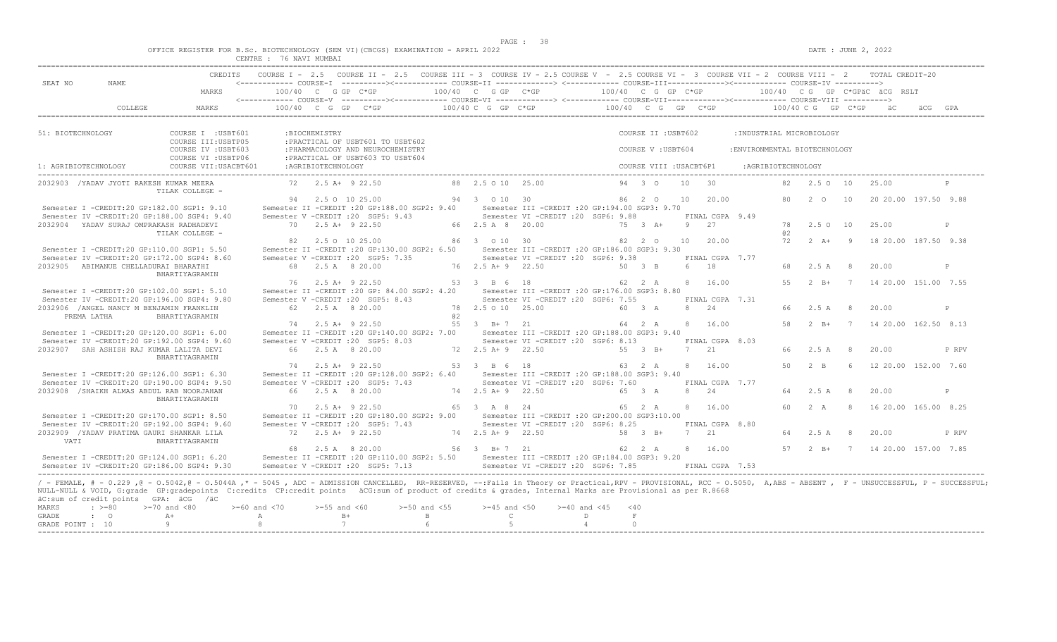$DATA: JUNE 2, 2022$ 

|  |  |                             |         |           |  | OFFICE REGISTER FOR B.Sc. BIOTECHNOLOGY (SEM VI)(CBCGS) EXAMINATION - APRIL 2022 |  |  |
|--|--|-----------------------------|---------|-----------|--|----------------------------------------------------------------------------------|--|--|
|  |  | $C$ ENTRE $\cdot$<br>------ | 76 NAVI | . MIIMRAT |  |                                                                                  |  |  |

| SEAT NO              | NAME.                                                                                    |                                                                                                                                                                                                                                                                                                                                                                                                                                     |    |                     | <------------ COURSE-T ----------><------------ COURSE-TT -------------> <------------ COURSE-TTT-------------><------------ COURSE-TV ---------->                                                                                                                                                                           |                                  |                                       | COURSE I - 2.5 COURSE II - 2.5 COURSE III - 3 COURSE IV - 2.5 COURSE V - 2.5 COURSE VI - 3 COURSE VII - 2 COURSE VIII - 2 TOTAL CREDIT-20 |           |           |                         |    |                            |                                           |           |                            |                |                                                |              |
|----------------------|------------------------------------------------------------------------------------------|-------------------------------------------------------------------------------------------------------------------------------------------------------------------------------------------------------------------------------------------------------------------------------------------------------------------------------------------------------------------------------------------------------------------------------------|----|---------------------|------------------------------------------------------------------------------------------------------------------------------------------------------------------------------------------------------------------------------------------------------------------------------------------------------------------------------|----------------------------------|---------------------------------------|-------------------------------------------------------------------------------------------------------------------------------------------|-----------|-----------|-------------------------|----|----------------------------|-------------------------------------------|-----------|----------------------------|----------------|------------------------------------------------|--------------|
|                      |                                                                                          | MARKS                                                                                                                                                                                                                                                                                                                                                                                                                               |    |                     | $100/40 \t C \t G \t G \t F \t C*GP \t C*GP \t 100/40 \t C \t G \t G \t F \t 100/40 \t C \t G \t G \t F \t 100/40 \t C \t G \t G \t F \t 100/40 \t C \t G \t G \t F \t 100/40 \t C \t G \t G \t F \t 100/40 \t C \t G \t G \t F \t 100/40 \t C \t G \t G \t F \t 100/40 \t C \t G \t G \t F \t 100/40 \t C \t G \t F \t 100$ |                                  |                                       |                                                                                                                                           |           |           |                         |    |                            |                                           |           |                            |                |                                                |              |
|                      | COLLEGE                                                                                  | MARKS                                                                                                                                                                                                                                                                                                                                                                                                                               |    |                     | $100/40$ C G GP C*GP $100/40$ C G GP C*GP                                                                                                                                                                                                                                                                                    |                                  |                                       |                                                                                                                                           |           |           |                         |    |                            | $100/40$ C G GP C*GP $100/40$ C G GP C*GP |           |                            |                |                                                |              |
| 51: BIOTECHNOLOGY    |                                                                                          | COURSE I : USBT601<br>COURSE III: USBTP05                                                                                                                                                                                                                                                                                                                                                                                           |    | : BIOCHEMISTRY      | : PRACTICAL OF USBT601 TO USBT602                                                                                                                                                                                                                                                                                            |                                  |                                       |                                                                                                                                           |           |           | COURSE II : USBT602     |    |                            | : INDUSTRIAL MICROBIOLOGY                 |           |                            |                |                                                |              |
|                      |                                                                                          | COURSE IV : USBT603<br>COURSE VI : USBTP06                                                                                                                                                                                                                                                                                                                                                                                          |    |                     | : PHARMACOLOGY AND NEUROCHEMISTRY<br>: PRACTICAL OF USBT603 TO USBT604                                                                                                                                                                                                                                                       |                                  |                                       |                                                                                                                                           |           |           | COURSE V : USBT604      |    |                            | : ENVIRONMENTAL BIOTECHNOLOGY             |           |                            |                |                                                |              |
| 1: AGRIBIOTECHNOLOGY |                                                                                          | COURSE VII: USACBT601                                                                                                                                                                                                                                                                                                                                                                                                               |    | : AGRIBIOTECHNOLOGY |                                                                                                                                                                                                                                                                                                                              |                                  |                                       |                                                                                                                                           |           |           | COURSE VIII : USACBT6P1 |    |                            | :AGRIBIOTECHNOLOGY                        |           |                            |                |                                                |              |
|                      | 2032903 / YADAV JYOTI RAKESH KUMAR MEERA                                                 | TILAK COLLEGE -                                                                                                                                                                                                                                                                                                                                                                                                                     |    |                     | 72 2.5 A+ 9 22.50                                                                                                                                                                                                                                                                                                            |                                  | 88 2.5 0 10 25.00                     |                                                                                                                                           |           | 94 3 0    |                         | 10 | $\overline{30}$            |                                           |           | 82  2.5  0  10             |                | 25.00                                          |              |
|                      | Semester I -CREDIT:20 GP:182.00 SGP1: 9.10                                               |                                                                                                                                                                                                                                                                                                                                                                                                                                     |    |                     | 94 2.5 0 10 25.00<br>Semester II -CREDIT : 20 GP:188.00 SGP2: 9.40 Semester III -CREDIT : 20 GP:194.00 SGP3: 9.70                                                                                                                                                                                                            |                                  | 94 3 0 10 30                          |                                                                                                                                           |           |           | 86 2 0                  |    | 10 20.00                   |                                           |           |                            |                | 80   2   0   10   20   20   00   197.50   9.88 |              |
|                      | 2032904 YADAV SURAJ OMPRAKASH RADHADEVI                                                  | Semester IV -CREDIT:20 GP:188.00 SGP4: 9.40                                                                                                                                                                                                                                                                                                                                                                                         |    |                     | Semester V -CREDIT : 20 SGP5: 9.43<br>70 2.5 A+ 9 22.50                                                                                                                                                                                                                                                                      |                                  | 66 2.5 A 8 20.00                      | Semester VI -CREDIT : 20 SGP6: 9.88                                                                                                       |           |           | 75 3 A+                 |    | FINAL CGPA 9.49<br>9 27    |                                           |           | 78 2.5 0 10                |                | 25.00                                          | $\mathbb{P}$ |
|                      |                                                                                          | TILAK COLLEGE -                                                                                                                                                                                                                                                                                                                                                                                                                     |    |                     | 82 2.5 0 10 25.00                                                                                                                                                                                                                                                                                                            |                                  | 86 3 0 10 30                          |                                                                                                                                           |           |           | 82 2 0                  | 10 | 20.00                      |                                           | 82.<br>72 | $2 \overline{A}$ +         | $\overline{9}$ | 18 20.00 187.50 9.38                           |              |
|                      | Semester I -CREDIT:20 GP:110.00 SGP1: 5.50                                               | Semester IV -CREDIT:20 GP:172.00 SGP4: 8.60                                                                                                                                                                                                                                                                                                                                                                                         |    |                     | Semester II -CREDIT :20 GP:130.00 SGP2: 6.50 Semester III -CREDIT :20 GP:186.00 SGP3: 9.30<br>Semester V - CREDIT : 20 SGP5: 7.35                                                                                                                                                                                            |                                  |                                       | Semester VI -CREDIT : 20 SGP6: 9.38                                                                                                       |           |           |                         |    | FINAL CGPA 7.77            |                                           |           |                            |                |                                                |              |
|                      | 2032905 ABIMANUE CHELLADURAI BHARATHI                                                    | BHARTIYAGRAMIN                                                                                                                                                                                                                                                                                                                                                                                                                      |    |                     | 68 2.5 A 8 20.00                                                                                                                                                                                                                                                                                                             |                                  | 76 2.5 A + 9 22.50                    |                                                                                                                                           |           | 50 3 B    |                         |    | 6 18                       |                                           | 55        | 68 2.5 A 8<br>$2 \quad B+$ |                | 20.00                                          | P            |
|                      | Semester I -CREDIT:20 GP:102.00 SGP1: 5.10                                               | Semester IV -CREDIT:20 GP:196.00 SGP4: 9.80                                                                                                                                                                                                                                                                                                                                                                                         |    |                     | 76 2.5 A+ 9 22.50<br>Semester II -CREDIT : 20 GP: 84.00 SGP2: 4.20<br>Semester V -CREDIT : 20 SGP5: 8.43                                                                                                                                                                                                                     |                                  | 53 3 B 6 18                           | Semester III -CREDIT : 20 GP:176.00 SGP3: 8.80<br>Semester VI - CREDIT : 20 SGP6: 7.55                                                    |           |           | 62 2 A                  |    | 8 16.00<br>FINAL CGPA 7.31 |                                           |           |                            |                | 7 14 20.00 151.00 7.55                         |              |
| PREMA LATHA          | 2032906 / ANGEL NANCY M BENJAMIN FRANKLIN                                                | BHARTIYAGRAMIN                                                                                                                                                                                                                                                                                                                                                                                                                      |    |                     | 62 2.5 A 8 20.00                                                                                                                                                                                                                                                                                                             | a2                               |                                       | 78  2.5  0  10  25.00   60  3  A                                                                                                          |           |           |                         |    | 8 2.4                      |                                           | 66        | 2.5 A 8                    |                | 20.00                                          | P            |
|                      | Semester I -CREDIT:20 GP:120.00 SGP1: 6.00                                               |                                                                                                                                                                                                                                                                                                                                                                                                                                     |    |                     | 74 2.5 A+ 9 22.50<br>Semester II -CREDIT :20 GP:140.00 SGP2: 7.00 Semester III -CREDIT :20 GP:188.00 SGP3: 9.40                                                                                                                                                                                                              |                                  | 55 3 B+7 21                           |                                                                                                                                           |           |           | 64 2 A                  |    | 8 16.00                    |                                           |           |                            |                | 58   2   B+   7   14   20.00   162.50   8.13   |              |
|                      | 2032907 SAH ASHISH RAJ KUMAR LALITA DEVI                                                 | Semester IV -CREDIT:20 GP:192.00 SGP4: 9.60                                                                                                                                                                                                                                                                                                                                                                                         |    |                     | Semester V - CREDIT : 20 SGP5: 8.03<br>66 2.5 A 8 20.00                                                                                                                                                                                                                                                                      |                                  | 72 2.5 A + 9 22.50                    | Semester VI - CREDIT : 20 SGP6: 8.13                                                                                                      | 55 3 B+   |           |                         |    | FINAL CGPA 8.03<br>7 21    |                                           | 66        | 2.5A                       | 8 <sup>8</sup> | 20.00                                          | P RPV        |
|                      |                                                                                          | BHARTIYAGRAMIN                                                                                                                                                                                                                                                                                                                                                                                                                      |    |                     | 74 2.5 A+ 9 22.50                                                                                                                                                                                                                                                                                                            |                                  | 53 3 B 6 18                           |                                                                                                                                           |           | 63 2 A    |                         |    | 8 16.00                    |                                           | 50        | 2 R                        | $6^{\circ}$    | 12 20.00 152.00 7.60                           |              |
|                      | Semester I -CREDIT:20 GP:126.00 SGP1: 6.30<br>2032908 / SHAIKH ALMAS ABDUL RAB NOORJAHAN | Semester IV -CREDIT:20 GP:190.00 SGP4: 9.50                                                                                                                                                                                                                                                                                                                                                                                         |    |                     | Semester II -CREDIT : 20 GP: 128.00 SGP2: 6.40<br>Semester V - CREDIT : 20 SGP5: 7.43<br>66 2.5 A 8 20.00                                                                                                                                                                                                                    |                                  | $74$ $2.5$ $\overline{A}$ + 9 $22.50$ | Semester III - CREDIT : 20 GP: 188.00 SGP3: 9.40<br>Semester VI -CREDIT :20 SGP6: 7.60                                                    |           | 65 3 A    |                         |    | FINAL CGPA 7.77<br>8 24    |                                           |           |                            | 8 <sup>8</sup> | 20.00                                          | P            |
|                      |                                                                                          | BHARTIYAGRAMIN                                                                                                                                                                                                                                                                                                                                                                                                                      | 70 |                     | $2.5 A+ 9 22.50$                                                                                                                                                                                                                                                                                                             |                                  | 65 3 A 8 24                           |                                                                                                                                           |           |           | 65 2 A                  |    | 8 16.00                    |                                           | 60        | 64 2.5 A<br>2 A            |                | 8 16 20.00 165.00 8.25                         |              |
|                      | Semester I -CREDIT:20 GP:170.00 SGP1: 8.50                                               | Semester IV -CREDIT:20 GP:192.00 SGP4: 9.60                                                                                                                                                                                                                                                                                                                                                                                         |    |                     | Semester II -CREDIT : 20 GP:180.00 SGP2: 9.00<br>Semester V -CREDIT : 20 SGP5: 7.43                                                                                                                                                                                                                                          |                                  |                                       | Semester III -CREDIT :20 GP:200.00 SGP3:10.00<br>Semester VI -CREDIT : 20 SGP6: 8.25                                                      |           |           |                         |    | FINAL CGPA 8.80            |                                           |           |                            |                |                                                |              |
| VATI                 | 2032909 / YADAV PRATIMA GAURI SHANKAR LILA                                               | BHARTIYAGRAMIN                                                                                                                                                                                                                                                                                                                                                                                                                      |    |                     | $72 \t 2.5 \t A+ 9 \t 22.50$                                                                                                                                                                                                                                                                                                 |                                  | 74 2.5 A + 9 22.50                    |                                                                                                                                           | $58$ 3 B+ |           |                         |    | 7 21                       |                                           | 64        | $2.5A$ 8                   |                | 20.00                                          | P RPV        |
|                      | Semester I -CREDIT:20 GP:124.00 SGP1: 6.20                                               | Semester IV -CREDIT:20 GP:186.00 SGP4: 9.30                                                                                                                                                                                                                                                                                                                                                                                         |    |                     | 68 2.5 A 8 20.00<br>Semester II -CREDIT :20 GP:110.00 SGP2: 5.50 Semester III -CREDIT :20 GP:184.00 SGP3: 9.20<br>Semester V -CREDIT : 20 SGP5: 7.13                                                                                                                                                                         |                                  | 56 3 B+7 21                           | Semester VI - CREDIT : 20 SGP6: 7.85                                                                                                      |           | 62 2 A    |                         |    | 8 16.00<br>FINAL CGPA 7.53 |                                           |           |                            |                | 57   2   B+   7   14   20.00   157.00   7.85   |              |
| MARKS<br>GRADE       | äC:sum of credit points GPA: äCG /äC<br>$\cdot$ >=80<br>$\cdot$ 0                        | / - FEMALE, # - 0.229, @ - 0.5042, @ - 0.5044A, * - 5045, ADC - ADMISSION CANCELLED, RR-RESERVED, --: Fails in Theory or Practical, RPV - PROVISIONAL, RCC - 0.5050, A, ABS - ABSENT, F - UNSUCCESSFUL, P - SUCCESSFUL;<br>NULL-NULL & VOID, G:grade GP:gradepoints C:credits CP:credit points äCG:sum of product of credits & grades, Internal Marks are Provisional as per R.8668<br>$>=70$ and $<80$<br>$>=60$ and $<70$<br>$A+$ | A  | $>=55$ and $<60$    | $B+$<br>$7^{\circ}$                                                                                                                                                                                                                                                                                                          | $>=50$ and $<55$<br>$\mathbf{B}$ | $>=45$ and $<50$<br>$\mathbb{C}$      | $>=40$ and $<45$                                                                                                                          | D         | < 40<br>F |                         |    |                            |                                           |           |                            |                |                                                |              |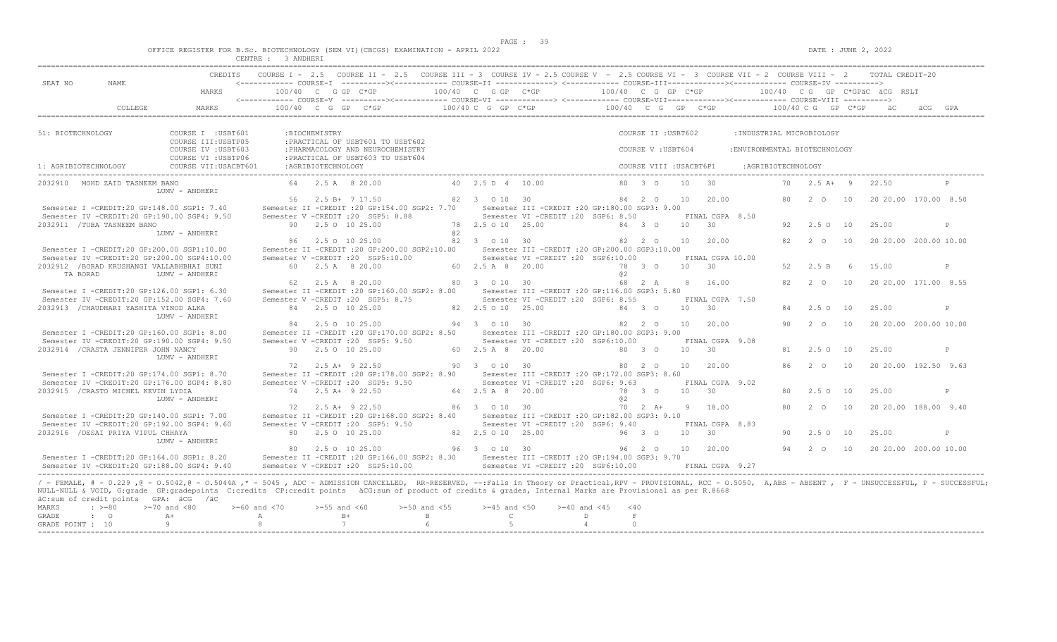$DATA: JUNE 2, 2022$ 

|  |  |           |             |  | OFFICE REGISTER FOR B.SC. BIOTECHNOLOGY (SEM VI)(CBCGS) EXAMINATION - APRIL 2022 |  |  |
|--|--|-----------|-------------|--|----------------------------------------------------------------------------------|--|--|
|  |  | _________ | ----------- |  |                                                                                  |  |  |

|                                                                                                                                                                                                                                                                                                                                                                                                                                                                        |                                                                  | CENTRE : 3 ANDHERI                 |                    | CREDITS COURSE I - 2.5 COURSE II - 2.5 COURSE III - 3 COURSE IV - 2.5 COURSE V - 2.5 COURSE VI - 3 COURSE VII - 2 COURSE VIII - 2 TOTAL CREDIT-20     |              |                                  |                                                                                         |                                           |                                          |                 |                                    |                                                            |    |                |     |                                                     |      |              |
|------------------------------------------------------------------------------------------------------------------------------------------------------------------------------------------------------------------------------------------------------------------------------------------------------------------------------------------------------------------------------------------------------------------------------------------------------------------------|------------------------------------------------------------------|------------------------------------|--------------------|-------------------------------------------------------------------------------------------------------------------------------------------------------|--------------|----------------------------------|-----------------------------------------------------------------------------------------|-------------------------------------------|------------------------------------------|-----------------|------------------------------------|------------------------------------------------------------|----|----------------|-----|-----------------------------------------------------|------|--------------|
| SEAT NO<br>NAME                                                                                                                                                                                                                                                                                                                                                                                                                                                        | MARKS                                                            | 100/40 C G GP C*GP                 |                    | <------------ COURSE-I ----------><----------- COURSE-II -------------> <------------ COURSE-III-----------><------------ COURSE-IV ---------->       |              | 100/40 C G GP C*GP               |                                                                                         | $100/40$ C G GP C*GP                      |                                          |                 |                                    |                                                            |    |                |     | 100/40 CG GP C*GPäC äCG RSLT                        |      |              |
| COLLEGE                                                                                                                                                                                                                                                                                                                                                                                                                                                                | MARKS                                                            |                                    |                    | $100/40$ C G GP C*GP                                                                                                                                  |              | 100/40 C G GP C*GP               |                                                                                         | $100/40$ C G GP C*GP $100/40$ C G GP C*GP |                                          |                 |                                    |                                                            |    |                |     | äC.                                                 | ÄCG. |              |
|                                                                                                                                                                                                                                                                                                                                                                                                                                                                        |                                                                  |                                    |                    |                                                                                                                                                       |              |                                  |                                                                                         |                                           |                                          |                 |                                    |                                                            |    |                |     |                                                     |      |              |
| 51: BIOTECHNOLOGY                                                                                                                                                                                                                                                                                                                                                                                                                                                      | COURSE I : USBT601<br>COURSE III: USBTP05<br>COURSE IV : USBT603 |                                    | :BIOCHEMISTRY      | : PRACTICAL OF USBT601 TO USBT602<br>: PHARMACOLOGY AND NEUROCHEMISTRY                                                                                |              |                                  |                                                                                         |                                           | COURSE II : USBT602<br>COURSE V: USBT604 |                 |                                    | : INDUSTRIAL MICROBIOLOGY<br>: ENVIRONMENTAL BIOTECHNOLOGY |    |                |     |                                                     |      |              |
| 1: AGRIBIOTECHNOLOGY                                                                                                                                                                                                                                                                                                                                                                                                                                                   | COURSE VI : USBTP06<br>COURSE VII: USACBT601                     |                                    | :AGRIBIOTECHNOLOGY | : PRACTICAL OF USBT603 TO USBT604                                                                                                                     |              |                                  |                                                                                         |                                           | COURSE VIII : USACBT6P1                  |                 |                                    | :AGRIBIOTECHNOLOGY                                         |    |                |     |                                                     |      |              |
| 2032910 MOHD ZAID TASNEEM BANO                                                                                                                                                                                                                                                                                                                                                                                                                                         |                                                                  |                                    |                    | 64 2.5 A 8 20.00                                                                                                                                      |              | 40 2.5 D 4 10.00                 |                                                                                         |                                           | 80 3 0                                   | 10              | 30                                 |                                                            | 70 | $2.5 A+ 9$     |     | 22.50                                               |      | P            |
|                                                                                                                                                                                                                                                                                                                                                                                                                                                                        | LUMV - ANDHERI                                                   |                                    |                    |                                                                                                                                                       |              |                                  |                                                                                         |                                           |                                          |                 |                                    |                                                            |    |                |     |                                                     |      |              |
| Semester I -CREDIT:20 GP:148.00 SGP1: 7.40<br>Semester IV -CREDIT:20 GP:190.00 SGP4: 9.50                                                                                                                                                                                                                                                                                                                                                                              |                                                                  |                                    |                    | 56 2.5 B+ 7 17.50<br>Semester II -CREDIT : 20 GP: 154.00 SGP2: 7.70<br>Semester V - CREDIT : 20 SGP5: 8.88                                            |              | 82 3 0 10 30                     | Semester III -CREDIT : 20 GP: 180.00 SGP3: 9.00<br>Semester VI -CREDIT :20 SGP6: 8.50   |                                           | 84 2 0                                   | 10              | 20.00<br>FINAL CGPA 8.50           |                                                            | 80 | $2\degree$ 0   | 10  | 20 20.00 170.00 8.50                                |      |              |
| 2032911 /TUBA TASNEEM BANO                                                                                                                                                                                                                                                                                                                                                                                                                                             | LUMV - ANDHERI                                                   |                                    |                    | 90 2.5 0 10 25.00                                                                                                                                     | 0.2          | 78 2.5 0 10 25.00                |                                                                                         |                                           | 84 3 0                                   | 10              | $\overline{30}$                    |                                                            | 92 | 2.50 10        |     | 25.00                                               |      | P            |
| Semester I -CREDIT:20 GP:200.00 SGP1:10.00                                                                                                                                                                                                                                                                                                                                                                                                                             |                                                                  |                                    |                    | 86 2.5 0 10 25.00<br>Semester II -CREDIT : 20 GP: 200.00 SGP2: 10.00                                                                                  |              | 82 3 0 10 30                     | Semester III -CREDIT : 20 GP: 200.00 SGP3: 10.00                                        |                                           | 82 2 0                                   | 10              | 20.00                              |                                                            | 82 | 2 0            | 10  | 20 20.00 200.00 10.00                               |      |              |
| Semester IV -CREDIT:20 GP:200.00 SGP4:10.00<br>2032912 /BORAD KRUSHANGI VALLABHBHAI SUNI<br>TA BORAD                                                                                                                                                                                                                                                                                                                                                                   | LUMV - ANDHERI                                                   |                                    |                    | Semester V -CREDIT : 20 SGP5:10.00<br>60 2.5 A 8 20.00                                                                                                |              | 60 2.5 A 8 20.00                 | Semester VI -CREDIT : 20 SGP6:10.00                                                     | a2                                        | 78 3 0                                   |                 | FINAL CGPA 10.00<br>10 30          |                                                            | 52 | 2.5 B          | - 6 | 15.00                                               |      | $\mathsf{P}$ |
| Semester I -CREDIT:20 GP:126.00 SGP1: 6.30                                                                                                                                                                                                                                                                                                                                                                                                                             |                                                                  | 62                                 |                    | 2.5 A 8 20.00<br>Semester II -CREDIT : 20 GP:160.00 SGP2: 8.00                                                                                        |              | 80 3 0 10 30                     | Semester III - CREDIT : 20 GP: 116.00 SGP3: 5.80                                        |                                           | 68 2 A                                   | 8               | 16.00                              |                                                            | 82 | 2 0            | 10  | 20 20.00 171.00 8.55                                |      |              |
| Semester IV -CREDIT:20 GP:152.00 SGP4: 7.60<br>2032913 / CHAUDHARI YASHITA VINOD ALKA                                                                                                                                                                                                                                                                                                                                                                                  |                                                                  |                                    |                    | Semester V -CREDIT : 20 SGP5: 8.75<br>84 2.5 0 10 25.00                                                                                               |              | 82  2.5  0  10  25.00            | Semester VI -CREDIT : 20 SGP6: 8.55                                                     |                                           | 84 3 0                                   | 10 <sup>1</sup> | FINAL CGPA 7.50<br>$\overline{30}$ |                                                            | 84 | $2.5^\circ$    | 10  | 25.00                                               |      | P            |
| Semester I -CREDIT:20 GP:160.00 SGP1: 8.00                                                                                                                                                                                                                                                                                                                                                                                                                             | LUMV - ANDHERI                                                   |                                    |                    | 84 2.5 0 10 25.00<br>Semester II -CREDIT : 20 GP: 170.00 SGP2: 8.50                                                                                   |              | 94 3 0 10 30                     | Semester III - CREDIT : 20 GP: 180.00 SGP3: 9.00                                        |                                           | 82 2 0                                   | 10              | 20.00                              |                                                            | 90 | $2\degree$ 0   | 10  | 20 20.00 200.00 10.00                               |      |              |
| Semester IV -CREDIT:20 GP:190.00 SGP4: 9.50<br>2032914 / CRASTA JENNIFER JOHN NANCY                                                                                                                                                                                                                                                                                                                                                                                    |                                                                  |                                    |                    | Semester V -CREDIT : 20 SGP5: 9.50<br>90 2.5 0 10 25.00                                                                                               |              | 60 2.5 A 8 20.00                 | Semester VI -CREDIT :20 SGP6:10.00                                                      |                                           | 80 3 0                                   | 10              | FINAL CGPA 9.08<br>$-30$           |                                                            | 81 | 2.5010         |     | 25.00                                               |      | $\mathsf{P}$ |
|                                                                                                                                                                                                                                                                                                                                                                                                                                                                        | LUMV - ANDHERI                                                   |                                    |                    | 72 2.5 A+ 9 22.50                                                                                                                                     |              | 90 3 0 10 30                     |                                                                                         |                                           | 80 2 0                                   | 10              | 20.00                              |                                                            | 86 | $2\degree$ 0   | 10  | 20 20.00 192.50 9.63                                |      |              |
| Semester I -CREDIT:20 GP:174.00 SGP1: 8.70<br>Semester IV -CREDIT:20 GP:176.00 SGP4: 8.80<br>2032915 / CRASTO MICHEL KEVIN LYDIA                                                                                                                                                                                                                                                                                                                                       |                                                                  |                                    |                    | Semester II -CREDIT : 20 GP: 178.00 SGP2: 8.90<br>Semester V - CREDIT : 20 SGP5: 9.50<br>74 2.5 A+ 9 22.50                                            |              | 64 2.5 A 8 20.00                 | Semester III -CREDIT :20 GP:172.00 SGP3: 8.60<br>Semester VI -CREDIT : 20 SGP6: 9.63    |                                           | 78 3 0                                   | 10              | FINAL CGPA 9.02<br>$\overline{30}$ |                                                            | 80 | $2.5 \circ 10$ |     | 25.00                                               |      | P            |
|                                                                                                                                                                                                                                                                                                                                                                                                                                                                        | LUMV - ANDHERI                                                   |                                    |                    | 72 2.5 A+ 9 22.50                                                                                                                                     |              | 86 3 0 10 30                     |                                                                                         | a2                                        | $70 \t 2 \t A+$                          | 9               | 18.00                              |                                                            | 80 | $2^{\circ}$    | 10  | 20 20 00 188 00 9 40                                |      |              |
| Semester I -CREDIT:20 GP:140.00 SGP1: 7.00<br>Semester IV -CREDIT:20 GP:192.00 SGP4: 9.60                                                                                                                                                                                                                                                                                                                                                                              |                                                                  |                                    |                    | Semester II -CREDIT : 20 GP:168.00 SGP2: 8.40<br>Semester V -CREDIT : 20 SGP5: 9.50                                                                   |              |                                  | Semester III - CREDIT : 20 GP: 182.00 SGP3: 9.10<br>Semester VI -CREDIT : 20 SGP6: 9.40 |                                           |                                          |                 | FINAL CGPA 8.83                    |                                                            |    |                |     |                                                     |      |              |
| 2032916 / DESAI PRIYA VIPUL CHHAYA                                                                                                                                                                                                                                                                                                                                                                                                                                     | LUMV - ANDHERI                                                   |                                    |                    | 80 2.5 0 10 25.00                                                                                                                                     |              | 82  2.5  0  10  25.00            |                                                                                         |                                           | 96 3 0                                   | 10              | $\overline{30}$                    |                                                            | 90 | $2.5^\circ$    | 10  | 25.00                                               |      | $\mathbb{P}$ |
| Semester I -CREDIT:20 GP:164.00 SGP1: 8.20<br>Semester IV -CREDIT:20 GP:188.00 SGP4: 9.40                                                                                                                                                                                                                                                                                                                                                                              |                                                                  |                                    |                    | 80 2.5 0 10 25.00<br>Semester II -CREDIT :20 GP:166.00 SGP2: 8.30 Semester III -CREDIT :20 GP:194.00 SGP3: 9.70<br>Semester V -CREDIT : 20 SGP5:10.00 |              | 96 3 0 10 30                     | Semester VI -CREDIT : 20 SGP6:10.00                                                     |                                           | 96 2 0                                   | 10              | 20.00<br>FINAL CGPA 9.27           |                                                            |    |                |     | 94   2   0   10   20   20   00   200   00   10   00 |      |              |
| / - FEMALE, # - 0.229, @ - 0.5042, @ - 0.5044A,* - 5045, ADC - ADMISSION CANCELLED, RR-RESERVED, --:Fails in Theory or Practical,RPV - PROVISIONAL, RCC - 0.5050, A,ABS - ABSENT, F - UNSUCCESSFUL, P - SUCCESSFUL;<br>NULL-NULL & VOID, G:grade GP:gradepoints C:credits CP:credit points äCG:sum of product of credits & grades, Internal Marks are Provisional as per R.8668<br>äC:sum of credit points GPA: äCG /äC<br>MARKS<br>$\cdot$ >=80<br>GRADE<br>$\cdot$ 0 | $>=70$ and $<80$<br>$A+$                                         | $>= 60$ and $< 70$<br>$\mathbb{A}$ | $>=55$ and $<60$   | $>=50$ and $<55$<br>$B+$                                                                                                                              | $\mathbf{B}$ | $>=45$ and $<50$<br>$\mathbb{C}$ | $>= 40$ and $< 45$                                                                      | $<$ 40<br>$\,$ F $\,$<br>D                |                                          |                 |                                    |                                                            |    |                |     |                                                     |      |              |
| GRADE POINT : 10                                                                                                                                                                                                                                                                                                                                                                                                                                                       | 9                                                                | -8                                 | 7                  |                                                                                                                                                       | 6            |                                  |                                                                                         | $\Omega$<br>$\overline{4}$                |                                          |                 |                                    |                                                            |    |                |     |                                                     |      |              |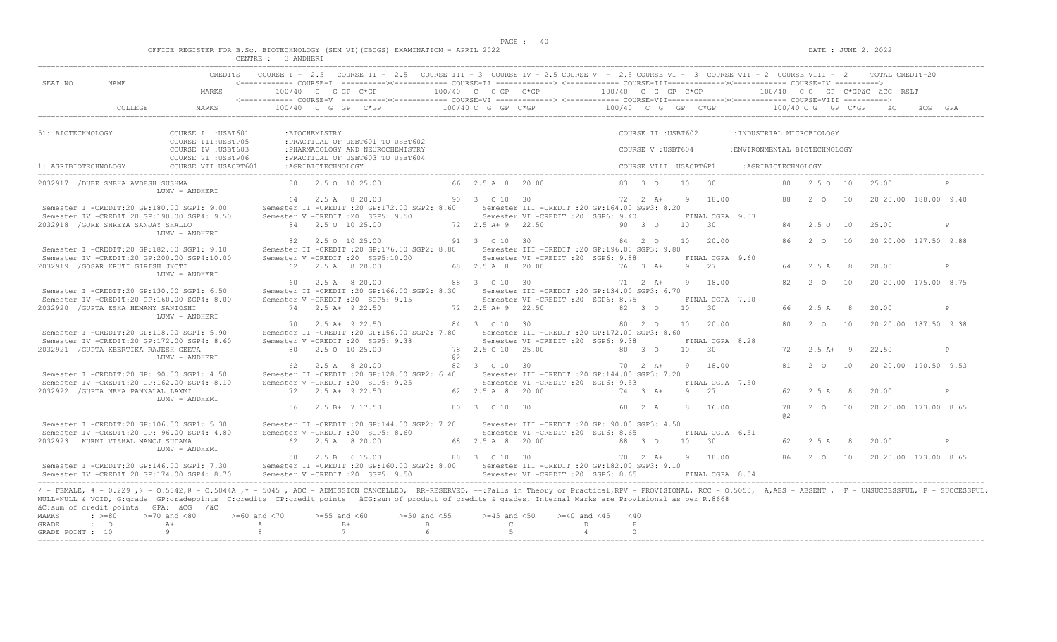|  |  |                                   |  |                              |  | OFFICE REGISTER FOR B.SC. BIOTECHNOLOGY (SEM VI)(CBCGS) EXAMINATION - APRIL 2022 |  |  |
|--|--|-----------------------------------|--|------------------------------|--|----------------------------------------------------------------------------------|--|--|
|  |  | after some to be even some sense. |  | <b>C. S. STR. 22 WELL BE</b> |  |                                                                                  |  |  |

| CREDITS COURSE I - 2.5 COURSE II - 2.5 COURSE III - 3 COURSE IV - 2.5 COURSE V - 2.5 COURSE VI - 3 COURSE VII - 2 COURSE VIII - 2 TOTAL CREDIT-20<br><------------ COURSE-T ----------><------------ COURSE-TT -------------> <------------ COURSE-TTT-------------><------------ COURSE-TV ----------><br>SEAT NO<br>NAME.<br>$100/40$ C G GP $C*GP$<br>100/40 C G GP C*GP<br>$100/40$ C G GP C*GP<br>100/40 CG GP C*GPÄC ÄCG RSLT<br>MARKS<br><------------ COURSE-V ----------><----------- COURSE-VI --------------> <------------ COURSE-VIII------------> COURSE-VIII ----------><br>COLLEGE<br>MARKS<br>51: BIOTECHNOLOGY<br>COURSE I : USBT601<br>:BIOCHEMISTRY<br>COURSE II : USBT602<br>: INDUSTRIAL MICROBIOLOGY<br>COURSE III: USBTP05<br>:PRACTICAL OF USBT601 TO USBT602<br>COURSE IV : USBT603<br>: PHARMACOLOGY AND NEUROCHEMISTRY<br>COURSE V: USBT604<br>: ENVIRONMENTAL BIOTECHNOLOGY<br>COURSE VI : USBTP06<br>: PRACTICAL OF USBT603 TO USBT604<br>COURSE VII: USACBT601<br>: AGRIBIOTECHNOLOGY<br>COURSE VIII : USACBT6P1<br>:AGRIBIOTECHNOLOGY<br>1: AGRIBIOTECHNOLOGY<br>66 2.5 A 8 20.00<br>83 3 0<br>$\sim$ 30<br>80  2.5  0  10<br>2032917 / DUBE SNEHA AVDESH SUSHMA<br>80 2.5 0 10 25.00<br>10 <sup>1</sup><br>25.00<br>LUMV - ANDHERT<br>88  2  0  10<br>90 3 0 10 30<br>9 18.00<br>20 20 00 188 00 9 40<br>64 2.5 A 8 20.00<br>72 2 A+<br>Semester III -CREDIT : 20 GP: 164.00 SGP3: 8.20<br>Semester I -CREDIT:20 GP:180.00 SGP1: 9.00<br>Semester II -CREDIT : 20 GP: 172.00 SGP2: 8.60<br>Semester IV -CREDIT:20 GP:190.00 SGP4: 9.50<br>Semester V -CREDIT : 20 SGP5: 9.50<br>Semester VI -CREDIT : 20 SGP6: 9.40<br>FINAL CGPA 9.03<br>2032918 / GORE SHREYA SANJAY SHALLO<br>84 2.5 0 10 25.00<br>72 2.5 A + 9 22.50<br>$90 \t30$<br>$10 \t 30$<br>2.50<br>10<br>25.00<br>P<br>LUMV - ANDHERI<br>82 2.5 0 10 25.00<br>91 3 0 10 30<br>84 2 0<br>10 20.00<br>86<br>$2\degree$ 0<br>10<br>20 20.00 197.50 9.88<br>Semester I -CREDIT:20 GP:182.00 SGP1: 9.10<br>Semester II -CREDIT : 20 GP:176.00 SGP2: 8.80 Semester III -CREDIT : 20 GP:196.00 SGP3: 9.80<br>Semester IV -CREDIT:20 GP:200.00 SGP4:10.00<br>Semester V -CREDIT : 20 SGP5:10.00<br>Semester VI -CREDIT : 20 SGP6: 9.88<br>FINAL CGPA 9.60<br>2032919 / GOSAR KRUTI GIRISH JYOTI<br>62 2.5 A 8 20.00<br>68  2.5  A  8  20.00<br>$76$ 3 A+<br>9 27<br>2.5 A<br>- 8<br>20.00<br>P<br>64 -<br>LUMV - ANDHERI<br>60 2.5 A 8 20.00<br>88 3 0 10 30<br>$71 \t 2 \t A+$<br>9 18.00<br>82<br>$2\degree$ 0<br>10<br>20 20 00 175 00 8.75<br>Semester II -CREDIT :20 GP:166.00 SGP2: 8.30 Semester III -CREDIT :20 GP:134.00 SGP3: 6.70<br>Semester I -CREDIT:20 GP:130.00 SGP1: 6.50<br>Semester V -CREDIT : 20 SGP5: 9.15<br>Semester VI -CREDIT :20 SGP6: 8.75<br>Semester IV -CREDIT:20 GP:160.00 SGP4: 8.00<br>FINAL CGPA 7.90<br>2032920 / GUPTA ESHA HEMANY SANTOSHI<br>74 2.5 A + 9 22.50<br>72 2.5 A + 9 22.50<br>82 3 0<br>10 30<br>66 2.5 A<br>20.00<br>- 8<br>$\mathbb{P}$<br>LUMV - ANDHERI<br>70 2.5 A+ 9 22.50<br>84 3 0 10 30<br>80 2 0<br>10<br>20.00<br>20 20.00 187.50 9.38<br>80<br>$2^{\circ}$ 0<br>10<br>Semester I -CREDIT:20 GP:118.00 SGP1: 5.90<br>Semester II -CREDIT : 20 GP: 156.00 SGP2: 7.80<br>Semester III -CREDIT : 20 GP: 172.00 SGP3: 8.60<br>Semester VI - CREDIT : 20 SGP6: 9.38<br>Semester IV -CREDIT:20 GP:172.00 SGP4: 8.60<br>Semester V -CREDIT : 20 SGP5: 9.38<br>FINAL CGPA 8.28<br>80 2.5 0 10 25.00<br>78 2.5 0 10 25.00<br>80 3 0<br>$\overline{30}$<br>2032921 / GUPTA KEERTIKA RAJESH GEETA<br>10<br>72<br>$2.5A+9$<br>22.50<br>P<br>a2<br>LUMV - ANDHERI<br>82 3 0 10 30<br>9<br>18.00<br>62<br>2.5 A 8 20.00<br>$70 \t 2 \t A+$<br>81<br>2 O<br>10<br>20 20.00 190.50 9.53<br>Semester I -CREDIT:20 GP: 90.00 SGP1: 4.50<br>Semester II -CREDIT :20 GP:128.00 SGP2: 6.40 Semester III -CREDIT :20 GP:144.00 SGP3: 7.20<br>Semester V -CREDIT : 20 SGP5: 9.25<br>Semester VI - CREDIT : 20 SGP6: 9.53<br>Semester IV -CREDIT:20 GP:162.00 SGP4: 8.10<br>FINAL CGPA 7.50<br>2032922 / GUPTA NEHA PANNALAL LAXMI<br>72 2.5 A+ 9 22.50<br>62  2.5 A 8  20.00  74  3  A+<br>$9 \t 27$<br>2.5 A 8<br>20.00<br>62.<br>$\mathsf{P}$<br>LUMV - ANDHERT<br>2 0 10<br>20 20.00 173.00 8.65<br>56 2.5 B+ 7 17.50<br>80 3 0 10 30<br>68 2 A<br>8<br>16.00<br>78<br>a2<br>Semester I -CREDIT:20 GP:106.00 SGP1: 5.30<br>Semester II -CREDIT : 20 GP:144.00 SGP2: 7.20 Semester III -CREDIT : 20 GP: 90.00 SGP3: 4.50<br>Semester IV -CREDIT:20 GP: 96.00 SGP4: 4.80<br>Semester V -CREDIT : 20 SGP5: 8.60<br>Semester VI -CREDIT : 20 SGP6: 8.65<br>FINAL CGPA 6.51<br>2032923 KURMI VISHAL MANOJ SUDAMA<br>62 2.5 A 8 20.00<br>68 2.5 A 8 20.00<br>88 3 0<br>10<br>30<br>P<br>62.<br>2.5 A<br>20.00<br><b>PA</b><br>LUMV - ANDHERI<br>50 2.5 B 6 15.00<br>88 3 0 10 30<br>9 18.00<br>86 2 0 10<br>20 20.00 173.00 8.65<br>70 2 A+<br>Semester I -CREDIT:20 GP:146.00 SGP1: 7.30<br>Semester II -CREDIT : 20 GP:160.00 SGP2: 8.00 Semester III -CREDIT : 20 GP:182.00 SGP3: 9.10<br>Semester V $-CREDTT$ : 20 SGP5: 9.50<br>Semester VI -CREDIT : 20 SGP6: 8.65<br>Semester IV -CREDIT:20 GP:174.00 SGP4: 8.70<br>FINAL CGPA 8.54<br>/ - FEMALE, # - 0.229, @ - 0.5042, @ - 0.5044A, * - 5045, ADC - ADMISSION CANCELLED, RR-RESERVED, --:Fails in Theory or Practical,RPV - PROVISIONAL, RCC - 0.5050, A,ABS - ABSENT, F - UNSUCCESSFUL, P - SUCCESSFUL;<br>NULL-NULL & VOID, G:grade GP:gradepoints C:credits CP:credit points äCG:sum of product of credits & grades, Internal Marks are Provisional as per R.8668<br>äC:sum of credit points GPA: äCG /äC<br>$: \; > = 80$<br>$>=70$ and $<80$<br>$>= 60$ and $< 70$<br>$>=55$ and $<60$<br>$>=50$ and $<55$<br>$>=45$ and $<50$<br>$>= 40$ and $< 45$<br>MARKS<br>$<$ 40<br>$B+$<br>$\mathbb B$<br>$\mathsf{C}$<br>$\,$ F<br><b>GRADE</b><br>$\cdot$ 0<br>$A+$<br>A<br>D<br>9<br>8<br>7<br>$5^{\circ}$<br>$\overline{4}$<br>$\Omega$<br>GRADE POINT : 10 |  | CENTRE : 3 ANDHERI |  |  |  |  |  |  |  |  |
|------------------------------------------------------------------------------------------------------------------------------------------------------------------------------------------------------------------------------------------------------------------------------------------------------------------------------------------------------------------------------------------------------------------------------------------------------------------------------------------------------------------------------------------------------------------------------------------------------------------------------------------------------------------------------------------------------------------------------------------------------------------------------------------------------------------------------------------------------------------------------------------------------------------------------------------------------------------------------------------------------------------------------------------------------------------------------------------------------------------------------------------------------------------------------------------------------------------------------------------------------------------------------------------------------------------------------------------------------------------------------------------------------------------------------------------------------------------------------------------------------------------------------------------------------------------------------------------------------------------------------------------------------------------------------------------------------------------------------------------------------------------------------------------------------------------------------------------------------------------------------------------------------------------------------------------------------------------------------------------------------------------------------------------------------------------------------------------------------------------------------------------------------------------------------------------------------------------------------------------------------------------------------------------------------------------------------------------------------------------------------------------------------------------------------------------------------------------------------------------------------------------------------------------------------------------------------------------------------------------------------------------------------------------------------------------------------------------------------------------------------------------------------------------------------------------------------------------------------------------------------------------------------------------------------------------------------------------------------------------------------------------------------------------------------------------------------------------------------------------------------------------------------------------------------------------------------------------------------------------------------------------------------------------------------------------------------------------------------------------------------------------------------------------------------------------------------------------------------------------------------------------------------------------------------------------------------------------------------------------------------------------------------------------------------------------------------------------------------------------------------------------------------------------------------------------------------------------------------------------------------------------------------------------------------------------------------------------------------------------------------------------------------------------------------------------------------------------------------------------------------------------------------------------------------------------------------------------------------------------------------------------------------------------------------------------------------------------------------------------------------------------------------------------------------------------------------------------------------------------------------------------------------------------------------------------------------------------------------------------------------------------------------------------------------------------------------------------------------------------------------------------------------------------------------------------------------------------------------------------------------------------------------------------------------------------------------------------------------------------------------------------------------------------------------------------------------------------------------------------------------------------------------------------------------------------------------------------------------------------------------------------------------------------------------------------------------------------------------------------------------------------------------------------------------------------------------------------------------------------------------------------------------------------------------------------------------------------------------------------------------------------------------------------------------------------------------------------------------------------------------------------------------------------------------------------------------------------------------------------------------------------------------------------------------------------------|--|--------------------|--|--|--|--|--|--|--|--|
|                                                                                                                                                                                                                                                                                                                                                                                                                                                                                                                                                                                                                                                                                                                                                                                                                                                                                                                                                                                                                                                                                                                                                                                                                                                                                                                                                                                                                                                                                                                                                                                                                                                                                                                                                                                                                                                                                                                                                                                                                                                                                                                                                                                                                                                                                                                                                                                                                                                                                                                                                                                                                                                                                                                                                                                                                                                                                                                                                                                                                                                                                                                                                                                                                                                                                                                                                                                                                                                                                                                                                                                                                                                                                                                                                                                                                                                                                                                                                                                                                                                                                                                                                                                                                                                                                                                                                                                                                                                                                                                                                                                                                                                                                                                                                                                                                                                                                                                                                                                                                                                                                                                                                                                                                                                                                                                                                                                                                                                                                                                                                                                                                                                                                                                                                                                                                                                                                                                                                |  |                    |  |  |  |  |  |  |  |  |
|                                                                                                                                                                                                                                                                                                                                                                                                                                                                                                                                                                                                                                                                                                                                                                                                                                                                                                                                                                                                                                                                                                                                                                                                                                                                                                                                                                                                                                                                                                                                                                                                                                                                                                                                                                                                                                                                                                                                                                                                                                                                                                                                                                                                                                                                                                                                                                                                                                                                                                                                                                                                                                                                                                                                                                                                                                                                                                                                                                                                                                                                                                                                                                                                                                                                                                                                                                                                                                                                                                                                                                                                                                                                                                                                                                                                                                                                                                                                                                                                                                                                                                                                                                                                                                                                                                                                                                                                                                                                                                                                                                                                                                                                                                                                                                                                                                                                                                                                                                                                                                                                                                                                                                                                                                                                                                                                                                                                                                                                                                                                                                                                                                                                                                                                                                                                                                                                                                                                                |  |                    |  |  |  |  |  |  |  |  |
|                                                                                                                                                                                                                                                                                                                                                                                                                                                                                                                                                                                                                                                                                                                                                                                                                                                                                                                                                                                                                                                                                                                                                                                                                                                                                                                                                                                                                                                                                                                                                                                                                                                                                                                                                                                                                                                                                                                                                                                                                                                                                                                                                                                                                                                                                                                                                                                                                                                                                                                                                                                                                                                                                                                                                                                                                                                                                                                                                                                                                                                                                                                                                                                                                                                                                                                                                                                                                                                                                                                                                                                                                                                                                                                                                                                                                                                                                                                                                                                                                                                                                                                                                                                                                                                                                                                                                                                                                                                                                                                                                                                                                                                                                                                                                                                                                                                                                                                                                                                                                                                                                                                                                                                                                                                                                                                                                                                                                                                                                                                                                                                                                                                                                                                                                                                                                                                                                                                                                |  |                    |  |  |  |  |  |  |  |  |
|                                                                                                                                                                                                                                                                                                                                                                                                                                                                                                                                                                                                                                                                                                                                                                                                                                                                                                                                                                                                                                                                                                                                                                                                                                                                                                                                                                                                                                                                                                                                                                                                                                                                                                                                                                                                                                                                                                                                                                                                                                                                                                                                                                                                                                                                                                                                                                                                                                                                                                                                                                                                                                                                                                                                                                                                                                                                                                                                                                                                                                                                                                                                                                                                                                                                                                                                                                                                                                                                                                                                                                                                                                                                                                                                                                                                                                                                                                                                                                                                                                                                                                                                                                                                                                                                                                                                                                                                                                                                                                                                                                                                                                                                                                                                                                                                                                                                                                                                                                                                                                                                                                                                                                                                                                                                                                                                                                                                                                                                                                                                                                                                                                                                                                                                                                                                                                                                                                                                                |  |                    |  |  |  |  |  |  |  |  |
|                                                                                                                                                                                                                                                                                                                                                                                                                                                                                                                                                                                                                                                                                                                                                                                                                                                                                                                                                                                                                                                                                                                                                                                                                                                                                                                                                                                                                                                                                                                                                                                                                                                                                                                                                                                                                                                                                                                                                                                                                                                                                                                                                                                                                                                                                                                                                                                                                                                                                                                                                                                                                                                                                                                                                                                                                                                                                                                                                                                                                                                                                                                                                                                                                                                                                                                                                                                                                                                                                                                                                                                                                                                                                                                                                                                                                                                                                                                                                                                                                                                                                                                                                                                                                                                                                                                                                                                                                                                                                                                                                                                                                                                                                                                                                                                                                                                                                                                                                                                                                                                                                                                                                                                                                                                                                                                                                                                                                                                                                                                                                                                                                                                                                                                                                                                                                                                                                                                                                |  |                    |  |  |  |  |  |  |  |  |
|                                                                                                                                                                                                                                                                                                                                                                                                                                                                                                                                                                                                                                                                                                                                                                                                                                                                                                                                                                                                                                                                                                                                                                                                                                                                                                                                                                                                                                                                                                                                                                                                                                                                                                                                                                                                                                                                                                                                                                                                                                                                                                                                                                                                                                                                                                                                                                                                                                                                                                                                                                                                                                                                                                                                                                                                                                                                                                                                                                                                                                                                                                                                                                                                                                                                                                                                                                                                                                                                                                                                                                                                                                                                                                                                                                                                                                                                                                                                                                                                                                                                                                                                                                                                                                                                                                                                                                                                                                                                                                                                                                                                                                                                                                                                                                                                                                                                                                                                                                                                                                                                                                                                                                                                                                                                                                                                                                                                                                                                                                                                                                                                                                                                                                                                                                                                                                                                                                                                                |  |                    |  |  |  |  |  |  |  |  |
|                                                                                                                                                                                                                                                                                                                                                                                                                                                                                                                                                                                                                                                                                                                                                                                                                                                                                                                                                                                                                                                                                                                                                                                                                                                                                                                                                                                                                                                                                                                                                                                                                                                                                                                                                                                                                                                                                                                                                                                                                                                                                                                                                                                                                                                                                                                                                                                                                                                                                                                                                                                                                                                                                                                                                                                                                                                                                                                                                                                                                                                                                                                                                                                                                                                                                                                                                                                                                                                                                                                                                                                                                                                                                                                                                                                                                                                                                                                                                                                                                                                                                                                                                                                                                                                                                                                                                                                                                                                                                                                                                                                                                                                                                                                                                                                                                                                                                                                                                                                                                                                                                                                                                                                                                                                                                                                                                                                                                                                                                                                                                                                                                                                                                                                                                                                                                                                                                                                                                |  |                    |  |  |  |  |  |  |  |  |
|                                                                                                                                                                                                                                                                                                                                                                                                                                                                                                                                                                                                                                                                                                                                                                                                                                                                                                                                                                                                                                                                                                                                                                                                                                                                                                                                                                                                                                                                                                                                                                                                                                                                                                                                                                                                                                                                                                                                                                                                                                                                                                                                                                                                                                                                                                                                                                                                                                                                                                                                                                                                                                                                                                                                                                                                                                                                                                                                                                                                                                                                                                                                                                                                                                                                                                                                                                                                                                                                                                                                                                                                                                                                                                                                                                                                                                                                                                                                                                                                                                                                                                                                                                                                                                                                                                                                                                                                                                                                                                                                                                                                                                                                                                                                                                                                                                                                                                                                                                                                                                                                                                                                                                                                                                                                                                                                                                                                                                                                                                                                                                                                                                                                                                                                                                                                                                                                                                                                                |  |                    |  |  |  |  |  |  |  |  |
|                                                                                                                                                                                                                                                                                                                                                                                                                                                                                                                                                                                                                                                                                                                                                                                                                                                                                                                                                                                                                                                                                                                                                                                                                                                                                                                                                                                                                                                                                                                                                                                                                                                                                                                                                                                                                                                                                                                                                                                                                                                                                                                                                                                                                                                                                                                                                                                                                                                                                                                                                                                                                                                                                                                                                                                                                                                                                                                                                                                                                                                                                                                                                                                                                                                                                                                                                                                                                                                                                                                                                                                                                                                                                                                                                                                                                                                                                                                                                                                                                                                                                                                                                                                                                                                                                                                                                                                                                                                                                                                                                                                                                                                                                                                                                                                                                                                                                                                                                                                                                                                                                                                                                                                                                                                                                                                                                                                                                                                                                                                                                                                                                                                                                                                                                                                                                                                                                                                                                |  |                    |  |  |  |  |  |  |  |  |
|                                                                                                                                                                                                                                                                                                                                                                                                                                                                                                                                                                                                                                                                                                                                                                                                                                                                                                                                                                                                                                                                                                                                                                                                                                                                                                                                                                                                                                                                                                                                                                                                                                                                                                                                                                                                                                                                                                                                                                                                                                                                                                                                                                                                                                                                                                                                                                                                                                                                                                                                                                                                                                                                                                                                                                                                                                                                                                                                                                                                                                                                                                                                                                                                                                                                                                                                                                                                                                                                                                                                                                                                                                                                                                                                                                                                                                                                                                                                                                                                                                                                                                                                                                                                                                                                                                                                                                                                                                                                                                                                                                                                                                                                                                                                                                                                                                                                                                                                                                                                                                                                                                                                                                                                                                                                                                                                                                                                                                                                                                                                                                                                                                                                                                                                                                                                                                                                                                                                                |  |                    |  |  |  |  |  |  |  |  |
|                                                                                                                                                                                                                                                                                                                                                                                                                                                                                                                                                                                                                                                                                                                                                                                                                                                                                                                                                                                                                                                                                                                                                                                                                                                                                                                                                                                                                                                                                                                                                                                                                                                                                                                                                                                                                                                                                                                                                                                                                                                                                                                                                                                                                                                                                                                                                                                                                                                                                                                                                                                                                                                                                                                                                                                                                                                                                                                                                                                                                                                                                                                                                                                                                                                                                                                                                                                                                                                                                                                                                                                                                                                                                                                                                                                                                                                                                                                                                                                                                                                                                                                                                                                                                                                                                                                                                                                                                                                                                                                                                                                                                                                                                                                                                                                                                                                                                                                                                                                                                                                                                                                                                                                                                                                                                                                                                                                                                                                                                                                                                                                                                                                                                                                                                                                                                                                                                                                                                |  |                    |  |  |  |  |  |  |  |  |
|                                                                                                                                                                                                                                                                                                                                                                                                                                                                                                                                                                                                                                                                                                                                                                                                                                                                                                                                                                                                                                                                                                                                                                                                                                                                                                                                                                                                                                                                                                                                                                                                                                                                                                                                                                                                                                                                                                                                                                                                                                                                                                                                                                                                                                                                                                                                                                                                                                                                                                                                                                                                                                                                                                                                                                                                                                                                                                                                                                                                                                                                                                                                                                                                                                                                                                                                                                                                                                                                                                                                                                                                                                                                                                                                                                                                                                                                                                                                                                                                                                                                                                                                                                                                                                                                                                                                                                                                                                                                                                                                                                                                                                                                                                                                                                                                                                                                                                                                                                                                                                                                                                                                                                                                                                                                                                                                                                                                                                                                                                                                                                                                                                                                                                                                                                                                                                                                                                                                                |  |                    |  |  |  |  |  |  |  |  |
|                                                                                                                                                                                                                                                                                                                                                                                                                                                                                                                                                                                                                                                                                                                                                                                                                                                                                                                                                                                                                                                                                                                                                                                                                                                                                                                                                                                                                                                                                                                                                                                                                                                                                                                                                                                                                                                                                                                                                                                                                                                                                                                                                                                                                                                                                                                                                                                                                                                                                                                                                                                                                                                                                                                                                                                                                                                                                                                                                                                                                                                                                                                                                                                                                                                                                                                                                                                                                                                                                                                                                                                                                                                                                                                                                                                                                                                                                                                                                                                                                                                                                                                                                                                                                                                                                                                                                                                                                                                                                                                                                                                                                                                                                                                                                                                                                                                                                                                                                                                                                                                                                                                                                                                                                                                                                                                                                                                                                                                                                                                                                                                                                                                                                                                                                                                                                                                                                                                                                |  |                    |  |  |  |  |  |  |  |  |
|                                                                                                                                                                                                                                                                                                                                                                                                                                                                                                                                                                                                                                                                                                                                                                                                                                                                                                                                                                                                                                                                                                                                                                                                                                                                                                                                                                                                                                                                                                                                                                                                                                                                                                                                                                                                                                                                                                                                                                                                                                                                                                                                                                                                                                                                                                                                                                                                                                                                                                                                                                                                                                                                                                                                                                                                                                                                                                                                                                                                                                                                                                                                                                                                                                                                                                                                                                                                                                                                                                                                                                                                                                                                                                                                                                                                                                                                                                                                                                                                                                                                                                                                                                                                                                                                                                                                                                                                                                                                                                                                                                                                                                                                                                                                                                                                                                                                                                                                                                                                                                                                                                                                                                                                                                                                                                                                                                                                                                                                                                                                                                                                                                                                                                                                                                                                                                                                                                                                                |  |                    |  |  |  |  |  |  |  |  |
|                                                                                                                                                                                                                                                                                                                                                                                                                                                                                                                                                                                                                                                                                                                                                                                                                                                                                                                                                                                                                                                                                                                                                                                                                                                                                                                                                                                                                                                                                                                                                                                                                                                                                                                                                                                                                                                                                                                                                                                                                                                                                                                                                                                                                                                                                                                                                                                                                                                                                                                                                                                                                                                                                                                                                                                                                                                                                                                                                                                                                                                                                                                                                                                                                                                                                                                                                                                                                                                                                                                                                                                                                                                                                                                                                                                                                                                                                                                                                                                                                                                                                                                                                                                                                                                                                                                                                                                                                                                                                                                                                                                                                                                                                                                                                                                                                                                                                                                                                                                                                                                                                                                                                                                                                                                                                                                                                                                                                                                                                                                                                                                                                                                                                                                                                                                                                                                                                                                                                |  |                    |  |  |  |  |  |  |  |  |
|                                                                                                                                                                                                                                                                                                                                                                                                                                                                                                                                                                                                                                                                                                                                                                                                                                                                                                                                                                                                                                                                                                                                                                                                                                                                                                                                                                                                                                                                                                                                                                                                                                                                                                                                                                                                                                                                                                                                                                                                                                                                                                                                                                                                                                                                                                                                                                                                                                                                                                                                                                                                                                                                                                                                                                                                                                                                                                                                                                                                                                                                                                                                                                                                                                                                                                                                                                                                                                                                                                                                                                                                                                                                                                                                                                                                                                                                                                                                                                                                                                                                                                                                                                                                                                                                                                                                                                                                                                                                                                                                                                                                                                                                                                                                                                                                                                                                                                                                                                                                                                                                                                                                                                                                                                                                                                                                                                                                                                                                                                                                                                                                                                                                                                                                                                                                                                                                                                                                                |  |                    |  |  |  |  |  |  |  |  |
|                                                                                                                                                                                                                                                                                                                                                                                                                                                                                                                                                                                                                                                                                                                                                                                                                                                                                                                                                                                                                                                                                                                                                                                                                                                                                                                                                                                                                                                                                                                                                                                                                                                                                                                                                                                                                                                                                                                                                                                                                                                                                                                                                                                                                                                                                                                                                                                                                                                                                                                                                                                                                                                                                                                                                                                                                                                                                                                                                                                                                                                                                                                                                                                                                                                                                                                                                                                                                                                                                                                                                                                                                                                                                                                                                                                                                                                                                                                                                                                                                                                                                                                                                                                                                                                                                                                                                                                                                                                                                                                                                                                                                                                                                                                                                                                                                                                                                                                                                                                                                                                                                                                                                                                                                                                                                                                                                                                                                                                                                                                                                                                                                                                                                                                                                                                                                                                                                                                                                |  |                    |  |  |  |  |  |  |  |  |
|                                                                                                                                                                                                                                                                                                                                                                                                                                                                                                                                                                                                                                                                                                                                                                                                                                                                                                                                                                                                                                                                                                                                                                                                                                                                                                                                                                                                                                                                                                                                                                                                                                                                                                                                                                                                                                                                                                                                                                                                                                                                                                                                                                                                                                                                                                                                                                                                                                                                                                                                                                                                                                                                                                                                                                                                                                                                                                                                                                                                                                                                                                                                                                                                                                                                                                                                                                                                                                                                                                                                                                                                                                                                                                                                                                                                                                                                                                                                                                                                                                                                                                                                                                                                                                                                                                                                                                                                                                                                                                                                                                                                                                                                                                                                                                                                                                                                                                                                                                                                                                                                                                                                                                                                                                                                                                                                                                                                                                                                                                                                                                                                                                                                                                                                                                                                                                                                                                                                                |  |                    |  |  |  |  |  |  |  |  |
|                                                                                                                                                                                                                                                                                                                                                                                                                                                                                                                                                                                                                                                                                                                                                                                                                                                                                                                                                                                                                                                                                                                                                                                                                                                                                                                                                                                                                                                                                                                                                                                                                                                                                                                                                                                                                                                                                                                                                                                                                                                                                                                                                                                                                                                                                                                                                                                                                                                                                                                                                                                                                                                                                                                                                                                                                                                                                                                                                                                                                                                                                                                                                                                                                                                                                                                                                                                                                                                                                                                                                                                                                                                                                                                                                                                                                                                                                                                                                                                                                                                                                                                                                                                                                                                                                                                                                                                                                                                                                                                                                                                                                                                                                                                                                                                                                                                                                                                                                                                                                                                                                                                                                                                                                                                                                                                                                                                                                                                                                                                                                                                                                                                                                                                                                                                                                                                                                                                                                |  |                    |  |  |  |  |  |  |  |  |
|                                                                                                                                                                                                                                                                                                                                                                                                                                                                                                                                                                                                                                                                                                                                                                                                                                                                                                                                                                                                                                                                                                                                                                                                                                                                                                                                                                                                                                                                                                                                                                                                                                                                                                                                                                                                                                                                                                                                                                                                                                                                                                                                                                                                                                                                                                                                                                                                                                                                                                                                                                                                                                                                                                                                                                                                                                                                                                                                                                                                                                                                                                                                                                                                                                                                                                                                                                                                                                                                                                                                                                                                                                                                                                                                                                                                                                                                                                                                                                                                                                                                                                                                                                                                                                                                                                                                                                                                                                                                                                                                                                                                                                                                                                                                                                                                                                                                                                                                                                                                                                                                                                                                                                                                                                                                                                                                                                                                                                                                                                                                                                                                                                                                                                                                                                                                                                                                                                                                                |  |                    |  |  |  |  |  |  |  |  |
|                                                                                                                                                                                                                                                                                                                                                                                                                                                                                                                                                                                                                                                                                                                                                                                                                                                                                                                                                                                                                                                                                                                                                                                                                                                                                                                                                                                                                                                                                                                                                                                                                                                                                                                                                                                                                                                                                                                                                                                                                                                                                                                                                                                                                                                                                                                                                                                                                                                                                                                                                                                                                                                                                                                                                                                                                                                                                                                                                                                                                                                                                                                                                                                                                                                                                                                                                                                                                                                                                                                                                                                                                                                                                                                                                                                                                                                                                                                                                                                                                                                                                                                                                                                                                                                                                                                                                                                                                                                                                                                                                                                                                                                                                                                                                                                                                                                                                                                                                                                                                                                                                                                                                                                                                                                                                                                                                                                                                                                                                                                                                                                                                                                                                                                                                                                                                                                                                                                                                |  |                    |  |  |  |  |  |  |  |  |
|                                                                                                                                                                                                                                                                                                                                                                                                                                                                                                                                                                                                                                                                                                                                                                                                                                                                                                                                                                                                                                                                                                                                                                                                                                                                                                                                                                                                                                                                                                                                                                                                                                                                                                                                                                                                                                                                                                                                                                                                                                                                                                                                                                                                                                                                                                                                                                                                                                                                                                                                                                                                                                                                                                                                                                                                                                                                                                                                                                                                                                                                                                                                                                                                                                                                                                                                                                                                                                                                                                                                                                                                                                                                                                                                                                                                                                                                                                                                                                                                                                                                                                                                                                                                                                                                                                                                                                                                                                                                                                                                                                                                                                                                                                                                                                                                                                                                                                                                                                                                                                                                                                                                                                                                                                                                                                                                                                                                                                                                                                                                                                                                                                                                                                                                                                                                                                                                                                                                                |  |                    |  |  |  |  |  |  |  |  |
|                                                                                                                                                                                                                                                                                                                                                                                                                                                                                                                                                                                                                                                                                                                                                                                                                                                                                                                                                                                                                                                                                                                                                                                                                                                                                                                                                                                                                                                                                                                                                                                                                                                                                                                                                                                                                                                                                                                                                                                                                                                                                                                                                                                                                                                                                                                                                                                                                                                                                                                                                                                                                                                                                                                                                                                                                                                                                                                                                                                                                                                                                                                                                                                                                                                                                                                                                                                                                                                                                                                                                                                                                                                                                                                                                                                                                                                                                                                                                                                                                                                                                                                                                                                                                                                                                                                                                                                                                                                                                                                                                                                                                                                                                                                                                                                                                                                                                                                                                                                                                                                                                                                                                                                                                                                                                                                                                                                                                                                                                                                                                                                                                                                                                                                                                                                                                                                                                                                                                |  |                    |  |  |  |  |  |  |  |  |
|                                                                                                                                                                                                                                                                                                                                                                                                                                                                                                                                                                                                                                                                                                                                                                                                                                                                                                                                                                                                                                                                                                                                                                                                                                                                                                                                                                                                                                                                                                                                                                                                                                                                                                                                                                                                                                                                                                                                                                                                                                                                                                                                                                                                                                                                                                                                                                                                                                                                                                                                                                                                                                                                                                                                                                                                                                                                                                                                                                                                                                                                                                                                                                                                                                                                                                                                                                                                                                                                                                                                                                                                                                                                                                                                                                                                                                                                                                                                                                                                                                                                                                                                                                                                                                                                                                                                                                                                                                                                                                                                                                                                                                                                                                                                                                                                                                                                                                                                                                                                                                                                                                                                                                                                                                                                                                                                                                                                                                                                                                                                                                                                                                                                                                                                                                                                                                                                                                                                                |  |                    |  |  |  |  |  |  |  |  |
|                                                                                                                                                                                                                                                                                                                                                                                                                                                                                                                                                                                                                                                                                                                                                                                                                                                                                                                                                                                                                                                                                                                                                                                                                                                                                                                                                                                                                                                                                                                                                                                                                                                                                                                                                                                                                                                                                                                                                                                                                                                                                                                                                                                                                                                                                                                                                                                                                                                                                                                                                                                                                                                                                                                                                                                                                                                                                                                                                                                                                                                                                                                                                                                                                                                                                                                                                                                                                                                                                                                                                                                                                                                                                                                                                                                                                                                                                                                                                                                                                                                                                                                                                                                                                                                                                                                                                                                                                                                                                                                                                                                                                                                                                                                                                                                                                                                                                                                                                                                                                                                                                                                                                                                                                                                                                                                                                                                                                                                                                                                                                                                                                                                                                                                                                                                                                                                                                                                                                |  |                    |  |  |  |  |  |  |  |  |
|                                                                                                                                                                                                                                                                                                                                                                                                                                                                                                                                                                                                                                                                                                                                                                                                                                                                                                                                                                                                                                                                                                                                                                                                                                                                                                                                                                                                                                                                                                                                                                                                                                                                                                                                                                                                                                                                                                                                                                                                                                                                                                                                                                                                                                                                                                                                                                                                                                                                                                                                                                                                                                                                                                                                                                                                                                                                                                                                                                                                                                                                                                                                                                                                                                                                                                                                                                                                                                                                                                                                                                                                                                                                                                                                                                                                                                                                                                                                                                                                                                                                                                                                                                                                                                                                                                                                                                                                                                                                                                                                                                                                                                                                                                                                                                                                                                                                                                                                                                                                                                                                                                                                                                                                                                                                                                                                                                                                                                                                                                                                                                                                                                                                                                                                                                                                                                                                                                                                                |  |                    |  |  |  |  |  |  |  |  |
|                                                                                                                                                                                                                                                                                                                                                                                                                                                                                                                                                                                                                                                                                                                                                                                                                                                                                                                                                                                                                                                                                                                                                                                                                                                                                                                                                                                                                                                                                                                                                                                                                                                                                                                                                                                                                                                                                                                                                                                                                                                                                                                                                                                                                                                                                                                                                                                                                                                                                                                                                                                                                                                                                                                                                                                                                                                                                                                                                                                                                                                                                                                                                                                                                                                                                                                                                                                                                                                                                                                                                                                                                                                                                                                                                                                                                                                                                                                                                                                                                                                                                                                                                                                                                                                                                                                                                                                                                                                                                                                                                                                                                                                                                                                                                                                                                                                                                                                                                                                                                                                                                                                                                                                                                                                                                                                                                                                                                                                                                                                                                                                                                                                                                                                                                                                                                                                                                                                                                |  |                    |  |  |  |  |  |  |  |  |
|                                                                                                                                                                                                                                                                                                                                                                                                                                                                                                                                                                                                                                                                                                                                                                                                                                                                                                                                                                                                                                                                                                                                                                                                                                                                                                                                                                                                                                                                                                                                                                                                                                                                                                                                                                                                                                                                                                                                                                                                                                                                                                                                                                                                                                                                                                                                                                                                                                                                                                                                                                                                                                                                                                                                                                                                                                                                                                                                                                                                                                                                                                                                                                                                                                                                                                                                                                                                                                                                                                                                                                                                                                                                                                                                                                                                                                                                                                                                                                                                                                                                                                                                                                                                                                                                                                                                                                                                                                                                                                                                                                                                                                                                                                                                                                                                                                                                                                                                                                                                                                                                                                                                                                                                                                                                                                                                                                                                                                                                                                                                                                                                                                                                                                                                                                                                                                                                                                                                                |  |                    |  |  |  |  |  |  |  |  |
|                                                                                                                                                                                                                                                                                                                                                                                                                                                                                                                                                                                                                                                                                                                                                                                                                                                                                                                                                                                                                                                                                                                                                                                                                                                                                                                                                                                                                                                                                                                                                                                                                                                                                                                                                                                                                                                                                                                                                                                                                                                                                                                                                                                                                                                                                                                                                                                                                                                                                                                                                                                                                                                                                                                                                                                                                                                                                                                                                                                                                                                                                                                                                                                                                                                                                                                                                                                                                                                                                                                                                                                                                                                                                                                                                                                                                                                                                                                                                                                                                                                                                                                                                                                                                                                                                                                                                                                                                                                                                                                                                                                                                                                                                                                                                                                                                                                                                                                                                                                                                                                                                                                                                                                                                                                                                                                                                                                                                                                                                                                                                                                                                                                                                                                                                                                                                                                                                                                                                |  |                    |  |  |  |  |  |  |  |  |
|                                                                                                                                                                                                                                                                                                                                                                                                                                                                                                                                                                                                                                                                                                                                                                                                                                                                                                                                                                                                                                                                                                                                                                                                                                                                                                                                                                                                                                                                                                                                                                                                                                                                                                                                                                                                                                                                                                                                                                                                                                                                                                                                                                                                                                                                                                                                                                                                                                                                                                                                                                                                                                                                                                                                                                                                                                                                                                                                                                                                                                                                                                                                                                                                                                                                                                                                                                                                                                                                                                                                                                                                                                                                                                                                                                                                                                                                                                                                                                                                                                                                                                                                                                                                                                                                                                                                                                                                                                                                                                                                                                                                                                                                                                                                                                                                                                                                                                                                                                                                                                                                                                                                                                                                                                                                                                                                                                                                                                                                                                                                                                                                                                                                                                                                                                                                                                                                                                                                                |  |                    |  |  |  |  |  |  |  |  |
|                                                                                                                                                                                                                                                                                                                                                                                                                                                                                                                                                                                                                                                                                                                                                                                                                                                                                                                                                                                                                                                                                                                                                                                                                                                                                                                                                                                                                                                                                                                                                                                                                                                                                                                                                                                                                                                                                                                                                                                                                                                                                                                                                                                                                                                                                                                                                                                                                                                                                                                                                                                                                                                                                                                                                                                                                                                                                                                                                                                                                                                                                                                                                                                                                                                                                                                                                                                                                                                                                                                                                                                                                                                                                                                                                                                                                                                                                                                                                                                                                                                                                                                                                                                                                                                                                                                                                                                                                                                                                                                                                                                                                                                                                                                                                                                                                                                                                                                                                                                                                                                                                                                                                                                                                                                                                                                                                                                                                                                                                                                                                                                                                                                                                                                                                                                                                                                                                                                                                |  |                    |  |  |  |  |  |  |  |  |
|                                                                                                                                                                                                                                                                                                                                                                                                                                                                                                                                                                                                                                                                                                                                                                                                                                                                                                                                                                                                                                                                                                                                                                                                                                                                                                                                                                                                                                                                                                                                                                                                                                                                                                                                                                                                                                                                                                                                                                                                                                                                                                                                                                                                                                                                                                                                                                                                                                                                                                                                                                                                                                                                                                                                                                                                                                                                                                                                                                                                                                                                                                                                                                                                                                                                                                                                                                                                                                                                                                                                                                                                                                                                                                                                                                                                                                                                                                                                                                                                                                                                                                                                                                                                                                                                                                                                                                                                                                                                                                                                                                                                                                                                                                                                                                                                                                                                                                                                                                                                                                                                                                                                                                                                                                                                                                                                                                                                                                                                                                                                                                                                                                                                                                                                                                                                                                                                                                                                                |  |                    |  |  |  |  |  |  |  |  |
|                                                                                                                                                                                                                                                                                                                                                                                                                                                                                                                                                                                                                                                                                                                                                                                                                                                                                                                                                                                                                                                                                                                                                                                                                                                                                                                                                                                                                                                                                                                                                                                                                                                                                                                                                                                                                                                                                                                                                                                                                                                                                                                                                                                                                                                                                                                                                                                                                                                                                                                                                                                                                                                                                                                                                                                                                                                                                                                                                                                                                                                                                                                                                                                                                                                                                                                                                                                                                                                                                                                                                                                                                                                                                                                                                                                                                                                                                                                                                                                                                                                                                                                                                                                                                                                                                                                                                                                                                                                                                                                                                                                                                                                                                                                                                                                                                                                                                                                                                                                                                                                                                                                                                                                                                                                                                                                                                                                                                                                                                                                                                                                                                                                                                                                                                                                                                                                                                                                                                |  |                    |  |  |  |  |  |  |  |  |
|                                                                                                                                                                                                                                                                                                                                                                                                                                                                                                                                                                                                                                                                                                                                                                                                                                                                                                                                                                                                                                                                                                                                                                                                                                                                                                                                                                                                                                                                                                                                                                                                                                                                                                                                                                                                                                                                                                                                                                                                                                                                                                                                                                                                                                                                                                                                                                                                                                                                                                                                                                                                                                                                                                                                                                                                                                                                                                                                                                                                                                                                                                                                                                                                                                                                                                                                                                                                                                                                                                                                                                                                                                                                                                                                                                                                                                                                                                                                                                                                                                                                                                                                                                                                                                                                                                                                                                                                                                                                                                                                                                                                                                                                                                                                                                                                                                                                                                                                                                                                                                                                                                                                                                                                                                                                                                                                                                                                                                                                                                                                                                                                                                                                                                                                                                                                                                                                                                                                                |  |                    |  |  |  |  |  |  |  |  |
|                                                                                                                                                                                                                                                                                                                                                                                                                                                                                                                                                                                                                                                                                                                                                                                                                                                                                                                                                                                                                                                                                                                                                                                                                                                                                                                                                                                                                                                                                                                                                                                                                                                                                                                                                                                                                                                                                                                                                                                                                                                                                                                                                                                                                                                                                                                                                                                                                                                                                                                                                                                                                                                                                                                                                                                                                                                                                                                                                                                                                                                                                                                                                                                                                                                                                                                                                                                                                                                                                                                                                                                                                                                                                                                                                                                                                                                                                                                                                                                                                                                                                                                                                                                                                                                                                                                                                                                                                                                                                                                                                                                                                                                                                                                                                                                                                                                                                                                                                                                                                                                                                                                                                                                                                                                                                                                                                                                                                                                                                                                                                                                                                                                                                                                                                                                                                                                                                                                                                |  |                    |  |  |  |  |  |  |  |  |
|                                                                                                                                                                                                                                                                                                                                                                                                                                                                                                                                                                                                                                                                                                                                                                                                                                                                                                                                                                                                                                                                                                                                                                                                                                                                                                                                                                                                                                                                                                                                                                                                                                                                                                                                                                                                                                                                                                                                                                                                                                                                                                                                                                                                                                                                                                                                                                                                                                                                                                                                                                                                                                                                                                                                                                                                                                                                                                                                                                                                                                                                                                                                                                                                                                                                                                                                                                                                                                                                                                                                                                                                                                                                                                                                                                                                                                                                                                                                                                                                                                                                                                                                                                                                                                                                                                                                                                                                                                                                                                                                                                                                                                                                                                                                                                                                                                                                                                                                                                                                                                                                                                                                                                                                                                                                                                                                                                                                                                                                                                                                                                                                                                                                                                                                                                                                                                                                                                                                                |  |                    |  |  |  |  |  |  |  |  |
|                                                                                                                                                                                                                                                                                                                                                                                                                                                                                                                                                                                                                                                                                                                                                                                                                                                                                                                                                                                                                                                                                                                                                                                                                                                                                                                                                                                                                                                                                                                                                                                                                                                                                                                                                                                                                                                                                                                                                                                                                                                                                                                                                                                                                                                                                                                                                                                                                                                                                                                                                                                                                                                                                                                                                                                                                                                                                                                                                                                                                                                                                                                                                                                                                                                                                                                                                                                                                                                                                                                                                                                                                                                                                                                                                                                                                                                                                                                                                                                                                                                                                                                                                                                                                                                                                                                                                                                                                                                                                                                                                                                                                                                                                                                                                                                                                                                                                                                                                                                                                                                                                                                                                                                                                                                                                                                                                                                                                                                                                                                                                                                                                                                                                                                                                                                                                                                                                                                                                |  |                    |  |  |  |  |  |  |  |  |
|                                                                                                                                                                                                                                                                                                                                                                                                                                                                                                                                                                                                                                                                                                                                                                                                                                                                                                                                                                                                                                                                                                                                                                                                                                                                                                                                                                                                                                                                                                                                                                                                                                                                                                                                                                                                                                                                                                                                                                                                                                                                                                                                                                                                                                                                                                                                                                                                                                                                                                                                                                                                                                                                                                                                                                                                                                                                                                                                                                                                                                                                                                                                                                                                                                                                                                                                                                                                                                                                                                                                                                                                                                                                                                                                                                                                                                                                                                                                                                                                                                                                                                                                                                                                                                                                                                                                                                                                                                                                                                                                                                                                                                                                                                                                                                                                                                                                                                                                                                                                                                                                                                                                                                                                                                                                                                                                                                                                                                                                                                                                                                                                                                                                                                                                                                                                                                                                                                                                                |  |                    |  |  |  |  |  |  |  |  |
|                                                                                                                                                                                                                                                                                                                                                                                                                                                                                                                                                                                                                                                                                                                                                                                                                                                                                                                                                                                                                                                                                                                                                                                                                                                                                                                                                                                                                                                                                                                                                                                                                                                                                                                                                                                                                                                                                                                                                                                                                                                                                                                                                                                                                                                                                                                                                                                                                                                                                                                                                                                                                                                                                                                                                                                                                                                                                                                                                                                                                                                                                                                                                                                                                                                                                                                                                                                                                                                                                                                                                                                                                                                                                                                                                                                                                                                                                                                                                                                                                                                                                                                                                                                                                                                                                                                                                                                                                                                                                                                                                                                                                                                                                                                                                                                                                                                                                                                                                                                                                                                                                                                                                                                                                                                                                                                                                                                                                                                                                                                                                                                                                                                                                                                                                                                                                                                                                                                                                |  |                    |  |  |  |  |  |  |  |  |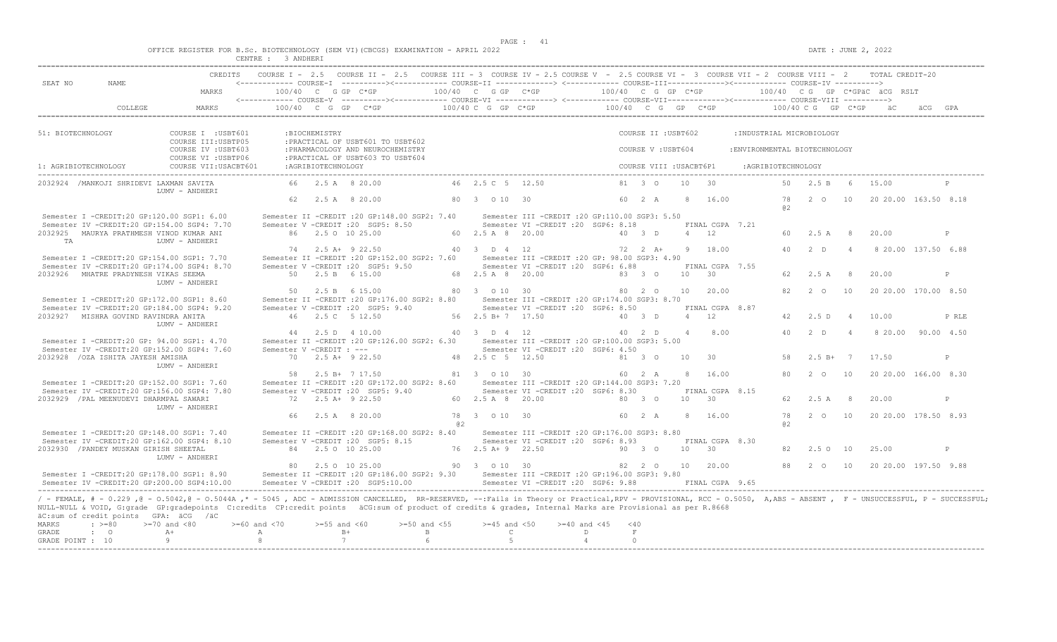$DATE: JUNE 2, 2022$ 

|  |  |                                    |            |  |  | OFFICE REGISTER FOR B.Sc. BIOTECHNOLOGY (SEM VI)(CBCGS) EXAMINATION - APRIL 2022 |  |  |
|--|--|------------------------------------|------------|--|--|----------------------------------------------------------------------------------|--|--|
|  |  | $\cap$ $\cap$ $\cap$ $\cap$ $\cap$ | 0.33555557 |  |  |                                                                                  |  |  |

|                      |                                                                                           |                                                                                                                                                                                                                   | CENTRE : 3 ANDHER  |                    |                                                                                                                                                                   |                  |                    |                                                  |                  |             |                         |                 |                     |                                                        |          |                  |                |                                 |       |
|----------------------|-------------------------------------------------------------------------------------------|-------------------------------------------------------------------------------------------------------------------------------------------------------------------------------------------------------------------|--------------------|--------------------|-------------------------------------------------------------------------------------------------------------------------------------------------------------------|------------------|--------------------|--------------------------------------------------|------------------|-------------|-------------------------|-----------------|---------------------|--------------------------------------------------------|----------|------------------|----------------|---------------------------------|-------|
|                      |                                                                                           |                                                                                                                                                                                                                   |                    |                    | CREDITS COURSE I - 2.5 COURSE II - 2.5 COURSE III - 3 COURSE IV - 2.5 COURSE V - 2.5 COURSE VI - 3 COURSE VII - 2 COURSE VIII - 2 TOTAL CREDIT-20                 |                  |                    |                                                  |                  |             |                         |                 |                     |                                                        |          |                  |                |                                 |       |
| SEAT NO              | NAME.                                                                                     |                                                                                                                                                                                                                   |                    |                    | <------------ COURSE-T ----------><------------ COURSE-TT -------------> <------------ COURSE-TTT-------------><------------ COURSE-TV ---------->                |                  |                    |                                                  |                  |             |                         |                 |                     |                                                        |          |                  |                |                                 |       |
|                      |                                                                                           | MARKS                                                                                                                                                                                                             |                    |                    | $100/40$ C G GP C*GP                                                                                                                                              |                  | 100/40 C G GP C*GP |                                                  |                  |             | 100/40 C G GP C*GP      |                 |                     |                                                        |          |                  |                | $100/40$ C G GP C*GPAC ACG RSLT |       |
|                      | COLLEGE                                                                                   | MARKS                                                                                                                                                                                                             |                    |                    | <------------ COURSE-V ----------><----------- COURSE-VI --------------> <------------ COURSE-VII---------------- COURSE-VIII ----------><br>$100/40$ C G GP C*GP |                  |                    | $100/40$ C G GP C*GP                             |                  |             |                         |                 |                     | $100/40$ C G GP C*GP $100/40$ C G GP C*GP $\ddot{a}$ C |          |                  |                |                                 |       |
|                      |                                                                                           |                                                                                                                                                                                                                   |                    |                    |                                                                                                                                                                   |                  |                    |                                                  |                  |             |                         |                 |                     |                                                        |          |                  |                |                                 |       |
| 51: BIOTECHNOLOGY    |                                                                                           | COURSE I : USBT601                                                                                                                                                                                                |                    | : BIOCHEMISTRY     |                                                                                                                                                                   |                  |                    |                                                  |                  |             | COURSE II : USBT602     |                 |                     | : INDUSTRIAL MICROBIOLOGY                              |          |                  |                |                                 |       |
|                      |                                                                                           | COURSE III: USBTP05<br>COURSE IV : USBT603                                                                                                                                                                        |                    |                    | : PRACTICAL OF USBT601 TO USBT602<br>: PHARMACOLOGY AND NEUROCHEMISTRY                                                                                            |                  |                    |                                                  |                  |             | COURSE V: USBT604       |                 |                     | : ENVIRONMENTAL BIOTECHNOLOGY                          |          |                  |                |                                 |       |
|                      |                                                                                           | COURSE VI : USBTP06                                                                                                                                                                                               |                    |                    | : PRACTICAL OF USBT603 TO USBT604                                                                                                                                 |                  |                    |                                                  |                  |             |                         |                 |                     |                                                        |          |                  |                |                                 |       |
| 1: AGRIBIOTECHNOLOGY |                                                                                           | COURSE VII: USACBT601                                                                                                                                                                                             |                    | :AGRIBIOTECHNOLOGY |                                                                                                                                                                   |                  |                    |                                                  |                  |             | COURSE VIII : USACBT6P1 |                 |                     | :AGRIBIOTECHNOLOGY                                     |          |                  |                |                                 |       |
|                      | 2032924 /MANKOJI SHRIDEVI LAXMAN SAVITA                                                   | LUMV - ANDHERI                                                                                                                                                                                                    |                    |                    | 66 2.5 A 8 20.00                                                                                                                                                  |                  | 46 2.5 C 5 12.50   |                                                  |                  |             | 81 3 0                  |                 | $10 \t 30$          |                                                        |          | 50 2.5 B 6 15.00 |                |                                 |       |
|                      |                                                                                           |                                                                                                                                                                                                                   |                    |                    | 62 2.5 A 8 20.00                                                                                                                                                  |                  | 80 3 0 10 30       |                                                  |                  |             | 60 2 A                  |                 | 8 16.00             |                                                        | 78<br>a2 |                  |                | 2 0 10 20 20 00 163.50 8.18     |       |
|                      | Semester I -CREDIT:20 GP:120.00 SGP1: 6.00                                                |                                                                                                                                                                                                                   |                    |                    | Semester II -CREDIT :20 GP:148.00 SGP2: 7.40                                                                                                                      |                  |                    | Semester III -CREDIT :20 GP:110.00 SGP3: 5.50    |                  |             |                         |                 |                     |                                                        |          |                  |                |                                 |       |
|                      | Semester IV -CREDIT:20 GP:154.00 SGP4: 7.70                                               |                                                                                                                                                                                                                   |                    |                    | Semester V -CREDIT : 20 SGP5: 8.50                                                                                                                                |                  |                    | Semester VI -CREDIT :20 SGP6: 8.18               |                  |             |                         |                 | FINAL CGPA 7.21     |                                                        |          |                  |                |                                 |       |
| <b>TA</b>            | 2032925 MAURYA PRATHMESH VINOD KUMAR ANI                                                  | LUMV - ANDHERI                                                                                                                                                                                                    |                    |                    | 86 2.5 0 10 25.00                                                                                                                                                 |                  | 60 2.5 A 8 20.00   |                                                  |                  |             | 40 3 D                  |                 | $4 \t 12$           |                                                        | 60       | 2.5 A 8          |                | 20.00                           | P     |
|                      |                                                                                           |                                                                                                                                                                                                                   |                    |                    | 74 2.5 A + 9 22.50                                                                                                                                                |                  | 40 3 D 4 12        |                                                  |                  |             | $72 \t2 \tA+$           |                 | 9 18.00             |                                                        | 40       | 2 D              | $\overline{4}$ | 8 20.00 137.50 6.88             |       |
|                      | Semester I -CREDIT:20 GP:154.00 SGP1: 7.70                                                |                                                                                                                                                                                                                   |                    |                    | Semester II -CREDIT : 20 GP:152.00 SGP2: 7.60                                                                                                                     |                  |                    | Semester III - CREDIT : 20 GP: 98.00 SGP3: 4.90  |                  |             |                         |                 |                     |                                                        |          |                  |                |                                 |       |
|                      | Semester IV -CREDIT:20 GP:174.00 SGP4: 8.70                                               |                                                                                                                                                                                                                   |                    |                    | Semester V -CREDIT : 20 SGP5: 9.50                                                                                                                                |                  |                    | Semester VI -CREDIT : 20 SGP6: 6.88              |                  |             |                         |                 | FINAL CGPA 7.55     |                                                        |          |                  |                |                                 |       |
|                      | 2032926 MHATRE PRADYNESH VIKAS SEEMA                                                      | LUMV - ANDHERI                                                                                                                                                                                                    |                    |                    | 50 2.5 B 6 15.00                                                                                                                                                  |                  | 68 2.5 A 8 20.00   |                                                  |                  |             | 83 3 0                  |                 | $10 \t 30$          |                                                        | 62       | 2.5A             | - 8            | 20.00                           | P     |
|                      |                                                                                           |                                                                                                                                                                                                                   |                    |                    | 50 2.5 B 6 15.00                                                                                                                                                  |                  | 80 3 0 10 30       |                                                  |                  |             | 80 2 0                  |                 | 10 20.00            |                                                        |          | 82 2 0           |                | 10 20 20.00 170.00 8.50         |       |
|                      | Semester I -CREDIT:20 GP:172.00 SGP1: 8.60                                                |                                                                                                                                                                                                                   |                    |                    | Semester II -CREDIT : 20 GP: 176.00 SGP2: 8.80                                                                                                                    |                  |                    | Semester III -CREDIT :20 GP:174.00 SGP3: 8.70    |                  |             |                         |                 |                     |                                                        |          |                  |                |                                 |       |
|                      | Semester IV -CREDIT:20 GP:184.00 SGP4: 9.20                                               |                                                                                                                                                                                                                   |                    |                    | Semester V -CREDIT : 20 SGP5: 9.40                                                                                                                                |                  |                    | Semester VI - CREDIT : 20 SGP6: 8.50             |                  |             |                         |                 | FINAL CGPA 8.87     |                                                        |          |                  |                |                                 |       |
|                      | 2032927 MISHRA GOVIND RAVINDRA ANITA                                                      | LUMV - ANDHERI                                                                                                                                                                                                    |                    |                    | 46 2.5 C 5 12.50                                                                                                                                                  |                  | 56 2.5 B + 7 17.50 |                                                  |                  |             | 40 3 D                  |                 | 4 12                |                                                        | 42       | 2.5 D            | $\sim$ 4       | 10.00                           | P RLE |
|                      |                                                                                           |                                                                                                                                                                                                                   |                    |                    | 44 2.5 D 4 10.00                                                                                                                                                  |                  | 40 3 D 4 12        |                                                  |                  |             | 40 2 D                  |                 | 4 8.00              |                                                        |          | 40 2 D           | $\overline{4}$ | 8 20 00 90 00 4.50              |       |
|                      | Semester I -CREDIT:20 GP: 94.00 SGP1: 4.70                                                |                                                                                                                                                                                                                   |                    |                    | Semester II -CREDIT :20 GP:126.00 SGP2: 6.30 Semester III -CREDIT :20 GP:100.00 SGP3: 5.00                                                                        |                  |                    |                                                  |                  |             |                         |                 |                     |                                                        |          |                  |                |                                 |       |
|                      | Semester IV -CREDIT:20 GP:152.00 SGP4: 7.60                                               |                                                                                                                                                                                                                   |                    |                    | Semester V - CREDIT : ---                                                                                                                                         |                  |                    | Semester VI -CREDIT : 20 SGP6: 4.50              |                  |             |                         |                 |                     |                                                        |          |                  |                |                                 |       |
|                      | 2032928 / OZA ISHITA JAYESH AMISHA                                                        |                                                                                                                                                                                                                   |                    |                    | 70 2.5 A+ 9 22.50                                                                                                                                                 | 48 2.5 C 5 12.50 |                    |                                                  |                  |             | 81 3 0                  | 10              | 30                  |                                                        | 58       |                  |                | $2.5 B+ 7 17.50$                | P     |
|                      |                                                                                           | LUMV - ANDHERI                                                                                                                                                                                                    |                    |                    | 58 2.5 B+ 7 17.50                                                                                                                                                 |                  | 81 3 0 10 30       |                                                  |                  |             | 60 2 A                  |                 | 8 16.00             |                                                        | 80       | $2^{\circ}$      | 10             | 20 20.00 166.00 8.30            |       |
|                      | Semester I -CREDIT:20 GP:152.00 SGP1: 7.60                                                |                                                                                                                                                                                                                   |                    |                    | Semester II -CREDIT : 20 GP: 172.00 SGP2: 8.60                                                                                                                    |                  |                    | Semester III - CREDIT : 20 GP: 144.00 SGP3: 7.20 |                  |             |                         |                 |                     |                                                        |          |                  |                |                                 |       |
|                      | Semester IV -CREDIT:20 GP:156.00 SGP4: 7.80                                               |                                                                                                                                                                                                                   |                    |                    | Semester V -CREDIT : 20 SGP5: 9.40                                                                                                                                |                  |                    | Semester VI -CREDIT : 20 SGP6: 8.30              |                  |             |                         |                 | FINAL CGPA 8.15     |                                                        |          |                  |                |                                 |       |
|                      | 2032929 / PAL MEENUDEVI DHARMPAL SAWARI                                                   |                                                                                                                                                                                                                   |                    |                    | $72 \t 2.5 \t A+ 9 \t 22.50$                                                                                                                                      |                  | 60 2.5 A 8 20.00   |                                                  |                  |             | 80 3 0                  | 10 <sup>1</sup> | 30                  |                                                        |          | 62 2.5 A 8       |                | 20.00                           | P     |
|                      |                                                                                           | LUMV - ANDHERI                                                                                                                                                                                                    |                    |                    | 2.5 A 8 20.00                                                                                                                                                     |                  | 78 3 0 10 30       |                                                  |                  |             | 60 2 A                  |                 | 8 16.00             |                                                        | 78       | 2 0              | 10             | 20 20 00 178 50 8 93            |       |
|                      |                                                                                           |                                                                                                                                                                                                                   |                    |                    |                                                                                                                                                                   | @ 2              |                    |                                                  |                  |             |                         |                 |                     |                                                        | a2       |                  |                |                                 |       |
|                      | Semester I -CREDIT:20 GP:148.00 SGP1: 7.40                                                |                                                                                                                                                                                                                   |                    |                    | Semester II -CREDIT : 20 GP:168.00 SGP2: 8.40 Semester III -CREDIT : 20 GP:176.00 SGP3: 8.80                                                                      |                  |                    |                                                  |                  |             |                         |                 |                     |                                                        |          |                  |                |                                 |       |
|                      | Semester IV -CREDIT:20 GP:162.00 SGP4: 8.10                                               |                                                                                                                                                                                                                   |                    |                    | Semester V -CREDIT : 20 SGP5: 8.15                                                                                                                                |                  |                    | Semester VI - CREDIT : 20 SGP6: 8.93             |                  |             |                         |                 | FINAL CGPA 8.30     |                                                        |          |                  |                |                                 |       |
|                      | 2032930 / PANDEY MUSKAN GIRISH SHEETAL                                                    | LUMV - ANDHERI                                                                                                                                                                                                    |                    |                    | 84 2.5 0 10 25.00                                                                                                                                                 |                  | 76 2.5 A + 9 22.50 |                                                  |                  |             | 90 3 0                  | 10              | 30                  |                                                        | 82       | 2.5010           |                | 25.00                           | P     |
|                      |                                                                                           |                                                                                                                                                                                                                   |                    |                    | 80 2.5 0 10 25.00                                                                                                                                                 | 90 3 0 10 30     |                    |                                                  |                  |             |                         |                 | 82  2  0  10  20.00 |                                                        | 88       | 2 0              | 10             | 20 20 00 197.50 9.88            |       |
|                      | Semester I -CREDIT:20 GP:178.00 SGP1: 8.90<br>Semester IV -CREDIT:20 GP:200.00 SGP4:10.00 |                                                                                                                                                                                                                   |                    |                    | Semester II -CREDIT :20 GP:186.00 SGP2: 9.30 Semester III -CREDIT :20 GP:196.00 SGP3: 9.80<br>Semester V -CREDIT : 20 SGP5:10.00                                  |                  |                    | Semester VI - CREDIT : 20 SGP6: 9.88             |                  |             |                         |                 | FINAL CGPA 9.65     |                                                        |          |                  |                |                                 |       |
|                      |                                                                                           | / - FEMALE, # - 0.229,0 - 0.5042,0 - 0.5044A,* - 5045, ADC - ADMISSION CANCELLED, RR-RESERVED, --:Fails in Theory or Practical,RPV - PROVISIONAL, RCC - 0.5050, A,ABS - ABSENT, F - UNSUCCESSFUL, P - SUCCESSFUL, |                    |                    |                                                                                                                                                                   |                  |                    |                                                  |                  |             |                         |                 |                     |                                                        |          |                  |                |                                 |       |
|                      | äC:sum of credit points GPA: äCG /äC                                                      | NULL-NULL & VOID, G:grade GP:gradepoints C:credits CP:credit points äCG:sum of product of credits & grades, Internal Marks are Provisional as per R.8668                                                          |                    |                    |                                                                                                                                                                   |                  |                    |                                                  |                  |             |                         |                 |                     |                                                        |          |                  |                |                                 |       |
| MARKS                | $: \; > = 80$                                                                             | $>=70$ and $<80$                                                                                                                                                                                                  | $>= 60$ and $< 70$ | $>=55$ and $<60$   |                                                                                                                                                                   | $>=50$ and $<55$ | $>=45$ and $<50$   |                                                  | $>=40$ and $<45$ | $<$ 40      |                         |                 |                     |                                                        |          |                  |                |                                 |       |
| GRADE                | $\cdot$ 0                                                                                 | $A+$                                                                                                                                                                                                              | A                  |                    | $B+$                                                                                                                                                              | $\mathbf{B}$     | $\mathbb{C}$       |                                                  | D                | $\mathbb F$ |                         |                 |                     |                                                        |          |                  |                |                                 |       |
| GRADE POINT : 10     |                                                                                           | $\overline{9}$                                                                                                                                                                                                    | 8                  |                    | 7                                                                                                                                                                 | 6                | $5 -$              |                                                  | $\overline{4}$   | $\bigcirc$  |                         |                 |                     |                                                        |          |                  |                |                                 |       |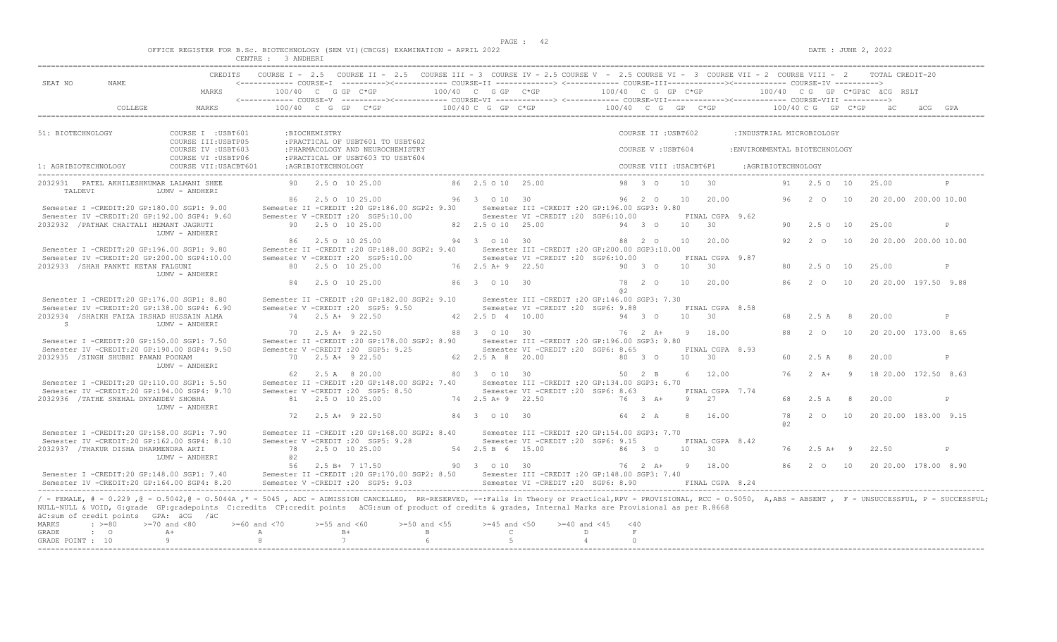|  |  |        |         |  | OFFICE REGISTER FOR B.Sc. BIOTECHNOLOGY (SEM VI)(CBCGS) EXAMINATION - APRIL 2022 |  |  |
|--|--|--------|---------|--|----------------------------------------------------------------------------------|--|--|
|  |  | CENTRE | ANDHERT |  |                                                                                  |  |  |

|                                                                             | ULININE .                                                                                                                                                                                                                                                                                                                                                                                                                                                                                                                                                                                |                            |                    |                                                                                                             |                                                |                                                                                  | CREDITS COURSE I - 2.5 COURSE II - 2.5 COURSE III - 3 COURSE IV - 2.5 COURSE V - 2.5 COURSE VI - 3 COURSE VII - 2 COURSE VIII - 2 TOTAL CREDIT-20                             |        |                     |       |                          |                                             |    |                       |                                                         |   |
|-----------------------------------------------------------------------------|------------------------------------------------------------------------------------------------------------------------------------------------------------------------------------------------------------------------------------------------------------------------------------------------------------------------------------------------------------------------------------------------------------------------------------------------------------------------------------------------------------------------------------------------------------------------------------------|----------------------------|--------------------|-------------------------------------------------------------------------------------------------------------|------------------------------------------------|----------------------------------------------------------------------------------|-------------------------------------------------------------------------------------------------------------------------------------------------------------------------------|--------|---------------------|-------|--------------------------|---------------------------------------------|----|-----------------------|---------------------------------------------------------|---|
| SEAT NO<br>NAME.                                                            |                                                                                                                                                                                                                                                                                                                                                                                                                                                                                                                                                                                          |                            |                    |                                                                                                             |                                                |                                                                                  | <------------ COURSE-I ----------><----------- COURSE-II -------------> <------------ COURSE-III-----------><----------> COURSE-IV ---------->                                |        |                     |       |                          |                                             |    |                       |                                                         |   |
|                                                                             | MARKS                                                                                                                                                                                                                                                                                                                                                                                                                                                                                                                                                                                    |                            |                    |                                                                                                             |                                                |                                                                                  |                                                                                                                                                                               |        |                     |       |                          |                                             |    |                       |                                                         |   |
|                                                                             |                                                                                                                                                                                                                                                                                                                                                                                                                                                                                                                                                                                          |                            |                    |                                                                                                             |                                                |                                                                                  |                                                                                                                                                                               |        |                     |       |                          |                                             |    |                       |                                                         |   |
| 51: BIOTECHNOLOGY                                                           | COURSE I : USBT601                                                                                                                                                                                                                                                                                                                                                                                                                                                                                                                                                                       |                            | :BIOCHEMISTRY      |                                                                                                             |                                                |                                                                                  |                                                                                                                                                                               |        | COURSE II : USBT602 |       |                          | : INDUSTRIAL MICROBIOLOGY                   |    |                       |                                                         |   |
|                                                                             | COURSE III: USBTP05<br>COURSE IV : USBT603<br>COURSE VI : USBTP06                                                                                                                                                                                                                                                                                                                                                                                                                                                                                                                        |                            |                    | : PRACTICAL OF USBT601 TO USBT602<br>: PHARMACOLOGY AND NEUROCHEMISTRY<br>: PRACTICAL OF USBT603 TO USBT604 |                                                |                                                                                  |                                                                                                                                                                               |        | COURSE V: USBT604   |       |                          | : ENVIRONMENTAL BIOTECHNOLOGY               |    |                       |                                                         |   |
| 1: AGRIBIOTECHNOLOGY                                                        | COURSE VII: USACBT601                                                                                                                                                                                                                                                                                                                                                                                                                                                                                                                                                                    |                            | :AGRIBIOTECHNOLOGY |                                                                                                             |                                                |                                                                                  |                                                                                                                                                                               |        |                     |       |                          | COURSE VIII : USACBT6P1 : AGRIBIOTECHNOLOGY |    |                       |                                                         |   |
| 2032931 PATEL AKHILESHKUMAR LALMANI SHEE<br>TALDEVI                         | LUMV - ANDHERI                                                                                                                                                                                                                                                                                                                                                                                                                                                                                                                                                                           |                            |                    | 90 2.5 0 10 25.00                                                                                           |                                                | 86 2.5 0 10 25.00                                                                |                                                                                                                                                                               |        | 98 3 0 10 30        |       |                          |                                             |    | 91  2.5  0  10  25.00 |                                                         | P |
|                                                                             | Semester I -CREDIT:20 GP:180.00 SGP1: 9.00<br>Semester IV -CREDIT:20 GP:192.00 SGP4: 9.60                                                                                                                                                                                                                                                                                                                                                                                                                                                                                                |                            | 86 2.5 0 10 25.00  | Semester V -CREDIT : 20 SGP5:10.00                                                                          |                                                | 96 3 0 10 30                                                                     | Semester II -CREDIT :20 GP:186.00 SGP2: 9.30 Semester III -CREDIT :20 GP:196.00 SGP3: 9.80<br>Semester VI - CREDIT : 20 SGP6:10.00 FINAL CGPA 9.62                            |        | 96  2  0  10  20.00 |       |                          |                                             |    |                       | 96  2  0  10  20  20  00  200  00  10  00               |   |
| 2032932 / PATHAK CHAITALI HEMANT JAGRUTI                                    | LUMV - ANDHERI                                                                                                                                                                                                                                                                                                                                                                                                                                                                                                                                                                           |                            | 90 2.5 0 10 25.00  |                                                                                                             |                                                |                                                                                  | 82  2.5  0  10  25.00  94  3  0  10  30                                                                                                                                       |        |                     |       |                          |                                             |    | 90 2.5 0 10           | 25.00                                                   | P |
|                                                                             | Semester I -CREDIT:20 GP:196.00 SGP1: 9.80                                                                                                                                                                                                                                                                                                                                                                                                                                                                                                                                               |                            |                    | 86  2.5  0  10  25.00  94  3  0  10  30                                                                     |                                                |                                                                                  | Semester II -CREDIT :20 GP:188.00 SGP2: 9.40 Semester III -CREDIT :20 GP:200.00 SGP3:10.00                                                                                    |        |                     |       |                          |                                             |    | 92 2 0 10             | 20 20.00 200.00 10.00                                   |   |
| 2032933 /SHAH PANKTI KETAN FALGUNI                                          | Semester IV -CREDIT:20 GP:200.00 SGP4:10.00<br>LUMV - ANDHERI                                                                                                                                                                                                                                                                                                                                                                                                                                                                                                                            |                            |                    |                                                                                                             |                                                |                                                                                  | Semester V - CREDIT : 20 SGP5:10.00 Semester VI - CREDIT : 20 SGP6:10.00<br>80  2.5  0  10  25.00   76  2.5  A+   9  22.50   90  3  0                                         |        |                     |       | FINAL CGPA 9.87<br>10 30 |                                             |    | 80 2.5 0 10           | 25.00                                                   | P |
|                                                                             |                                                                                                                                                                                                                                                                                                                                                                                                                                                                                                                                                                                          |                            | 84 2.5 0 10 25.00  |                                                                                                             |                                                | 86 3 0 10 30                                                                     |                                                                                                                                                                               | a2     | 78 2 0              |       | 10 20.00                 |                                             |    |                       | 86   2   0   10   20   20   00   197.50   9.88          |   |
| 2032934 /SHAIKH FAIZA IRSHAD HUSSAIN ALMA                                   | Semester I -CREDIT:20 GP:176.00 SGP1: 8.80<br>Semester IV -CREDIT:20 GP:138.00 SGP4: 6.90                                                                                                                                                                                                                                                                                                                                                                                                                                                                                                |                            | 74 2.5 A+ 9 22.50  | Semester V -CREDIT : 20 SGP5: 9.50                                                                          |                                                | 42  2.5  D  4  10.00                                                             | Semester II -CREDIT :20 GP:182.00 SGP2: 9.10 Semester III -CREDIT :20 GP:146.00 SGP3: 7.30<br>Semester VI - CREDIT : 20 SGP6: 9.88                                            | 94 3 0 |                     | 10 30 | FINAL CGPA 8.58          |                                             |    | 68 2.5 A 8            | 20.00                                                   | P |
| S                                                                           | LUMV - ANDHERI                                                                                                                                                                                                                                                                                                                                                                                                                                                                                                                                                                           |                            | 70 2.5 A+ 9 22.50  |                                                                                                             |                                                | 88 3 0 10 30                                                                     |                                                                                                                                                                               |        | 76 2 A+ 9 18.00     |       |                          |                                             |    | 88 2 0 10             | 20 20.00 173.00 8.65                                    |   |
| 2032935 /SINGH SHUBHI PAWAN POONAM                                          | Semester I -CREDIT:20 GP:150.00 SGP1: 7.50<br>Semester IV -CREDIT:20 GP:190.00 SGP4: 9.50                                                                                                                                                                                                                                                                                                                                                                                                                                                                                                |                            | 70 2.5 A + 9 22.50 | Semester V -CREDIT : 20 SGP5: 9.25                                                                          |                                                |                                                                                  | Semester II -CREDIT : 20 GP:178.00 SGP2: 8.90 Semester III -CREDIT : 20 GP:196.00 SGP3: 9.80<br>Semester VI -CREDIT : 20 SGP6: 8.65<br>62  2.5 A  8  20.00   80  3  0  10  30 |        |                     |       | FINAL CGPA 8.93          |                                             |    | 60 2.5 A 8            | 20.00                                                   | P |
|                                                                             | LUMV - ANDHERI                                                                                                                                                                                                                                                                                                                                                                                                                                                                                                                                                                           |                            |                    |                                                                                                             |                                                |                                                                                  | 62  2.5  A   8  20.00              80   3      0   10   30              50  2  B                                                                                              |        |                     |       | 6 12.00                  |                                             |    |                       | 76  2  A+  9  18  20.00  172.50  8.63                   |   |
|                                                                             | Semester I -CREDIT:20 GP:110.00 SGP1: 5.50<br>Semester IV -CREDIT:20 GP:194.00 SGP4: 9.70                                                                                                                                                                                                                                                                                                                                                                                                                                                                                                |                            |                    |                                                                                                             |                                                |                                                                                  | Semester II -CREDIT :20 GP:148.00 SGP2: 7.40 Semester III -CREDIT :20 GP:134.00 SGP3: 6.70<br>Semester V -CREDIT :20 SGP5: 8.50 Semester VI -CREDIT :20 SGP6: 8.63            |        |                     |       | FINAL CGPA 7.74          |                                             |    |                       |                                                         |   |
| 2032936 / TATHE SNEHAL DNYANDEV SHOBHA                                      | LUMV - ANDHERI                                                                                                                                                                                                                                                                                                                                                                                                                                                                                                                                                                           |                            | 72 2.5 A + 9 22.50 |                                                                                                             |                                                | 84 3 0 10 30                                                                     | 81  2.5  0  10  25  00   74  2.5  A+   9  22  50   76  3  A+   9  27                                                                                                          |        | 64 2 A              |       | 8 16.00                  |                                             |    | 68 2.5 A 8            | 20.00<br>78   2   0   10   20   20   00   183.00   9.15 | P |
|                                                                             | Semester I -CREDIT:20 GP:158.00 SGP1: 7.90                                                                                                                                                                                                                                                                                                                                                                                                                                                                                                                                               |                            |                    |                                                                                                             |                                                |                                                                                  | Semester II -CREDIT :20 GP:168.00 SGP2: 8.40 Semester III -CREDIT :20 GP:154.00 SGP3: 7.70                                                                                    |        |                     |       |                          |                                             | a2 |                       |                                                         |   |
| 2032937 /THAKUR DISHA DHARMENDRA ARTI                                       | Semester IV -CREDIT:20 GP:162.00 SGP4: 8.10<br>LUMV - ANDHERI                                                                                                                                                                                                                                                                                                                                                                                                                                                                                                                            | 0.2                        |                    | Semester V -CREDIT : 20 SGP5: 9.28                                                                          |                                                |                                                                                  | Semester VI -CREDIT : 20 SGP6: 9.15                                                                                                                                           |        |                     |       | FINAL CGPA 8.42          |                                             |    | 76 2.5 A+ 9 22.50     |                                                         | P |
|                                                                             | Semester I -CREDIT:20 GP:148.00 SGP1: 7.40                                                                                                                                                                                                                                                                                                                                                                                                                                                                                                                                               |                            |                    |                                                                                                             |                                                |                                                                                  | 56  2.5 B+  7  17.50   90   3   0   10   30   76   2   A+   9   18.00<br>Semester II -CREDIT :20 GP:170.00 SGP2: 8.50 Semester III -CREDIT :20 GP:148.00 SGP3: 7.40           |        |                     |       |                          |                                             |    |                       | 86    2    0    10    20    20    00    178.00    8.90  |   |
| äC:sum of credit points GPA: äCG /äC<br>MARKS<br>GRADE<br>$\cdot$ $\cdot$ 0 | Semester IV -CREDIT:20 GP:164.00 SGP4: 8.20 Semester V -CREDIT :20 SGP5: 9.03 Semester VI -CREDIT :20 SGP6: 8.90 FINAL CGPA 8.24<br>/ - FEMALE, # - 0.229, @ - 0.5042, @ - 0.5044A, * - 5045, ADC - ADMISSION CANCELLED, RR-RESERVED, --:Fails in Theory or Practical,RPV - PROVISIONAL, RCC - 0.5050, A,ABS - ABSENT, F - UNSUCCESSFUL, P - SUCCESSFUL;<br>NULL-NULL & VOID, G:grade GP:gradepoints C:credits CP:credit points äCG:sum of product of credits & grades, Internal Marks are Provisional as per R.8668<br>$\Rightarrow$ =80 >=70 and <80 >=60 and <70 >=55 and <60<br>$A+$ | $A$ B+                     |                    |                                                                                                             | $\mathbf{B}$ and $\mathbf{B}$ and $\mathbf{B}$ | $\mathbb{C}$ and $\mathbb{C}$ and $\mathbb{C}$ and $\mathbb{C}$ and $\mathbb{C}$ | $> = 50$ and $< 55$ $> = 45$ and $< 50$ $> = 40$ and $< 45$ $< 40$<br>$\Box$                                                                                                  |        | F                   |       |                          |                                             |    |                       |                                                         |   |
| GRADE POINT : 10                                                            | $\overline{9}$                                                                                                                                                                                                                                                                                                                                                                                                                                                                                                                                                                           | $\overline{\phantom{a}}$ 8 | $\overline{7}$     |                                                                                                             | 6 <sup>6</sup>                                 | $5 - 5$                                                                          | $\overline{4}$                                                                                                                                                                |        | $\Omega$            |       |                          |                                             |    |                       |                                                         |   |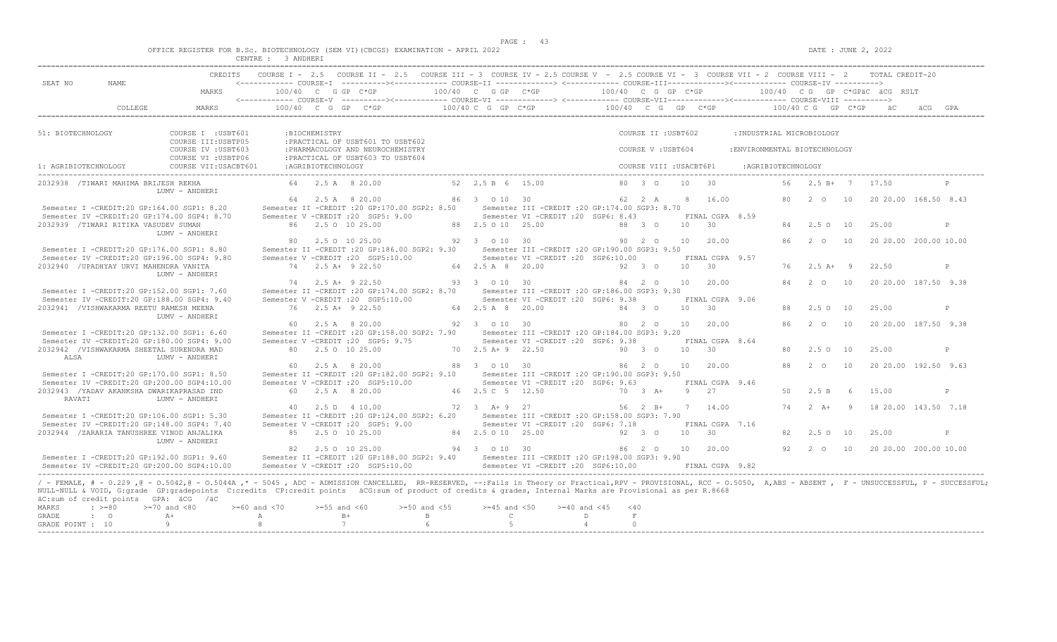$DATA: JUNE 2, 2022$ 

|  | OFFICE REGISTER FOR B.Sc. BIOTECHNOLOGY (SEM VI)(CBCGS) EXAMINATION - APRIL 2022 |                          |  |  |  |  |  |  |
|--|----------------------------------------------------------------------------------|--------------------------|--|--|--|--|--|--|
|  |                                                                                  | $\alpha$ mazm $\alpha$ m |  |  |  |  |  |  |

|                      |                                                                                           |                                                                                                                                                                                                                                                                                                                                                                                                                | CENTRE : 3 ANDHERI                    |                    |                                                                                                                                                                                                                                                                                                      |                                  |                                                                                         |                               |                         |                 |                                    |                               |      |                     |     |                              |     |              |
|----------------------|-------------------------------------------------------------------------------------------|----------------------------------------------------------------------------------------------------------------------------------------------------------------------------------------------------------------------------------------------------------------------------------------------------------------------------------------------------------------------------------------------------------------|---------------------------------------|--------------------|------------------------------------------------------------------------------------------------------------------------------------------------------------------------------------------------------------------------------------------------------------------------------------------------------|----------------------------------|-----------------------------------------------------------------------------------------|-------------------------------|-------------------------|-----------------|------------------------------------|-------------------------------|------|---------------------|-----|------------------------------|-----|--------------|
| SEAT NO              | NAME                                                                                      | MARKS                                                                                                                                                                                                                                                                                                                                                                                                          | 100/40 C G GP C*GP                    |                    | CREDITS COURSE I - 2.5 COURSE II - 2.5 COURSE III - 3 COURSE IV - 2.5 COURSE V - 2.5 COURSE VI - 3 COURSE VII - 2 COURSE VIII - 2 TOTAL CREDIT-20<br><------------ COURSE-I ----------><----------- COURSE-II -------------> <------------ COURSE-III------------><----------- COURSE-IV ----------> | 100/40 C G GP C*GP               |                                                                                         | 100/40 C G GP C*GP            |                         |                 |                                    |                               |      |                     |     | 100/40 CG GP C*GPäC äCG RSLT |     |              |
|                      | COLLEGE                                                                                   | MARKS                                                                                                                                                                                                                                                                                                                                                                                                          |                                       |                    | $100/40$ C G GP C*GP                                                                                                                                                                                                                                                                                 | 100/40 C G GP C*GP               |                                                                                         | $100/40$ C G GP C*GP          |                         |                 |                                    |                               |      | 100/40 C G GP C*GP  |     | äC.                          | äCG |              |
| 51: BIOTECHNOLOGY    |                                                                                           | COURSE I : USBT601                                                                                                                                                                                                                                                                                                                                                                                             |                                       | :BIOCHEMISTRY      |                                                                                                                                                                                                                                                                                                      |                                  |                                                                                         |                               | COURSE II : USBT602     |                 |                                    | : INDUSTRIAL MICROBIOLOGY     |      |                     |     |                              |     |              |
|                      |                                                                                           | COURSE III: USBTP05<br>COURSE IV : USBT603                                                                                                                                                                                                                                                                                                                                                                     |                                       |                    | : PRACTICAL OF USBT601 TO USBT602<br>: PHARMACOLOGY AND NEUROCHEMISTRY                                                                                                                                                                                                                               |                                  |                                                                                         |                               | COURSE V: USBT604       |                 |                                    | : ENVIRONMENTAL BIOTECHNOLOGY |      |                     |     |                              |     |              |
| 1: AGRIBIOTECHNOLOGY |                                                                                           | COURSE VI : USBTP06<br>COURSE VII: USACBT601                                                                                                                                                                                                                                                                                                                                                                   |                                       | :AGRIBIOTECHNOLOGY | : PRACTICAL OF USBT603 TO USBT604                                                                                                                                                                                                                                                                    |                                  |                                                                                         |                               | COURSE VIII : USACBT6P1 |                 |                                    | :AGRIBIOTECHNOLOGY            |      |                     |     |                              |     |              |
|                      | 2032938 /TIWARI MAHIMA BRIJESH REKHA                                                      | LUMV - ANDHERI                                                                                                                                                                                                                                                                                                                                                                                                 |                                       |                    | 64 2.5 A 8 20.00                                                                                                                                                                                                                                                                                     | 52 2.5 B 6 15.00                 |                                                                                         |                               | 80 3 0                  | 10              | 30                                 |                               | 56 - | $2.5 B+7$           |     | 17.50                        |     |              |
|                      | Semester I -CREDIT:20 GP:164.00 SGP1: 8.20                                                | Semester IV -CREDIT:20 GP:174.00 SGP4: 8.70                                                                                                                                                                                                                                                                                                                                                                    |                                       |                    | 64 2.5 A 8 20.00<br>Semester II -CREDIT : 20 GP: 170.00 SGP2: 8.50<br>Semester V -CREDIT : 20 SGP5: 9.00                                                                                                                                                                                             | 86 3 0 10 30                     | Semester III -CREDIT : 20 GP: 174.00 SGP3: 8.70<br>Semester VI -CREDIT : 20 SGP6: 8.43  |                               | 62 2 A                  | 8               | 16.00<br>FINAL CGPA 8.59           |                               | 80   | 20                  | 10  | 20 20.00 168.50 8.43         |     |              |
|                      | 2032939 /TIWARI RITIKA VASUDEV SUMAN                                                      | LUMV - ANDHERI                                                                                                                                                                                                                                                                                                                                                                                                 |                                       |                    | 86 2.5 0 10 25.00                                                                                                                                                                                                                                                                                    | 88 2.5 0 10 25.00                |                                                                                         |                               | 88 3 0                  | 10              | 30                                 |                               |      | 84 2.5 0 10         |     | 25.00                        |     | $\mathbb{P}$ |
|                      | Semester I -CREDIT:20 GP:176.00 SGP1: 8.80                                                |                                                                                                                                                                                                                                                                                                                                                                                                                |                                       |                    | 80 2.5 0 10 25.00<br>Semester II -CREDIT : 20 GP:186.00 SGP2: 9.30                                                                                                                                                                                                                                   | 92 3 0 10 30                     | Semester III -CREDIT : 20 GP: 190.00 SGP3: 9.50                                         |                               | 90 2 0                  | 10              | 20.00                              |                               | 86   | 2 0                 | 10  | 20 20.00 200.00 10.00        |     |              |
|                      | Semester IV -CREDIT:20 GP:196.00 SGP4: 9.80<br>2032940 / UPADHYAY URVI MAHENDRA VANITA    | LUMV - ANDHERI                                                                                                                                                                                                                                                                                                                                                                                                 |                                       |                    | Semester V -CREDIT : 20 SGP5:10.00<br>74 2.5 A+ 9 22.50                                                                                                                                                                                                                                              | 64 2.5 A 8 20.00                 | Semester VI -CREDIT : 20 SGP6:10.00                                                     |                               | 92 3 0                  | 10 <sup>1</sup> | FINAL CGPA 9.57<br>$\overline{30}$ |                               | 76   | $2.5 A+ 9$          |     | 22.50                        |     | P            |
|                      | Semester I -CREDIT:20 GP:152.00 SGP1: 7.60                                                | Semester IV -CREDIT:20 GP:188.00 SGP4: 9.40                                                                                                                                                                                                                                                                                                                                                                    |                                       |                    | 74 2.5 A + 9 22.50<br>Semester II -CREDIT :20 GP:174.00 SGP2: 8.70<br>Semester V -CREDIT : 20 SGP5:10.00                                                                                                                                                                                             | 93 3 0 10 30                     | Semester III -CREDIT : 20 GP: 186.00 SGP3: 9.30<br>Semester VI - CREDIT : 20 SGP6: 9.38 |                               | 84 2 0                  | 10              | 20.00                              |                               | 84   | 2 0                 | 10  | 20 20 00 187.50 9.38         |     |              |
|                      | 2032941 /VISHWAKARMA REETU RAMESH MEENA                                                   | LUMV - ANDHERI                                                                                                                                                                                                                                                                                                                                                                                                 |                                       |                    | 76 2.5 A+ 9 22.50                                                                                                                                                                                                                                                                                    | 64 2.5 A 8 20.00                 |                                                                                         |                               | 84 3 0                  | 10              | FINAL CGPA 9.06<br>30              |                               | 88   | $2.5^\circ$         | 10  | 25.00                        |     | P            |
|                      | Semester I -CREDIT:20 GP:132.00 SGP1: 6.60<br>Semester IV -CREDIT:20 GP:180.00 SGP4: 9.00 |                                                                                                                                                                                                                                                                                                                                                                                                                |                                       |                    | 60 2.5 A 8 20.00<br>Semester II -CREDIT : 20 GP:158.00 SGP2: 7.90<br>Semester V -CREDIT : 20 SGP5: 9.75                                                                                                                                                                                              | 92 3 0 10 30                     | Semester III -CREDIT : 20 GP: 184.00 SGP3: 9.20<br>Semester VI -CREDIT : 20 SGP6: 9.38  |                               | 80 2 0                  | 10              | 20.00<br>FINAL CGPA 8.64           |                               | 86   | $2\degree$ 0        | 10  | 20 20 00 187.50 9.38         |     |              |
| ALSA                 | 2032942 /VISHWAKARMA SHEETAL SURENDRA MAD                                                 | LUMV - ANDHERT                                                                                                                                                                                                                                                                                                                                                                                                 |                                       |                    | 80 2.5 0 10 25.00                                                                                                                                                                                                                                                                                    | 70 2.5 A + 9 22.50               |                                                                                         |                               | 90 3 0                  | 10              | $-30$                              |                               | 80   | 2.50                | 10  | 25.00                        |     | P            |
|                      | Semester I -CREDIT:20 GP:170.00 SGP1: 8.50<br>Semester IV -CREDIT:20 GP:200.00 SGP4:10.00 |                                                                                                                                                                                                                                                                                                                                                                                                                |                                       |                    | 60 2.5 A 8 20.00<br>Semester II -CREDIT : 20 GP:182.00 SGP2: 9.10<br>Semester V -CREDIT : 20 SGP5:10.00                                                                                                                                                                                              | 88 3 0 10 30                     | Semester III - CREDIT : 20 GP: 190.00 SGP3: 9.50<br>Semester VI -CREDIT : 20 SGP6: 9.63 |                               | $86 \t 20$              | 10              | 20.00<br>FINAL CGPA 9.46           |                               | 88   | $2^{\circ}$ $\circ$ | 10  | 20 20.00 192.50 9.63         |     |              |
| RAVATI               | 2032943 /YADAV AKANKSHA DWARIKAPRASAD IND                                                 | LUMV - ANDHERI                                                                                                                                                                                                                                                                                                                                                                                                 |                                       |                    | 60 2.5 A 8 20.00                                                                                                                                                                                                                                                                                     | 46 2.5 C 5 12.50                 |                                                                                         |                               | $70 \t 3 \t A+$         | -9              | 2.7                                |                               | 50   | 2.5 B               | - 6 | 15.00                        |     | P            |
|                      | Semester I -CREDIT:20 GP:106.00 SGP1: 5.30                                                | Semester IV -CREDIT:20 GP:148.00 SGP4: 7.40                                                                                                                                                                                                                                                                                                                                                                    | 40                                    |                    | 2.5 D 4 10.00<br>Semester II -CREDIT : 20 GP:124.00 SGP2: 6.20<br>Semester V -CREDIT : 20 SGP5: 9.00                                                                                                                                                                                                 | 72 3 A + 9 27                    | Semester III - CREDIT : 20 GP: 158.00 SGP3: 7.90<br>Semester VI -CREDIT : 20 SGP6: 7.18 |                               | 56 2 B+                 |                 | 7 14.00<br>FINAL CGPA 7.16         |                               |      | 74 2 A+             | 9   | 18 20.00 143.50 7.18         |     |              |
|                      | 2032944 /ZARARIA TANUSHREE VINOD ANJALIKA                                                 | LUMV - ANDHERI                                                                                                                                                                                                                                                                                                                                                                                                 |                                       |                    | 85 2.5 0 10 25.00                                                                                                                                                                                                                                                                                    | 84 2.5 0 10 25.00                |                                                                                         |                               | 92 3 0                  | 10              | 30                                 |                               | 82   | $2.5^\circ$         | 10  | 25.00                        |     | P            |
|                      | Semester I -CREDIT:20 GP:192.00 SGP1: 9.60                                                | Semester IV -CREDIT:20 GP:200.00 SGP4:10.00                                                                                                                                                                                                                                                                                                                                                                    |                                       |                    | 82 2.5 0 10 25.00<br>Semester II -CREDIT :20 GP:188.00 SGP2: 9.40 Semester III -CREDIT :20 GP:198.00 SGP3: 9.90<br>Semester V -CREDIT : 20 SGP5:10.00                                                                                                                                                | 94 3 0 10 30                     | Semester VI -CREDIT : 20 SGP6:10.00                                                     |                               | 86 2 0                  | 10              | 20.00<br>FINAL CGPA 9.82           |                               |      | 92 2 0 10           |     | 20 20.00 200.00 10.00        |     |              |
| MARKS<br>GRADE       | äC:sum of credit points GPA: äCG /äC<br>$\cdot$ >=80<br>$\cdot$ 0                         | / - FEMALE, # - 0.229,0 - 0.5042,0 - 0.5044A,* - 5045, ADC - ADMISSION CANCELLED, RR-RESERVED, --:Fails in Theory or Practical,RPV - PROVISIONAL, RCC - 0.5050, A,ABS - ABSENT, F - UNSUCCESSFUL, P - SUCCESSFUL;<br>NULL-NULL & VOID, G:grade GP:gradepoints C:credits CP:credit points äCG:sum of product of credits & grades, Internal Marks are Provisional as per R.8668<br>$>=70$ and $<80$<br>$A+$<br>9 | $>=60$ and $<70$<br>$\mathbb{A}$<br>8 | $>=55$ and $<60$   | $>=50$ and $<55$<br>$B+$<br>$\mathbf{B}$<br>$\mathcal{L}$<br>6                                                                                                                                                                                                                                       | $>=45$ and $<50$<br>$\mathbb{C}$ | $>= 40$ and $< 45$                                                                      | $<$ 40<br>D<br>$\overline{4}$ | $\mathbf F$<br>$\Omega$ |                 |                                    |                               |      |                     |     |                              |     |              |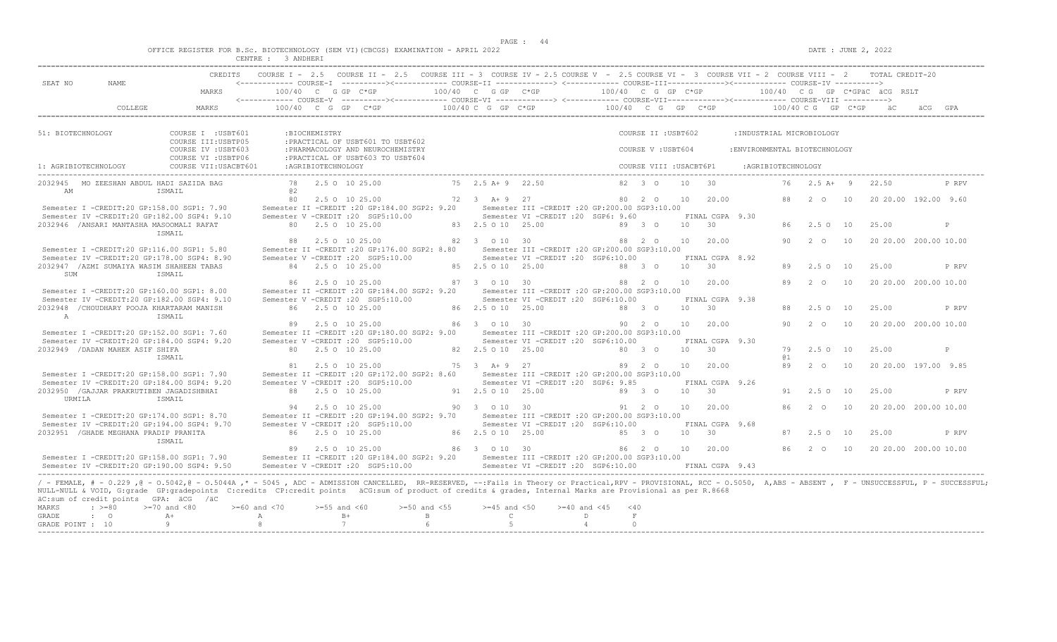$DATA: JUNE 2, 2022$ 

|  | OFFICE REGISTER FOR B.SC. BIOTECHNOLOGY (SEM VI)(CBCGS) EXAMINATION - APRIL 2022 |                                      |  |               |  |  |  |  |  |
|--|----------------------------------------------------------------------------------|--------------------------------------|--|---------------|--|--|--|--|--|
|  |                                                                                  | after them in the press terms. Seems |  | ------------- |  |  |  |  |  |

| 10<br>10<br>10 | <------------ COURSE-I ----------><----------- COURSE-II -------------> <------------ COURSE-III------------><----------- COURSE-IV ----------><br>$100/40$ C G GP C*GP<br>: INDUSTRIAL MICROBIOLOGY<br>:ENVIRONMENTAL BIOTECHNOLOGY<br>:AGRIBIOTECHNOLOGY<br>76<br>$2.5$ A + 9<br>2 O<br>86 2.5 0 10<br>2 0<br>2.5010 | 100/40 CG GP C*GPäC äCG RSLT<br>22.50<br>25.00 | äCG<br>P RPV<br>20 20.00 192.00 9.60<br>$\mathbb{P}$                                                                                                                                                                               |
|----------------|------------------------------------------------------------------------------------------------------------------------------------------------------------------------------------------------------------------------------------------------------------------------------------------------------------------------|------------------------------------------------|------------------------------------------------------------------------------------------------------------------------------------------------------------------------------------------------------------------------------------|
|                |                                                                                                                                                                                                                                                                                                                        |                                                |                                                                                                                                                                                                                                    |
|                |                                                                                                                                                                                                                                                                                                                        |                                                |                                                                                                                                                                                                                                    |
|                |                                                                                                                                                                                                                                                                                                                        |                                                |                                                                                                                                                                                                                                    |
|                |                                                                                                                                                                                                                                                                                                                        |                                                |                                                                                                                                                                                                                                    |
|                |                                                                                                                                                                                                                                                                                                                        |                                                |                                                                                                                                                                                                                                    |
|                |                                                                                                                                                                                                                                                                                                                        |                                                |                                                                                                                                                                                                                                    |
|                |                                                                                                                                                                                                                                                                                                                        |                                                |                                                                                                                                                                                                                                    |
|                |                                                                                                                                                                                                                                                                                                                        |                                                |                                                                                                                                                                                                                                    |
|                |                                                                                                                                                                                                                                                                                                                        |                                                |                                                                                                                                                                                                                                    |
|                |                                                                                                                                                                                                                                                                                                                        |                                                | 20 20.00 200.00 10.00                                                                                                                                                                                                              |
|                |                                                                                                                                                                                                                                                                                                                        | 25.00                                          | P RPV                                                                                                                                                                                                                              |
|                | $2^{\circ}$                                                                                                                                                                                                                                                                                                            |                                                | 20 20.00 200.00 10.00                                                                                                                                                                                                              |
| 10             | $2.5^\circ$                                                                                                                                                                                                                                                                                                            | 25.00                                          | P RPV                                                                                                                                                                                                                              |
|                |                                                                                                                                                                                                                                                                                                                        |                                                |                                                                                                                                                                                                                                    |
| 10             | $2\degree$ 0                                                                                                                                                                                                                                                                                                           |                                                | 20 20.00 200.00 10.00                                                                                                                                                                                                              |
|                | 2.50 10                                                                                                                                                                                                                                                                                                                | 25.00                                          | P                                                                                                                                                                                                                                  |
| 10             | $2\degree$ 0                                                                                                                                                                                                                                                                                                           |                                                | 20 20.00 197.00 9.85                                                                                                                                                                                                               |
|                | 2.50 10                                                                                                                                                                                                                                                                                                                | 25.00                                          | P RPV                                                                                                                                                                                                                              |
| 10             | 2 0                                                                                                                                                                                                                                                                                                                    |                                                | 20 20.00 200.00 10.00                                                                                                                                                                                                              |
| 10             | $2.5^\circ$ O                                                                                                                                                                                                                                                                                                          | 25.00                                          | P RPV                                                                                                                                                                                                                              |
|                |                                                                                                                                                                                                                                                                                                                        |                                                | 20 20.00 200.00 10.00                                                                                                                                                                                                              |
|                |                                                                                                                                                                                                                                                                                                                        |                                                |                                                                                                                                                                                                                                    |
|                |                                                                                                                                                                                                                                                                                                                        |                                                | 86 2 0 10<br>/ - FEMALE, # - 0.229 ,0 - 0.5042,0 - 0.5044A ,* - 5045 , ADC - ADMISSION CANCELLED, RR-RESERVED, --:Fails in Theory or Practical,RPV - PROVISIONAL, RCC - 0.5050, A,ABS - ABSENT , F - UNSUCCESSFUL, P - SUCCESSFUL; |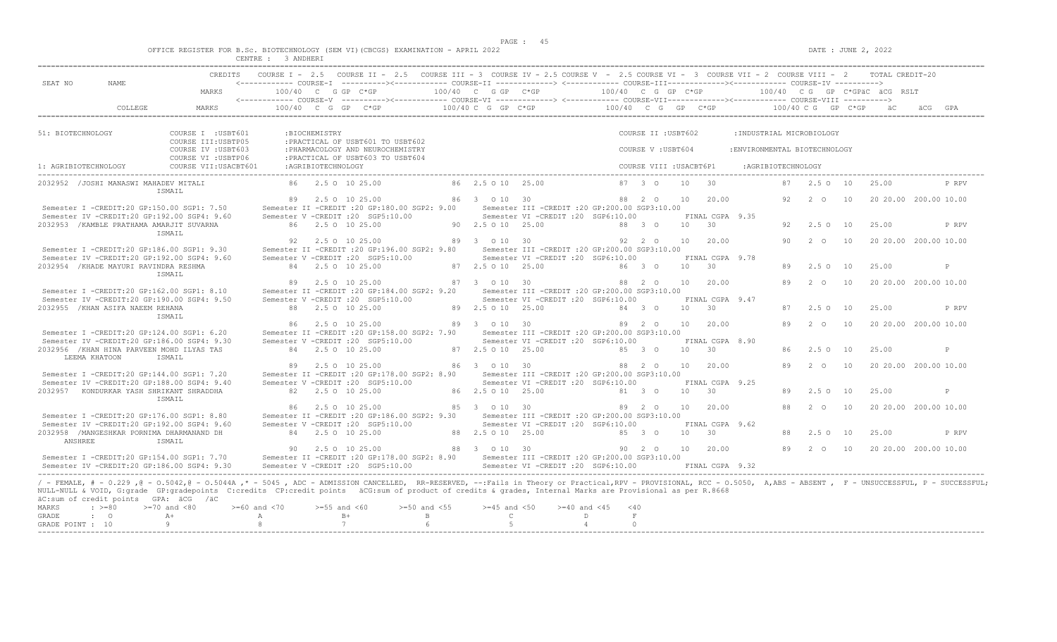$DATA: JUNE 2, 2022$ 

|  | OFFICE REGISTER FOR B.SC. BIOTECHNOLOGY (SEM VI)(CBCGS) EXAMINATION - APRIL 2022 |                                        |  |  |  |  |  |  |
|--|----------------------------------------------------------------------------------|----------------------------------------|--|--|--|--|--|--|
|  |                                                                                  | of the first the contract state. Seems |  |  |  |  |  |  |

| COURSE I - 2.5 COURSE II - 2.5 COURSE III - 3 COURSE IV - 2.5 COURSE V - 2.5 COURSE VI - 3 COURSE VII - 2 COURSE VIII - 2 TOTAL CREDIT-20<br>CREDITS<br><------------ COURSE-I ----------><----------- COURSE-II -------------> <------------ COURSE-III-----------><------------ COURSE-IV ----------><br>SEAT NO<br>NAME<br>100/40 C G GP C*GP<br>MARKS<br>100/40 C G GP C*GP<br>$100/40$ C G GP C*GP<br>100/40 CG GP C*GPäC äCG RSLT<br>$100/40 \text{ C}$ G CP $C*GP$ $100/40$ C G GP $C*GP$ $100/40 \text{ C}$ G GP $C*GP$<br>COLLEGE<br>$100/40$ C G GP C*GP<br>MARKS<br>ăС<br>51: BIOTECHNOLOGY<br>COURSE II : USBT602<br>: INDUSTRIAL MICROBIOLOGY<br>COURSE I : USBT601<br>:BIOCHEMISTRY<br>COURSE III: USBTP05<br>: PRACTICAL OF USBT601 TO USBT602<br>COURSE IV : USBT603<br>: PHARMACOLOGY AND NEUROCHEMISTRY<br>COURSE V: USBT604<br>: ENVIRONMENTAL BIOTECHNOLOGY<br>COURSE VI : USBTP06<br>: PRACTICAL OF USBT603 TO USBT604<br>1: AGRIBIOTECHNOLOGY<br>:AGRIBIOTECHNOLOGY<br>COURSE VIII : USACBT6P1<br>COURSE VII: USACBT601<br>:AGRIBIOTECHNOLOGY<br>86 2.5 0 10 25.00<br>2032952 / JOSHI MANASWI MAHADEV MITALI<br>86 2.5 0 10 25.00<br>87 3 0<br>10<br>30<br>87 2.5 0 10<br>25.00<br>ISMAIL<br>89 2.5 0 10 25.00<br>86 3 0 10 30<br>20.00<br>88 2 0<br>10<br>92<br>2 O<br>10<br>20 20.00 200.00 10.00<br>Semester I -CREDIT:20 GP:150.00 SGP1: 7.50<br>Semester II -CREDIT : 20 GP: 180.00 SGP2: 9.00<br>Semester III -CREDIT : 20 GP: 200.00 SGP3: 10.00<br>Semester IV -CREDIT:20 GP:192.00 SGP4: 9.60<br>Semester V -CREDIT : 20 SGP5:10.00<br>Semester VI -CREDIT :20 SGP6:10.00<br>FINAL CGPA 9.35<br>2032953 / KAMBLE PRATHAMA AMARJIT SUVARNA<br>86 2.5 0 10 25.00<br>90 2.5 0 10 25.00<br>88 3 0<br>10<br>30<br>2.5 0 10<br>25.00<br>92<br>ISMAIL<br>92 2.5 0 10 25.00<br>89 3 0 10 30<br>92 2 0<br>10<br>20.00<br>90<br>2 0<br>10<br>20 20.00 200.00 10.00<br>Semester I -CREDIT:20 GP:186.00 SGP1: 9.30<br>Semester II -CREDIT : 20 GP:196.00 SGP2: 9.80<br>Semester III -CREDIT : 20 GP: 200.00 SGP3: 10.00<br>Semester IV -CREDIT:20 GP:192.00 SGP4: 9.60<br>Semester V -CREDIT : 20 SGP5:10.00<br>Semester VI -CREDIT : 20 SGP6:10.00<br>FINAL CGPA 9.78<br>2032954 / KHADE MAYURI RAVINDRA RESHMA<br>84 2.5 0 10 25.00<br>87 2.5 0 10 25.00<br>86 3 0<br>10<br>$\overline{30}$<br>2.5010<br>25.00<br>89<br>ISMAIL<br>20 20.00 200.00 10.00<br>2.5 0 10 25.00<br>87 3 0 10 30<br>88 2 0<br>10<br>20.00<br>89<br>2 0<br>10<br>89<br>Semester I -CREDIT:20 GP:162.00 SGP1: 8.10<br>Semester II -CREDIT : 20 GP:184.00 SGP2: 9.20<br>Semester III -CREDIT : 20 GP: 200.00 SGP3: 10.00<br>Semester VI -CREDIT : 20 SGP6:10.00<br>Semester IV -CREDIT:20 GP:190.00 SGP4: 9.50<br>Semester V -CREDIT : 20 SGP5:10.00<br>FINAL CGPA 9.47<br>88 2.5 0 10 25.00<br>89 2.5 0 10 25.00<br>30<br>2032955 / KHAN ASIFA NAEEM REHANA<br>84 3 0<br>10 <sup>1</sup><br>$2.5^\circ$<br>10<br>25.00<br>87<br>ISMAIL<br>86 2.5 0 10 25.00<br>89 3 0 10 30<br>89 2 0<br>10<br>20.00<br>89<br>$2\degree$ 0<br>10<br>20 20.00 200.00 10.00<br>Semester I -CREDIT:20 GP:124.00 SGP1: 6.20<br>Semester II -CREDIT : 20 GP: 158.00 SGP2: 7.90<br>Semester III - CREDIT : 20 GP: 200.00 SGP3: 10.00<br>Semester IV -CREDIT:20 GP:186.00 SGP4: 9.30<br>Semester V -CREDIT : 20 SGP5:10.00<br>Semester VI -CREDIT :20 SGP6:10.00<br>FINAL CGPA 8.90<br>2032956 / KHAN HINA PARVEEN MOHD ILYAS TAS<br>84 2.5 0 10 25.00<br>87 2.5 0 10 25.00<br>85 3 0<br>10<br>30<br>$2.5 \Omega$<br>10<br>25.00<br>86.<br>LEEMA KHATOON<br>ISMAIL<br>89 2.5 0 10 25.00<br>86 3 0 10 30<br>88 2 0<br>10<br>20.00<br>$2\degree$ 0<br>20 20.00 200.00 10.00<br>89<br>10<br>Semester I -CREDIT:20 GP:144.00 SGP1: 7.20<br>Semester II -CREDIT : 20 GP: 178.00 SGP2: 8.90<br>Semester III -CREDIT :20 GP:200.00 SGP3:10.00<br>Semester IV -CREDIT:20 GP:188.00 SGP4: 9.40<br>Semester V -CREDIT : 20 SGP5:10.00<br>Semester VI -CREDIT :20 SGP6:10.00<br>FINAL CGPA 9.25<br>2032957 KONDURKAR YASH SHRIKANT SHRADDHA<br>82 2.5 0 10 25.00<br>86 2.5 0 10 25.00<br>81 3 0<br>10<br>30<br>25.00<br>89<br>$2.5 \circ 10$<br>ISMAIL<br>2.5 0 10 25.00<br>85 3 0 10 30<br>89 2 0<br>10<br>20.00<br>88<br>2 0<br>10<br>20 20.00 200.00 10.00<br>86<br>Semester I -CREDIT:20 GP:176.00 SGP1: 8.80<br>Semester II -CREDIT : 20 GP:186.00 SGP2: 9.30<br>Semester III -CREDIT :20 GP:200.00 SGP3:10.00<br>Semester IV -CREDIT:20 GP:192.00 SGP4: 9.60<br>Semester V -CREDIT : 20 SGP5:10.00<br>Semester VI -CREDIT :20 SGP6:10.00<br>FINAL CGPA 9.62<br>2032958 /MANGESHKAR PORNIMA DHARMANAND DH<br>88 2.5 0 10 25.00<br>84 2.5 0 10 25.00<br>85 3 0<br>10<br>30<br>2.5010<br>25.00<br>88<br>ANSHREE<br>ISMAIL<br>20 20.00 200.00 10.00<br>90 2.5 0 10 25.00<br>88 3 0 10 30<br>90 2 0<br>10<br>20.00<br>89 2 0<br>10<br>Semester I -CREDIT:20 GP:154.00 SGP1: 7.70<br>Semester II -CREDIT :20 GP:178.00 SGP2: 8.90 Semester III -CREDIT :20 GP:200.00 SGP3:10.00<br>Semester IV -CREDIT:20 GP:186.00 SGP4: 9.30<br>Semester V -CREDIT : 20 SGP5:10.00<br>Semester VI -CREDIT : 20 SGP6:10.00<br>FINAL CGPA 9.32<br>/ - FEMALE, # - 0.229,0 - 0.5042,0 - 0.5044A,* - 5045, ADC - ADMISSION CANCELLED, RR-RESERVED, --:Fails in Theory or Practical,RPV - PROVISIONAL, RCC - 0.5050, A,ABS - ABSENT, F - UNSUCCESSFUL, P - SUCCESSFUL;<br>NULL-NULL & VOID, G:grade GP:gradepoints C:credits CP:credit points äCG:sum of product of credits & grades, Internal Marks are Provisional as per R.8668<br>äC:sum of credit points GPA: äCG /äC<br>MARKS<br>$\cdot$ >=80<br>$>=70$ and $<80$<br>$>= 60$ and $< 70$<br>$>=55$ and $<60$<br>$>=50$ and $<55$<br>$>=45$ and $<50$<br>$>= 40$ and $< 45$<br>< 40 |                    |      | CENTRE : 3 ANDHERI |              |              |  |  |  |  |  |              |
|--------------------------------------------------------------------------------------------------------------------------------------------------------------------------------------------------------------------------------------------------------------------------------------------------------------------------------------------------------------------------------------------------------------------------------------------------------------------------------------------------------------------------------------------------------------------------------------------------------------------------------------------------------------------------------------------------------------------------------------------------------------------------------------------------------------------------------------------------------------------------------------------------------------------------------------------------------------------------------------------------------------------------------------------------------------------------------------------------------------------------------------------------------------------------------------------------------------------------------------------------------------------------------------------------------------------------------------------------------------------------------------------------------------------------------------------------------------------------------------------------------------------------------------------------------------------------------------------------------------------------------------------------------------------------------------------------------------------------------------------------------------------------------------------------------------------------------------------------------------------------------------------------------------------------------------------------------------------------------------------------------------------------------------------------------------------------------------------------------------------------------------------------------------------------------------------------------------------------------------------------------------------------------------------------------------------------------------------------------------------------------------------------------------------------------------------------------------------------------------------------------------------------------------------------------------------------------------------------------------------------------------------------------------------------------------------------------------------------------------------------------------------------------------------------------------------------------------------------------------------------------------------------------------------------------------------------------------------------------------------------------------------------------------------------------------------------------------------------------------------------------------------------------------------------------------------------------------------------------------------------------------------------------------------------------------------------------------------------------------------------------------------------------------------------------------------------------------------------------------------------------------------------------------------------------------------------------------------------------------------------------------------------------------------------------------------------------------------------------------------------------------------------------------------------------------------------------------------------------------------------------------------------------------------------------------------------------------------------------------------------------------------------------------------------------------------------------------------------------------------------------------------------------------------------------------------------------------------------------------------------------------------------------------------------------------------------------------------------------------------------------------------------------------------------------------------------------------------------------------------------------------------------------------------------------------------------------------------------------------------------------------------------------------------------------------------------------------------------------------------------------------------------------------------------------------------------------------------------------------------------------------------------------------------------------------------------------------------------------------------------------------------------------------------------------------------------------------------------------------------------------------------------------------------------------------------------------------------------------------------------------------------------------------------------------------------------------------------------------------------------------------------------------------------------------------------------------------------------------------------------------------------------------------------------------------------------------------------------------------------------------------------------------------------------------|--------------------|------|--------------------|--------------|--------------|--|--|--|--|--|--------------|
|                                                                                                                                                                                                                                                                                                                                                                                                                                                                                                                                                                                                                                                                                                                                                                                                                                                                                                                                                                                                                                                                                                                                                                                                                                                                                                                                                                                                                                                                                                                                                                                                                                                                                                                                                                                                                                                                                                                                                                                                                                                                                                                                                                                                                                                                                                                                                                                                                                                                                                                                                                                                                                                                                                                                                                                                                                                                                                                                                                                                                                                                                                                                                                                                                                                                                                                                                                                                                                                                                                                                                                                                                                                                                                                                                                                                                                                                                                                                                                                                                                                                                                                                                                                                                                                                                                                                                                                                                                                                                                                                                                                                                                                                                                                                                                                                                                                                                                                                                                                                                                                                                                                                                                                                                                                                                                                                                                                                                                                                                                                                                                                                                                                                                |                    |      |                    |              |              |  |  |  |  |  |              |
|                                                                                                                                                                                                                                                                                                                                                                                                                                                                                                                                                                                                                                                                                                                                                                                                                                                                                                                                                                                                                                                                                                                                                                                                                                                                                                                                                                                                                                                                                                                                                                                                                                                                                                                                                                                                                                                                                                                                                                                                                                                                                                                                                                                                                                                                                                                                                                                                                                                                                                                                                                                                                                                                                                                                                                                                                                                                                                                                                                                                                                                                                                                                                                                                                                                                                                                                                                                                                                                                                                                                                                                                                                                                                                                                                                                                                                                                                                                                                                                                                                                                                                                                                                                                                                                                                                                                                                                                                                                                                                                                                                                                                                                                                                                                                                                                                                                                                                                                                                                                                                                                                                                                                                                                                                                                                                                                                                                                                                                                                                                                                                                                                                                                                |                    |      |                    |              |              |  |  |  |  |  | ÄCG.         |
|                                                                                                                                                                                                                                                                                                                                                                                                                                                                                                                                                                                                                                                                                                                                                                                                                                                                                                                                                                                                                                                                                                                                                                                                                                                                                                                                                                                                                                                                                                                                                                                                                                                                                                                                                                                                                                                                                                                                                                                                                                                                                                                                                                                                                                                                                                                                                                                                                                                                                                                                                                                                                                                                                                                                                                                                                                                                                                                                                                                                                                                                                                                                                                                                                                                                                                                                                                                                                                                                                                                                                                                                                                                                                                                                                                                                                                                                                                                                                                                                                                                                                                                                                                                                                                                                                                                                                                                                                                                                                                                                                                                                                                                                                                                                                                                                                                                                                                                                                                                                                                                                                                                                                                                                                                                                                                                                                                                                                                                                                                                                                                                                                                                                                |                    |      |                    |              |              |  |  |  |  |  |              |
|                                                                                                                                                                                                                                                                                                                                                                                                                                                                                                                                                                                                                                                                                                                                                                                                                                                                                                                                                                                                                                                                                                                                                                                                                                                                                                                                                                                                                                                                                                                                                                                                                                                                                                                                                                                                                                                                                                                                                                                                                                                                                                                                                                                                                                                                                                                                                                                                                                                                                                                                                                                                                                                                                                                                                                                                                                                                                                                                                                                                                                                                                                                                                                                                                                                                                                                                                                                                                                                                                                                                                                                                                                                                                                                                                                                                                                                                                                                                                                                                                                                                                                                                                                                                                                                                                                                                                                                                                                                                                                                                                                                                                                                                                                                                                                                                                                                                                                                                                                                                                                                                                                                                                                                                                                                                                                                                                                                                                                                                                                                                                                                                                                                                                |                    |      |                    |              |              |  |  |  |  |  |              |
|                                                                                                                                                                                                                                                                                                                                                                                                                                                                                                                                                                                                                                                                                                                                                                                                                                                                                                                                                                                                                                                                                                                                                                                                                                                                                                                                                                                                                                                                                                                                                                                                                                                                                                                                                                                                                                                                                                                                                                                                                                                                                                                                                                                                                                                                                                                                                                                                                                                                                                                                                                                                                                                                                                                                                                                                                                                                                                                                                                                                                                                                                                                                                                                                                                                                                                                                                                                                                                                                                                                                                                                                                                                                                                                                                                                                                                                                                                                                                                                                                                                                                                                                                                                                                                                                                                                                                                                                                                                                                                                                                                                                                                                                                                                                                                                                                                                                                                                                                                                                                                                                                                                                                                                                                                                                                                                                                                                                                                                                                                                                                                                                                                                                                |                    |      |                    |              |              |  |  |  |  |  |              |
|                                                                                                                                                                                                                                                                                                                                                                                                                                                                                                                                                                                                                                                                                                                                                                                                                                                                                                                                                                                                                                                                                                                                                                                                                                                                                                                                                                                                                                                                                                                                                                                                                                                                                                                                                                                                                                                                                                                                                                                                                                                                                                                                                                                                                                                                                                                                                                                                                                                                                                                                                                                                                                                                                                                                                                                                                                                                                                                                                                                                                                                                                                                                                                                                                                                                                                                                                                                                                                                                                                                                                                                                                                                                                                                                                                                                                                                                                                                                                                                                                                                                                                                                                                                                                                                                                                                                                                                                                                                                                                                                                                                                                                                                                                                                                                                                                                                                                                                                                                                                                                                                                                                                                                                                                                                                                                                                                                                                                                                                                                                                                                                                                                                                                |                    |      |                    |              |              |  |  |  |  |  | P RPV        |
|                                                                                                                                                                                                                                                                                                                                                                                                                                                                                                                                                                                                                                                                                                                                                                                                                                                                                                                                                                                                                                                                                                                                                                                                                                                                                                                                                                                                                                                                                                                                                                                                                                                                                                                                                                                                                                                                                                                                                                                                                                                                                                                                                                                                                                                                                                                                                                                                                                                                                                                                                                                                                                                                                                                                                                                                                                                                                                                                                                                                                                                                                                                                                                                                                                                                                                                                                                                                                                                                                                                                                                                                                                                                                                                                                                                                                                                                                                                                                                                                                                                                                                                                                                                                                                                                                                                                                                                                                                                                                                                                                                                                                                                                                                                                                                                                                                                                                                                                                                                                                                                                                                                                                                                                                                                                                                                                                                                                                                                                                                                                                                                                                                                                                |                    |      |                    |              |              |  |  |  |  |  |              |
|                                                                                                                                                                                                                                                                                                                                                                                                                                                                                                                                                                                                                                                                                                                                                                                                                                                                                                                                                                                                                                                                                                                                                                                                                                                                                                                                                                                                                                                                                                                                                                                                                                                                                                                                                                                                                                                                                                                                                                                                                                                                                                                                                                                                                                                                                                                                                                                                                                                                                                                                                                                                                                                                                                                                                                                                                                                                                                                                                                                                                                                                                                                                                                                                                                                                                                                                                                                                                                                                                                                                                                                                                                                                                                                                                                                                                                                                                                                                                                                                                                                                                                                                                                                                                                                                                                                                                                                                                                                                                                                                                                                                                                                                                                                                                                                                                                                                                                                                                                                                                                                                                                                                                                                                                                                                                                                                                                                                                                                                                                                                                                                                                                                                                |                    |      |                    |              |              |  |  |  |  |  |              |
|                                                                                                                                                                                                                                                                                                                                                                                                                                                                                                                                                                                                                                                                                                                                                                                                                                                                                                                                                                                                                                                                                                                                                                                                                                                                                                                                                                                                                                                                                                                                                                                                                                                                                                                                                                                                                                                                                                                                                                                                                                                                                                                                                                                                                                                                                                                                                                                                                                                                                                                                                                                                                                                                                                                                                                                                                                                                                                                                                                                                                                                                                                                                                                                                                                                                                                                                                                                                                                                                                                                                                                                                                                                                                                                                                                                                                                                                                                                                                                                                                                                                                                                                                                                                                                                                                                                                                                                                                                                                                                                                                                                                                                                                                                                                                                                                                                                                                                                                                                                                                                                                                                                                                                                                                                                                                                                                                                                                                                                                                                                                                                                                                                                                                |                    |      |                    |              |              |  |  |  |  |  | P RPV        |
|                                                                                                                                                                                                                                                                                                                                                                                                                                                                                                                                                                                                                                                                                                                                                                                                                                                                                                                                                                                                                                                                                                                                                                                                                                                                                                                                                                                                                                                                                                                                                                                                                                                                                                                                                                                                                                                                                                                                                                                                                                                                                                                                                                                                                                                                                                                                                                                                                                                                                                                                                                                                                                                                                                                                                                                                                                                                                                                                                                                                                                                                                                                                                                                                                                                                                                                                                                                                                                                                                                                                                                                                                                                                                                                                                                                                                                                                                                                                                                                                                                                                                                                                                                                                                                                                                                                                                                                                                                                                                                                                                                                                                                                                                                                                                                                                                                                                                                                                                                                                                                                                                                                                                                                                                                                                                                                                                                                                                                                                                                                                                                                                                                                                                |                    |      |                    |              |              |  |  |  |  |  |              |
|                                                                                                                                                                                                                                                                                                                                                                                                                                                                                                                                                                                                                                                                                                                                                                                                                                                                                                                                                                                                                                                                                                                                                                                                                                                                                                                                                                                                                                                                                                                                                                                                                                                                                                                                                                                                                                                                                                                                                                                                                                                                                                                                                                                                                                                                                                                                                                                                                                                                                                                                                                                                                                                                                                                                                                                                                                                                                                                                                                                                                                                                                                                                                                                                                                                                                                                                                                                                                                                                                                                                                                                                                                                                                                                                                                                                                                                                                                                                                                                                                                                                                                                                                                                                                                                                                                                                                                                                                                                                                                                                                                                                                                                                                                                                                                                                                                                                                                                                                                                                                                                                                                                                                                                                                                                                                                                                                                                                                                                                                                                                                                                                                                                                                |                    |      |                    |              |              |  |  |  |  |  | $\mathsf{P}$ |
|                                                                                                                                                                                                                                                                                                                                                                                                                                                                                                                                                                                                                                                                                                                                                                                                                                                                                                                                                                                                                                                                                                                                                                                                                                                                                                                                                                                                                                                                                                                                                                                                                                                                                                                                                                                                                                                                                                                                                                                                                                                                                                                                                                                                                                                                                                                                                                                                                                                                                                                                                                                                                                                                                                                                                                                                                                                                                                                                                                                                                                                                                                                                                                                                                                                                                                                                                                                                                                                                                                                                                                                                                                                                                                                                                                                                                                                                                                                                                                                                                                                                                                                                                                                                                                                                                                                                                                                                                                                                                                                                                                                                                                                                                                                                                                                                                                                                                                                                                                                                                                                                                                                                                                                                                                                                                                                                                                                                                                                                                                                                                                                                                                                                                |                    |      |                    |              |              |  |  |  |  |  |              |
|                                                                                                                                                                                                                                                                                                                                                                                                                                                                                                                                                                                                                                                                                                                                                                                                                                                                                                                                                                                                                                                                                                                                                                                                                                                                                                                                                                                                                                                                                                                                                                                                                                                                                                                                                                                                                                                                                                                                                                                                                                                                                                                                                                                                                                                                                                                                                                                                                                                                                                                                                                                                                                                                                                                                                                                                                                                                                                                                                                                                                                                                                                                                                                                                                                                                                                                                                                                                                                                                                                                                                                                                                                                                                                                                                                                                                                                                                                                                                                                                                                                                                                                                                                                                                                                                                                                                                                                                                                                                                                                                                                                                                                                                                                                                                                                                                                                                                                                                                                                                                                                                                                                                                                                                                                                                                                                                                                                                                                                                                                                                                                                                                                                                                |                    |      |                    |              |              |  |  |  |  |  |              |
|                                                                                                                                                                                                                                                                                                                                                                                                                                                                                                                                                                                                                                                                                                                                                                                                                                                                                                                                                                                                                                                                                                                                                                                                                                                                                                                                                                                                                                                                                                                                                                                                                                                                                                                                                                                                                                                                                                                                                                                                                                                                                                                                                                                                                                                                                                                                                                                                                                                                                                                                                                                                                                                                                                                                                                                                                                                                                                                                                                                                                                                                                                                                                                                                                                                                                                                                                                                                                                                                                                                                                                                                                                                                                                                                                                                                                                                                                                                                                                                                                                                                                                                                                                                                                                                                                                                                                                                                                                                                                                                                                                                                                                                                                                                                                                                                                                                                                                                                                                                                                                                                                                                                                                                                                                                                                                                                                                                                                                                                                                                                                                                                                                                                                |                    |      |                    |              |              |  |  |  |  |  | P RPV        |
|                                                                                                                                                                                                                                                                                                                                                                                                                                                                                                                                                                                                                                                                                                                                                                                                                                                                                                                                                                                                                                                                                                                                                                                                                                                                                                                                                                                                                                                                                                                                                                                                                                                                                                                                                                                                                                                                                                                                                                                                                                                                                                                                                                                                                                                                                                                                                                                                                                                                                                                                                                                                                                                                                                                                                                                                                                                                                                                                                                                                                                                                                                                                                                                                                                                                                                                                                                                                                                                                                                                                                                                                                                                                                                                                                                                                                                                                                                                                                                                                                                                                                                                                                                                                                                                                                                                                                                                                                                                                                                                                                                                                                                                                                                                                                                                                                                                                                                                                                                                                                                                                                                                                                                                                                                                                                                                                                                                                                                                                                                                                                                                                                                                                                |                    |      |                    |              |              |  |  |  |  |  |              |
|                                                                                                                                                                                                                                                                                                                                                                                                                                                                                                                                                                                                                                                                                                                                                                                                                                                                                                                                                                                                                                                                                                                                                                                                                                                                                                                                                                                                                                                                                                                                                                                                                                                                                                                                                                                                                                                                                                                                                                                                                                                                                                                                                                                                                                                                                                                                                                                                                                                                                                                                                                                                                                                                                                                                                                                                                                                                                                                                                                                                                                                                                                                                                                                                                                                                                                                                                                                                                                                                                                                                                                                                                                                                                                                                                                                                                                                                                                                                                                                                                                                                                                                                                                                                                                                                                                                                                                                                                                                                                                                                                                                                                                                                                                                                                                                                                                                                                                                                                                                                                                                                                                                                                                                                                                                                                                                                                                                                                                                                                                                                                                                                                                                                                |                    |      |                    |              |              |  |  |  |  |  | P            |
|                                                                                                                                                                                                                                                                                                                                                                                                                                                                                                                                                                                                                                                                                                                                                                                                                                                                                                                                                                                                                                                                                                                                                                                                                                                                                                                                                                                                                                                                                                                                                                                                                                                                                                                                                                                                                                                                                                                                                                                                                                                                                                                                                                                                                                                                                                                                                                                                                                                                                                                                                                                                                                                                                                                                                                                                                                                                                                                                                                                                                                                                                                                                                                                                                                                                                                                                                                                                                                                                                                                                                                                                                                                                                                                                                                                                                                                                                                                                                                                                                                                                                                                                                                                                                                                                                                                                                                                                                                                                                                                                                                                                                                                                                                                                                                                                                                                                                                                                                                                                                                                                                                                                                                                                                                                                                                                                                                                                                                                                                                                                                                                                                                                                                |                    |      |                    |              |              |  |  |  |  |  |              |
|                                                                                                                                                                                                                                                                                                                                                                                                                                                                                                                                                                                                                                                                                                                                                                                                                                                                                                                                                                                                                                                                                                                                                                                                                                                                                                                                                                                                                                                                                                                                                                                                                                                                                                                                                                                                                                                                                                                                                                                                                                                                                                                                                                                                                                                                                                                                                                                                                                                                                                                                                                                                                                                                                                                                                                                                                                                                                                                                                                                                                                                                                                                                                                                                                                                                                                                                                                                                                                                                                                                                                                                                                                                                                                                                                                                                                                                                                                                                                                                                                                                                                                                                                                                                                                                                                                                                                                                                                                                                                                                                                                                                                                                                                                                                                                                                                                                                                                                                                                                                                                                                                                                                                                                                                                                                                                                                                                                                                                                                                                                                                                                                                                                                                |                    |      |                    |              |              |  |  |  |  |  |              |
|                                                                                                                                                                                                                                                                                                                                                                                                                                                                                                                                                                                                                                                                                                                                                                                                                                                                                                                                                                                                                                                                                                                                                                                                                                                                                                                                                                                                                                                                                                                                                                                                                                                                                                                                                                                                                                                                                                                                                                                                                                                                                                                                                                                                                                                                                                                                                                                                                                                                                                                                                                                                                                                                                                                                                                                                                                                                                                                                                                                                                                                                                                                                                                                                                                                                                                                                                                                                                                                                                                                                                                                                                                                                                                                                                                                                                                                                                                                                                                                                                                                                                                                                                                                                                                                                                                                                                                                                                                                                                                                                                                                                                                                                                                                                                                                                                                                                                                                                                                                                                                                                                                                                                                                                                                                                                                                                                                                                                                                                                                                                                                                                                                                                                |                    |      |                    |              |              |  |  |  |  |  | $\mathbb{P}$ |
|                                                                                                                                                                                                                                                                                                                                                                                                                                                                                                                                                                                                                                                                                                                                                                                                                                                                                                                                                                                                                                                                                                                                                                                                                                                                                                                                                                                                                                                                                                                                                                                                                                                                                                                                                                                                                                                                                                                                                                                                                                                                                                                                                                                                                                                                                                                                                                                                                                                                                                                                                                                                                                                                                                                                                                                                                                                                                                                                                                                                                                                                                                                                                                                                                                                                                                                                                                                                                                                                                                                                                                                                                                                                                                                                                                                                                                                                                                                                                                                                                                                                                                                                                                                                                                                                                                                                                                                                                                                                                                                                                                                                                                                                                                                                                                                                                                                                                                                                                                                                                                                                                                                                                                                                                                                                                                                                                                                                                                                                                                                                                                                                                                                                                |                    |      |                    |              |              |  |  |  |  |  |              |
|                                                                                                                                                                                                                                                                                                                                                                                                                                                                                                                                                                                                                                                                                                                                                                                                                                                                                                                                                                                                                                                                                                                                                                                                                                                                                                                                                                                                                                                                                                                                                                                                                                                                                                                                                                                                                                                                                                                                                                                                                                                                                                                                                                                                                                                                                                                                                                                                                                                                                                                                                                                                                                                                                                                                                                                                                                                                                                                                                                                                                                                                                                                                                                                                                                                                                                                                                                                                                                                                                                                                                                                                                                                                                                                                                                                                                                                                                                                                                                                                                                                                                                                                                                                                                                                                                                                                                                                                                                                                                                                                                                                                                                                                                                                                                                                                                                                                                                                                                                                                                                                                                                                                                                                                                                                                                                                                                                                                                                                                                                                                                                                                                                                                                |                    |      |                    |              |              |  |  |  |  |  | P RPV        |
|                                                                                                                                                                                                                                                                                                                                                                                                                                                                                                                                                                                                                                                                                                                                                                                                                                                                                                                                                                                                                                                                                                                                                                                                                                                                                                                                                                                                                                                                                                                                                                                                                                                                                                                                                                                                                                                                                                                                                                                                                                                                                                                                                                                                                                                                                                                                                                                                                                                                                                                                                                                                                                                                                                                                                                                                                                                                                                                                                                                                                                                                                                                                                                                                                                                                                                                                                                                                                                                                                                                                                                                                                                                                                                                                                                                                                                                                                                                                                                                                                                                                                                                                                                                                                                                                                                                                                                                                                                                                                                                                                                                                                                                                                                                                                                                                                                                                                                                                                                                                                                                                                                                                                                                                                                                                                                                                                                                                                                                                                                                                                                                                                                                                                |                    |      |                    |              |              |  |  |  |  |  |              |
|                                                                                                                                                                                                                                                                                                                                                                                                                                                                                                                                                                                                                                                                                                                                                                                                                                                                                                                                                                                                                                                                                                                                                                                                                                                                                                                                                                                                                                                                                                                                                                                                                                                                                                                                                                                                                                                                                                                                                                                                                                                                                                                                                                                                                                                                                                                                                                                                                                                                                                                                                                                                                                                                                                                                                                                                                                                                                                                                                                                                                                                                                                                                                                                                                                                                                                                                                                                                                                                                                                                                                                                                                                                                                                                                                                                                                                                                                                                                                                                                                                                                                                                                                                                                                                                                                                                                                                                                                                                                                                                                                                                                                                                                                                                                                                                                                                                                                                                                                                                                                                                                                                                                                                                                                                                                                                                                                                                                                                                                                                                                                                                                                                                                                |                    |      |                    |              |              |  |  |  |  |  |              |
| $B+$<br>$\,$ F $\,$<br>D<br>7<br>-8<br>GRADE POINT : 10<br>9<br>6<br>$\Omega$<br>$\overline{4}$                                                                                                                                                                                                                                                                                                                                                                                                                                                                                                                                                                                                                                                                                                                                                                                                                                                                                                                                                                                                                                                                                                                                                                                                                                                                                                                                                                                                                                                                                                                                                                                                                                                                                                                                                                                                                                                                                                                                                                                                                                                                                                                                                                                                                                                                                                                                                                                                                                                                                                                                                                                                                                                                                                                                                                                                                                                                                                                                                                                                                                                                                                                                                                                                                                                                                                                                                                                                                                                                                                                                                                                                                                                                                                                                                                                                                                                                                                                                                                                                                                                                                                                                                                                                                                                                                                                                                                                                                                                                                                                                                                                                                                                                                                                                                                                                                                                                                                                                                                                                                                                                                                                                                                                                                                                                                                                                                                                                                                                                                                                                                                                | GRADE<br>$\cdot$ 0 | $A+$ | $\mathbb{A}$       | $\mathbf{B}$ | $\mathbb{C}$ |  |  |  |  |  |              |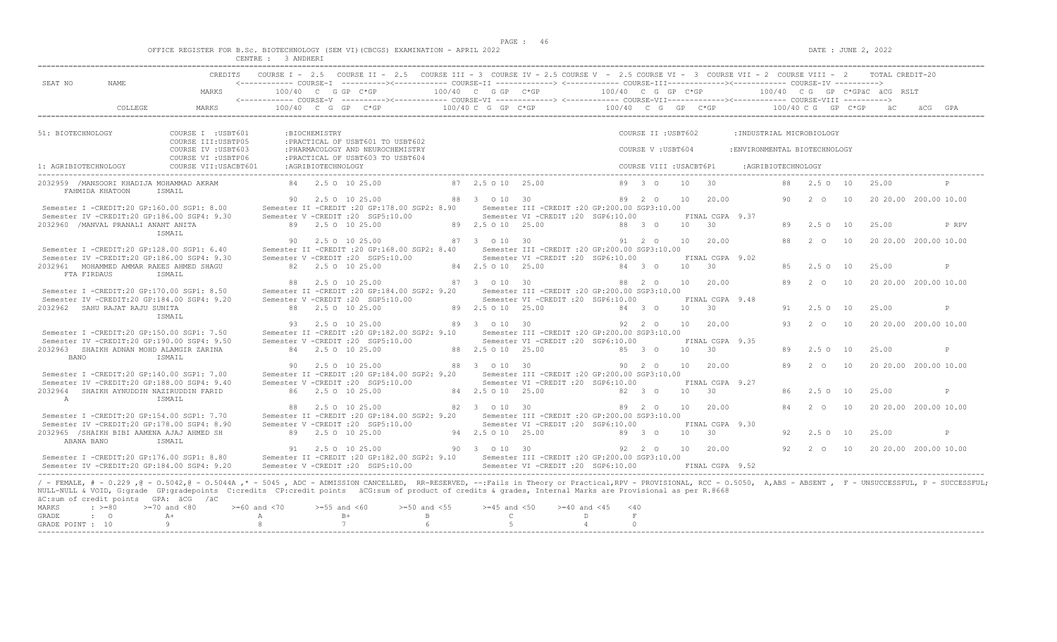$DATA: JUNE 2, 2022$ 

|  |  |                                   |  |               |  | OFFICE REGISTER FOR B.Sc. BIOTECHNOLOGY (SEM VI)(CBCGS) EXAMINATION - APRIL 2022 |  |  |
|--|--|-----------------------------------|--|---------------|--|----------------------------------------------------------------------------------|--|--|
|  |  | after some to be even some sense. |  | - - --------- |  |                                                                                  |  |  |

|                                                                                                                                                                                                                                                                                                                                                                                                                                                  |                                                                  | CENTRE : 3 ANDHERI |                    |                                                                                                                                                   |                                |                                                                                        |                      |                                          |                 |                                    |                                                            |    |                    |    |                              |                       |
|--------------------------------------------------------------------------------------------------------------------------------------------------------------------------------------------------------------------------------------------------------------------------------------------------------------------------------------------------------------------------------------------------------------------------------------------------|------------------------------------------------------------------|--------------------|--------------------|---------------------------------------------------------------------------------------------------------------------------------------------------|--------------------------------|----------------------------------------------------------------------------------------|----------------------|------------------------------------------|-----------------|------------------------------------|------------------------------------------------------------|----|--------------------|----|------------------------------|-----------------------|
| SEAT NO<br>NAME                                                                                                                                                                                                                                                                                                                                                                                                                                  | MARKS                                                            | 100/40 C G GP C*GP |                    | CREDITS COURSE I - 2.5 COURSE II - 2.5 COURSE III - 3 COURSE IV - 2.5 COURSE V - 2.5 COURSE VI - 3 COURSE VII - 2 COURSE VIII - 2 TOTAL CREDIT-20 | 100/40 C G GP C*GP             |                                                                                        | 100/40 C G GP C*GP   |                                          |                 |                                    |                                                            |    |                    |    | 100/40 CG GP C*GPäC äCG RSLT |                       |
| COLLEGE                                                                                                                                                                                                                                                                                                                                                                                                                                          | MARKS                                                            |                    |                    | $100/40$ C G GP C*GP                                                                                                                              | 100/40 C G GP C*GP             |                                                                                        | $100/40$ C G GP C*GP |                                          |                 |                                    |                                                            |    | 100/40 C G GP C*GP |    | äC.                          | äCG                   |
|                                                                                                                                                                                                                                                                                                                                                                                                                                                  |                                                                  |                    |                    |                                                                                                                                                   |                                |                                                                                        |                      |                                          |                 |                                    |                                                            |    |                    |    |                              |                       |
| 51: BIOTECHNOLOGY                                                                                                                                                                                                                                                                                                                                                                                                                                | COURSE I : USBT601<br>COURSE III: USBTP05<br>COURSE IV : USBT603 |                    | :BIOCHEMISTRY      | : PRACTICAL OF USBT601 TO USBT602<br>: PHARMACOLOGY AND NEUROCHEMISTRY                                                                            |                                |                                                                                        |                      | COURSE II : USBT602<br>COURSE V: USBT604 |                 |                                    | : INDUSTRIAL MICROBIOLOGY<br>: ENVIRONMENTAL BIOTECHNOLOGY |    |                    |    |                              |                       |
| 1: AGRIBIOTECHNOLOGY                                                                                                                                                                                                                                                                                                                                                                                                                             | COURSE VI : USBTP06<br>COURSE VII: USACBT601                     |                    | :AGRIBIOTECHNOLOGY | : PRACTICAL OF USBT603 TO USBT604                                                                                                                 |                                |                                                                                        |                      | COURSE VIII : USACBT6P1                  |                 |                                    | :AGRIBIOTECHNOLOGY                                         |    |                    |    |                              |                       |
| 2032959 /MANSOORI KHADIJA MOHAMMAD AKRAM                                                                                                                                                                                                                                                                                                                                                                                                         |                                                                  |                    |                    | 84 2.5 0 10 25.00                                                                                                                                 | 87 2.5 0 10 25.00              |                                                                                        |                      | 89 3 0                                   | 10              | 30                                 |                                                            | 88 | 2.5 0 10           |    | 25.00                        |                       |
| FAHMIDA KHATOON                                                                                                                                                                                                                                                                                                                                                                                                                                  | TSMATI.                                                          |                    |                    | 90 2.5 0 10 25.00                                                                                                                                 | 88 3 0 10 30                   |                                                                                        |                      | 89 2 0                                   | 10              | 20.00                              |                                                            | 90 | 2 O                | 10 |                              | 20 20.00 200.00 10.00 |
| Semester I -CREDIT:20 GP:160.00 SGP1: 8.00<br>Semester IV -CREDIT:20 GP:186.00 SGP4: 9.30                                                                                                                                                                                                                                                                                                                                                        |                                                                  |                    |                    | Semester II -CREDIT : 20 GP: 178.00 SGP2: 8.90<br>Semester V -CREDIT : 20 SGP5:10.00                                                              |                                | Semester III -CREDIT :20 GP:200.00 SGP3:10.00<br>Semester VI -CREDIT :20 SGP6:10.00    |                      |                                          |                 | FINAL CGPA 9.37                    |                                                            |    |                    |    |                              |                       |
| 2032960 /MANVAL PRANALI ANANT ANITA                                                                                                                                                                                                                                                                                                                                                                                                              | ISMAIL                                                           |                    |                    | 89 2.5 0 10 25.00                                                                                                                                 | 89 2.5 0 10 25.00              |                                                                                        |                      | 88 3 0                                   | 10              | 30                                 |                                                            |    | 89 2.5 0 10        |    | 25.00                        | P RPV                 |
| Semester I -CREDIT:20 GP:128.00 SGP1: 6.40                                                                                                                                                                                                                                                                                                                                                                                                       |                                                                  | 90                 |                    | 2.5 0 10 25.00<br>Semester II -CREDIT : 20 GP:168.00 SGP2: 8.40                                                                                   | 87 3 0 10 30                   | Semester III -CREDIT : 20 GP: 200.00 SGP3: 10.00                                       |                      | 91 2 0                                   | 10              | 20.00                              |                                                            | 88 | 2 0                | 10 |                              | 20 20.00 200.00 10.00 |
| Semester IV -CREDIT:20 GP:186.00 SGP4: 9.30<br>2032961 MOHAMMED AMMAR RAEES AHMED SHAGU                                                                                                                                                                                                                                                                                                                                                          |                                                                  |                    |                    | Semester V -CREDIT : 20 SGP5:10.00<br>82 2.5 0 10 25.00                                                                                           | 84 2.5 0 10 25.00              | Semester VI -CREDIT : 20 SGP6:10.00                                                    |                      | 84 3 0                                   | 10 <sup>1</sup> | FINAL CGPA 9.02<br>$\overline{30}$ |                                                            |    | 2.5 0 10           |    | 25.00                        | P                     |
| FTA FIRDAUS                                                                                                                                                                                                                                                                                                                                                                                                                                      | ISMAIL                                                           | 88                 |                    | 2.5 0 10 25.00                                                                                                                                    | 87 3 0 10 30                   |                                                                                        |                      | 88 2 0                                   | 10              | 20.00                              |                                                            | 89 | 2 0                | 10 |                              | 20 20.00 200.00 10.00 |
| Semester I -CREDIT:20 GP:170.00 SGP1: 8.50<br>Semester IV -CREDIT:20 GP:184.00 SGP4: 9.20                                                                                                                                                                                                                                                                                                                                                        |                                                                  |                    |                    | Semester II -CREDIT : 20 GP:184.00 SGP2: 9.20<br>Semester V -CREDIT : 20 SGP5:10.00                                                               |                                | Semester III -CREDIT : 20 GP: 200.00 SGP3: 10.00<br>Semester VI -CREDIT :20 SGP6:10.00 |                      |                                          |                 | FINAL CGPA 9.48                    |                                                            |    |                    |    |                              |                       |
| 2032962 SAHU RAJAT RAJU SUNITA                                                                                                                                                                                                                                                                                                                                                                                                                   | ISMAIL                                                           |                    |                    | 88 2.5 0 10 25.00                                                                                                                                 | 89 2.5 0 10 25.00              |                                                                                        |                      | 84 3 0                                   | 10              | 30                                 |                                                            | 91 | $2.5^\circ$        | 10 | 25.00                        | P                     |
| Semester I -CREDIT:20 GP:150.00 SGP1: 7.50                                                                                                                                                                                                                                                                                                                                                                                                       |                                                                  |                    |                    | 93 2.5 0 10 25.00<br>Semester II -CREDIT : 20 GP:182.00 SGP2: 9.10                                                                                | 89 3 0 10 30                   | Semester III -CREDIT : 20 GP: 200.00 SGP3: 10.00                                       |                      | 92 2 0                                   | 10 <sup>1</sup> | 20.00                              |                                                            | 93 | $2\degree$ 0       | 10 |                              | 20 20.00 200.00 10.00 |
| Semester IV -CREDIT:20 GP:190.00 SGP4: 9.50<br>2032963 SHAIKH ADNAN MOHD ALAMGIR ZARINA                                                                                                                                                                                                                                                                                                                                                          |                                                                  |                    |                    | Semester V -CREDIT : 20 SGP5:10.00<br>84 2.5 0 10 25.00                                                                                           | 88 2.5 0 10 25.00              | Semester VI -CREDIT :20 SGP6:10.00                                                     |                      | 85 3 0                                   | 10              | FINAL CGPA 9.35<br>30              |                                                            | 89 | $2.5^\circ$        | 10 | 25.00                        | P                     |
| BANO                                                                                                                                                                                                                                                                                                                                                                                                                                             | TSMATI.                                                          | 90                 |                    | 2.5 0 10 25.00                                                                                                                                    | 88 3 0 10 30                   |                                                                                        |                      | $90 \quad 20$                            | 10              | 20.00                              |                                                            | 89 | 2 0                | 10 |                              | 20 20.00 200.00 10.00 |
| Semester I -CREDIT:20 GP:140.00 SGP1: 7.00<br>Semester IV -CREDIT:20 GP:188.00 SGP4: 9.40                                                                                                                                                                                                                                                                                                                                                        |                                                                  |                    |                    | Semester II -CREDIT : 20 GP:184.00 SGP2: 9.20<br>Semester V -CREDIT : 20 SGP5:10.00                                                               |                                | Semester III -CREDIT : 20 GP: 200.00 SGP3: 10.00<br>Semester VI -CREDIT :20 SGP6:10.00 |                      |                                          |                 | FINAL CGPA 9.27                    |                                                            |    |                    |    |                              |                       |
| 2032964 SHAIKH AYNUDDIN NAZIRUDDIN FARID<br>$\mathbb{A}$                                                                                                                                                                                                                                                                                                                                                                                         | ISMAIL                                                           |                    |                    | 86 2.5 0 10 25.00                                                                                                                                 | 84 2.5 0 10 25.00              |                                                                                        |                      | 82 3 0                                   | 10              | 30                                 |                                                            | 86 | 2.50 10            |    | 25.00                        | $\mathbb{P}$          |
| Semester I -CREDIT:20 GP:154.00 SGP1: 7.70                                                                                                                                                                                                                                                                                                                                                                                                       |                                                                  | 88                 |                    | 2.5 0 10 25.00<br>Semester II -CREDIT : 20 GP:184.00 SGP2: 9.20                                                                                   | 82 3 0 10 30                   | Semester III -CREDIT : 20 GP: 200.00 SGP3: 10.00                                       |                      | 89 2 0                                   | 10              | 20.00                              |                                                            | 84 | 2 0                | 10 |                              | 20 20.00 200.00 10.00 |
| Semester IV -CREDIT:20 GP:178.00 SGP4: 8.90<br>2032965 /SHAIKH BIBI AAMENA AJAJ AHMED SH                                                                                                                                                                                                                                                                                                                                                         |                                                                  |                    |                    | Semester V -CREDIT : 20 SGP5:10.00<br>89 2.5 0 10 25.00                                                                                           | 94 2.5 0 10 25.00              | Semester VI -CREDIT :20 SGP6:10.00                                                     |                      | 89 3 0                                   | 10              | FINAL CGPA 9.30<br>30              |                                                            | 92 | $2.5^\circ$        | 10 | 25.00                        | $\mathsf{P}$          |
| ABANA BANO                                                                                                                                                                                                                                                                                                                                                                                                                                       | ISMAIL                                                           |                    |                    | 91 2.5 0 10 25.00                                                                                                                                 | 90 3 0 10 30                   |                                                                                        |                      | 92 2 0                                   | 10              | 20.00                              |                                                            |    | 92 2 0 10          |    |                              | 20 20.00 200.00 10.00 |
| Semester I -CREDIT:20 GP:176.00 SGP1: 8.80<br>Semester IV -CREDIT:20 GP:184.00 SGP4: 9.20                                                                                                                                                                                                                                                                                                                                                        |                                                                  |                    |                    | Semester II -CREDIT :20 GP:182.00 SGP2: 9.10 Semester III -CREDIT :20 GP:200.00 SGP3:10.00<br>Semester V -CREDIT : 20 SGP5:10.00                  |                                | Semester VI -CREDIT : 20 SGP6:10.00                                                    |                      |                                          |                 | FINAL CGPA 9.52                    |                                                            |    |                    |    |                              |                       |
| / - FEMALE, # - 0.229, @ - 0.5042, @ - 0.5044A,* - 5045, ADC - ADMISSION CANCELLED, RR-RESERVED, --:Fails in Theory or Practical,RPV - PROVISIONAL, RCC - 0.5050, A,ABS - ABSENT, F - UNSUCCESSFUL, P - SUCCESSFUL;<br>NULL-NULL & VOID, G:grade GP:gradepoints C:credits CP:credit points äCG:sum of product of credits & grades, Internal Marks are Provisional as per R.8668<br>äC:sum of credit points GPA: äCG /äC<br>MARKS<br>$\cdot$ >=80 | $>=70$ and $<80$                                                 | $>= 60$ and $< 70$ | $>=55$ and $<60$   | $>=50$ and $<55$                                                                                                                                  | $>=45$ and $<50$               | $>=40$ and $<45$                                                                       | < 40                 |                                          |                 |                                    |                                                            |    |                    |    |                              |                       |
| GRADE<br>$\cdot$ 0<br>GRADE POINT : 10                                                                                                                                                                                                                                                                                                                                                                                                           | $A+$<br>9                                                        | A<br>$\mathcal{B}$ | $\overline{7}$     | $B+$<br>$\mathbf{B}$<br>6                                                                                                                         | $\mathbb{C}$<br>$\overline{5}$ |                                                                                        | D<br>$\overline{4}$  | $\mathbf F$<br>$\Omega$                  |                 |                                    |                                                            |    |                    |    |                              |                       |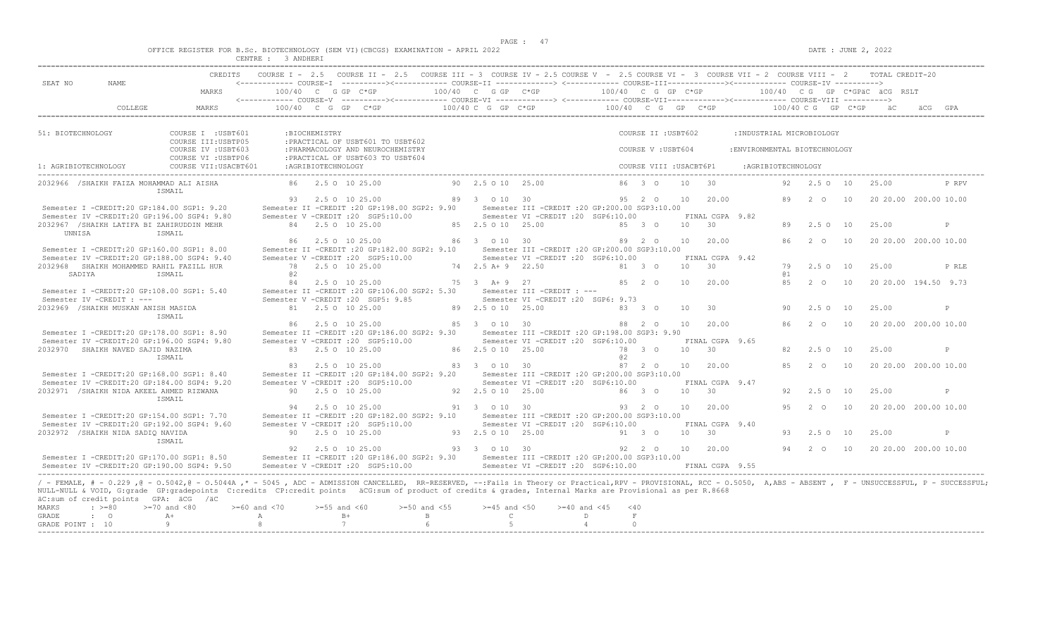$DATA: JUNE 2, 2022$ 

|  |  |  |           |  | OFFICE REGISTER FOR B.Sc. BIOTECHNOLOGY (SEM VI)(CBCGS) EXAMINATION - APRIL 2022 |  |  |
|--|--|--|-----------|--|----------------------------------------------------------------------------------|--|--|
|  |  |  | 3 ANDHER1 |  |                                                                                  |  |  |

| SEAT NO                   | NAME.                                                            |                                                                                                                                                                                                                                                                                                                                                                                        |        |                    | CREDITS COURSE I - 2.5 COURSE II - 2.5 COURSE III - 3 COURSE IV - 2.5 COURSE V - 2.5 COURSE VI - 3 COURSE VII - 2 COURSE VIII - 2 TOTAL CREDIT-20<br><------------ COURSE-I ----------><----------- COURSE-II --------------> <------------ COURSE-III-------------><----------> COURSE-IV ----------> |                   |                     |                                                      |                     |                        |                         |            |                     |                               |                    |                       |    |       |                                                     |
|---------------------------|------------------------------------------------------------------|----------------------------------------------------------------------------------------------------------------------------------------------------------------------------------------------------------------------------------------------------------------------------------------------------------------------------------------------------------------------------------------|--------|--------------------|--------------------------------------------------------------------------------------------------------------------------------------------------------------------------------------------------------------------------------------------------------------------------------------------------------|-------------------|---------------------|------------------------------------------------------|---------------------|------------------------|-------------------------|------------|---------------------|-------------------------------|--------------------|-----------------------|----|-------|-----------------------------------------------------|
|                           |                                                                  | MARKS                                                                                                                                                                                                                                                                                                                                                                                  |        |                    | $100/40 \t C \t G \t G \t F \t C^{*GP}$ 100/40 C G GP C*GP 100/40 C G GP C*GP 100/40 C G GP C*GP 100/40 C G GP C*GP 100/40 C G GP C*GPäC äCG RSLT                                                                                                                                                      |                   |                     |                                                      |                     |                        |                         |            |                     |                               |                    |                       |    |       |                                                     |
|                           | COLLEGE                                                          | MARKS                                                                                                                                                                                                                                                                                                                                                                                  |        |                    | 100/40 C G GP C*GP $100/40$ C G GP C*GP $100/40$ C G GP C*GP $100/40$ C G GP C*GP $100/40$ C G GP C*GP aC $100/40$ C G GP C*GP $100/40$ C G GP C*GP aC                                                                                                                                                 |                   |                     |                                                      |                     |                        |                         |            |                     |                               |                    |                       |    |       |                                                     |
|                           |                                                                  |                                                                                                                                                                                                                                                                                                                                                                                        |        |                    |                                                                                                                                                                                                                                                                                                        |                   |                     |                                                      |                     |                        |                         |            |                     |                               |                    |                       |    |       |                                                     |
| 51: BIOTECHNOLOGY         |                                                                  | COURSE I : USBT601<br>COURSE III: USBTP05                                                                                                                                                                                                                                                                                                                                              |        | :BIOCHEMISTRY      | : PRACTICAL OF USBT601 TO USBT602                                                                                                                                                                                                                                                                      |                   |                     |                                                      |                     |                        | COURSE II : USBT602     |            |                     | : INDUSTRIAL MICROBIOLOGY     |                    |                       |    |       |                                                     |
|                           |                                                                  | COURSE IV : USBT603<br>COURSE VI : USBTP06                                                                                                                                                                                                                                                                                                                                             |        |                    | : PHARMACOLOGY AND NEUROCHEMISTRY<br>: PRACTICAL OF USBT603 TO USBT604                                                                                                                                                                                                                                 |                   |                     |                                                      |                     |                        | COURSE V: USBT604       |            |                     | : ENVIRONMENTAL BIOTECHNOLOGY |                    |                       |    |       |                                                     |
| 1: AGRIBIOTECHNOLOGY      |                                                                  | COURSE VII:USACBT601                                                                                                                                                                                                                                                                                                                                                                   |        | :AGRIBIOTECHNOLOGY |                                                                                                                                                                                                                                                                                                        |                   |                     |                                                      |                     |                        | COURSE VIII : USACBT6P1 |            |                     |                               | :AGRIBIOTECHNOLOGY |                       |    |       |                                                     |
|                           |                                                                  | 2032966 /SHAIKH FAIZA MOHAMMAD ALI AISHA<br>TSMATI.                                                                                                                                                                                                                                                                                                                                    |        |                    | 86 2.5 0 10 25.00                                                                                                                                                                                                                                                                                      |                   | 90 2.5 0 10 25.00   |                                                      |                     |                        | 86 3 0 10 30            |            |                     |                               |                    | 92  2.5  0  10  25.00 |    |       | P RPV                                               |
|                           |                                                                  | Semester I -CREDIT:20 GP:184.00 SGP1: 9.20                                                                                                                                                                                                                                                                                                                                             |        |                    | $93$ 2.5 0 10 25.00 $89$ 3 0 10 30 $95$ 2 0 10 20.00<br>Semester II -CREDIT :20 GP:198.00 SGP2: 9.90 Semester III -CREDIT :20 GP:200.00 SGP3:10.00                                                                                                                                                     |                   |                     |                                                      |                     |                        |                         |            |                     |                               |                    |                       |    |       | 89   2   0   10   20   20.00   200.00   10.00       |
|                           | 2032967 /SHAIKH LATIFA BI ZAHIRUDDIN MEHR                        | Semester IV -CREDIT:20 GP:196.00 SGP4: 9.80                                                                                                                                                                                                                                                                                                                                            |        |                    | Semester V -CREDIT : 20 SGP5:10.00<br>84 2.5 0 10 25.00                                                                                                                                                                                                                                                |                   | 85 2.5 0 10 25.00   | Semester VI -CREDIT :20 SGP6:10.00                   | $85 \t30$           |                        |                         | 10 30      | FINAL CGPA 9.82     |                               | 89                 | $2.5 \circ 10$        |    | 25.00 | P                                                   |
| UNNISA                    |                                                                  | ISMAIL                                                                                                                                                                                                                                                                                                                                                                                 |        |                    | 86 2.5 0 10 25.00                                                                                                                                                                                                                                                                                      |                   | 86 3 0 10 30        |                                                      |                     |                        |                         |            | 89  2  0  10  20.00 |                               |                    | 86 2 0 10             |    |       | 20 20.00 200.00 10.00                               |
|                           |                                                                  | Semester I -CREDIT:20 GP:160.00 SGP1: 8.00<br>Semester IV -CREDIT:20 GP:188.00 SGP4: 9.40                                                                                                                                                                                                                                                                                              |        |                    | Semester II -CREDIT : 20 GP:182.00 SGP2: 9.10 Semester III -CREDIT : 20 GP: 200.00 SGP3:10.00<br>Semester V -CREDIT : 20 SGP5:10.00                                                                                                                                                                    |                   |                     | Semester VI -CREDIT : 20 SGP6:10.00                  |                     |                        |                         |            | FINAL CGPA 9.42     |                               |                    |                       |    |       |                                                     |
| SADIYA                    | 2032968 SHAIKH MOHAMMED RAHIL FAZILL HUR                         | ISMAIL                                                                                                                                                                                                                                                                                                                                                                                 | a2     |                    | 78 2.5 0 10 25.00                                                                                                                                                                                                                                                                                      |                   | 74 2.5 A + 9 22.50  |                                                      |                     | 81 3 0                 |                         | 10 30      |                     |                               | 79<br>@ 1          | 2.5 0 10              |    | 25.00 | P RLE                                               |
|                           |                                                                  | Semester I -CREDIT:20 GP:108.00 SGP1: 5.40                                                                                                                                                                                                                                                                                                                                             |        |                    | 84 2.5 0 10 25.00<br>Semester II -CREDIT : 20 GP: 106.00 SGP2: 5.30                                                                                                                                                                                                                                    |                   | 75 3 A + 9 27       | Semester III -CREDIT : ---                           |                     | 85 2 0                 |                         | 10         | 20.00               |                               | 85                 | 2 0 10                |    |       | 20 20.00 194.50 9.73                                |
|                           | Semester IV -CREDIT : ---<br>2032969 /SHAIKH MUSKAN ANISH MASIDA |                                                                                                                                                                                                                                                                                                                                                                                        |        |                    | Semester V -CREDIT : 20 SGP5: 9.85<br>81 2.5 0 10 25.00                                                                                                                                                                                                                                                |                   | 89 2.5 0 10 25.00   | Semester VI -CREDIT : 20 SGP6: 9.73                  | $83 \t30$           |                        |                         | 10         | 30                  |                               | 90                 | 2.50 10               |    | 25.00 | P                                                   |
|                           |                                                                  | ISMAIL                                                                                                                                                                                                                                                                                                                                                                                 |        |                    | 86 2.5 0 10 25.00                                                                                                                                                                                                                                                                                      |                   | 85 3 0 10 30        |                                                      |                     | 88 2 0                 |                         |            | 10 20.00            |                               |                    |                       |    |       | 86 2 0 10 20 20 00 200 00 10 00                     |
|                           |                                                                  | Semester I -CREDIT:20 GP:178.00 SGP1: 8.90<br>Semester IV -CREDIT:20 GP:196.00 SGP4: 9.80                                                                                                                                                                                                                                                                                              |        |                    | Semester II -CREDIT : 20 GP:186.00 SGP2: 9.30 Semester III -CREDIT : 20 GP:198.00 SGP3: 9.90<br>Semester V -CREDIT : 20 SGP5:10.00                                                                                                                                                                     |                   |                     | Semester VI -CREDIT : 20 SGP6:10.00                  |                     |                        |                         |            | FINAL CGPA 9.65     |                               |                    |                       |    |       |                                                     |
|                           | 2032970 SHAIKH NAVED SAJID NAZIMA                                | ISMAIL                                                                                                                                                                                                                                                                                                                                                                                 |        |                    | 83 2.5 0 10 25.00                                                                                                                                                                                                                                                                                      |                   | 86 2.5 0 10 25.00   |                                                      |                     | 78 3 0<br>@ 2          |                         | $10 \t 30$ |                     |                               | 82                 | $2.5 \circ 10$        |    | 25.00 | P                                                   |
|                           |                                                                  | Semester I -CREDIT:20 GP:168.00 SGP1: 8.40                                                                                                                                                                                                                                                                                                                                             |        |                    | 83 2.5 0 10 25.00<br>Semester II -CREDIT : 20 GP:184.00 SGP2: 9.20 Semester III -CREDIT : 20 GP:200.00 SGP3:10.00                                                                                                                                                                                      |                   | 83 3 0 10 30        |                                                      |                     |                        | 87 2 0                  | 10         | 20.00               |                               | 85                 | $2\degree$ 0          | 10 |       | 20 20.00 200.00 10.00                               |
|                           | 2032971 /SHAIKH NIDA AKEEL AHMED RIZWANA                         | Semester IV -CREDIT:20 GP:184.00 SGP4: 9.20                                                                                                                                                                                                                                                                                                                                            |        |                    | Semester V -CREDIT : 20 SGP5:10.00<br>90 2.5 0 10 25.00                                                                                                                                                                                                                                                |                   | 92 2.5 0 10 25.00   | Semester VI -CREDIT :20 SGP6:10.00                   |                     | 86 3 0                 |                         | 10 30      | FINAL CGPA 9.47     |                               | 92                 | 2.50 10               |    | 25.00 | P                                                   |
|                           |                                                                  | ISMAIL                                                                                                                                                                                                                                                                                                                                                                                 |        |                    | 94 2.5 0 10 25.00                                                                                                                                                                                                                                                                                      |                   | 91 3 0 10 30        |                                                      |                     |                        | 93 2 0 10               |            | 20.00               |                               |                    | 95 2 0 10             |    |       | 20 20.00 200.00 10.00                               |
|                           |                                                                  | Semester I -CREDIT:20 GP:154.00 SGP1: 7.70<br>Semester IV -CREDIT:20 GP:192.00 SGP4: 9.60                                                                                                                                                                                                                                                                                              |        |                    | Semester II -CREDIT : 20 GP:182.00 SGP2: 9.10 Semester III -CREDIT : 20 GP: 200.00 SGP3:10.00<br>Semester V -CREDIT : 20 SGP5:10.00                                                                                                                                                                    |                   |                     | Semester VI -CREDIT :20 SGP6:10.00                   |                     |                        |                         |            | FINAL CGPA 9.40     |                               |                    |                       |    |       |                                                     |
|                           | 2032972 /SHAIKH NIDA SADIO NAVIDA                                | ISMAIL                                                                                                                                                                                                                                                                                                                                                                                 |        |                    | 90 2.5 0 10 25.00                                                                                                                                                                                                                                                                                      |                   |                     | 93  2.5  0  10  25.00  91  3  0                      |                     |                        |                         | 10 30      |                     |                               |                    | 93 2.5 0 10           |    | 25.00 | P                                                   |
|                           |                                                                  | Semester I -CREDIT:20 GP:170.00 SGP1: 8.50                                                                                                                                                                                                                                                                                                                                             |        |                    | 92 2.5 0 10 25.00<br>Semester II -CREDIT :20 GP:186.00 SGP2: 9.30 Semester III -CREDIT :20 GP:200.00 SGP3:10.00                                                                                                                                                                                        |                   | 93 3 0 10 30        |                                                      |                     |                        |                         |            | 92  2  0  10  20.00 |                               |                    |                       |    |       | 94   2   0   10   20   20   00   200   00   10   00 |
|                           |                                                                  | Semester IV -CREDIT:20 GP:190.00 SGP4: 9.50                                                                                                                                                                                                                                                                                                                                            |        |                    | Semester V -CREDIT : 20 SGP5:10.00                                                                                                                                                                                                                                                                     |                   |                     | Semester VI - CREDIT : 20 SGP6:10.00 FINAL CGPA 9.55 |                     |                        |                         |            |                     |                               |                    |                       |    |       |                                                     |
|                           | äC:sum of credit points GPA: äCG /äC                             | / - FEMALE, # - 0.229 , @ - 0.5042, @ - 0.5044A ,* - 5045 , ADC - ADMISSION CANCELLED, RR-RESERVED, --: Fails in Theory or Practical, RPV - PROVISIONAL, RCC - 0.5050, A, ABS - ABSENT , F - UNSUCCESSFUL, P - SUCCESSFUL;<br>NULL-NULL & VOID, G:grade GP:gradepoints C:credits CP:credit points äCG:sum of product of credits & grades, Internal Marks are Provisional as per R.8668 |        |                    |                                                                                                                                                                                                                                                                                                        |                   |                     |                                                      |                     |                        |                         |            |                     |                               |                    |                       |    |       |                                                     |
| MARKS                     | $: z = 80$                                                       | $>=70$ and $<80$ $>=60$ and $<70$                                                                                                                                                                                                                                                                                                                                                      |        | $>=55$ and $<60$   |                                                                                                                                                                                                                                                                                                        | $>=50$ and $<55$  | $>=45$ and $<50$    |                                                      | $>=40$ and $<45$    | $<$ 40                 |                         |            |                     |                               |                    |                       |    |       |                                                     |
| GRADE<br>GRADE POINT : 10 | $\cdot$ 0                                                        | $A+$<br>9                                                                                                                                                                                                                                                                                                                                                                              | A<br>8 |                    | $B+$<br>7                                                                                                                                                                                                                                                                                              | $\mathbf{B}$<br>6 | $\mathbb{C}$<br>- 5 |                                                      | D<br>$\overline{4}$ | $\mathbb F$<br>$\circ$ |                         |            |                     |                               |                    |                       |    |       |                                                     |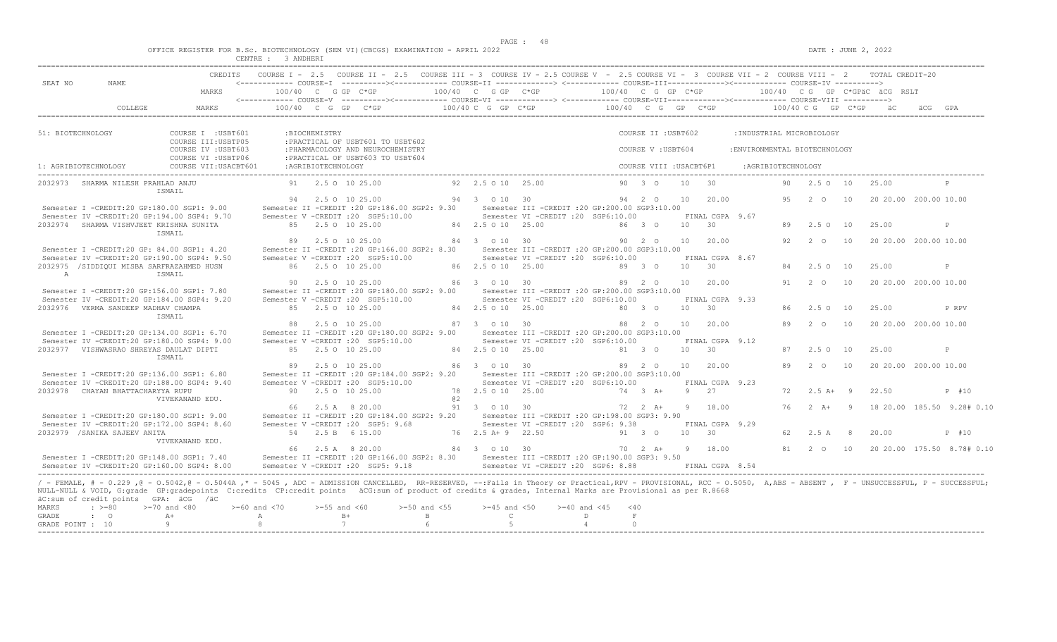$DATA: JUNE 2, 2022$ 

|  |  |  |           |  | OFFICE REGISTER FOR B.Sc. BIOTECHNOLOGY (SEM VI)(CBCGS) EXAMINATION - APRIL 2022 |  |  |
|--|--|--|-----------|--|----------------------------------------------------------------------------------|--|--|
|  |  |  | 3 ANDHER1 |  |                                                                                  |  |  |

|                           |                                        | ULINIK LI<br>CREDITS                                                                                                                                                                                                                                                                                                                                                                                                                        | $\sim$ $\sim$ $\sim$ $\sim$ $\sim$ |                    |                  |                                                                                      |    |                    | COURSE I - 2.5 COURSE II - 2.5 COURSE III - 3 COURSE IV - 2.5 COURSE V - 2.5 COURSE VI - 3 COURSE VII - 2 COURSE VIII - 2 TOTAL CREDIT-20              |                       |                             |            |                               |                               |                    |              |    |                                                       |       |
|---------------------------|----------------------------------------|---------------------------------------------------------------------------------------------------------------------------------------------------------------------------------------------------------------------------------------------------------------------------------------------------------------------------------------------------------------------------------------------------------------------------------------------|------------------------------------|--------------------|------------------|--------------------------------------------------------------------------------------|----|--------------------|--------------------------------------------------------------------------------------------------------------------------------------------------------|-----------------------|-----------------------------|------------|-------------------------------|-------------------------------|--------------------|--------------|----|-------------------------------------------------------|-------|
| SEAT NO                   | NAME.                                  |                                                                                                                                                                                                                                                                                                                                                                                                                                             |                                    |                    |                  |                                                                                      |    |                    | <------------ COURSE-I ----------><----------- COURSE-II -------------> <------------ COURSE-III------------><----------> COURSE-IV ---------->        |                       |                             |            |                               |                               |                    |              |    |                                                       |       |
|                           |                                        | MARKS                                                                                                                                                                                                                                                                                                                                                                                                                                       |                                    |                    |                  |                                                                                      |    |                    |                                                                                                                                                        |                       |                             |            |                               |                               |                    |              |    |                                                       |       |
|                           | COLLEGE                                | <b>MARKS</b>                                                                                                                                                                                                                                                                                                                                                                                                                                |                                    |                    |                  |                                                                                      |    |                    | 100/40 C G GP C*GP $100/40$ C G GP C*GP $100/40$ C G GP C*GP $100/40$ C G GP C*GP $100/40$ C G GP C*GP aC $100/40$ C G GP C*GP $100/40$ C G GP C*GP aC |                       |                             |            |                               |                               |                    |              |    |                                                       |       |
| 51: BIOTECHNOLOGY         |                                        | COURSE I : USBT601<br>COURSE III: USBTP05                                                                                                                                                                                                                                                                                                                                                                                                   |                                    | :BIOCHEMISTRY      |                  | : PRACTICAL OF USBT601 TO USBT602                                                    |    |                    |                                                                                                                                                        |                       | COURSE II : USBT602         |            |                               | :INDUSTRIAL MICROBIOLOGY      |                    |              |    |                                                       |       |
|                           |                                        | COURSE IV : USBT603<br>COURSE VI : USBTP06                                                                                                                                                                                                                                                                                                                                                                                                  |                                    |                    |                  | : PHARMACOLOGY AND NEUROCHEMISTRY<br>: PRACTICAL OF USBT603 TO USBT604               |    |                    |                                                                                                                                                        |                       | COURSE V: USBT604           |            |                               | : ENVIRONMENTAL BIOTECHNOLOGY |                    |              |    |                                                       |       |
|                           | 1: AGRIBIOTECHNOLOGY                   | COURSE VII: USACBT601                                                                                                                                                                                                                                                                                                                                                                                                                       |                                    | :AGRIBIOTECHNOLOGY |                  |                                                                                      |    |                    |                                                                                                                                                        |                       | COURSE VIII : USACBT6P1     |            |                               |                               | :AGRIBIOTECHNOLOGY |              |    |                                                       |       |
|                           | 2032973 SHARMA NILESH PRAHLAD ANJU     | ISMAIL                                                                                                                                                                                                                                                                                                                                                                                                                                      |                                    | 91 2.5 0 10 25.00  |                  |                                                                                      |    | 92 2.5 0 10 25.00  |                                                                                                                                                        |                       | 90 3 0 10 30                |            |                               |                               |                    |              |    | 90  2.5  0  10  25.00                                 | P     |
|                           |                                        | Semester I -CREDIT:20 GP:180.00 SGP1: 9.00                                                                                                                                                                                                                                                                                                                                                                                                  |                                    |                    |                  |                                                                                      |    |                    | $94$ 2.5 0 10 25.00 $94$ 3 0 10 30 $94$ 2 0 10 20.00<br>Semester II -CREDIT :20 GP:186.00 SGP2: 9.30 Semester III -CREDIT :20 GP:200.00 SGP3:10.00     |                       |                             |            |                               |                               |                    |              |    | 95   2   0   10   20   20   00   200   00   10   00   |       |
|                           |                                        | Semester IV -CREDIT:20 GP:194.00 SGP4: 9.70<br>2032974 SHARMA VISHVJEET KRISHNA SUNITA                                                                                                                                                                                                                                                                                                                                                      |                                    | 85 2.5 0 10 25.00  |                  | Semester V - CREDIT : 20 SGP5:10.00                                                  |    | 84 2.5 0 10 25.00  | Semester VI -CREDIT :20 SGP6:10.00                                                                                                                     | $86 \quad 3 \quad 0$  |                             |            | FINAL CGPA 9.67<br>$10 \t 30$ |                               |                    | 89 2.5 0 10  |    | 25.00                                                 | P     |
|                           |                                        | ISMAIL                                                                                                                                                                                                                                                                                                                                                                                                                                      |                                    | 89 2.5 0 10 25.00  |                  |                                                                                      |    | 84 3 0 10 30       |                                                                                                                                                        |                       | 90    2    0    10    20.00 |            |                               |                               | 92                 | $2\degree$ 0 | 10 | 20 20.00 200.00 10.00                                 |       |
|                           |                                        | Semester I -CREDIT:20 GP: 84.00 SGP1: 4.20<br>Semester IV -CREDIT:20 GP:190.00 SGP4: 9.50<br>2032975 /SIDDIQUI MISBA SARFRAZAHMED HUSN                                                                                                                                                                                                                                                                                                      |                                    | 86 2.5 0 10 25.00  |                  | Semester II -CREDIT : 20 GP: 166.00 SGP2: 8.30<br>Semester V -CREDIT : 20 SGP5:10.00 |    | 86 2.5 0 10 25.00  | Semester III -CREDIT :20 GP:200.00 SGP3:10.00<br>Semester VI -CREDIT :20 SGP6:10.00                                                                    | $89 \quad 3 \quad 0$  |                             |            | FINAL CGPA 8.67<br>10 30      |                               | 84                 | 2.50 10      |    | 25.00                                                 | P     |
| <b>A</b>                  |                                        | ISMAIL                                                                                                                                                                                                                                                                                                                                                                                                                                      |                                    | 90 2.5 0 10 25.00  |                  |                                                                                      |    | 86 3 0 10 30       |                                                                                                                                                        |                       | 89  2  0  10  20.00         |            |                               |                               | 91 2 0             |              | 10 | 20 20.00 200.00 10.00                                 |       |
|                           |                                        | Semester I -CREDIT:20 GP:156.00 SGP1: 7.80<br>Semester IV -CREDIT:20 GP:184.00 SGP4: 9.20                                                                                                                                                                                                                                                                                                                                                   |                                    |                    |                  | Semester II -CREDIT : 20 GP:180.00 SGP2: 9.00<br>Semester V -CREDIT : 20 SGP5:10.00  |    |                    | Semester III -CREDIT : 20 GP: 200.00 SGP3: 10.00<br>Semester VI -CREDIT :20 SGP6:10.00                                                                 |                       |                             |            | FINAL CGPA 9.33               |                               |                    |              |    |                                                       |       |
|                           | 2032976    VERMA SANDEEP MADHAV CHAMPA | ISMAIL                                                                                                                                                                                                                                                                                                                                                                                                                                      |                                    | 85 2.5 0 10 25.00  |                  |                                                                                      |    |                    | 84  2.5  0  10  25.00   80   3   0                                                                                                                     |                       |                             | $10 \t 30$ |                               |                               |                    | 86 2.5 0 10  |    | 25.00                                                 | P RPV |
|                           |                                        | Semester I -CREDIT:20 GP:134.00 SGP1: 6.70                                                                                                                                                                                                                                                                                                                                                                                                  |                                    | 88 2.5 0 10 25.00  |                  |                                                                                      |    | 87 3 0 10 30       | Semester II -CREDIT :20 GP:180.00 SGP2: 9.00 Semester III -CREDIT :20 GP:200.00 SGP3:10.00                                                             |                       | 88  2  0  10  20.00         |            |                               |                               |                    | 89 2 0 10    |    | 20 20.00 200.00 10.00                                 |       |
|                           |                                        | Semester IV -CREDIT:20 GP:180.00 SGP4: 9.00<br>2032977 VISHWASRAO SHREYAS DAULAT DIPTI                                                                                                                                                                                                                                                                                                                                                      |                                    | 85 2.5 0 10 25.00  |                  | Semester V -CREDIT : 20 SGP5:10.00                                                   |    | 84 2.5 0 10 25.00  | Semester VI -CREDIT : 20 SGP6:10.00                                                                                                                    | 81 3 0                |                             |            | FINAL CGPA 9.12<br>$10 \t 30$ |                               |                    | 87 2.5 0 10  |    | 25.00                                                 | P     |
|                           |                                        | ISMAIL<br>Semester I -CREDIT:20 GP:136.00 SGP1: 6.80                                                                                                                                                                                                                                                                                                                                                                                        |                                    | 89 2.5 0 10 25.00  |                  | Semester II -CREDIT : 20 GP: 184.00 SGP2: 9.20                                       |    | 86 3 0 10 30       | Semester III -CREDIT :20 GP:200.00 SGP3:10.00                                                                                                          |                       | 89  2  0  10  20.00         |            |                               |                               | 89                 | 2 0          | 10 | 20 20.00 200.00 10.00                                 |       |
|                           | 2032978 CHAYAN BHATTACHARYYA RUPU      | Semester IV -CREDIT:20 GP:188.00 SGP4: 9.40                                                                                                                                                                                                                                                                                                                                                                                                 |                                    | 90 2.5 0 10 25.00  |                  | Semester V -CREDIT : 20 SGP5:10.00                                                   |    | 78 2.5 0 10 25.00  | Semester VI -CREDIT :20 SGP6:10.00                                                                                                                     | $74$ 3 A+             |                             | 9 27       | FINAL CGPA 9.23               |                               | 72                 | $2.5$ A+ 9   |    | 22.50                                                 | P #10 |
|                           |                                        | VIVEKANAND EDU.                                                                                                                                                                                                                                                                                                                                                                                                                             |                                    | 66 2.5 A 8 20.00   |                  |                                                                                      | a2 | 91 3 0 10 30       |                                                                                                                                                        |                       | 72  2  A+  9  18.00         |            |                               |                               |                    |              |    | 76  2  A+  9  18  20,00  185,50  9.28#  0.10          |       |
|                           |                                        | Semester I -CREDIT:20 GP:180.00 SGP1: 9.00<br>Semester IV -CREDIT:20 GP:172.00 SGP4: 8.60                                                                                                                                                                                                                                                                                                                                                   |                                    |                    |                  | Semester II -CREDIT : 20 GP:184.00 SGP2: 9.20<br>Semester V -CREDIT : 20 SGP5: 9.68  |    |                    | Semester III - CREDIT : 20 GP: 198.00 SGP3: 9.90<br>Semester VI -CREDIT : 20 SGP6: 9.38                                                                |                       |                             |            | FINAL CGPA 9.29               |                               |                    |              |    |                                                       |       |
|                           | 2032979 / SANIKA SAJEEV ANITA          | VIVEKANAND EDU.                                                                                                                                                                                                                                                                                                                                                                                                                             |                                    | 54 2.5 B 6 15.00   |                  |                                                                                      |    | 76 2.5 A + 9 22.50 |                                                                                                                                                        | 91 3 0 10 30          |                             |            |                               |                               | 62                 | $2.5 A$ 8    |    | 20.00                                                 | P #10 |
|                           |                                        | Semester I -CREDIT:20 GP:148.00 SGP1: 7.40<br>Semester IV -CREDIT:20 GP:160.00 SGP4: 8.00                                                                                                                                                                                                                                                                                                                                                   |                                    | 66 2.5 A 8 20.00   |                  | Semester V -CREDIT : 20 SGP5: 9.18                                                   |    | 84 3 0 10 30       | Semester II -CREDIT :20 GP:166.00 SGP2: 8.30 Semester III -CREDIT :20 GP:190.00 SGP3: 9.50<br>Semester VI - CREDIT : 20 SGP6: 8.88                     | $70 \t2 A+ 9 \t18.00$ |                             |            | FINAL CGPA 8.54               |                               |                    |              |    | 81   2   0   10   20   20   00   175.50   8.78#  0.10 |       |
| <b>MARKS</b>              | $\div$ >=80                            | / - FEMALE, # - 0.229, @ - 0.5042, @ - 0.5044A,* - 5045, ADC - ADMISSION CANCELLED, RR-RESERVED, --:Fails in Theory or Practical,RPV - PROVISIONAL, RCC - 0.5050, A,ABS - ABSENT, F - UNSUCCESSFUL, P - SUCCESSFUL;<br>NULL-NULL & VOID, G:grade GP:gradepoints C:credits CP:credit points äCG:sum of product of credits & grades, Internal Marks are Provisional as per R.8668<br>äC:sum of credit points GPA: äCG /äC<br>$>=70$ and $<80$ | $>=60$ and $<70$                   |                    | $>=55$ and $<60$ | $>=50$ and $<55$                                                                     |    | $>=45$ and $<50$   | $>= 40$ and $< 45$                                                                                                                                     | $<$ 40                |                             |            |                               |                               |                    |              |    |                                                       |       |
| GRADE<br>GRADE POINT : 10 | $\cdot$ 0                              | $A+$<br>- 9                                                                                                                                                                                                                                                                                                                                                                                                                                 | A<br>8                             |                    | $B+$<br>7        | $\mathbb B$<br>6                                                                     |    | $\mathbb{C}$<br>-5 |                                                                                                                                                        | D<br>$\overline{4}$   | F<br>$\circ$                |            |                               |                               |                    |              |    |                                                       |       |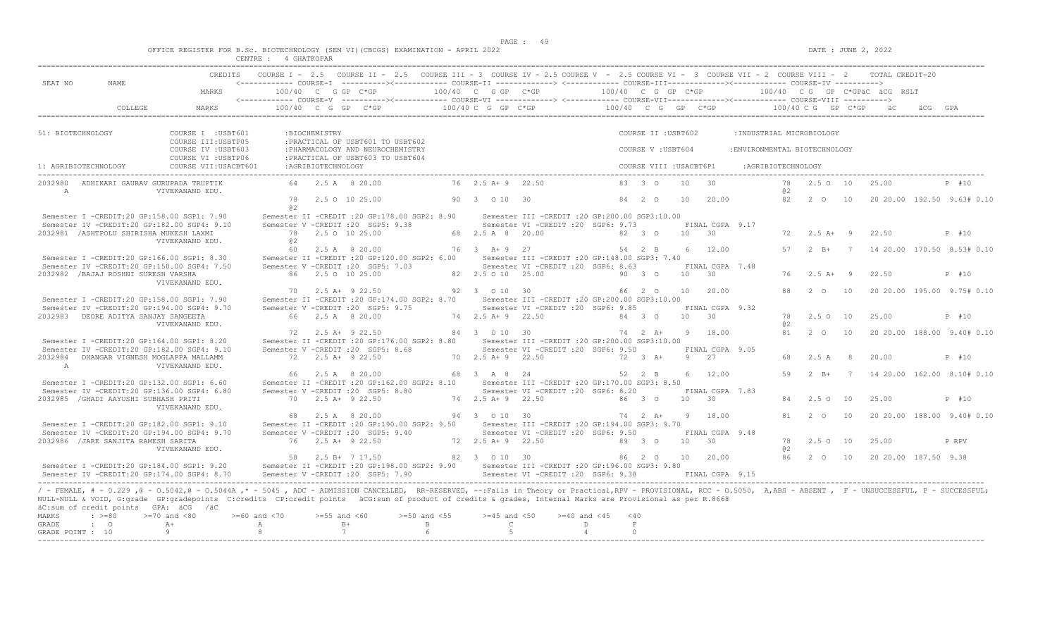|  |  |  |             |  | OFFICE REGISTER FOR B.Sc. BIOTECHNOLOGY (SEM VI)(CBCGS) EXAMINATION - APRIL 2022 |  |  |
|--|--|--|-------------|--|----------------------------------------------------------------------------------|--|--|
|  |  |  | 4 GHATKOPAR |  |                                                                                  |  |  |

| SEAT NO<br>NAME.                                                                                                                                                                                                                                                                                                                                                                                                           | CREDITS                                    |                         |                    | COURSE I - 2.5 COURSE II - 2.5 COURSE III - 3 COURSE IV - 2.5 COURSE V - 2.5 COURSE VI - 3 COURSE VII - 2 COURSE VIII - 2 TOTAL CREDIT-20                                                                                                                                                                                                                                                                                                                             |                                                                           |                                  |                                                                                          |                          |           |                         |            |                         |                              |          |                         |    |                      |                              |
|----------------------------------------------------------------------------------------------------------------------------------------------------------------------------------------------------------------------------------------------------------------------------------------------------------------------------------------------------------------------------------------------------------------------------|--------------------------------------------|-------------------------|--------------------|-----------------------------------------------------------------------------------------------------------------------------------------------------------------------------------------------------------------------------------------------------------------------------------------------------------------------------------------------------------------------------------------------------------------------------------------------------------------------|---------------------------------------------------------------------------|----------------------------------|------------------------------------------------------------------------------------------|--------------------------|-----------|-------------------------|------------|-------------------------|------------------------------|----------|-------------------------|----|----------------------|------------------------------|
|                                                                                                                                                                                                                                                                                                                                                                                                                            | MARKS                                      | 100/40 C G GP C*GP      |                    |                                                                                                                                                                                                                                                                                                                                                                                                                                                                       | $100/40$ C G GP C*GP $100/40$ C G GP C*GP $100/40$ C G GP C*GPäC äCG RSLT |                                  |                                                                                          |                          |           |                         |            |                         |                              |          |                         |    |                      |                              |
| COLLEGE                                                                                                                                                                                                                                                                                                                                                                                                                    | MARKS                                      |                         |                    | $100/40 \quad C \quad G \quad GP \qquad C \star GP \qquad \qquad 100/40 \quad C \quad G \quad GP \qquad \qquad 100/40 \qquad C \quad G \quad GP \qquad \qquad 200/40 \quad C \quad G \quad CP \qquad \qquad 100/40 \quad C \quad G \quad CP \qquad \qquad 200/40 \quad C \quad F \quad \qquad 200/40 \quad C \quad F \quad \qquad 200/40 \quad C \quad F \quad \qquad 200/40 \quad C \quad F \quad \qquad 200/40 \quad C \quad F \quad \qquad 200/40 \quad C \quad F$ |                                                                           |                                  |                                                                                          |                          |           |                         |            |                         |                              |          |                         |    | a C                  |                              |
| 51: BIOTECHNOLOGY                                                                                                                                                                                                                                                                                                                                                                                                          | COURSE I : USBT601<br>COURSE III: USBTP05  |                         | :BIOCHEMISTRY      | : PRACTICAL OF USBT601 TO USBT602                                                                                                                                                                                                                                                                                                                                                                                                                                     |                                                                           |                                  |                                                                                          |                          |           | COURSE II : USBT602     |            |                         | : INDUSTRIAL MICROBIOLOGY    |          |                         |    |                      |                              |
|                                                                                                                                                                                                                                                                                                                                                                                                                            | COURSE IV : USBT603<br>COURSE VI : USBTP06 |                         |                    | : PHARMACOLOGY AND NEUROCHEMISTRY<br>: PRACTICAL OF USBT603 TO USBT604                                                                                                                                                                                                                                                                                                                                                                                                |                                                                           |                                  |                                                                                          |                          |           | COURSE V: USBT604       |            |                         | :ENVIRONMENTAL BIOTECHNOLOGY |          |                         |    |                      |                              |
| 1: AGRIBIOTECHNOLOGY                                                                                                                                                                                                                                                                                                                                                                                                       | COURSE VII: USACBT601                      |                         | :AGRIBIOTECHNOLOGY |                                                                                                                                                                                                                                                                                                                                                                                                                                                                       |                                                                           |                                  |                                                                                          |                          |           | COURSE VIII : USACBT6P1 |            |                         | :AGRIBIOTECHNOLOGY           |          |                         |    |                      |                              |
| ADHIKARI GAURAV GURUPADA TRUPTIK<br>2032980<br>A                                                                                                                                                                                                                                                                                                                                                                           | VIVEKANAND EDU.                            |                         |                    | 64 2.5 A 8 20.00                                                                                                                                                                                                                                                                                                                                                                                                                                                      |                                                                           | 76 2.5 A + 9 22.50               |                                                                                          |                          |           | 83 3 0                  | 10         | 30                      |                              | 78<br>@2 | 2.5010                  |    | 25.00                | P #10                        |
|                                                                                                                                                                                                                                                                                                                                                                                                                            |                                            | 78<br>a2                |                    | 2.5 0 10 25.00                                                                                                                                                                                                                                                                                                                                                                                                                                                        |                                                                           | 90 3 0 10 30                     |                                                                                          |                          |           | 84 2 0                  | 10         | 20.00                   |                              | 82       | $2\degree$ 0            | 10 |                      | 20 20.00 192.50 9.63# 0.10   |
| Semester I -CREDIT:20 GP:158.00 SGP1: 7.90<br>Semester IV -CREDIT:20 GP:182.00 SGP4: 9.10                                                                                                                                                                                                                                                                                                                                  |                                            |                         |                    | Semester II -CREDIT : 20 GP: 178.00 SGP2: 8.90<br>Semester V -CREDIT : 20 SGP5: 9.38                                                                                                                                                                                                                                                                                                                                                                                  |                                                                           |                                  | Semester III -CREDIT : 20 GP: 200.00 SGP3: 10.00<br>Semester VI -CREDIT : 20 SGP6: 9.73  |                          |           |                         |            | FINAL CGPA 9.17         |                              |          |                         |    |                      |                              |
| 2032981 / ASHTPOLU SHIRISHA MUKESH LAXMI                                                                                                                                                                                                                                                                                                                                                                                   | VIVEKANAND EDU.                            | 78<br>@ 2               |                    | 2.5 0 10 25.00                                                                                                                                                                                                                                                                                                                                                                                                                                                        |                                                                           | 68 2.5 A 8 20.00                 |                                                                                          |                          |           | 82 3 0                  | $10 \t 30$ |                         |                              |          | $72, 2.5$ $\lambda + 9$ |    | 22.50                | P #10                        |
| Semester I -CREDIT:20 GP:166.00 SGP1: 8.30                                                                                                                                                                                                                                                                                                                                                                                 |                                            | 60                      |                    | 2.5 A 8 20.00<br>Semester II -CREDIT : 20 GP:120.00 SGP2: 6.00                                                                                                                                                                                                                                                                                                                                                                                                        |                                                                           | 76 3 A + 9 27                    | Semester III - CREDIT : 20 GP: 148.00 SGP3: 7.40                                         |                          |           | 54 2 B                  |            | 6 12.00                 |                              | 57       | $2 \quad B+$            |    |                      | 7 14 20.00 170.50 8.53# 0.10 |
| Semester IV -CREDIT:20 GP:150.00 SGP4: 7.50<br>2032982 / BAJAJ ROSHNI SURESH VARSHA                                                                                                                                                                                                                                                                                                                                        |                                            |                         |                    | Semester V -CREDIT : 20 SGP5: 7.03<br>86 2.5 0 10 25.00                                                                                                                                                                                                                                                                                                                                                                                                               |                                                                           | 82  2.5  0  10  25.00            | Semester VI - CREDIT : 20 SGP6: 8.63                                                     |                          |           | 90 3 0                  | 10         | FINAL CGPA 7.48<br>30   |                              | 76       | $2.5 A+ 9$              |    | 22.50                | P #10                        |
|                                                                                                                                                                                                                                                                                                                                                                                                                            | VIVEKANAND EDU.                            | 70                      |                    | 2.5 A+ 9 22.50                                                                                                                                                                                                                                                                                                                                                                                                                                                        |                                                                           | 92 3 0 10 30                     |                                                                                          |                          |           | 86 2 0                  |            | 10 20.00                |                              | 88       | $2^{\circ}$             | 10 |                      | 20 20.00 195.00 9.75# 0.10   |
| Semester I -CREDIT:20 GP:158.00 SGP1: 7.90<br>Semester IV -CREDIT:20 GP:194.00 SGP4: 9.70                                                                                                                                                                                                                                                                                                                                  |                                            |                         |                    | Semester II -CREDIT : 20 GP: 174.00 SGP2: 8.70<br>Semester V -CREDIT : 20 SGP5: 9.75                                                                                                                                                                                                                                                                                                                                                                                  |                                                                           |                                  | Semester III -CREDIT :20 GP:200.00 SGP3:10.00<br>Semester VI -CREDIT :20 SGP6: 9.85      |                          |           |                         |            | FINAL CGPA 9.32         |                              |          |                         |    |                      |                              |
| 2032983 DEORE ADITYA SANJAY SANGEETA                                                                                                                                                                                                                                                                                                                                                                                       | VIVEKANAND EDU.                            |                         |                    | 66 2.5 A 8 20.00                                                                                                                                                                                                                                                                                                                                                                                                                                                      |                                                                           | 74 2.5 A+ 9 22.50                |                                                                                          |                          |           | 84 3 0                  | $10 \t 30$ |                         |                              | 78<br>02 | 2.5010                  |    | 25.00                | P #10                        |
| Semester I -CREDIT:20 GP:164.00 SGP1: 8.20                                                                                                                                                                                                                                                                                                                                                                                 |                                            |                         |                    | 72 2.5 A+ 9 22.50<br>Semester II -CREDIT : 20 GP: 176.00 SGP2: 8.80                                                                                                                                                                                                                                                                                                                                                                                                   |                                                                           | 84 3 0 10 30                     | Semester III -CREDIT :20 GP:200.00 SGP3:10.00                                            |                          |           | 74 2 A+                 |            | 9 18.00                 |                              | 81       | 2 0                     | 10 |                      | 20 20.00 188.00 9.40# 0.10   |
| Semester IV -CREDIT:20 GP:182.00 SGP4: 9.10<br>2032984 DHANGAR VIGNESH MOGLAPPA MALLAMM                                                                                                                                                                                                                                                                                                                                    |                                            |                         |                    | Semester V -CREDIT : 20 SGP5: 8.68<br>72 2.5 A+ 9 22.50                                                                                                                                                                                                                                                                                                                                                                                                               |                                                                           | 70 2.5 A + 9 22.50               | Semester VI -CREDIT : 20 SGP6: 9.50                                                      |                          |           | 72 3 A+                 |            | FINAL CGPA 9.05<br>9 27 |                              | 68       | 2.5A                    | -8 | 20.00                | P #10                        |
| $\mathbb{A}$                                                                                                                                                                                                                                                                                                                                                                                                               | VIVEKANAND EDU.                            |                         |                    | 66 2.5 A 8 20.00                                                                                                                                                                                                                                                                                                                                                                                                                                                      |                                                                           | 68 3 A 8 24                      |                                                                                          |                          |           | 52 2 B                  |            | $6 \t 12.00$            |                              | 59       | $2 B+7$                 |    |                      | 14 20.00 162.00 8.10# 0.10   |
| Semester I -CREDIT:20 GP:132.00 SGP1: 6.60<br>Semester IV -CREDIT:20 GP:136.00 SGP4: 6.80<br>2032985 / GHADI AAYUSHI SUBHASH PRITI                                                                                                                                                                                                                                                                                         |                                            |                         |                    | Semester II -CREDIT :20 GP:162.00 SGP2: 8.10 Semester III -CREDIT :20 GP:170.00 SGP3: 8.50<br>Semester V -CREDIT : 20 SGP5: 8.80<br>70 2.5 A+ 9 22.50                                                                                                                                                                                                                                                                                                                 |                                                                           | 74 2.5 A + 9 22.50               | Semester VI - CREDIT : 20 SGP6: 8.20                                                     |                          |           | 86 3 0                  | 10 30      | FINAL CGPA 7.83         |                              |          | 2.5010                  |    | 25.00                | P #10                        |
|                                                                                                                                                                                                                                                                                                                                                                                                                            | VIVEKANAND EDU.                            |                         |                    | 68 2.5 A 8 20.00                                                                                                                                                                                                                                                                                                                                                                                                                                                      |                                                                           | 94 3 0 10 30                     |                                                                                          |                          |           | 74  2  A+  9  18.00     |            |                         |                              | 81       | $2\degree$ 0            | 10 |                      | 20 20.00 188.00 9.40# 0.10   |
| Semester I -CREDIT:20 GP:182.00 SGP1: 9.10<br>Semester IV -CREDIT:20 GP:194.00 SGP4: 9.70                                                                                                                                                                                                                                                                                                                                  |                                            |                         |                    | Semester II -CREDIT : 20 GP: 190.00 SGP2: 9.50<br>Semester V -CREDIT : 20 SGP5: 9.40                                                                                                                                                                                                                                                                                                                                                                                  |                                                                           |                                  | Semester III - CREDIT : 20 GP: 194.00 SGP3: 9.70<br>Semester VI -CREDIT :20 SGP6: 9.50   |                          |           |                         |            | FINAL CGPA 9.48         |                              |          |                         |    |                      |                              |
| 2032986 / JARE SANJITA RAMESH SARITA                                                                                                                                                                                                                                                                                                                                                                                       | VIVEKANAND EDU.                            |                         |                    | 76 2.5 A+ 9 22.50                                                                                                                                                                                                                                                                                                                                                                                                                                                     |                                                                           | 72 2.5 A + 9 22.50               |                                                                                          |                          |           | 89 3 0                  | 10 30      |                         |                              | 78<br>02 | 2.50 10                 |    | 25.00                | P RPV                        |
|                                                                                                                                                                                                                                                                                                                                                                                                                            |                                            |                         |                    | 58 2.5 B+ 7 17.50                                                                                                                                                                                                                                                                                                                                                                                                                                                     |                                                                           | 82 3 0 10 30                     |                                                                                          |                          |           | 86 2 0                  |            | 10 20.00                |                              | 86       | $2\degree$ O            | 10 | 20 20 00 187.50 9.38 |                              |
| Semester I -CREDIT:20 GP:184.00 SGP1: 9.20<br>Semester IV -CREDIT:20 GP:174.00 SGP4: 8.70                                                                                                                                                                                                                                                                                                                                  |                                            |                         |                    | Semester II -CREDIT : 20 GP: 198.00 SGP2: 9.90<br>Semester V -CREDIT : 20 SGP5: 7.90                                                                                                                                                                                                                                                                                                                                                                                  |                                                                           |                                  | Semester III - CREDIT : 20 GP: 196.00 SGP3: 9.80<br>Semester VI - CREDIT : 20 SGP6: 9.38 |                          |           |                         |            | FINAL CGPA 9.15         |                              |          |                         |    |                      |                              |
| / - FEMALE, # - 0.229, @ - 0.5042, @ - 0.5044A, * - 5045, ADC - ADMISSION CANCELLED, RR-RESERVED, --:Fails in Theory or Practical, RPV - PROVISIONAL, RCC - 0.5050, A, ABS - ABSENT, F - UNSUCCESSFUL, P - SUCCESSFUL;<br>NULL-NULL & VOID, G:grade GP:gradepoints C:credits CP:credit points äCG:sum of product of credits & grades, Internal Marks are Provisional as per R.8668<br>äC:sum of credit points GPA: äCG /äC |                                            |                         |                    |                                                                                                                                                                                                                                                                                                                                                                                                                                                                       |                                                                           |                                  |                                                                                          |                          |           |                         |            |                         |                              |          |                         |    |                      |                              |
| MARKS<br>$\div$ >=80<br><b>GRADE</b><br>$\cdot$ 0                                                                                                                                                                                                                                                                                                                                                                          | $>=70$ and $<80$<br>$A+$                   | $>= 60$ and $< 70$<br>A | $>=55$ and $<60$   | $B+$                                                                                                                                                                                                                                                                                                                                                                                                                                                                  | $>=50$ and $<55$<br>B                                                     | $>=45$ and $<50$<br>$\mathsf{C}$ |                                                                                          | $>= 40$ and $< 45$<br>D. | < 40<br>F |                         |            |                         |                              |          |                         |    |                      |                              |
| GRADE POINT : 10                                                                                                                                                                                                                                                                                                                                                                                                           | 9                                          | 8                       |                    | 7                                                                                                                                                                                                                                                                                                                                                                                                                                                                     |                                                                           | $5 -$                            |                                                                                          | $\overline{a}$           | $\Omega$  |                         |            |                         |                              |          |                         |    |                      |                              |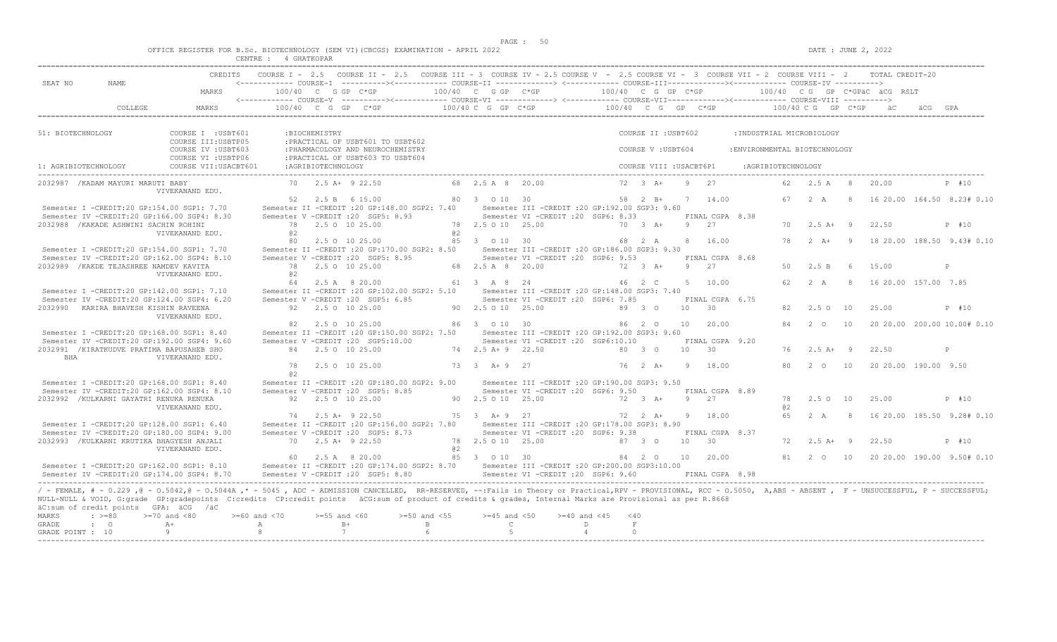|  |        |             |  | OFFICE REGISTER FOR B.Sc. BIOTECHNOLOGY (SEM VI)(CBCGS) EXAMINATION - APRIL 2022 |  |  |
|--|--------|-------------|--|----------------------------------------------------------------------------------|--|--|
|  | CENTRE | 4 GHATKOPAR |  |                                                                                  |  |  |

|                                  |                                         | <b>CREDITS</b>                                                                                                                                                                                                                                                     |                  |                  | COURSE I - 2.5 COURSE II - 2.5 COURSE III - 3 COURSE IV - 2.5 COURSE V - 2.5 COURSE VI - 3 COURSE VII - 2 COURSE VIII - 2 TOTAL CREDIT-20                                                                                                           |            |                       |                                                                                         |                 |                     |                 |                         |                               |                        |              |     |                        |                                               |
|----------------------------------|-----------------------------------------|--------------------------------------------------------------------------------------------------------------------------------------------------------------------------------------------------------------------------------------------------------------------|------------------|------------------|-----------------------------------------------------------------------------------------------------------------------------------------------------------------------------------------------------------------------------------------------------|------------|-----------------------|-----------------------------------------------------------------------------------------|-----------------|---------------------|-----------------|-------------------------|-------------------------------|------------------------|--------------|-----|------------------------|-----------------------------------------------|
| SEAT NO                          | NAME.                                   | MARKS                                                                                                                                                                                                                                                              |                  |                  | <------------ COURSE-T ----------><------------ COURSE-TT -------------> <------------ COURSE-TTT------------><------------ COURSE-TV ----------><br>$100/40$ C G GP C*GP $100/40$ C G GP C*GP $100/40$ C G GP C*GP $100/40$ C G GP C*GPäC äCG RSLT |            |                       |                                                                                         |                 |                     |                 |                         |                               |                        |              |     |                        |                                               |
|                                  |                                         |                                                                                                                                                                                                                                                                    |                  |                  |                                                                                                                                                                                                                                                     |            |                       |                                                                                         |                 |                     |                 |                         |                               |                        |              |     |                        |                                               |
| 51: BIOTECHNOLOGY                |                                         | COURSE I : USBT601<br>COURSE III: USBTP05                                                                                                                                                                                                                          |                  | :BIOCHEMISTRY    | : PRACTICAL OF USBT601 TO USBT602                                                                                                                                                                                                                   |            |                       |                                                                                         |                 | COURSE II : USBT602 |                 |                         | : INDUSTRIAL MICROBIOLOGY     |                        |              |     |                        |                                               |
|                                  |                                         | COURSE IV : USBT603<br>COURSE VI : USBTP06                                                                                                                                                                                                                         |                  |                  | : PHARMACOLOGY AND NEUROCHEMISTRY<br>: PRACTICAL OF USBT603 TO USBT604                                                                                                                                                                              |            |                       |                                                                                         |                 | COURSE V : USBT604  |                 |                         | : ENVIRONMENTAL BIOTECHNOLOGY |                        |              |     |                        |                                               |
| 1: AGRIBIOTECHNOLOGY             |                                         |                                                                                                                                                                                                                                                                    |                  |                  |                                                                                                                                                                                                                                                     |            |                       |                                                                                         |                 |                     |                 |                         |                               |                        |              |     |                        |                                               |
|                                  | 2032987 / KADAM MAYURI MARUTI BABY      | VIVEKANAND EDU.                                                                                                                                                                                                                                                    |                  |                  | 70 2.5 A+ 9 22.50                                                                                                                                                                                                                                   |            | 68 2.5 A 8 20.00      |                                                                                         |                 | $72 \t3 \tA+$       | $9 \t 27$       |                         |                               | 62 2.5 A               |              | 8   | 20.00                  | P #10                                         |
|                                  |                                         | Semester I -CREDIT:20 GP:154.00 SGP1: 7.70                                                                                                                                                                                                                         |                  |                  | 52 2.5 B 6 15.00<br>Semester II -CREDIT : 20 GP: 148.00 SGP2: 7.40                                                                                                                                                                                  |            | 80 3 0 10 30          | Semester III -CREDIT : 20 GP: 192.00 SGP3: 9.60                                         |                 | 58 2 B+             | 7 14.00         |                         |                               | 67 2 A                 |              | -8  |                        | 16 20.00 164.50 8.23# 0.10                    |
|                                  | 2032988 / KAKADE ASHWINI SACHIN ROHINI  | Semester IV -CREDIT:20 GP:166.00 SGP4: 8.30<br>VIVEKANAND EDU.                                                                                                                                                                                                     | 02               |                  | Semester V - CREDIT : 20 SGP5: 8.93<br>78 2.5 0 10 25.00                                                                                                                                                                                            | <b>Q</b> 2 | 78  2.5  0  10  25.00 | Semester VI -CREDIT : 20 SGP6: 8.33                                                     | 70 3 A+         |                     | 9 27            | FINAL CGPA 8.38         |                               | $70 \t 2.5 \t A+ \t 9$ |              |     | 22.50                  | P #10                                         |
|                                  |                                         | Semester I -CREDIT:20 GP:154.00 SGP1: 7.70                                                                                                                                                                                                                         |                  |                  | 80 2.5 0 10 25.00<br>Semester II -CREDIT : 20 GP:170.00 SGP2: 8.50                                                                                                                                                                                  |            | 85 3 0 10 30          | Semester III -CREDIT : 20 GP: 186.00 SGP3: 9.30                                         |                 | 68 2 A              |                 | 8 16.00                 |                               | 78                     |              |     |                        | 2 A+ 9 18 20.00 188.50 9.43# 0.10             |
|                                  | 2032989 / KAKDE TEJASHREE NAMDEV KAVITA | Semester IV -CREDIT:20 GP:162.00 SGP4: 8.10                                                                                                                                                                                                                        |                  |                  | Semester V -CREDIT : 20 SGP5: 8.95<br>78 2.5 0 10 25.00                                                                                                                                                                                             |            | 68 2.5 A 8 20.00      | Semester VI -CREDIT : 20 SGP6: 9.53                                                     |                 | $72 \t3 \tA+$       |                 | FINAL CGPA 8.68<br>9 27 |                               | 50                     | 2.5 B        | - 6 | 15.00                  | P                                             |
|                                  |                                         | VIVEKANAND EDU.<br>Semester I -CREDIT:20 GP:142.00 SGP1: 7.10                                                                                                                                                                                                      | 0.2              |                  | 64 2.5 A 8 20.00<br>Semester II -CREDIT :20 GP:102.00 SGP2: 5.10 Semester III -CREDIT :20 GP:148.00 SGP3: 7.40                                                                                                                                      |            | 61 3 A 8 24           |                                                                                         |                 | 46 2 C              |                 | 5 10.00                 |                               | $62 \t 2 \t A$         |              |     | 8 16 20 00 157 00 7.85 |                                               |
|                                  | 2032990 KARIRA BHAVESH KISHIN RAVEENA   | Semester IV -CREDIT:20 GP:124.00 SGP4: 6.20                                                                                                                                                                                                                        |                  |                  | Semester V -CREDIT : 20 SGP5: 6.85<br>92 2.5 0 10 25.00                                                                                                                                                                                             |            | 90 2.5 0 10 25.00     | Semester VI -CREDIT : 20 SGP6: 7.85                                                     |                 | 89 3 0              | 10 30           | FINAL CGPA 6.75         |                               | 82                     | 2.5010       |     | 25.00                  | P #10                                         |
|                                  |                                         | VIVEKANAND EDU.                                                                                                                                                                                                                                                    |                  |                  | 82  2.5  0  10  25.00<br>Semester II -CREDIT : 20 GP: 150.00 SGP2: 7.50                                                                                                                                                                             |            | 86 3 0 10 30          |                                                                                         | 86 2 0 10 20.00 |                     |                 |                         |                               | 84                     | $2\degree$ O | 10  |                        | 20 20.00 200.00 10.00# 0.10                   |
|                                  |                                         | Semester I -CREDIT:20 GP:168.00 SGP1: 8.40<br>Semester IV -CREDIT:20 GP:192.00 SGP4: 9.60<br>2032991 / KIRATKUDVE PRATIMA BAPUSAHEB SHO                                                                                                                            |                  |                  | Semester V -CREDIT : 20 SGP5:10.00<br>84 2.5 0 10 25.00                                                                                                                                                                                             |            | 74 2.5 A+ 9 22.50     | Semester III -CREDIT :20 GP:192.00 SGP3: 9.60<br>Semester VI -CREDIT :20 SGP6:10.10     |                 | 80 3 0              | 10 30           | FINAL CGPA 9.20         |                               | 76 2.5 A+ 9            |              |     | 22.50                  | P                                             |
| BHA                              |                                         | VIVEKANAND EDU.                                                                                                                                                                                                                                                    | 78               |                  | 2.5 0 10 25.00                                                                                                                                                                                                                                      |            | 73 3 A + 9 27         |                                                                                         |                 | 76 2 A+             | 9 18.00         |                         |                               | 80                     | 2 0 10       |     | 20 20.00 190.00 9.50   |                                               |
|                                  |                                         | Semester I -CREDIT:20 GP:168.00 SGP1: 8.40<br>Semester IV -CREDIT:20 GP:162.00 SGP4: 8.10                                                                                                                                                                          | a2               |                  | Semester II -CREDIT : 20 GP:180.00 SGP2: 9.00<br>Semester V -CREDIT : 20 SGP5: 8.85                                                                                                                                                                 |            |                       | Semester III - CREDIT : 20 GP: 190.00 SGP3: 9.50<br>Semester VI -CREDIT : 20 SGP6: 9.50 |                 |                     |                 | FINAL CGPA 8.89         |                               |                        |              |     |                        |                                               |
|                                  |                                         | 2032992 / KULKARNI GAYATRI RENUKA RENUKA<br>VIVEKANAND EDU.                                                                                                                                                                                                        |                  |                  | 92 2.5 0 10 25.00                                                                                                                                                                                                                                   |            | 90 2.5 0 10 25.00     |                                                                                         | 72 3 A+         |                     | 9 27            |                         |                               | 78<br>0.2              | 2.5 0 10     |     | 25.00                  | P #10                                         |
|                                  |                                         | Semester I -CREDIT:20 GP:128.00 SGP1: 6.40                                                                                                                                                                                                                         |                  |                  | 74 2.5 A+ 9 22.50<br>Semester II -CREDIT : 20 GP:156.00 SGP2: 7.80                                                                                                                                                                                  |            | 75 3 A + 9 27         | Semester III -CREDIT :20 GP:178.00 SGP3: 8.90                                           |                 | 72 2 A+             |                 | 9 18.00                 |                               | 65                     | 2A           | -8  |                        | 16 20.00 185.50 9.28# 0.10                    |
|                                  |                                         | Semester IV -CREDIT:20 GP:180.00 SGP4: 9.00<br>2032993 /KULKARNI KRUTIKA BHAGYESH ANJALI<br>VIVEKANAND EDU.                                                                                                                                                        |                  |                  | Semester V -CREDIT : 20 SGP5: 8.73<br>70 2.5 A+ 9 22.50                                                                                                                                                                                             | a2         | 78 2.5 0 10 25.00     | Semester VI - CREDIT : 20 SGP6: 9.38                                                    | 87 3 0          |                     | 10 30           | FINAL CGPA 8.37         |                               | 72                     | $2.5 A+ 9$   |     | 22.50                  | P #10                                         |
|                                  |                                         | Semester I -CREDIT:20 GP:162.00 SGP1: 8.10                                                                                                                                                                                                                         |                  |                  | 60 2.5 A 8 20.00<br>Semester II -CREDIT :20 GP:174.00 SGP2: 8.70 Semester III -CREDIT :20 GP:200.00 SGP3:10.00                                                                                                                                      |            | 85 3 0 10 30          |                                                                                         |                 | 84  2  0  10  20.00 |                 |                         |                               |                        |              |     |                        | 81  2  0  10  20  20  00  190  00  9.50  0.10 |
|                                  |                                         | Semester IV -CREDIT:20 GP:174.00 SGP4: 8.70<br>/ - FEMALE, # - 0.229, @ - 0.5042, @ - 0.5044A,* - 5045, ADC - ADMISSION CANCELLED, RR-RESERVED, --:Fails in Theory or Practical,RPV - PROVISIONAL, RCC - 0.5050, A,ABS - ABSENT, F - UNSUCCESSFUL, P - SUCCESSFUL; |                  |                  | Semester V -CREDIT : 20 SGP5: 8.80                                                                                                                                                                                                                  |            |                       | Semester VI -CREDIT : 20 SGP6: 9.60                                                     |                 |                     | FINAL CGPA 8.98 |                         |                               |                        |              |     |                        |                                               |
| <b>MARKS</b>                     | $: \; > = 80$                           | NULL-NULL & VOID, G:grade GP:gradepoints C:credits CP:credit points äCG:sum of product of credits & grades, Internal Marks are Provisional as per R.8668<br>äC:sum of credit points GPA: äCG /äC<br>$>=70$ and $<80$                                               | $>=60$ and $<70$ | $>=55$ and $<60$ | $>=50$ and $<55$                                                                                                                                                                                                                                    |            | $>=45$ and $<50$      | $>=40$ and $<45$                                                                        | < 40            |                     |                 |                         |                               |                        |              |     |                        |                                               |
| <b>GRADE</b><br>GRADE POINT : 10 | $\mathbf{C}$                            | $A +$<br>-9                                                                                                                                                                                                                                                        | A<br>-8          |                  | $B+$<br>B<br>7<br>6                                                                                                                                                                                                                                 |            | $\mathbb{C}$<br>$5 -$ | D.                                                                                      | $\overline{4}$  | F<br>$\Omega$       |                 |                         |                               |                        |              |     |                        |                                               |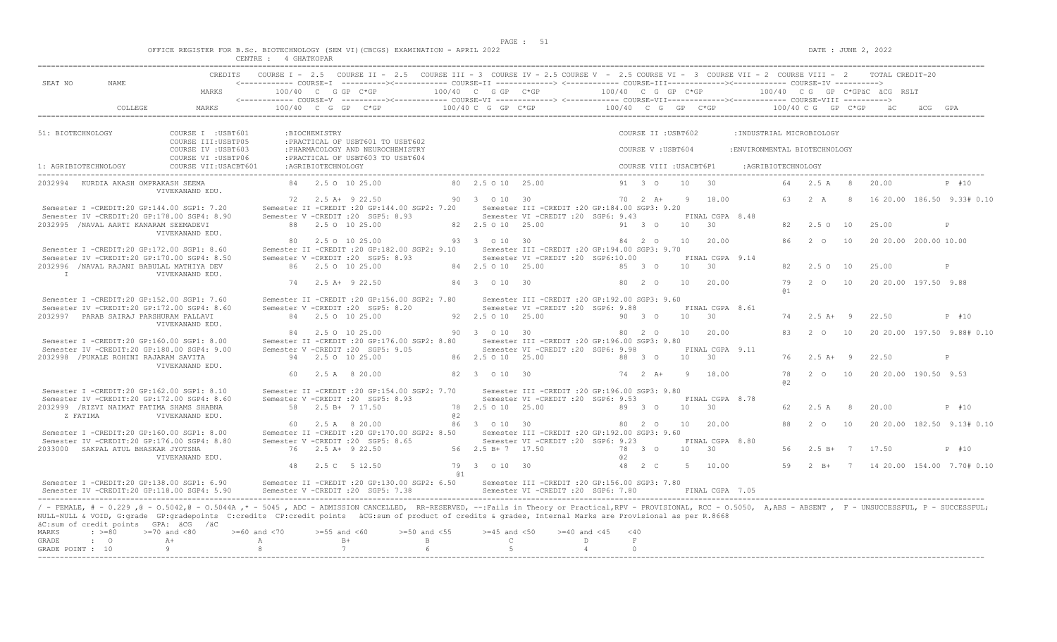$DATE: JUNE 2, 2022$ 

|  | OFFICE REGISTER FOR B.Sc. BIOTECHNOLOGY |                    |           |  | (SEM VI)(CBCGS) EXAMINATION - . | APRIL 2022 |  |
|--|-----------------------------------------|--------------------|-----------|--|---------------------------------|------------|--|
|  |                                         | CENTRE.<br>------- | GHATKOPAR |  |                                 |            |  |

| SEAT NO<br>NAME.                                                                                                                    | CREDITS COURSE I - 2.5 COURSE II - 2.5 COURSE III - 3 COURSE IV - 2.5 COURSE V - 2.5 COURSE VI - 3 COURSE VII - 2 COURSE VIII - 2 TOTAL CREDIT-20<br><------------ COURSE-T ----------><------------ COURSE-TT -------------> <------------- COURSE-TTT-------------><------------ COURSE-TV ---------->                                                                                                                                                                                        |                                                                                                                   |                                                      |                                                                                                                                                                                                                      |
|-------------------------------------------------------------------------------------------------------------------------------------|-------------------------------------------------------------------------------------------------------------------------------------------------------------------------------------------------------------------------------------------------------------------------------------------------------------------------------------------------------------------------------------------------------------------------------------------------------------------------------------------------|-------------------------------------------------------------------------------------------------------------------|------------------------------------------------------|----------------------------------------------------------------------------------------------------------------------------------------------------------------------------------------------------------------------|
| MARKS                                                                                                                               | $100/40 \t C \t G \t G \t F \t C*GP \t 100/40 \t C \t G \t G \t F \t 100/40 \t C \t G \t G \t F \t 100/40 \t C \t G \t G \t F \t 100/40 \t C \t G \t G \t F \t 100/40 \t C \t G \t G \t F \t 100/40 \t C \t G \t G \t F \t 100/40 \t C \t G \t G \t F \t 100/40 \t C \t G \t G \t F \t 100/40 \t C \t G \t G \t F \t 100/4$                                                                                                                                                                     |                                                                                                                   |                                                      |                                                                                                                                                                                                                      |
| COLLEGE<br>MARKS                                                                                                                    | $100/40 \quad C \quad G \quad GP \qquad C \star GP \qquad 100/40 \quad C \quad G \quad GP \qquad 100/40 \quad C \quad G \quad GP \qquad C \star GP \qquad 100/40 \quad C \quad G \quad P \quad C \star GP \qquad 100/40 \quad C \quad G \quad P \quad C \star GP \qquad 100/40 \quad C \quad F \quad C \star GP \quad 100/40 \quad C \quad F \quad C \star GP \quad 100/40 \quad C \quad F \quad C \star GP \quad 100/40 \quad C \quad F \quad C \star CP \quad 100/40 \quad C \quad F \quad C$ |                                                                                                                   |                                                      |                                                                                                                                                                                                                      |
| 51: BIOTECHNOLOGY<br>COURSE I : USBT601                                                                                             | :BIOCHEMISTRY                                                                                                                                                                                                                                                                                                                                                                                                                                                                                   |                                                                                                                   | COURSE II : USBT602                                  | : INDUSTRIAL MICROBIOLOGY                                                                                                                                                                                            |
| COURSE III: USBTP05<br>COURSE IV : USBT603<br>COURSE VI : USBTP06                                                                   | : PRACTICAL OF USBT601 TO USBT602<br>: PHARMACOLOGY AND NEUROCHEMISTRY<br>:PRACTICAL OF USBT603 TO USBT604                                                                                                                                                                                                                                                                                                                                                                                      |                                                                                                                   | COURSE V: USBT604                                    | : ENVIRONMENTAL BIOTECHNOLOGY                                                                                                                                                                                        |
| COURSE VII: USACBT601<br>1: AGRIBIOTECHNOLOGY                                                                                       | : AGRIBIOTECHNOLOGY                                                                                                                                                                                                                                                                                                                                                                                                                                                                             |                                                                                                                   | COURSE VIII : USACBT6P1                              | : AGRIBIOTECHNOLOGY                                                                                                                                                                                                  |
| 2032994 KURDIA AKASH OMPRAKASH SEEMA<br>VIVEKANAND EDU.                                                                             | 84 2.5 0 10 25.00                                                                                                                                                                                                                                                                                                                                                                                                                                                                               | 80 2.5 0 10 25.00                                                                                                 | 91 3 0 10 30                                         | 64  2.5  A   8  20.00<br>P #10                                                                                                                                                                                       |
| Semester I -CREDIT:20 GP:144.00 SGP1: 7.20                                                                                          | 72 2.5 A+ 9 22.50<br>Semester II -CREDIT :20 GP:144.00 SGP2: 7.20 Semester III -CREDIT :20 GP:184.00 SGP3: 9.20                                                                                                                                                                                                                                                                                                                                                                                 | 90 3 0 10 30                                                                                                      | 70  2  A+  9  18.00                                  | 63  2  A  8<br>16 20.00 186.50 9.33# 0.10                                                                                                                                                                            |
| Semester IV -CREDIT:20 GP:178.00 SGP4: 8.90<br>2032995 /NAVAL AARTI KANARAM SEEMADEVI<br>VIVEKANAND EDU.                            | Semester V - CREDIT : 20 SGP5: 8.93<br>88 2.5 0 10 25.00                                                                                                                                                                                                                                                                                                                                                                                                                                        | Semester VI -CREDIT : 20 SGP6: 9.43<br>82  2.5  0  10  25.00                                                      | FINAL CGPA 8.48<br>10 30<br>91 3 0                   | 82 2.5 0 10<br>25.00<br>P                                                                                                                                                                                            |
| Semester I -CREDIT:20 GP:172.00 SGP1: 8.60                                                                                          | 80 2.5 0 10 25.00<br>Semester II -CREDIT :20 GP:182.00 SGP2: 9.10 Semester III -CREDIT :20 GP:194.00 SGP3: 9.70                                                                                                                                                                                                                                                                                                                                                                                 | 93 3 0 10 30                                                                                                      | 84  2  0  10  20.00                                  | 86 2 0 10<br>20 20.00 200.00 10.00                                                                                                                                                                                   |
| Semester IV -CREDIT:20 GP:170.00 SGP4: 8.50<br>2032996 /NAVAL RAJANI BABULAL MATHIYA DEV                                            | Semester V - CREDIT : 20 SGP5: 8.93<br>86 2.5 0 10 25.00                                                                                                                                                                                                                                                                                                                                                                                                                                        | Semester VI -CREDIT : 20 SGP6:10.00<br>84  2.5  0  10  25.00  85  3  0                                            | FINAL CGPA 9.14<br>10 30                             | 82 2.5 0 10<br>25.00<br>P                                                                                                                                                                                            |
| VIVEKANAND EDU.<br>$\mathbb{I}$                                                                                                     | 74 2.5 A+ 9 22.50                                                                                                                                                                                                                                                                                                                                                                                                                                                                               | 84 3 0 10 30                                                                                                      |                                                      | 79   2   0   10   20   20   00   197.50   9.88<br>61                                                                                                                                                                 |
| Semester I -CREDIT:20 GP:152.00 SGP1: 7.60<br>Semester IV -CREDIT:20 GP:172.00 SGP4: 8.60<br>2032997 PARAB SAIRAJ PARSHURAM PALLAVI | Semester II -CREDIT : 20 GP: 156.00 SGP2: 7.80<br>Semester V -CREDIT : 20 SGP5: 8.20<br>84 2.5 0 10 25.00                                                                                                                                                                                                                                                                                                                                                                                       | Semester III - CREDIT : 20 GP: 192.00 SGP3: 9.60<br>Semester VI - CREDIT : 20 SGP6: 9.88<br>92  2.5  0  10  25.00 | FINAL CGPA 8.61<br>5 90 3 0<br>10 30                 | 74<br>$2.5A+9$<br>22.50<br>P #10                                                                                                                                                                                     |
| VIVEKANAND EDU.                                                                                                                     | 84 2.5 0 10 25.00                                                                                                                                                                                                                                                                                                                                                                                                                                                                               | 90 3 0 10 30                                                                                                      | 80  2  0  10  20.00                                  | 83<br>2 0 10<br>20 20 00 197.50 9.88# 0.10                                                                                                                                                                           |
| Semester I -CREDIT:20 GP:160.00 SGP1: 8.00<br>Semester IV -CREDIT:20 GP:180.00 SGP4: 9.00                                           | Semester II -CREDIT : 20 GP: 176.00 SGP2: 8.80<br>Semester V -CREDIT : 20 SGP5: 9.05                                                                                                                                                                                                                                                                                                                                                                                                            | Semester III - CREDIT : 20 GP: 196.00 SGP3: 9.80<br>Semester VI -CREDIT : 20 SGP6: 9.98                           | FINAL CGPA 9.11                                      |                                                                                                                                                                                                                      |
| 2032998 / PUKALE ROHINI RAJARAM SAVITA<br>VIVEKANAND EDU.                                                                           | 94 2.5 0 10 25.00                                                                                                                                                                                                                                                                                                                                                                                                                                                                               |                                                                                                                   | 86  2.5  0  10  25.00  88  3  0  10  30              | $76$ $2.5$ $\text{A}+$ 9<br>22.50<br>P                                                                                                                                                                               |
| Semester I -CREDIT:20 GP:162.00 SGP1: 8.10                                                                                          | 60 2.5 A 8 20.00<br>Semester II -CREDIT : 20 GP: 154.00 SGP2: 7.70                                                                                                                                                                                                                                                                                                                                                                                                                              | 82 3 0 10 30<br>Semester III - CREDIT : 20 GP: 196.00 SGP3: 9.80                                                  | 74 2 A+ 9 18.00                                      | 78<br>2 0 10 20 20 00 190 50 9 53<br>a2                                                                                                                                                                              |
| Semester IV -CREDIT:20 GP:172.00 SGP4: 8.60<br>2032999 /RIZVI NAIMAT FATIMA SHAMS SHABNA                                            | Semester V -CREDIT : 20 SGP5: 8.93<br>58 2.5 B+ 7 17.50                                                                                                                                                                                                                                                                                                                                                                                                                                         | Semester VI - CREDIT : 20 SGP6: 9.53<br>78  2.5  0  10  25.00                                                     | FINAL CGPA 8.78<br>89 3 0 10 30                      | 2.5 A 8<br>P #10<br>62<br>20.00                                                                                                                                                                                      |
| Z FATIMA<br>VIVEKANAND EDU.<br>Semester I -CREDIT:20 GP:160.00 SGP1: 8.00                                                           | @ 2<br>60 2.5 A 8 20.00<br>Semester II -CREDIT :20 GP:170.00 SGP2: 8.50 Semester III -CREDIT :20 GP:192.00 SGP3: 9.60                                                                                                                                                                                                                                                                                                                                                                           | 86 3 0 10 30                                                                                                      | 80  2  0  10  20.00                                  | 88<br>2 0 10<br>20 20.00 182.50 9.13# 0.10                                                                                                                                                                           |
| Semester IV -CREDIT:20 GP:176.00 SGP4: 8.80<br>2033000 SAKPAL ATUL BHASKAR JYOTSNA                                                  | Semester V -CREDIT : 20 SGP5: 8.65<br>76 2.5 A+ 9 22.50                                                                                                                                                                                                                                                                                                                                                                                                                                         | Semester VI -CREDIT : 20 SGP6: 9.23<br>$56$ $2.5 B+7$ 17.50                                                       | FINAL CGPA 8.80<br>10 30<br>78 3 0                   | 2.5 B+ 7 17.50<br>P #10<br>56                                                                                                                                                                                        |
| VIVEKANAND EDU.                                                                                                                     | 48<br>2.5 C 5 12.50                                                                                                                                                                                                                                                                                                                                                                                                                                                                             | 79 3 0 10 30<br>01                                                                                                | a2<br>48 2 C 5 10.00                                 | 59   2   B+   7   14   20.00   154.00   7.70#  0.10                                                                                                                                                                  |
| Semester I -CREDIT:20 GP:138.00 SGP1: 6.90                                                                                          | Semester II -CREDIT :20 GP:130.00 SGP2: 6.50 Semester III -CREDIT :20 GP:156.00 SGP3: 7.80<br>Semester V -CREDIT : 20 SGP5: 7.38                                                                                                                                                                                                                                                                                                                                                                |                                                                                                                   |                                                      |                                                                                                                                                                                                                      |
| äC:sum of credit points GPA: äCG /äC<br>MARKS<br>$: >=80$<br>$>=70$ and $<80$<br>GRADE<br>$\cdot$ 0<br>$A+$                         | NULL-NULL & VOID, G:grade GP:gradepoints C:credits CP:credit points äCG:sum of product of credits & grades, Internal Marks are Provisional as per R.8668<br>$>=60$ and $<70$<br>$>=55$ and $<60$<br>$>=50$ and $<55$<br>A<br>$B+$<br>$\mathbf{B}$                                                                                                                                                                                                                                               | $>=45$ and $<50$<br>$\overline{C}$                                                                                | $>=40$ and $<45$ $<40$<br>$D \sim 1$<br>$\mathbf{F}$ | / - FEMALE, # - 0.229, @ - 0.5042, @ - 0.5044A, * - 5045, ADC - ADMISSION CANCELLED, RR-RESERVED, --:Fails in Theory or Practical,RPV - PROVISIONAL, RCC - 0.5050, A,ABS - ABSENT, F - UNSUCCESSFUL, P - SUCCESSFUL; |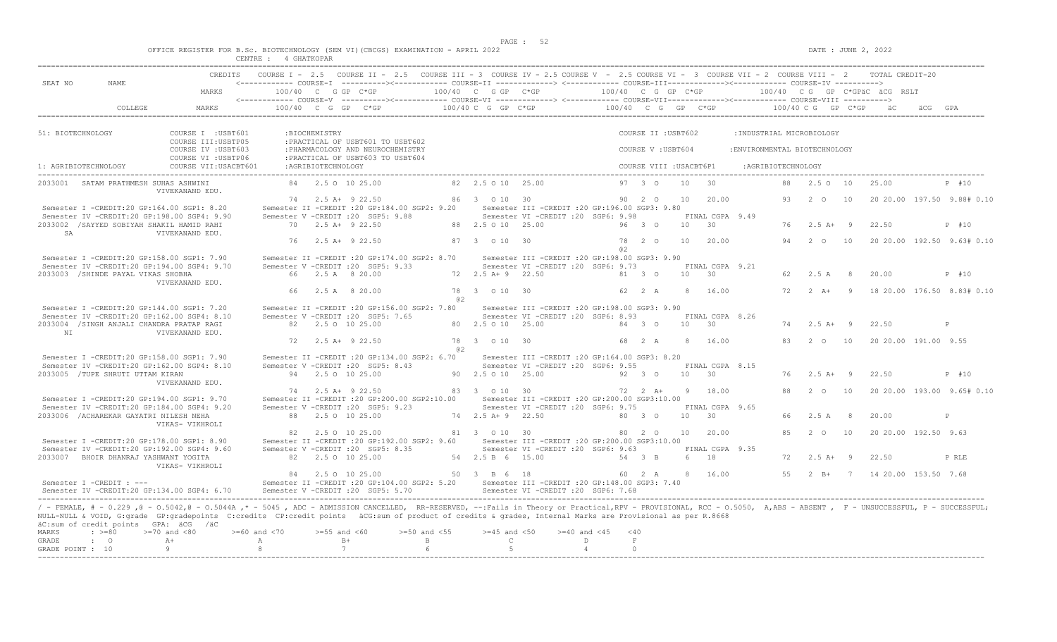|  |  |        |             |  | OFFICE REGISTER FOR B.Sc. BIOTECHNOLOGY (SEM VI)(CBCGS) EXAMINATION - APRIL 2022 |  |  |
|--|--|--------|-------------|--|----------------------------------------------------------------------------------|--|--|
|  |  | CENTRE | 4 GHATKOPAR |  |                                                                                  |  |  |

| SEAT NO<br>NAME.                                                                                                                                                                                                                                                                                                                                                                                                         |                                            |                         |                    |                                                                        |                                                      |                                   | CREDITS COURSE I - 2.5 COURSE II - 2.5 COURSE III - 3 COURSE IV - 2.5 COURSE V - 2.5 COURSE VI - 3 COURSE VII - 2 COURSE VIII - 2 TOTAL CREDIT-20<br><------------ COURSE-I ----------><----------- COURSE-II --------------> <------------ COURSE-III------------><------------> COURSE-IV ---------->                                                                                                                                                                                           |                |                         |               |                             |                               |                    |                    |                |                                |                                     |
|--------------------------------------------------------------------------------------------------------------------------------------------------------------------------------------------------------------------------------------------------------------------------------------------------------------------------------------------------------------------------------------------------------------------------|--------------------------------------------|-------------------------|--------------------|------------------------------------------------------------------------|------------------------------------------------------|-----------------------------------|---------------------------------------------------------------------------------------------------------------------------------------------------------------------------------------------------------------------------------------------------------------------------------------------------------------------------------------------------------------------------------------------------------------------------------------------------------------------------------------------------|----------------|-------------------------|---------------|-----------------------------|-------------------------------|--------------------|--------------------|----------------|--------------------------------|-------------------------------------|
|                                                                                                                                                                                                                                                                                                                                                                                                                          | MARKS                                      |                         |                    | $100/40$ C G GP C*GP                                                   |                                                      |                                   | 100/40 C G GP C*GP $100/40$ C G GP C*GP $100/40$ C G GP C*GPäC äCG RSLT<br><------------ COURSE-V ----------><----------- COURSE-VI --------------> <------------ COURSE-VIII------------> COURSE-VIII ---------->                                                                                                                                                                                                                                                                                |                |                         |               |                             |                               |                    |                    |                |                                |                                     |
| COLLEGE                                                                                                                                                                                                                                                                                                                                                                                                                  | MARKS                                      |                         |                    |                                                                        |                                                      |                                   | $100/40 \quad C \quad G \quad GP \qquad C \star GP \qquad \qquad 100/40 \quad C \quad G \quad P \quad C \star GP \qquad \qquad 100/40 \quad C \quad G \quad GP \qquad \qquad 100/40 \quad C \quad G \quad P \quad C \star GP \qquad \qquad 100/40 \quad C \quad G \quad P \quad C \star GP \qquad \qquad 100/40 \quad C \quad F \quad C \star GP \quad \qquad 100/40 \quad C \quad F \quad C \star CP \quad \qquad 100/40 \quad C \quad F \quad C \star CP \quad \qquad 100/40 \quad C \quad F \$ |                |                         |               |                             |                               |                    |                    |                |                                |                                     |
| 51: BIOTECHNOLOGY                                                                                                                                                                                                                                                                                                                                                                                                        | COURSE I : USBT601<br>COURSE III: USBTP05  |                         | :BIOCHEMISTRY      | : PRACTICAL OF USBT601 TO USBT602                                      |                                                      |                                   |                                                                                                                                                                                                                                                                                                                                                                                                                                                                                                   |                | COURSE II : USBT602     |               |                             | : INDUSTRIAL MICROBIOLOGY     |                    |                    |                |                                |                                     |
|                                                                                                                                                                                                                                                                                                                                                                                                                          | COURSE IV : USBT603<br>COURSE VI : USBTP06 |                         |                    | : PHARMACOLOGY AND NEUROCHEMISTRY<br>: PRACTICAL OF USBT603 TO USBT604 |                                                      |                                   |                                                                                                                                                                                                                                                                                                                                                                                                                                                                                                   |                | COURSE V: USBT604       |               |                             | : ENVIRONMENTAL BIOTECHNOLOGY |                    |                    |                |                                |                                     |
| 1: AGRIBIOTECHNOLOGY                                                                                                                                                                                                                                                                                                                                                                                                     | COURSE VII: USACBT601                      |                         | :AGRIBIOTECHNOLOGY |                                                                        |                                                      |                                   |                                                                                                                                                                                                                                                                                                                                                                                                                                                                                                   |                | COURSE VIII : USACBT6P1 |               |                             |                               | :AGRIBIOTECHNOLOGY |                    |                |                                |                                     |
| 2033001 SATAM PRATHMESH SUHAS ASHWINI                                                                                                                                                                                                                                                                                                                                                                                    | VIVEKANAND EDU.                            |                         |                    | 84 2.5 0 10 25.00                                                      |                                                      | 82  2.5  0  10  25.00             |                                                                                                                                                                                                                                                                                                                                                                                                                                                                                                   |                | 97 3 0                  |               | 10 30                       |                               |                    | 88 2.5 0 10        |                | 25.00                          | $P$ #10                             |
| Semester I -CREDIT:20 GP:164.00 SGP1: 8.20                                                                                                                                                                                                                                                                                                                                                                               |                                            |                         |                    | 74 2.5 A + 9 22.50                                                     | Semester II -CREDIT : 20 GP:184.00 SGP2: 9.20        | 86 3 0 10 30                      | Semester III - CREDIT : 20 GP: 196.00 SGP3: 9.80                                                                                                                                                                                                                                                                                                                                                                                                                                                  |                | 90 2 0                  | 10            | 20.00                       |                               | 93                 | 2 O                | 10             |                                | 20 20.00 197.50 9.88# 0.10          |
| Semester IV -CREDIT:20 GP:198.00 SGP4: 9.90<br>2033002 /SAYYED SOBIYAH SHAKIL HAMID RAHI                                                                                                                                                                                                                                                                                                                                 |                                            |                         |                    | Semester V -CREDIT : 20 SGP5: 9.88<br>70 2.5 A+ 9 22.50                |                                                      | 88 2.5 0 10 25.00                 | Semester VI - CREDIT : 20 SGP6: 9.98                                                                                                                                                                                                                                                                                                                                                                                                                                                              |                | 96 3 0                  | 10            | FINAL CGPA 9.49<br>30       |                               |                    | 76 2.5 A+ 9        |                | 22.50                          | P #10                               |
| SA                                                                                                                                                                                                                                                                                                                                                                                                                       | VIVEKANAND EDU.                            | 76                      |                    | $2.5$ A+ 9 22.50                                                       |                                                      | 87 3 0 10 30                      |                                                                                                                                                                                                                                                                                                                                                                                                                                                                                                   | a2             | 78 2 0                  | 10            | 20.00                       |                               | 94                 | $2\degree$ 0       | 10             |                                | 20 20.00 192.50 9.63# 0.10          |
| Semester I -CREDIT:20 GP:158.00 SGP1: 7.90<br>Semester IV -CREDIT:20 GP:194.00 SGP4: 9.70                                                                                                                                                                                                                                                                                                                                |                                            |                         |                    | Semester V -CREDIT : 20 SGP5: 9.33                                     | Semester II -CREDIT : 20 GP: 174.00 SGP2: 8.70       |                                   | Semester III -CREDIT : 20 GP: 198.00 SGP3: 9.90<br>Semester VI -CREDIT : 20 SGP6: 9.73                                                                                                                                                                                                                                                                                                                                                                                                            |                |                         |               | FINAL CGPA 9.21             |                               |                    |                    |                |                                |                                     |
| 2033003 / SHINDE PAYAL VIKAS SHOBHA                                                                                                                                                                                                                                                                                                                                                                                      | VIVEKANAND EDU.                            |                         |                    | 66 2.5 A 8 20.00                                                       |                                                      | 72 2.5 A+ 9 22.50                 |                                                                                                                                                                                                                                                                                                                                                                                                                                                                                                   |                | 81 3 0                  |               | 10 30                       |                               | 62                 | 2.5 A              | $_{\rm 8}$     | 20.00                          | P #10                               |
|                                                                                                                                                                                                                                                                                                                                                                                                                          |                                            |                         |                    | 66 2.5 A 8 20.00                                                       | 82.                                                  | 78 3 0 10 30                      |                                                                                                                                                                                                                                                                                                                                                                                                                                                                                                   |                | 62 2 A                  | 8             | 16.00                       |                               | 72                 | $2 \overline{A}$ + | $\overline{9}$ |                                | 18 20.00 176.50 8.83# 0.10          |
| Semester I -CREDIT:20 GP:144.00 SGP1: 7.20<br>Semester IV -CREDIT:20 GP:162.00 SGP4: 8.10<br>2033004 /SINGH ANJALI CHANDRA PRATAP RAGI                                                                                                                                                                                                                                                                                   |                                            |                         |                    | Semester V -CREDIT : 20 SGP5: 7.65<br>82 2.5 0 10 25.00                | Semester II -CREDIT : 20 GP:156.00 SGP2: 7.80        | 80 2.5 0 10 25.00                 | Semester III -CREDIT :20 GP:198.00 SGP3: 9.90<br>Semester VI - CREDIT : 20 SGP6: 8.93                                                                                                                                                                                                                                                                                                                                                                                                             |                | 84 3 0                  |               | FINAL CGPA 8.26<br>10 30    |                               |                    | $74$ 2.5 A+ 9      |                | 22.50                          | P                                   |
| NT                                                                                                                                                                                                                                                                                                                                                                                                                       | VIVEKANAND EDU.                            | 72                      |                    | 2.5 A+ 9 22.50                                                         |                                                      | 78 3 0 10 30                      |                                                                                                                                                                                                                                                                                                                                                                                                                                                                                                   |                | 68 2 A                  | $\mathcal{R}$ | 16.00                       |                               | 83                 | 2 O                | 10             | 20 20.00 191.00 9.55           |                                     |
| Semester I -CREDIT:20 GP:158.00 SGP1: 7.90<br>Semester IV -CREDIT:20 GP:162.00 SGP4: 8.10                                                                                                                                                                                                                                                                                                                                |                                            |                         |                    | Semester V - CREDIT : 20 SGP5: 8.43                                    | @ 2<br>Semester II -CREDIT : 20 GP:134.00 SGP2: 6.70 |                                   | Semester III -CREDIT :20 GP:164.00 SGP3: 8.20<br>Semester VI -CREDIT : 20 SGP6: 9.55                                                                                                                                                                                                                                                                                                                                                                                                              |                |                         |               | FINAL CGPA 8.15             |                               |                    |                    |                |                                |                                     |
| 2033005 /TUPE SHRUTI UTTAM KIRAN                                                                                                                                                                                                                                                                                                                                                                                         | VIVEKANAND EDU.                            |                         |                    | 94 2.5 0 10 25.00<br>74 2.5 A+ 9 22.50                                 |                                                      | 90 2.5 0 10 25.00<br>83 3 0 10 30 |                                                                                                                                                                                                                                                                                                                                                                                                                                                                                                   |                | 92 3 0<br>72 2 A+       |               | 10 30<br>9 18.00            |                               | 76<br>88           | $2.5$ A+ 9<br>2 0  | 10             | 22.50                          | P #10<br>20 20.00 193.00 9.65# 0.10 |
| Semester I -CREDIT:20 GP:194.00 SGP1: 9.70<br>Semester IV -CREDIT:20 GP:184.00 SGP4: 9.20                                                                                                                                                                                                                                                                                                                                |                                            |                         |                    | Semester V -CREDIT : 20 SGP5: 9.23                                     | Semester II -CREDIT : 20 GP: 200.00 SGP2: 10.00      |                                   | Semester III -CREDIT : 20 GP: 200.00 SGP3: 10.00<br>Semester VI -CREDIT : 20 SGP6: 9.75                                                                                                                                                                                                                                                                                                                                                                                                           |                |                         |               | FINAL CGPA 9.65             |                               |                    |                    |                |                                |                                     |
| 2033006 / ACHAREKAR GAYATRI NILESH NEHA                                                                                                                                                                                                                                                                                                                                                                                  | VIKAS- VIKHROLI                            |                         |                    | 88 2.5 0 10 25.00                                                      |                                                      | 74 2.5 A + 9 22.50                |                                                                                                                                                                                                                                                                                                                                                                                                                                                                                                   |                | 80 3 0                  |               | $10 \t 30$                  |                               | 66                 | 2.5 A 8            |                | 20.00                          | P                                   |
| Semester I -CREDIT:20 GP:178.00 SGP1: 8.90<br>Semester IV -CREDIT:20 GP:192.00 SGP4: 9.60                                                                                                                                                                                                                                                                                                                                |                                            |                         |                    | 82 2.5 0 10 25.00<br>Semester V -CREDIT : 20 SGP5: 8.35                | Semester II -CREDIT : 20 GP: 192.00 SGP2: 9.60       | 81 3 0 10 30                      | Semester III -CREDIT :20 GP:200.00 SGP3:10.00<br>Semester VI -CREDIT : 20 SGP6: 9.63                                                                                                                                                                                                                                                                                                                                                                                                              |                | 80 2 0                  |               | 10 20.00<br>FINAL CGPA 9.35 |                               | 85                 | $2^{\circ}$ 0      | 10             | 20 20.00 192.50 9.63           |                                     |
| 2033007 BHOIR DHANRAJ YASHWANT YOGITA                                                                                                                                                                                                                                                                                                                                                                                    | VIKAS- VIKHROLI                            |                         |                    | 82 2.5 0 10 25.00                                                      |                                                      | 54 2.5 B 6 15.00                  |                                                                                                                                                                                                                                                                                                                                                                                                                                                                                                   |                | 54 3 B                  |               | 6 18                        |                               | 72                 | $2.5 A+ 9$         |                | 22.50                          | P RLE                               |
| Semester I -CREDIT : ---<br>Semester IV -CREDIT:20 GP:134.00 SGP4: 6.70                                                                                                                                                                                                                                                                                                                                                  |                                            |                         |                    | 84 2.5 0 10 25.00<br>Semester V -CREDIT : 20 SGP5: 5.70                |                                                      | 50 3 B 6 18                       | Semester II -CREDIT :20 GP:104.00 SGP2: 5.20 Semester III -CREDIT :20 GP:148.00 SGP3: 7.40<br>Semester VI -CREDIT :20 SGP6: 7.68                                                                                                                                                                                                                                                                                                                                                                  |                | 60  2  A  8  16.00      |               |                             |                               |                    |                    |                | 55 2 B+ 7 14 20.00 153.50 7.68 |                                     |
| / - FEMALE, # - 0.229, @ - 0.5042, @ - 0.5044A, * - 5045, ADC - ADMISSION CANCELLED, RR-RESERVED, --:Fails in Theory or Practical,RPV - PROVISIONAL, RCC - 0.5050, A,ABS - ABSENT, F - UNSUCCESSFUL, P - SUCCESSFUL,<br>NULL-NULL & VOID, G:grade GP:gradepoints C:credits CP:credit points äCG:sum of product of credits & grades, Internal Marks are Provisional as per R.8668<br>äC:sum of credit points GPA: äCG /äC |                                            |                         |                    |                                                                        |                                                      |                                   |                                                                                                                                                                                                                                                                                                                                                                                                                                                                                                   |                |                         |               |                             |                               |                    |                    |                |                                |                                     |
| MARKS<br>$: >=80$<br>GRADE<br>$\cdot$ 0                                                                                                                                                                                                                                                                                                                                                                                  | $>=70$ and $<80$<br>$\mathbb{A} +$         | $>= 60$ and $< 70$<br>A | $>=55$ and $<60$   | $B+$                                                                   | $>=50$ and $<55$<br>$\mathbb{R}$                     | $>=45$ and $<50$<br>$\mathbb{C}$  | $>= 40$ and $< 45$                                                                                                                                                                                                                                                                                                                                                                                                                                                                                | < 40<br>D.     | F                       |               |                             |                               |                    |                    |                |                                |                                     |
| GRADE POINT : 10                                                                                                                                                                                                                                                                                                                                                                                                         | -9                                         | 8                       |                    | 7                                                                      | 6                                                    | -5                                |                                                                                                                                                                                                                                                                                                                                                                                                                                                                                                   | $\overline{4}$ | $\Omega$                |               |                             |                               |                    |                    |                |                                |                                     |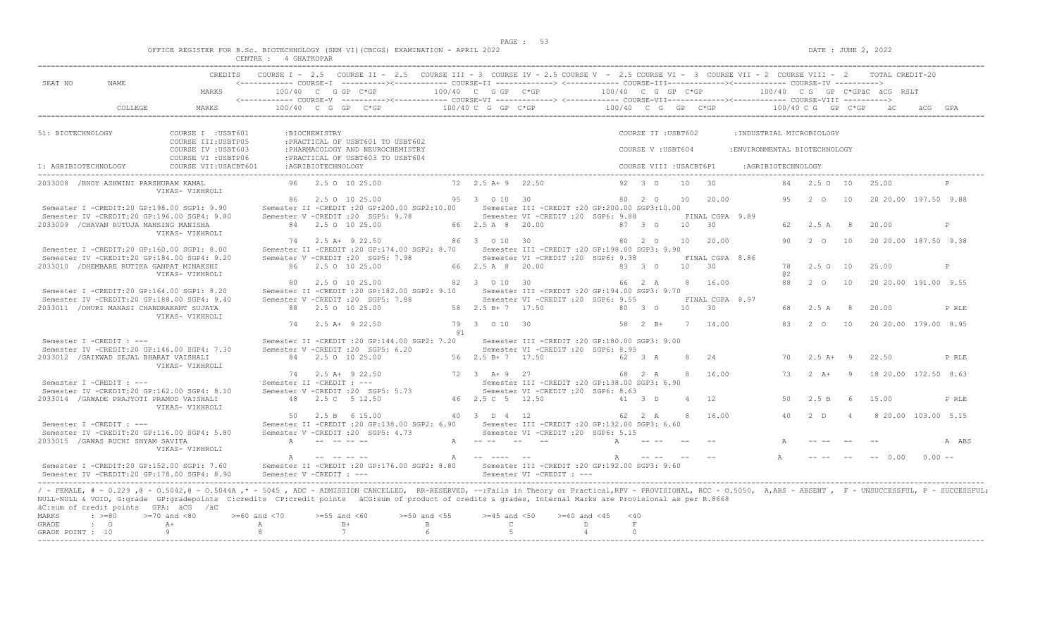|  |  |        |             |  | OFFICE REGISTER FOR B.Sc. BIOTECHNOLOGY (SEM VI)(CBCGS) EXAMINATION - APRIL 2022 |  |  |
|--|--|--------|-------------|--|----------------------------------------------------------------------------------|--|--|
|  |  | CENTRE | ' GHATKOPAR |  |                                                                                  |  |  |

|                                                                                                                                                                                                                                                       | CREDITS COURSE I - 2.5 COURSE II - 2.5 COURSE III - 3 COURSE IV - 2.5 COURSE V - 2.5 COURSE VI - 3 COURSE VII - 2 COURSE VIII - 2 TOTAL CREDIT-20 |                                                                                                   |                                                    |                                                                                                                                                                                                                     |
|-------------------------------------------------------------------------------------------------------------------------------------------------------------------------------------------------------------------------------------------------------|---------------------------------------------------------------------------------------------------------------------------------------------------|---------------------------------------------------------------------------------------------------|----------------------------------------------------|---------------------------------------------------------------------------------------------------------------------------------------------------------------------------------------------------------------------|
| SEAT NO<br>NAME.                                                                                                                                                                                                                                      |                                                                                                                                                   |                                                                                                   |                                                    |                                                                                                                                                                                                                     |
| MARKS                                                                                                                                                                                                                                                 |                                                                                                                                                   |                                                                                                   |                                                    |                                                                                                                                                                                                                     |
|                                                                                                                                                                                                                                                       |                                                                                                                                                   |                                                                                                   |                                                    |                                                                                                                                                                                                                     |
| 51: BIOTECHNOLOGY<br>COURSE I : USBT601                                                                                                                                                                                                               | :BIOCHEMISTRY                                                                                                                                     |                                                                                                   | COURSE II : USBT602                                | :INDUSTRIAL MICROBIOLOGY                                                                                                                                                                                            |
| COURSE III: USBTP05<br>COURSE IV : USBT603<br>COURSE VI : USBTP06                                                                                                                                                                                     | : PRACTICAL OF USBT601 TO USBT602<br>: PHARMACOLOGY AND NEUROCHEMISTRY<br>: PRACTICAL OF USBT603 TO USBT604                                       |                                                                                                   | COURSE V: USBT604                                  | :ENVIRONMENTAL BIOTECHNOLOGY                                                                                                                                                                                        |
| COURSE VII: USACBT601<br>1: AGRIBIOTECHNOLOGY                                                                                                                                                                                                         | : AGRIBIOTECHNOLOGY                                                                                                                               |                                                                                                   | COURSE VIII : USACBT6P1                            | :AGRIBIOTECHNOLOGY                                                                                                                                                                                                  |
| 2033008 / BHOY ASHWINI PARSHURAM KAMAL<br>VIKAS- VIKHROLI                                                                                                                                                                                             | 96 2.5 0 10 25.00                                                                                                                                 | $72, 2.5$ $\overline{A} + 9$ $22.50$                                                              | $10 \t 30$<br>$92 \t3 \t0$                         | 84  2.5  0  10<br>25.00                                                                                                                                                                                             |
| Semester I -CREDIT:20 GP:198.00 SGP1: 9.90                                                                                                                                                                                                            | 86 2.5 0 10 25.00<br>Semester II -CREDIT : 20 GP: 200.00 SGP2: 10.00                                                                              | 95 3 0 10 30<br>Semester III - CREDIT : 20 GP: 200.00 SGP3: 10.00                                 | 20.00<br>80 2 0<br>10                              | 9.5<br>$2^{\circ}$<br>10<br>20 20 00 197.50 9.88                                                                                                                                                                    |
| Semester IV -CREDIT:20 GP:196.00 SGP4: 9.80<br>2033009 / CHAVAN RUTUJA MANSING MANISHA<br>VIKAS- VIKHROLI                                                                                                                                             | Semester V - CREDIT : 20 SGP5: 9.78<br>84 2.5 0 10 25.00                                                                                          | Semester VI -CREDIT : 20 SGP6: 9.88<br>66 2.5 A 8 20.00                                           | FINAL CGPA 9.89<br>10 30<br>87 3 0                 | 62 2.5 A 8<br>20.00<br>$\mathbb{D}$                                                                                                                                                                                 |
| Semester I -CREDIT:20 GP:160.00 SGP1: 8.00                                                                                                                                                                                                            | 74 2.5 A+ 9 22.50<br>Semester II -CREDIT : 20 GP: 174.00 SGP2: 8.70                                                                               | 86 3 0 10 30<br>Semester III - CREDIT : 20 GP: 198.00 SGP3: 9.90                                  | 80 2 0<br>10<br>20.00                              | 90<br>2 0 10<br>20 20.00 187.50 9.38                                                                                                                                                                                |
| Semester IV -CREDIT:20 GP:184.00 SGP4: 9.20<br>2033010 / DHEMBARE RUTIKA GANPAT MINAKSHI                                                                                                                                                              | Semester V -CREDIT : 20 SGP5: 7.98<br>86 2.5 0 10 25.00                                                                                           | Semester VI -CREDIT : 20 SGP6: 9.38<br>66 2.5 A 8 20.00                                           | FINAL CGPA 8.86<br>10 30<br>83 3 0                 | 2.5 0 10<br>25.00<br>78<br>$\mathbb{D}$                                                                                                                                                                             |
| VIKAS- VIKHROLI<br>Semester I -CREDIT:20 GP:164.00 SGP1: 8.20                                                                                                                                                                                         | 80 2.5 0 10 25.00<br>Semester II -CREDIT :20 GP:182.00 SGP2: 9.10 Semester III -CREDIT :20 GP:194.00 SGP3: 9.70                                   | 82 3 0 10 30                                                                                      | 8 16.00<br>66 2 A                                  | a2<br>88 2 0 10<br>20 20 00 191 00 9.55                                                                                                                                                                             |
| Semester IV -CREDIT:20 GP:188.00 SGP4: 9.40<br>2033011 / DHURI MANASI CHANDRAKANT SUJATA                                                                                                                                                              | Semester V -CREDIT : 20 SGP5: 7.88<br>88 2.5 0 10 25.00                                                                                           | Semester VI -CREDIT : 20 SGP6: 9.55<br>58 2.5 B + 7 17.50                                         | FINAL CGPA 8.97<br>80 3 0<br>10<br>$\overline{30}$ | 68 2.5 A<br>8 <sup>8</sup><br>20.00<br>P RLE                                                                                                                                                                        |
| VIKAS- VIKHROLI                                                                                                                                                                                                                                       | 74 2.5 A + 9 22.50                                                                                                                                | 79 3 0 10 30                                                                                      | 58 2 B+ 7 14.00                                    | 2 0 10 20 20 00 179 00 8 95<br>83                                                                                                                                                                                   |
| Semester I -CREDIT : ---<br>Semester IV -CREDIT:20 GP:146.00 SGP4: 7.30                                                                                                                                                                               | Semester II -CREDIT :20 GP:144.00 SGP2: 7.20<br>Semester V -CREDIT : 20 SGP5: 6.20                                                                | <b>Q1</b><br>Semester III -CREDIT :20 GP:180.00 SGP3: 9.00<br>Semester VI -CREDIT : 20 SGP6: 8.95 |                                                    |                                                                                                                                                                                                                     |
| 2033012 / GAIKWAD SEJAL BHARAT VAISHALI<br>VIKAS- VIKHROLI                                                                                                                                                                                            | 84 2.5 0 10 25.00                                                                                                                                 | 56 2.5 B+ 7 17.50                                                                                 | 62 3 A<br>8<br>24                                  | $2.5A+9$<br>22.50<br>70<br>P RLE                                                                                                                                                                                    |
| Semester I -CREDIT : ---                                                                                                                                                                                                                              | 74 2.5 A+ 9 22.50<br>Semester II -CREDIT : ---                                                                                                    | $72 \t3 \tA+9 \t27$<br>Semester III - CREDIT : 20 GP: 138.00 SGP3: 6.90                           | $\mathcal{R}$<br>16.00<br>68 2 A                   | $2+A+$<br>$\overline{q}$<br>18 20 00 172 50 8 63<br>73                                                                                                                                                              |
| Semester IV -CREDIT:20 GP:162.00 SGP4: 8.10<br>2033014 / GAWADE PRAJYOTI PRAMOD VAISHALI<br>VIKAS- VIKHROLI                                                                                                                                           | Semester V -CREDIT : 20 SGP5: 5.73<br>48 2.5 C 5 12.50                                                                                            | Semester VI - CREDIT : 20 SGP6: 8.63<br>46 2.5 C 5 12.50                                          | 41 3 D<br>4 12                                     | 50<br>2.5 B<br>6<br>15.00<br>P RLE                                                                                                                                                                                  |
| Semester I -CREDIT : ---                                                                                                                                                                                                                              | 50 2.5 B 6 15.00<br>Semester II -CREDIT : 20 GP:138.00 SGP2: 6.90                                                                                 | 40 3 D 4 12<br>Semester III -CREDIT : 20 GP:132.00 SGP3: 6.60                                     | 8<br>16.00<br>62 2 A                               | 40<br>2 <sub>D</sub><br>8 20.00 103.00 5.15<br>$\overline{4}$                                                                                                                                                       |
| Semester IV -CREDIT:20 GP:116.00 SGP4: 5.80<br>2033015 / GAWAS RUCHI SHYAM SAVITA                                                                                                                                                                     | Semester V -CREDIT : 20 SGP5: 4.73<br>A -- -- -- --                                                                                               | Semester VI -CREDIT :20 SGP6: 5.15<br>$A$ $     -$                                                | A -- --                                            | A ABS                                                                                                                                                                                                               |
| VIKAS- VIKHROLI                                                                                                                                                                                                                                       | $\mathbb{A}$                                                                                                                                      | A -- ---- --                                                                                      | and the company of the company<br>A                | $-- 0.00$<br>$0.00 -$                                                                                                                                                                                               |
| Semester I -CREDIT:20 GP:152.00 SGP1: 7.60<br>Semester IV -CREDIT:20 GP:178.00 SGP4: 8.90                                                                                                                                                             | Semester II -CREDIT :20 GP:176.00 SGP2: 8.80 Semester III -CREDIT :20 GP:192.00 SGP3: 9.60<br>Semester V - CREDIT : ---                           | Semester VI -CREDIT : ---                                                                         |                                                    |                                                                                                                                                                                                                     |
| NULL-NULL & VOID, G:grade GP:gradepoints C:credits CP:credit points äCG:sum of product of credits & grades, Internal Marks are Provisional as per R.8668<br>äC:sum of credit points GPA: äCG /äC<br><b>MARKS</b><br>$: \; > = 80$<br>$>=70$ and $<80$ | $>=55$ and $<60$<br>$>=50$ and $<55$<br>$>= 60$ and $< 70$                                                                                        | $>=45$ and $<50$<br>$>=40$ and $<45$                                                              | $<$ 40                                             | / - FEMALE, # - 0.229, @ - 0.5042, @ - 0.5044A,* - 5045, ADC - ADMISSION CANCELLED, RR-RESERVED, --:Fails in Theory or Practical,RPV - PROVISIONAL, RCC - 0.5050, A,ABS - ABSENT, F - UNSUCCESSFUL, P - SUCCESSFUL; |
| $\mathbf{C}$<br><b>GRADE</b><br>$A +$<br>-9<br>GRADE POINT : 10                                                                                                                                                                                       | $B+$<br>B<br>A<br>8<br>7                                                                                                                          | $\mathbb{C}$<br>5                                                                                 | D.<br>$\mathbf F$<br>$\overline{4}$<br>$\cap$      |                                                                                                                                                                                                                     |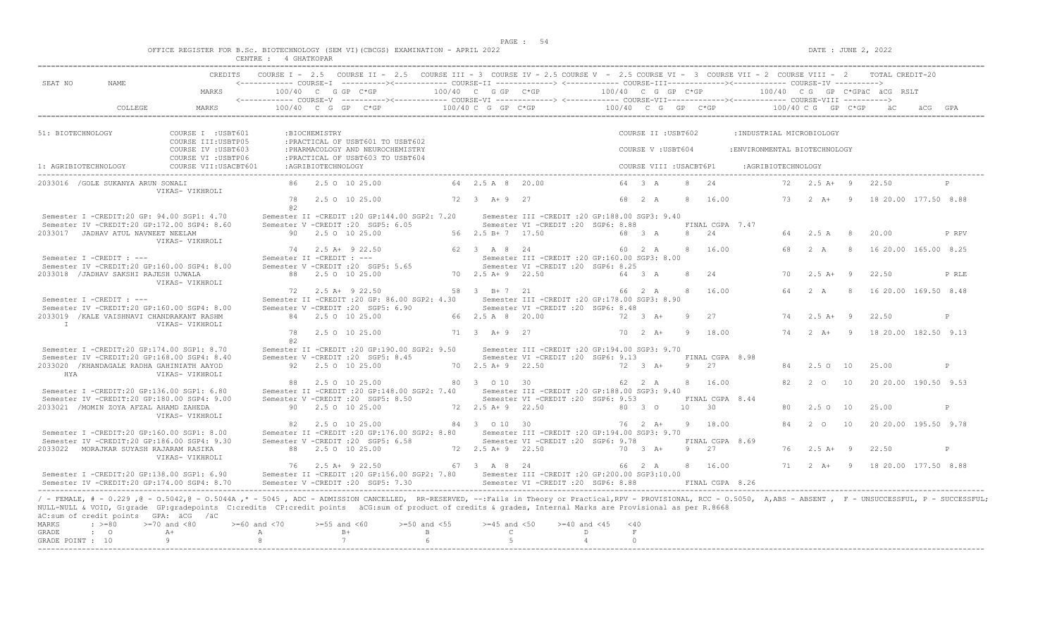|  | OFFICE REGISTER FOR B.SC. BIOTECHNOLOGY |        |                       | (SEM VI)(CBCGS)<br>. | EXAMINATION | APRTT. | 2022 |
|--|-----------------------------------------|--------|-----------------------|----------------------|-------------|--------|------|
|  |                                         | CENTRE | <b>GHATKOPAR</b><br>. |                      |             |        |      |

| CREDITS<br>SEAT NO                                                                                                                                                                               | COURSE I - 2.5 COURSE II - 2.5 COURSE III - 3 COURSE IV - 2.5 COURSE V - 2.5 COURSE VI - 3 COURSE VII - 2 COURSE VIII - 2 TOTAL CREDIT-20                                                                                                                                                                                                                                                                                                            |                                                                                                       |                                             |                                                                                                                                                                                                                     |
|--------------------------------------------------------------------------------------------------------------------------------------------------------------------------------------------------|------------------------------------------------------------------------------------------------------------------------------------------------------------------------------------------------------------------------------------------------------------------------------------------------------------------------------------------------------------------------------------------------------------------------------------------------------|-------------------------------------------------------------------------------------------------------|---------------------------------------------|---------------------------------------------------------------------------------------------------------------------------------------------------------------------------------------------------------------------|
| NAME.<br>MARKS                                                                                                                                                                                   | $100/40$ C G GP C*GP                                                                                                                                                                                                                                                                                                                                                                                                                                 |                                                                                                       |                                             | 100/40 C G GP C*GP $\sim$ 100/40 C G GP C*GP $\sim$ 100/40 C G GP C*GPäC äCG RSLT                                                                                                                                   |
| COLLEGE.<br><b>MARKS</b>                                                                                                                                                                         | $100/40 \quad C \quad G \quad GP \quad C^*GP \qquad \qquad 100/40 \quad C \quad G \quad GP \quad \qquad 100/40 \quad C \quad G \quad GP \quad C^*GP \qquad \qquad 100/40 \quad C \quad G \quad CP \quad C^*GP \quad \qquad 100/40 \quad C \quad G \quad CP \quad C^*GP \quad \qquad 100/40 \quad C^*GP \quad \qquad 100/40 \quad C^*GP \quad \qquad 100/40 \quad C^*GP \quad \qquad 100/40 \quad C^*GP \quad \qquad 100/40 \quad C^*GP \quad \qquad$ |                                                                                                       |                                             | äCG GPA                                                                                                                                                                                                             |
| 51: BIOTECHNOLOGY<br>COURSE I : USBT601<br>COURSE III: USBTP05                                                                                                                                   | :BIOCHEMISTRY<br>: PRACTICAL OF USBT601 TO USBT602                                                                                                                                                                                                                                                                                                                                                                                                   |                                                                                                       | COURSE II : USBT602                         | :INDUSTRIAL MICROBIOLOGY                                                                                                                                                                                            |
| COURSE IV : USBT603<br>COURSE VI : USBTP06                                                                                                                                                       | : PHARMACOLOGY AND NEUROCHEMISTRY<br>: PRACTICAL OF USBT603 TO USBT604                                                                                                                                                                                                                                                                                                                                                                               |                                                                                                       | COURSE V: USBT604                           | : ENVIRONMENTAL BIOTECHNOLOGY                                                                                                                                                                                       |
| COURSE VII: USACBT601<br>1: AGRIBIOTECHNOLOGY                                                                                                                                                    | : AGRIBIOTECHNOLOGY                                                                                                                                                                                                                                                                                                                                                                                                                                  |                                                                                                       | COURSE VIII : USACBT6P1                     | : AGRIBIOTECHNOLOGY                                                                                                                                                                                                 |
| 2033016 / GOLE SUKANYA ARUN SONALI<br>VIKAS- VIKHROLI                                                                                                                                            | 86 2.5 0 10 25.00                                                                                                                                                                                                                                                                                                                                                                                                                                    | 64 2.5 A 8 20.00                                                                                      | 64 3 A<br>8 24                              | 72  2.5 A+ 9  22.50<br>P                                                                                                                                                                                            |
|                                                                                                                                                                                                  | 78 2.5 0 10 25.00<br>a2                                                                                                                                                                                                                                                                                                                                                                                                                              | $72 \t3 \tA+9 \t27$                                                                                   | 68 2 A<br>8<br>16.00                        | 73   2   A+   9   18   20.00   177.50   8.88                                                                                                                                                                        |
| Semester I -CREDIT:20 GP: 94.00 SGP1: 4.70                                                                                                                                                       | Semester II -CREDIT : 20 GP: 144.00 SGP2: 7.20                                                                                                                                                                                                                                                                                                                                                                                                       | Semester III - CREDIT : 20 GP: 188.00 SGP3: 9.40                                                      |                                             |                                                                                                                                                                                                                     |
| Semester IV -CREDIT:20 GP:172.00 SGP4: 8.60<br>2033017 JADHAV ATUL NAVNEET NEELAM                                                                                                                | Semester V -CREDIT : 20 SGP5: 6.05<br>90 2.5 0 10 25.00                                                                                                                                                                                                                                                                                                                                                                                              | Semester VI - CREDIT : 20 SGP6: 8.88<br>56 2.5 B+7 17.50                                              | FINAL CGPA 7.47<br>68 3 A<br>8 24           | 64 2.5 A 8<br>20.00<br>P RPV                                                                                                                                                                                        |
| VIKAS- VIKHROLI                                                                                                                                                                                  |                                                                                                                                                                                                                                                                                                                                                                                                                                                      |                                                                                                       |                                             |                                                                                                                                                                                                                     |
| Semester I -CREDIT : ---<br>Semester IV -CREDIT:20 GP:160.00 SGP4: 8.00                                                                                                                          | 74 2.5 A + 9 22.50<br>Semester II -CREDIT : ---<br>Semester V -CREDIT : 20 SGP5: 5.65                                                                                                                                                                                                                                                                                                                                                                | 62 3 A 8 24<br>Semester III -CREDIT : 20 GP:160.00 SGP3: 8.00<br>Semester VI - CREDIT : 20 SGP6: 8.25 | 60 2 A<br>8 16.00                           | 68<br>16 20.00 165.00 8.25<br>2A<br>-8                                                                                                                                                                              |
| 2033018 / JADHAV SAKSHI RAJESH UJWALA<br>VIKAS- VIKHROLI                                                                                                                                         | 88 2.5 0 10 25.00                                                                                                                                                                                                                                                                                                                                                                                                                                    | 70 2.5 A + 9 22.50                                                                                    | 64 3 A<br>8<br>24                           | 70<br>$2.5 A+ 9$<br>22.50<br>P RLE                                                                                                                                                                                  |
| Semester I -CREDIT : ---                                                                                                                                                                         | 72 2.5 A+ 9 22.50<br>Semester II -CREDIT : 20 GP: 86.00 SGP2: 4.30                                                                                                                                                                                                                                                                                                                                                                                   | 58 3 B+7 21<br>Semester III - CREDIT : 20 GP: 178.00 SGP3: 8.90                                       | 66 2 A<br>8<br>16.00                        | 64<br>2 A<br>$_{\rm 8}$<br>16 20.00 169.50 8.48                                                                                                                                                                     |
| Semester IV -CREDIT:20 GP:160.00 SGP4: 8.00<br>2033019 / KALE VAISHNAVI CHANDRAKANT RASHM                                                                                                        | Semester V -CREDIT : 20 SGP5: 6.90<br>84 2.5 0 10 25.00                                                                                                                                                                                                                                                                                                                                                                                              | Semester VI - CREDIT : 20 SGP6: 8.48<br>66 2.5 A 8 20.00                                              | $72 \t3 \tA+$<br>-9<br>2.7                  | 74<br>$2.5A+9$<br>22.50<br>P                                                                                                                                                                                        |
| T<br>VIKAS- VIKHROLI                                                                                                                                                                             | 78 2.5 0 10 25.00<br>0.2                                                                                                                                                                                                                                                                                                                                                                                                                             | 71 3 A + 9 27                                                                                         | $70 \t 2 \t A+$<br>9<br>18.00               | 74<br>2 A+ 9 18 20.00 182.50 9.13                                                                                                                                                                                   |
| Semester I -CREDIT:20 GP:174.00 SGP1: 8.70<br>Semester IV -CREDIT:20 GP:168.00 SGP4: 8.40                                                                                                        | Semester II -CREDIT : 20 GP:190.00 SGP2: 9.50<br>Semester V -CREDIT : 20 SGP5: 8.45                                                                                                                                                                                                                                                                                                                                                                  | Semester III - CREDIT : 20 GP: 194.00 SGP3: 9.70<br>Semester VI -CREDIT : 20 SGP6: 9.13               | FINAL CGPA 8.98                             |                                                                                                                                                                                                                     |
| 2033020 /KHANDAGALE RADHA GAHINIATH AAYOD<br>VIKAS- VIKHROLI<br>HYA                                                                                                                              | 92 2.5 0 10 25.00                                                                                                                                                                                                                                                                                                                                                                                                                                    | 70 2.5 A + 9 22.50                                                                                    | $72 \t3 \tA+$<br>9 27                       | 2.5010<br>84<br>25.00<br>P                                                                                                                                                                                          |
| Semester I -CREDIT:20 GP:136.00 SGP1: 6.80                                                                                                                                                       | 88 2.5 0 10 25.00<br>Semester II -CREDIT : 20 GP: 148.00 SGP2: 7.40                                                                                                                                                                                                                                                                                                                                                                                  | 80 3 0 10 30<br>Semester III - CREDIT : 20 GP: 188.00 SGP3: 9.40                                      | 16.00<br>62 2 A<br>8                        | 20 20.00 190.50 9.53<br>82<br>$2\degree$ 0<br>10                                                                                                                                                                    |
| Semester IV -CREDIT:20 GP:180.00 SGP4: 9.00<br>2033021 / MOMIN ZOYA AFZAL AHAMD ZAHEDA<br>VIKAS- VIKHROLI                                                                                        | Semester V -CREDIT : 20 SGP5: 8.50<br>90 2.5 0 10 25.00                                                                                                                                                                                                                                                                                                                                                                                              | Semester VI -CREDIT :20 SGP6: 9.53<br>72 2.5 A + 9 22.50                                              | FINAL CGPA 8.44<br>80 3 0<br>10 30          | 80<br>2.5010<br>25.00<br>P                                                                                                                                                                                          |
| Semester I -CREDIT:20 GP:160.00 SGP1: 8.00                                                                                                                                                       | 82 2.5 0 10 25.00<br>Semester II -CREDIT :20 GP:176.00 SGP2: 8.80                                                                                                                                                                                                                                                                                                                                                                                    | 84 3 0 10 30<br>Semester III -CREDIT : 20 GP: 194.00 SGP3: 9.70                                       | Q<br>18.00<br>$76$ $2$ $\mathsf{A}+$        | 84<br>$2^{\circ}$ $\circ$<br>10<br>20 20 00 195 50 9.78                                                                                                                                                             |
| Semester IV -CREDIT:20 GP:186.00 SGP4: 9.30<br>2033022 MORAJKAR SUYASH RAJARAM RASIKA                                                                                                            | Semester V -CREDIT : 20 SGP5: 6.58<br>88 2.5 0 10 25.00                                                                                                                                                                                                                                                                                                                                                                                              | Semester VI - CREDIT : 20 SGP6: 9.78<br>72 2.5 A + 9 22.50                                            | FINAL CGPA 8.69<br>$70 \t 3 \t A+$<br>9 2.7 | 76<br>$2.5 A+ 9$<br>22.50<br>P                                                                                                                                                                                      |
| VIKAS- VIKHROLI                                                                                                                                                                                  | 76 2.5 A+ 9 22.50                                                                                                                                                                                                                                                                                                                                                                                                                                    | 67 3 A 8 24                                                                                           | 8 16.00<br>66 2 A                           | 71  2  A+  9  18  20.00  177.50  8.88                                                                                                                                                                               |
| Semester I -CREDIT:20 GP:138.00 SGP1: 6.90<br>Semester IV -CREDIT:20 GP:174.00 SGP4: 8.70                                                                                                        | Semester II -CREDIT :20 GP:156.00 SGP2: 7.80 Semester III -CREDIT :20 GP:200.00 SGP3:10.00<br>Semester V -CREDIT : 20 SGP5: 7.30                                                                                                                                                                                                                                                                                                                     | Semester VI -CREDIT : 20 SGP6: 8.88                                                                   | FINAL CGPA 8.26                             |                                                                                                                                                                                                                     |
| NULL-NULL & VOID, G:grade GP:gradepoints C:credits CP:credit points äCG:sum of product of credits & grades, Internal Marks are Provisional as per R.8668<br>äC:sum of credit points GPA: äCG /äC |                                                                                                                                                                                                                                                                                                                                                                                                                                                      |                                                                                                       |                                             | / - FEMALE, # - 0.229, @ - 0.5042, @ - 0.5044A,* - 5045, ADC - ADMISSION CANCELLED, RR-RESERVED, --:Fails in Theory or Practical,RPV - PROVISIONAL, RCC - 0.5050, A,ABS - ABSENT, F - UNSUCCESSFUL, P - SUCCESSFUL; |
| <b>MARKS</b><br>$: \; > = 80$<br>$>=70$ and $<80$<br>$A+$<br>GRADE<br>$\cdot$ 0                                                                                                                  | $>=50$ and $<55$<br>$>=60$ and $<70$<br>$>=55$ and $<60$<br>$B+$<br>$\mathbb B$<br>A                                                                                                                                                                                                                                                                                                                                                                 | $>=45$ and $<50$<br>$>= 40$ and $< 45$<br>$\mathbb{C}$<br>D                                           | < 40<br>$\mathbf F$                         |                                                                                                                                                                                                                     |
| -9<br>GRADE POINT : 10                                                                                                                                                                           | 8<br>7<br>$6^{\circ}$                                                                                                                                                                                                                                                                                                                                                                                                                                | 5<br>$\overline{4}$                                                                                   | $\circ$                                     |                                                                                                                                                                                                                     |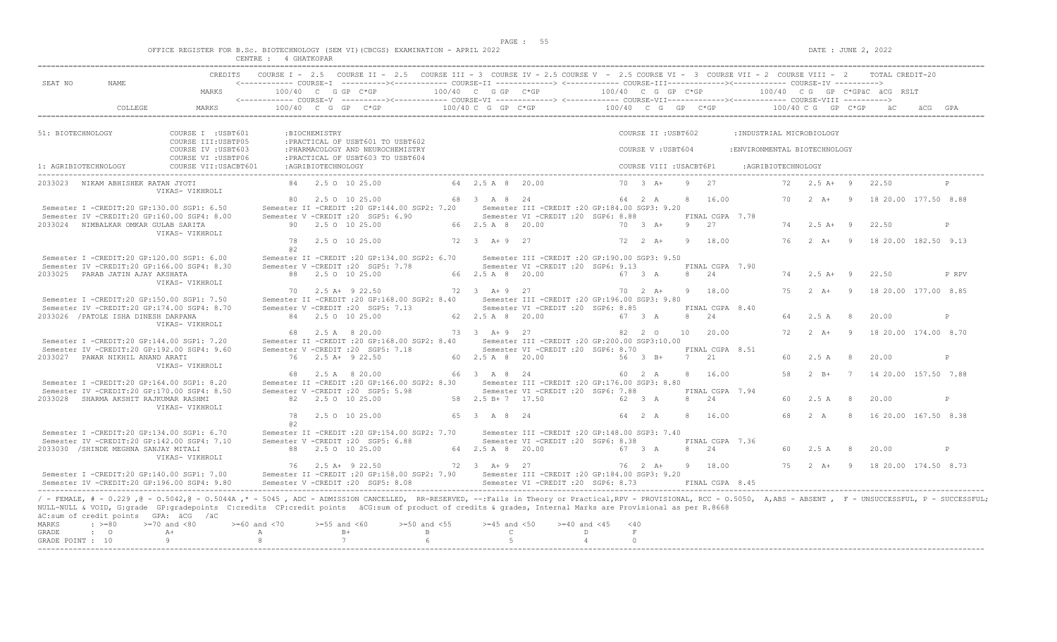$DATE: JUNE 2, 2022$ 

|  |  |         |             |  | OFFICE REGISTER FOR B.Sc. BIOTECHNOLOGY (SEM VI)(CBCGS) EXAMINATION - APRIL 2022 |  |  |
|--|--|---------|-------------|--|----------------------------------------------------------------------------------|--|--|
|  |  | CENTRE. | 4 GHATKOPAR |  |                                                                                  |  |  |

| SEAT NO<br>NAME.                                                                                                                                                                                                                                                                                                                                                                                                                                                                                                              |                                                                   |                                       |                       | CREDITS COURSE I - 2.5 COURSE II - 2.5 COURSE III - 3 COURSE IV - 2.5 COURSE V - 2.5 COURSE VI - 3 COURSE VII - 2 COURSE VIII - 2 TOTAL CREDIT-20                                       |                                       |                                        |                                                                                         |                                           |                       |                         |    |                                    |                    |                               |                |                                                       |       |
|-------------------------------------------------------------------------------------------------------------------------------------------------------------------------------------------------------------------------------------------------------------------------------------------------------------------------------------------------------------------------------------------------------------------------------------------------------------------------------------------------------------------------------|-------------------------------------------------------------------|---------------------------------------|-----------------------|-----------------------------------------------------------------------------------------------------------------------------------------------------------------------------------------|---------------------------------------|----------------------------------------|-----------------------------------------------------------------------------------------|-------------------------------------------|-----------------------|-------------------------|----|------------------------------------|--------------------|-------------------------------|----------------|-------------------------------------------------------|-------|
|                                                                                                                                                                                                                                                                                                                                                                                                                                                                                                                               | MARKS                                                             |                                       |                       | 100/40 C G GP C*GP $100/40$ C G GP C*GP $100/40$ C G GP C*GP $100/40$ C G GP C*GPäC äCG RSLT                                                                                            |                                       |                                        |                                                                                         |                                           |                       |                         |    |                                    |                    |                               |                |                                                       |       |
| COLLEGE                                                                                                                                                                                                                                                                                                                                                                                                                                                                                                                       | MARKS                                                             |                                       |                       | 100/40 C G GP C*GP $\star$ 6P $\star$ 6P $\star$ 6P $\star$ 6P $\star$ 6P $\star$ 6P $\star$ 6P $\star$ 6P $\star$ 6P $\star$ 6P $\star$ 6P $\star$ 6P $\star$ 6P $\star$ 6P $\star$ 6P |                                       |                                        |                                                                                         |                                           |                       |                         |    |                                    |                    |                               |                |                                                       |       |
| 51: BIOTECHNOLOGY                                                                                                                                                                                                                                                                                                                                                                                                                                                                                                             | COURSE I : USBT601                                                |                                       | :BIOCHEMISTRY         |                                                                                                                                                                                         |                                       |                                        |                                                                                         |                                           |                       | COURSE II : USBT602     |    |                                    |                    | : INDUSTRIAL MICROBIOLOGY     |                |                                                       |       |
|                                                                                                                                                                                                                                                                                                                                                                                                                                                                                                                               | COURSE III: USBTP05<br>COURSE IV : USBT603<br>COURSE VI : USBTP06 |                                       |                       | : PRACTICAL OF USBT601 TO USBT602<br>: PHARMACOLOGY AND NEUROCHEMISTRY<br>: PRACTICAL OF USBT603 TO USBT604                                                                             |                                       |                                        |                                                                                         |                                           |                       | COURSE V : USBT604      |    |                                    |                    | : ENVIRONMENTAL BIOTECHNOLOGY |                |                                                       |       |
| 1: AGRIBIOTECHNOLOGY                                                                                                                                                                                                                                                                                                                                                                                                                                                                                                          | COURSE VII: USACBT601                                             |                                       | :AGRIBIOTECHNOLOGY    |                                                                                                                                                                                         |                                       |                                        |                                                                                         |                                           |                       | COURSE VIII : USACBT6P1 |    |                                    | :AGRIBIOTECHNOLOGY |                               |                |                                                       |       |
| 2033023 NIKAM ABHISHEK RATAN JYOTI                                                                                                                                                                                                                                                                                                                                                                                                                                                                                            | VIKAS- VIKHROLI                                                   |                                       |                       | 84 2.5 0 10 25.00                                                                                                                                                                       |                                       | 64 2.5 A 8 20.00                       |                                                                                         |                                           |                       | $70 \t 3 \t A+$         |    | $9 \t 27$                          |                    | $72 \t2.5 \tA+ 9$             |                | 22.50                                                 |       |
| Semester I -CREDIT:20 GP:130.00 SGP1: 6.50                                                                                                                                                                                                                                                                                                                                                                                                                                                                                    |                                                                   |                                       |                       | 80 2.5 0 10 25.00<br>Semester II -CREDIT : 20 GP: 144.00 SGP2: 7.20                                                                                                                     |                                       | 68 3 A 8 24                            | Semester III -CREDIT : 20 GP:184.00 SGP3: 9.20                                          |                                           |                       | 64 2 A                  |    | 8 16.00                            |                    |                               |                | 70   2   A+   9   18   20.00   177.50   8.88          |       |
| Semester IV -CREDIT:20 GP:160.00 SGP4: 8.00<br>2033024 NIMBALKAR OMKAR GULAB SARITA                                                                                                                                                                                                                                                                                                                                                                                                                                           | VIKAS- VIKHROLI                                                   |                                       |                       | Semester V -CREDIT : 20 SGP5: 6.90<br>90 2.5 0 10 25.00                                                                                                                                 |                                       | 66 2.5 A 8 20.00                       | Semester VI - CREDIT : 20 SGP6: 8.88                                                    |                                           |                       | $70 \t 3 \t A+$         |    | FINAL CGPA 7.78<br>9 27            |                    | $74$ 2.5 A+ 9                 |                | 22.50                                                 | P     |
|                                                                                                                                                                                                                                                                                                                                                                                                                                                                                                                               |                                                                   | 78<br>a2                              |                       | 2.5 0 10 25.00                                                                                                                                                                          |                                       | 72 3 A + 9 27                          |                                                                                         |                                           |                       | $72 \t2 \tA+$           | -9 | 18.00                              |                    |                               |                | 76  2  A+  9  18  20.00  182.50  9.13                 |       |
| Semester I -CREDIT:20 GP:120.00 SGP1: 6.00<br>Semester IV -CREDIT:20 GP:166.00 SGP4: 8.30<br>2033025 PARAB JATIN AJAY AKSHATA                                                                                                                                                                                                                                                                                                                                                                                                 |                                                                   |                                       |                       | Semester II -CREDIT : 20 GP:134.00 SGP2: 6.70<br>Semester V -CREDIT : 20 SGP5: 7.78<br>88 2.5 0 10 25.00                                                                                |                                       | 66 2.5 A 8 20.00                       | Semester III -CREDIT :20 GP:190.00 SGP3: 9.50<br>Semester VI -CREDIT : 20 SGP6: 9.13    |                                           |                       | 67 3 A                  |    | FINAL CGPA 7.90<br>8 24            |                    | $74$ 2.5 A+ 9                 |                | 22.50                                                 | P RPV |
|                                                                                                                                                                                                                                                                                                                                                                                                                                                                                                                               | VIKAS- VIKHROLI                                                   | 70                                    |                       | $2.5$ A+ 9 22.50                                                                                                                                                                        |                                       | 72 3 A + 9 27                          |                                                                                         |                                           |                       | $70 \t 2 \t A+$         | -9 | 18.00                              | 75                 | $2 \overline{A}$ +            | $\overline{9}$ | 18 20.00 177.00 8.85                                  |       |
| Semester I -CREDIT:20 GP:150.00 SGP1: 7.50<br>Semester IV -CREDIT:20 GP:174.00 SGP4: 8.70                                                                                                                                                                                                                                                                                                                                                                                                                                     |                                                                   |                                       |                       | Semester II -CREDIT : 20 GP: 168.00 SGP2: 8.40<br>Semester V - CREDIT : 20 SGP5: 7.13                                                                                                   |                                       |                                        | Semester III -CREDIT :20 GP:196.00 SGP3: 9.80<br>Semester VI - CREDIT : 20 SGP6: 8.85   |                                           |                       |                         |    | FINAL CGPA 8.40                    |                    |                               |                |                                                       |       |
| 2033026 / PATOLE ISHA DINESH DARPANA                                                                                                                                                                                                                                                                                                                                                                                                                                                                                          | VIKAS- VIKHROLI                                                   | 68                                    |                       | 84 2.5 0 10 25.00<br>2.5 A 8 20.00                                                                                                                                                      |                                       | 62 2.5 A 8 20.00<br>73 3 A + 9 27      |                                                                                         | 67 3 A                                    |                       | 82 2 0                  | 10 | 8 24<br>20.00                      | 64                 | $2.5 A$ 8                     |                | 20.00<br>72   2   A+   9   18   20.00   174.00   8.70 | P     |
| Semester I -CREDIT:20 GP:144.00 SGP1: 7.20<br>Semester IV -CREDIT:20 GP:192.00 SGP4: 9.60                                                                                                                                                                                                                                                                                                                                                                                                                                     |                                                                   |                                       |                       | Semester II -CREDIT :20 GP:168.00 SGP2: 8.40 Semester III -CREDIT :20 GP:200.00 SGP3:10.00<br>Semester V -CREDIT : 20 SGP5: 7.18                                                        |                                       |                                        | Semester VI -CREDIT : 20 SGP6: 8.70                                                     |                                           |                       |                         |    | FINAL CGPA 8.51                    |                    |                               |                |                                                       |       |
| 2033027 PAWAR NIKHIL ANAND ARATI                                                                                                                                                                                                                                                                                                                                                                                                                                                                                              | VIKAS- VIKHROLI                                                   |                                       |                       | 76 2.5 A+ 9 22.50                                                                                                                                                                       |                                       | 60 2.5 A 8 20.00                       |                                                                                         |                                           |                       | 56 3 B+                 |    | 7 21                               | 60                 | 2.5A                          | - 8            | 20.00                                                 | P     |
| Semester I -CREDIT:20 GP:164.00 SGP1: 8.20<br>Semester IV -CREDIT:20 GP:170.00 SGP4: 8.50                                                                                                                                                                                                                                                                                                                                                                                                                                     |                                                                   |                                       |                       | 68 2.5 A 8 20.00<br>Semester II -CREDIT :20 GP:166.00 SGP2: 8.30 Semester III -CREDIT :20 GP:176.00 SGP3: 8.80<br>Semester V -CREDIT : 20 SGP5: 5.98                                    |                                       | 66 3 A 8 24                            | Semester VI - CREDIT : 20 SGP6: 7.88                                                    |                                           |                       | 60 2 A                  |    | 8 16.00<br>FINAL CGPA 7.94         | 58                 | $2 \overline{B}$              |                | 7 14 20.00 157.50 7.88                                |       |
| 2033028 SHARMA AKSHIT RAJKUMAR RASHMI                                                                                                                                                                                                                                                                                                                                                                                                                                                                                         | VIKAS- VIKHROLI                                                   |                                       |                       | 82 2.5 0 10 25.00                                                                                                                                                                       |                                       | 58 2.5 B + 7 17.50                     |                                                                                         |                                           |                       | 62 3 A                  |    | 8 24                               | 60.                | 2.5 A                         | - 8            | 20.00                                                 | P     |
|                                                                                                                                                                                                                                                                                                                                                                                                                                                                                                                               |                                                                   | 78<br>a2                              |                       | 2.5 0 10 25.00                                                                                                                                                                          |                                       | 65 3 A 8 24                            |                                                                                         |                                           |                       | 64 2 A                  | 8  | 16.00                              | 68                 | 2A                            | - 8            | 16 20.00 167.50 8.38                                  |       |
| Semester I -CREDIT:20 GP:134.00 SGP1: 6.70<br>Semester IV -CREDIT:20 GP:142.00 SGP4: 7.10                                                                                                                                                                                                                                                                                                                                                                                                                                     |                                                                   |                                       |                       | Semester II -CREDIT : 20 GP: 154.00 SGP2: 7.70<br>Semester V -CREDIT : 20 SGP5: 6.88                                                                                                    |                                       |                                        | Semester III -CREDIT : 20 GP: 148.00 SGP3: 7.40<br>Semester VI - CREDIT : 20 SGP6: 8.38 |                                           |                       |                         |    | FINAL CGPA 7.36                    |                    |                               |                |                                                       |       |
| 2033030 / SHINDE MEGHNA SANJAY MITALI                                                                                                                                                                                                                                                                                                                                                                                                                                                                                         | VIKAS- VIKHROLI                                                   |                                       |                       | 88 2.5 0 10 25.00                                                                                                                                                                       |                                       | 64 2.5 A 8 20.00                       |                                                                                         |                                           |                       | 67 3 A                  | 8  | 2.4                                | 60                 | 2.5A                          | - 8            | 20.00                                                 | P     |
| Semester I -CREDIT:20 GP:140.00 SGP1: 7.00<br>Semester IV -CREDIT:20 GP:196.00 SGP4: 9.80                                                                                                                                                                                                                                                                                                                                                                                                                                     |                                                                   |                                       |                       | 76 2.5 A+ 9 22.50<br>Semester II -CREDIT :20 GP:158.00 SGP2: 7.90 Semester III -CREDIT :20 GP:184.00 SGP3: 9.20<br>Semester V -CREDIT : 20 SGP5: 8.08                                   |                                       |                                        | 72 3 A + 9 27<br>Semester VI - CREDIT : 20 SGP6: 8.73                                   |                                           |                       |                         |    | 76 2 A+ 9 18.00<br>FINAL CGPA 8.45 |                    |                               |                | 75   2   A+   9   18   20.00   174.50   8.73          |       |
| / - FEMALE, # - 0.229 ,@ - 0.5042,@ - 0.5044A ,* - 5045 , ADC - ADMISSION CANCELLED, RR-RESERVED, --:Fails in Theory or Practical,RPV - PROVISIONAL, RCC - 0.5050, A,ABS - ABSENT , F - UNSUCCESSFUL, P - SUCCESSFUL;<br>NULL-NULL & VOID, G:grade GP:gradepoints C:credits CP:credit points äCG:sum of product of credits & grades, Internal Marks are Provisional as per R.8668<br>äC:sum of credit points GPA: äCG /äC<br>MARKS<br>$\div$ >=80<br>$>=70$ and $<80$<br>GRADE<br>$\cdot$ 0<br>$A+$<br>GRADE POINT : 10<br>-9 |                                                                   | $>=60$ and $<70$<br>$\mathbb{A}$<br>8 | $>=55$ and $<60$<br>7 | $B+$                                                                                                                                                                                    | $>=50$ and $<55$<br>$\mathbf{B}$<br>6 | $>=45$ and $<50$<br>$\mathbb{C}$<br>-5 |                                                                                         | $>= 40$ and $< 45$<br>D<br>$\overline{4}$ | < 40<br>F<br>$\Omega$ |                         |    |                                    |                    |                               |                |                                                       |       |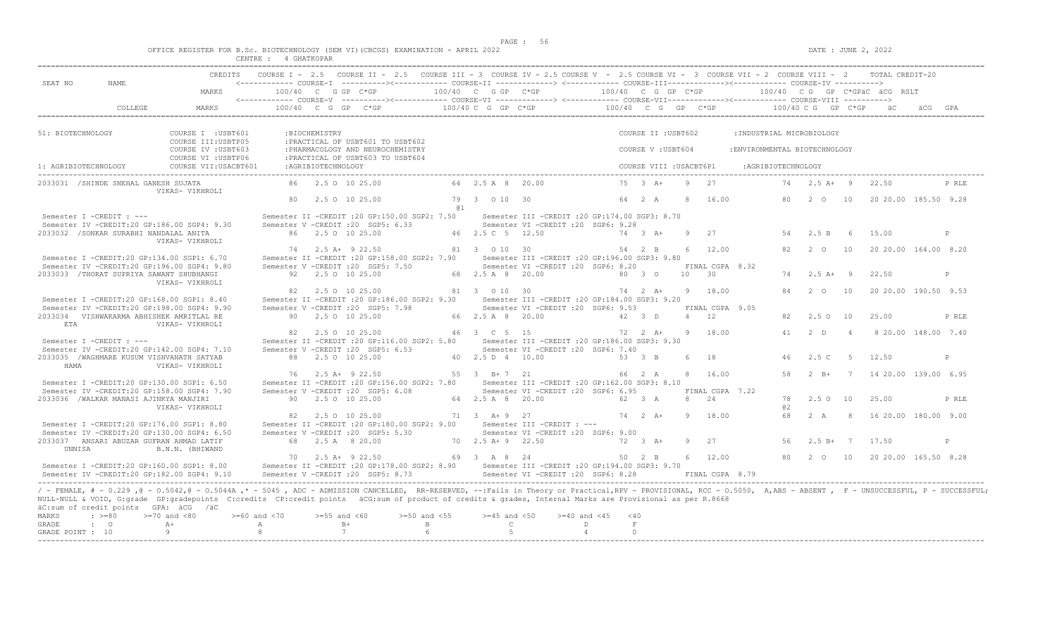| OFFICE REGISTER FOR B.Sc. BIOTECHNOLOGY (SEM VI)(CBCGS) EXAMINATION - APRIL 2022 |        |           |  |  |  |
|----------------------------------------------------------------------------------|--------|-----------|--|--|--|
|                                                                                  | CENTRE | GHATKOPAR |  |  |  |

| SEAT NO<br>NAME.                                   | CREDITS                                                                                                                                                                                                                                                                                                                                                                             |                         |                           |                                                                                                            | COURSE I - 2.5 COURSE II - 2.5 COURSE III - 3 COURSE IV - 2.5 COURSE V - 2.5 COURSE VI - 3 COURSE VII - 2 COURSE VIII - 2 TOTAL CREDIT-20 |                                                                 |                                                                                        |                  |                         |                 |                      |                 |                              |                 |             |                        |       |
|----------------------------------------------------|-------------------------------------------------------------------------------------------------------------------------------------------------------------------------------------------------------------------------------------------------------------------------------------------------------------------------------------------------------------------------------------|-------------------------|---------------------------|------------------------------------------------------------------------------------------------------------|-------------------------------------------------------------------------------------------------------------------------------------------|-----------------------------------------------------------------|----------------------------------------------------------------------------------------|------------------|-------------------------|-----------------|----------------------|-----------------|------------------------------|-----------------|-------------|------------------------|-------|
|                                                    | MARKS                                                                                                                                                                                                                                                                                                                                                                               |                         | $100/40$ C G GP C*GP      |                                                                                                            | $100/40$ C G GP C*GP $100/40$ C G GP C*GP $100/40$ C G GP C*GPäC äCG RSLT                                                                 |                                                                 |                                                                                        |                  |                         |                 |                      |                 |                              |                 |             |                        |       |
| COLLEGE                                            | MARKS                                                                                                                                                                                                                                                                                                                                                                               |                         |                           |                                                                                                            | 100/40 C G GP C*GP $\alpha$ 60/40 C G GP C*GP $\alpha$ 600/40 C G GP C*GP $\alpha$ 600/40 C G GP C*GP ac                                  |                                                                 |                                                                                        |                  |                         |                 |                      |                 |                              |                 |             |                        |       |
| 51: BIOTECHNOLOGY                                  | COURSE I : USBT601                                                                                                                                                                                                                                                                                                                                                                  |                         | : BIOCHEMISTRY            |                                                                                                            |                                                                                                                                           |                                                                 |                                                                                        |                  | COURSE II : USBT602     |                 |                      |                 | : INDUSTRIAL MICROBIOLOGY    |                 |             |                        |       |
|                                                    | COURSE III: USBTP05<br>COURSE IV : USBT603                                                                                                                                                                                                                                                                                                                                          |                         |                           | : PRACTICAL OF USBT601 TO USBT602<br>: PHARMACOLOGY AND NEUROCHEMISTRY<br>:PRACTICAL OF USBT603 TO USBT604 |                                                                                                                                           |                                                                 |                                                                                        |                  | COURSE V: USBT604       |                 |                      |                 | :ENVIRONMENTAL BIOTECHNOLOGY |                 |             |                        |       |
| 1: AGRIBIOTECHNOLOGY                               | COURSE VI : USBTP06<br>COURSE VII: USACBT601                                                                                                                                                                                                                                                                                                                                        |                         | :AGRIBIOTECHNOLOGY        |                                                                                                            |                                                                                                                                           |                                                                 |                                                                                        |                  | COURSE VIII : USACBT6P1 |                 |                      |                 | : AGRIBIOTECHNOLOGY          |                 |             |                        |       |
| 2033031 /SHINDE SNEHAL GANESH SUJATA               | VIKAS- VIKHROLI                                                                                                                                                                                                                                                                                                                                                                     |                         | 86 2.5 0 10 25.00         |                                                                                                            |                                                                                                                                           | 64 2.5 A 8 20.00                                                |                                                                                        |                  | $75 \t3 \tA+$           |                 | $9 \t 27$            |                 |                              | 74 2.5 A+ 9     |             | 22.50                  | P RLE |
|                                                    |                                                                                                                                                                                                                                                                                                                                                                                     |                         | 80 2.5 0 10 25.00         |                                                                                                            | @ 1                                                                                                                                       | 79 3 0 10 30                                                    |                                                                                        |                  | 64 2 A                  | $\mathcal{R}$   | 16.00                |                 | 80                           | 2 0 10          |             | 20 20 00 185.50 9.28   |       |
| Semester I -CREDIT : ---                           | Semester IV -CREDIT:20 GP:186.00 SGP4: 9.30                                                                                                                                                                                                                                                                                                                                         |                         |                           | Semester V -CREDIT : 20 SGP5: 6.33                                                                         | Semester II -CREDIT : 20 GP:150.00 SGP2: 7.50                                                                                             |                                                                 | Semester III -CREDIT : 20 GP: 174.00 SGP3: 8.70<br>Semester VI -CREDIT : 20 SGP6: 9.28 |                  |                         |                 |                      |                 |                              |                 |             |                        |       |
| 2033032 / SONKAR SURABHI NANDALAL ANITA            |                                                                                                                                                                                                                                                                                                                                                                                     |                         | 86 2.5 0 10 25.00         |                                                                                                            |                                                                                                                                           | 46 2.5 C 5 12.50                                                |                                                                                        |                  | 74 3 A+                 | $\overline{9}$  | 27                   |                 | 54                           | 2.5 B           | 6           | 15.00                  | P     |
|                                                    | VIKAS- VIKHROLI<br>Semester I -CREDIT:20 GP:134.00 SGP1: 6.70                                                                                                                                                                                                                                                                                                                       |                         | 74 2.5 A+ 9 22.50         |                                                                                                            | Semester II -CREDIT : 20 GP:158.00 SGP2: 7.90                                                                                             | 81 3 0 10 30                                                    | Semester III - CREDIT : 20 GP: 196.00 SGP3: 9.80                                       |                  | 54 2 B                  | $6^{\circ}$     | 12.00                |                 | 82                           | $2^{\circ}$     | 10          | 20 20.00 164.00 8.20   |       |
| 2033033 / THORAT SUPRIYA SAWANT SHUBHANGI          | Semester IV -CREDIT:20 GP:196.00 SGP4: 9.80                                                                                                                                                                                                                                                                                                                                         |                         | 92 2.5 0 10 25.00         | Semester V -CREDIT : 20 SGP5: 7.50                                                                         |                                                                                                                                           | 68 2.5 A 8 20.00                                                | Semester VI -CREDIT :20 SGP6: 8.20                                                     |                  | 80 3 0                  | 10 <sup>1</sup> | 30                   | FINAL CGPA 8.32 | 74                           | $2.5A+9$        |             | 22.50                  | P     |
|                                                    | VIKAS- VIKHROLI                                                                                                                                                                                                                                                                                                                                                                     | 82                      | 2.5 0 10 25.00            |                                                                                                            |                                                                                                                                           | 81 3 0 10 30                                                    |                                                                                        |                  | 74 2 A+                 | -9              | 18.00                |                 | 84                           | $2\degree$ 0    | 10          | 20 20.00 190.50 9.53   |       |
|                                                    | Semester I -CREDIT:20 GP:168.00 SGP1: 8.40<br>Semester IV -CREDIT:20 GP:198.00 SGP4: 9.90                                                                                                                                                                                                                                                                                           |                         |                           | Semester V -CREDIT : 20 SGP5: 7.98                                                                         | Semester II -CREDIT : 20 GP: 186.00 SGP2: 9.30                                                                                            |                                                                 | Semester III -CREDIT :20 GP:184.00 SGP3: 9.20<br>Semester VI - CREDIT : 20 SGP6: 9.53  |                  |                         |                 |                      | FINAL CGPA 9.05 |                              |                 |             |                        |       |
| 2033034 VISHWAKARMA ABHISHEK AMRITLAL RE<br>ETA    | VIKAS- VIKHROLI                                                                                                                                                                                                                                                                                                                                                                     |                         | 90 2.5 0 10 25.00         |                                                                                                            |                                                                                                                                           | 66 2.5 A 8 20.00                                                |                                                                                        | 42 3 D           |                         |                 | $\overline{4}$<br>12 |                 | 82                           | $2.5 \circ 10$  |             | 25.00                  | P RLE |
| Semester I -CREDIT : ---                           | Semester IV -CREDIT:20 GP:142.00 SGP4: 7.10                                                                                                                                                                                                                                                                                                                                         |                         | 82 2.5 0 10 25.00         | Semester V -CREDIT : 20 SGP5: 6.53                                                                         | Semester II -CREDIT : 20 GP:116.00 SGP2: 5.80                                                                                             | 46 3 C 5 15<br>Semester III - CREDIT : 20 GP: 186.00 SGP3: 9.30 | Semester VI -CREDIT : 20 SGP6: 7.40                                                    |                  | 72 2 A+                 | 9               | 18.00                |                 |                              | 41 2 D          | 4           | 8 20.00 148.00 7.40    |       |
| 2033035 /WAGHMARE KUSUM VISHVANATH SATYAB<br>HAMA  | VIKAS- VIKHROLI                                                                                                                                                                                                                                                                                                                                                                     |                         | 88 2.5 0 10 25.00         |                                                                                                            |                                                                                                                                           | 40  2.5  D  4  10.00                                            |                                                                                        |                  | 53 3 B                  | $6^{\circ}$     | 18                   |                 | 46                           | 2.5C            | $5^{\circ}$ | 12.50                  | P     |
|                                                    | Semester I -CREDIT:20 GP:130.00 SGP1: 6.50<br>Semester IV -CREDIT:20 GP:158.00 SGP4: 7.90                                                                                                                                                                                                                                                                                           |                         | 76 2.5 A+ 9 22.50         | Semester V -CREDIT : 20 SGP5: 6.08                                                                         | Semester II -CREDIT : 20 GP:156.00 SGP2: 7.80 Semester III -CREDIT : 20 GP:162.00 SGP3: 8.10                                              | 55 3 B+7 21                                                     | Semester VI -CREDIT : 20 SGP6: 6.95                                                    |                  | 66 2 A                  |                 | 8 16.00              | FINAL CGPA 7.22 | 58                           | $2$ R+          |             | 7 14 20.00 139.00 6.95 |       |
| 2033036 /WALKAR MANASI AJINKYA MANJIRI             | VIKAS- VIKHROLI                                                                                                                                                                                                                                                                                                                                                                     |                         | 90 2.5 0 10 25.00         |                                                                                                            |                                                                                                                                           | 64 2.5 A 8 20.00                                                |                                                                                        |                  | 62 3 A                  | 8               | 2.4                  |                 | a2                           | 78 2.5 0 10     |             | 25.00                  | P RLE |
|                                                    | Semester I -CREDIT:20 GP:176.00 SGP1: 8.80<br>Semester IV -CREDIT:20 GP:130.00 SGP4: 6.50                                                                                                                                                                                                                                                                                           |                         | 82   2.5   0   10   25.00 | Semester V -CREDIT : 20 SGP5: 5.30                                                                         | Semester II -CREDIT : 20 GP:180.00 SGP2: 9.00                                                                                             | 71 3 A + 9 27<br>Semester III -CREDIT : ---                     | Semester VI -CREDIT :20 SGP6: 9.00                                                     |                  | $74$ 2 A+               | Q               | 18.00                |                 | 68                           | 2 A             | - 8         | 16 20.00 180.00 9.00   |       |
| 2033037 ANSARI ABUZAR GUFRAN AHMAD LATIF<br>UNNISA | B.N.N. (BHIWAND                                                                                                                                                                                                                                                                                                                                                                     |                         | 68 2.5 A 8 20.00          |                                                                                                            |                                                                                                                                           | 70 2.5 A + 9 22.50                                              |                                                                                        |                  | $72 \t3 \tA+$           | -9              | 2.7                  |                 | 56                           | $2.5 B+7$ 17.50 |             |                        | P     |
|                                                    | Semester I -CREDIT:20 GP:160.00 SGP1: 8.00                                                                                                                                                                                                                                                                                                                                          |                         | 70 2.5 A+ 9 22.50         |                                                                                                            | Semester II -CREDIT : 20 GP:178.00 SGP2: 8.90 Semester III -CREDIT : 20 GP:194.00 SGP3: 9.70                                              | 69 3 A 8 24                                                     |                                                                                        |                  | $50 \t 2 \t B$          |                 | 6 12.00              |                 | 80                           | 2 0 10          |             | 20 20.00 165.50 8.28   |       |
|                                                    | Semester IV -CREDIT:20 GP:182.00 SGP4: 9.10                                                                                                                                                                                                                                                                                                                                         |                         |                           | Semester V - CREDIT : 20 SGP5: 8.73                                                                        |                                                                                                                                           |                                                                 | Semester VI -CREDIT : 20 SGP6: 8.28                                                    |                  |                         |                 |                      | FINAL CGPA 8.79 |                              |                 |             |                        |       |
| äC:sum of credit points GPA: äCG /äC               | / - FEMALE, # - 0.229, @ - 0.5042, @ - 0.5044A, * - 5045, ADC - ADMISSION CANCELLED, RR-RESERVED, --: Fails in Theory or Practical, RPV - PROVISIONAL, RCC - 0.5050, A, ABS - ABSENT, F - UNSUCCESSFUL, P - SUCCESSFUL;<br>NULL-NULL & VOID, G:grade GP:gradepoints C:credits CP:credit points äCG:sum of product of credits & grades, Internal Marks are Provisional as per R.8668 |                         |                           |                                                                                                            |                                                                                                                                           |                                                                 |                                                                                        |                  |                         |                 |                      |                 |                              |                 |             |                        |       |
| MARKS<br>$: >=80$<br><b>GRADE</b><br>$\cdot$ 0     | $>=70$ and $<80$<br>$A +$                                                                                                                                                                                                                                                                                                                                                           | $>= 60$ and $< 70$<br>A | $>=55$ and $<60$<br>$B+$  |                                                                                                            | $>=50$ and $<55$<br>$\mathbb{B}$                                                                                                          | $>=45$ and $<50$<br>$\mathbb{C}$                                | $>= 40$ and $< 45$<br>$\Gamma$                                                         | $<$ 40<br>$\,$ F |                         |                 |                      |                 |                              |                 |             |                        |       |
| GRADE POINT : 10                                   | 9                                                                                                                                                                                                                                                                                                                                                                                   | 8                       | 7                         |                                                                                                            |                                                                                                                                           | -5                                                              | $\overline{4}$                                                                         |                  | $\cap$                  |                 |                      |                 |                              |                 |             |                        |       |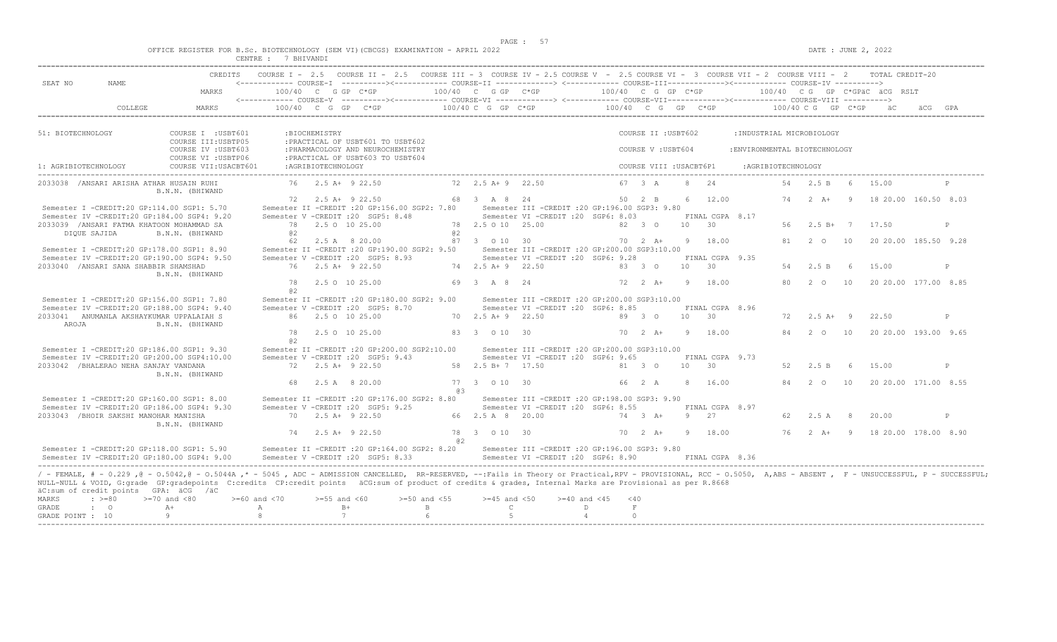$\texttt{DATE}$  : JUNE 2, 2022

| OFFICE REGISTER FOR B.Sc. |                   | BIOTECHNOLOGY       | (SEM VI)(CBCGS)<br>. | EXAMINATION | A PR TT.<br>2022 |
|---------------------------|-------------------|---------------------|----------------------|-------------|------------------|
|                           | ^ENTRE.<br>------ | <b>RHTVAND</b><br>. |                      |             |                  |

| SEAT NO<br>NAME.                                                                          |                                                                                                                                                                                                                         |                  |                    | CREDITS COURSE I - 2.5 COURSE II - 2.5 COURSE III - 3 COURSE IV - 2.5 COURSE V - 2.5 COURSE VI - 3 COURSE VII - 2 COURSE VIII - 2 TOTAL CREDIT-20 |                |                             |                                                  |                         |                 |                        |       |                 |                               |                    |                      |                                                |   |
|-------------------------------------------------------------------------------------------|-------------------------------------------------------------------------------------------------------------------------------------------------------------------------------------------------------------------------|------------------|--------------------|---------------------------------------------------------------------------------------------------------------------------------------------------|----------------|-----------------------------|--------------------------------------------------|-------------------------|-----------------|------------------------|-------|-----------------|-------------------------------|--------------------|----------------------|------------------------------------------------|---|
|                                                                                           | MARKS                                                                                                                                                                                                                   |                  |                    | $100/40$ C G GP C*GP $100/40$ C G GP C*GP $100/40$ C G GP C*GP $100/40$ C G GP C*GPäC äCG RSLT                                                    |                |                             |                                                  |                         |                 |                        |       |                 |                               |                    |                      |                                                |   |
| COLLEGE                                                                                   | MARKS                                                                                                                                                                                                                   |                  |                    | 100/40 C G GP C*GP $100/40$ C G GP C*GP $100/40$ C G GP C*GP $100/40$ C G GP C*GP $100/40$ C G GP C*GP aC $G$ GPA                                 |                |                             |                                                  |                         |                 |                        |       |                 |                               |                    |                      |                                                |   |
|                                                                                           |                                                                                                                                                                                                                         |                  |                    |                                                                                                                                                   |                |                             |                                                  |                         |                 |                        |       |                 |                               |                    |                      |                                                |   |
| 51: BIOTECHNOLOGY                                                                         | COURSE I : USBT601<br>COURSE III: USBTP05                                                                                                                                                                               |                  | :BIOCHEMISTRY      | :PRACTICAL OF USBT601 TO USBT602                                                                                                                  |                |                             |                                                  |                         |                 | COURSE II : USBT602    |       |                 | : INDUSTRIAL MICROBIOLOGY     |                    |                      |                                                |   |
|                                                                                           | COURSE IV : USBT603                                                                                                                                                                                                     |                  |                    | : PHARMACOLOGY AND NEUROCHEMISTRY                                                                                                                 |                |                             |                                                  |                         |                 | COURSE V: USBT604      |       |                 | : ENVIRONMENTAL BIOTECHNOLOGY |                    |                      |                                                |   |
| 1: AGRIBIOTECHNOLOGY                                                                      | COURSE VI : USBTP06<br>COURSE VII:USACBT601                                                                                                                                                                             |                  | :AGRIBIOTECHNOLOGY | : PRACTICAL OF USBT603 TO USBT604                                                                                                                 |                |                             |                                                  |                         |                 | COURSE VIII :USACBT6P1 |       |                 |                               | :AGRIBIOTECHNOLOGY |                      |                                                |   |
| 2033038 /ANSARI ARISHA ATHAR HUSAIN RUHI                                                  |                                                                                                                                                                                                                         |                  |                    | 76 2.5 A+ 9 22.50 72 2.5 A+ 9 22.50                                                                                                               |                |                             |                                                  |                         |                 | 67 3 A                 |       | 8 24            |                               |                    | 54  2.5  B  6  15.00 |                                                |   |
|                                                                                           | B.N.N. (BHIWAND                                                                                                                                                                                                         |                  |                    | 72  2.5 A+  9 22.50  68  3  A  8  24  50  2  B                                                                                                    |                |                             |                                                  |                         |                 |                        |       |                 | 6 12.00                       |                    |                      | 74  2 A+ 9  18  20.00  160.50  8.03            |   |
| Semester I -CREDIT:20 GP:114.00 SGP1: 5.70                                                |                                                                                                                                                                                                                         |                  |                    | Semester II -CREDIT :20 GP:156.00 SGP2: 7.80 Semester III -CREDIT :20 GP:196.00 SGP3: 9.80                                                        |                |                             |                                                  |                         |                 |                        |       |                 |                               |                    |                      |                                                |   |
| Semester IV -CREDIT:20 GP:184.00 SGP4: 9.20                                               |                                                                                                                                                                                                                         |                  |                    | Semester V -CREDIT : 20 SGP5: 8.48                                                                                                                |                |                             | Semester VI -CREDIT : 20 SGP6: 8.03              |                         |                 |                        |       | FINAL CGPA 8.17 |                               |                    |                      |                                                |   |
| 2033039 /ANSARI FATMA KHATOON MOHAMMAD SA                                                 |                                                                                                                                                                                                                         |                  | 78 2.5 0 10 25.00  |                                                                                                                                                   |                |                             | 78  2.5  0  10  25.00  82  3  0                  |                         |                 |                        | 10 30 |                 |                               |                    | 56 2.5 B+ 7 17.50    |                                                | P |
| DIOUE SAJIDA                                                                              | B.N.N. (BHIWAND                                                                                                                                                                                                         | @ 2              |                    |                                                                                                                                                   | a <sub>2</sub> |                             |                                                  |                         |                 |                        |       |                 |                               |                    |                      |                                                |   |
| Semester I -CREDIT:20 GP:178.00 SGP1: 8.90                                                |                                                                                                                                                                                                                         | 62               | 2.5 A 8 20.00      | Semester II -CREDIT : 20 GP:190.00 SGP2: 9.50 Semester III -CREDIT : 20 GP:200.00 SGP3:10.00                                                      |                |                             |                                                  |                         |                 |                        |       |                 |                               |                    |                      | 81  2  0  10  20  20  00  185.50  9.28         |   |
| Semester IV -CREDIT:20 GP:190.00 SGP4: 9.50                                               |                                                                                                                                                                                                                         |                  |                    | Semester V - CREDIT : 20 SGP5: 8.93                                                                                                               |                |                             | Semester VI - CREDIT : 20 SGP6: 9.28             |                         |                 |                        |       | FINAL CGPA 9.35 |                               |                    |                      |                                                |   |
| 2033040 / ANSARI SANA SHABBIR SHAMSHAD                                                    | B.N.N. (BHIWAND                                                                                                                                                                                                         |                  | 76 2.5 A+ 9 22.50  |                                                                                                                                                   |                |                             | 74  2.5 A+ 9  22.50  83  3  0  10  30            |                         |                 |                        |       |                 |                               |                    | 54 2.5 B 6           | 15.00                                          | P |
|                                                                                           |                                                                                                                                                                                                                         |                  | 78 2.5 0 10 25.00  |                                                                                                                                                   |                | 69 3 A 8 24                 |                                                  | $72 \t2 A+ 9 \t18.00$   |                 |                        |       |                 |                               |                    |                      | 80   2   0   10   20   20   00   177,00   8.85 |   |
|                                                                                           |                                                                                                                                                                                                                         | a2               |                    |                                                                                                                                                   |                |                             |                                                  |                         |                 |                        |       |                 |                               |                    |                      |                                                |   |
| Semester I -CREDIT:20 GP:156.00 SGP1: 7.80<br>Semester IV -CREDIT:20 GP:188.00 SGP4: 9.40 |                                                                                                                                                                                                                         |                  |                    | Semester II -CREDIT : 20 GP:180.00 SGP2: 9.00 Semester III -CREDIT : 20 GP: 200.00 SGP3:10.00<br>Semester V - CREDIT : 20 SGP5: 8.70              |                |                             | Semester VI - CREDIT : 20 SGP6: 8.85             |                         |                 |                        |       |                 |                               |                    |                      |                                                |   |
| 2033041 ANUMANLA AKSHAYKUMAR UPPALAIAH S                                                  |                                                                                                                                                                                                                         |                  | 86 2.5 0 10 25.00  |                                                                                                                                                   |                | $70 \t 2.5 \t A+9 \t 22.50$ |                                                  | 89 3 0 10 30            |                 |                        |       | FINAL CGPA 8.96 |                               |                    | $72 \t 2.5 \t A+ 9$  | 22.50                                          | P |
| AROJA                                                                                     | B.N.N. (BHIWAND                                                                                                                                                                                                         |                  |                    |                                                                                                                                                   |                |                             |                                                  |                         |                 |                        |       |                 |                               |                    |                      |                                                |   |
|                                                                                           |                                                                                                                                                                                                                         |                  | 78 2.5 0 10 25.00  |                                                                                                                                                   |                | 83 3 0 10 30                |                                                  | 70 2 A+ 9 18.00         |                 |                        |       |                 |                               |                    |                      | 84   2   0   10   20   20.00   193.00   9.65   |   |
|                                                                                           |                                                                                                                                                                                                                         | @ 2              |                    |                                                                                                                                                   |                |                             |                                                  |                         |                 |                        |       |                 |                               |                    |                      |                                                |   |
| Semester I -CREDIT:20 GP:186.00 SGP1: 9.30<br>Semester IV -CREDIT:20 GP:200.00 SGP4:10.00 |                                                                                                                                                                                                                         |                  |                    | Semester II -CREDIT :20 GP:200.00 SGP2:10.00 Semester III -CREDIT :20 GP:200.00 SGP3:10.00<br>Semester V -CREDIT : 20 SGP5: 9.43                  |                |                             | Semester VI -CREDIT :20 SGP6: 9.65               |                         |                 |                        |       | FINAL CGPA 9.73 |                               |                    |                      |                                                |   |
| 2033042 /BHALERAO NEHA SANJAY VANDANA                                                     |                                                                                                                                                                                                                         |                  |                    | 72   2.5 A + 9 22.50                                                                                                                              |                |                             | 58 2.5 B+ 7 17.50 81 3 0 10 30                   |                         |                 |                        |       |                 |                               |                    | 52 2.5 B 6           | 15.00                                          | P |
|                                                                                           | B.N.N. (BHIWAND                                                                                                                                                                                                         |                  |                    |                                                                                                                                                   |                |                             |                                                  |                         |                 |                        |       |                 |                               |                    |                      |                                                |   |
|                                                                                           |                                                                                                                                                                                                                         |                  | 68 2.5 A 8 20.00   |                                                                                                                                                   |                | 77 3 0 10 30                |                                                  | 66 2 A                  |                 |                        |       | 8 16.00         |                               |                    |                      | 84   2   0   10   20   20   00   171.00   8.55 |   |
| Semester I -CREDIT:20 GP:160.00 SGP1: 8.00                                                |                                                                                                                                                                                                                         |                  |                    | Semester II -CREDIT : 20 GP: 176.00 SGP2: 8.80                                                                                                    | 63             |                             | Semester III - CREDIT : 20 GP: 198.00 SGP3: 9.90 |                         |                 |                        |       |                 |                               |                    |                      |                                                |   |
| Semester IV -CREDIT:20 GP:186.00 SGP4: 9.30                                               |                                                                                                                                                                                                                         |                  |                    | Semester V -CREDIT : 20 SGP5: 9.25                                                                                                                |                |                             | Semester VI -CREDIT : 20 SGP6: 8.55              |                         |                 |                        |       | FINAL CGPA 8.97 |                               |                    |                      |                                                |   |
| 2033043 / BHOIR SAKSHI MANOHAR MANISHA                                                    |                                                                                                                                                                                                                         |                  |                    | 70 2.5 A + 9 22.50                                                                                                                                |                |                             |                                                  |                         |                 |                        |       |                 |                               |                    | 62 2.5 A 8           | 20.00                                          | P |
|                                                                                           | B.N.N. (BHIWAND                                                                                                                                                                                                         |                  |                    |                                                                                                                                                   |                |                             |                                                  |                         |                 |                        |       |                 |                               |                    |                      |                                                |   |
|                                                                                           |                                                                                                                                                                                                                         |                  | 74 2.5 A+ 9 22.50  |                                                                                                                                                   |                | 78 3 0 10 30                |                                                  | $70 \t2 A+ \t9 \t18.00$ |                 |                        |       |                 |                               |                    |                      | 76  2  A+  9  18  20.00  178.00  8.90          |   |
| Semester I -CREDIT:20 GP:118.00 SGP1: 5.90                                                |                                                                                                                                                                                                                         |                  |                    | Semester II -CREDIT :20 GP:164.00 SGP2: 8.20 Semester III -CREDIT :20 GP:196.00 SGP3: 9.80                                                        | @ 2            |                             |                                                  |                         |                 |                        |       |                 |                               |                    |                      |                                                |   |
| Semester IV -CREDIT:20 GP:180.00 SGP4: 9.00                                               |                                                                                                                                                                                                                         |                  |                    | Semester V - CREDIT : 20 SGP5: 8.33 Semester VI - CREDIT : 20 SGP6: 8.90 FINAL CGPA 8.36                                                          |                |                             |                                                  |                         |                 |                        |       |                 |                               |                    |                      |                                                |   |
|                                                                                           | / - FEMALE, # - 0.229, @ - 0.5042, @ - 0.5044A, * - 5045, ADC - ADMISSION CANCELLED, RR-RESERVED, --: Fails in Theory or Practical, RPV - PROVISIONAL, RCC - 0.5050, A, ABS - ABSENT, F - UNSUCCESSFUL, P - SUCCESSFUL; |                  |                    |                                                                                                                                                   |                |                             |                                                  |                         |                 |                        |       |                 |                               |                    |                      |                                                |   |
| äC:sum of credit points GPA: äCG /äC                                                      | NULL-NULL & VOID, G:grade GP:gradepoints C:credits CP:credit points äCG:sum of product of credits & grades, Internal Marks are Provisional as per R.8668                                                                |                  |                    |                                                                                                                                                   |                |                             |                                                  |                         |                 |                        |       |                 |                               |                    |                      |                                                |   |
| MARKS<br>$: \; > = 80$                                                                    | $>=70$ and $<80$                                                                                                                                                                                                        | $>=60$ and $<70$ | $>=55$ and $<60$   | $>=50$ and $<55$                                                                                                                                  |                |                             | $>=45$ and $<50$ $>=40$ and $<45$ $<40$          |                         |                 |                        |       |                 |                               |                    |                      |                                                |   |
| GRADE<br>$\cdot$ 0<br>GRADE POINT : 10                                                    | $A +$<br>$\sim$ 9                                                                                                                                                                                                       | A<br>8           |                    | $B+$<br>B<br>7<br>6                                                                                                                               |                | $\mathbb{C}$<br>5           |                                                  | D<br>4                  | F<br>$\bigcirc$ |                        |       |                 |                               |                    |                      |                                                |   |
|                                                                                           |                                                                                                                                                                                                                         |                  |                    |                                                                                                                                                   |                |                             |                                                  |                         |                 |                        |       |                 |                               |                    |                      |                                                |   |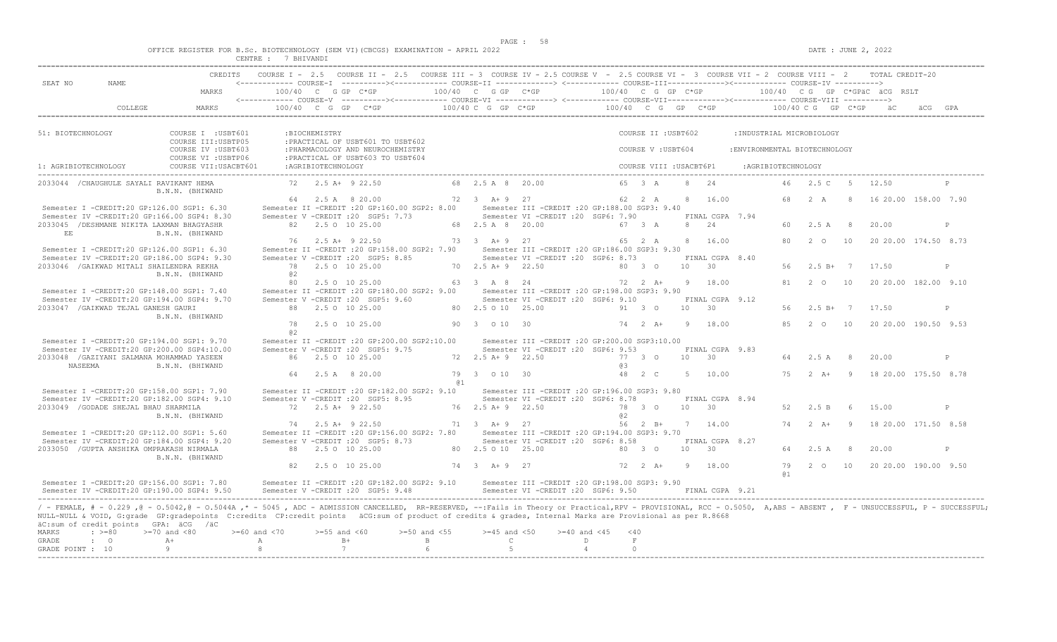|  |  |  |                 |  | OFFICE REGISTER FOR B.Sc. BIOTECHNOLOGY (SEM VI)(CBCGS) EXAMINATION - APRIL 2022 |  |  |
|--|--|--|-----------------|--|----------------------------------------------------------------------------------|--|--|
|  |  |  | <b>BHTVANDT</b> |  |                                                                                  |  |  |

| SEAT NO<br><b>NAME</b>                                                                    | <b>CREDITS</b>                                                                                                                                                                                                                                                                                                                                                                |                                    |                    |                                                                        | COURSE I - 2.5 COURSE II - 2.5 COURSE III - 3 COURSE IV - 2.5 COURSE V - 2.5 COURSE VI - 3 COURSE VII - 2 COURSE VIII - 2 |                                   |                                  |                                                                                         |                              |                      |                   |                     |                         |                 |                                       |                            |                | TOTAL CREDIT-20               |         |              |
|-------------------------------------------------------------------------------------------|-------------------------------------------------------------------------------------------------------------------------------------------------------------------------------------------------------------------------------------------------------------------------------------------------------------------------------------------------------------------------------|------------------------------------|--------------------|------------------------------------------------------------------------|---------------------------------------------------------------------------------------------------------------------------|-----------------------------------|----------------------------------|-----------------------------------------------------------------------------------------|------------------------------|----------------------|-------------------|---------------------|-------------------------|-----------------|---------------------------------------|----------------------------|----------------|-------------------------------|---------|--------------|
|                                                                                           | MARKS                                                                                                                                                                                                                                                                                                                                                                         | 100/40 C G GP C*GP                 |                    |                                                                        | 100/40 C G GP C*GP                                                                                                        |                                   |                                  |                                                                                         |                              | $100/40$ C G GP C*GP |                   |                     |                         |                 |                                       |                            |                | 100/40 CG GP C*GPäC äCG RSLT  |         |              |
| COLLEGE                                                                                   | MARKS                                                                                                                                                                                                                                                                                                                                                                         |                                    |                    | 100/40 C G GP C*GP                                                     |                                                                                                                           | 100/40 C G GP C*GP                |                                  |                                                                                         |                              |                      |                   |                     |                         |                 | 100/40 C G GP C*GP 100/40 C G GP C*GP |                            |                |                               | ACG GPA |              |
| 51: BIOTECHNOLOGY                                                                         | COURSE I : USBT601<br>COURSE III: USBTP05                                                                                                                                                                                                                                                                                                                                     |                                    | :BIOCHEMISTRY      | : PRACTICAL OF USBT601 TO USBT602                                      |                                                                                                                           |                                   |                                  |                                                                                         |                              |                      |                   | COURSE II : USBT602 |                         |                 | :INDUSTRIAL MICROBIOLOGY              |                            |                |                               |         |              |
|                                                                                           | COURSE IV : USBT603<br>COURSE VI : USBTP06                                                                                                                                                                                                                                                                                                                                    |                                    |                    | : PHARMACOLOGY AND NEUROCHEMISTRY<br>: PRACTICAL OF USBT603 TO USBT604 |                                                                                                                           |                                   |                                  |                                                                                         |                              |                      |                   | COURSE V: USBT604   |                         |                 | : ENVIRONMENTAL BIOTECHNOLOGY         |                            |                |                               |         |              |
| 1: AGRIBIOTECHNOLOGY                                                                      | COURSE VII: USACBT601                                                                                                                                                                                                                                                                                                                                                         |                                    | :AGRIBIOTECHNOLOGY |                                                                        |                                                                                                                           |                                   |                                  |                                                                                         |                              |                      |                   |                     | COURSE VIII : USACBT6P1 |                 | : AGRIBIOTECHNOLOGY                   |                            |                |                               |         |              |
| 2033044 / CHAUGHULE SAYALI RAVIKANT HEMA                                                  | B.N.N. (BHIWAND                                                                                                                                                                                                                                                                                                                                                               |                                    |                    | 72 2.5 A+ 9 22.50                                                      |                                                                                                                           | 68 2.5 A 8 20.00                  |                                  |                                                                                         |                              |                      | 65 3 A            |                     | 8<br>2.4                |                 | 46                                    | 2.5 C                      |                | 5 12.50                       |         |              |
| Semester I -CREDIT:20 GP:126.00 SGP1: 6.30                                                |                                                                                                                                                                                                                                                                                                                                                                               |                                    |                    | 64 2.5 A 8 20.00                                                       | Semester II -CREDIT : 20 GP:160.00 SGP2: 8.00                                                                             | 72 3 A + 9 27                     |                                  | Semester III -CREDIT : 20 GP: 188.00 SGP3: 9.40                                         |                              |                      | 62 2 A            |                     | 8 16.00                 |                 | 68                                    | 2A                         | -8             | 16 20.00 158.00 7.90          |         |              |
| Semester IV -CREDIT:20 GP:166.00 SGP4: 8.30<br>2033045 / DESHMANE NIKITA LAXMAN BHAGYASHR |                                                                                                                                                                                                                                                                                                                                                                               |                                    |                    | Semester V -CREDIT : 20 SGP5: 7.73<br>82 2.5 0 10 25.00                |                                                                                                                           | 68 2.5 A 8 20.00                  |                                  | Semester VI - CREDIT : 20 SGP6: 7.90                                                    |                              |                      | 67 3 A            |                     | 8<br>2.4                | FINAL CGPA 7.94 | 60.                                   | 2.5A                       | 8              | 20.00                         |         | P            |
| EE<br>Semester I -CREDIT:20 GP:126.00 SGP1: 6.30                                          | B.N.N. (BHIWAND                                                                                                                                                                                                                                                                                                                                                               |                                    |                    | 76 2.5 A+ 9 22.50                                                      | Semester II -CREDIT : 20 GP: 158.00 SGP2: 7.90                                                                            | 73 3 A + 9 27                     |                                  | Semester III -CREDIT :20 GP:186.00 SGP3: 9.30                                           |                              |                      | 65 2 A            |                     | 16.00<br>8              |                 | 80                                    | $2^{\circ}$ 0              | 10             | 20 20.00 174.50 8.73          |         |              |
| Semester IV -CREDIT:20 GP:186.00 SGP4: 9.30<br>2033046 / GAIKWAD MITALI SHAILENDRA REKHA  |                                                                                                                                                                                                                                                                                                                                                                               |                                    |                    | Semester V -CREDIT : 20 SGP5: 8.85<br>78 2.5 0 10 25.00                |                                                                                                                           | 70 2.5 A+ 9 22.50                 |                                  | Semester VI - CREDIT : 20 SGP6: 8.73                                                    |                              |                      | 80 3 0            |                     | 10 <sup>1</sup><br>30   | FINAL CGPA 8.40 | 56                                    |                            |                | $2.5 B+ 7 17.50$              |         | P            |
|                                                                                           | B.N.N. (BHIWAND                                                                                                                                                                                                                                                                                                                                                               | @2<br>80                           |                    | 2.5 0 10 25.00                                                         |                                                                                                                           | 63 3 A 8 24                       |                                  |                                                                                         |                              |                      | 72  2  A+         |                     | 9 18.00                 |                 | 81                                    | $2\degree$ 0               | 10             | 20 20.00 182.00 9.10          |         |              |
| Semester I -CREDIT:20 GP:148.00 SGP1: 7.40<br>Semester IV -CREDIT:20 GP:194.00 SGP4: 9.70 |                                                                                                                                                                                                                                                                                                                                                                               |                                    |                    | Semester V -CREDIT : 20 SGP5: 9.60                                     | Semester II -CREDIT : 20 GP:180.00 SGP2: 9.00                                                                             |                                   |                                  | Semester III - CREDIT : 20 GP: 198.00 SGP3: 9.90<br>Semester VI -CREDIT : 20 SGP6: 9.10 |                              |                      |                   |                     | 10                      | FINAL CGPA 9.12 |                                       |                            |                |                               |         |              |
| 2033047 / GAIKWAD TEJAL GANESH GAURI                                                      | B.N.N. (BHIWAND                                                                                                                                                                                                                                                                                                                                                               | 78                                 |                    | 88 2.5 0 10 25.00<br>2.5 0 10 25.00                                    |                                                                                                                           | 80 2.5 0 10 25.00<br>90 3 0 10 30 |                                  |                                                                                         |                              |                      | 91 3 0<br>74 2 A+ |                     | 30<br>-9                | 18.00           | 56<br>8.5                             | $2.5 B+ 7$<br>$2\degree$ 0 | 10             | 17.50<br>20 20.00 190.50 9.53 |         | P            |
| Semester I -CREDIT:20 GP:194.00 SGP1: 9.70                                                |                                                                                                                                                                                                                                                                                                                                                                               | a2                                 |                    |                                                                        | Semester II -CREDIT : 20 GP: 200.00 SGP2: 10.00                                                                           |                                   |                                  | Semester III -CREDIT :20 GP:200.00 SGP3:10.00                                           |                              |                      |                   |                     |                         |                 |                                       |                            |                |                               |         |              |
| Semester IV -CREDIT:20 GP:200.00 SGP4:10.00<br>2033048 / GAZIYANI SALMANA MOHAMMAD YASEEN |                                                                                                                                                                                                                                                                                                                                                                               |                                    |                    | Semester V -CREDIT : 20 SGP5: 9.75<br>86 2.5 0 10 25.00                |                                                                                                                           | 72 2.5 A+ 9 22.50                 |                                  | Semester VI -CREDIT : 20 SGP6: 9.53                                                     |                              |                      | 77 3 0            |                     | 30<br>10                | FINAL CGPA 9.83 | 64                                    | 2.5A                       | 8 <sup>8</sup> | 20.00                         |         | P            |
| NASEEMA                                                                                   | B.N.N. (BHIWAND                                                                                                                                                                                                                                                                                                                                                               | 64                                 |                    | 2.5 A 8 20.00                                                          |                                                                                                                           | 79 3 0 10 30<br>@ 1               |                                  |                                                                                         |                              | eз                   | 48 2 C            |                     | -5                      | 10.00           | 75                                    | $2 \overline{A}$ +         | $\overline{q}$ | 18 20.00 175.50 8.78          |         |              |
| Semester I -CREDIT:20 GP:158.00 SGP1: 7.90<br>Semester IV -CREDIT:20 GP:182.00 SGP4: 9.10 |                                                                                                                                                                                                                                                                                                                                                                               |                                    |                    | Semester V -CREDIT : 20 SGP5: 8.95                                     | Semester II -CREDIT : 20 GP:182.00 SGP2: 9.10                                                                             |                                   |                                  | Semester III -CREDIT :20 GP:196.00 SGP3: 9.80<br>Semester VI -CREDIT : 20 SGP6: 8.78    |                              |                      |                   |                     |                         | FINAL CGPA 8.94 |                                       |                            |                |                               |         |              |
| 2033049 / GODADE SHEJAL BHAU SHARMILA                                                     | B.N.N. (BHIWAND                                                                                                                                                                                                                                                                                                                                                               |                                    |                    | 72 2.5 A+ 9 22.50                                                      |                                                                                                                           | 76 2.5 A+ 9 22.50                 |                                  |                                                                                         |                              | a2                   | 78 3 0            |                     | 10 30                   |                 | 52                                    | 2.5 B                      | - 6            | 15.00                         |         | $\mathbb{D}$ |
| Semester I -CREDIT:20 GP:112.00 SGP1: 5.60                                                |                                                                                                                                                                                                                                                                                                                                                                               |                                    |                    | 74 2.5 A+ 9 22.50                                                      | Semester II -CREDIT : 20 GP: 156.00 SGP2: 7.80                                                                            | 71 3 A+ 9 27                      |                                  | Semester III -CREDIT :20 GP:194.00 SGP3: 9.70                                           |                              |                      | 56 2 B+           |                     | 7 14.00                 |                 | 74                                    | $2 \overline{A}$ +         | $\overline{9}$ | 18 20.00 171.50 8.58          |         |              |
| Semester IV -CREDIT:20 GP:184.00 SGP4: 9.20<br>2033050 / GUPTA ANSHIKA OMPRAKASH NIRMALA  | B.N.N. (BHIWAND                                                                                                                                                                                                                                                                                                                                                               |                                    |                    | Semester V -CREDIT : 20 SGP5: 8.73<br>88 2.5 0 10 25.00                |                                                                                                                           | 80 2.5 0 10 25.00                 |                                  | Semester VI -CREDIT : 20 SGP6: 8.58                                                     |                              |                      | 80 3 0            |                     | 10<br>30                | FINAL CGPA 8.27 | 64                                    | 2.5A                       | - 8            | 20.00                         |         | P            |
|                                                                                           |                                                                                                                                                                                                                                                                                                                                                                               | 82                                 |                    | 2.5 0 10 25.00                                                         |                                                                                                                           | 74 3 A+9 27                       |                                  |                                                                                         |                              |                      | 72 2 A+           |                     | 9 18.00                 |                 | 79<br>61                              |                            |                | 2 0 10 20 20.00 190.00 9.50   |         |              |
| Semester I -CREDIT:20 GP:156.00 SGP1: 7.80<br>Semester IV -CREDIT:20 GP:190.00 SGP4: 9.50 |                                                                                                                                                                                                                                                                                                                                                                               |                                    |                    | Semester V -CREDIT : 20 SGP5: 9.48                                     | Semester II -CREDIT : 20 GP:182.00 SGP2: 9.10                                                                             |                                   |                                  | Semester III -CREDIT :20 GP:198.00 SGP3: 9.90<br>Semester VI - CREDIT : 20 SGP6: 9.50   |                              |                      |                   |                     |                         | FINAL CGPA 9.21 |                                       |                            |                |                               |         |              |
| äC:sum of credit points GPA: äCG /äC                                                      | / - FEMALE, # - 0.229,0 - 0.5042,0 - 0.5044A,* - 5045, ADC - ADMISSION CANCELLED, RR-RESERVED, --:Fails in Theory or Practical,RPV - PROVISIONAL, RCC - 0.5050, A,ABS - ABSENT, F - UNSUCCESSFUL, P - SUCCESSFUL;<br>NULL-NULL & VOID, G:grade GP:gradepoints C:credits CP:credit points äCG:sum of product of credits & grades, Internal Marks are Provisional as per R.8668 |                                    |                    |                                                                        |                                                                                                                           |                                   |                                  |                                                                                         |                              |                      |                   |                     |                         |                 |                                       |                            |                |                               |         |              |
| MARKS<br>$: >=80$<br>GRADE<br>$\cdot$ 0                                                   | $>=70$ and $<80$<br>$\mathbb{A} +$                                                                                                                                                                                                                                                                                                                                            | $>= 60$ and $< 70$<br>$\mathbb{A}$ | $>=55$ and $<60$   | $B+$                                                                   | $>=50$ and $<55$<br>B                                                                                                     |                                   | $>=45$ and $<50$<br>$\mathbb{C}$ |                                                                                         | $>=40$ and $<45$<br>$\Gamma$ |                      | $<$ 40<br>F       |                     |                         |                 |                                       |                            |                |                               |         |              |
| GRADE POINT : 10                                                                          | -9                                                                                                                                                                                                                                                                                                                                                                            | -8                                 | 7                  |                                                                        | $6^{\circ}$                                                                                                               |                                   | 5                                |                                                                                         | $\overline{4}$               |                      | $\Omega$          |                     |                         |                 |                                       |                            |                |                               |         |              |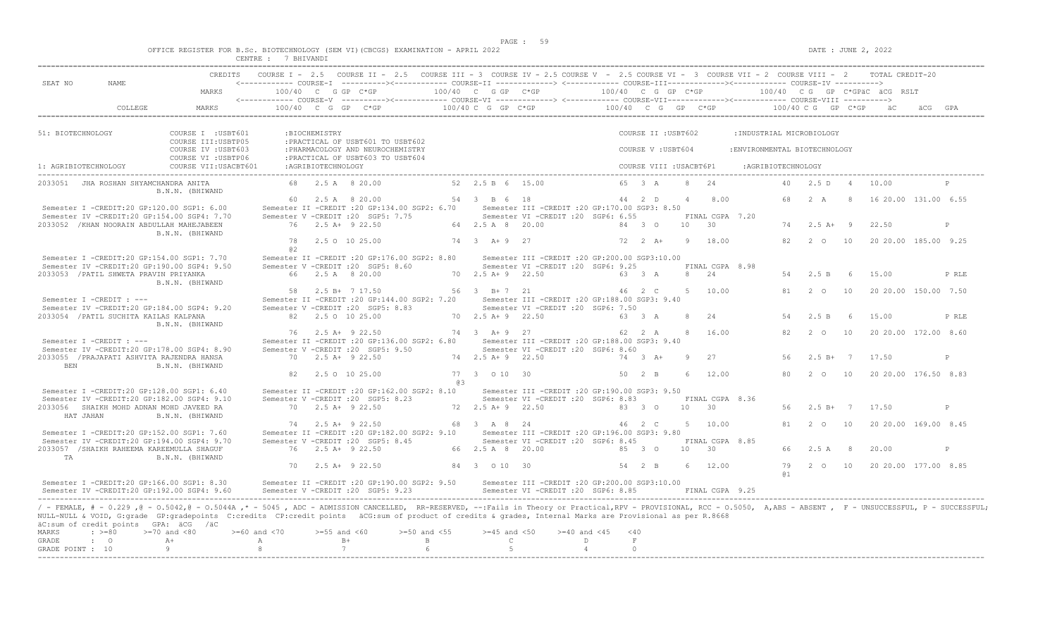|                         | OFFICE REGISTER FOR B.Sc. BIOTECHNOLOGY | (SEM VI)(CBCGS) EXAMINATION -<br>. | APRIL<br>2022 |
|-------------------------|-----------------------------------------|------------------------------------|---------------|
| <b>CENTRE</b><br>------ | <b>RHTVAND</b><br>IVAND L               |                                    |               |

|                                                                                                                                                                                                                      | <b>CREDITS</b>                             |                      |                    | COURSE I - 2.5 COURSE II - 2.5 COURSE III - 3 COURSE IV - 2.5 COURSE V - 2.5 COURSE VI - 3 COURSE VII - 2 COURSE VIII - 2 TOTAL CREDIT-20 |                        |                      |                                                                                         |                    |          |                         |                 |                 |                                           |                     |                  |          |                              |              |
|----------------------------------------------------------------------------------------------------------------------------------------------------------------------------------------------------------------------|--------------------------------------------|----------------------|--------------------|-------------------------------------------------------------------------------------------------------------------------------------------|------------------------|----------------------|-----------------------------------------------------------------------------------------|--------------------|----------|-------------------------|-----------------|-----------------|-------------------------------------------|---------------------|------------------|----------|------------------------------|--------------|
| SEAT NO<br>NAME.                                                                                                                                                                                                     | MARKS                                      | $100/40$ C G GP C*GP |                    |                                                                                                                                           | $100/40$ C G GP $C*GP$ |                      |                                                                                         | 100/40 C G GP C*GP |          |                         |                 |                 |                                           |                     |                  |          | 100/40 CG GP C*GPäC äCG RSLT |              |
|                                                                                                                                                                                                                      |                                            |                      |                    |                                                                                                                                           |                        |                      |                                                                                         |                    |          |                         |                 |                 |                                           |                     |                  |          |                              |              |
| COLLEGE                                                                                                                                                                                                              | MARKS                                      |                      |                    | $100/40$ C G GP C*GP                                                                                                                      |                        | $100/40$ C G GP C*GP |                                                                                         |                    |          |                         |                 |                 | $100/40$ C G GP C*GP $100/40$ C G GP C*GP |                     |                  |          |                              |              |
|                                                                                                                                                                                                                      |                                            |                      |                    |                                                                                                                                           |                        |                      |                                                                                         |                    |          |                         |                 |                 |                                           |                     |                  |          |                              |              |
| 51: BIOTECHNOLOGY                                                                                                                                                                                                    | COURSE I : USBT601<br>COURSE III: USBTP05  |                      | :BIOCHEMISTRY      | : PRACTICAL OF USBT601 TO USBT602                                                                                                         |                        |                      |                                                                                         |                    |          | COURSE II : USBT602     |                 |                 | : INDUSTRIAL MICROBIOLOGY                 |                     |                  |          |                              |              |
|                                                                                                                                                                                                                      | COURSE IV : USBT603<br>COURSE VI : USBTP06 |                      |                    | : PHARMACOLOGY AND NEUROCHEMISTRY<br>: PRACTICAL OF USBT603 TO USBT604                                                                    |                        |                      |                                                                                         |                    |          | COURSE V: USBT604       |                 |                 | : ENVIRONMENTAL BIOTECHNOLOGY             |                     |                  |          |                              |              |
| 1: AGRIBIOTECHNOLOGY                                                                                                                                                                                                 | COURSE VII: USACBT601                      |                      | :AGRIBIOTECHNOLOGY |                                                                                                                                           |                        |                      |                                                                                         |                    |          | COURSE VIII : USACBT6P1 |                 |                 |                                           | : AGRIBIOTECHNOLOGY |                  |          |                              |              |
| 2033051 JHA ROSHAN SHYAMCHANDRA ANITA                                                                                                                                                                                | B.N.N. (BHIWAND                            |                      |                    | 68 2.5 A 8 20.00                                                                                                                          |                        | 52 2.5 B 6 15.00     |                                                                                         |                    |          | 65 3 A                  | 8               | 2.4             |                                           | 40 <sup>1</sup>     | 2.5 D            | $\sim$ 4 | 10.00                        |              |
|                                                                                                                                                                                                                      |                                            |                      |                    | 60 2.5 A 8 20.00                                                                                                                          |                        | 54 3 B 6 18          |                                                                                         |                    |          | 44 2 D                  | $\overline{4}$  | 8.00            |                                           | 68                  | 2A               | -8       | 16 20.00 131.00 6.55         |              |
| Semester I -CREDIT:20 GP:120.00 SGP1: 6.00                                                                                                                                                                           |                                            |                      |                    | Semester II -CREDIT : 20 GP: 134.00 SGP2: 6.70                                                                                            |                        |                      | Semester III - CREDIT : 20 GP: 170.00 SGP3: 8.50                                        |                    |          |                         |                 |                 |                                           |                     |                  |          |                              |              |
| Semester IV -CREDIT:20 GP:154.00 SGP4: 7.70                                                                                                                                                                          |                                            |                      |                    | Semester V - CREDIT : 20 SGP5: 7.75                                                                                                       |                        |                      | Semester VI -CREDIT : 20 SGP6: 6.55                                                     |                    |          |                         |                 | FINAL CGPA 7.20 |                                           |                     |                  |          |                              |              |
| 2033052 / KHAN NOORAIN ABDULLAH MAHEJABEEN                                                                                                                                                                           | B.N.N. (BHIWAND                            |                      |                    | 76 2.5 A+ 9 22.50                                                                                                                         |                        | 64 2.5 A 8 20.00     |                                                                                         |                    |          | 84 3 0                  | 10              | 30              |                                           | 74                  | $2.5 A+ 9$       |          | 22.50                        | P            |
|                                                                                                                                                                                                                      |                                            | 78<br>02             |                    | 2.5 0 10 25.00                                                                                                                            |                        | 74 3 A + 9 27        |                                                                                         |                    |          | $72 \t2 \tA+$           | -9              | 18.00           |                                           | 82                  | $2\degree$ 0     | 10       | 20 20.00 185.00 9.25         |              |
| Semester I -CREDIT:20 GP:154.00 SGP1: 7.70                                                                                                                                                                           |                                            |                      |                    | Semester II -CREDIT : 20 GP: 176.00 SGP2: 8.80                                                                                            |                        |                      | Semester III -CREDIT :20 GP:200.00 SGP3:10.00                                           |                    |          |                         |                 |                 |                                           |                     |                  |          |                              |              |
| Semester IV -CREDIT:20 GP:190.00 SGP4: 9.50                                                                                                                                                                          |                                            |                      |                    | Semester V - CREDIT : 20 SGP5: 8.60                                                                                                       |                        |                      | Semester VI -CREDIT : 20 SGP6: 9.25                                                     |                    |          |                         |                 | FINAL CGPA 8.98 |                                           |                     |                  |          |                              |              |
| 2033053 / PATIL SHWETA PRAVIN PRIYANKA                                                                                                                                                                               | B.N.N. (BHIWAND                            |                      |                    | 66 2.5 A 8 20.00                                                                                                                          |                        | 70 2.5 A + 9 22.50   |                                                                                         |                    |          | 63 3 A                  | 8               | 2.4             |                                           | 54                  | 2.5 B            | - 6      | 15.00                        | P RLE        |
|                                                                                                                                                                                                                      |                                            |                      |                    | 58 2.5 B+ 7 17.50                                                                                                                         |                        | 56 3 B+7 21          |                                                                                         |                    |          | 46 2 C                  | $5 -$           | 10.00           |                                           | 81                  | $2^{\circ}$      | 10       | 20 20.00 150.00 7.50         |              |
| Semester I -CREDIT : ---                                                                                                                                                                                             |                                            |                      |                    | Semester II -CREDIT : 20 GP: 144.00 SGP2: 7.20                                                                                            |                        |                      | Semester III - CREDIT : 20 GP: 188.00 SGP3: 9.40                                        |                    |          |                         |                 |                 |                                           |                     |                  |          |                              |              |
| Semester IV -CREDIT:20 GP:184.00 SGP4: 9.20<br>2033054 / PATIL SUCHITA KAILAS KALPANA                                                                                                                                |                                            |                      |                    | Semester V -CREDIT : 20 SGP5: 8.83<br>82 2.5 0 10 25.00                                                                                   |                        | 70 2.5 A + 9 22.50   | Semester VI -CREDIT : 20 SGP6: 7.50                                                     |                    |          | 63 3 A                  | -8              | 2.4             |                                           | 54                  | 2.5 B            | - 6      | 15.00                        | P RLE        |
|                                                                                                                                                                                                                      | B.N.N. (BHIWAND                            |                      |                    |                                                                                                                                           |                        |                      |                                                                                         |                    |          |                         |                 |                 |                                           |                     |                  |          |                              |              |
|                                                                                                                                                                                                                      |                                            |                      |                    | 76 2.5 A+ 9 22.50                                                                                                                         |                        | 74 3 A+ 9 27         |                                                                                         |                    |          | 62 2 A                  | 8               | 16.00           |                                           | 82                  | $2^{\circ}$      | 10       | 20 20.00 172.00 8.60         |              |
| Semester I -CREDIT : ---<br>Semester IV -CREDIT:20 GP:178.00 SGP4: 8.90                                                                                                                                              |                                            |                      |                    | Semester II -CREDIT : 20 GP: 136.00 SGP2: 6.80<br>Semester V -CREDIT : 20 SGP5: 9.50                                                      |                        |                      | Semester III -CREDIT :20 GP:188.00 SGP3: 9.40<br>Semester VI -CREDIT : 20 SGP6: 8.60    |                    |          |                         |                 |                 |                                           |                     |                  |          |                              |              |
| 2033055 / PRAJAPATI ASHVITA RAJENDRA HANSA<br><b>BEN</b>                                                                                                                                                             | B.N.N. (BHIWAND                            |                      |                    | 70 2.5 A+ 9 22.50                                                                                                                         |                        | 74 2.5 A + 9 22.50   |                                                                                         |                    |          | $74$ 3 A+               | -9              | 27              |                                           | 56                  | $2.5 B+ 7 17.50$ |          |                              | $\mathsf{P}$ |
|                                                                                                                                                                                                                      |                                            | 82                   |                    | 2.5 0 10 25.00                                                                                                                            |                        | 77 3 0 10 30         |                                                                                         |                    |          | $50 \t 2 \t B$          | -6              | 12.00           |                                           | 80                  | $2\degree$ 0     | 10       | 20 20.00 176.50 8.83         |              |
|                                                                                                                                                                                                                      |                                            |                      |                    |                                                                                                                                           | 63                     |                      |                                                                                         |                    |          |                         |                 |                 |                                           |                     |                  |          |                              |              |
| Semester I -CREDIT:20 GP:128.00 SGP1: 6.40<br>Semester IV -CREDIT:20 GP:182.00 SGP4: 9.10                                                                                                                            |                                            |                      |                    | Semester II -CREDIT : 20 GP: 162.00 SGP2: 8.10<br>Semester V -CREDIT : 20 SGP5: 8.23                                                      |                        |                      | Semester III -CREDIT :20 GP:190.00 SGP3: 9.50<br>Semester VI - CREDIT : 20 SGP6: 8.83   |                    |          |                         |                 | FINAL CGPA 8.36 |                                           |                     |                  |          |                              |              |
| 2033056 SHAIKH MOHD ADNAN MOHD JAVEED RA                                                                                                                                                                             |                                            |                      |                    | 70 2.5 A+ 9 22.50                                                                                                                         |                        | 72 2.5 A + 9 22.50   |                                                                                         |                    |          | 83 3 0                  | 10 <sup>1</sup> | 30              |                                           | 56                  | $2.5 B+ 7$       |          | 17.50                        | $\mathsf{P}$ |
| HAT JAHAN                                                                                                                                                                                                            | B.N.N. (BHIWAND                            |                      |                    |                                                                                                                                           |                        |                      |                                                                                         |                    |          |                         |                 |                 |                                           |                     |                  |          |                              |              |
|                                                                                                                                                                                                                      |                                            |                      |                    | 74 2.5 A+ 9 22.50                                                                                                                         |                        | 68 3 A 8 24          |                                                                                         |                    |          | 46 2 C                  | $5 -$           | 10.00           |                                           | 81                  | $2\degree$ 0     | 10       | 20 20.00 169.00 8.45         |              |
| Semester I -CREDIT:20 GP:152.00 SGP1: 7.60<br>Semester IV -CREDIT:20 GP:194.00 SGP4: 9.70                                                                                                                            |                                            |                      |                    | Semester II -CREDIT : 20 GP:182.00 SGP2: 9.10<br>Semester V -CREDIT : 20 SGP5: 8.45                                                       |                        |                      | Semester III - CREDIT : 20 GP: 196.00 SGP3: 9.80<br>Semester VI -CREDIT : 20 SGP6: 8.45 |                    |          |                         |                 | FINAL CGPA 8.85 |                                           |                     |                  |          |                              |              |
| 2033057 /SHAIKH RAHEEMA KAREEMULLA SHAGUF                                                                                                                                                                            |                                            |                      |                    | 76 2.5 A+ 9 22.50                                                                                                                         |                        | 66 2.5 A 8 20.00     |                                                                                         |                    |          | 85 3 0                  | 10              | 30              |                                           | 66                  | 2.5A             | - 8      | 20.00                        | $\mathsf{P}$ |
| TA                                                                                                                                                                                                                   | B.N.N. (BHIWAND                            |                      |                    |                                                                                                                                           |                        |                      |                                                                                         |                    |          |                         |                 |                 |                                           |                     |                  |          |                              |              |
|                                                                                                                                                                                                                      |                                            | 70                   |                    | $2.5 A+ 9 22.50$                                                                                                                          |                        | 84 3 0 10 30         |                                                                                         |                    |          | 54 2 B                  | -6              | 12.00           |                                           | 79<br>@ 1           |                  |          | 2 0 10 20 20 00 177 00 8 85  |              |
| Semester I -CREDIT:20 GP:166.00 SGP1: 8.30<br>Semester IV -CREDIT:20 GP:192.00 SGP4: 9.60                                                                                                                            |                                            |                      |                    | Semester II -CREDIT : 20 GP:190.00 SGP2: 9.50<br>Semester V -CREDIT : 20 SGP5: 9.23                                                       |                        |                      | Semester III -CREDIT :20 GP:200.00 SGP3:10.00<br>Semester VI -CREDIT : 20 SGP6: 8.85    |                    |          |                         |                 | FINAL CGPA 9.25 |                                           |                     |                  |          |                              |              |
| / - FEMALE, # - 0.229, @ - 0.5042, @ - 0.5044A, * - 5045, ADC - ADMISSION CANCELLED, RR-RESERVED, --:Fails in Theory or Practical,RPV - PROVISIONAL, RCC - 0.5050, A,ABS - ABSENT, F - UNSUCCESSFUL, P - SUCCESSFUL; |                                            |                      |                    |                                                                                                                                           |                        |                      |                                                                                         |                    |          |                         |                 |                 |                                           |                     |                  |          |                              |              |
| NULL-NULL & VOID, G:grade GP:gradepoints C:credits CP:credit points äCG:sum of product of credits & grades, Internal Marks are Provisional as per R.8668<br>äC:sum of credit points GPA: äCG /äC                     |                                            |                      |                    |                                                                                                                                           |                        |                      |                                                                                         |                    |          |                         |                 |                 |                                           |                     |                  |          |                              |              |
| $\div$ >=80<br><b>MARKS</b>                                                                                                                                                                                          | $>=70$ and $<80$                           | $>= 60$ and $< 70$   | $>=55$ and $<60$   |                                                                                                                                           | $>=50$ and $<55$       | $>=45$ and $<50$     |                                                                                         | $>= 40$ and $< 45$ | < 40     |                         |                 |                 |                                           |                     |                  |          |                              |              |
| GRADE<br>$\cdot$ 0                                                                                                                                                                                                   | $A +$                                      | $\mathbb{A}$         |                    | $B+$                                                                                                                                      | B                      |                      | $\mathbb{C}$                                                                            | $\Box$             | F        |                         |                 |                 |                                           |                     |                  |          |                              |              |
| GRADE POINT : 10<br>---------------------                                                                                                                                                                            | -9                                         | 8                    | 7                  |                                                                                                                                           | $6\overline{6}$        |                      | 5                                                                                       | $\overline{4}$     | $\Omega$ |                         |                 |                 |                                           |                     |                  |          |                              |              |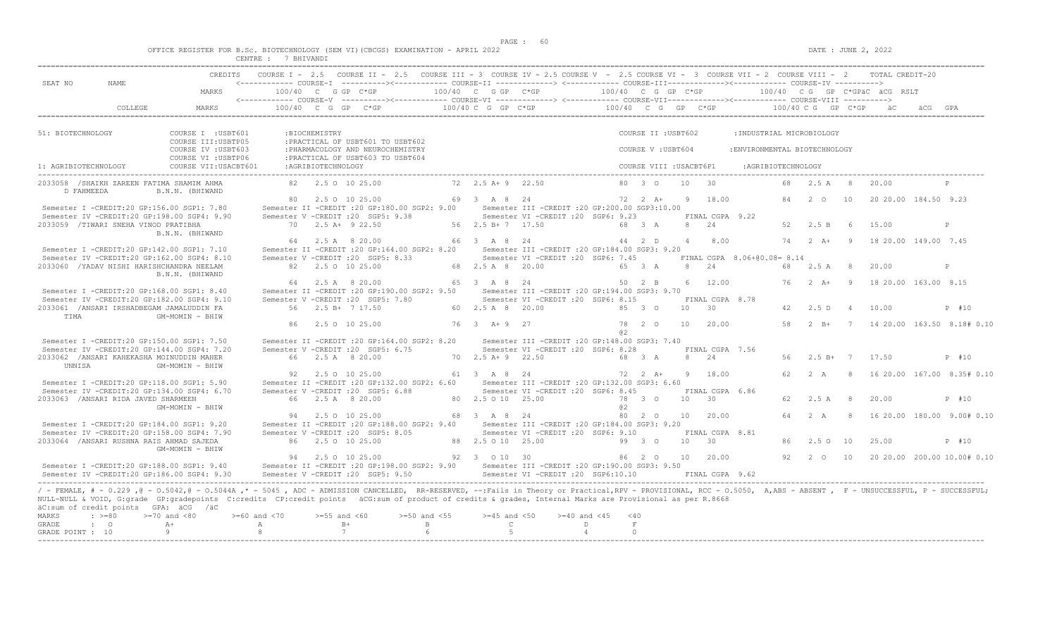|  |  |  |                |  | OFFICE REGISTER FOR B.Sc. BIOTECHNOLOGY (SEM VI)(CBCGS) EXAMINATION - APRIL 2022 |  |  |
|--|--|--|----------------|--|----------------------------------------------------------------------------------|--|--|
|  |  |  | 7.511717733777 |  |                                                                                  |  |  |

|                      |                                            |                                                                                                                                                                                                                                                                                                                                                                                 | CENTRE : 7 BHIVANDI |                    |                                                                                                                                                                                                                                                                                                                                                                    |                    |                                       |                                                   |                    |                         |    |                       |                               |     |                    |                |                              |                              |
|----------------------|--------------------------------------------|---------------------------------------------------------------------------------------------------------------------------------------------------------------------------------------------------------------------------------------------------------------------------------------------------------------------------------------------------------------------------------|---------------------|--------------------|--------------------------------------------------------------------------------------------------------------------------------------------------------------------------------------------------------------------------------------------------------------------------------------------------------------------------------------------------------------------|--------------------|---------------------------------------|---------------------------------------------------|--------------------|-------------------------|----|-----------------------|-------------------------------|-----|--------------------|----------------|------------------------------|------------------------------|
|                      |                                            |                                                                                                                                                                                                                                                                                                                                                                                 |                     |                    | CREDITS COURSE I - 2.5 COURSE II - 2.5 COURSE III - 3 COURSE IV - 2.5 COURSE V - 2.5 COURSE VI - 3 COURSE VII - 2 COURSE VIII - 2 TOTAL CREDIT-20                                                                                                                                                                                                                  |                    |                                       |                                                   |                    |                         |    |                       |                               |     |                    |                |                              |                              |
| SEAT NO              | NAME                                       |                                                                                                                                                                                                                                                                                                                                                                                 |                     |                    | <------------ COURSE-I ----------><----------- COURSE-II --------------> <------------ COURSE-III-------------><------------ COURSE-IV ---------->                                                                                                                                                                                                                 |                    |                                       |                                                   |                    |                         |    |                       |                               |     |                    |                |                              |                              |
|                      |                                            | MARKS                                                                                                                                                                                                                                                                                                                                                                           |                     |                    | $100/40$ C G GP C*GP                                                                                                                                                                                                                                                                                                                                               |                    | 100/40 C G GP C*GP                    |                                                   | 100/40 C G GP C*GP |                         |    |                       |                               |     |                    |                | 100/40 CG GP C*GPäC äCG RSLT |                              |
|                      | COLLEGE.                                   | MARKS                                                                                                                                                                                                                                                                                                                                                                           |                     |                    | $100/40$ C G GP C*GP $\overline{C}$ $\overline{C}$ $\overline{C}$ $\overline{C}$ $\overline{C}$ $\overline{C}$ $\overline{C}$ $\overline{C}$ $\overline{C}$ $\overline{C}$ $\overline{C}$ $\overline{C}$ $\overline{C}$ $\overline{C}$ $\overline{C}$ $\overline{C}$ $\overline{C}$ $\overline{C}$ $\overline{C}$ $\overline{C}$ $\overline{C}$ $\overline{C}$ $\$ |                    |                                       |                                                   |                    |                         |    |                       |                               |     |                    |                |                              |                              |
|                      |                                            |                                                                                                                                                                                                                                                                                                                                                                                 |                     |                    |                                                                                                                                                                                                                                                                                                                                                                    |                    |                                       |                                                   |                    |                         |    |                       |                               |     |                    |                |                              |                              |
| 51: BIOTECHNOLOGY    |                                            | COURSE I : USBT601<br>COURSE III: USBTP05                                                                                                                                                                                                                                                                                                                                       |                     | :BIOCHEMISTRY      | : PRACTICAL OF USBT601 TO USBT602                                                                                                                                                                                                                                                                                                                                  |                    |                                       |                                                   |                    | COURSE II : USBT602     |    |                       | : INDUSTRIAL MICROBIOLOGY     |     |                    |                |                              |                              |
|                      |                                            | COURSE IV : USBT603<br>COURSE VI : USBTP06                                                                                                                                                                                                                                                                                                                                      |                     |                    | : PHARMACOLOGY AND NEUROCHEMISTRY<br>: PRACTICAL OF USBT603 TO USBT604                                                                                                                                                                                                                                                                                             |                    |                                       |                                                   |                    | COURSE V: USBT604       |    |                       | : ENVIRONMENTAL BIOTECHNOLOGY |     |                    |                |                              |                              |
| 1: AGRIBIOTECHNOLOGY |                                            | COURSE VII: USACBT601                                                                                                                                                                                                                                                                                                                                                           |                     | :AGRIBIOTECHNOLOGY |                                                                                                                                                                                                                                                                                                                                                                    |                    |                                       |                                                   |                    | COURSE VIII : USACBT6P1 |    |                       | : AGRIBIOTECHNOLOGY           |     |                    |                |                              |                              |
|                      | 2033058 / SHAIKH ZAREEN FATIMA SHAMIM AHMA |                                                                                                                                                                                                                                                                                                                                                                                 |                     |                    | 82 2.5 0 10 25.00                                                                                                                                                                                                                                                                                                                                                  |                    | 72 2.5 A + 9 22.50                    |                                                   |                    | 80 3 0                  |    | 10 30                 |                               |     | 68 2.5 A 8         |                | 20.00                        | P                            |
| D FAHMEEDA           |                                            | B.N.N. (BHIWAND                                                                                                                                                                                                                                                                                                                                                                 |                     |                    |                                                                                                                                                                                                                                                                                                                                                                    |                    |                                       |                                                   |                    |                         |    |                       |                               |     |                    |                |                              |                              |
|                      |                                            | Semester I -CREDIT:20 GP:156.00 SGP1: 7.80                                                                                                                                                                                                                                                                                                                                      |                     |                    | 80 2.5 0 10 25.00<br>Semester II -CREDIT : 20 GP:180.00 SGP2: 9.00                                                                                                                                                                                                                                                                                                 |                    | 69 3 A 8 24                           | Semester III - CREDIT : 20 GP: 200.00 SGP3: 10.00 |                    | $72 \t 2 \t A+$         |    | 9 18.00               |                               |     | 84 2 0             | 10             | 20 20 00 184.50 9.23         |                              |
|                      |                                            | Semester IV -CREDIT:20 GP:198.00 SGP4: 9.90                                                                                                                                                                                                                                                                                                                                     |                     |                    | Semester V -CREDIT : 20 SGP5: 9.38                                                                                                                                                                                                                                                                                                                                 |                    |                                       | Semester VI -CREDIT : 20 SGP6: 9.23               |                    |                         |    | FINAL CGPA 9.22       |                               |     |                    |                |                              |                              |
|                      | 2033059 /TIWARI SNEHA VINOD PRATIBHA       |                                                                                                                                                                                                                                                                                                                                                                                 |                     |                    | $70$ $2.5$ A+ $9$ 22.50                                                                                                                                                                                                                                                                                                                                            |                    | 56 2.5 B+ 7 17.50                     |                                                   |                    | 68 3 A                  |    | 8 2.4                 |                               | 52  | 2.5 B              | - 6            | 15.00                        | P                            |
|                      |                                            | B.N.N. (BHIWAND                                                                                                                                                                                                                                                                                                                                                                 |                     |                    |                                                                                                                                                                                                                                                                                                                                                                    |                    |                                       |                                                   |                    |                         |    |                       |                               |     |                    |                |                              |                              |
|                      |                                            |                                                                                                                                                                                                                                                                                                                                                                                 |                     |                    | 64 2.5 A 8 20.00                                                                                                                                                                                                                                                                                                                                                   |                    | 66 3 A 8 24                           |                                                   |                    | 44 2 D                  |    | 4 8.00                |                               |     | 74 2 A+ 9          |                | 18 20.00 149.00 7.45         |                              |
|                      |                                            | Semester I -CREDIT:20 GP:142.00 SGP1: 7.10                                                                                                                                                                                                                                                                                                                                      |                     |                    | Semester II -CREDIT :20 GP:164.00 SGP2: 8.20 Semester III -CREDIT :20 GP:184.00 SGP3: 9.20                                                                                                                                                                                                                                                                         |                    |                                       |                                                   |                    |                         |    |                       |                               |     |                    |                |                              |                              |
|                      | 2033060 / YADAV NISHI HARISHCHANDRA NEELAM | Semester IV -CREDIT:20 GP:162.00 SGP4: 8.10                                                                                                                                                                                                                                                                                                                                     |                     |                    | Semester V -CREDIT : 20 SGP5: 8.33<br>82   2.5   0   10   25.00                                                                                                                                                                                                                                                                                                    |                    | 68 2.5 A 8 20.00                      | Semester VI -CREDIT : 20 SGP6: 7.45               |                    | 65 3 A                  |    | 8 24                  | FINAL CGPA 8.06+00.08= 8.14   | 68  | 2.5 A              | 8              | 20.00                        | P                            |
|                      |                                            | B.N.N. (BHIWAND                                                                                                                                                                                                                                                                                                                                                                 |                     |                    |                                                                                                                                                                                                                                                                                                                                                                    |                    |                                       |                                                   |                    |                         |    |                       |                               |     |                    |                |                              |                              |
|                      |                                            |                                                                                                                                                                                                                                                                                                                                                                                 |                     |                    | 64 2.5 A 8 20.00                                                                                                                                                                                                                                                                                                                                                   |                    | 65 3 A 8 24                           |                                                   |                    | 50 2 B                  |    | 6 12.00               |                               | 76  | $2 \overline{A}$ + | $\overline{9}$ | 18 20.00 163.00 8.15         |                              |
|                      |                                            | Semester I -CREDIT:20 GP:168.00 SGP1: 8.40                                                                                                                                                                                                                                                                                                                                      |                     |                    | Semester II -CREDIT : 20 GP: 190.00 SGP2: 9.50                                                                                                                                                                                                                                                                                                                     |                    |                                       | Semester III - CREDIT : 20 GP: 194.00 SGP3: 9.70  |                    |                         |    |                       |                               |     |                    |                |                              |                              |
|                      | 2033061 /ANSARI IRSHADBEGAM JAMALUDDIN FA  | Semester IV -CREDIT:20 GP:182.00 SGP4: 9.10                                                                                                                                                                                                                                                                                                                                     |                     |                    | Semester V -CREDIT : 20 SGP5: 7.80<br>56 2.5 B+ 7 17.50                                                                                                                                                                                                                                                                                                            |                    | 60 2.5 A 8 20.00                      | Semester VI - CREDIT : 20 SGP6: 8.15              |                    | 85 3 0                  | 10 | FINAL CGPA 8.78<br>30 |                               |     | 42 2.5 D           | $\overline{4}$ | 10.00                        | P #10                        |
| TIMA                 |                                            | GM-MOMIN - BHIW                                                                                                                                                                                                                                                                                                                                                                 |                     |                    |                                                                                                                                                                                                                                                                                                                                                                    |                    |                                       |                                                   |                    |                         |    |                       |                               |     |                    |                |                              |                              |
|                      |                                            |                                                                                                                                                                                                                                                                                                                                                                                 |                     |                    | 86 2.5 0 10 25.00                                                                                                                                                                                                                                                                                                                                                  |                    | 76 3 A+ 9 27                          |                                                   | a2                 | 78 2 0                  |    | 10 20.00              |                               | 58  | $2 \quad B+$       |                |                              | 7 14 20.00 163.50 8.18# 0.10 |
|                      |                                            | Semester I -CREDIT:20 GP:150.00 SGP1: 7.50                                                                                                                                                                                                                                                                                                                                      |                     |                    | Semester II -CREDIT : 20 GP:164.00 SGP2: 8.20                                                                                                                                                                                                                                                                                                                      |                    |                                       | Semester III -CREDIT : 20 GP: 148.00 SGP3: 7.40   |                    |                         |    |                       |                               |     |                    |                |                              |                              |
|                      |                                            | Semester IV -CREDIT:20 GP:144.00 SGP4: 7.20                                                                                                                                                                                                                                                                                                                                     |                     |                    | Semester V -CREDIT : 20 SGP5: 6.75                                                                                                                                                                                                                                                                                                                                 |                    |                                       | Semester VI -CREDIT : 20 SGP6: 8.28               |                    |                         |    | FINAL CGPA 7.56       |                               |     |                    |                |                              |                              |
|                      | 2033062 / ANSARI KAHEKASHA MOINUDDIN MAHER |                                                                                                                                                                                                                                                                                                                                                                                 |                     |                    | 66 2.5 A 8 20.00                                                                                                                                                                                                                                                                                                                                                   |                    | $70$ $2.5$ $\overline{A}$ + 9 $22.50$ |                                                   |                    | 68 3 A                  |    | 8 24                  |                               | 56  |                    |                | $2.5 B+77.50$                | $P$ #10                      |
| UNNISA               |                                            | GM-MOMIN - BHIW                                                                                                                                                                                                                                                                                                                                                                 |                     |                    |                                                                                                                                                                                                                                                                                                                                                                    |                    |                                       |                                                   |                    |                         |    |                       |                               |     |                    |                |                              |                              |
|                      |                                            |                                                                                                                                                                                                                                                                                                                                                                                 |                     |                    | 92 2.5 0 10 25.00                                                                                                                                                                                                                                                                                                                                                  |                    | 61 3 A 8 24                           |                                                   | 72 2 A+            |                         |    | 9 18.00               |                               |     | 2A                 |                |                              | 16 20.00 167.00 8.35# 0.10   |
|                      |                                            | Semester I -CREDIT:20 GP:118.00 SGP1: 5.90                                                                                                                                                                                                                                                                                                                                      |                     |                    | Semester II -CREDIT : 20 GP:132.00 SGP2: 6.60                                                                                                                                                                                                                                                                                                                      |                    |                                       | Semester III - CREDIT : 20 GP: 132.00 SGP3: 6.60  |                    |                         |    |                       |                               |     |                    |                |                              |                              |
|                      |                                            | Semester IV -CREDIT:20 GP:134.00 SGP4: 6.70                                                                                                                                                                                                                                                                                                                                     |                     |                    | Semester V -CREDIT : 20 SGP5: 6.88                                                                                                                                                                                                                                                                                                                                 |                    |                                       | Semester VI - CREDIT : 20 SGP6: 8.45              |                    |                         |    | FINAL CGPA 6.86       |                               |     |                    |                |                              |                              |
|                      | 2033063 /ANSARI RIDA JAVED SHARMEEN        |                                                                                                                                                                                                                                                                                                                                                                                 |                     |                    | 66 2.5 A 8 20.00                                                                                                                                                                                                                                                                                                                                                   |                    | 80 2.5 0 10 25.00                     |                                                   |                    | 78 3 0                  |    | $10 \t 30$            |                               | 62. | 2.5 A              | 8              | 20.00                        | P #10                        |
|                      |                                            | GM-MOMIN - BHIW                                                                                                                                                                                                                                                                                                                                                                 |                     |                    |                                                                                                                                                                                                                                                                                                                                                                    |                    |                                       |                                                   | a2                 |                         |    |                       |                               |     |                    |                |                              |                              |
|                      |                                            |                                                                                                                                                                                                                                                                                                                                                                                 |                     |                    | 94 2.5 0 10 25.00                                                                                                                                                                                                                                                                                                                                                  |                    | 68 3 A 8 24                           |                                                   | 80                 | $2\degree$              |    | 10 20.00              |                               | 64  | 2A                 | -8             |                              | 16 20.00 180.00 9.00# 0.10   |
|                      |                                            | Semester I -CREDIT:20 GP:184.00 SGP1: 9.20                                                                                                                                                                                                                                                                                                                                      |                     |                    | Semester II -CREDIT : 20 GP: 188.00 SGP2: 9.40                                                                                                                                                                                                                                                                                                                     |                    |                                       | Semester III -CREDIT :20 GP:184.00 SGP3: 9.20     |                    |                         |    |                       |                               |     |                    |                |                              |                              |
|                      |                                            | Semester IV -CREDIT:20 GP:158.00 SGP4: 7.90                                                                                                                                                                                                                                                                                                                                     |                     |                    | Semester V -CREDIT : 20 SGP5: 8.05                                                                                                                                                                                                                                                                                                                                 |                    |                                       | Semester VI -CREDIT :20 SGP6: 9.10                |                    |                         |    | FINAL CGPA 8.81       |                               |     |                    |                |                              |                              |
|                      | 2033064 / ANSARI RUSHNA RAIS AHMAD SAJEDA  |                                                                                                                                                                                                                                                                                                                                                                                 |                     |                    | 86 2.5 0 10 25.00                                                                                                                                                                                                                                                                                                                                                  |                    | 88  2.5  0  10  25.00                 |                                                   |                    | 99 3 0                  | 10 | $\overline{30}$       |                               | 86  | 2.50 10            |                | 25.00                        | P #10                        |
|                      |                                            | GM-MOMIN - BHIW                                                                                                                                                                                                                                                                                                                                                                 |                     |                    |                                                                                                                                                                                                                                                                                                                                                                    |                    |                                       |                                                   |                    |                         |    |                       |                               |     |                    |                |                              |                              |
|                      |                                            |                                                                                                                                                                                                                                                                                                                                                                                 |                     |                    | 94 2.5 0 10 25.00                                                                                                                                                                                                                                                                                                                                                  |                    | 92 3 0 10 30                          |                                                   |                    | 86 2 0                  |    | 10 20.00              |                               |     | 92 2 0             | 10             |                              | 20 20.00 200.00 10.00# 0.10  |
|                      |                                            | Semester I -CREDIT:20 GP:188.00 SGP1: 9.40                                                                                                                                                                                                                                                                                                                                      |                     |                    | Semester II -CREDIT : 20 GP: 198.00 SGP2: 9.90                                                                                                                                                                                                                                                                                                                     |                    |                                       | Semester III - CREDIT : 20 GP: 190.00 SGP3: 9.50  |                    |                         |    |                       |                               |     |                    |                |                              |                              |
|                      |                                            | Semester IV -CREDIT:20 GP:186.00 SGP4: 9.30                                                                                                                                                                                                                                                                                                                                     |                     |                    | Semester V -CREDIT : 20 SGP5: 9.50                                                                                                                                                                                                                                                                                                                                 |                    |                                       | Semester VI -CREDIT : 20 SGP6:10.10               |                    |                         |    | FINAL CGPA 9.62       |                               |     |                    |                |                              |                              |
|                      | äC:sum of credit points GPA: äCG /äC       | / - FEMALE, # - 0.229, @ - 0.5042, @ - 0.5044A,* - 5045, ADC - ADMISSION CANCELLED, RR-RESERVED, --:Fails in Theory or Practical,RPV - PROVISIONAL, RCC - 0.5050, A,ABS - ABSENT, F - UNSUCCESSFUL, P - SUCCESSFUL;<br>NULL-NULL & VOID, G:grade GP:gradepoints C:credits CP:credit points äCG:sum of product of credits & grades, Internal Marks are Provisional as per R.8668 |                     |                    |                                                                                                                                                                                                                                                                                                                                                                    |                    |                                       |                                                   |                    |                         |    |                       |                               |     |                    |                |                              |                              |
| <b>MARKS</b>         | $\div$ >=80                                | $>=70$ and $< 80$                                                                                                                                                                                                                                                                                                                                                               | $>=60$ and $< 70$   | $>= 55$ and $< 60$ |                                                                                                                                                                                                                                                                                                                                                                    | $>= 50$ and $< 55$ | $>=45$ and $<50$                      | $>= 40$ and $< 45$                                | < 40               |                         |    |                       |                               |     |                    |                |                              |                              |
| GRADE                | $\cdot$ 0                                  | $A +$                                                                                                                                                                                                                                                                                                                                                                           | A                   |                    | $B+$                                                                                                                                                                                                                                                                                                                                                               | B                  | $\overline{C}$                        |                                                   | D                  | F                       |    |                       |                               |     |                    |                |                              |                              |
| GRADE POINT : 10     |                                            | 9                                                                                                                                                                                                                                                                                                                                                                               | -8                  |                    | 7                                                                                                                                                                                                                                                                                                                                                                  |                    | 5                                     |                                                   | $\overline{4}$     | $\Omega$                |    |                       |                               |     |                    |                |                              |                              |
|                      |                                            |                                                                                                                                                                                                                                                                                                                                                                                 |                     |                    |                                                                                                                                                                                                                                                                                                                                                                    |                    |                                       |                                                   |                    |                         |    |                       |                               |     |                    |                |                              |                              |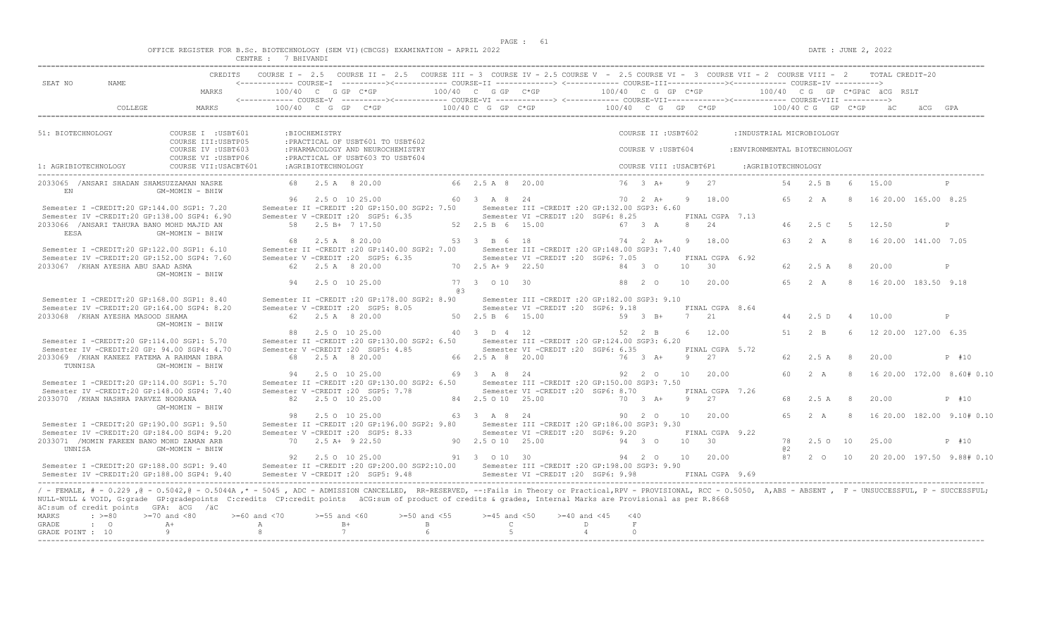|  |  |        |                 |  | OFFICE REGISTER FOR B.Sc. BIOTECHNOLOGY (SEM VI)(CBCGS) EXAMINATION - APRIL 2022 |  |  |
|--|--|--------|-----------------|--|----------------------------------------------------------------------------------|--|--|
|  |  | CENTRE | <b>BHTVANDT</b> |  |                                                                                  |  |  |

|                                  | NAME.                                |                                                                                                                                                                                                                                                                                                                                                                                                                                                 |                    |                    |                                                                                      |                  |                             | COURSE I - 2.5 COURSE II - 2.5 COURSE III - 3 COURSE IV - 2.5 COURSE V - 2.5 COURSE VI - 3 COURSE VII - 2 COURSE VIII - 2 TOTAL CREDIT-20                                                                                                                                                                                                                                                                                                                                             |                      |               |                         |   |                               |                               |                    |                           |             |                        |                            |
|----------------------------------|--------------------------------------|-------------------------------------------------------------------------------------------------------------------------------------------------------------------------------------------------------------------------------------------------------------------------------------------------------------------------------------------------------------------------------------------------------------------------------------------------|--------------------|--------------------|--------------------------------------------------------------------------------------|------------------|-----------------------------|---------------------------------------------------------------------------------------------------------------------------------------------------------------------------------------------------------------------------------------------------------------------------------------------------------------------------------------------------------------------------------------------------------------------------------------------------------------------------------------|----------------------|---------------|-------------------------|---|-------------------------------|-------------------------------|--------------------|---------------------------|-------------|------------------------|----------------------------|
| SEAT NO                          |                                      | MARKS                                                                                                                                                                                                                                                                                                                                                                                                                                           |                    |                    | 100/40 C G GP C*GP                                                                   |                  |                             |                                                                                                                                                                                                                                                                                                                                                                                                                                                                                       |                      |               |                         |   |                               |                               |                    |                           |             |                        |                            |
|                                  | COLLEGE                              | MARKS                                                                                                                                                                                                                                                                                                                                                                                                                                           |                    |                    |                                                                                      |                  |                             | $100/40 \quad C \quad G \quad GP \qquad C \star GP \qquad \qquad 100/40 \quad C \quad G \quad GP \qquad \qquad 100/40 \qquad C \quad G \quad GP \qquad \qquad 200/40 \quad C \quad G \quad CP \qquad \qquad 100/40 \quad C \quad G \quad CP \qquad \qquad 200/40 \quad C \quad F \quad C \star GP \qquad \qquad 200/40 \quad C \quad F \quad C \star GP \qquad \qquad 200/40 \quad C \quad F \quad C \star CP \qquad \qquad 200/40 \quad C \quad F \quad C \star CP \qquad \qquad 20$ |                      |               |                         |   |                               |                               |                    |                           |             | a c                    |                            |
|                                  |                                      |                                                                                                                                                                                                                                                                                                                                                                                                                                                 |                    |                    |                                                                                      |                  |                             |                                                                                                                                                                                                                                                                                                                                                                                                                                                                                       |                      |               |                         |   |                               |                               |                    |                           |             |                        |                            |
| 51: BIOTECHNOLOGY                |                                      | COURSE I : USBT601<br>COURSE III: USBTP05                                                                                                                                                                                                                                                                                                                                                                                                       |                    | : BIOCHEMISTRY     | : PRACTICAL OF USBT601 TO USBT602                                                    |                  |                             |                                                                                                                                                                                                                                                                                                                                                                                                                                                                                       |                      |               | COURSE II : USBT602     |   |                               |                               |                    | : INDUSTRIAL MICROBIOLOGY |             |                        |                            |
|                                  |                                      | COURSE IV : USBT603<br>COURSE VI : USBTP06                                                                                                                                                                                                                                                                                                                                                                                                      |                    |                    | : PHARMACOLOGY AND NEUROCHEMISTRY<br>: PRACTICAL OF USBT603 TO USBT604               |                  |                             |                                                                                                                                                                                                                                                                                                                                                                                                                                                                                       |                      |               | COURSE V: USBT604       |   |                               | : ENVIRONMENTAL BIOTECHNOLOGY |                    |                           |             |                        |                            |
| 1: AGRIBIOTECHNOLOGY             |                                      | COURSE VII: USACBT601                                                                                                                                                                                                                                                                                                                                                                                                                           |                    | :AGRIBIOTECHNOLOGY |                                                                                      |                  |                             |                                                                                                                                                                                                                                                                                                                                                                                                                                                                                       |                      |               | COURSE VIII : USACBT6P1 |   |                               |                               | :AGRIBIOTECHNOLOGY |                           |             |                        |                            |
| EN                               |                                      | 2033065 /ANSARI SHADAN SHAMSUZZAMAN NASRE<br>GM-MOMIN - BHIW                                                                                                                                                                                                                                                                                                                                                                                    |                    |                    | 68 2.5 A 8 20.00                                                                     |                  | 66 2.5 A 8 20.00            |                                                                                                                                                                                                                                                                                                                                                                                                                                                                                       |                      |               | $76 \t3 \tA+$           | Q | 27                            |                               | 54                 | 2.5 B                     | - 6         | 15.00                  |                            |
|                                  |                                      | Semester I -CREDIT:20 GP:144.00 SGP1: 7.20                                                                                                                                                                                                                                                                                                                                                                                                      |                    |                    | 96 2.5 0 10 25.00<br>Semester II -CREDIT : 20 GP:150.00 SGP2: 7.50                   |                  | 60 3 A 8 24                 | Semester III -CREDIT : 20 GP:132.00 SGP3: 6.60                                                                                                                                                                                                                                                                                                                                                                                                                                        |                      |               | $70 \t 2 \t A+$         |   | 9 18.00                       |                               | 65                 | 2A                        |             | 16 20.00 165.00 8.25   |                            |
|                                  |                                      | Semester IV -CREDIT:20 GP:138.00 SGP4: 6.90                                                                                                                                                                                                                                                                                                                                                                                                     |                    |                    | Semester V -CREDIT : 20 SGP5: 6.35                                                   |                  |                             | Semester VI -CREDIT :20 SGP6: 8.25                                                                                                                                                                                                                                                                                                                                                                                                                                                    |                      |               |                         |   | FINAL CGPA 7.13               |                               |                    |                           |             |                        |                            |
| <b>EESA</b>                      |                                      | 2033066 /ANSARI TAHURA BANO MOHD MAJID AN<br>GM-MOMIN - BHIW                                                                                                                                                                                                                                                                                                                                                                                    |                    |                    | 58 2.5 B+ 7 17.50                                                                    |                  | 52 2.5 B 6 15.00            |                                                                                                                                                                                                                                                                                                                                                                                                                                                                                       |                      | 67 3 A        |                         |   | 8 24                          |                               |                    | 46 2.5 C                  | $5^{\circ}$ | 12.50                  | P                          |
|                                  |                                      |                                                                                                                                                                                                                                                                                                                                                                                                                                                 | 68                 |                    | 2.5 A 8 20.00                                                                        |                  | 53 3 B 6 18                 |                                                                                                                                                                                                                                                                                                                                                                                                                                                                                       |                      |               | 74 2 A+                 |   | 9 18.00                       |                               | 63                 | 2A                        | -8          | 16 20.00 141.00 7.05   |                            |
|                                  |                                      | Semester I -CREDIT:20 GP:122.00 SGP1: 6.10<br>Semester IV -CREDIT:20 GP:152.00 SGP4: 7.60                                                                                                                                                                                                                                                                                                                                                       |                    |                    | Semester II -CREDIT : 20 GP: 140.00 SGP2: 7.00<br>Semester V -CREDIT : 20 SGP5: 6.35 |                  |                             | Semester III -CREDIT : 20 GP: 148.00 SGP3: 7.40<br>Semester VI -CREDIT : 20 SGP6: 7.05                                                                                                                                                                                                                                                                                                                                                                                                |                      |               |                         |   | FINAL CGPA 6.92               |                               |                    |                           |             |                        |                            |
|                                  | 2033067 / KHAN AYESHA ABU SAAD ASMA  | GM-MOMIN - BHIW                                                                                                                                                                                                                                                                                                                                                                                                                                 |                    |                    | 62 2.5 A 8 20.00                                                                     |                  | 70 2.5 A + 9 22.50          |                                                                                                                                                                                                                                                                                                                                                                                                                                                                                       |                      | 84 3 0        |                         |   | $10 \t 30$                    |                               | 62.                | 2.5 A                     | -8          | 20.00                  | P                          |
|                                  |                                      |                                                                                                                                                                                                                                                                                                                                                                                                                                                 |                    |                    | 94 2.5 0 10 25.00                                                                    |                  | 77 3 0 10 30                |                                                                                                                                                                                                                                                                                                                                                                                                                                                                                       |                      | 88 2 0        |                         |   | 10 20.00                      |                               | 6.5                | 2 A                       |             | 8 16 20.00 183.50 9.18 |                            |
|                                  |                                      | Semester I -CREDIT:20 GP:168.00 SGP1: 8.40                                                                                                                                                                                                                                                                                                                                                                                                      |                    |                    | Semester II -CREDIT : 20 GP: 178.00 SGP2: 8.90                                       | @3               |                             | Semester III -CREDIT :20 GP:182.00 SGP3: 9.10                                                                                                                                                                                                                                                                                                                                                                                                                                         |                      |               |                         |   |                               |                               |                    |                           |             |                        |                            |
|                                  |                                      | Semester IV -CREDIT:20 GP:164.00 SGP4: 8.20                                                                                                                                                                                                                                                                                                                                                                                                     |                    |                    | Semester V -CREDIT : 20 SGP5: 8.05                                                   |                  |                             | Semester VI -CREDIT :20 SGP6: 9.18                                                                                                                                                                                                                                                                                                                                                                                                                                                    |                      |               |                         |   | FINAL CGPA 8.64               |                               |                    |                           |             |                        |                            |
|                                  | 2033068 / KHAN AYESHA MASOOD SHAMA   | GM-MOMIN - BHIW                                                                                                                                                                                                                                                                                                                                                                                                                                 |                    |                    | 62 2.5 A 8 20.00                                                                     |                  | 50 2.5 B 6 15.00            |                                                                                                                                                                                                                                                                                                                                                                                                                                                                                       |                      |               | 59 3 B+                 |   | 7 21                          |                               | 44                 | 2.5 D                     | $\Delta$    | 10.00                  | P                          |
|                                  |                                      | Semester I -CREDIT:20 GP:114.00 SGP1: 5.70                                                                                                                                                                                                                                                                                                                                                                                                      | 88                 |                    | 2.5 0 10 25.00<br>Semester II -CREDIT : 20 GP:130.00 SGP2: 6.50                      |                  | 40 3 D 4 12                 | Semester III - CREDIT : 20 GP: 124.00 SGP3: 6.20                                                                                                                                                                                                                                                                                                                                                                                                                                      |                      | 52 2 B        |                         |   | 6 12.00                       |                               | 51                 | $2 \quad B$               | 6           | 12 20.00 127.00 6.35   |                            |
|                                  |                                      | Semester IV -CREDIT:20 GP: 94.00 SGP4: 4.70                                                                                                                                                                                                                                                                                                                                                                                                     |                    |                    | Semester V -CREDIT : 20 SGP5: 4.85                                                   |                  |                             | Semester VI -CREDIT :20 SGP6: 6.35                                                                                                                                                                                                                                                                                                                                                                                                                                                    |                      |               |                         |   | FINAL CGPA 5.72               |                               |                    |                           |             |                        |                            |
| TUNNISA                          |                                      | 2033069 / KHAN KANEEZ FATEMA A RAHMAN IBRA<br>GM-MOMIN - BHIW                                                                                                                                                                                                                                                                                                                                                                                   |                    |                    | 68 2.5 A 8 20.00                                                                     |                  | 66 2.5 A 8 20.00            |                                                                                                                                                                                                                                                                                                                                                                                                                                                                                       |                      |               | 76 3 A+                 |   | 9 27                          |                               | 62                 | 2.5A                      | -8          | 20.00                  | P #10                      |
|                                  |                                      |                                                                                                                                                                                                                                                                                                                                                                                                                                                 |                    |                    | 94 2.5 0 10 25.00                                                                    |                  | 69 3 A 8 24                 |                                                                                                                                                                                                                                                                                                                                                                                                                                                                                       |                      | 92 2 0        |                         |   | 10 20.00                      |                               | 60                 | 2 A                       | - 8         |                        | 16 20.00 172.00 8.60# 0.10 |
|                                  |                                      | Semester I -CREDIT:20 GP:114.00 SGP1: 5.70<br>Semester IV -CREDIT:20 GP:148.00 SGP4: 7.40                                                                                                                                                                                                                                                                                                                                                       |                    |                    | Semester V - CREDIT : 20 SGP5: 7.78                                                  |                  |                             | Semester II -CREDIT :20 GP:130.00 SGP2: 6.50 Semester III -CREDIT :20 GP:150.00 SGP3: 7.50<br>Semester VI -CREDIT :20 SGP6: 8.70                                                                                                                                                                                                                                                                                                                                                      |                      |               |                         |   | FINAL CGPA 7.26               |                               |                    |                           |             |                        |                            |
|                                  | 2033070 / KHAN NASHRA PARVEZ NOORANA |                                                                                                                                                                                                                                                                                                                                                                                                                                                 |                    |                    | 82 2.5 0 10 25.00                                                                    |                  | 84 2.5 0 10 25.00           |                                                                                                                                                                                                                                                                                                                                                                                                                                                                                       |                      |               | 70 3 A+                 |   | 9 27                          |                               |                    | 2.5A                      | 8           | 20.00                  | $P$ #10                    |
|                                  |                                      | GM-MOMIN - BHIW                                                                                                                                                                                                                                                                                                                                                                                                                                 |                    |                    | 98 2.5 0 10 25.00                                                                    |                  | 63 3 A 8 24                 |                                                                                                                                                                                                                                                                                                                                                                                                                                                                                       |                      |               | 90 2 0                  |   | 10 20.00                      |                               | 65                 | 2A                        | -8          |                        | 16 20.00 182.00 9.10# 0.10 |
|                                  |                                      | Semester I -CREDIT:20 GP:190.00 SGP1: 9.50                                                                                                                                                                                                                                                                                                                                                                                                      |                    |                    | Semester II -CREDIT : 20 GP: 196.00 SGP2: 9.80                                       |                  |                             | Semester III - CREDIT : 20 GP: 186.00 SGP3: 9.30                                                                                                                                                                                                                                                                                                                                                                                                                                      |                      |               |                         |   |                               |                               |                    |                           |             |                        |                            |
|                                  |                                      | Semester IV -CREDIT:20 GP:184.00 SGP4: 9.20<br>2033071 / MOMIN FAREEN BANO MOHD ZAMAN ARB                                                                                                                                                                                                                                                                                                                                                       |                    |                    | Semester V -CREDIT : 20 SGP5: 8.33<br>$70$ $2.5$ A+ $9$ 22.50                        |                  | 90 2.5 0 10 25.00           | Semester VI -CREDIT : 20 SGP6: 9.20                                                                                                                                                                                                                                                                                                                                                                                                                                                   |                      | 94 3 0        |                         |   | FINAL CGPA 9.22<br>$10 \t 30$ |                               | 78                 | 2.5 0 10                  |             | 25.00                  | P #10                      |
| UNNISA                           |                                      | GM-MOMIN - BHIW                                                                                                                                                                                                                                                                                                                                                                                                                                 |                    |                    |                                                                                      |                  |                             |                                                                                                                                                                                                                                                                                                                                                                                                                                                                                       |                      |               |                         |   |                               |                               | 02                 |                           |             |                        |                            |
|                                  |                                      | Semester I -CREDIT:20 GP:188.00 SGP1: 9.40                                                                                                                                                                                                                                                                                                                                                                                                      |                    |                    | 92 2.5 0 10 25.00<br>Semester II -CREDIT : 20 GP: 200.00 SGP2: 10.00                 |                  | 91 3 0 10 30                | Semester III - CREDIT : 20 GP: 198.00 SGP3: 9.90                                                                                                                                                                                                                                                                                                                                                                                                                                      |                      | 94 2 0        |                         |   | 10 20.00                      |                               | 87                 | $2\degree$ 0              | 10          |                        | 20 20.00 197.50 9.88# 0.10 |
|                                  |                                      | Semester IV -CREDIT:20 GP:188.00 SGP4: 9.40                                                                                                                                                                                                                                                                                                                                                                                                     |                    |                    | Semester V - CREDIT : 20 SGP5: 9.48                                                  |                  |                             | Semester VI - CREDIT : 20 SGP6: 9.98                                                                                                                                                                                                                                                                                                                                                                                                                                                  |                      |               |                         |   | FINAL CGPA 9.69               |                               |                    |                           |             |                        |                            |
| MARKS                            | $: >=80$                             | / - FEMALE, # - 0.229, @ - 0.5042, @ - 0.5044A, * - 5045, ADC - ADMISSION CANCELLED, RR-RESERVED, --: Fails in Theory or Practical, RPV - PROVISIONAL, RCC - 0.5050, A, ABS - ABSENT, F - UNSUCCESSFUL, P - SUCCESSFUL;<br>NULL-NULL & VOID, G:grade GP:gradepoints C:credits CP:credit points äCG:sum of product of credits & grades, Internal Marks are Provisional as per R.8668<br>äC:sum of credit points GPA: äCG /äC<br>$>=70$ and $<80$ | $>= 60$ and $< 70$ | $>=55$ and $<60$   |                                                                                      | $>=50$ and $<55$ | $>=45$ and $<50$            | $>= 40$ and $< 45$                                                                                                                                                                                                                                                                                                                                                                                                                                                                    |                      | $<$ 40        |                         |   |                               |                               |                    |                           |             |                        |                            |
| <b>GRADE</b><br>GRADE POINT : 10 | $\cdot$ 0                            | $A +$<br>9                                                                                                                                                                                                                                                                                                                                                                                                                                      | $\mathbb{A}$<br>-8 |                    | $B+$<br>7                                                                            | B                | $\mathbb{C}$<br>$5^{\circ}$ |                                                                                                                                                                                                                                                                                                                                                                                                                                                                                       | D.<br>$\overline{4}$ | F<br>$\Omega$ |                         |   |                               |                               |                    |                           |             |                        |                            |
|                                  |                                      |                                                                                                                                                                                                                                                                                                                                                                                                                                                 |                    |                    |                                                                                      |                  |                             |                                                                                                                                                                                                                                                                                                                                                                                                                                                                                       |                      |               |                         |   |                               |                               |                    |                           |             |                        |                            |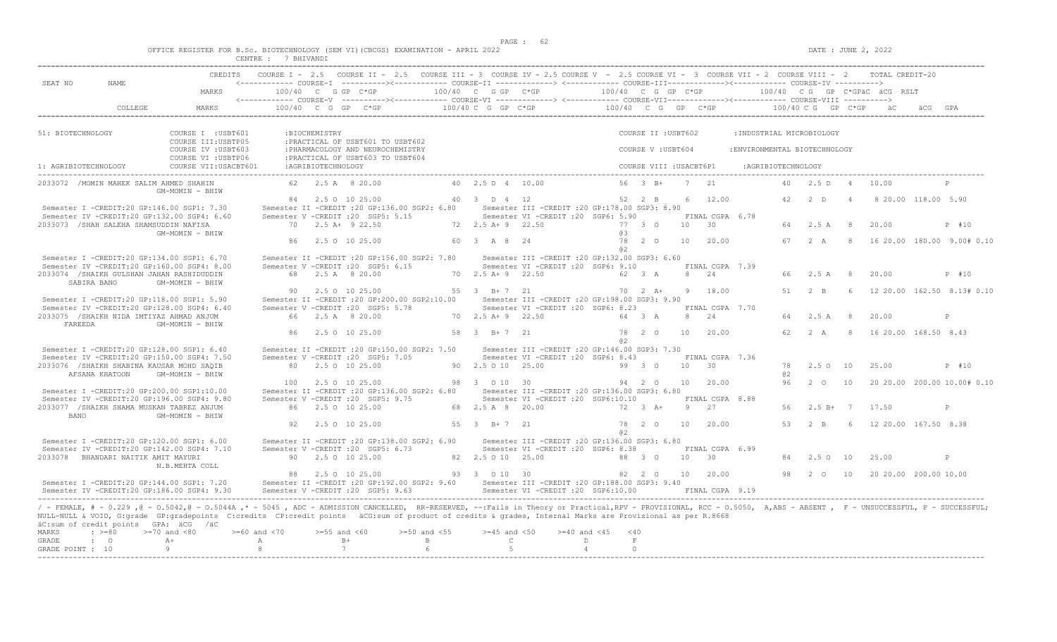|  |  |  |             |  | OFFICE REGISTER FOR B.Sc. BIOTECHNOLOGY (SEM VI)(CBCGS) EXAMINATION - APRIL 2022 |  |  |
|--|--|--|-------------|--|----------------------------------------------------------------------------------|--|--|
|  |  |  | T DUTILANDI |  |                                                                                  |  |  |

|                                          |                                                     |                                                                                                                                                                                                                                                                                                                                                                                                             | CENTRE : 7 BHIVANDI |                    |                                                                                                                                           |                    |                       |                  |                  |                                                                                        |                         |    |                       |                               |                |                |                              |                     |                             |
|------------------------------------------|-----------------------------------------------------|-------------------------------------------------------------------------------------------------------------------------------------------------------------------------------------------------------------------------------------------------------------------------------------------------------------------------------------------------------------------------------------------------------------|---------------------|--------------------|-------------------------------------------------------------------------------------------------------------------------------------------|--------------------|-----------------------|------------------|------------------|----------------------------------------------------------------------------------------|-------------------------|----|-----------------------|-------------------------------|----------------|----------------|------------------------------|---------------------|-----------------------------|
| SEAT NO                                  | <b>NAME</b>                                         |                                                                                                                                                                                                                                                                                                                                                                                                             |                     |                    | COURSE I - 2.5 COURSE II - 2.5 COURSE III - 3 COURSE IV - 2.5 COURSE V - 2.5 COURSE VI - 3 COURSE VII - 2 COURSE VIII - 2 TOTAL CREDIT-20 |                    |                       |                  |                  |                                                                                        |                         |    |                       |                               |                |                |                              |                     |                             |
|                                          |                                                     | MARKS                                                                                                                                                                                                                                                                                                                                                                                                       |                     |                    | 100/40 C G GP C*GP                                                                                                                        |                    | 100/40 C G GP C*GP    |                  |                  | $100/40$ C G GP C*GP                                                                   |                         |    |                       |                               |                |                | 100/40 CG GP C*GPäC äCG RSLT |                     |                             |
|                                          | COLLEGE                                             | MARKS                                                                                                                                                                                                                                                                                                                                                                                                       |                     |                    | 100/40 C G GP C*GP                                                                                                                        |                    | 100/40 C G GP C*GP    |                  |                  | $100/40$ C G GP C*GP $100/40$ C G GP C*GP                                              |                         |    |                       |                               |                |                | äC                           |                     |                             |
|                                          |                                                     |                                                                                                                                                                                                                                                                                                                                                                                                             |                     |                    |                                                                                                                                           |                    |                       |                  |                  |                                                                                        |                         |    |                       |                               |                |                |                              |                     |                             |
| 51: BIOTECHNOLOGY                        |                                                     | COURSE I : USBT601<br>COURSE III: USBTP05                                                                                                                                                                                                                                                                                                                                                                   |                     | :BIOCHEMISTRY      | : PRACTICAL OF USBT601 TO USBT602                                                                                                         |                    |                       |                  |                  |                                                                                        | COURSE II : USBT602     |    |                       | : INDUSTRIAL MICROBIOLOGY     |                |                |                              |                     |                             |
|                                          |                                                     | COURSE IV : USBT603<br>COURSE VI : USBTP06                                                                                                                                                                                                                                                                                                                                                                  |                     |                    | : PHARMACOLOGY AND NEUROCHEMISTRY<br>: PRACTICAL OF USBT603 TO USBT604                                                                    |                    |                       |                  |                  |                                                                                        | COURSE V: USBT604       |    |                       | : ENVIRONMENTAL BIOTECHNOLOGY |                |                |                              |                     |                             |
| 1: AGRIBIOTECHNOLOGY                     |                                                     | COURSE VII: USACBT601                                                                                                                                                                                                                                                                                                                                                                                       |                     | :AGRIBIOTECHNOLOGY |                                                                                                                                           |                    |                       |                  |                  |                                                                                        | COURSE VIII : USACBT6P1 |    |                       | :AGRIBIOTECHNOLOGY            |                |                |                              |                     |                             |
|                                          | 2033072 / MOMIN MAHEK SALIM AHMED SHAHIN            | GM-MOMIN - BHIW                                                                                                                                                                                                                                                                                                                                                                                             |                     |                    | 62 2.5 A 8 20.00                                                                                                                          |                    | 40 2.5 D 4 10.00      |                  |                  |                                                                                        | $56 \t 3 \t B+$         |    | 7 21                  | 40 <sup>°</sup>               | 2.5D           | $\overline{4}$ | 10.00                        |                     |                             |
|                                          |                                                     | Semester I -CREDIT:20 GP:146.00 SGP1: 7.30                                                                                                                                                                                                                                                                                                                                                                  |                     |                    | 84 2.5 0 10 25.00<br>Semester II -CREDIT : 20 GP: 136.00 SGP2: 6.80                                                                       |                    | 40 3 D 4 12           |                  |                  | Semester III -CREDIT : 20 GP: 178.00 SGP3: 8.90                                        | 52 2 B                  | 6  | 12.00                 | 42                            | 2 <sub>0</sub> | $\overline{4}$ |                              | 8 20.00 118.00 5.90 |                             |
|                                          |                                                     | Semester IV -CREDIT:20 GP:132.00 SGP4: 6.60                                                                                                                                                                                                                                                                                                                                                                 |                     |                    | Semester V -CREDIT : 20 SGP5: 5.15                                                                                                        |                    |                       |                  |                  | Semester VI - CREDIT : 20 SGP6: 5.90                                                   |                         |    | FINAL CGPA 6.78       |                               |                |                |                              |                     |                             |
|                                          | 2033073 / SHAH SALEHA SHAMSUDDIN NAFISA             |                                                                                                                                                                                                                                                                                                                                                                                                             |                     |                    | 70 2.5 A+ 9 22.50                                                                                                                         |                    | 72 2.5 A + 9 22.50    |                  |                  |                                                                                        | 77 3 0                  | 10 | 30                    | 64                            | 2.5 A          | -8             | 20.00                        |                     | P #10                       |
|                                          |                                                     | GM-MOMIN - BHIW                                                                                                                                                                                                                                                                                                                                                                                             | R6                  |                    | 2.5 0 10 25.00                                                                                                                            |                    | 60 3 A 8 24           |                  |                  | 63<br>78                                                                               | $2^{\circ}$             | 10 | 20.00                 | 67                            | 2 A            | 8              |                              |                     | 16 20.00 180.00 9.00# 0.10  |
|                                          |                                                     | Semester I -CREDIT:20 GP:134.00 SGP1: 6.70                                                                                                                                                                                                                                                                                                                                                                  |                     |                    | Semester II -CREDIT : 20 GP: 156.00 SGP2: 7.80                                                                                            |                    |                       |                  |                  | a2<br>Semester III -CREDIT : 20 GP: 132.00 SGP3: 6.60                                  |                         |    |                       |                               |                |                |                              |                     |                             |
|                                          |                                                     | Semester IV -CREDIT:20 GP:160.00 SGP4: 8.00                                                                                                                                                                                                                                                                                                                                                                 |                     |                    | Semester V -CREDIT : 20 SGP5: 6.15                                                                                                        |                    |                       |                  |                  | Semester VI -CREDIT :20 SGP6: 9.10                                                     |                         |    | FINAL CGPA 7.39       |                               |                |                |                              |                     |                             |
|                                          | SABIRA BANO                                         | 2033074 /SHAIKH GULSHAN JAHAN RASHIDUDDIN<br>GM-MOMIN - BHIW                                                                                                                                                                                                                                                                                                                                                |                     |                    | 68 2.5 A 8 20.00                                                                                                                          |                    | 70 2.5 A + 9 22.50    |                  |                  |                                                                                        | 62 3 A                  |    | 8 24                  | 66.                           | 2.5A           | 8              | 20.00                        |                     | P #10                       |
|                                          |                                                     |                                                                                                                                                                                                                                                                                                                                                                                                             | 90                  |                    | 2.5 0 10 25.00                                                                                                                            |                    | 55 3 B+7 21           |                  |                  |                                                                                        | $70 \t 2 \t A+$         | 9  | 18.00                 | 51                            | $2 - B$        | $\kappa$       |                              |                     | 12 20.00 162.50 8.13# 0.10  |
|                                          |                                                     | Semester I -CREDIT:20 GP:118.00 SGP1: 5.90<br>Semester IV -CREDIT:20 GP:128.00 SGP4: 6.40                                                                                                                                                                                                                                                                                                                   |                     |                    | Semester II -CREDIT :20 GP:200.00 SGP2:10.00<br>Semester V -CREDIT : 20 SGP5: 5.78                                                        |                    |                       |                  |                  | Semester III -CREDIT : 20 GP: 198.00 SGP3: 9.90<br>Semester VI -CREDIT : 20 SGP6: 8.23 |                         |    | FINAL CGPA 7.70       |                               |                |                |                              |                     |                             |
| FAREEDA                                  |                                                     | 2033075 /SHAIKH NIDA IMTIYAZ AHMAD ANJUM<br>GM-MOMIN - BHIW                                                                                                                                                                                                                                                                                                                                                 |                     |                    | 66 2.5 A 8 20.00                                                                                                                          |                    | 70 2.5 A+ 9 22.50     |                  |                  |                                                                                        | 64 3 A                  | 8  | 24                    | 64                            | 2.5 A          | 8              | 20.00                        |                     | P                           |
|                                          |                                                     |                                                                                                                                                                                                                                                                                                                                                                                                             | 86                  |                    | 2.5 0 10 25.00                                                                                                                            |                    | 58 3 B+7 21           |                  |                  | 78<br>a2                                                                               | $2^{\circ}$             | 10 | 20.00                 | 62                            | 2A             | 8              | 16 20.00 168.50 8.43         |                     |                             |
|                                          |                                                     | Semester I -CREDIT:20 GP:128.00 SGP1: 6.40                                                                                                                                                                                                                                                                                                                                                                  |                     |                    | Semester II -CREDIT : 20 GP:150.00 SGP2: 7.50                                                                                             |                    |                       |                  |                  | Semester III -CREDIT : 20 GP: 146.00 SGP3: 7.30                                        |                         |    |                       |                               |                |                |                              |                     |                             |
|                                          |                                                     | Semester IV -CREDIT:20 GP:150.00 SGP4: 7.50                                                                                                                                                                                                                                                                                                                                                                 |                     |                    | Semester V -CREDIT :20 SGP5: 7.05<br>80 2.5 0 10 25.00                                                                                    |                    | 90 2.5 0 10 25.00     |                  |                  | Semester VI -CREDIT : 20 SGP6: 8.43                                                    |                         | 10 | FINAL CGPA 7.36<br>30 | 78                            | $2.5 \Omega$   | 10             | 25.00                        |                     | P #10                       |
|                                          | AFSANA KHATOON                                      | 2033076 /SHAIKH SHABINA KAUSAR MOHD SAQIB<br>GM-MOMIN - BHIW                                                                                                                                                                                                                                                                                                                                                |                     |                    |                                                                                                                                           |                    |                       |                  |                  |                                                                                        | 99 3 0                  |    |                       | a2                            |                |                |                              |                     |                             |
|                                          |                                                     |                                                                                                                                                                                                                                                                                                                                                                                                             | 100                 |                    | 2.5 0 10 25.00                                                                                                                            |                    | 98 3 0 10 30          |                  |                  |                                                                                        | 94 2 0                  | 10 | 20.00                 | 96                            | $2^{\circ}$    | 10             |                              |                     | 20 20.00 200.00 10.00# 0.10 |
|                                          |                                                     | Semester I -CREDIT:20 GP:200.00 SGP1:10.00<br>Semester IV -CREDIT:20 GP:196.00 SGP4: 9.80                                                                                                                                                                                                                                                                                                                   |                     |                    | Semester II -CREDIT : 20 GP: 136.00 SGP2: 6.80<br>Semester V -CREDIT : 20 SGP5: 9.75                                                      |                    |                       |                  |                  | Semester III -CREDIT :20 GP:136.00 SGP3: 6.80<br>Semester VI -CREDIT :20 SGP6:10.10    |                         |    | FINAL CGPA 8.88       |                               |                |                |                              |                     |                             |
| <b>BANO</b>                              |                                                     | 2033077 / SHAIKH SHAMA MUSKAN TABREZ ANJUM                                                                                                                                                                                                                                                                                                                                                                  |                     |                    | 86 2.5 0 10 25.00                                                                                                                         |                    | 68 2.5 A 8 20.00      |                  |                  |                                                                                        | 72 3 A+                 | 9  | 2.7                   | 56                            | $2.5 B+$       | 7              | 17.50                        |                     | P                           |
|                                          |                                                     | GM-MOMIN - BHIW                                                                                                                                                                                                                                                                                                                                                                                             | 92                  |                    | 2.5 0 10 25.00                                                                                                                            |                    | 55 3 B+7 21           |                  |                  | 78                                                                                     | $2^{\circ}$             | 10 | 20.00                 | 53                            | $2 - B$        | -6             | 12 20.00 167.50 8.38         |                     |                             |
|                                          |                                                     | Semester I -CREDIT:20 GP:120.00 SGP1: 6.00                                                                                                                                                                                                                                                                                                                                                                  |                     |                    | Semester II -CREDIT : 20 GP: 138.00 SGP2: 6.90                                                                                            |                    |                       |                  |                  | a2<br>Semester III -CREDIT : 20 GP: 136.00 SGP3: 6.80                                  |                         |    |                       |                               |                |                |                              |                     |                             |
|                                          |                                                     | Semester IV -CREDIT:20 GP:142.00 SGP4: 7.10                                                                                                                                                                                                                                                                                                                                                                 |                     |                    | Semester V -CREDIT :20 SGP5: 6.73                                                                                                         |                    |                       |                  |                  | Semester VI -CREDIT : 20 SGP6: 8.38                                                    |                         |    | FINAL CGPA 6.99       |                               |                |                |                              |                     |                             |
|                                          | 2033078 BHANDARI NAITIK AMIT MAYURI                 | N.B.MEHTA COLL                                                                                                                                                                                                                                                                                                                                                                                              |                     |                    | 90 2.5 0 10 25.00                                                                                                                         |                    | 82  2.5  0  10  25.00 |                  |                  |                                                                                        | 88 3 0                  | 10 | $\overline{30}$       | 84                            | $2.5^\circ$    | 10             | 25.00                        |                     | P                           |
|                                          |                                                     | Semester I -CREDIT:20 GP:144.00 SGP1: 7.20                                                                                                                                                                                                                                                                                                                                                                  |                     |                    | 88 2.5 0 10 25.00<br>Semester II -CREDIT : 20 GP: 192.00 SGP2: 9.60                                                                       |                    | 93 3 0 10 30          |                  |                  | Semester III - CREDIT : 20 GP: 188.00 SGP3: 9.40                                       | 82 2 0                  |    | 10 20.00              | 98                            | $2\degree$ 0   | 10             | 20 20.00 200.00 10.00        |                     |                             |
|                                          |                                                     | Semester IV -CREDIT:20 GP:186.00 SGP4: 9.30                                                                                                                                                                                                                                                                                                                                                                 |                     |                    | Semester V -CREDIT : 20 SGP5: 9.63                                                                                                        |                    |                       |                  |                  | Semester VI -CREDIT :20 SGP6:10.00                                                     |                         |    | FINAL CGPA 9.19       |                               |                |                |                              |                     |                             |
| MARKS                                    | äC:sum of credit points GPA: äCG /äC<br>$\div$ >=80 | / - FEMALE, # - 0.229 , @ - 0.5042, @ - 0.5044A ,* - 5045 , ADC - ADMISSION CANCELLED, RR-RESERVED, --: Fails in Theory or Practical, RPV - PROVISIONAL, RCC - 0.5050, A, ABS - ABSENT , F - UNSUCCESSFUL, P - SUCCESSFUL;<br>NULL-NULL & VOID, G:grade GP:gradepoints C:credits CP:credit points äCG:sum of product of credits & grades, Internal Marks are Provisional as per R.8668<br>$>=70$ and $< 80$ | $>= 60$ and $< 70$  | $>=55$ and $<60$   |                                                                                                                                           | $>= 50$ and $< 55$ |                       | $>=45$ and $<50$ | $>=40$ and $<45$ | $<$ 40                                                                                 |                         |    |                       |                               |                |                |                              |                     |                             |
| GRADE                                    | $\cdot$ 0                                           | $A +$                                                                                                                                                                                                                                                                                                                                                                                                       | A                   |                    | $B+$                                                                                                                                      | $\mathbb{B}$       |                       | $\mathbb{C}$     |                  | F<br>D                                                                                 |                         |    |                       |                               |                |                |                              |                     |                             |
| GRADE POINT : 10<br>-------------------- |                                                     | $\theta$                                                                                                                                                                                                                                                                                                                                                                                                    | 8                   |                    | $\overline{7}$                                                                                                                            | $6^{\circ}$        |                       | $5^{\circ}$      |                  | $\Omega$<br>$\overline{4}$                                                             |                         |    |                       |                               |                |                |                              |                     |                             |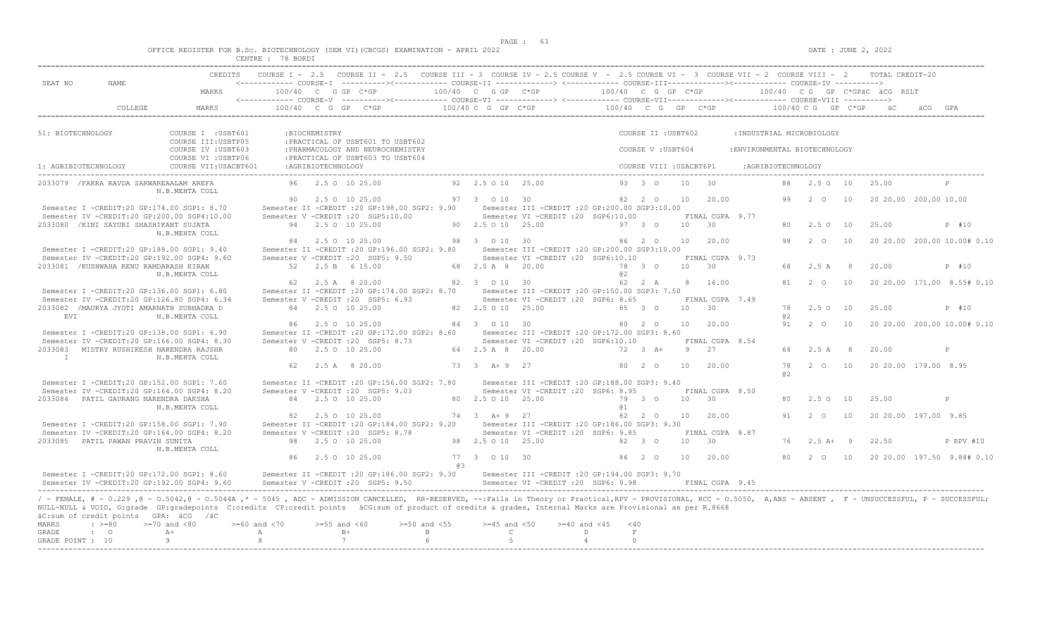|  |  |                                      |                          |  | OFFICE REGISTER FOR B.Sc. BIOTECHNOLOGY (SEM VI)(CBCGS) EXAMINATION - APRIL 2022 |  |  |
|--|--|--------------------------------------|--------------------------|--|----------------------------------------------------------------------------------|--|--|
|  |  | after them in the press series, were | $P0$ $P1$ $P2$ $P3$ $P4$ |  |                                                                                  |  |  |

|                                                           |                                                     |                                                                                                                                                                                                                                                                                                                                                                                                      | CENTRE : 78 BORDI  |                    |                                                                                      |                  |                       |                   |                                                                                                                                                                                                                                                                                              |                      |                      |                         |                 |                               |                               |                     |               |                |    |                              |     |                             |
|-----------------------------------------------------------|-----------------------------------------------------|------------------------------------------------------------------------------------------------------------------------------------------------------------------------------------------------------------------------------------------------------------------------------------------------------------------------------------------------------------------------------------------------------|--------------------|--------------------|--------------------------------------------------------------------------------------|------------------|-----------------------|-------------------|----------------------------------------------------------------------------------------------------------------------------------------------------------------------------------------------------------------------------------------------------------------------------------------------|----------------------|----------------------|-------------------------|-----------------|-------------------------------|-------------------------------|---------------------|---------------|----------------|----|------------------------------|-----|-----------------------------|
| SEAT NO                                                   | NAME.                                               | CREDITS                                                                                                                                                                                                                                                                                                                                                                                              |                    |                    |                                                                                      |                  |                       |                   | COURSE I - 2.5 COURSE II - 2.5 COURSE III - 3 COURSE IV - 2.5 COURSE V - 2.5 COURSE VI - 3 COURSE VII - 2 COURSE VIII - 2 TOTAL CREDIT-20<br><------------ COURSE-T ----------><----------- COURSE-TT -------------> <------------ COURSE-TTT----------><------------- COURSE-TV ----------> |                      |                      |                         |                 |                               |                               |                     |               |                |    |                              |     |                             |
|                                                           |                                                     | MARKS                                                                                                                                                                                                                                                                                                                                                                                                |                    |                    | $100/40$ C G GP C*GP                                                                 |                  | $100/40$ C G GP C*GP  |                   | <------------ COURSE-V ----------><----------- COURSE-VI -------------> <------------ COURSE-VII---------------- COURSE-VIII ---------->                                                                                                                                                     | $100/40$ C G GP C*GP |                      |                         |                 |                               |                               |                     |               |                |    | 100/40 CG GP C*GPäC äCG RSLT |     |                             |
|                                                           | COLLEGE                                             | MARKS                                                                                                                                                                                                                                                                                                                                                                                                |                    |                    | $100/40$ C G GP C*GP                                                                 |                  |                       |                   | $100/40$ C G GP C*GP $100/40$ C G GP C*GP $100/40$ C G GP C*GP                                                                                                                                                                                                                               |                      |                      |                         |                 |                               |                               |                     |               |                |    | $\ddot{a}$ C                 | AC. |                             |
| 51: BIOTECHNOLOGY                                         |                                                     | COURSE I : USBT601                                                                                                                                                                                                                                                                                                                                                                                   |                    | :BIOCHEMISTRY      |                                                                                      |                  |                       |                   |                                                                                                                                                                                                                                                                                              |                      |                      | COURSE II : USBT602     |                 |                               | : INDUSTRIAL MICROBIOLOGY     |                     |               |                |    |                              |     |                             |
|                                                           |                                                     | COURSE III: USBTP05<br>COURSE IV : USBT603                                                                                                                                                                                                                                                                                                                                                           |                    |                    | : PRACTICAL OF USBT601 TO USBT602<br>: PHARMACOLOGY AND NEUROCHEMISTRY               |                  |                       |                   |                                                                                                                                                                                                                                                                                              |                      |                      | COURSE V : USBT604      |                 |                               | : ENVIRONMENTAL BIOTECHNOLOGY |                     |               |                |    |                              |     |                             |
| 1: AGRIBIOTECHNOLOGY                                      |                                                     | COURSE VI : USBTP06<br>COURSE VII: USACBT601                                                                                                                                                                                                                                                                                                                                                         |                    | :AGRIBIOTECHNOLOGY | : PRACTICAL OF USBT603 TO USBT604                                                    |                  |                       |                   |                                                                                                                                                                                                                                                                                              |                      |                      | COURSE VIII : USACBT6P1 |                 |                               |                               | : AGRIBIOTECHNOLOGY |               |                |    |                              |     |                             |
|                                                           | 2033079 / FAKRA RAVDA SARWAREAALAM AREFA            |                                                                                                                                                                                                                                                                                                                                                                                                      |                    |                    | 96 2.5 0 10 25.00                                                                    |                  | 92 2.5 0 10 25.00     |                   |                                                                                                                                                                                                                                                                                              |                      |                      | $93 \t3 \t0$            | 10              | 30                            |                               | 88                  | 2.50 10       |                |    | 25.00                        |     |                             |
|                                                           |                                                     | N.B.MEHTA COLL                                                                                                                                                                                                                                                                                                                                                                                       | 90                 |                    | 2.5 0 10 25.00                                                                       |                  | 97 3 0 10 30          |                   |                                                                                                                                                                                                                                                                                              |                      |                      | 82 2 0                  | 10              | 20.00                         |                               | 99                  | $2^{\circ}$ 0 | 10             |    | 20 20.00 200.00 10.00        |     |                             |
|                                                           |                                                     | Semester I -CREDIT:20 GP:174.00 SGP1: 8.70<br>Semester IV -CREDIT:20 GP:200.00 SGP4:10.00                                                                                                                                                                                                                                                                                                            |                    |                    | Semester II -CREDIT : 20 GP: 198.00 SGP2: 9.90<br>Semester V -CREDIT : 20 SGP5:10.00 |                  |                       |                   | Semester III -CREDIT :20 GP:200.00 SGP3:10.00<br>Semester VI -CREDIT :20 SGP6:10.00                                                                                                                                                                                                          |                      |                      |                         |                 | FINAL CGPA 9.77               |                               |                     |               |                |    |                              |     |                             |
|                                                           | 2033080 / KINI SAYURI SHASHIKANT SUJATA             | N.B.MEHTA COLL                                                                                                                                                                                                                                                                                                                                                                                       |                    |                    | 94 2.5 0 10 25.00                                                                    |                  | 90 2.5 0 10 25.00     |                   |                                                                                                                                                                                                                                                                                              |                      | $97 \quad 3 \quad 0$ |                         |                 | $10 \t 30$                    |                               | 80                  | 2.50          | 10             |    | 25.00                        |     | P #10                       |
|                                                           |                                                     | Semester I -CREDIT:20 GP:188.00 SGP1: 9.40                                                                                                                                                                                                                                                                                                                                                           | 84                 |                    | 2.5 0 10 25.00<br>Semester II -CREDIT : 20 GP: 196.00 SGP2: 9.80                     |                  | 98 3 0 10 30          |                   | Semester III -CREDIT :20 GP:200.00 SGP3:10.00                                                                                                                                                                                                                                                |                      | $86 \t20$            |                         | 10              | 20.00                         |                               | 98                  | $2\degree$ 0  | 10             |    |                              |     | 20 20.00 200.00 10.00# 0.10 |
|                                                           | 2033081 / KUSHWAHA RENU RAMDARASH KIRAN             | Semester IV -CREDIT:20 GP:192.00 SGP4: 9.60                                                                                                                                                                                                                                                                                                                                                          |                    |                    | Semester V -CREDIT : 20 SGP5: 9.50<br>52 2.5 B 6 15.00                               |                  | 68  2.5  A  8  20.00  |                   | Semester VI -CREDIT : 20 SGP6:10.10                                                                                                                                                                                                                                                          |                      | 78 3 0               |                         |                 | FINAL CGPA 9.73<br>10 30      |                               | 68                  | 2.5A          |                | 8  | 20.00                        |     | P #10                       |
|                                                           |                                                     | N.B.MEHTA COLL                                                                                                                                                                                                                                                                                                                                                                                       |                    |                    | 62 2.5 A 8 20.00                                                                     |                  | 82 3 0 10 30          |                   |                                                                                                                                                                                                                                                                                              | a2                   |                      | 62 2 A                  |                 | 8 16.00                       |                               | 81                  | $2^{\circ}$ O |                | 10 |                              |     | 20 20.00 171.00 8.55# 0.10  |
|                                                           |                                                     | Semester I -CREDIT:20 GP:136.00 SGP1: 6.80<br>Semester IV -CREDIT:20 GP:126.80 SGP4: 6.34                                                                                                                                                                                                                                                                                                            |                    |                    | Semester II -CREDIT : 20 GP: 174.00 SGP2: 8.70<br>Semester V -CREDIT : 20 SGP5: 6.93 |                  |                       |                   | Semester III - CREDIT : 20 GP: 150.00 SGP3: 7.50<br>Semester VI -CREDIT : 20 SGP6: 8.65                                                                                                                                                                                                      |                      |                      |                         |                 | FINAL CGPA 7.49               |                               |                     |               |                |    |                              |     |                             |
| <b>EVT</b>                                                |                                                     | 2033082 / MAURYA JYOTI AMARNATH SUBHADRA D<br>N.B.MEHTA COLL                                                                                                                                                                                                                                                                                                                                         |                    |                    | 84 2.5 0 10 25.00                                                                    |                  | 82  2.5  0  10  25.00 |                   |                                                                                                                                                                                                                                                                                              |                      | 85 3 0               |                         | 10              | 30                            |                               | 78<br>a2            | $2.5^\circ$   | 10             |    | 25.00                        |     | P #10                       |
|                                                           |                                                     | Semester I -CREDIT:20 GP:138.00 SGP1: 6.90                                                                                                                                                                                                                                                                                                                                                           | 86                 |                    | 2.5 0 10 25.00<br>Semester II -CREDIT : 20 GP: 172.00 SGP2: 8.60                     |                  | 84 3 0 10 30          |                   | Semester III - CREDIT : 20 GP: 172.00 SGP3: 8.60                                                                                                                                                                                                                                             |                      | 80 2 0               |                         |                 | 10 20.00                      |                               | 91                  | $2^{\circ}$ O |                | 10 |                              |     | 20 20.00 200.00 10.00# 0.10 |
|                                                           | 2033083 MISTRY RUSHIKESH NARENDRA RAJSHR            | Semester IV -CREDIT:20 GP:166.00 SGP4: 8.30                                                                                                                                                                                                                                                                                                                                                          |                    |                    | Semester V -CREDIT : 20 SGP5: 8.73<br>80 2.5 0 10 25.00                              |                  | 64 2.5 A 8 20.00      |                   | Semester VI -CREDIT :20 SGP6:10.10                                                                                                                                                                                                                                                           |                      |                      | 72 3 A+                 | -9              | FINAL CGPA 8.54<br>27         |                               | 64                  | 2.5A          |                | -8 | 20.00                        |     | P                           |
| T                                                         |                                                     | N.B.MEHTA COLL                                                                                                                                                                                                                                                                                                                                                                                       | 62                 |                    | 2.5 A 8 20.00                                                                        |                  | $73 \t3 \tA+9 \t27$   |                   |                                                                                                                                                                                                                                                                                              |                      | 80 2 0               |                         | 10 <sup>1</sup> | 20.00                         |                               | 78                  | $2\degree$ 0  |                | 10 | 20 20 00 179 00 8 95         |     |                             |
|                                                           |                                                     | Semester T -CREDIT: 20 GP: 152.00 SGP1: 7.60                                                                                                                                                                                                                                                                                                                                                         |                    |                    | Semester II -CREDIT :20 GP:156.00 SGP2: 7.80                                         |                  |                       |                   | Semester III -CREDIT : 20 GP: 188.00 SGP3: 9.40                                                                                                                                                                                                                                              |                      |                      |                         |                 |                               |                               | a2                  |               |                |    |                              |     |                             |
|                                                           | 2033084 PATIL GAURANG NARENDRA DAKSHA               | Semester IV -CREDIT:20 GP:164.00 SGP4: 8.20                                                                                                                                                                                                                                                                                                                                                          |                    |                    | Semester V -CREDIT : 20 SGP5: 9.03<br>84 2.5 0 10 25.00                              |                  | 80 2.5 0 10 25.00     |                   | Semester VI -CREDIT : 20 SGP6: 8.95                                                                                                                                                                                                                                                          |                      |                      | 79 3 0                  |                 | FINAL CGPA 8.50<br>$10 \t 30$ |                               | 80                  | $2.5 \Omega$  |                | 10 | 25.00                        |     | P                           |
|                                                           |                                                     | N.B.MEHTA COLL                                                                                                                                                                                                                                                                                                                                                                                       |                    |                    | 82 2.5 0 10 25.00                                                                    |                  | 74 3 A+ 9 27          |                   |                                                                                                                                                                                                                                                                                              | a <sub>1</sub>       |                      | 82 2 0                  |                 | 10 20.00                      |                               | 91                  | $2\degree$ 0  |                | 10 | 20 20.00 197.00 9.85         |     |                             |
|                                                           |                                                     | Semester I -CREDIT:20 GP:158.00 SGP1: 7.90<br>Semester IV -CREDIT:20 GP:164.00 SGP4: 8.20                                                                                                                                                                                                                                                                                                            |                    |                    | Semester II -CREDIT : 20 GP: 184.00 SGP2: 9.20<br>Semester V -CREDIT : 20 SGP5: 8.78 |                  |                       |                   | Semester III - CREDIT : 20 GP: 186.00 SGP3: 9.30<br>Semester VI -CREDIT : 20 SGP6: 9.85                                                                                                                                                                                                      |                      |                      |                         |                 | FINAL CGPA 8.87               |                               |                     |               |                |    |                              |     |                             |
|                                                           | 2033085 PATIL PAWAN PRAVIN SUNITA                   | N.B.MEHTA COLL                                                                                                                                                                                                                                                                                                                                                                                       |                    |                    | 98 2.5 0 10 25.00                                                                    |                  | 98 2.5 0 10 25.00     |                   |                                                                                                                                                                                                                                                                                              |                      |                      | 82 3 0                  | 10              | 30                            |                               | 76                  | $2.5A+$       | $\overline{9}$ |    | 22.50                        |     | P RPV #10                   |
|                                                           |                                                     |                                                                                                                                                                                                                                                                                                                                                                                                      | 86                 |                    | 2.5 0 10 25.00                                                                       |                  | 77 3 0 10 30<br>0.3   |                   |                                                                                                                                                                                                                                                                                              |                      | $86 \t 20$           |                         | 10              | 20.00                         |                               | 80                  | $2\degree$ 0  |                | 10 |                              |     | 20 20.00 197.50 9.88# 0.10  |
|                                                           |                                                     | Semester I -CREDIT:20 GP:172.00 SGP1: 8.60<br>Semester IV -CREDIT:20 GP:192.00 SGP4: 9.60                                                                                                                                                                                                                                                                                                            |                    |                    | Semester II -CREDIT : 20 GP: 186.00 SGP2: 9.30<br>Semester V -CREDIT : 20 SGP5: 9.50 |                  |                       |                   | Semester III -CREDIT :20 GP:194.00 SGP3: 9.70<br>Semester VI -CREDIT : 20 SGP6: 9.98                                                                                                                                                                                                         |                      |                      |                         |                 | FINAL CGPA 9.45               |                               |                     |               |                |    |                              |     |                             |
| MARKS                                                     | äC:sum of credit points GPA: äCG /äC<br>$\div$ >=80 | / - FEMALE, # - 0.229, @ - 0.5042, @ - 0.5044A, * - 5045, ADC - ADMISSION CANCELLED, RR-RESERVED, --:Fails in Theory or Practical,RPV - PROVISIONAL, RCC - 0.5050, A,ABS - ABSENT, F - UNSUCCESSFUL, P - SUCCESSFUL;<br>NULL-NULL & VOID, G:grade GP:gradepoints C:credits CP:credit points äCG:sum of product of credits & grades, Internal Marks are Provisional as per R.8668<br>$>=70$ and $<80$ | $>= 60$ and $< 70$ | $>=55$ and $<60$   |                                                                                      | $>=50$ and $<55$ |                       | $>=45$ and $<50$  | $>= 40$ and $< 45$                                                                                                                                                                                                                                                                           |                      | < 40                 |                         |                 |                               |                               |                     |               |                |    |                              |     |                             |
| <b>GRADE</b><br>GRADE POINT : 10<br>--------------------- | $\cdot$ 0                                           | $A +$<br>9                                                                                                                                                                                                                                                                                                                                                                                           | A<br>-8            |                    | $B+$<br>7                                                                            | B<br>6           |                       | $\mathbb{C}$<br>5 |                                                                                                                                                                                                                                                                                              | D<br>$\overline{4}$  | F<br>$\Omega$        |                         |                 |                               |                               |                     |               |                |    |                              |     |                             |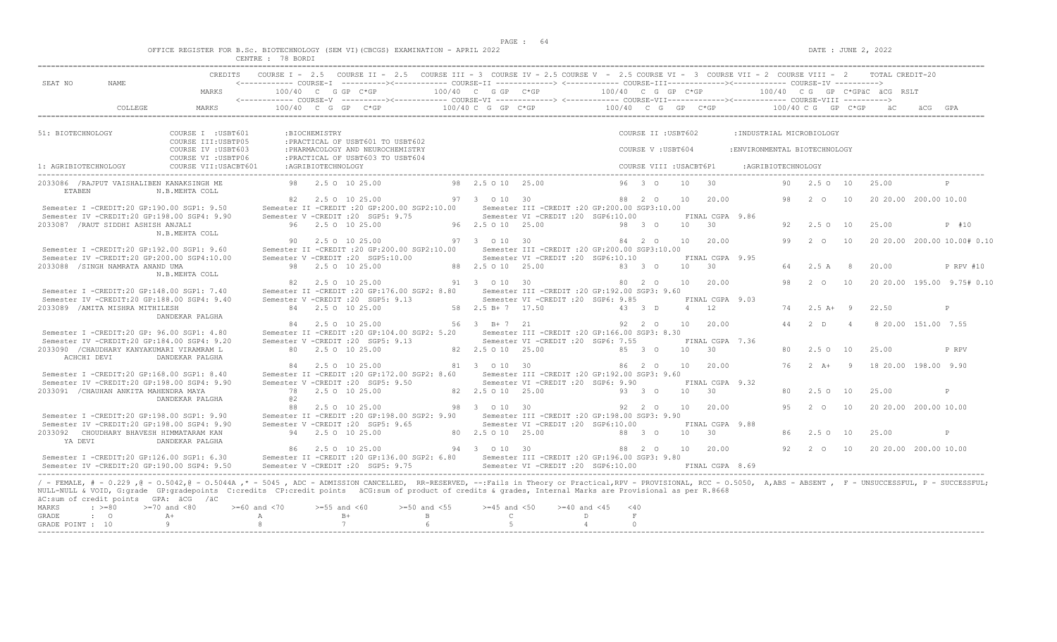$DATA: JUNE 2, 2022$ 

|  |  |   |                 |  | OFFICE REGISTER FOR B.Sc. BIOTECHNOLOGY (SEM VI)(CBCGS) EXAMINATION - APRIL 2022 |  |  |
|--|--|---|-----------------|--|----------------------------------------------------------------------------------|--|--|
|  |  | C | <b>70 BOBBT</b> |  |                                                                                  |  |  |

|                                    |                                                                   | CREDITS                                                                                                                                                                                                                                                                                                                                                                                                            |                                          |                     | COURSE I - 2.5 COURSE II - 2.5 COURSE III - 3 COURSE IV - 2.5 COURSE V - 2.5 COURSE VI - 3 COURSE VII - 2 COURSE VIII - 2 |                                      |                                                    |                                                                                        |                                             |                                           |            |                             |                                                            |    |                      |                | TOTAL CREDIT-20              |                             |
|------------------------------------|-------------------------------------------------------------------|--------------------------------------------------------------------------------------------------------------------------------------------------------------------------------------------------------------------------------------------------------------------------------------------------------------------------------------------------------------------------------------------------------------------|------------------------------------------|---------------------|---------------------------------------------------------------------------------------------------------------------------|--------------------------------------|----------------------------------------------------|----------------------------------------------------------------------------------------|---------------------------------------------|-------------------------------------------|------------|-----------------------------|------------------------------------------------------------|----|----------------------|----------------|------------------------------|-----------------------------|
| SEAT NO                            | NAME                                                              | MARKS                                                                                                                                                                                                                                                                                                                                                                                                              |                                          |                     | 100/40 C G GP C*GP                                                                                                        |                                      | 100/40 C G GP C*GP                                 |                                                                                        | 100/40 C G GP C*GP                          |                                           |            |                             |                                                            |    |                      |                | 100/40 CG GP C*GPÄC ÄCG RSLT |                             |
|                                    | COLLEGE                                                           | MARKS                                                                                                                                                                                                                                                                                                                                                                                                              |                                          |                     | $100/40$ C G GP C*GP                                                                                                      |                                      | 100/40 C G GP C*GP                                 |                                                                                        | 100/40 C G GP C*GP                          |                                           |            |                             |                                                            |    | $100/40$ C G GP C*GP |                |                              | äCG.                        |
|                                    |                                                                   |                                                                                                                                                                                                                                                                                                                                                                                                                    |                                          |                     |                                                                                                                           |                                      |                                                    |                                                                                        |                                             |                                           |            |                             |                                                            |    |                      |                |                              |                             |
| 51: BIOTECHNOLOGY                  |                                                                   | COURSE I : USBT601<br>COURSE III: USBTP05<br>COURSE IV : USBT603                                                                                                                                                                                                                                                                                                                                                   |                                          | :BIOCHEMISTRY       | : PRACTICAL OF USBT601 TO USBT602<br>: PHARMACOLOGY AND NEUROCHEMISTRY                                                    |                                      |                                                    |                                                                                        |                                             | COURSE II : USBT602<br>COURSE V : USBT604 |            |                             | : INDUSTRIAL MICROBIOLOGY<br>: ENVIRONMENTAL BIOTECHNOLOGY |    |                      |                |                              |                             |
| 1: AGRIBIOTECHNOLOGY               |                                                                   | COURSE VI : USBTP06<br>COURSE VII: USACBT601                                                                                                                                                                                                                                                                                                                                                                       |                                          | : AGRIBIOTECHNOLOGY | : PRACTICAL OF USBT603 TO USBT604                                                                                         |                                      |                                                    |                                                                                        |                                             | COURSE VIII : USACBT6P1                   |            |                             | :AGRIBIOTECHNOLOGY                                         |    |                      |                |                              |                             |
|                                    |                                                                   |                                                                                                                                                                                                                                                                                                                                                                                                                    |                                          |                     |                                                                                                                           |                                      |                                                    |                                                                                        |                                             |                                           |            |                             |                                                            |    |                      |                |                              | $\mathbb{P}$                |
| <b>ETABEN</b>                      | 2033086 / RAJPUT VAISHALIBEN KANAKSINGH ME                        | N.B.MEHTA COLL                                                                                                                                                                                                                                                                                                                                                                                                     |                                          |                     | 98 2.5 0 10 25.00                                                                                                         |                                      | 98 2.5 0 10 25.00                                  |                                                                                        |                                             | $96 \quad 3 \quad 0$                      | 10         | 30                          |                                                            | 90 | 2.50 10              |                | 25.00                        |                             |
|                                    | Semester I -CREDIT:20 GP:190.00 SGP1: 9.50                        | Semester IV -CREDIT:20 GP:198.00 SGP4: 9.90                                                                                                                                                                                                                                                                                                                                                                        |                                          |                     | 82 2.5 0 10 25.00<br>Semester II -CREDIT : 20 GP: 200.00 SGP2: 10.00<br>Semester V -CREDIT : 20 SGP5: 9.75                |                                      | 97 3 0 10 30                                       | Semester III -CREDIT : 20 GP: 200.00 SGP3: 10.00<br>Semester VI -CREDIT :20 SGP6:10.00 |                                             | 88 2 0                                    | 10         | 20.00<br>FINAL CGPA 9.86    |                                                            | 98 | $2\degree$ $\degree$ | 10             |                              | 20 20.00 200.00 10.00       |
|                                    | 2033087 / RAUT SIDDHI ASHISH ANJALI                               | N.B.MEHTA COLL                                                                                                                                                                                                                                                                                                                                                                                                     |                                          |                     | 96 2.5 0 10 25.00                                                                                                         |                                      | 96 2.5 0 10 25.00                                  |                                                                                        |                                             | 98 3 0                                    | 10 30      |                             |                                                            | 92 | 2.5 0 10             |                | 25.00                        | P #10                       |
|                                    | Semester I -CREDIT:20 GP:192.00 SGP1: 9.60                        | Semester IV -CREDIT:20 GP:200.00 SGP4:10.00                                                                                                                                                                                                                                                                                                                                                                        | 90.                                      |                     | 2.5 0 10 25.00<br>Semester II -CREDIT :20 GP:200.00 SGP2:10.00<br>Semester V -CREDIT : 20 SGP5:10.00                      |                                      | 97 3 0 10 30                                       | Semester III -CREDIT : 20 GP: 200.00 SGP3: 10.00<br>Semester VI -CREDIT :20 SGP6:10.10 |                                             | 84 2 0                                    | 10         | 20.00<br>FINAL CGPA 9.95    |                                                            | 99 | $2^{\circ}$ 0        | 10             |                              | 20 20.00 200.00 10.00# 0.10 |
|                                    | 2033088 /SINGH NAMRATA ANAND UMA                                  | N.B.MEHTA COLL                                                                                                                                                                                                                                                                                                                                                                                                     |                                          |                     | 98 2.5 0 10 25.00                                                                                                         |                                      | 88 2.5 0 10 25.00                                  |                                                                                        |                                             | 83 3 0                                    | $10 \t 30$ |                             |                                                            | 64 | 2.5 A                | - 8            | 20.00                        | P RPV #10                   |
|                                    | Semester I -CREDIT:20 GP:148.00 SGP1: 7.40                        |                                                                                                                                                                                                                                                                                                                                                                                                                    | 82.                                      |                     | 2.5 0 10 25.00<br>Semester II -CREDIT : 20 GP: 176.00 SGP2: 8.80                                                          |                                      | 91 3 0 10 30                                       | Semester III -CREDIT : 20 GP: 192.00 SGP3: 9.60                                        |                                             | 80 2 0                                    | 10         | 20.00                       |                                                            | 98 | 2 0                  | 10             |                              | 20 20.00 195.00 9.75# 0.10  |
|                                    | 2033089 / AMITA MISHRA MITHILESH                                  | Semester IV -CREDIT:20 GP:188.00 SGP4: 9.40<br>DANDEKAR PALGHA                                                                                                                                                                                                                                                                                                                                                     |                                          |                     | Semester V -CREDIT : 20 SGP5: 9.13<br>84 2.5 0 10 25.00                                                                   |                                      | 58 2.5 B + 7 17.50                                 | Semester VI -CREDIT :20 SGP6: 9.85                                                     |                                             | 43 3 D                                    | $4 \t12$   | FINAL CGPA 9.03             |                                                            | 74 | $2.5A+$              | - 9            | 22.50                        | P                           |
|                                    | Semester I -CREDIT: 20 GP: 96.00 SGP1: 4.80                       |                                                                                                                                                                                                                                                                                                                                                                                                                    |                                          |                     | 84 2.5 0 10 25.00<br>Semester II -CREDIT : 20 GP:104.00 SGP2: 5.20                                                        |                                      | 56 3 B+7 21                                        | Semester III -CREDIT : 20 GP: 166.00 SGP3: 8.30                                        |                                             | 92 2 0                                    | 10         | 20.00                       |                                                            | 44 | 2 <sub>0</sub>       | $\overline{4}$ |                              | 8 20.00 151.00 7.55         |
| ACHCHI DEVI                        | 2033090 / CHAUDHARY KANYAKUMARI VIRAMRAM L                        | Semester IV -CREDIT:20 GP:184.00 SGP4: 9.20<br>DANDEKAR PALGHA                                                                                                                                                                                                                                                                                                                                                     |                                          |                     | Semester V -CREDIT : 20 SGP5: 9.13<br>80 2.5 0 10 25.00                                                                   |                                      | 82 2.5 0 10 25.00                                  | Semester VI - CREDIT : 20 SGP6: 7.55                                                   |                                             | 85 3 0                                    | 10         | FINAL CGPA 7.36<br>30       |                                                            | 80 | $2.5 \Omega$ 10      |                | 25.00                        | P RPV                       |
|                                    | Semester I -CREDIT:20 GP:168.00 SGP1: 8.40                        |                                                                                                                                                                                                                                                                                                                                                                                                                    |                                          |                     | 84 2.5 0 10 25.00<br>Semester II -CREDIT : 20 GP:172.00 SGP2: 8.60                                                        |                                      | 81 3 0 10 30                                       | Semester III - CREDIT : 20 GP: 192.00 SGP3: 9.60                                       |                                             | 86 2 0                                    |            | 10 20.00                    |                                                            | 76 | $2 \overline{A}$ +   | $\overline{9}$ |                              | 18 20.00 198.00 9.90        |
|                                    | 2033091 / CHAUHAN ANKITA MAHENDRA MAYA                            | Semester IV -CREDIT:20 GP:198.00 SGP4: 9.90<br>DANDEKAR PALGHA                                                                                                                                                                                                                                                                                                                                                     | 02                                       |                     | Semester V -CREDIT : 20 SGP5: 9.50<br>78 2.5 0 10 25.00                                                                   |                                      | 82  2.5  0  10  25.00                              | Semester VI - CREDIT : 20 SGP6: 9.90                                                   |                                             | 93 3 0                                    | 10         | FINAL CGPA 9.32<br>30       |                                                            | 80 | 2.50 10              |                | 25.00                        | P                           |
|                                    | Semester I -CREDIT:20 GP:198.00 SGP1: 9.90                        |                                                                                                                                                                                                                                                                                                                                                                                                                    | 88                                       |                     | 2.5 0 10 25.00<br>Semester II -CREDIT : 20 GP: 198.00 SGP2: 9.90                                                          |                                      | 98 3 0 10 30                                       | Semester III - CREDIT : 20 GP: 198.00 SGP3: 9.90                                       |                                             | 92 2 0                                    | 10         | 20.00                       |                                                            | 95 | $2^{\circ}$          | 10             |                              | 20 20.00 200.00 10.00       |
| YA DEVI                            | 2033092 CHOUDHARY BHAVESH HIMMATARAM KAN                          | Semester IV -CREDIT:20 GP:198.00 SGP4: 9.90<br>DANDEKAR PALGHA                                                                                                                                                                                                                                                                                                                                                     |                                          |                     | Semester V -CREDIT : 20 SGP5: 9.65<br>94 2.5 0 10 25.00                                                                   |                                      | 80 2.5 0 10 25.00                                  | Semester VI -CREDIT :20 SGP6:10.00                                                     |                                             | 88 3 0                                    | 10 30      | FINAL CGPA 9.88             |                                                            | 86 | $2.5^\circ$ O        | 10             | 25.00                        | $\mathbb{P}$                |
|                                    |                                                                   | Semester I -CREDIT:20 GP:126.00 SGP1: 6.30<br>Semester IV -CREDIT:20 GP:190.00 SGP4: 9.50                                                                                                                                                                                                                                                                                                                          |                                          |                     | 86 2.5 0 10 25.00<br>Semester II -CREDIT : 20 GP:136.00 SGP2: 6.80<br>Semester V -CREDIT : 20 SGP5: 9.75                  |                                      | 94 3 0 10 30                                       | Semester III - CREDIT : 20 GP: 196.00 SGP3: 9.80<br>Semester VI -CREDIT :20 SGP6:10.00 |                                             | 88 2 0                                    |            | 10 20.00<br>FINAL CGPA 8.69 |                                                            | 92 | $\overline{2}$ 0     | 10             |                              | 20 20.00 200.00 10.00       |
| MARKS<br>GRADE<br>GRADE POINT : 10 | äC:sum of credit points GPA: äCG /äC<br>$\cdot$ >=80<br>$\cdot$ 0 | / - FEMALE, # - 0.229, @ - 0.5042, @ - 0.5044A,* - 5045, ADC - ADMISSION CANCELLED, RR-RESERVED, --:Fails in Theory or Practical,RPV - PROVISIONAL, RCC - 0.5050, A,ABS - ABSENT, F - UNSUCCESSFUL, P - SUCCESSFUL;<br>NULL-NULL & VOID, G:grade GP:gradepoints C:credits CP:credit points äCG:sum of product of credits & grades, Internal Marks are Provisional as per R.8668<br>$>=70$ and $<80$<br>$A +$<br>-9 | $>= 60$ and $< 70$<br>A<br>$\mathcal{R}$ | $>=55$ and $<60$    | $B+$<br>7                                                                                                                 | $>=50$ and $<55$<br>$\mathbb B$<br>6 | $>=45$ and $<50$<br>$\mathbb{C}$<br>$\overline{5}$ | $>= 40$ and $< 45$                                                                     | < 40<br>D<br>F<br>$\overline{4}$<br>$\circ$ |                                           |            |                             |                                                            |    |                      |                |                              |                             |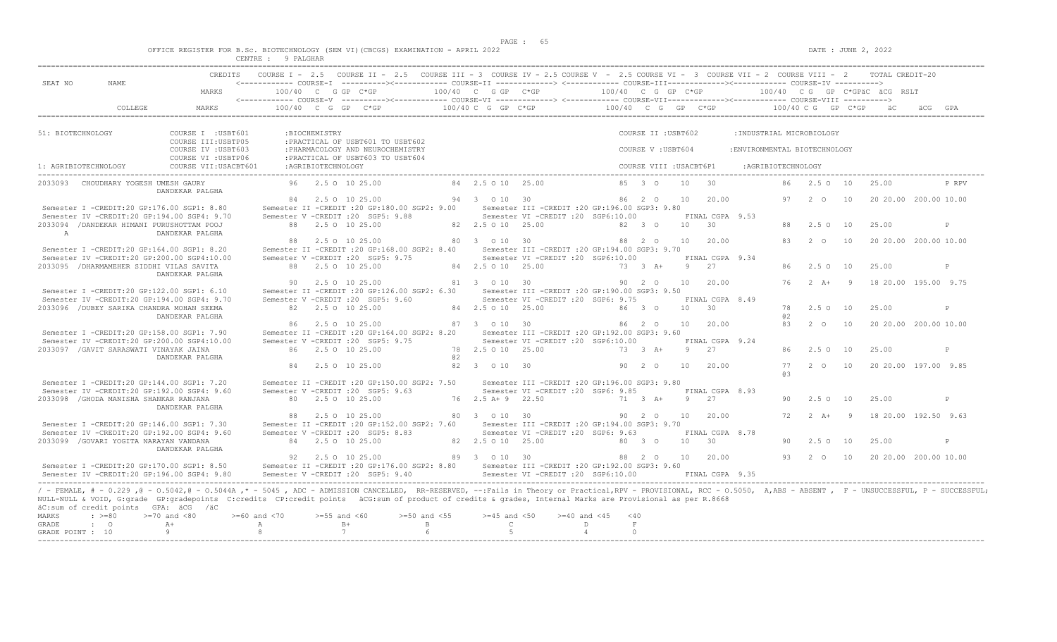|  |  | OFFICE REGISTER FOR B.SC. BIOTECHNOLOGY (SEM VI)(CBCGS) EXAMINATION - APRIL 2022 |  |  |  |  |
|--|--|----------------------------------------------------------------------------------|--|--|--|--|
|  |  |                                                                                  |  |  |  |  |

|                   |                                                       |                                                                                                                                                                                                                        | CENTRE : 9 PALGHAR   |                    |                                                                                                                                                    |             |                                  |                                                  |                |                         |                |                 |                               |           |                  |                |                                 |                       |
|-------------------|-------------------------------------------------------|------------------------------------------------------------------------------------------------------------------------------------------------------------------------------------------------------------------------|----------------------|--------------------|----------------------------------------------------------------------------------------------------------------------------------------------------|-------------|----------------------------------|--------------------------------------------------|----------------|-------------------------|----------------|-----------------|-------------------------------|-----------|------------------|----------------|---------------------------------|-----------------------|
|                   |                                                       |                                                                                                                                                                                                                        |                      |                    | CREDITS COURSE I - 2.5 COURSE II - 2.5 COURSE III - 3 COURSE IV - 2.5 COURSE V - 2.5 COURSE VI - 3 COURSE VII - 2 COURSE VIII - 2 TOTAL CREDIT-20  |             |                                  |                                                  |                |                         |                |                 |                               |           |                  |                |                                 |                       |
| SEAT NO           | NAME                                                  |                                                                                                                                                                                                                        |                      |                    | <------------ COURSE-T ----------><------------ COURSE-TT -------------> <------------ COURSE-TTT-------------><------------ COURSE-TV ----------> |             |                                  |                                                  |                |                         |                |                 |                               |           |                  |                |                                 |                       |
|                   |                                                       | MARKS                                                                                                                                                                                                                  | $100/40$ C G GP C*GP |                    |                                                                                                                                                    |             | 100/40 C G GP C*GP               |                                                  |                | 100/40 C G GP C*GP      |                |                 |                               |           |                  |                | $100/40$ C G GP C*GPAC ACG RSLT |                       |
|                   | COLLEGE                                               | MARKS                                                                                                                                                                                                                  |                      |                    | $100/40$ C G GP C*GP $100/40$ C G GP C*GP $100/40$ C G GP C*GP $100/40$ C G GP C*GP $100/40$ C G GP C*GP $100/40$ C G GP C*GP                      |             |                                  |                                                  |                |                         |                |                 |                               |           |                  |                |                                 |                       |
|                   |                                                       |                                                                                                                                                                                                                        |                      |                    |                                                                                                                                                    |             |                                  |                                                  |                |                         |                |                 |                               |           |                  |                |                                 |                       |
| 51: BIOTECHNOLOGY |                                                       | COURSE I : USBT601                                                                                                                                                                                                     |                      | :BIOCHEMISTRY      |                                                                                                                                                    |             |                                  |                                                  |                | COURSE II : USBT602     |                |                 | : INDUSTRIAL MICROBIOLOGY     |           |                  |                |                                 |                       |
|                   |                                                       | COURSE III: USBTP05                                                                                                                                                                                                    |                      |                    | : PRACTICAL OF USBT601 TO USBT602                                                                                                                  |             |                                  |                                                  |                |                         |                |                 |                               |           |                  |                |                                 |                       |
|                   |                                                       | COURSE IV : USBT603                                                                                                                                                                                                    |                      |                    | : PHARMACOLOGY AND NEUROCHEMISTRY                                                                                                                  |             |                                  |                                                  |                | COURSE V: USBT604       |                |                 | : ENVIRONMENTAL BIOTECHNOLOGY |           |                  |                |                                 |                       |
|                   |                                                       | COURSE VI : USBTP06                                                                                                                                                                                                    |                      |                    | : PRACTICAL OF USBT603 TO USBT604                                                                                                                  |             |                                  |                                                  |                |                         |                |                 |                               |           |                  |                |                                 |                       |
|                   | 1: AGRIBIOTECHNOLOGY                                  | COURSE VII: USACBT601                                                                                                                                                                                                  |                      | :AGRIBIOTECHNOLOGY |                                                                                                                                                    |             |                                  |                                                  |                | COURSE VIII : USACBT6P1 |                |                 | :AGRIBIOTECHNOLOGY            |           |                  |                |                                 |                       |
|                   | 2033093 CHOUDHARY YOGESH UMESH GAURY                  | DANDEKAR PALGHA                                                                                                                                                                                                        |                      |                    | 96 2.5 0 10 25.00                                                                                                                                  |             | 84 2.5 0 10 25.00                |                                                  |                | $85 \t30$               |                | 10 30           |                               |           | 86 2.5 0 10      |                | 25.00                           | P RPV                 |
|                   |                                                       |                                                                                                                                                                                                                        |                      |                    | 84 2.5 0 10 25.00                                                                                                                                  |             | 94 3 0 10 30                     |                                                  |                | 86 2 0                  |                | 10 20.00        |                               |           | 97 2 0 10        |                |                                 | 20 20.00 200.00 10.00 |
|                   | Semester I -CREDIT:20 GP:176.00 SGP1: 8.80            |                                                                                                                                                                                                                        |                      |                    | Semester II -CREDIT : 20 GP:180.00 SGP2: 9.00                                                                                                      |             |                                  | Semester III - CREDIT : 20 GP: 196.00 SGP3: 9.80 |                |                         |                |                 |                               |           |                  |                |                                 |                       |
|                   | Semester IV -CREDIT:20 GP:194.00 SGP4: 9.70           |                                                                                                                                                                                                                        |                      |                    | Semester V -CREDIT : 20 SGP5: 9.88                                                                                                                 |             |                                  | Semester VI -CREDIT :20 SGP6:10.00               |                |                         |                | FINAL CGPA 9.53 |                               |           |                  |                |                                 |                       |
| $\overline{A}$    | 2033094 / DANDEKAR HIMANI PURUSHOTTAM POOJ            | DANDEKAR PALGHA                                                                                                                                                                                                        |                      |                    | 88 2.5 0 10 25.00                                                                                                                                  |             | 82  2.5  0  10  25.00            |                                                  |                | 82 3 0                  |                | $10 \t 30$      |                               |           | 2.50 10          |                | 25.00                           | P                     |
|                   |                                                       |                                                                                                                                                                                                                        |                      |                    | 88 2.5 0 10 25.00                                                                                                                                  |             | 80 3 0 10 30                     |                                                  |                | 88 2 0                  |                | 10 20.00        |                               | 83        | $2\degree$ O     | 10             |                                 | 20 20.00 200.00 10.00 |
|                   | Semester I -CREDIT:20 GP:164.00 SGP1: 8.20            |                                                                                                                                                                                                                        |                      |                    | Semester II -CREDIT : 20 GP:168.00 SGP2: 8.40 Semester III -CREDIT : 20 GP:194.00 SGP3: 9.70                                                       |             |                                  |                                                  |                |                         |                |                 |                               |           |                  |                |                                 |                       |
|                   | Semester IV -CREDIT:20 GP:200.00 SGP4:10.00           |                                                                                                                                                                                                                        |                      |                    | Semester V - CREDIT : 20 SGP5: 9.75                                                                                                                |             |                                  | Semester VI -CREDIT :20 SGP6:10.00               |                |                         |                | FINAL CGPA 9.34 |                               |           |                  |                |                                 |                       |
|                   | 2033095 / DHARMAMEHER SIDDHI VILAS SAVITA             | DANDEKAR PALGHA                                                                                                                                                                                                        |                      |                    | 88 2.5 0 10 25.00                                                                                                                                  |             | 84 2.5 0 10 25.00                |                                                  |                | 73 3 A+                 |                | $9 \t 27$       |                               | 86.       | 2.50 10          |                | 25.00                           | P                     |
|                   |                                                       |                                                                                                                                                                                                                        |                      |                    | 90 2.5 0 10 25.00                                                                                                                                  |             |                                  | 81 3 0 10 30 90 2 0                              |                |                         |                | 10 20.00        |                               | 76        | $2 A+ 9$         |                |                                 | 18 20.00 195.00 9.75  |
|                   | Semester I -CREDIT:20 GP:122.00 SGP1: 6.10            |                                                                                                                                                                                                                        |                      |                    | Semester II -CREDIT : 20 GP: 126.00 SGP2: 6.30                                                                                                     |             |                                  | Semester III - CREDIT : 20 GP: 190.00 SGP3: 9.50 |                |                         |                |                 |                               |           |                  |                |                                 |                       |
|                   | Semester IV -CREDIT:20 GP:194.00 SGP4: 9.70           |                                                                                                                                                                                                                        |                      |                    | Semester V -CREDIT : 20 SGP5: 9.60                                                                                                                 |             |                                  | Semester VI - CREDIT : 20 SGP6: 9.75             |                |                         |                | FINAL CGPA 8.49 |                               |           |                  |                |                                 |                       |
|                   | 2033096 / DUBEY SARIKA CHANDRA MOHAN SEEMA            |                                                                                                                                                                                                                        |                      |                    | 82 2.5 0 10 25.00                                                                                                                                  |             | 84 2.5 0 10 25.00                |                                                  |                | 86 3 0                  |                | $10 \t 30$      |                               |           | 78 2.5 0 10      |                | 25.00                           | P                     |
|                   |                                                       | DANDEKAR PALGHA                                                                                                                                                                                                        |                      |                    | 86 2.5 0 10 25.00                                                                                                                                  |             | 87 3 0 10 30                     |                                                  |                | 86 2 0                  | 10             | 20.00           |                               | 02<br>83  | $\sim$ 2 0       | 10             |                                 | 20 20.00 200.00 10.00 |
|                   | Semester I -CREDIT:20 GP:158.00 SGP1: 7.90            |                                                                                                                                                                                                                        |                      |                    | Semester II -CREDIT : 20 GP: 164.00 SGP2: 8.20                                                                                                     |             |                                  | Semester III -CREDIT : 20 GP: 192.00 SGP3: 9.60  |                |                         |                |                 |                               |           |                  |                |                                 |                       |
|                   | Semester IV -CREDIT:20 GP:200.00 SGP4:10.00           |                                                                                                                                                                                                                        |                      |                    | Semester V -CREDIT : 20 SGP5: 9.75                                                                                                                 |             |                                  | Semester VI - CREDIT : 20 SGP6:10.00             |                |                         |                | FINAL CGPA 9.24 |                               |           |                  |                |                                 |                       |
|                   | 2033097 / GAVIT SARASWATI VINAYAK JAINA               |                                                                                                                                                                                                                        |                      |                    | 86 2.5 0 10 25.00                                                                                                                                  |             | 78 2.5 0 10 25.00                |                                                  |                | 73 3 A+                 | 9 <sup>1</sup> | 2.7             |                               | 86        | 2.50 10          |                | 25.00                           | P                     |
|                   |                                                       | DANDEKAR PALGHA                                                                                                                                                                                                        |                      |                    |                                                                                                                                                    | a2          |                                  |                                                  |                |                         |                |                 |                               |           |                  |                |                                 |                       |
|                   |                                                       |                                                                                                                                                                                                                        | 84                   |                    | 2.5 0 10 25.00                                                                                                                                     |             | 82 3 0 10 30                     |                                                  |                | 90 2 0                  | 10             | 20.00           |                               | 77<br>R B | 2 0 10           |                |                                 | 20 20.00 197.00 9.85  |
|                   | Semester I -CREDIT:20 GP:144.00 SGP1: 7.20            |                                                                                                                                                                                                                        |                      |                    | Semester II -CREDIT : 20 GP:150.00 SGP2: 7.50                                                                                                      |             |                                  | Semester III -CREDIT : 20 GP: 196.00 SGP3: 9.80  |                |                         |                |                 |                               |           |                  |                |                                 |                       |
|                   | Semester IV -CREDIT:20 GP:192.00 SGP4: 9.60           |                                                                                                                                                                                                                        |                      |                    | Semester V - CREDIT : 20 SGP5: 9.63                                                                                                                |             |                                  | Semester VI -CREDIT :20 SGP6: 9.85               |                |                         |                | FINAL CGPA 8.93 |                               |           |                  |                |                                 |                       |
|                   | 2033098 / GHODA MANISHA SHANKAR RANJANA               |                                                                                                                                                                                                                        |                      |                    | 80 2.5 0 10 25.00                                                                                                                                  |             | $76$ $2.5$ $\lambda + 9$ $22.50$ |                                                  |                | 71 3 A+                 |                | 9 2.7           |                               | 90        | $2.5 \Omega$ 10  |                | 25.00                           | P                     |
|                   |                                                       | DANDEKAR PALGHA                                                                                                                                                                                                        | 88                   |                    | 2.5 0 10 25.00                                                                                                                                     |             | 80 3 0 10 30                     |                                                  |                | 90 2 0                  | 10             | 20.00           |                               | 72        | $2 \overline{A}$ | $\overline{9}$ |                                 | 18 20.00 192.50 9.63  |
|                   | Semester I -CREDIT:20 GP:146.00 SGP1: 7.30            |                                                                                                                                                                                                                        |                      |                    | Semester II -CREDIT : 20 GP:152.00 SGP2: 7.60                                                                                                      |             |                                  | Semester III - CREDIT : 20 GP: 194.00 SGP3: 9.70 |                |                         |                |                 |                               |           |                  |                |                                 |                       |
|                   | Semester IV -CREDIT:20 GP:192.00 SGP4: 9.60           |                                                                                                                                                                                                                        |                      |                    | Semester V - CREDIT : 20 SGP5: 8.83                                                                                                                |             |                                  | Semester VI - CREDIT : 20 SGP6: 9.63             |                |                         |                | FINAL CGPA 8.78 |                               |           |                  |                |                                 |                       |
|                   | 2033099 / GOVARI YOGITA NARAYAN VANDANA               |                                                                                                                                                                                                                        |                      |                    | 84 2.5 0 10 25.00                                                                                                                                  |             | 82  2.5  0  10  25.00            |                                                  |                | 80 3 0                  | 10             | $\overline{30}$ |                               | 90.       | 2.50 10          |                | 25.00                           | P                     |
|                   |                                                       | DANDEKAR PALGHA                                                                                                                                                                                                        |                      |                    |                                                                                                                                                    |             |                                  |                                                  |                |                         |                |                 |                               |           |                  |                |                                 |                       |
|                   | Semester I -CREDIT:20 GP:170.00 SGP1: 8.50            |                                                                                                                                                                                                                        |                      |                    | 92 2.5 0 10 25.00<br>Semester II -CREDIT : 20 GP:176.00 SGP2: 8.80 Semester III -CREDIT : 20 GP:192.00 SGP3: 9.60                                  |             | 89 3 0 10 30                     |                                                  |                | 88  2  0  10  20.00     |                |                 |                               |           | 93 2 0 10        |                |                                 | 20 20.00 200.00 10.00 |
|                   | Semester IV -CREDIT:20 GP:196.00 SGP4: 9.80           |                                                                                                                                                                                                                        |                      |                    | Semester V - CREDIT : 20 SGP5: 9.40                                                                                                                |             |                                  | Semester VI -CREDIT :20 SGP6:10.00               |                |                         |                | FINAL CGPA 9.35 |                               |           |                  |                |                                 |                       |
|                   |                                                       |                                                                                                                                                                                                                        |                      |                    |                                                                                                                                                    |             |                                  |                                                  |                |                         |                |                 |                               |           |                  |                |                                 |                       |
|                   |                                                       | / - FEMALE, # - 0.229, @ - 0.5042, @ - 0.5044A, * - 5045, ADC - ADMISSION CANCELLED, RR-RESERVED, --:Fails in Theory or Practical, RPV - PROVISIONAL, RCC - 0.5050, A, ABS - ABSENT, F - UNSUCCESSFUL, P - SUCCESSFUL; |                      |                    |                                                                                                                                                    |             |                                  |                                                  |                |                         |                |                 |                               |           |                  |                |                                 |                       |
|                   |                                                       | NULL-NULL & VOID, G:grade GP:gradepoints C:credits CP:credit points äCG:sum of product of credits & grades, Internal Marks are Provisional as per R.8668                                                               |                      |                    |                                                                                                                                                    |             |                                  |                                                  |                |                         |                |                 |                               |           |                  |                |                                 |                       |
| MARKS             | äC:sum of credit points GPA: äCG /äC<br>$: \; > = 80$ | $>=70$ and $<80$                                                                                                                                                                                                       | $>= 60$ and $< 70$   | $>=55$ and $<60$   | $>=50$ and $<55$                                                                                                                                   |             | $>=45$ and $<50$                 | $>= 40$ and $< 45$                               |                | < 40                    |                |                 |                               |           |                  |                |                                 |                       |
| <b>GRADE</b>      | $\cdot$ 0                                             | $A+$                                                                                                                                                                                                                   | A                    |                    | $B+$                                                                                                                                               | $\mathbb B$ | $\mathbb{C}$                     |                                                  | D              | $\;$ F                  |                |                 |                               |           |                  |                |                                 |                       |
| GRADE POINT : 10  |                                                       | 9                                                                                                                                                                                                                      | -8                   |                    | 7                                                                                                                                                  |             | $5^{\circ}$                      |                                                  | $\overline{4}$ | $\Omega$                |                |                 |                               |           |                  |                |                                 |                       |
|                   |                                                       |                                                                                                                                                                                                                        |                      |                    |                                                                                                                                                    |             |                                  |                                                  |                |                         |                |                 |                               |           |                  |                |                                 |                       |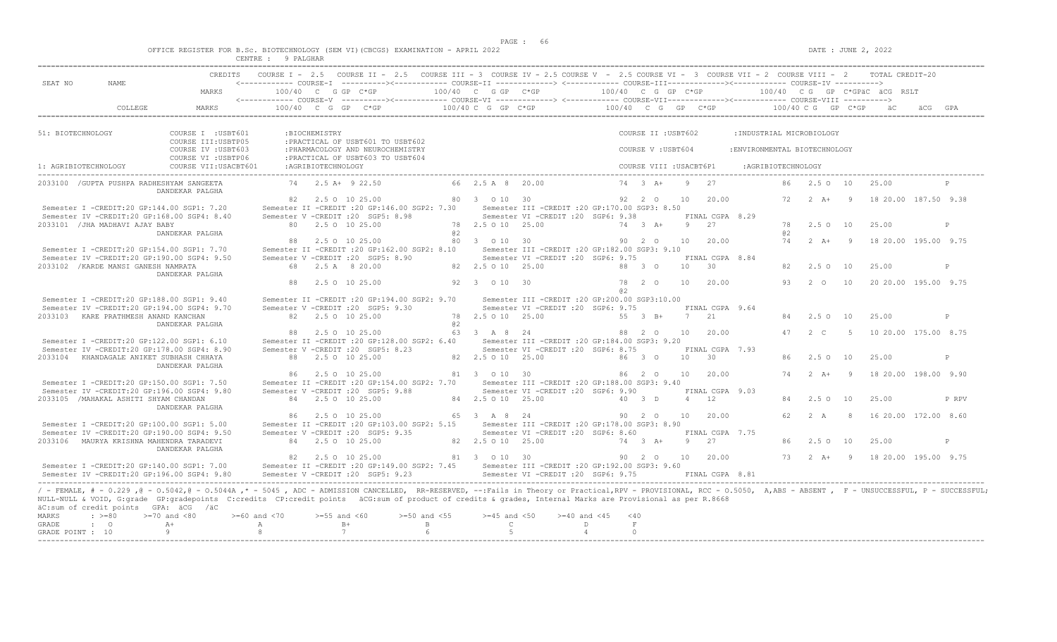|  |  | OFFICE REGISTER FOR B.Sc. BIOTECHNOLOGY (SEM VI)(CBCGS) EXAMINATION - APRIL 2022 |  |  |  |
|--|--|----------------------------------------------------------------------------------|--|--|--|
|  |  |                                                                                  |  |  |  |

| CREDITS COURSE I - 2.5 COURSE II - 2.5 COURSE III - 3 COURSE IV - 2.5 COURSE V - 2.5 COURSE VI - 3 COURSE VII - 2 COURSE VIII - 2 TOTAL CREDIT-20<br><------------ COURSE-T ----------><------------ COURSE-TT -------------> <------------ COURSE-TTT-------------><------------ COURSE-TV ----------><br>SEAT NO<br>NAME<br>100/40 C G GP C*GP<br>100/40 C G GP C*GP<br>$100/40$ C G GP C*GP<br>100/40 CG GP C*GPäC äCG RSLT<br>MARKS<br>$100/40$ C G GP C*GP $\overline{C}$ $\overline{C}$ $\overline{C}$ $\overline{C}$ $\overline{C}$ $\overline{C}$ $\overline{C}$ $\overline{C}$ $\overline{C}$ $\overline{C}$ $\overline{C}$ $\overline{C}$ $\overline{C}$ $\overline{C}$ $\overline{C}$ $\overline{C}$ $\overline{C}$ $\overline{C}$ $\overline{C}$ $\overline{C}$ $\overline{C}$ $\overline{C}$ $\$<br>COLLEGE<br>MARKS<br>51: BIOTECHNOLOGY<br>COURSE I : USBT601<br>:BIOCHEMISTRY<br>COURSE II : USBT602<br>: INDUSTRIAL MICROBIOLOGY<br>COURSE III: USBTP05<br>: PRACTICAL OF USBT601 TO USBT602<br>COURSE IV : USBT603<br>: PHARMACOLOGY AND NEUROCHEMISTRY<br>COURSE V: USBT604<br>: ENVIRONMENTAL BIOTECHNOLOGY<br>COURSE VI : USBTP06<br>: PRACTICAL OF USBT603 TO USBT604<br>COURSE VII: USACBT601<br>: AGRIBIOTECHNOLOGY<br>COURSE VIII : USACBT6P1<br>1: AGRIBIOTECHNOLOGY<br>:AGRIBIOTECHNOLOGY<br>74 2.5 A+ 9 22.50<br>66 2.5 A 8 20.00<br>74 3 A+<br>9 27<br>86  2.5  0  10<br>2033100 / GUPTA PUSHPA RADHESHYAM SANGEETA<br>25.00<br>DANDEKAR PALGHA<br>72  2  A+  9  18  20.00  187.50  9.38<br>82 2.5 0 10 25.00<br>80 3 0 10 30<br>20.00<br>92 2 0<br>10<br>Semester II -CREDIT : 20 GP: 146.00 SGP2: 7.30<br>Semester III - CREDIT : 20 GP: 170.00 SGP3: 8.50<br>Semester I -CREDIT:20 GP:144.00 SGP1: 7.20<br>Semester IV -CREDIT:20 GP:168.00 SGP4: 8.40<br>Semester V -CREDIT : 20 SGP5: 8.98<br>Semester VI - CREDIT : 20 SGP6: 9.38<br>FINAL CGPA 8.29<br>80 2.5 0 10 25.00<br>78  2.5  0  10  25.00<br>9 27<br>2.50 10<br>25.00<br>2033101 / JHA MADHAVI AJAY BABY<br>$74$ 3 $\lambda$ +<br>78<br>8 2<br>DANDEKAR PALGHA<br>a2<br>80 3 0 10 30<br>88 2.5 0 10 25.00<br>90 2 0<br>10<br>20.00<br>74   2   A+   9<br>18 20.00 195.00 9.75<br>Semester I -CREDIT:20 GP:154.00 SGP1: 7.70<br>Semester II -CREDIT : 20 GP:162.00 SGP2: 8.10<br>Semester III - CREDIT : 20 GP: 182.00 SGP3: 9.10<br>Semester IV -CREDIT:20 GP:190.00 SGP4: 9.50<br>Semester V - CREDIT : 20 SGP5: 8.90<br>Semester VI -CREDIT :20 SGP6: 9.75<br>FINAL CGPA 8.84<br>2033102 / KARDE MANSI GANESH NAMRATA<br>68 2.5 A 8 20.00<br>82  2.5  0  10  25.00<br>30<br>88 3 0<br>10<br>82<br>2.5010<br>25.00<br>P<br>DANDEKAR PALGHA<br>88 2.5 0 10 25.00<br>92 3 0 10 30<br>78 2 0<br>10<br>20.00<br>93<br>$2\degree$ O<br>20 20.00 195.00 9.75<br>10 |
|-----------------------------------------------------------------------------------------------------------------------------------------------------------------------------------------------------------------------------------------------------------------------------------------------------------------------------------------------------------------------------------------------------------------------------------------------------------------------------------------------------------------------------------------------------------------------------------------------------------------------------------------------------------------------------------------------------------------------------------------------------------------------------------------------------------------------------------------------------------------------------------------------------------------------------------------------------------------------------------------------------------------------------------------------------------------------------------------------------------------------------------------------------------------------------------------------------------------------------------------------------------------------------------------------------------------------------------------------------------------------------------------------------------------------------------------------------------------------------------------------------------------------------------------------------------------------------------------------------------------------------------------------------------------------------------------------------------------------------------------------------------------------------------------------------------------------------------------------------------------------------------------------------------------------------------------------------------------------------------------------------------------------------------------------------------------------------------------------------------------------------------------------------------------------------------------------------------------------------------------------------------------------------------------------------------------------------------------------------------------------------------------------------------------------------------------------------------------------------------------------------------------------------------------------------------------------------------------------------------------------------------------------------------------------------------------------------------------------------------------------------------|
|                                                                                                                                                                                                                                                                                                                                                                                                                                                                                                                                                                                                                                                                                                                                                                                                                                                                                                                                                                                                                                                                                                                                                                                                                                                                                                                                                                                                                                                                                                                                                                                                                                                                                                                                                                                                                                                                                                                                                                                                                                                                                                                                                                                                                                                                                                                                                                                                                                                                                                                                                                                                                                                                                                                                                           |
|                                                                                                                                                                                                                                                                                                                                                                                                                                                                                                                                                                                                                                                                                                                                                                                                                                                                                                                                                                                                                                                                                                                                                                                                                                                                                                                                                                                                                                                                                                                                                                                                                                                                                                                                                                                                                                                                                                                                                                                                                                                                                                                                                                                                                                                                                                                                                                                                                                                                                                                                                                                                                                                                                                                                                           |
|                                                                                                                                                                                                                                                                                                                                                                                                                                                                                                                                                                                                                                                                                                                                                                                                                                                                                                                                                                                                                                                                                                                                                                                                                                                                                                                                                                                                                                                                                                                                                                                                                                                                                                                                                                                                                                                                                                                                                                                                                                                                                                                                                                                                                                                                                                                                                                                                                                                                                                                                                                                                                                                                                                                                                           |
|                                                                                                                                                                                                                                                                                                                                                                                                                                                                                                                                                                                                                                                                                                                                                                                                                                                                                                                                                                                                                                                                                                                                                                                                                                                                                                                                                                                                                                                                                                                                                                                                                                                                                                                                                                                                                                                                                                                                                                                                                                                                                                                                                                                                                                                                                                                                                                                                                                                                                                                                                                                                                                                                                                                                                           |
|                                                                                                                                                                                                                                                                                                                                                                                                                                                                                                                                                                                                                                                                                                                                                                                                                                                                                                                                                                                                                                                                                                                                                                                                                                                                                                                                                                                                                                                                                                                                                                                                                                                                                                                                                                                                                                                                                                                                                                                                                                                                                                                                                                                                                                                                                                                                                                                                                                                                                                                                                                                                                                                                                                                                                           |
|                                                                                                                                                                                                                                                                                                                                                                                                                                                                                                                                                                                                                                                                                                                                                                                                                                                                                                                                                                                                                                                                                                                                                                                                                                                                                                                                                                                                                                                                                                                                                                                                                                                                                                                                                                                                                                                                                                                                                                                                                                                                                                                                                                                                                                                                                                                                                                                                                                                                                                                                                                                                                                                                                                                                                           |
|                                                                                                                                                                                                                                                                                                                                                                                                                                                                                                                                                                                                                                                                                                                                                                                                                                                                                                                                                                                                                                                                                                                                                                                                                                                                                                                                                                                                                                                                                                                                                                                                                                                                                                                                                                                                                                                                                                                                                                                                                                                                                                                                                                                                                                                                                                                                                                                                                                                                                                                                                                                                                                                                                                                                                           |
|                                                                                                                                                                                                                                                                                                                                                                                                                                                                                                                                                                                                                                                                                                                                                                                                                                                                                                                                                                                                                                                                                                                                                                                                                                                                                                                                                                                                                                                                                                                                                                                                                                                                                                                                                                                                                                                                                                                                                                                                                                                                                                                                                                                                                                                                                                                                                                                                                                                                                                                                                                                                                                                                                                                                                           |
|                                                                                                                                                                                                                                                                                                                                                                                                                                                                                                                                                                                                                                                                                                                                                                                                                                                                                                                                                                                                                                                                                                                                                                                                                                                                                                                                                                                                                                                                                                                                                                                                                                                                                                                                                                                                                                                                                                                                                                                                                                                                                                                                                                                                                                                                                                                                                                                                                                                                                                                                                                                                                                                                                                                                                           |
|                                                                                                                                                                                                                                                                                                                                                                                                                                                                                                                                                                                                                                                                                                                                                                                                                                                                                                                                                                                                                                                                                                                                                                                                                                                                                                                                                                                                                                                                                                                                                                                                                                                                                                                                                                                                                                                                                                                                                                                                                                                                                                                                                                                                                                                                                                                                                                                                                                                                                                                                                                                                                                                                                                                                                           |
|                                                                                                                                                                                                                                                                                                                                                                                                                                                                                                                                                                                                                                                                                                                                                                                                                                                                                                                                                                                                                                                                                                                                                                                                                                                                                                                                                                                                                                                                                                                                                                                                                                                                                                                                                                                                                                                                                                                                                                                                                                                                                                                                                                                                                                                                                                                                                                                                                                                                                                                                                                                                                                                                                                                                                           |
|                                                                                                                                                                                                                                                                                                                                                                                                                                                                                                                                                                                                                                                                                                                                                                                                                                                                                                                                                                                                                                                                                                                                                                                                                                                                                                                                                                                                                                                                                                                                                                                                                                                                                                                                                                                                                                                                                                                                                                                                                                                                                                                                                                                                                                                                                                                                                                                                                                                                                                                                                                                                                                                                                                                                                           |
|                                                                                                                                                                                                                                                                                                                                                                                                                                                                                                                                                                                                                                                                                                                                                                                                                                                                                                                                                                                                                                                                                                                                                                                                                                                                                                                                                                                                                                                                                                                                                                                                                                                                                                                                                                                                                                                                                                                                                                                                                                                                                                                                                                                                                                                                                                                                                                                                                                                                                                                                                                                                                                                                                                                                                           |
|                                                                                                                                                                                                                                                                                                                                                                                                                                                                                                                                                                                                                                                                                                                                                                                                                                                                                                                                                                                                                                                                                                                                                                                                                                                                                                                                                                                                                                                                                                                                                                                                                                                                                                                                                                                                                                                                                                                                                                                                                                                                                                                                                                                                                                                                                                                                                                                                                                                                                                                                                                                                                                                                                                                                                           |
|                                                                                                                                                                                                                                                                                                                                                                                                                                                                                                                                                                                                                                                                                                                                                                                                                                                                                                                                                                                                                                                                                                                                                                                                                                                                                                                                                                                                                                                                                                                                                                                                                                                                                                                                                                                                                                                                                                                                                                                                                                                                                                                                                                                                                                                                                                                                                                                                                                                                                                                                                                                                                                                                                                                                                           |
|                                                                                                                                                                                                                                                                                                                                                                                                                                                                                                                                                                                                                                                                                                                                                                                                                                                                                                                                                                                                                                                                                                                                                                                                                                                                                                                                                                                                                                                                                                                                                                                                                                                                                                                                                                                                                                                                                                                                                                                                                                                                                                                                                                                                                                                                                                                                                                                                                                                                                                                                                                                                                                                                                                                                                           |
|                                                                                                                                                                                                                                                                                                                                                                                                                                                                                                                                                                                                                                                                                                                                                                                                                                                                                                                                                                                                                                                                                                                                                                                                                                                                                                                                                                                                                                                                                                                                                                                                                                                                                                                                                                                                                                                                                                                                                                                                                                                                                                                                                                                                                                                                                                                                                                                                                                                                                                                                                                                                                                                                                                                                                           |
|                                                                                                                                                                                                                                                                                                                                                                                                                                                                                                                                                                                                                                                                                                                                                                                                                                                                                                                                                                                                                                                                                                                                                                                                                                                                                                                                                                                                                                                                                                                                                                                                                                                                                                                                                                                                                                                                                                                                                                                                                                                                                                                                                                                                                                                                                                                                                                                                                                                                                                                                                                                                                                                                                                                                                           |
|                                                                                                                                                                                                                                                                                                                                                                                                                                                                                                                                                                                                                                                                                                                                                                                                                                                                                                                                                                                                                                                                                                                                                                                                                                                                                                                                                                                                                                                                                                                                                                                                                                                                                                                                                                                                                                                                                                                                                                                                                                                                                                                                                                                                                                                                                                                                                                                                                                                                                                                                                                                                                                                                                                                                                           |
|                                                                                                                                                                                                                                                                                                                                                                                                                                                                                                                                                                                                                                                                                                                                                                                                                                                                                                                                                                                                                                                                                                                                                                                                                                                                                                                                                                                                                                                                                                                                                                                                                                                                                                                                                                                                                                                                                                                                                                                                                                                                                                                                                                                                                                                                                                                                                                                                                                                                                                                                                                                                                                                                                                                                                           |
| a2                                                                                                                                                                                                                                                                                                                                                                                                                                                                                                                                                                                                                                                                                                                                                                                                                                                                                                                                                                                                                                                                                                                                                                                                                                                                                                                                                                                                                                                                                                                                                                                                                                                                                                                                                                                                                                                                                                                                                                                                                                                                                                                                                                                                                                                                                                                                                                                                                                                                                                                                                                                                                                                                                                                                                        |
| Semester I -CREDIT:20 GP:188.00 SGP1: 9.40<br>Semester II -CREDIT : 20 GP: 194.00 SGP2: 9.70<br>Semester III -CREDIT : 20 GP: 200.00 SGP3: 10.00                                                                                                                                                                                                                                                                                                                                                                                                                                                                                                                                                                                                                                                                                                                                                                                                                                                                                                                                                                                                                                                                                                                                                                                                                                                                                                                                                                                                                                                                                                                                                                                                                                                                                                                                                                                                                                                                                                                                                                                                                                                                                                                                                                                                                                                                                                                                                                                                                                                                                                                                                                                                          |
| Semester IV -CREDIT:20 GP:194.00 SGP4: 9.70<br>Semester V -CREDIT : 20 SGP5: 9.30<br>Semester VI - CREDIT : 20 SGP6: 9.75<br>FINAL CGPA 9.64                                                                                                                                                                                                                                                                                                                                                                                                                                                                                                                                                                                                                                                                                                                                                                                                                                                                                                                                                                                                                                                                                                                                                                                                                                                                                                                                                                                                                                                                                                                                                                                                                                                                                                                                                                                                                                                                                                                                                                                                                                                                                                                                                                                                                                                                                                                                                                                                                                                                                                                                                                                                              |
| 78 2.5 0 10 25.00<br>2033103 KARE PRATHMESH ANAND KANCHAN<br>82  2.5  0  10  25.00<br>55 3 B+<br>7 21<br>10<br>25.00<br>84<br>2.50<br>P<br>8 2                                                                                                                                                                                                                                                                                                                                                                                                                                                                                                                                                                                                                                                                                                                                                                                                                                                                                                                                                                                                                                                                                                                                                                                                                                                                                                                                                                                                                                                                                                                                                                                                                                                                                                                                                                                                                                                                                                                                                                                                                                                                                                                                                                                                                                                                                                                                                                                                                                                                                                                                                                                                            |
| DANDEKAR PALGHA<br>88 2.5 0 10 25.00<br>63 3 A 8 24<br>$2 \quad C$<br>10 20.00 175.00 8.75<br>88 2 0<br>10<br>20.00<br>47<br>$-5$                                                                                                                                                                                                                                                                                                                                                                                                                                                                                                                                                                                                                                                                                                                                                                                                                                                                                                                                                                                                                                                                                                                                                                                                                                                                                                                                                                                                                                                                                                                                                                                                                                                                                                                                                                                                                                                                                                                                                                                                                                                                                                                                                                                                                                                                                                                                                                                                                                                                                                                                                                                                                         |
| Semester I -CREDIT:20 GP:122.00 SGP1: 6.10<br>Semester II -CREDIT : 20 GP: 128.00 SGP2: 6.40<br>Semester III - CREDIT : 20 GP: 184.00 SGP3: 9.20                                                                                                                                                                                                                                                                                                                                                                                                                                                                                                                                                                                                                                                                                                                                                                                                                                                                                                                                                                                                                                                                                                                                                                                                                                                                                                                                                                                                                                                                                                                                                                                                                                                                                                                                                                                                                                                                                                                                                                                                                                                                                                                                                                                                                                                                                                                                                                                                                                                                                                                                                                                                          |
| Semester VI -CREDIT : 20 SGP6: 8.75<br>Semester IV -CREDIT:20 GP:178.00 SGP4: 8.90<br>Semester V -CREDIT : 20 SGP5: 8.23<br>FINAL CGPA 7.93                                                                                                                                                                                                                                                                                                                                                                                                                                                                                                                                                                                                                                                                                                                                                                                                                                                                                                                                                                                                                                                                                                                                                                                                                                                                                                                                                                                                                                                                                                                                                                                                                                                                                                                                                                                                                                                                                                                                                                                                                                                                                                                                                                                                                                                                                                                                                                                                                                                                                                                                                                                                               |
| 2033104 KHANDAGALE ANIKET SUBHASH CHHAYA<br>82  2.5  0  10  25.00<br>88 2.5 0 10 25.00<br>86 3 0<br>10<br>$\overline{30}$<br>2.50 10<br>25.00<br>$\mathsf{P}$<br>86.                                                                                                                                                                                                                                                                                                                                                                                                                                                                                                                                                                                                                                                                                                                                                                                                                                                                                                                                                                                                                                                                                                                                                                                                                                                                                                                                                                                                                                                                                                                                                                                                                                                                                                                                                                                                                                                                                                                                                                                                                                                                                                                                                                                                                                                                                                                                                                                                                                                                                                                                                                                      |
| DANDEKAR PALGHA                                                                                                                                                                                                                                                                                                                                                                                                                                                                                                                                                                                                                                                                                                                                                                                                                                                                                                                                                                                                                                                                                                                                                                                                                                                                                                                                                                                                                                                                                                                                                                                                                                                                                                                                                                                                                                                                                                                                                                                                                                                                                                                                                                                                                                                                                                                                                                                                                                                                                                                                                                                                                                                                                                                                           |
| 81 3 0 10 30<br>20.00<br>18 20.00 198.00 9.90<br>86 2.5 0 10 25.00<br>86 2 0<br>10 <sup>1</sup><br>74<br>$2+A+$<br>- 9<br>Semester III - CREDIT : 20 GP: 188.00 SGP3: 9.40                                                                                                                                                                                                                                                                                                                                                                                                                                                                                                                                                                                                                                                                                                                                                                                                                                                                                                                                                                                                                                                                                                                                                                                                                                                                                                                                                                                                                                                                                                                                                                                                                                                                                                                                                                                                                                                                                                                                                                                                                                                                                                                                                                                                                                                                                                                                                                                                                                                                                                                                                                                |
| Semester I -CREDIT:20 GP:150.00 SGP1: 7.50<br>Semester II -CREDIT : 20 GP: 154.00 SGP2: 7.70<br>Semester IV -CREDIT:20 GP:196.00 SGP4: 9.80<br>Semester V - CREDIT : 20 SGP5: 9.88<br>Semester VI -CREDIT : 20 SGP6: 9.90<br>FINAL CGPA 9.03                                                                                                                                                                                                                                                                                                                                                                                                                                                                                                                                                                                                                                                                                                                                                                                                                                                                                                                                                                                                                                                                                                                                                                                                                                                                                                                                                                                                                                                                                                                                                                                                                                                                                                                                                                                                                                                                                                                                                                                                                                                                                                                                                                                                                                                                                                                                                                                                                                                                                                              |
| 84 2.5 0 10 25.00<br>2033105 /MAHAKAL ASHITI SHYAM CHANDAN<br>84 2.5 0 10 25.00<br>40 3 D<br>4 12<br>2.50<br>25.00<br>P RPV<br>84<br><b>10</b>                                                                                                                                                                                                                                                                                                                                                                                                                                                                                                                                                                                                                                                                                                                                                                                                                                                                                                                                                                                                                                                                                                                                                                                                                                                                                                                                                                                                                                                                                                                                                                                                                                                                                                                                                                                                                                                                                                                                                                                                                                                                                                                                                                                                                                                                                                                                                                                                                                                                                                                                                                                                            |
| DANDEKAR PALGHA                                                                                                                                                                                                                                                                                                                                                                                                                                                                                                                                                                                                                                                                                                                                                                                                                                                                                                                                                                                                                                                                                                                                                                                                                                                                                                                                                                                                                                                                                                                                                                                                                                                                                                                                                                                                                                                                                                                                                                                                                                                                                                                                                                                                                                                                                                                                                                                                                                                                                                                                                                                                                                                                                                                                           |
| 86 2.5 0 10 25.00<br>65 3 A 8 24<br>90 2 0<br>10<br>20.00<br>62.<br>2 A<br>16 20.00 172.00 8.60<br>- 8                                                                                                                                                                                                                                                                                                                                                                                                                                                                                                                                                                                                                                                                                                                                                                                                                                                                                                                                                                                                                                                                                                                                                                                                                                                                                                                                                                                                                                                                                                                                                                                                                                                                                                                                                                                                                                                                                                                                                                                                                                                                                                                                                                                                                                                                                                                                                                                                                                                                                                                                                                                                                                                    |
| Semester I -CREDIT:20 GP:100.00 SGP1: 5.00<br>Semester II -CREDIT : 20 GP: 103.00 SGP2: 5.15<br>Semester III - CREDIT : 20 GP: 178.00 SGP3: 8.90                                                                                                                                                                                                                                                                                                                                                                                                                                                                                                                                                                                                                                                                                                                                                                                                                                                                                                                                                                                                                                                                                                                                                                                                                                                                                                                                                                                                                                                                                                                                                                                                                                                                                                                                                                                                                                                                                                                                                                                                                                                                                                                                                                                                                                                                                                                                                                                                                                                                                                                                                                                                          |
| Semester IV -CREDIT:20 GP:190.00 SGP4: 9.50<br>Semester V -CREDIT : 20 SGP5: 9.35<br>Semester VI -CREDIT : 20 SGP6: 8.60<br>FINAL CGPA 7.75<br>2033106 MAURYA KRISHNA MAHENDRA TARADEVI<br>84 2.5 0 10 25.00<br>82  2.5  0  10  25.00<br>74 3 A+<br>9<br>27<br>P                                                                                                                                                                                                                                                                                                                                                                                                                                                                                                                                                                                                                                                                                                                                                                                                                                                                                                                                                                                                                                                                                                                                                                                                                                                                                                                                                                                                                                                                                                                                                                                                                                                                                                                                                                                                                                                                                                                                                                                                                                                                                                                                                                                                                                                                                                                                                                                                                                                                                          |
| 25.00<br>86<br>2.50 10<br>DANDEKAR PALGHA                                                                                                                                                                                                                                                                                                                                                                                                                                                                                                                                                                                                                                                                                                                                                                                                                                                                                                                                                                                                                                                                                                                                                                                                                                                                                                                                                                                                                                                                                                                                                                                                                                                                                                                                                                                                                                                                                                                                                                                                                                                                                                                                                                                                                                                                                                                                                                                                                                                                                                                                                                                                                                                                                                                 |
| 90  2  0  10  20.00<br>2.5 0 10 25.00<br>81 3 0 10 30<br>73   2   A+   9   18   20.00   195.00   9.75<br>82                                                                                                                                                                                                                                                                                                                                                                                                                                                                                                                                                                                                                                                                                                                                                                                                                                                                                                                                                                                                                                                                                                                                                                                                                                                                                                                                                                                                                                                                                                                                                                                                                                                                                                                                                                                                                                                                                                                                                                                                                                                                                                                                                                                                                                                                                                                                                                                                                                                                                                                                                                                                                                               |
| Semester II -CREDIT :20 GP:149.00 SGP2: 7.45 Semester III -CREDIT :20 GP:192.00 SGP3: 9.60<br>Semester I -CREDIT:20 GP:140.00 SGP1: 7.00                                                                                                                                                                                                                                                                                                                                                                                                                                                                                                                                                                                                                                                                                                                                                                                                                                                                                                                                                                                                                                                                                                                                                                                                                                                                                                                                                                                                                                                                                                                                                                                                                                                                                                                                                                                                                                                                                                                                                                                                                                                                                                                                                                                                                                                                                                                                                                                                                                                                                                                                                                                                                  |
| Semester V -CREDIT : 20 SGP5: 9.23<br>Semester VI - CREDIT : 20 SGP6: 9.75 FINAL CGPA 8.81<br>Semester IV -CREDIT:20 GP:196.00 SGP4: 9.80                                                                                                                                                                                                                                                                                                                                                                                                                                                                                                                                                                                                                                                                                                                                                                                                                                                                                                                                                                                                                                                                                                                                                                                                                                                                                                                                                                                                                                                                                                                                                                                                                                                                                                                                                                                                                                                                                                                                                                                                                                                                                                                                                                                                                                                                                                                                                                                                                                                                                                                                                                                                                 |
| / - FEMALE, # - 0.229, @ - 0.5042, @ - 0.5044A, * - 5045, ADC - ADMISSION CANCELLED, RR-RESERVED, --:Fails in Theory or Practical,RPV - PROVISIONAL, RCC - 0.5050, A,ABS - ABSENT, F - UNSUCCESSFUL, P - SUCCESSFUL;<br>NULL-NULL & VOID, G:grade GP:gradepoints C:credits CP:credit points äCG:sum of product of credits & grades, Internal Marks are Provisional as per R.8668<br>äC:sum of credit points GPA: äCG /äC<br>$: \; > = 80$<br>$>=70$ and $<80$<br>$>= 60$ and $< 70$<br>$>=55$ and $<60$<br>$>=50$ and $<55$<br>$>=45$ and $<50$<br>$>= 40$ and $< 45$<br>MARKS<br>< 40<br>$B+$<br>$\mathsf{C}$<br><b>GRADE</b><br>$\cdot$ 0<br>$A+$<br>A<br>$\mathbb B$<br>D<br>F<br>$\Omega$                                                                                                                                                                                                                                                                                                                                                                                                                                                                                                                                                                                                                                                                                                                                                                                                                                                                                                                                                                                                                                                                                                                                                                                                                                                                                                                                                                                                                                                                                                                                                                                                                                                                                                                                                                                                                                                                                                                                                                                                                                                             |
| 9<br>8<br>7<br>5<br>$\overline{4}$<br>GRADE POINT : 10                                                                                                                                                                                                                                                                                                                                                                                                                                                                                                                                                                                                                                                                                                                                                                                                                                                                                                                                                                                                                                                                                                                                                                                                                                                                                                                                                                                                                                                                                                                                                                                                                                                                                                                                                                                                                                                                                                                                                                                                                                                                                                                                                                                                                                                                                                                                                                                                                                                                                                                                                                                                                                                                                                    |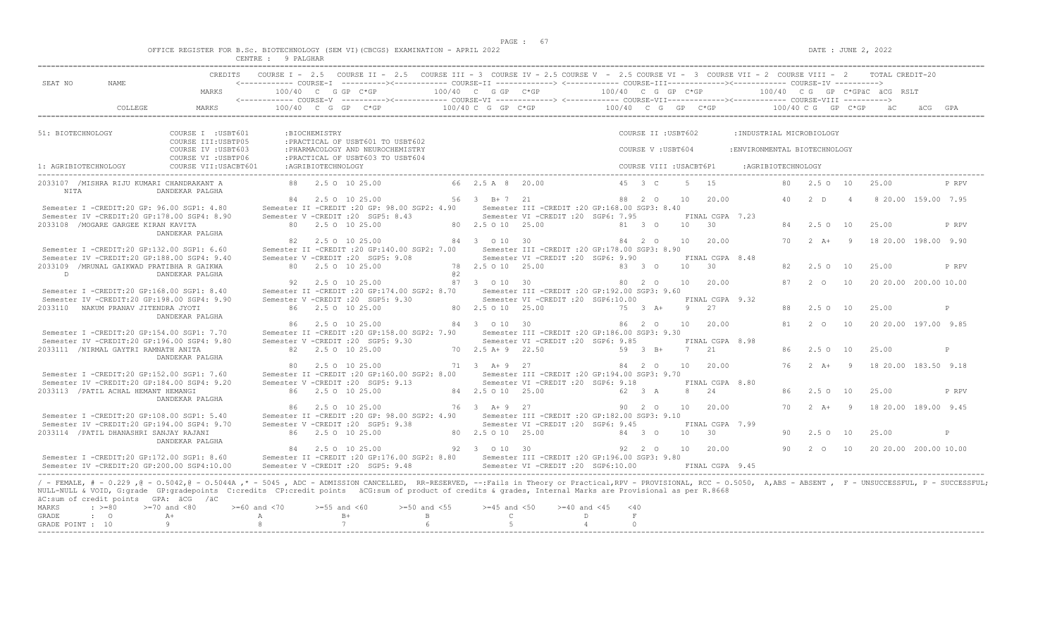|  |         |           |  | OFFICE REGISTER FOR B.Sc. BIOTECHNOLOGY (SEM VI)(CBCGS) EXAMINATION - APRIL 2022 |  |  |
|--|---------|-----------|--|----------------------------------------------------------------------------------|--|--|
|  | CENTRE. | 9 PALGHAR |  |                                                                                  |  |  |

|                      |                                         | <b>CREDITS</b>                                                                                                                                                                                                       |                    |                    | COURSE I - 2.5 COURSE II - 2.5 COURSE III - 3 COURSE IV - 2.5 COURSE V - 2.5 COURSE VI - 3 COURSE VII - 2 COURSE VIII - 2 TOTAL CREDIT-20 |                  |                     |                                                  |                           |                         |                |                 |                               |     |                      |                |                                                     |                     |              |
|----------------------|-----------------------------------------|----------------------------------------------------------------------------------------------------------------------------------------------------------------------------------------------------------------------|--------------------|--------------------|-------------------------------------------------------------------------------------------------------------------------------------------|------------------|---------------------|--------------------------------------------------|---------------------------|-------------------------|----------------|-----------------|-------------------------------|-----|----------------------|----------------|-----------------------------------------------------|---------------------|--------------|
| SEAT NO              | NAME                                    |                                                                                                                                                                                                                      |                    |                    |                                                                                                                                           |                  |                     |                                                  |                           |                         |                |                 |                               |     |                      |                |                                                     |                     |              |
|                      |                                         | MARKS                                                                                                                                                                                                                |                    |                    | 100/40 C G GP C*GP                                                                                                                        |                  | 100/40 C G GP C*GP  |                                                  | $100/40$ C G GP C*GP      |                         |                |                 |                               |     |                      |                | 100/40 CG GP C*GPäC äCG RSLT                        |                     |              |
|                      | COLLEGE                                 | MARKS                                                                                                                                                                                                                |                    |                    | 100/40 C G GP C*GP                                                                                                                        |                  |                     | $100/40$ C G GP C*GP $100/40$ C G GP C*GP        |                           |                         |                |                 |                               |     | $100/40$ C G GP C*GP |                | a ac                                                | äCG GPA             |              |
|                      |                                         |                                                                                                                                                                                                                      |                    |                    |                                                                                                                                           |                  |                     |                                                  |                           |                         |                |                 |                               |     |                      |                |                                                     |                     |              |
| 51: BIOTECHNOLOGY    |                                         | COURSE I : USBT601                                                                                                                                                                                                   |                    | :BIOCHEMISTRY      |                                                                                                                                           |                  |                     |                                                  |                           | COURSE II : USBT602     |                |                 | : INDUSTRIAL MICROBIOLOGY     |     |                      |                |                                                     |                     |              |
|                      |                                         | COURSE III: USBTP05                                                                                                                                                                                                  |                    |                    | : PRACTICAL OF USBT601 TO USBT602                                                                                                         |                  |                     |                                                  |                           |                         |                |                 |                               |     |                      |                |                                                     |                     |              |
|                      |                                         | COURSE IV : USBT603                                                                                                                                                                                                  |                    |                    | : PHARMACOLOGY AND NEUROCHEMISTRY                                                                                                         |                  |                     |                                                  |                           | COURSE V: USBT604       |                |                 | : ENVIRONMENTAL BIOTECHNOLOGY |     |                      |                |                                                     |                     |              |
|                      |                                         | COURSE VI : USBTP06                                                                                                                                                                                                  |                    |                    | : PRACTICAL OF USBT603 TO USBT604                                                                                                         |                  |                     |                                                  |                           |                         |                |                 |                               |     |                      |                |                                                     |                     |              |
| 1: AGRIBIOTECHNOLOGY |                                         | COURSE VII: USACBT601                                                                                                                                                                                                |                    | :AGRIBIOTECHNOLOGY |                                                                                                                                           |                  |                     |                                                  |                           | COURSE VIII : USACBT6P1 |                |                 | :AGRIBIOTECHNOLOGY            |     |                      |                |                                                     |                     |              |
|                      |                                         | 2033107 /MISHRA RIJU KUMARI CHANDRAKANT A                                                                                                                                                                            |                    |                    | 88 2.5 0 10 25.00                                                                                                                         |                  | 66 2.5 A 8 20.00    |                                                  |                           | 45 3 C                  |                | 5 15            |                               |     | 80 2.5 0 10          |                | 25.00                                               |                     | P RPV        |
| NITA                 |                                         | DANDEKAR PALGHA                                                                                                                                                                                                      |                    |                    |                                                                                                                                           |                  |                     |                                                  |                           |                         |                |                 |                               |     |                      |                |                                                     |                     |              |
|                      |                                         |                                                                                                                                                                                                                      |                    |                    | 84 2.5 0 10 25.00                                                                                                                         |                  | 56 3 B + 7 21       |                                                  |                           | 88 2 0                  | 10             | 20.00           |                               |     | 40 2 D               | $\overline{4}$ |                                                     | 8 20 00 159 00 7 95 |              |
|                      |                                         | Semester I -CREDIT:20 GP: 96.00 SGP1: 4.80                                                                                                                                                                           |                    |                    | Semester II -CREDIT : 20 GP: 98.00 SGP2: 4.90                                                                                             |                  |                     | Semester III -CREDIT : 20 GP:168.00 SGP3: 8.40   |                           |                         |                |                 |                               |     |                      |                |                                                     |                     |              |
|                      |                                         | Semester IV -CREDIT:20 GP:178.00 SGP4: 8.90                                                                                                                                                                          |                    |                    | Semester V - CREDIT : 20 SGP5: 8.43                                                                                                       |                  |                     | Semester VI -CREDIT : 20 SGP6: 7.95              |                           |                         |                | FINAL CGPA 7.23 |                               |     |                      |                |                                                     |                     |              |
|                      | 2033108 /MOGARE GARGEE KIRAN KAVITA     |                                                                                                                                                                                                                      |                    |                    | 80 2.5 0 10 25.00                                                                                                                         |                  | 80 2.5 0 10 25.00   |                                                  |                           | 81 3 0                  | 10             | $\overline{30}$ |                               |     | 84 2.5 0 10          |                | 25.00                                               |                     | P RPV        |
|                      |                                         | DANDEKAR PALGHA                                                                                                                                                                                                      |                    |                    |                                                                                                                                           |                  |                     |                                                  |                           |                         |                |                 |                               |     |                      |                |                                                     |                     |              |
|                      |                                         |                                                                                                                                                                                                                      |                    |                    | 82 2.5 0 10 25.00                                                                                                                         |                  | 84 3 0 10 30        |                                                  |                           | 84 2 0                  | 10             | 20.00           |                               |     |                      |                | 70  2  A +  9  18  20  00  198  00  9.90            |                     |              |
|                      |                                         | Semester I -CREDIT:20 GP:132.00 SGP1: 6.60                                                                                                                                                                           |                    |                    | Semester II -CREDIT : 20 GP: 140.00 SGP2: 7.00                                                                                            |                  |                     | Semester III - CREDIT : 20 GP: 178.00 SGP3: 8.90 |                           |                         |                |                 |                               |     |                      |                |                                                     |                     |              |
|                      |                                         | Semester IV -CREDIT:20 GP:188.00 SGP4: 9.40                                                                                                                                                                          |                    |                    | Semester V -CREDIT : 20 SGP5: 9.08                                                                                                        |                  |                     | Semester VI - CREDIT : 20 SGP6: 9.90             |                           |                         |                | FINAL CGPA 8.48 |                               |     |                      |                |                                                     |                     |              |
|                      |                                         | 2033109 /MRUNAL GAIKWAD PRATIBHA R GAIKWA                                                                                                                                                                            |                    |                    | 80 2.5 0 10 25.00                                                                                                                         |                  | 78 2.5 0 10 25.00   |                                                  |                           | 83 3 0                  | 10             | $\overline{30}$ |                               | 82. | 2.5 0 10             |                | 25.00                                               |                     | P RPV        |
| $\mathbb{D}$         |                                         | DANDEKAR PALGHA                                                                                                                                                                                                      |                    |                    | 92 2.5 0 10 25.00                                                                                                                         | a2               | 87 3 0 10 30        |                                                  |                           | 80 2 0                  | 10             | 20.00           |                               | 87  | $2^{\circ}$ $\circ$  | 10             | 20 20.00 200.00 10.00                               |                     |              |
|                      |                                         | Semester I -CREDIT:20 GP:168.00 SGP1: 8.40                                                                                                                                                                           |                    |                    | Semester II -CREDIT : 20 GP: 174.00 SGP2: 8.70                                                                                            |                  |                     | Semester III -CREDIT : 20 GP: 192.00 SGP3: 9.60  |                           |                         |                |                 |                               |     |                      |                |                                                     |                     |              |
|                      |                                         | Semester IV -CREDIT:20 GP:198.00 SGP4: 9.90                                                                                                                                                                          |                    |                    | Semester V -CREDIT : 20 SGP5: 9.30                                                                                                        |                  |                     | Semester VI -CREDIT :20 SGP6:10.00               |                           |                         |                | FINAL CGPA 9.32 |                               |     |                      |                |                                                     |                     |              |
|                      | 2033110 NAKUM PRANAV JITENDRA JYOTI     |                                                                                                                                                                                                                      |                    |                    | 86 2.5 0 10 25.00                                                                                                                         |                  | 80 2.5 0 10 25.00   |                                                  |                           | 75 3 A+                 | $\overline{9}$ | 2.7             |                               | 88  | 2.50 10              |                | 25.00                                               |                     | P            |
|                      |                                         | DANDEKAR PALGHA                                                                                                                                                                                                      |                    |                    |                                                                                                                                           |                  |                     |                                                  |                           |                         |                |                 |                               |     |                      |                |                                                     |                     |              |
|                      |                                         |                                                                                                                                                                                                                      | 86                 |                    | 2.5 0 10 25.00                                                                                                                            |                  | 84 3 0 10 30        |                                                  |                           | 86 2 0                  | 10             | 20.00           |                               |     | 81 2 0               | 10             | 20 20 00 197 00 9.85                                |                     |              |
|                      |                                         | Semester I -CREDIT:20 GP:154.00 SGP1: 7.70                                                                                                                                                                           |                    |                    | Semester II -CREDIT : 20 GP: 158.00 SGP2: 7.90                                                                                            |                  |                     | Semester III - CREDIT : 20 GP: 186.00 SGP3: 9.30 |                           |                         |                |                 |                               |     |                      |                |                                                     |                     |              |
|                      |                                         | Semester IV -CREDIT:20 GP:196.00 SGP4: 9.80                                                                                                                                                                          |                    |                    | Semester V -CREDIT : 20 SGP5: 9.30                                                                                                        |                  |                     | Semester VI -CREDIT :20 SGP6: 9.85               |                           |                         |                | FINAL CGPA 8.98 |                               |     |                      |                |                                                     |                     |              |
|                      | 2033111 /NIRMAL GAYTRI RAMNATH ANITA    |                                                                                                                                                                                                                      |                    |                    | 82  2.5  0  10  25.00                                                                                                                     |                  | 70 2.5 A + 9 22.50  |                                                  |                           | 59 3 B+                 | 7              | 21              |                               | 86  | $2.5^\circ$          | 10             | 25.00                                               |                     | P            |
|                      |                                         | DANDEKAR PALGHA                                                                                                                                                                                                      |                    |                    |                                                                                                                                           |                  |                     |                                                  |                           |                         |                |                 |                               |     |                      |                |                                                     |                     |              |
|                      |                                         |                                                                                                                                                                                                                      |                    |                    | 80 2.5 0 10 25.00                                                                                                                         |                  | $71 \t3 \tA+9 \t27$ |                                                  |                           | 84 2 0                  | 10             | 20.00           |                               | 76  | $2+A+$               | $\overline{9}$ | 18 20.00 183.50 9.18                                |                     |              |
|                      |                                         | Semester I -CREDIT:20 GP:152.00 SGP1: 7.60                                                                                                                                                                           |                    |                    | Semester II -CREDIT : 20 GP:160.00 SGP2: 8.00                                                                                             |                  |                     | Semester III -CREDIT :20 GP:194.00 SGP3: 9.70    |                           |                         |                |                 |                               |     |                      |                |                                                     |                     |              |
|                      |                                         | Semester IV -CREDIT:20 GP:184.00 SGP4: 9.20                                                                                                                                                                          |                    |                    | Semester V -CREDIT : 20 SGP5: 9.13                                                                                                        |                  |                     | Semester VI -CREDIT : 20 SGP6: 9.18              |                           |                         |                | FINAL CGPA 8.80 |                               |     |                      |                |                                                     |                     |              |
|                      | 2033113 / PATIL ACHAL HEMANT HEMANGI    |                                                                                                                                                                                                                      |                    |                    | 86 2.5 0 10 25.00                                                                                                                         |                  | 84 2.5 0 10 25.00   |                                                  |                           | 62 3 A                  | 8              | 2.4             |                               | 86  | $2.5^\circ$          | 10             | 25.00                                               |                     | P RPV        |
|                      |                                         | DANDEKAR PALGHA                                                                                                                                                                                                      |                    |                    |                                                                                                                                           |                  |                     |                                                  |                           |                         |                |                 |                               |     |                      |                |                                                     |                     |              |
|                      |                                         |                                                                                                                                                                                                                      | 86.                |                    | 2.5 0 10 25.00                                                                                                                            |                  | $76 \t3 \tA+9 \t27$ |                                                  |                           | 90 2 0                  | 10             | 20.00           |                               | 70  | $2 \overline{A}$ +   | $\overline{9}$ | 18 20.00 189.00 9.45                                |                     |              |
|                      |                                         | Semester I -CREDIT:20 GP:108.00 SGP1: 5.40                                                                                                                                                                           |                    |                    | Semester II -CREDIT : 20 GP: 98.00 SGP2: 4.90                                                                                             |                  |                     | Semester III -CREDIT :20 GP:182.00 SGP3: 9.10    |                           |                         |                |                 |                               |     |                      |                |                                                     |                     |              |
|                      |                                         | Semester IV -CREDIT:20 GP:194.00 SGP4: 9.70                                                                                                                                                                          |                    |                    | Semester V -CREDIT : 20 SGP5: 9.38                                                                                                        |                  |                     | Semester VI -CREDIT : 20 SGP6: 9.45              |                           |                         |                | FINAL CGPA 7.99 |                               |     |                      |                |                                                     |                     |              |
|                      | 2033114 / PATIL DHANASHRI SANJAY RAJANI |                                                                                                                                                                                                                      |                    |                    | 86 2.5 0 10 25.00                                                                                                                         |                  | 80 2.5 0 10 25.00   |                                                  |                           | 84 3 0                  | 10             | 30              |                               | 90  | 2.5010               |                | 25.00                                               |                     | $\mathbf{P}$ |
|                      |                                         | DANDEKAR PALGHA                                                                                                                                                                                                      |                    |                    | 84 2.5 0 10 25.00                                                                                                                         |                  | 92 3 0 10 30        |                                                  |                           | 92 2 0                  | 10             | 20.00           |                               |     |                      |                | 90   2   0   10   20   20   00   200   00   10   00 |                     |              |
|                      |                                         | Semester I -CREDIT:20 GP:172.00 SGP1: 8.60                                                                                                                                                                           |                    |                    | Semester II -CREDIT :20 GP:176.00 SGP2: 8.80 Semester III -CREDIT :20 GP:196.00 SGP3: 9.80                                                |                  |                     |                                                  |                           |                         |                |                 |                               |     |                      |                |                                                     |                     |              |
|                      |                                         | Semester IV -CREDIT:20 GP:200.00 SGP4:10.00                                                                                                                                                                          |                    |                    | Semester V -CREDIT : 20 SGP5: 9.48                                                                                                        |                  |                     | Semester VI -CREDIT : 20 SGP6:10.00              |                           |                         |                | FINAL CGPA 9.45 |                               |     |                      |                |                                                     |                     |              |
|                      |                                         |                                                                                                                                                                                                                      |                    |                    |                                                                                                                                           |                  |                     |                                                  |                           |                         |                |                 |                               |     |                      |                |                                                     |                     |              |
|                      |                                         | / - FEMALE, # - 0.229,0 - 0.5042,0 - 0.5044A,* - 5045, ADC - ADMISSION CANCELLED, RR-RESERVED, --: Fails in Theory or Practical, RPV - PROVISIONAL, RCC - 0.5050, A, ABS - ABSENT, F - UNSUCCESSFUL, P - SUCCESSFUL; |                    |                    |                                                                                                                                           |                  |                     |                                                  |                           |                         |                |                 |                               |     |                      |                |                                                     |                     |              |
|                      |                                         | NULL-NULL & VOID, G:grade GP:gradepoints C:credits CP:credit points äCG:sum of product of credits & grades, Internal Marks are Provisional as per R.8668                                                             |                    |                    |                                                                                                                                           |                  |                     |                                                  |                           |                         |                |                 |                               |     |                      |                |                                                     |                     |              |
|                      | äC:sum of credit points GPA: äCG /äC    |                                                                                                                                                                                                                      |                    |                    |                                                                                                                                           |                  |                     |                                                  |                           |                         |                |                 |                               |     |                      |                |                                                     |                     |              |
| MARKS                | $: \; > = 80$                           | $>=70$ and $<80$                                                                                                                                                                                                     | $>= 60$ and $< 70$ | $>=55$ and $<60$   |                                                                                                                                           | $>=50$ and $<55$ | $>=45$ and $<50$    |                                                  | $>= 40$ and $< 45$ $< 40$ |                         |                |                 |                               |     |                      |                |                                                     |                     |              |
|                      |                                         |                                                                                                                                                                                                                      |                    |                    |                                                                                                                                           |                  |                     |                                                  |                           |                         |                |                 |                               |     |                      |                |                                                     |                     |              |

|  | GRADE POINT : 10 9 | $8 \hspace{1.5cm} 7 \hspace{1.5cm} 6 \hspace{1.5cm} 5 \hspace{1.5cm} 4$               |  |  |  |
|--|--------------------|---------------------------------------------------------------------------------------|--|--|--|
|  | GRADE : O A+       | A R+ R R C D                                                                          |  |  |  |
|  |                    | - 7-00 diiQ N70 - 7-33 diiQ N00 - 7-30 diiQ N33 - 7-43 diiQ N30 - 7-40 diiQ N40 - N40 |  |  |  |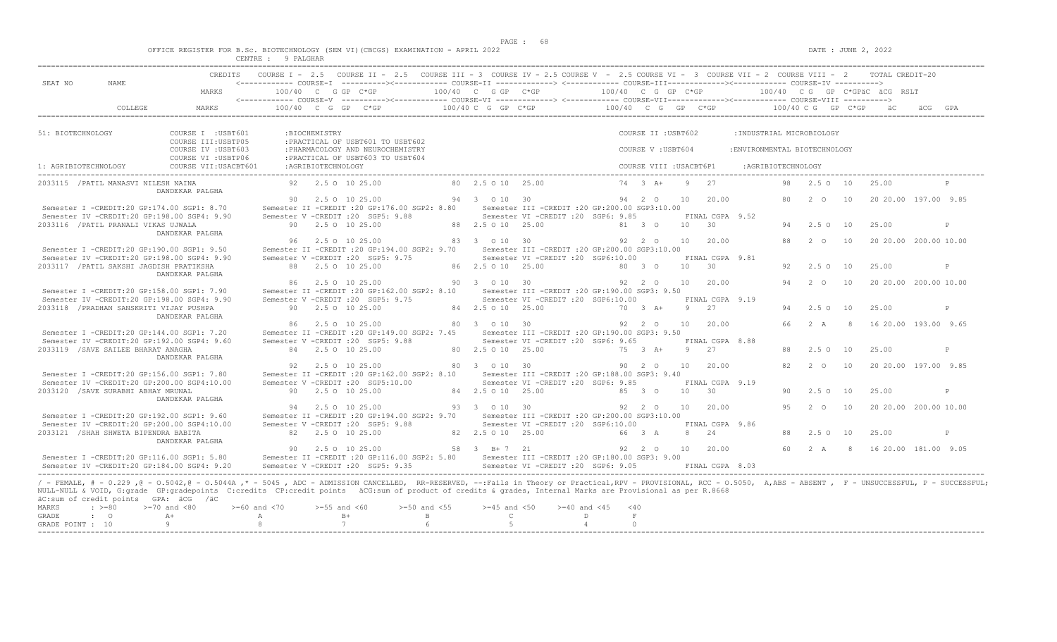|  |  | OFFICE REGISTER FOR B.Sc. BIOTECHNOLOGY (SEM VI)(CBCGS) EXAMINATION - APRIL 2022 |  |  |  |  |
|--|--|----------------------------------------------------------------------------------|--|--|--|--|
|  |  |                                                                                  |  |  |  |  |

| SEAT NO              | NAME.                                      | MARKS                                                                                                                                                                                                                 |        | $100/40$ C G GP C*GP | <------------ COURSE-T ----------><----------- COURSE-TT -------------> <------------ COURSE-TTT----------><--------><---------- COURSE-TV ----------> | 100/40 C G GP C*GP    |                                                  | 100/40 C G GP C*GP |                         |             |                 |                               |            |               |             | 100/40 CG GP C*GPÄC ÄCG RSLT |     |              |
|----------------------|--------------------------------------------|-----------------------------------------------------------------------------------------------------------------------------------------------------------------------------------------------------------------------|--------|----------------------|--------------------------------------------------------------------------------------------------------------------------------------------------------|-----------------------|--------------------------------------------------|--------------------|-------------------------|-------------|-----------------|-------------------------------|------------|---------------|-------------|------------------------------|-----|--------------|
|                      | COLLEGE                                    | MARKS                                                                                                                                                                                                                 | 100/40 | $C$ $G$<br>GP        | $C*GP$                                                                                                                                                 | 100/40 C G GP C*GP    |                                                  | 100/40 C G         |                         | $GP$ $C*GP$ |                 |                               | 100/40 C G |               | $GP$ $C*GP$ |                              | äCG | GPA          |
|                      |                                            |                                                                                                                                                                                                                       |        |                      |                                                                                                                                                        |                       |                                                  |                    |                         |             |                 |                               |            |               |             |                              |     |              |
| 51: BIOTECHNOLOGY    |                                            | COURSE I : USBT601<br>COURSE III: USBTP05                                                                                                                                                                             |        | :BIOCHEMISTRY        | : PRACTICAL OF USBT601 TO USBT602                                                                                                                      |                       |                                                  |                    | COURSE II : USBT602     |             |                 | : INDUSTRIAL MICROBIOLOGY     |            |               |             |                              |     |              |
|                      |                                            | COURSE IV : USBT603                                                                                                                                                                                                   |        |                      | : PHARMACOLOGY AND NEUROCHEMISTRY                                                                                                                      |                       |                                                  |                    | COURSE V: USBT604       |             |                 | : ENVIRONMENTAL BIOTECHNOLOGY |            |               |             |                              |     |              |
|                      |                                            | COURSE VI : USBTP06                                                                                                                                                                                                   |        |                      | : PRACTICAL OF USBT603 TO USBT604                                                                                                                      |                       |                                                  |                    |                         |             |                 |                               |            |               |             |                              |     |              |
| 1: AGRIBIOTECHNOLOGY |                                            | COURSE VII: USACBT601                                                                                                                                                                                                 |        | : AGRIBIOTECHNOLOGY  |                                                                                                                                                        |                       |                                                  |                    | COURSE VIII : USACBT6P1 |             |                 | :AGRIBIOTECHNOLOGY            |            |               |             |                              |     |              |
|                      | 2033115 / PATIL MANASVI NILESH NAINA       | DANDEKAR PALGHA                                                                                                                                                                                                       |        | 92 2.5 0 10 25.00    |                                                                                                                                                        | 80 2.5 0 10 25.00     |                                                  |                    | $74 \t3 \tA+$           | Q           | 27              |                               | 98         | $2.5^{\circ}$ | 10          | 25.00                        |     |              |
|                      |                                            |                                                                                                                                                                                                                       | 90     | 2.5 0 10 25.00       |                                                                                                                                                        | 94 3 0 10 30          |                                                  |                    | 94 2 0                  | 10          | 20.00           |                               | 80         | 2 0           | 10          | 20 20 00 197 00 9 85         |     |              |
|                      | Semester I -CREDIT:20 GP:174.00 SGP1: 8.70 |                                                                                                                                                                                                                       |        |                      | Semester II -CREDIT : 20 GP:176.00 SGP2: 8.80                                                                                                          |                       | Semester III -CREDIT :20 GP:200.00 SGP3:10.00    |                    |                         |             |                 |                               |            |               |             |                              |     |              |
|                      |                                            | Semester IV -CREDIT:20 GP:198.00 SGP4: 9.90                                                                                                                                                                           |        |                      | Semester V -CREDIT : 20 SGP5: 9.88                                                                                                                     |                       | Semester VI -CREDIT : 20 SGP6: 9.85              |                    |                         |             | FINAL CGPA 9.52 |                               |            |               |             |                              |     |              |
|                      | 2033116 / PATIL PRANALI VIKAS UJWALA       |                                                                                                                                                                                                                       |        | 90 2.5 0 10 25.00    |                                                                                                                                                        | 88 2.5 0 10 25.00     |                                                  |                    | 81 3 0                  | 10          | 30              |                               | 94         | 2.5010        |             | 25.00                        |     | P            |
|                      |                                            | DANDEKAR PALGHA                                                                                                                                                                                                       |        |                      |                                                                                                                                                        |                       |                                                  |                    |                         |             |                 |                               |            |               |             |                              |     |              |
|                      |                                            |                                                                                                                                                                                                                       |        | 2.5 0 10 25.00       |                                                                                                                                                        | 83 3 0 10 30          |                                                  |                    | 92 2 0                  | 10          | 20.00           |                               | 88         | 2 O           | 10          | 20 20.00 200.00 10.00        |     |              |
|                      | Semester I -CREDIT:20 GP:190.00 SGP1: 9.50 |                                                                                                                                                                                                                       |        |                      | Semester II -CREDIT : 20 GP:194.00 SGP2: 9.70                                                                                                          |                       | Semester III -CREDIT : 20 GP: 200.00 SGP3: 10.00 |                    |                         |             |                 |                               |            |               |             |                              |     |              |
|                      |                                            | Semester IV -CREDIT:20 GP:198.00 SGP4: 9.90                                                                                                                                                                           |        |                      | Semester V -CREDIT : 20 SGP5: 9.75                                                                                                                     |                       | Semester VI -CREDIT : 20 SGP6:10.00              |                    |                         |             | FINAL CGPA 9.81 |                               |            |               |             |                              |     |              |
|                      | 2033117 / PATIL SAKSHI JAGDISH PRATIKSHA   | DANDEKAR PALGHA                                                                                                                                                                                                       |        | 88 2.5 0 10 25.00    |                                                                                                                                                        | 86 2.5 0 10 25.00     |                                                  |                    | 80 3 0                  | 10          | 30              |                               | 92.        | $2.5^\circ$   | 10          | 25.00                        |     | $\mathbb{P}$ |
|                      |                                            |                                                                                                                                                                                                                       | 86.    | 2.5 0 10 25.00       |                                                                                                                                                        | 90 3 0 10 30          |                                                  |                    | 92 2 0                  | 10          | 20.00           |                               | 94         | $2\degree$ 0  | 10          | 20 20 00 200 00 10 00        |     |              |
|                      | Semester I -CREDIT:20 GP:158.00 SGP1: 7.90 |                                                                                                                                                                                                                       |        |                      | Semester II -CREDIT : 20 GP:162.00 SGP2: 8.10                                                                                                          |                       | Semester III -CREDIT :20 GP:190.00 SGP3: 9.50    |                    |                         |             |                 |                               |            |               |             |                              |     |              |
|                      |                                            | Semester IV -CREDIT:20 GP:198.00 SGP4: 9.90                                                                                                                                                                           |        |                      | Semester V -CREDIT : 20 SGP5: 9.75                                                                                                                     |                       | Semester VI -CREDIT : 20 SGP6:10.00              |                    |                         |             | FINAL CGPA 9.19 |                               |            |               |             |                              |     |              |
|                      | 2033118 / PRADHAN SANSKRITI VIJAY PUSHPA   | DANDEKAR PALGHA                                                                                                                                                                                                       |        | 90 2.5 0 10 25.00    |                                                                                                                                                        | 84 2.5 0 10 25.00     |                                                  |                    | 70 3 A+                 | 9           | 27              |                               | 94         | 2.5010        |             | 25.00                        |     | P            |
|                      |                                            |                                                                                                                                                                                                                       | 86     | 2.5 0 10 25.00       |                                                                                                                                                        | 80 3 0 10 30          |                                                  |                    | 92 2 0                  | 10          | 20.00           |                               | 66         | 2 A           | -8          | 16 20.00 193.00 9.65         |     |              |
|                      | Semester I -CREDIT:20 GP:144.00 SGP1: 7.20 |                                                                                                                                                                                                                       |        |                      | Semester II -CREDIT : 20 GP: 149.00 SGP2: 7.45                                                                                                         |                       | Semester III -CREDIT :20 GP:190.00 SGP3: 9.50    |                    |                         |             |                 |                               |            |               |             |                              |     |              |
|                      |                                            | Semester IV -CREDIT:20 GP:192.00 SGP4: 9.60                                                                                                                                                                           |        |                      | Semester V -CREDIT : 20 SGP5: 9.88                                                                                                                     |                       | Semester VI - CREDIT : 20 SGP6: 9.65             |                    |                         |             | FINAL CGPA 8.88 |                               |            |               |             |                              |     |              |
|                      | 2033119 / SAVE SAILEE BHARAT ANAGHA        |                                                                                                                                                                                                                       |        | 84 2.5 0 10 25.00    |                                                                                                                                                        | 80 2.5 0 10 25.00     |                                                  |                    | 75 3 A+                 | 9           | 27              |                               | 88         | $2.5^\circ$   | 10          | 25.00                        |     | P            |
|                      |                                            | DANDEKAR PALGHA                                                                                                                                                                                                       | 92     | 2.5 0 10 25.00       |                                                                                                                                                        | 80 3 0 10 30          |                                                  |                    | 90 2 0                  | 10          | 20.00           |                               | 82         | $2\degree$ 0  | 10          | 20 20.00 197.00 9.85         |     |              |
|                      | Semester I -CREDIT:20 GP:156.00 SGP1: 7.80 |                                                                                                                                                                                                                       |        |                      | Semester II -CREDIT : 20 GP:162.00 SGP2: 8.10                                                                                                          |                       | Semester III -CREDIT :20 GP:188.00 SGP3: 9.40    |                    |                         |             |                 |                               |            |               |             |                              |     |              |
|                      |                                            | Semester IV -CREDIT:20 GP:200.00 SGP4:10.00                                                                                                                                                                           |        |                      | Semester V -CREDIT : 20 SGP5:10.00                                                                                                                     |                       | Semester VI - CREDIT : 20 SGP6: 9.85             |                    |                         |             | FINAL CGPA 9.19 |                               |            |               |             |                              |     |              |
|                      | 2033120 / SAVE SURABHI ABHAY MRUNAL        |                                                                                                                                                                                                                       |        | 90 2.5 0 10 25.00    |                                                                                                                                                        | 84 2.5 0 10 25.00     |                                                  |                    | 85 3 0                  | 10          | 30              |                               | 90         | $2.5^\circ$   | 10          | 25.00                        |     | P            |
|                      |                                            | DANDEKAR PALGHA                                                                                                                                                                                                       |        |                      |                                                                                                                                                        |                       |                                                  |                    |                         |             |                 |                               |            |               |             |                              |     |              |
|                      |                                            |                                                                                                                                                                                                                       | 94     | 2.5 0 10 25.00       |                                                                                                                                                        | 93 3 0 10 30          |                                                  |                    | 92 2 0                  | 10          | 20.00           |                               | 9.5        | $2^{\circ}$   | 10          | 20 20.00 200.00 10.00        |     |              |
|                      | Semester I -CREDIT:20 GP:192.00 SGP1: 9.60 |                                                                                                                                                                                                                       |        |                      | Semester II -CREDIT : 20 GP: 194.00 SGP2: 9.70                                                                                                         |                       | Semester III -CREDIT :20 GP:200.00 SGP3:10.00    |                    |                         |             |                 |                               |            |               |             |                              |     |              |
|                      |                                            | Semester IV -CREDIT:20 GP:200.00 SGP4:10.00                                                                                                                                                                           |        |                      | Semester V -CREDIT : 20 SGP5: 9.88                                                                                                                     |                       | Semester VI -CREDIT : 20 SGP6:10.00              |                    |                         |             | FINAL CGPA 9.86 |                               |            |               |             |                              |     |              |
|                      | 2033121 / SHAH SHWETA BIPENDRA BABITA      |                                                                                                                                                                                                                       |        | 82 2.5 0 10 25.00    |                                                                                                                                                        | 82  2.5  0  10  25.00 |                                                  |                    | 66 3 A                  | 8           | 24              |                               | 88         | $2.5^\circ$   | 10          | 25.00                        |     | P            |
|                      |                                            | DANDEKAR PALGHA                                                                                                                                                                                                       |        |                      |                                                                                                                                                        |                       |                                                  |                    |                         |             |                 |                               |            |               |             |                              |     |              |
|                      |                                            |                                                                                                                                                                                                                       |        | 90 2.5 0 10 25.00    |                                                                                                                                                        | 58 3 B+7 21           |                                                  |                    | 92 2 0                  | 10          | 20.00           |                               |            | 60 2 A        |             | 8 16 20.00 181.00 9.05       |     |              |
|                      | Semester I -CREDIT:20 GP:116.00 SGP1: 5.80 |                                                                                                                                                                                                                       |        |                      | Semester II -CREDIT : 20 GP:116.00 SGP2: 5.80                                                                                                          |                       | Semester III - CREDIT : 20 GP: 180.00 SGP3: 9.00 |                    |                         |             |                 |                               |            |               |             |                              |     |              |
|                      |                                            | Semester IV -CREDIT:20 GP:184.00 SGP4: 9.20                                                                                                                                                                           |        |                      | Semester V -CREDIT : 20 SGP5: 9.35                                                                                                                     |                       | Semester VI -CREDIT : 20 SGP6: 9.05              |                    |                         |             | FINAL CGPA 8.03 |                               |            |               |             |                              |     |              |
|                      |                                            | / - FEMALE, # - 0.229 ,@ - 0.5042,@ - 0.5044A ,* - 5045 , ADC - ADMISSION CANCELLED, RR-RESERVED, --:Fails in Theory or Practical,RPV - PROVISIONAL, RCC - 0.5050, A,ABS - ABSENT , F - UNSUCCESSFUL, P - SUCCESSFUL, |        |                      |                                                                                                                                                        |                       |                                                  |                    |                         |             |                 |                               |            |               |             |                              |     |              |
|                      |                                            | NULL-NULL & VOID, G:grade GP:gradepoints C:credits CP:credit points äCG:sum of product of credits & grades, Internal Marks are Provisional as per R.8668                                                              |        |                      |                                                                                                                                                        |                       |                                                  |                    |                         |             |                 |                               |            |               |             |                              |     |              |
|                      |                                            |                                                                                                                                                                                                                       |        |                      |                                                                                                                                                        |                       |                                                  |                    |                         |             |                 |                               |            |               |             |                              |     |              |
|                      | äC:sum of credit points GPA: äCG /äC       |                                                                                                                                                                                                                       |        |                      |                                                                                                                                                        |                       |                                                  |                    |                         |             |                 |                               |            |               |             |                              |     |              |

| --------- | . |                  |  |             |  |  |
|-----------|---|------------------|--|-------------|--|--|
|           |   | GRADE : O        |  | $R$ and $R$ |  |  |
|           |   | GRADE POINT : 10 |  |             |  |  |
|           |   |                  |  |             |  |  |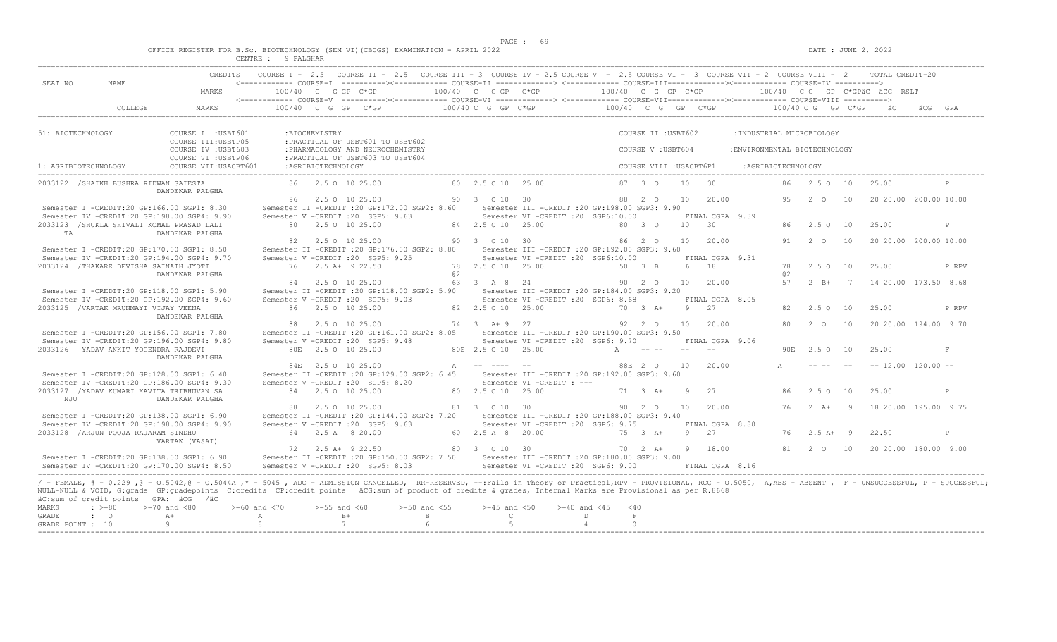$DATA: JUNE 2, 2022$ 

|  |  | OFFICE REGISTER FOR B.Sc. BIOTECHNOLOGY (SEM VI)(CBCGS) EXAMINATION - APRIL 2022 |  |  |  |  |
|--|--|----------------------------------------------------------------------------------|--|--|--|--|
|  |  |                                                                                  |  |  |  |  |

|                                    |                                                                                                                                   |                                                                                                                                                                                                                                                                                                                                                                                                                 | CENTRE : 9 PALGHAR            |                    |                                                                                                                                                                                                                                                                               |     |                                                 |                                                                                          |                           |                           |       |                               |                               |          |                                                                                                                                                                                                                                                                                                                                                                                              |    |                                                 |                       |
|------------------------------------|-----------------------------------------------------------------------------------------------------------------------------------|-----------------------------------------------------------------------------------------------------------------------------------------------------------------------------------------------------------------------------------------------------------------------------------------------------------------------------------------------------------------------------------------------------------------|-------------------------------|--------------------|-------------------------------------------------------------------------------------------------------------------------------------------------------------------------------------------------------------------------------------------------------------------------------|-----|-------------------------------------------------|------------------------------------------------------------------------------------------|---------------------------|---------------------------|-------|-------------------------------|-------------------------------|----------|----------------------------------------------------------------------------------------------------------------------------------------------------------------------------------------------------------------------------------------------------------------------------------------------------------------------------------------------------------------------------------------------|----|-------------------------------------------------|-----------------------|
| SEAT NO                            | NAME                                                                                                                              | CREDITS<br>MARKS                                                                                                                                                                                                                                                                                                                                                                                                | 100/40 C G GP C*GP            |                    | COURSE I - 2.5 COURSE II - 2.5 COURSE III - 3 COURSE IV - 2.5 COURSE V - 2.5 COURSE VI - 3 COURSE VII - 2 COURSE VIII - 2<br><------------ COURSE-I ----------><------------ COURSE-II -------------> <------------ COURSE-III------------><----------- COURSE-IV ----------> |     | 100/40 C G GP C*GP                              |                                                                                          | 100/40 C G GP C*GP        |                           |       |                               |                               |          |                                                                                                                                                                                                                                                                                                                                                                                              |    | TOTAL CREDIT-20<br>100/40 CG GP C*GPäC äCG RSLT |                       |
|                                    | COLLEGE                                                                                                                           | MARKS                                                                                                                                                                                                                                                                                                                                                                                                           |                               |                    | $100/40$ C G GP C*GP                                                                                                                                                                                                                                                          |     | 100/40 C G GP C*GP                              |                                                                                          | $100/40$ C G GP C*GP      |                           |       |                               |                               |          | 100/40 C G GP C*GP                                                                                                                                                                                                                                                                                                                                                                           |    |                                                 |                       |
|                                    |                                                                                                                                   |                                                                                                                                                                                                                                                                                                                                                                                                                 |                               |                    |                                                                                                                                                                                                                                                                               |     |                                                 |                                                                                          |                           |                           |       |                               |                               |          |                                                                                                                                                                                                                                                                                                                                                                                              |    |                                                 |                       |
| 51: BIOTECHNOLOGY                  |                                                                                                                                   | COURSE I : USBT601<br>COURSE III: USBTP05                                                                                                                                                                                                                                                                                                                                                                       |                               | :BIOCHEMISTRY      | : PRACTICAL OF USBT601 TO USBT602                                                                                                                                                                                                                                             |     |                                                 |                                                                                          |                           | COURSE II : USBT602       |       |                               | : INDUSTRIAL MICROBIOLOGY     |          |                                                                                                                                                                                                                                                                                                                                                                                              |    |                                                 |                       |
|                                    |                                                                                                                                   | COURSE IV : USBT603<br>COURSE VI : USBTP06                                                                                                                                                                                                                                                                                                                                                                      |                               |                    | : PHARMACOLOGY AND NEUROCHEMISTRY<br>: PRACTICAL OF USBT603 TO USBT604                                                                                                                                                                                                        |     |                                                 |                                                                                          |                           | COURSE V: USBT604         |       |                               | : ENVIRONMENTAL BIOTECHNOLOGY |          |                                                                                                                                                                                                                                                                                                                                                                                              |    |                                                 |                       |
| 1: AGRIBIOTECHNOLOGY               |                                                                                                                                   | COURSE VII: USACBT601                                                                                                                                                                                                                                                                                                                                                                                           |                               | :AGRIBIOTECHNOLOGY |                                                                                                                                                                                                                                                                               |     |                                                 |                                                                                          |                           | COURSE VIII : USACBT6P1   |       |                               | : AGRIBIOTECHNOLOGY           |          |                                                                                                                                                                                                                                                                                                                                                                                              |    |                                                 |                       |
|                                    | 2033122 / SHAIKH BUSHRA RIDWAN SAIESTA                                                                                            | DANDEKAR PALGHA                                                                                                                                                                                                                                                                                                                                                                                                 |                               |                    | 86 2.5 0 10 25.00                                                                                                                                                                                                                                                             |     | 80 2.5 0 10 25.00                               |                                                                                          |                           | $87 \quad 3 \quad \Omega$ | 10    | 30                            |                               | 86       | 2.50 10                                                                                                                                                                                                                                                                                                                                                                                      |    | 25.00                                           |                       |
|                                    | Semester I -CREDIT:20 GP:166.00 SGP1: 8.30                                                                                        |                                                                                                                                                                                                                                                                                                                                                                                                                 |                               |                    | 96 2.5 0 10 25.00<br>Semester II -CREDIT : 20 GP: 172.00 SGP2: 8.60                                                                                                                                                                                                           |     | 90 3 0 10 30                                    | Semester III - CREDIT : 20 GP: 198.00 SGP3: 9.90                                         |                           | 88 2 0                    | 10    | 20.00                         |                               | 95       | 2 O                                                                                                                                                                                                                                                                                                                                                                                          | 10 |                                                 | 20 20.00 200.00 10.00 |
| TA                                 | Semester IV -CREDIT:20 GP:198.00 SGP4: 9.90<br>2033123 /SHUKLA SHIVALI KOMAL PRASAD LALI                                          | DANDEKAR PALGHA                                                                                                                                                                                                                                                                                                                                                                                                 |                               |                    | Semester V -CREDIT : 20 SGP5: 9.63<br>80 2.5 0 10 25.00                                                                                                                                                                                                                       |     | 84 2.5 0 10 25.00                               | Semester VI -CREDIT :20 SGP6:10.00                                                       |                           | 80 3 0                    | 10 30 | FINAL CGPA 9.39               |                               |          | 86 2.5 0 10                                                                                                                                                                                                                                                                                                                                                                                  |    | 25.00                                           | P                     |
|                                    | Semester I -CREDIT:20 GP:170.00 SGP1: 8.50                                                                                        |                                                                                                                                                                                                                                                                                                                                                                                                                 | 82                            |                    | 2.5 0 10 25.00<br>Semester II -CREDIT : 20 GP: 176.00 SGP2: 8.80                                                                                                                                                                                                              |     | 90 3 0 10 30                                    | Semester III - CREDIT : 20 GP: 192.00 SGP3: 9.60                                         |                           | 86 2 0                    |       | 10 20.00                      |                               | 91       | 2 0                                                                                                                                                                                                                                                                                                                                                                                          | 10 |                                                 | 20 20.00 200.00 10.00 |
|                                    | Semester IV -CREDIT:20 GP:194.00 SGP4: 9.70<br>2033124 /THAKARE DEVISHA SAINATH JYOTI                                             | DANDEKAR PALGHA                                                                                                                                                                                                                                                                                                                                                                                                 |                               |                    | Semester V -CREDIT : 20 SGP5: 9.25<br>76 2.5 A+ 9 22.50                                                                                                                                                                                                                       | @ 2 | 78 2.5 0 10 25.00                               | Semester VI -CREDIT :20 SGP6:10.00                                                       |                           | 50 3 B                    |       | FINAL CGPA 9.31<br>6 18       |                               | 78<br>a2 | 2.5010                                                                                                                                                                                                                                                                                                                                                                                       |    | 25.00                                           | P RPV                 |
|                                    | Semester I -CREDIT:20 GP:118.00 SGP1: 5.90                                                                                        |                                                                                                                                                                                                                                                                                                                                                                                                                 |                               |                    | 84 2.5 0 10 25.00<br>Semester II -CREDIT : 20 GP:118.00 SGP2: 5.90                                                                                                                                                                                                            |     | 63 3 A 8 24                                     | Semester III - CREDIT : 20 GP: 184.00 SGP3: 9.20                                         |                           | 90 2 0                    | 10    | 20.00                         |                               | 57       | $2 B+ 7$                                                                                                                                                                                                                                                                                                                                                                                     |    |                                                 | 14 20.00 173.50 8.68  |
|                                    | Semester IV -CREDIT:20 GP:192.00 SGP4: 9.60<br>2033125 / VARTAK MRUNMAYI VIJAY VEENA                                              |                                                                                                                                                                                                                                                                                                                                                                                                                 |                               |                    | Semester V -CREDIT : 20 SGP5: 9.03<br>86 2.5 0 10 25.00                                                                                                                                                                                                                       |     | 82  2.5  0  10  25.00                           | Semester VI -CREDIT :20 SGP6: 8.68                                                       |                           | 70 3 A+                   |       | FINAL CGPA 8.05<br>9 27       |                               | 82       | $2.5^\circ$ O                                                                                                                                                                                                                                                                                                                                                                                | 10 | 25.00                                           | P RPV                 |
|                                    | Semester I -CREDIT:20 GP:156.00 SGP1: 7.80                                                                                        | DANDEKAR PALGHA                                                                                                                                                                                                                                                                                                                                                                                                 |                               |                    | 88 2.5 0 10 25.00<br>Semester II -CREDIT : 20 GP:161.00 SGP2: 8.05                                                                                                                                                                                                            |     | 74 3 A + 9 27                                   | Semester III - CREDIT : 20 GP: 190.00 SGP3: 9.50                                         |                           | 92 2 0                    | 10    | 20.00                         |                               | 80       | $2\degree$ 0                                                                                                                                                                                                                                                                                                                                                                                 | 10 |                                                 | 20 20 00 194 00 9 70  |
|                                    | Semester IV -CREDIT:20 GP:196.00 SGP4: 9.80<br>2033126 YADAV ANKIT YOGENDRA RAJDEVI                                               |                                                                                                                                                                                                                                                                                                                                                                                                                 |                               |                    | Semester V -CREDIT : 20 SGP5: 9.48<br>80E 2.5 O 10 25.00                                                                                                                                                                                                                      |     | 80E 2.5 O 10 25.00                              | Semester VI -CREDIT :20 SGP6: 9.70                                                       | A                         |                           |       | FINAL CGPA 9.06<br>$\sim$ $-$ |                               |          | 90E 2.5 O 10                                                                                                                                                                                                                                                                                                                                                                                 |    | 25.00                                           | F                     |
|                                    | Semester I -CREDIT:20 GP:128.00 SGP1: 6.40                                                                                        | DANDEKAR PALGHA                                                                                                                                                                                                                                                                                                                                                                                                 |                               |                    | 84E 2.5 O 10 25.00<br>Semester II -CREDIT : 20 GP:129.00 SGP2: 6.45                                                                                                                                                                                                           |     | A -- ---- --                                    | Semester III -CREDIT :20 GP:192.00 SGP3: 9.60                                            |                           | 88E 2 0                   | 10    | 20.00                         |                               |          | $\frac{1}{2} \frac{1}{2} \frac{1}{2} \frac{1}{2} \frac{1}{2} \frac{1}{2} \frac{1}{2} \frac{1}{2} \frac{1}{2} \frac{1}{2} \frac{1}{2} \frac{1}{2} \frac{1}{2} \frac{1}{2} \frac{1}{2} \frac{1}{2} \frac{1}{2} \frac{1}{2} \frac{1}{2} \frac{1}{2} \frac{1}{2} \frac{1}{2} \frac{1}{2} \frac{1}{2} \frac{1}{2} \frac{1}{2} \frac{1}{2} \frac{1}{2} \frac{1}{2} \frac{1}{2} \frac{1}{2} \frac{$ |    |                                                 | $-- 12.00 120.00 --$  |
|                                    | Semester IV -CREDIT:20 GP:186.00 SGP4: 9.30<br>2033127 / YADAV KUMARI KAVITA TRIBHUVAN SA                                         |                                                                                                                                                                                                                                                                                                                                                                                                                 |                               |                    | Semester V -CREDIT : 20 SGP5: 8.20<br>84 2.5 0 10 25.00                                                                                                                                                                                                                       |     | 80 2.5 0 10 25.00                               | Semester VI -CREDIT : ---                                                                |                           | $71 \t 3 \t A+$           | -9    | 2.7                           |                               | 86       | 2.50 10                                                                                                                                                                                                                                                                                                                                                                                      |    | 25.00                                           | P                     |
| NJU                                |                                                                                                                                   | DANDEKAR PALGHA                                                                                                                                                                                                                                                                                                                                                                                                 |                               |                    | 2.5 0 10 25.00                                                                                                                                                                                                                                                                |     | 81 3 0 10 30                                    |                                                                                          |                           | 90 2 0                    | 10    | 20.00                         |                               |          | 76 2 A+ 9                                                                                                                                                                                                                                                                                                                                                                                    |    |                                                 | 18 20.00 195.00 9.75  |
|                                    | Semester I -CREDIT:20 GP:138.00 SGP1: 6.90<br>Semester IV -CREDIT:20 GP:198.00 SGP4: 9.90<br>2033128 / ARJUN POOJA RAJARAM SINDHU |                                                                                                                                                                                                                                                                                                                                                                                                                 |                               |                    | Semester II -CREDIT : 20 GP: 144.00 SGP2: 7.20<br>Semester V -CREDIT : 20 SGP5: 9.63<br>64 2.5 A 8 20.00                                                                                                                                                                      |     | 60 2.5 A 8 20.00                                | Semester III - CREDIT : 20 GP: 188.00 SGP3: 9.40<br>Semester VI - CREDIT : 20 SGP6: 9.75 |                           | 75 3 A+                   | 9 27  | FINAL CGPA 8.80               |                               | 76       | $2.5 A+ 9$                                                                                                                                                                                                                                                                                                                                                                                   |    | 22.50                                           | P                     |
|                                    | Semester I -CREDIT:20 GP:138.00 SGP1: 6.90                                                                                        | VARTAK (VASAI)                                                                                                                                                                                                                                                                                                                                                                                                  |                               |                    | 72 2.5 A+ 9 22.50<br>Semester II -CREDIT : 20 GP:150.00 SGP2: 7.50                                                                                                                                                                                                            |     | 80 3 0 10 30                                    | Semester III - CREDIT : 20 GP: 180.00 SGP3: 9.00                                         |                           | $70 \t 2 \t A+$           |       | 9 18.00                       |                               |          | 81 2 0 10                                                                                                                                                                                                                                                                                                                                                                                    |    |                                                 | 20 20 00 180 00 9 00  |
|                                    | Semester IV -CREDIT:20 GP:170.00 SGP4: 8.50                                                                                       |                                                                                                                                                                                                                                                                                                                                                                                                                 |                               |                    | Semester V - CREDIT : 20 SGP5: 8.03                                                                                                                                                                                                                                           |     |                                                 | Semester VI -CREDIT : 20 SGP6: 9.00                                                      |                           |                           |       | FINAL CGPA 8.16               |                               |          |                                                                                                                                                                                                                                                                                                                                                                                              |    |                                                 |                       |
| MARKS<br>GRADE<br>GRADE POINT : 10 | äC:sum of credit points GPA: äCG /äC<br>$\cdot$ >=80<br>$\cdot$ 0                                                                 | / - FEMALE, # - 0.229,0 - 0.5042,0 - 0.5044A,* - 5045, ADC - ADMISSION CANCELLED, RR-RESERVED, --:Fails in Theory or Practical,RPV - PROVISIONAL, RCC - 0.5050, A,ABS - ABSENT, F - UNSUCCESSFUL, P - SUCCESSFUL;<br>NULL-NULL & VOID, G:grade GP:gradepoints C:credits CP:credit points äCG:sum of product of credits & grades, Internal Marks are Provisional as per R.8668<br>$>=70$ and $<80$<br>$A +$<br>9 | $>= 60$ and $< 70$<br>A<br>-8 | $>= 55$ and $< 60$ | $>=50$ and $<55$<br>$B+$<br>$\mathbf{B}$<br>$\overline{7}$<br>6                                                                                                                                                                                                               |     | $>=45$ and $<50$<br>$\mathbb{C}$<br>$5^{\circ}$ | $>= 40$ and $< 45$<br>D<br>$\overline{4}$                                                | < 40<br>$\,$ F<br>$\circ$ |                           |       |                               |                               |          |                                                                                                                                                                                                                                                                                                                                                                                              |    |                                                 |                       |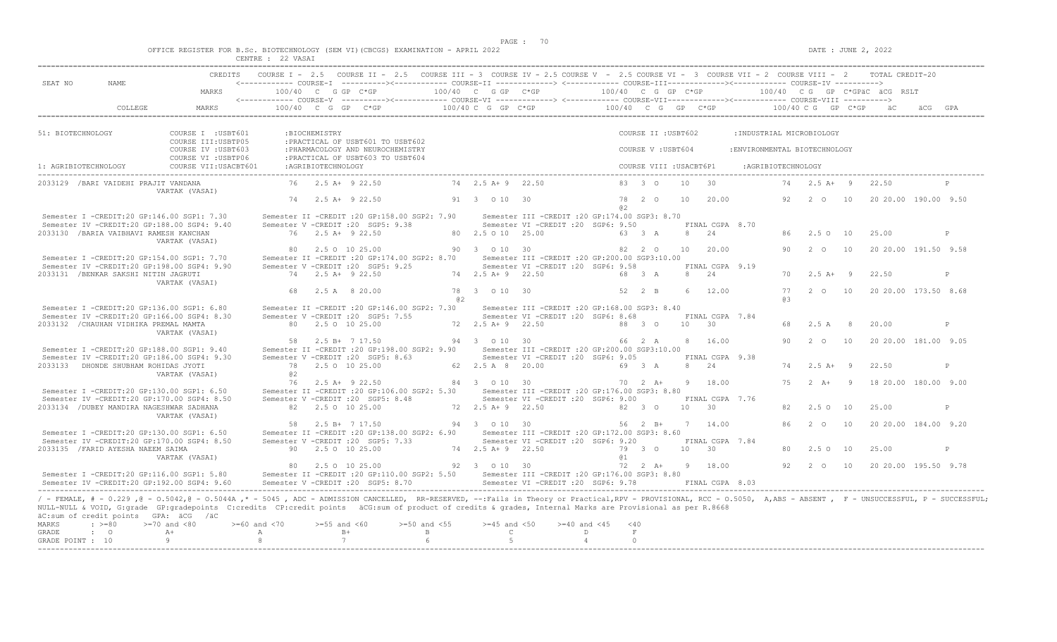$DATE: JUNE 2, 2022$ 

|  |                                      | OFFICE REGISTER FOR B.Sc. BIOTECHNOLOGY (SEM VI)(CBCGS) EXAMINATION - APRIL 2022 |  |  |  |  |
|--|--------------------------------------|----------------------------------------------------------------------------------|--|--|--|--|
|  | after them in the press series, were | $\wedge$ $\wedge$ $\cdots$ $\wedge$ $\wedge$ $\cdots$                            |  |  |  |  |

| SEAT NO<br>NAME                                                                                                                                                                                                                                                                                                                                                                                                          | MARKS                                        | $100/40$ C G GP C*GP |                     |                                                                                                                                                         |    | 100/40 C G GP C*GP |                                                                                        | 100/40 C G GP C*GP   |                         |                 |                 |                              |          |               |     | 100/40 CG GP C*GPäC äCG RSLT |   |
|--------------------------------------------------------------------------------------------------------------------------------------------------------------------------------------------------------------------------------------------------------------------------------------------------------------------------------------------------------------------------------------------------------------------------|----------------------------------------------|----------------------|---------------------|---------------------------------------------------------------------------------------------------------------------------------------------------------|----|--------------------|----------------------------------------------------------------------------------------|----------------------|-------------------------|-----------------|-----------------|------------------------------|----------|---------------|-----|------------------------------|---|
|                                                                                                                                                                                                                                                                                                                                                                                                                          |                                              |                      |                     | <------------ COURSE-V ----------><----------- COURSE-VI -------------> <------------ COURSE-VII---------------- COURSE-VIII ---------->                |    |                    |                                                                                        |                      |                         |                 |                 |                              |          |               |     |                              |   |
| COLLEGE                                                                                                                                                                                                                                                                                                                                                                                                                  | MARKS                                        |                      |                     | $100/40$ C G GP C*GP                                                                                                                                    |    | 100/40 C G GP C*GP |                                                                                        | $100/40$ C G GP C*GP |                         |                 |                 |                              |          |               |     | 100/40 C G GP C*GP äC        |   |
| 51: BIOTECHNOLOGY                                                                                                                                                                                                                                                                                                                                                                                                        | COURSE I : USBT601                           |                      | :BIOCHEMISTRY       |                                                                                                                                                         |    |                    |                                                                                        |                      | COURSE II : USBT602     |                 |                 | : INDUSTRIAL MICROBIOLOGY    |          |               |     |                              |   |
|                                                                                                                                                                                                                                                                                                                                                                                                                          | COURSE III: USBTP05<br>COURSE IV : USBT603   |                      |                     | : PRACTICAL OF USBT601 TO USBT602<br>: PHARMACOLOGY AND NEUROCHEMISTRY                                                                                  |    |                    |                                                                                        |                      | COURSE V: USBT604       |                 |                 | :ENVIRONMENTAL BIOTECHNOLOGY |          |               |     |                              |   |
| 1: AGRIBIOTECHNOLOGY                                                                                                                                                                                                                                                                                                                                                                                                     | COURSE VI : USBTP06<br>COURSE VII: USACBT601 |                      | : AGRIBIOTECHNOLOGY | : PRACTICAL OF USBT603 TO USBT604                                                                                                                       |    |                    |                                                                                        |                      | COURSE VIII : USACBT6P1 |                 |                 | :AGRIBIOTECHNOLOGY           |          |               |     |                              |   |
| 2033129 / BARI VAIDEHI PRAJIT VANDANA                                                                                                                                                                                                                                                                                                                                                                                    | VARTAK (VASAI)                               |                      |                     | 76 2.5 A+ 9 22.50                                                                                                                                       |    | 74 2.5 A+ 9 22.50  |                                                                                        |                      | 83 3 0                  | 10              | $\overline{30}$ |                              |          | 74  2.5 A + 9 |     | 22.50                        |   |
|                                                                                                                                                                                                                                                                                                                                                                                                                          |                                              |                      |                     | 74 2.5 A + 9 22.50                                                                                                                                      |    | 91 3 0 10 30       |                                                                                        | a2                   | 78 2 0                  | 10              | 20.00           |                              | 92       | 2 0 10        |     | 20 20.00 190.00 9.50         |   |
| Semester I -CREDIT:20 GP:146.00 SGP1: 7.30<br>Semester IV -CREDIT:20 GP:188.00 SGP4: 9.40                                                                                                                                                                                                                                                                                                                                |                                              |                      |                     | Semester II -CREDIT : 20 GP: 158.00 SGP2: 7.90<br>Semester V -CREDIT : 20 SGP5: 9.38                                                                    |    |                    | Semester III - CREDIT : 20 GP: 174.00 SGP3: 8.70<br>Semester VI -CREDIT :20 SGP6: 9.50 |                      |                         |                 | FINAL CGPA 8.70 |                              |          |               |     |                              |   |
| 2033130 / BARIA VAIBHAVI RAMESH KANCHAN                                                                                                                                                                                                                                                                                                                                                                                  | VARTAK (VASAI)                               |                      |                     | $76$ $2.5$ $\lambda + 9$ $22.50$                                                                                                                        |    | 80 2.5 0 10 25.00  |                                                                                        |                      | 63 3 A                  | 8               | 2.4             |                              | R6       | 2.5 0 10      |     | 25.00                        | P |
| Semester I -CREDIT:20 GP:154.00 SGP1: 7.70                                                                                                                                                                                                                                                                                                                                                                               |                                              | 80                   |                     | 2.5 0 10 25.00<br>Semester II -CREDIT : 20 GP: 174.00 SGP2: 8.70                                                                                        |    | 90 3 0 10 30       | Semester III -CREDIT :20 GP:200.00 SGP3:10.00                                          |                      | 82 2 0                  | 10              | 20.00           |                              | 90       | 2 0           | 10  | 20 20.00 191.50 9.58         |   |
| Semester IV -CREDIT:20 GP:198.00 SGP4: 9.90<br>2033131 / BENKAR SAKSHI NITIN JAGRUTI                                                                                                                                                                                                                                                                                                                                     | VARTAK (VASAI)                               |                      |                     | Semester V -CREDIT : 20 SGP5: 9.25<br>74 2.5 A+ 9 22.50                                                                                                 |    | 74 2.5 A + 9 22.50 | Semester VI - CREDIT : 20 SGP6: 9.58                                                   |                      | 68 3 A                  | 8 24            | FINAL CGPA 9.19 |                              | 70       | $2.5A+9$      |     | 22.50                        | P |
|                                                                                                                                                                                                                                                                                                                                                                                                                          |                                              | 68                   |                     | 2.5 A 8 20.00                                                                                                                                           | a2 | 78 3 0 10 30       |                                                                                        |                      | 52 2 B                  | 6               | 12.00           |                              | 77<br>63 |               |     | 2 0 10 20 20.00 173.50 8.68  |   |
| Semester I -CREDIT:20 GP:136.00 SGP1: 6.80<br>Semester IV -CREDIT:20 GP:166.00 SGP4: 8.30                                                                                                                                                                                                                                                                                                                                |                                              |                      |                     | Semester II -CREDIT : 20 GP: 146.00 SGP2: 7.30<br>Semester V -CREDIT : 20 SGP5: 7.55                                                                    |    |                    | Semester III -CREDIT : 20 GP:168.00 SGP3: 8.40<br>Semester VI -CREDIT : 20 SGP6: 8.68  |                      |                         |                 | FINAL CGPA 7.84 |                              |          |               |     |                              |   |
| 2033132 / CHAUHAN VIDHIKA PREMAL MAMTA                                                                                                                                                                                                                                                                                                                                                                                   | VARTAK (VASAI)                               |                      |                     | 80 2.5 0 10 25.00                                                                                                                                       |    | 72 2.5 A+ 9 22.50  |                                                                                        |                      | 88 3 0                  | 10 <sup>1</sup> | $\overline{30}$ |                              |          | 2.5 A         | - 8 | 20.00                        | P |
| Semester I -CREDIT:20 GP:188.00 SGP1: 9.40                                                                                                                                                                                                                                                                                                                                                                               |                                              | 58                   |                     | 2.5 B+ 7 17.50<br>Semester II -CREDIT : 20 GP: 198.00 SGP2: 9.90                                                                                        |    | 94 3 0 10 30       | Semester III -CREDIT : 20 GP: 200.00 SGP3: 10.00                                       |                      | 66 2 A                  |                 | 8 16.00         |                              | 90       | $2^{\circ}$ O | 10  | 20 20.00 181.00 9.05         |   |
| Semester IV -CREDIT:20 GP:186.00 SGP4: 9.30                                                                                                                                                                                                                                                                                                                                                                              |                                              |                      |                     | Semester V -CREDIT : 20 SGP5: 8.63                                                                                                                      |    |                    | Semester VI -CREDIT : 20 SGP6: 9.05                                                    |                      |                         |                 | FINAL CGPA 9.38 |                              |          |               |     |                              |   |
| 2033133 DHONDE SHUBHAM ROHIDAS JYOTI                                                                                                                                                                                                                                                                                                                                                                                     | VARTAK (VASAI)                               | 78<br>0.2            |                     | 2.5 0 10 25.00                                                                                                                                          |    | 62 2.5 A 8 20.00   |                                                                                        |                      | 69 3 A                  | 8 24            |                 |                              | 74       | $2.5A+9$      |     | 22.50                        | P |
| Semester I -CREDIT:20 GP:130.00 SGP1: 6.50                                                                                                                                                                                                                                                                                                                                                                               |                                              | 76                   |                     | 2.5 A+ 9 22.50<br>Semester II -CREDIT : 20 GP: 106.00 SGP2: 5.30                                                                                        |    | 84 3 0 10 30       | Semester III - CREDIT : 20 GP: 176.00 SGP3: 8.80                                       |                      | 70 2 A+                 |                 | 9 18.00         |                              | 75       |               |     | 2 A+ 9 18 20.00 180.00 9.00  |   |
| Semester IV -CREDIT:20 GP:170.00 SGP4: 8.50<br>2033134 / DUBEY MANDIRA NAGESHWAR SADHANA                                                                                                                                                                                                                                                                                                                                 |                                              |                      |                     | Semester V -CREDIT : 20 SGP5: 8.48<br>82  2.5  0  10  25.00                                                                                             |    | 72 2.5 A + 9 22.50 | Semester VI - CREDIT : 20 SGP6: 9.00                                                   |                      | 82 3 0                  | $10 \t 30$      | FINAL CGPA 7.76 |                              |          | $2.5^\circ$   | 10  | 25.00                        | P |
| Semester I -CREDIT:20 GP:130.00 SGP1: 6.50                                                                                                                                                                                                                                                                                                                                                                               | VARTAK (VASAI)                               |                      |                     | 58 2.5 B+ 7 17.50<br>Semester II -CREDIT : 20 GP:138.00 SGP2: 6.90                                                                                      |    | 94 3 0 10 30       | Semester III - CREDIT : 20 GP: 172.00 SGP3: 8.60                                       |                      | 56 2 B+                 |                 | 7 14.00         |                              | 86       | $2^{\circ}$ 0 | 10  | 20 20 00 184 00 9.20         |   |
| Semester IV -CREDIT:20 GP:170.00 SGP4: 8.50                                                                                                                                                                                                                                                                                                                                                                              |                                              |                      |                     | Semester V -CREDIT : 20 SGP5: 7.33                                                                                                                      |    |                    | Semester VI -CREDIT : 20 SGP6: 9.20                                                    |                      |                         |                 | FINAL CGPA 7.84 |                              |          |               |     |                              |   |
| 2033135 / FARID AYESHA NAEEM SAIMA                                                                                                                                                                                                                                                                                                                                                                                       | VARTAK (VASAI)                               |                      |                     | 90 2.5 0 10 25.00                                                                                                                                       |    | 74 2.5 A + 9 22.50 |                                                                                        | 01                   | 79 3 0                  | 10              | 30              |                              | 80       | 2.5 0 10      |     | 25.00                        | P |
| Semester I -CREDIT:20 GP:116.00 SGP1: 5.80<br>Semester IV -CREDIT:20 GP:192.00 SGP4: 9.60                                                                                                                                                                                                                                                                                                                                |                                              |                      |                     | 80 2.5 0 10 25.00<br>Semester II -CREDIT : 20 GP:110.00 SGP2: 5.50 Semester III -CREDIT : 20 GP:176.00 SGP3: 8.80<br>Semester V -CREDIT : 20 SGP5: 8.70 |    | 92 3 0 10 30       | Semester VI - CREDIT : 20 SGP6: 9.78                                                   |                      | 72 2 A+ 9 18.00         |                 | FINAL CGPA 8.03 |                              | 92       | $2\degree$ 0  |     | 10 20 20 00 195.50 9.78      |   |
| / - FEMALE, # - 0.229, @ - 0.5042, @ - 0.5044A, * - 5045, ADC - ADMISSION CANCELLED, RR-RESERVED, --:Fails in Theory or Practical,RPV - PROVISIONAL, RCC - 0.5050, A,ABS - ABSENT, F - UNSUCCESSFUL, P - SUCCESSFUL;<br>NULL-NULL & VOID, G:grade GP:gradepoints C:credits CP:credit points äCG:sum of product of credits & grades, Internal Marks are Provisional as per R.8668<br>äC:sum of credit points GPA: äCG /äC |                                              |                      |                     |                                                                                                                                                         |    |                    |                                                                                        |                      |                         |                 |                 |                              |          |               |     |                              |   |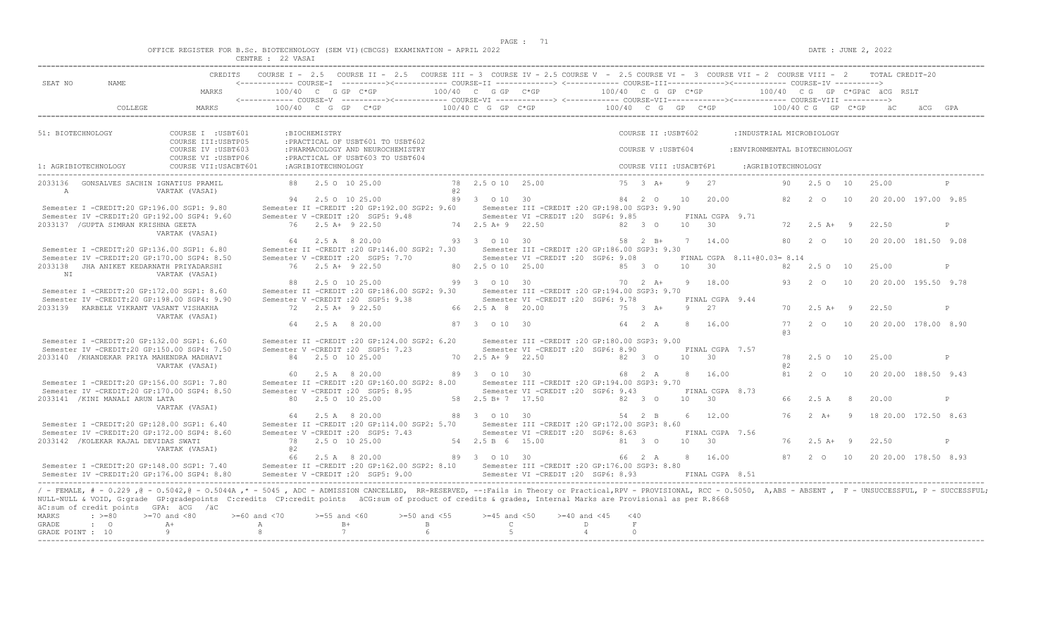| OFFICE REGISTER FOR B.Sc. BIOTECHNOLOGY (SEM VI)(CBCGS) EXAMINATION - APRIL 2022 |               |          |  |  |  |
|----------------------------------------------------------------------------------|---------------|----------|--|--|--|
|                                                                                  | <b>CENTRE</b> | 22 VASAT |  |  |  |

| SEAT NO<br>NAME.                                                                                                                                                                                                                            | <------------ COURSE-T ----------><------------ COURSE-TT --------------> <------------ COURSE-TTT-----------><------------- COURSE-TV ---------->    |                                                                                                                                                                                                                                                                                                                                    |                                                     | CREDITS COURSE I - 2.5 COURSE II - 2.5 COURSE III - 3 COURSE IV - 2.5 COURSE V - 2.5 COURSE VI - 3 COURSE VII - 2 COURSE VIII - 2 TOTAL CREDIT-20                                                                          |
|---------------------------------------------------------------------------------------------------------------------------------------------------------------------------------------------------------------------------------------------|-------------------------------------------------------------------------------------------------------------------------------------------------------|------------------------------------------------------------------------------------------------------------------------------------------------------------------------------------------------------------------------------------------------------------------------------------------------------------------------------------|-----------------------------------------------------|----------------------------------------------------------------------------------------------------------------------------------------------------------------------------------------------------------------------------|
| MARKS                                                                                                                                                                                                                                       |                                                                                                                                                       |                                                                                                                                                                                                                                                                                                                                    |                                                     |                                                                                                                                                                                                                            |
|                                                                                                                                                                                                                                             |                                                                                                                                                       |                                                                                                                                                                                                                                                                                                                                    |                                                     |                                                                                                                                                                                                                            |
| 51: BIOTECHNOLOGY<br>COURSE I : USBT601                                                                                                                                                                                                     | : BIOCHEMISTRY                                                                                                                                        |                                                                                                                                                                                                                                                                                                                                    | COURSE II : USBT602                                 | : INDUSTRIAL MICROBIOLOGY                                                                                                                                                                                                  |
| COURSE III:USBTP05<br>COURSE IV : USBT603                                                                                                                                                                                                   | : PRACTICAL OF USBT601 TO USBT602<br>: PHARMACOLOGY AND NEUROCHEMISTRY                                                                                |                                                                                                                                                                                                                                                                                                                                    | COURSE V: USBT604                                   | : ENVIRONMENTAL BIOTECHNOLOGY                                                                                                                                                                                              |
| COURSE VI : USBTP06<br>1: AGRIBIOTECHNOLOGY                                                                                                                                                                                                 | : PRACTICAL OF USBT603 TO USBT604                                                                                                                     |                                                                                                                                                                                                                                                                                                                                    |                                                     |                                                                                                                                                                                                                            |
| 2033136 GONSALVES SACHIN IGNATIUS PRAMIL<br>$\mathbb{A}$<br>VARTAK (VASAI)                                                                                                                                                                  | 88 2.5 0 10 25.00                                                                                                                                     | a2                                                                                                                                                                                                                                                                                                                                 | 78  2.5  0  10  25.00  75  3  A+  9  27             | 90  2.5  0  10  25.00                                                                                                                                                                                                      |
| Semester I -CREDIT:20 GP:196.00 SGP1: 9.80                                                                                                                                                                                                  | Semester II -CREDIT :20 GP:192.00 SGP2: 9.60 Semester III -CREDIT :20 GP:198.00 SGP3: 9.90                                                            |                                                                                                                                                                                                                                                                                                                                    |                                                     |                                                                                                                                                                                                                            |
| Semester IV -CREDIT:20 GP:192.00 SGP4: 9.60                                                                                                                                                                                                 | Semester V -CREDIT :20 SGP5: 9.48 Semester VI -CREDIT :20 SGP6: 9.85 FINAL CGPA 9.71                                                                  |                                                                                                                                                                                                                                                                                                                                    |                                                     |                                                                                                                                                                                                                            |
| 2033137 / GUPTA SIMRAN KRISHNA GEETA<br>VARTAK (VASAI)                                                                                                                                                                                      |                                                                                                                                                       |                                                                                                                                                                                                                                                                                                                                    |                                                     | 22.50<br>P                                                                                                                                                                                                                 |
|                                                                                                                                                                                                                                             |                                                                                                                                                       |                                                                                                                                                                                                                                                                                                                                    |                                                     | 64  2.5   8   20.00   93   3   0   10   30   58   2   B+   7   14.00   80   2   0   10   20   20.00  181.50   9.08                                                                                                         |
| Semester I -CREDIT:20 GP:136.00 SGP1: 6.80                                                                                                                                                                                                  | Semester II -CREDIT :20 GP:146.00 SGP2: 7.30 Semester III -CREDIT :20 GP:186.00 SGP3: 9.30                                                            |                                                                                                                                                                                                                                                                                                                                    |                                                     |                                                                                                                                                                                                                            |
| Semester IV -CREDIT:20 GP:170.00 SGP4: 8.50                                                                                                                                                                                                 | Semester V -CREDIT :20 SGP5: 7.70 Semester VI -CREDIT :20 SGP6: 9.08 FINAL CGPA 8.11+00.03= 8.14                                                      |                                                                                                                                                                                                                                                                                                                                    |                                                     |                                                                                                                                                                                                                            |
| 2033138 JHA ANIKET KEDARNATH PRIYADARSHI<br>NI VARTAK (VASAI)                                                                                                                                                                               |                                                                                                                                                       |                                                                                                                                                                                                                                                                                                                                    |                                                     | 25.00<br>P                                                                                                                                                                                                                 |
| Semester I -CREDIT:20 GP:172.00 SGP1: 8.60                                                                                                                                                                                                  | Semester II - CREDIT : 20 GP:186.00 SGP2: 9.30 Semester III - CREDIT : 20 GP:194.00 SGP3: 9.70                                                        |                                                                                                                                                                                                                                                                                                                                    |                                                     | 88  2.5  0  10  25.00   99   3   0   10   30   70   2   A+9   18.00   93   2   0   10   20   20.00   195.50   9.78                                                                                                         |
| Semester IV -CREDIT:20 GP:198.00 SGP4: 9.90                                                                                                                                                                                                 | Semester V - CREDIT : 20 SGP5: 9.38                                                                                                                   |                                                                                                                                                                                                                                                                                                                                    | Semester VI -CREDIT : 20 SGP6: 9.78 FINAL CGPA 9.44 |                                                                                                                                                                                                                            |
| 2033139 KARBELE VIKRANT VASANT VISHAKHA<br>VARTAK (VASAI)                                                                                                                                                                                   | 72 2.5 A+ 9 22.50                                                                                                                                     |                                                                                                                                                                                                                                                                                                                                    | 66 2.5 A 8 20.00 75 3 A+ 9 27                       | $70 \t 2.5 \t A+ 9$<br>22.50<br>$\mathbf{P}$                                                                                                                                                                               |
|                                                                                                                                                                                                                                             | 64 2.5 A 8 20.00                                                                                                                                      | 87 3 0 10 30                                                                                                                                                                                                                                                                                                                       |                                                     | 64   2   A   8   16.00   77   2   0   10   20   20.00   178.00   8.90<br>R B                                                                                                                                               |
| Semester I -CREDIT:20 GP:132.00 SGP1: 6.60                                                                                                                                                                                                  | Semester II -CREDIT : 20 GP:124.00 SGP2: 6.20 Semester III -CREDIT : 20 GP:180.00 SGP3: 9.00                                                          |                                                                                                                                                                                                                                                                                                                                    |                                                     |                                                                                                                                                                                                                            |
| Semester IV -CREDIT:20 GP:150.00 SGP4: 7.50<br>2033140 /KHANDEKAR PRIYA MAHENDRA MADHAVI                                                                                                                                                    | Semester V - CREDIT : 20 SGP5: 7.23 Semester VI - CREDIT : 20 SGP6: 8.90 FINAL CGPA 7.57<br>84 2.5 0 10 25.00                                         | 70  2.5 A + 9  22.50  82  3  0  10  30                                                                                                                                                                                                                                                                                             |                                                     | 25.00<br>78 2.50 10<br>P                                                                                                                                                                                                   |
| VARTAK (VASAI)                                                                                                                                                                                                                              |                                                                                                                                                       |                                                                                                                                                                                                                                                                                                                                    | 8 16.00                                             | a2<br>81 2 0 10 20 20 00 188.50 9.43                                                                                                                                                                                       |
| Semester I -CREDIT:20 GP:156.00 SGP1: 7.80                                                                                                                                                                                                  | Semester II -CREDIT :20 GP:160.00 SGP2: 8.00 Semester III -CREDIT :20 GP:194.00 SGP3: 9.70                                                            |                                                                                                                                                                                                                                                                                                                                    |                                                     |                                                                                                                                                                                                                            |
| Semester IV -CREDIT:20 GP:170.00 SGP4: 8.50                                                                                                                                                                                                 | Semester V - CREDIT : 20 SGP5: 8.95 Semester VI - CREDIT : 20 SGP6: 9.43 FINAL CGPA 8.73                                                              |                                                                                                                                                                                                                                                                                                                                    |                                                     |                                                                                                                                                                                                                            |
| 2033141 / KINI MANALI ARUN LATA                                                                                                                                                                                                             | 80 2.5 0 10 25.00                                                                                                                                     | $58$ $2.5 B+7$ 17.50 $82$ 3 0 10 30                                                                                                                                                                                                                                                                                                |                                                     | 66 2.5 A 8<br>20.00<br>P                                                                                                                                                                                                   |
| VARTAK (VASAI)                                                                                                                                                                                                                              |                                                                                                                                                       |                                                                                                                                                                                                                                                                                                                                    |                                                     |                                                                                                                                                                                                                            |
|                                                                                                                                                                                                                                             |                                                                                                                                                       | 64  2.5  A   8  20.00   88  3  0  10  30   54  2  B                                                                                                                                                                                                                                                                                | 6 12.00                                             | 76 2 A+ 9 18 20 00 172 50 8 63                                                                                                                                                                                             |
| Semester I -CREDIT:20 GP:128.00 SGP1: 6.40                                                                                                                                                                                                  | Semester II -CREDIT :20 GP:114.00 SGP2: 5.70 Semester III -CREDIT :20 GP:172.00 SGP3: 8.60                                                            |                                                                                                                                                                                                                                                                                                                                    |                                                     |                                                                                                                                                                                                                            |
| Semester IV -CREDIT:20 GP:172.00 SGP4: 8.60<br>2033142 / KOLEKAR KAJAL DEVIDAS SWATI                                                                                                                                                        | Semester V - CREDIT : 20 SGP5: 7.43 Semester VI - CREDIT : 20 SGP6: 8.63<br>$\frac{32.50 \times 10}{78}$ 2.5 0 10 25.00 64 2.5 B 6 15.00 61 3 0 10 30 |                                                                                                                                                                                                                                                                                                                                    | FINAL CGPA 7.56                                     | 76  2.5 A + 9  22.50<br>P                                                                                                                                                                                                  |
| VARTAK (VASAI)                                                                                                                                                                                                                              | a <sub>2</sub>                                                                                                                                        |                                                                                                                                                                                                                                                                                                                                    |                                                     |                                                                                                                                                                                                                            |
|                                                                                                                                                                                                                                             |                                                                                                                                                       |                                                                                                                                                                                                                                                                                                                                    |                                                     |                                                                                                                                                                                                                            |
| Semester I -CREDIT:20 GP:148.00 SGP1: 7.40 Semester II -CREDIT:20 GP:162.00 SGP2: 8.10 Semester III -CREDIT:20 GP:176.00 SGP3: 8.80                                                                                                         |                                                                                                                                                       |                                                                                                                                                                                                                                                                                                                                    |                                                     |                                                                                                                                                                                                                            |
|                                                                                                                                                                                                                                             |                                                                                                                                                       |                                                                                                                                                                                                                                                                                                                                    |                                                     | Semester IV -CREDIT:20 GP:176.00 SGP4: 8.80 Semester V -CREDIT :20 SGP5: 9.00 Semester VI -CREDIT :20 SGP6: 8.93 FINAL CGPA 8.51                                                                                           |
| NULL-NULL & VOID, G:grade GP:gradepoints C:credits CP:credit points äCG:sum of product of credits & grades, Internal Marks are Provisional as per R.8668<br>äC:sum of credit points GPA: äCG /äC<br>$: z = 80$<br>$>=70$ and $<80$<br>MARKS | $>=60$ and <70 $>=55$ and <60 $>=50$ and <55 $>=45$ and <50 $>=40$ and <45 <40                                                                        |                                                                                                                                                                                                                                                                                                                                    |                                                     | / - FEMALE, # - 0.229 , @ - 0.5042, @ - 0.5044A ,* - 5045 , ADC - ADMISSION CANCELLED, RR-RESERVED, --: Fails in Theory or Practical, RPV - PROVISIONAL, RCC - 0.5050, A, ABS - ABSENT , F - UNSUCCESSFUL, P - SUCCESSFUL, |
| $\cdot$ 0<br>$A+$<br>GRADE                                                                                                                                                                                                                  |                                                                                                                                                       | $\overline{C}$ and $\overline{D}$ and $\overline{D}$ and $\overline{D}$ and $\overline{D}$ and $\overline{D}$ and $\overline{D}$ and $\overline{D}$ and $\overline{D}$ and $\overline{D}$ and $\overline{D}$ and $\overline{D}$ and $\overline{D}$ and $\overline{D}$ and $\overline{D}$ and $\overline{D}$ and $\overline{D}$ and | F                                                   |                                                                                                                                                                                                                            |
| $\overline{9}$<br>GRADE POINT : 10                                                                                                                                                                                                          | 7<br>6 <sup>6</sup><br>$8 - 8$                                                                                                                        | $5-5$                                                                                                                                                                                                                                                                                                                              | $\sim$ 4<br>$\cap$                                  |                                                                                                                                                                                                                            |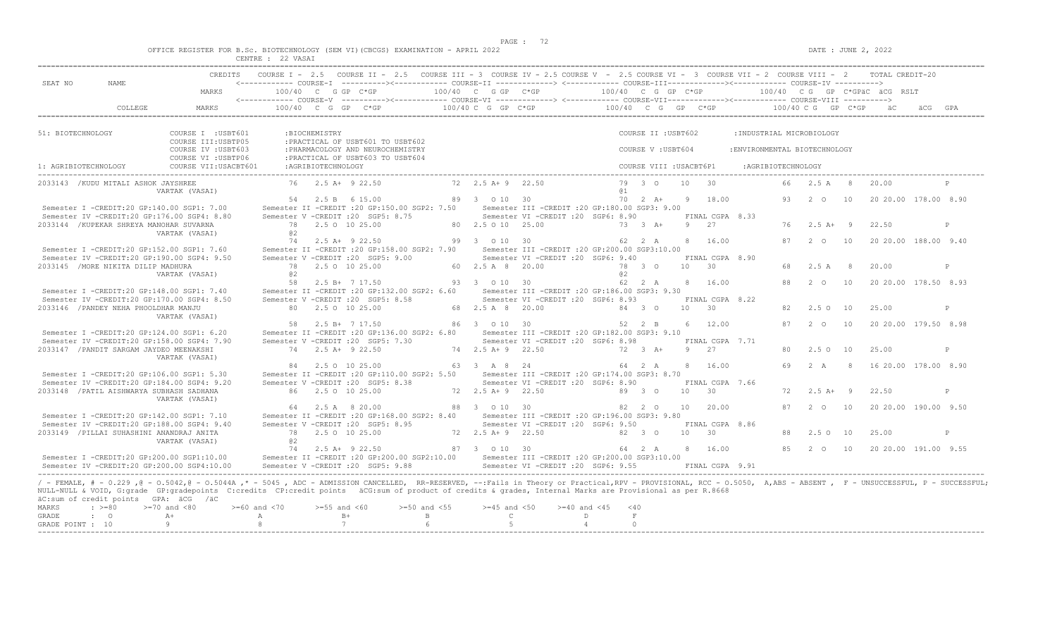|  |  |  |  |  | OFFICE REGISTER FOR B.Sc. BIOTECHNOLOGY (SEM VI)(CBCGS) EXAMINATION - APRIL 2022 |  |  |
|--|--|--|--|--|----------------------------------------------------------------------------------|--|--|
|  |  |  |  |  |                                                                                  |  |  |

|                      |                                                                  |                                                                                                                                                                                                                                                                                                                                                                                                               | CENTRE : 22 VASAI                 |                     |                                                                                                                                                                                                                                                                                                                           |                                    |                                        |                                                                                          |                      |                                          |                      |                            |                                                            |          |                         |                      |                                 |     |              |
|----------------------|------------------------------------------------------------------|---------------------------------------------------------------------------------------------------------------------------------------------------------------------------------------------------------------------------------------------------------------------------------------------------------------------------------------------------------------------------------------------------------------|-----------------------------------|---------------------|---------------------------------------------------------------------------------------------------------------------------------------------------------------------------------------------------------------------------------------------------------------------------------------------------------------------------|------------------------------------|----------------------------------------|------------------------------------------------------------------------------------------|----------------------|------------------------------------------|----------------------|----------------------------|------------------------------------------------------------|----------|-------------------------|----------------------|---------------------------------|-----|--------------|
| SEAT NO              | NAME                                                             | <b>CREDITS</b>                                                                                                                                                                                                                                                                                                                                                                                                |                                   |                     | COURSE I - 2.5 COURSE II - 2.5 COURSE III - 3 COURSE IV - 2.5 COURSE V - 2.5 COURSE VII - 3 COURSE VIII - 2 COURSE VIII - 2 TOTAL CREDIT-20<br><------------ COURSE-I ----------><----------- COURSE-II --------------> <------------ COURSE-III-------------><------------ COURSE-IV ----------><br>$100/40$ C G GP C*GP |                                    | $100/40$ C G GP C*GP                   |                                                                                          |                      |                                          |                      |                            |                                                            |          |                         |                      | $100/40$ C G GP C*GPAC ACG RSLT |     |              |
|                      |                                                                  | MARKS                                                                                                                                                                                                                                                                                                                                                                                                         |                                   |                     | <------------ COURSE-V ----------><----------- COURSE-VI -------------> <------------ COURSE-VII--------------- COURSE-VIII ---------->                                                                                                                                                                                   |                                    |                                        |                                                                                          | 100/40 C G GP C*GP   |                                          |                      |                            |                                                            |          |                         |                      |                                 |     |              |
|                      | COLLEGE                                                          | MARKS                                                                                                                                                                                                                                                                                                                                                                                                         |                                   |                     | $100/40$ C G GP C*GP                                                                                                                                                                                                                                                                                                      |                                    | 100/40 C G GP C*GP                     |                                                                                          | $100/40$ C G GP C*GP |                                          |                      |                            |                                                            |          | $100/40 C G$ GP $C*GP$  |                      | — ä∩                            | äCG | GPA          |
| 51: BIOTECHNOLOGY    |                                                                  | COURSE I : USBT601<br>COURSE III: USBTP05<br>COURSE IV : USBT603                                                                                                                                                                                                                                                                                                                                              |                                   | :BIOCHEMISTRY       | : PRACTICAL OF USBT601 TO USBT602<br>: PHARMACOLOGY AND NEUROCHEMISTRY                                                                                                                                                                                                                                                    |                                    |                                        |                                                                                          |                      | COURSE II : USBT602<br>COURSE V: USBT604 |                      |                            | : INDUSTRIAL MICROBIOLOGY<br>: ENVIRONMENTAL BIOTECHNOLOGY |          |                         |                      |                                 |     |              |
| 1: AGRIBIOTECHNOLOGY |                                                                  | COURSE VI : USBTP06<br>COURSE VII: USACBT601                                                                                                                                                                                                                                                                                                                                                                  |                                   | : AGRIBIOTECHNOLOGY | : PRACTICAL OF USBT603 TO USBT604                                                                                                                                                                                                                                                                                         |                                    |                                        |                                                                                          |                      | COURSE VIII : USACBT6P1                  |                      |                            | : AGRIBIOTECHNOLOGY                                        |          |                         |                      |                                 |     |              |
|                      | 2033143 / KUDU MITALI ASHOK JAYSHREE                             | VARTAK (VASAI)                                                                                                                                                                                                                                                                                                                                                                                                |                                   |                     | $76$ $2.5$ $\lambda +$ 9 22.50                                                                                                                                                                                                                                                                                            |                                    | 72 2.5 A + 9 22.50                     |                                                                                          | a <sub>1</sub>       | 79 3 0                                   | 10                   | 30                         |                                                            |          | 66 2.5 A                | $\overline{R}$       | 20.00                           |     |              |
|                      | Semester I -CREDIT:20 GP:140.00 SGP1: 7.00                       | Semester IV -CREDIT:20 GP:176.00 SGP4: 8.80                                                                                                                                                                                                                                                                                                                                                                   |                                   |                     | 54 2.5 B 6 15.00<br>Semester II -CREDIT : 20 GP:150.00 SGP2: 7.50<br>Semester V -CREDIT : 20 SGP5: 8.75                                                                                                                                                                                                                   |                                    | 89 3 0 10 30                           | Semester III - CREDIT : 20 GP: 180.00 SGP3: 9.00<br>Semester VI - CREDIT : 20 SGP6: 8.90 |                      | $70 \t 2 \t A+$                          |                      | 9 18.00<br>FINAL CGPA 8.33 |                                                            | 93       | $2^{\circ}$             | 10                   | 20 20.00 178.00 8.90            |     |              |
|                      | 2033144 / KUPEKAR SHREYA MANOHAR SUVARNA                         | VARTAK (VASAI)                                                                                                                                                                                                                                                                                                                                                                                                | 0.2                               |                     | 78 2.5 0 10 25.00                                                                                                                                                                                                                                                                                                         |                                    | 80 2.5 0 10 25.00                      |                                                                                          |                      | $73 \t 3 \t A+$                          | 9                    | 27                         |                                                            | 76       | $2.5 A+ 9$              |                      | 22.50                           |     | P            |
|                      | Semester I -CREDIT:20 GP:152.00 SGP1: 7.60                       | Semester IV -CREDIT:20 GP:190.00 SGP4: 9.50                                                                                                                                                                                                                                                                                                                                                                   | 74                                |                     | $2.5$ A+ 9 22.50<br>Semester II -CREDIT : 20 GP: 158.00 SGP2: 7.90<br>Semester V -CREDIT : 20 SGP5: 9.00                                                                                                                                                                                                                  |                                    | 99 3 0 10 30                           | Semester III -CREDIT : 20 GP: 200.00 SGP3: 10.00<br>Semester VI -CREDIT : 20 SGP6: 9.40  |                      | 62 2 A                                   | 8                    | 16.00<br>FINAL CGPA 8.90   |                                                            | 87       | $2^{\circ}$ 0           | 10                   | 20 20.00 188.00 9.40            |     |              |
|                      | 2033145 /MORE NIKITA DILIP MADHURA                               | VARTAK (VASAI)                                                                                                                                                                                                                                                                                                                                                                                                | 78<br>@ 2                         |                     | 2.5 0 10 25.00                                                                                                                                                                                                                                                                                                            |                                    | 60 2.5 A 8 20.00                       |                                                                                          | a2                   | 78 3 0                                   | 10 <sup>1</sup>      | $\overline{30}$            |                                                            | 68       | 2.5 A                   | - 8                  | 20.00                           |     | P            |
|                      | Semester I -CREDIT:20 GP:148.00 SGP1: 7.40                       | Semester IV -CREDIT:20 GP:170.00 SGP4: 8.50                                                                                                                                                                                                                                                                                                                                                                   | 58                                |                     | 2.5 B+ 7 17.50<br>Semester II -CREDIT :20 GP:132.00 SGP2: 6.60<br>Semester V -CREDIT : 20 SGP5: 8.58                                                                                                                                                                                                                      |                                    | 93 3 0 10 30                           | Semester III -CREDIT : 20 GP: 186.00 SGP3: 9.30<br>Semester VI -CREDIT : 20 SGP6: 8.93   |                      | 62 2 A                                   | 8                    | 16.00<br>FINAL CGPA 8.22   |                                                            | 88       | $2\degree$ 0            | 10                   | 20 20.00 178.50 8.93            |     |              |
|                      | 2033146 / PANDEY NEHA PHOOLDHAR MANJU                            | VARTAK (VASAI)                                                                                                                                                                                                                                                                                                                                                                                                |                                   |                     | 80 2.5 0 10 25.00                                                                                                                                                                                                                                                                                                         |                                    | 68 2.5 A 8 20.00                       |                                                                                          |                      | 84 3 0                                   | 10 <sup>1</sup>      | $\overline{30}$            |                                                            | 82       | $2.5^\circ$             | 10                   | 25.00                           |     | P            |
|                      | Semester I -CREDIT:20 GP:124.00 SGP1: 6.20                       | Semester IV -CREDIT:20 GP:158.00 SGP4: 7.90                                                                                                                                                                                                                                                                                                                                                                   | 58                                |                     | 2.5 B+ 7 17.50<br>Semester II -CREDIT : 20 GP:136.00 SGP2: 6.80<br>Semester V -CREDIT : 20 SGP5: 7.30                                                                                                                                                                                                                     |                                    | 86 3 0 10 30                           | Semester III -CREDIT : 20 GP: 182.00 SGP3: 9.10<br>Semester VI -CREDIT : 20 SGP6: 8.98   |                      | 52 2 B                                   | 6 <sup>6</sup>       | 12.00<br>FINAL CGPA 7.71   |                                                            | 87       | $2\degree$ 0            | 10                   | 20 20 00 179 50 8.98            |     |              |
|                      | 2033147 / PANDIT SARGAM JAYDEO MEENAKSHI                         | VARTAK (VASAI)                                                                                                                                                                                                                                                                                                                                                                                                |                                   |                     | 74 2.5 A+ 9 22.50                                                                                                                                                                                                                                                                                                         |                                    | 74 2.5 A + 9 22.50                     |                                                                                          |                      | $72 \t 3 \t A+$                          | Q                    | 27                         |                                                            | 80<br>69 | $2.5^\circ$             | 10                   | 25.00                           |     | $\mathbb{P}$ |
|                      | Semester I -CREDIT:20 GP:106.00 SGP1: 5.30                       | Semester IV -CREDIT:20 GP:184.00 SGP4: 9.20                                                                                                                                                                                                                                                                                                                                                                   |                                   |                     | 84 2.5 0 10 25.00<br>Semester II -CREDIT : 20 GP:110.00 SGP2: 5.50<br>Semester V -CREDIT : 20 SGP5: 8.38                                                                                                                                                                                                                  |                                    | 63 3 A 8 24                            | Semester III - CREDIT : 20 GP: 174.00 SGP3: 8.70<br>Semester VI -CREDIT : 20 SGP6: 8.90  |                      | 64 2 A                                   | 8                    | 16.00<br>FINAL CGPA 7.66   |                                                            |          | 2A                      | $\overline{8}$       | 16 20.00 178.00 8.90            |     |              |
|                      | 2033148 / PATIL AISHWARYA SUBHASH SADHANA                        | VARTAK (VASAI)                                                                                                                                                                                                                                                                                                                                                                                                | 64                                |                     | 86 2.5 0 10 25.00<br>2.5 A 8 20.00                                                                                                                                                                                                                                                                                        |                                    | 72 2.5 A + 9 22.50<br>88 3 0 10 30     |                                                                                          |                      | 89 3 0<br>82 2 0                         | 10<br>10             | 30<br>20.00                |                                                            | 72       | $2.5A+$<br>$2\degree$ 0 | $\overline{9}$<br>10 | 22.50<br>20 20.00 190.00 9.50   |     | P            |
|                      | Semester I -CREDIT:20 GP:142.00 SGP1: 7.10                       | Semester IV -CREDIT:20 GP:188.00 SGP4: 9.40                                                                                                                                                                                                                                                                                                                                                                   |                                   |                     | Semester II -CREDIT : 20 GP: 168.00 SGP2: 8.40<br>Semester V -CREDIT : 20 SGP5: 8.95                                                                                                                                                                                                                                      |                                    |                                        | Semester III - CREDIT : 20 GP: 196.00 SGP3: 9.80<br>Semester VI - CREDIT : 20 SGP6: 9.50 |                      |                                          |                      | FINAL CGPA 8.86            |                                                            |          |                         |                      |                                 |     |              |
|                      | 2033149 /PILLAI SUHASHINI ANANDRAJ ANITA                         | VARTAK (VASAI)                                                                                                                                                                                                                                                                                                                                                                                                | @ 2<br>74                         |                     | 78 2.5 0 10 25.00<br>$2.5$ A+ 9 22.50                                                                                                                                                                                                                                                                                     |                                    | $72 \t2.5 + 9 \t22.50$<br>87 3 0 10 30 |                                                                                          |                      | 82 3 0<br>64 2 A                         | 10 <sup>1</sup><br>8 | $\overline{30}$<br>16.00   |                                                            | 88       | $2.5^\circ$<br>85 2 0   | 10<br>10             | 25.00<br>20 20.00 191.00 9.55   |     | P            |
|                      | Semester I -CREDIT:20 GP:200.00 SGP1:10.00                       | Semester IV -CREDIT:20 GP:200.00 SGP4:10.00                                                                                                                                                                                                                                                                                                                                                                   |                                   |                     | Semester II -CREDIT : 20 GP: 200.00 SGP2: 10.00<br>Semester V -CREDIT : 20 SGP5: 9.88                                                                                                                                                                                                                                     |                                    |                                        | Semester III - CREDIT : 20 GP: 200.00 SGP3: 10.00<br>Semester VI -CREDIT : 20 SGP6: 9.55 |                      |                                          |                      | FINAL CGPA 9.91            |                                                            |          |                         |                      |                                 |     |              |
| MARKS<br>GRADE       | äC:sum of credit points GPA: äCG /äC<br>$\div$ >=80<br>$\cdot$ 0 | / - FEMALE, # - 0.229, @ - 0.5042, @ - 0.5044A,* - 5045, ADC - ADMISSION CANCELLED, RR-RESERVED, --:Fails in Theory or Practical,RPV - PROVISIONAL, RCC - 0.5050, A,ABS - ABSENT, F - UNSUCCESSFUL, P - SUCCESSFUL;<br>NULL-NULL & VOID, G:grade GP:gradepoints C:credits CP:credit points äCG:sum of product of credits & grades, Internal Marks are Provisional as per R.8668<br>$>=70$ and $< 80$<br>$A +$ | $>=60$ and $< 70$<br>$\mathbb{A}$ | $>= 55$ and $< 60$  | $B+$                                                                                                                                                                                                                                                                                                                      | $>= 50$ and $< 55$<br>$\mathbb{B}$ | $>=45$ and $<50$<br>$\mathbb{C}$       | $>= 40$ and $< 45$                                                                       | < 40<br>D            | $\,$ F $\,$                              |                      |                            |                                                            |          |                         |                      |                                 |     |              |
| GRADE POINT : 10     |                                                                  | 9                                                                                                                                                                                                                                                                                                                                                                                                             | 8                                 |                     | 7                                                                                                                                                                                                                                                                                                                         | 6                                  | - 5                                    |                                                                                          | $\overline{4}$       | $\Omega$                                 |                      |                            |                                                            |          |                         |                      |                                 |     |              |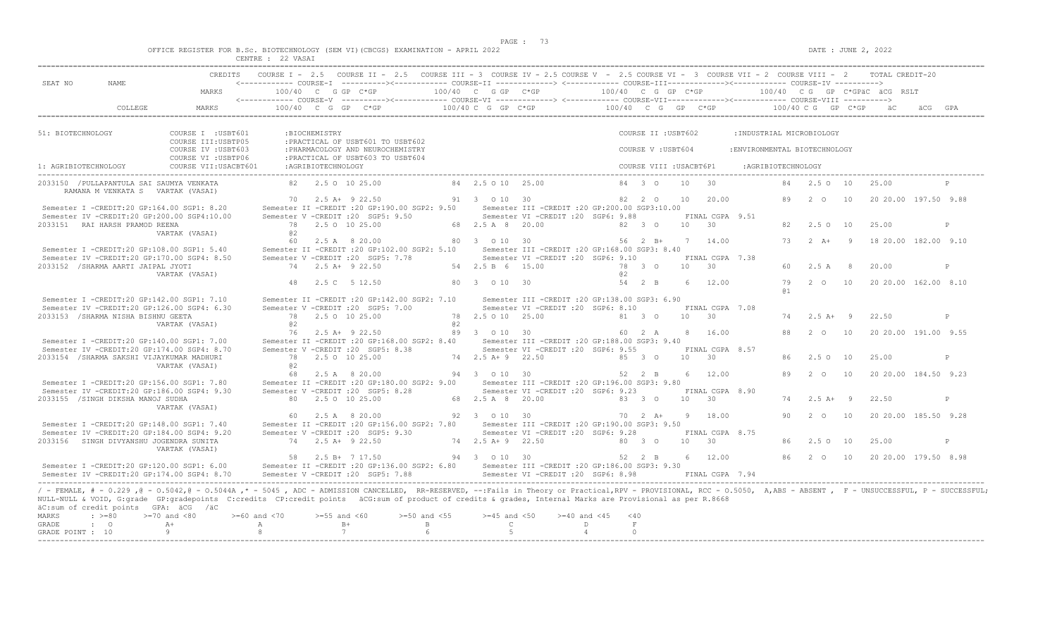|  |  |          |          |  | OFFICE REGISTER FOR B.Sc. BIOTECHNOLOGY (SEM VI)(CBCGS) EXAMINATION - APRIL 2022 |  |  |
|--|--|----------|----------|--|----------------------------------------------------------------------------------|--|--|
|  |  | CENTRE · | 22 VASAT |  |                                                                                  |  |  |

| CREDITS COURSE I - 2.5 COURSE II - 2.5 COURSE III - 3 COURSE IV - 2.5 COURSE V - 2.5 COURSE VI - 3 COURSE VII - 2 COURSE VIII - 2 TOTAL CREDIT-20<br><----------- COURSE-I ----------><----------- COURSE-II --------------> <------------ COURSE-III-----------><------------ COURSE-IV ----------><br>SEAT NO<br>NAME.<br>$100/40$ C G GP C*GP $100/40$ C G GP C*GP $100/40$ C G GP C*GP $100/40$ C G GP C*GPaC acc RSLT<br>MARKS<br>51: BIOTECHNOLOGY<br>COURSE I : USBT601<br>:BIOCHEMISTRY<br>COURSE II : USBT602<br>: INDUSTRIAL MICROBIOLOGY<br>COURSE III:USBTP05<br>: PRACTICAL OF USBT601 TO USBT602<br>: PHARMACOLOGY AND NEUROCHEMISTRY<br>COURSE IV : USBT603<br>COURSE V: USBT604<br>: ENVIRONMENTAL BIOTECHNOLOGY<br>: PRACTICAL OF USBT603 TO USBT604<br>COURSE VI : USBTP06<br>84 3 0 10 30<br>84 2.5 0 10 2.5 00<br>84 2.5 0 10 25.00<br>RAMANA M VENKATA S VARTAK (VASAI)<br>82  2  0  10  20.00  89  2  0  10  20.20.00  197.50  9.88<br>70  2.5 A+  9  22.50  91  3  0  10  30<br>Semester I -CREDIT:20 GP:164.00 SGP1: 8.20<br>Semester II -CREDIT :20 GP:190.00 SGP2: 9.50 Semester III -CREDIT :20 GP:200.00 SGP3:10.00<br>Semester IV -CREDIT:20 GP:200.00 SGP4:10.00<br>Semester V - CREDIT : 20 SGP5: 9.50 Semester VI - CREDIT : 20 SGP6: 9.88<br>FINAL CGPA 9.51<br>2033151 RAI HARSH PRAMOD REENA<br>82 2.50 10<br>25.00<br>P<br>VARTAK (VASAI)<br>@ 2<br>$60$ 2.5 A 8 20.00 $80$ 3 0 10 30 $56$ 2 B+ 7 14.00<br>73  2  A+  9  18  20.00  182.00  9.10<br>Semester I -CREDIT:20 GP:108.00 SGP1: 5.40<br>Semester II -CREDIT :20 GP:102.00 SGP2: 5.10 Semester III -CREDIT :20 GP:168.00 SGP3: 8.40<br>Semester IV -CREDIT:20 GP:170.00 SGP4: 8.50<br>Semester V -CREDIT : 20 SGP5: 7.78 Semester VI -CREDIT : 20 SGP6: 9.10 FINAL CGPA 7.38<br>2033152 /SHARMA AARTI JAIPAL JYOTI<br>74 2.5 A+ 9 22.50<br>54  2.5  B  6  15.00  78  3  0  10  30<br>60 2.5 A 8<br>20.00<br>P<br>a2<br>VARTAK (VASAI)<br>80 3 0 10 30<br>54 2 B 6 12.00<br>79   2   0   10   20   20   00   162   00   8.10<br>48  2.5  C  5  12.50<br><b>a</b> 1<br>Semester I -CREDIT:20 GP:142.00 SGP1: 7.10<br>Semester II -CREDIT : 20 GP: 142.00 SGP2: 7.10<br>Semester III - CREDIT : 20 GP: 138.00 SGP3: 6.90<br>Semester V -CREDIT : 20 SGP5: 7.00<br>Semester VI -CREDIT : 20 SGP6: 8.10<br>FINAL CGPA 7.08<br>Semester IV -CREDIT:20 GP:126.00 SGP4: 6.30<br>78  2.5  0  10  25.00  81  3  0  10  30<br>2033153 / SHARMA NISHA BISHNU GEETA<br>78 2.5 0 10 25.00<br>74  2.5 A + 9  22.50<br>P<br>VARTAK (VASAI)<br>0.2<br>a2<br>76  2.5 A+  9  22.50  89  3  0  10  30  60  2  A  8  16.00<br>88  2  0  10  20  20  00  191.00  9.55<br>Semester I -CREDIT:20 GP:140.00 SGP1: 7.00<br>Semester II -CREDIT :20 GP:168.00 SGP2: 8.40 Semester III -CREDIT :20 GP:188.00 SGP3: 9.40<br>Semester IV -CREDIT:20 GP:174.00 SGP4: 8.70<br>Semester V - CREDIT : 20 SGP5: 8.38 Semester VI - CREDIT : 20 SGP6: 9.55 FINAL CGPA 8.57<br>2033154 /SHARMA SAKSHI VIJAYKUMAR MADHURI<br>78 2.5 0 10 25.00<br>74   2.5   A+   9   22.50   85   3   0   10   30<br>86 2.5 0 10<br>25.00<br>P<br>a2<br>VARTAK (VASAI)<br>89 2 0 10<br>20 20.00 184.50 9.23<br>6 12.00<br>Semester II -CREDIT :20 GP:180.00 SGP2: 9.00 Semester III -CREDIT :20 GP:196.00 SGP3: 9.80<br>Semester I -CREDIT:20 GP:156.00 SGP1: 7.80<br>Semester IV -CREDIT:20 GP:186.00 SGP4: 9.30<br>Semester V -CREDIT :20 SGP5: 8.28 Semester VI -CREDIT :20 SGP6: 9.23 FINAL CGPA 8.90<br>2033155 /SINGH DIKSHA MANOJ SUDHA<br>80  2.5  0  10  25.00<br>74  2.5 A+ 9  22.50<br>P<br>VARTAK (VASAI)<br>$70 \t 2 \t A+ \t 9 \t 18.00$<br>92 3 0 10 30<br>90   2   0   10   20   20   00   185.50   9.28<br>60 2.5 A 8 20.00<br>Semester II -CREDIT :20 GP:156.00 SGP2: 7.80 Semester III -CREDIT :20 GP:190.00 SGP3: 9.50<br>Semester I -CREDIT:20 GP:148.00 SGP1: 7.40<br>Semester IV -CREDIT:20 GP:184.00 SGP4: 9.20<br>Semester V - CREDIT : 20 SGP5: 9.30 Semester VI - CREDIT : 20 SGP6: 9.28 FINAL CGPA 8.75<br>2033156 SINGH DIVYANSHU JOGENDRA SUNITA<br>74 2.5 A+ 9 22.50<br>86 2.5 0 10<br>25.00<br>P<br>VARTAK (VASAI)<br>58  2.5 B+  7 17.50  94  3  0  10  30  52  2  B  6  12.00<br>86   2   0   10   20   20   00   179.50   8.98<br>Semester I -CREDIT:20 GP:120.00 SGP1: 6.00 Semester II -CREDIT:20 GP:136.00 SGP2: 6.80 Semester III -CREDIT:20 GP:186.00 SGP3: 9.30<br>/ - FEMALE, # - 0.229, @ - 0.5042, @ - 0.5044A, * - 5045, ADC - ADMISSION CANCELLED, RR-RESERVED, --: Fails in Theory or Practical, RPV - PROVISIONAL, RCC - 0.5050, A, ABS - ABSENT, F - UNSUCCESSFUL, P - SUCCESSFUL;<br>NULL-NULL & VOID, G:grade GP:gradepoints C:credits CP:credit points äCG:sum of product of credits & grades, Internal Marks are Provisional as per R.8668<br>äC:sum of credit points GPA: äCG /äC<br>$>=60$ and $<70$ $>=55$ and $<60$<br>$>=50$ and $<55$ $>=45$ and $<50$ $>=40$ and $<45$ $<40$<br>MARKS<br>$: >=80$<br>$>=70$ and $<80$<br>$\cdot$ 0<br>$A+$<br>$\mathbb C$ and $\mathbb C$ and $\mathbb C$ and $\mathbb C$ and $\mathbb C$ and $\mathbb C$ and $\mathbb C$ and $\mathbb C$ and $\mathbb C$ and $\mathbb C$ and $\mathbb C$ and $\mathbb C$ and $\mathbb C$ and $\mathbb C$ and $\mathbb C$ and $\mathbb C$ and $\mathbb C$ and $\mathbb C$ and $\mathbb C$ and $\mathbb C$ and<br>D<br>$\mathbf{F}$<br>GRADE<br>7<br>6 <sup>6</sup><br>$4\overline{ }$<br>$9 \qquad \qquad$<br>8 <sup>1</sup><br>$5 -$<br>$\cap$<br>GRADE POINT : 10 |  | ULNIKL : ZZ VASA. |  |  |  |  |  |  |  |  |  |
|-----------------------------------------------------------------------------------------------------------------------------------------------------------------------------------------------------------------------------------------------------------------------------------------------------------------------------------------------------------------------------------------------------------------------------------------------------------------------------------------------------------------------------------------------------------------------------------------------------------------------------------------------------------------------------------------------------------------------------------------------------------------------------------------------------------------------------------------------------------------------------------------------------------------------------------------------------------------------------------------------------------------------------------------------------------------------------------------------------------------------------------------------------------------------------------------------------------------------------------------------------------------------------------------------------------------------------------------------------------------------------------------------------------------------------------------------------------------------------------------------------------------------------------------------------------------------------------------------------------------------------------------------------------------------------------------------------------------------------------------------------------------------------------------------------------------------------------------------------------------------------------------------------------------------------------------------------------------------------------------------------------------------------------------------------------------------------------------------------------------------------------------------------------------------------------------------------------------------------------------------------------------------------------------------------------------------------------------------------------------------------------------------------------------------------------------------------------------------------------------------------------------------------------------------------------------------------------------------------------------------------------------------------------------------------------------------------------------------------------------------------------------------------------------------------------------------------------------------------------------------------------------------------------------------------------------------------------------------------------------------------------------------------------------------------------------------------------------------------------------------------------------------------------------------------------------------------------------------------------------------------------------------------------------------------------------------------------------------------------------------------------------------------------------------------------------------------------------------------------------------------------------------------------------------------------------------------------------------------------------------------------------------------------------------------------------------------------------------------------------------------------------------------------------------------------------------------------------------------------------------------------------------------------------------------------------------------------------------------------------------------------------------------------------------------------------------------------------------------------------------------------------------------------------------------------------------------------------------------------------------------------------------------------------------------------------------------------------------------------------------------------------------------------------------------------------------------------------------------------------------------------------------------------------------------------------------------------------------------------------------------------------------------------------------------------------------------------------------------------------------------------------------------------------------------------------------------------------------------------------------------------------------------------------------------------------------------------------------------------------------------------------------------------------------------------------------------------------------------------------------------------------------------------------------------------------------------------------------------------------------------------------------------------------------------------------------------------------------------------------------------------------------------------------------------------------|--|-------------------|--|--|--|--|--|--|--|--|--|
|                                                                                                                                                                                                                                                                                                                                                                                                                                                                                                                                                                                                                                                                                                                                                                                                                                                                                                                                                                                                                                                                                                                                                                                                                                                                                                                                                                                                                                                                                                                                                                                                                                                                                                                                                                                                                                                                                                                                                                                                                                                                                                                                                                                                                                                                                                                                                                                                                                                                                                                                                                                                                                                                                                                                                                                                                                                                                                                                                                                                                                                                                                                                                                                                                                                                                                                                                                                                                                                                                                                                                                                                                                                                                                                                                                                                                                                                                                                                                                                                                                                                                                                                                                                                                                                                                                                                                                                                                                                                                                                                                                                                                                                                                                                                                                                                                                                                                                                                                                                                                                                                                                                                                                                                                                                                                                                                                                                                                                         |  |                   |  |  |  |  |  |  |  |  |  |
|                                                                                                                                                                                                                                                                                                                                                                                                                                                                                                                                                                                                                                                                                                                                                                                                                                                                                                                                                                                                                                                                                                                                                                                                                                                                                                                                                                                                                                                                                                                                                                                                                                                                                                                                                                                                                                                                                                                                                                                                                                                                                                                                                                                                                                                                                                                                                                                                                                                                                                                                                                                                                                                                                                                                                                                                                                                                                                                                                                                                                                                                                                                                                                                                                                                                                                                                                                                                                                                                                                                                                                                                                                                                                                                                                                                                                                                                                                                                                                                                                                                                                                                                                                                                                                                                                                                                                                                                                                                                                                                                                                                                                                                                                                                                                                                                                                                                                                                                                                                                                                                                                                                                                                                                                                                                                                                                                                                                                                         |  |                   |  |  |  |  |  |  |  |  |  |
|                                                                                                                                                                                                                                                                                                                                                                                                                                                                                                                                                                                                                                                                                                                                                                                                                                                                                                                                                                                                                                                                                                                                                                                                                                                                                                                                                                                                                                                                                                                                                                                                                                                                                                                                                                                                                                                                                                                                                                                                                                                                                                                                                                                                                                                                                                                                                                                                                                                                                                                                                                                                                                                                                                                                                                                                                                                                                                                                                                                                                                                                                                                                                                                                                                                                                                                                                                                                                                                                                                                                                                                                                                                                                                                                                                                                                                                                                                                                                                                                                                                                                                                                                                                                                                                                                                                                                                                                                                                                                                                                                                                                                                                                                                                                                                                                                                                                                                                                                                                                                                                                                                                                                                                                                                                                                                                                                                                                                                         |  |                   |  |  |  |  |  |  |  |  |  |
|                                                                                                                                                                                                                                                                                                                                                                                                                                                                                                                                                                                                                                                                                                                                                                                                                                                                                                                                                                                                                                                                                                                                                                                                                                                                                                                                                                                                                                                                                                                                                                                                                                                                                                                                                                                                                                                                                                                                                                                                                                                                                                                                                                                                                                                                                                                                                                                                                                                                                                                                                                                                                                                                                                                                                                                                                                                                                                                                                                                                                                                                                                                                                                                                                                                                                                                                                                                                                                                                                                                                                                                                                                                                                                                                                                                                                                                                                                                                                                                                                                                                                                                                                                                                                                                                                                                                                                                                                                                                                                                                                                                                                                                                                                                                                                                                                                                                                                                                                                                                                                                                                                                                                                                                                                                                                                                                                                                                                                         |  |                   |  |  |  |  |  |  |  |  |  |
|                                                                                                                                                                                                                                                                                                                                                                                                                                                                                                                                                                                                                                                                                                                                                                                                                                                                                                                                                                                                                                                                                                                                                                                                                                                                                                                                                                                                                                                                                                                                                                                                                                                                                                                                                                                                                                                                                                                                                                                                                                                                                                                                                                                                                                                                                                                                                                                                                                                                                                                                                                                                                                                                                                                                                                                                                                                                                                                                                                                                                                                                                                                                                                                                                                                                                                                                                                                                                                                                                                                                                                                                                                                                                                                                                                                                                                                                                                                                                                                                                                                                                                                                                                                                                                                                                                                                                                                                                                                                                                                                                                                                                                                                                                                                                                                                                                                                                                                                                                                                                                                                                                                                                                                                                                                                                                                                                                                                                                         |  |                   |  |  |  |  |  |  |  |  |  |
|                                                                                                                                                                                                                                                                                                                                                                                                                                                                                                                                                                                                                                                                                                                                                                                                                                                                                                                                                                                                                                                                                                                                                                                                                                                                                                                                                                                                                                                                                                                                                                                                                                                                                                                                                                                                                                                                                                                                                                                                                                                                                                                                                                                                                                                                                                                                                                                                                                                                                                                                                                                                                                                                                                                                                                                                                                                                                                                                                                                                                                                                                                                                                                                                                                                                                                                                                                                                                                                                                                                                                                                                                                                                                                                                                                                                                                                                                                                                                                                                                                                                                                                                                                                                                                                                                                                                                                                                                                                                                                                                                                                                                                                                                                                                                                                                                                                                                                                                                                                                                                                                                                                                                                                                                                                                                                                                                                                                                                         |  |                   |  |  |  |  |  |  |  |  |  |
|                                                                                                                                                                                                                                                                                                                                                                                                                                                                                                                                                                                                                                                                                                                                                                                                                                                                                                                                                                                                                                                                                                                                                                                                                                                                                                                                                                                                                                                                                                                                                                                                                                                                                                                                                                                                                                                                                                                                                                                                                                                                                                                                                                                                                                                                                                                                                                                                                                                                                                                                                                                                                                                                                                                                                                                                                                                                                                                                                                                                                                                                                                                                                                                                                                                                                                                                                                                                                                                                                                                                                                                                                                                                                                                                                                                                                                                                                                                                                                                                                                                                                                                                                                                                                                                                                                                                                                                                                                                                                                                                                                                                                                                                                                                                                                                                                                                                                                                                                                                                                                                                                                                                                                                                                                                                                                                                                                                                                                         |  |                   |  |  |  |  |  |  |  |  |  |
|                                                                                                                                                                                                                                                                                                                                                                                                                                                                                                                                                                                                                                                                                                                                                                                                                                                                                                                                                                                                                                                                                                                                                                                                                                                                                                                                                                                                                                                                                                                                                                                                                                                                                                                                                                                                                                                                                                                                                                                                                                                                                                                                                                                                                                                                                                                                                                                                                                                                                                                                                                                                                                                                                                                                                                                                                                                                                                                                                                                                                                                                                                                                                                                                                                                                                                                                                                                                                                                                                                                                                                                                                                                                                                                                                                                                                                                                                                                                                                                                                                                                                                                                                                                                                                                                                                                                                                                                                                                                                                                                                                                                                                                                                                                                                                                                                                                                                                                                                                                                                                                                                                                                                                                                                                                                                                                                                                                                                                         |  |                   |  |  |  |  |  |  |  |  |  |
|                                                                                                                                                                                                                                                                                                                                                                                                                                                                                                                                                                                                                                                                                                                                                                                                                                                                                                                                                                                                                                                                                                                                                                                                                                                                                                                                                                                                                                                                                                                                                                                                                                                                                                                                                                                                                                                                                                                                                                                                                                                                                                                                                                                                                                                                                                                                                                                                                                                                                                                                                                                                                                                                                                                                                                                                                                                                                                                                                                                                                                                                                                                                                                                                                                                                                                                                                                                                                                                                                                                                                                                                                                                                                                                                                                                                                                                                                                                                                                                                                                                                                                                                                                                                                                                                                                                                                                                                                                                                                                                                                                                                                                                                                                                                                                                                                                                                                                                                                                                                                                                                                                                                                                                                                                                                                                                                                                                                                                         |  |                   |  |  |  |  |  |  |  |  |  |
|                                                                                                                                                                                                                                                                                                                                                                                                                                                                                                                                                                                                                                                                                                                                                                                                                                                                                                                                                                                                                                                                                                                                                                                                                                                                                                                                                                                                                                                                                                                                                                                                                                                                                                                                                                                                                                                                                                                                                                                                                                                                                                                                                                                                                                                                                                                                                                                                                                                                                                                                                                                                                                                                                                                                                                                                                                                                                                                                                                                                                                                                                                                                                                                                                                                                                                                                                                                                                                                                                                                                                                                                                                                                                                                                                                                                                                                                                                                                                                                                                                                                                                                                                                                                                                                                                                                                                                                                                                                                                                                                                                                                                                                                                                                                                                                                                                                                                                                                                                                                                                                                                                                                                                                                                                                                                                                                                                                                                                         |  |                   |  |  |  |  |  |  |  |  |  |
|                                                                                                                                                                                                                                                                                                                                                                                                                                                                                                                                                                                                                                                                                                                                                                                                                                                                                                                                                                                                                                                                                                                                                                                                                                                                                                                                                                                                                                                                                                                                                                                                                                                                                                                                                                                                                                                                                                                                                                                                                                                                                                                                                                                                                                                                                                                                                                                                                                                                                                                                                                                                                                                                                                                                                                                                                                                                                                                                                                                                                                                                                                                                                                                                                                                                                                                                                                                                                                                                                                                                                                                                                                                                                                                                                                                                                                                                                                                                                                                                                                                                                                                                                                                                                                                                                                                                                                                                                                                                                                                                                                                                                                                                                                                                                                                                                                                                                                                                                                                                                                                                                                                                                                                                                                                                                                                                                                                                                                         |  |                   |  |  |  |  |  |  |  |  |  |
|                                                                                                                                                                                                                                                                                                                                                                                                                                                                                                                                                                                                                                                                                                                                                                                                                                                                                                                                                                                                                                                                                                                                                                                                                                                                                                                                                                                                                                                                                                                                                                                                                                                                                                                                                                                                                                                                                                                                                                                                                                                                                                                                                                                                                                                                                                                                                                                                                                                                                                                                                                                                                                                                                                                                                                                                                                                                                                                                                                                                                                                                                                                                                                                                                                                                                                                                                                                                                                                                                                                                                                                                                                                                                                                                                                                                                                                                                                                                                                                                                                                                                                                                                                                                                                                                                                                                                                                                                                                                                                                                                                                                                                                                                                                                                                                                                                                                                                                                                                                                                                                                                                                                                                                                                                                                                                                                                                                                                                         |  |                   |  |  |  |  |  |  |  |  |  |
|                                                                                                                                                                                                                                                                                                                                                                                                                                                                                                                                                                                                                                                                                                                                                                                                                                                                                                                                                                                                                                                                                                                                                                                                                                                                                                                                                                                                                                                                                                                                                                                                                                                                                                                                                                                                                                                                                                                                                                                                                                                                                                                                                                                                                                                                                                                                                                                                                                                                                                                                                                                                                                                                                                                                                                                                                                                                                                                                                                                                                                                                                                                                                                                                                                                                                                                                                                                                                                                                                                                                                                                                                                                                                                                                                                                                                                                                                                                                                                                                                                                                                                                                                                                                                                                                                                                                                                                                                                                                                                                                                                                                                                                                                                                                                                                                                                                                                                                                                                                                                                                                                                                                                                                                                                                                                                                                                                                                                                         |  |                   |  |  |  |  |  |  |  |  |  |
|                                                                                                                                                                                                                                                                                                                                                                                                                                                                                                                                                                                                                                                                                                                                                                                                                                                                                                                                                                                                                                                                                                                                                                                                                                                                                                                                                                                                                                                                                                                                                                                                                                                                                                                                                                                                                                                                                                                                                                                                                                                                                                                                                                                                                                                                                                                                                                                                                                                                                                                                                                                                                                                                                                                                                                                                                                                                                                                                                                                                                                                                                                                                                                                                                                                                                                                                                                                                                                                                                                                                                                                                                                                                                                                                                                                                                                                                                                                                                                                                                                                                                                                                                                                                                                                                                                                                                                                                                                                                                                                                                                                                                                                                                                                                                                                                                                                                                                                                                                                                                                                                                                                                                                                                                                                                                                                                                                                                                                         |  |                   |  |  |  |  |  |  |  |  |  |
|                                                                                                                                                                                                                                                                                                                                                                                                                                                                                                                                                                                                                                                                                                                                                                                                                                                                                                                                                                                                                                                                                                                                                                                                                                                                                                                                                                                                                                                                                                                                                                                                                                                                                                                                                                                                                                                                                                                                                                                                                                                                                                                                                                                                                                                                                                                                                                                                                                                                                                                                                                                                                                                                                                                                                                                                                                                                                                                                                                                                                                                                                                                                                                                                                                                                                                                                                                                                                                                                                                                                                                                                                                                                                                                                                                                                                                                                                                                                                                                                                                                                                                                                                                                                                                                                                                                                                                                                                                                                                                                                                                                                                                                                                                                                                                                                                                                                                                                                                                                                                                                                                                                                                                                                                                                                                                                                                                                                                                         |  |                   |  |  |  |  |  |  |  |  |  |
|                                                                                                                                                                                                                                                                                                                                                                                                                                                                                                                                                                                                                                                                                                                                                                                                                                                                                                                                                                                                                                                                                                                                                                                                                                                                                                                                                                                                                                                                                                                                                                                                                                                                                                                                                                                                                                                                                                                                                                                                                                                                                                                                                                                                                                                                                                                                                                                                                                                                                                                                                                                                                                                                                                                                                                                                                                                                                                                                                                                                                                                                                                                                                                                                                                                                                                                                                                                                                                                                                                                                                                                                                                                                                                                                                                                                                                                                                                                                                                                                                                                                                                                                                                                                                                                                                                                                                                                                                                                                                                                                                                                                                                                                                                                                                                                                                                                                                                                                                                                                                                                                                                                                                                                                                                                                                                                                                                                                                                         |  |                   |  |  |  |  |  |  |  |  |  |
|                                                                                                                                                                                                                                                                                                                                                                                                                                                                                                                                                                                                                                                                                                                                                                                                                                                                                                                                                                                                                                                                                                                                                                                                                                                                                                                                                                                                                                                                                                                                                                                                                                                                                                                                                                                                                                                                                                                                                                                                                                                                                                                                                                                                                                                                                                                                                                                                                                                                                                                                                                                                                                                                                                                                                                                                                                                                                                                                                                                                                                                                                                                                                                                                                                                                                                                                                                                                                                                                                                                                                                                                                                                                                                                                                                                                                                                                                                                                                                                                                                                                                                                                                                                                                                                                                                                                                                                                                                                                                                                                                                                                                                                                                                                                                                                                                                                                                                                                                                                                                                                                                                                                                                                                                                                                                                                                                                                                                                         |  |                   |  |  |  |  |  |  |  |  |  |
|                                                                                                                                                                                                                                                                                                                                                                                                                                                                                                                                                                                                                                                                                                                                                                                                                                                                                                                                                                                                                                                                                                                                                                                                                                                                                                                                                                                                                                                                                                                                                                                                                                                                                                                                                                                                                                                                                                                                                                                                                                                                                                                                                                                                                                                                                                                                                                                                                                                                                                                                                                                                                                                                                                                                                                                                                                                                                                                                                                                                                                                                                                                                                                                                                                                                                                                                                                                                                                                                                                                                                                                                                                                                                                                                                                                                                                                                                                                                                                                                                                                                                                                                                                                                                                                                                                                                                                                                                                                                                                                                                                                                                                                                                                                                                                                                                                                                                                                                                                                                                                                                                                                                                                                                                                                                                                                                                                                                                                         |  |                   |  |  |  |  |  |  |  |  |  |
|                                                                                                                                                                                                                                                                                                                                                                                                                                                                                                                                                                                                                                                                                                                                                                                                                                                                                                                                                                                                                                                                                                                                                                                                                                                                                                                                                                                                                                                                                                                                                                                                                                                                                                                                                                                                                                                                                                                                                                                                                                                                                                                                                                                                                                                                                                                                                                                                                                                                                                                                                                                                                                                                                                                                                                                                                                                                                                                                                                                                                                                                                                                                                                                                                                                                                                                                                                                                                                                                                                                                                                                                                                                                                                                                                                                                                                                                                                                                                                                                                                                                                                                                                                                                                                                                                                                                                                                                                                                                                                                                                                                                                                                                                                                                                                                                                                                                                                                                                                                                                                                                                                                                                                                                                                                                                                                                                                                                                                         |  |                   |  |  |  |  |  |  |  |  |  |
|                                                                                                                                                                                                                                                                                                                                                                                                                                                                                                                                                                                                                                                                                                                                                                                                                                                                                                                                                                                                                                                                                                                                                                                                                                                                                                                                                                                                                                                                                                                                                                                                                                                                                                                                                                                                                                                                                                                                                                                                                                                                                                                                                                                                                                                                                                                                                                                                                                                                                                                                                                                                                                                                                                                                                                                                                                                                                                                                                                                                                                                                                                                                                                                                                                                                                                                                                                                                                                                                                                                                                                                                                                                                                                                                                                                                                                                                                                                                                                                                                                                                                                                                                                                                                                                                                                                                                                                                                                                                                                                                                                                                                                                                                                                                                                                                                                                                                                                                                                                                                                                                                                                                                                                                                                                                                                                                                                                                                                         |  |                   |  |  |  |  |  |  |  |  |  |
|                                                                                                                                                                                                                                                                                                                                                                                                                                                                                                                                                                                                                                                                                                                                                                                                                                                                                                                                                                                                                                                                                                                                                                                                                                                                                                                                                                                                                                                                                                                                                                                                                                                                                                                                                                                                                                                                                                                                                                                                                                                                                                                                                                                                                                                                                                                                                                                                                                                                                                                                                                                                                                                                                                                                                                                                                                                                                                                                                                                                                                                                                                                                                                                                                                                                                                                                                                                                                                                                                                                                                                                                                                                                                                                                                                                                                                                                                                                                                                                                                                                                                                                                                                                                                                                                                                                                                                                                                                                                                                                                                                                                                                                                                                                                                                                                                                                                                                                                                                                                                                                                                                                                                                                                                                                                                                                                                                                                                                         |  |                   |  |  |  |  |  |  |  |  |  |
|                                                                                                                                                                                                                                                                                                                                                                                                                                                                                                                                                                                                                                                                                                                                                                                                                                                                                                                                                                                                                                                                                                                                                                                                                                                                                                                                                                                                                                                                                                                                                                                                                                                                                                                                                                                                                                                                                                                                                                                                                                                                                                                                                                                                                                                                                                                                                                                                                                                                                                                                                                                                                                                                                                                                                                                                                                                                                                                                                                                                                                                                                                                                                                                                                                                                                                                                                                                                                                                                                                                                                                                                                                                                                                                                                                                                                                                                                                                                                                                                                                                                                                                                                                                                                                                                                                                                                                                                                                                                                                                                                                                                                                                                                                                                                                                                                                                                                                                                                                                                                                                                                                                                                                                                                                                                                                                                                                                                                                         |  |                   |  |  |  |  |  |  |  |  |  |
|                                                                                                                                                                                                                                                                                                                                                                                                                                                                                                                                                                                                                                                                                                                                                                                                                                                                                                                                                                                                                                                                                                                                                                                                                                                                                                                                                                                                                                                                                                                                                                                                                                                                                                                                                                                                                                                                                                                                                                                                                                                                                                                                                                                                                                                                                                                                                                                                                                                                                                                                                                                                                                                                                                                                                                                                                                                                                                                                                                                                                                                                                                                                                                                                                                                                                                                                                                                                                                                                                                                                                                                                                                                                                                                                                                                                                                                                                                                                                                                                                                                                                                                                                                                                                                                                                                                                                                                                                                                                                                                                                                                                                                                                                                                                                                                                                                                                                                                                                                                                                                                                                                                                                                                                                                                                                                                                                                                                                                         |  |                   |  |  |  |  |  |  |  |  |  |
|                                                                                                                                                                                                                                                                                                                                                                                                                                                                                                                                                                                                                                                                                                                                                                                                                                                                                                                                                                                                                                                                                                                                                                                                                                                                                                                                                                                                                                                                                                                                                                                                                                                                                                                                                                                                                                                                                                                                                                                                                                                                                                                                                                                                                                                                                                                                                                                                                                                                                                                                                                                                                                                                                                                                                                                                                                                                                                                                                                                                                                                                                                                                                                                                                                                                                                                                                                                                                                                                                                                                                                                                                                                                                                                                                                                                                                                                                                                                                                                                                                                                                                                                                                                                                                                                                                                                                                                                                                                                                                                                                                                                                                                                                                                                                                                                                                                                                                                                                                                                                                                                                                                                                                                                                                                                                                                                                                                                                                         |  |                   |  |  |  |  |  |  |  |  |  |
|                                                                                                                                                                                                                                                                                                                                                                                                                                                                                                                                                                                                                                                                                                                                                                                                                                                                                                                                                                                                                                                                                                                                                                                                                                                                                                                                                                                                                                                                                                                                                                                                                                                                                                                                                                                                                                                                                                                                                                                                                                                                                                                                                                                                                                                                                                                                                                                                                                                                                                                                                                                                                                                                                                                                                                                                                                                                                                                                                                                                                                                                                                                                                                                                                                                                                                                                                                                                                                                                                                                                                                                                                                                                                                                                                                                                                                                                                                                                                                                                                                                                                                                                                                                                                                                                                                                                                                                                                                                                                                                                                                                                                                                                                                                                                                                                                                                                                                                                                                                                                                                                                                                                                                                                                                                                                                                                                                                                                                         |  |                   |  |  |  |  |  |  |  |  |  |
|                                                                                                                                                                                                                                                                                                                                                                                                                                                                                                                                                                                                                                                                                                                                                                                                                                                                                                                                                                                                                                                                                                                                                                                                                                                                                                                                                                                                                                                                                                                                                                                                                                                                                                                                                                                                                                                                                                                                                                                                                                                                                                                                                                                                                                                                                                                                                                                                                                                                                                                                                                                                                                                                                                                                                                                                                                                                                                                                                                                                                                                                                                                                                                                                                                                                                                                                                                                                                                                                                                                                                                                                                                                                                                                                                                                                                                                                                                                                                                                                                                                                                                                                                                                                                                                                                                                                                                                                                                                                                                                                                                                                                                                                                                                                                                                                                                                                                                                                                                                                                                                                                                                                                                                                                                                                                                                                                                                                                                         |  |                   |  |  |  |  |  |  |  |  |  |
|                                                                                                                                                                                                                                                                                                                                                                                                                                                                                                                                                                                                                                                                                                                                                                                                                                                                                                                                                                                                                                                                                                                                                                                                                                                                                                                                                                                                                                                                                                                                                                                                                                                                                                                                                                                                                                                                                                                                                                                                                                                                                                                                                                                                                                                                                                                                                                                                                                                                                                                                                                                                                                                                                                                                                                                                                                                                                                                                                                                                                                                                                                                                                                                                                                                                                                                                                                                                                                                                                                                                                                                                                                                                                                                                                                                                                                                                                                                                                                                                                                                                                                                                                                                                                                                                                                                                                                                                                                                                                                                                                                                                                                                                                                                                                                                                                                                                                                                                                                                                                                                                                                                                                                                                                                                                                                                                                                                                                                         |  |                   |  |  |  |  |  |  |  |  |  |
|                                                                                                                                                                                                                                                                                                                                                                                                                                                                                                                                                                                                                                                                                                                                                                                                                                                                                                                                                                                                                                                                                                                                                                                                                                                                                                                                                                                                                                                                                                                                                                                                                                                                                                                                                                                                                                                                                                                                                                                                                                                                                                                                                                                                                                                                                                                                                                                                                                                                                                                                                                                                                                                                                                                                                                                                                                                                                                                                                                                                                                                                                                                                                                                                                                                                                                                                                                                                                                                                                                                                                                                                                                                                                                                                                                                                                                                                                                                                                                                                                                                                                                                                                                                                                                                                                                                                                                                                                                                                                                                                                                                                                                                                                                                                                                                                                                                                                                                                                                                                                                                                                                                                                                                                                                                                                                                                                                                                                                         |  |                   |  |  |  |  |  |  |  |  |  |
|                                                                                                                                                                                                                                                                                                                                                                                                                                                                                                                                                                                                                                                                                                                                                                                                                                                                                                                                                                                                                                                                                                                                                                                                                                                                                                                                                                                                                                                                                                                                                                                                                                                                                                                                                                                                                                                                                                                                                                                                                                                                                                                                                                                                                                                                                                                                                                                                                                                                                                                                                                                                                                                                                                                                                                                                                                                                                                                                                                                                                                                                                                                                                                                                                                                                                                                                                                                                                                                                                                                                                                                                                                                                                                                                                                                                                                                                                                                                                                                                                                                                                                                                                                                                                                                                                                                                                                                                                                                                                                                                                                                                                                                                                                                                                                                                                                                                                                                                                                                                                                                                                                                                                                                                                                                                                                                                                                                                                                         |  |                   |  |  |  |  |  |  |  |  |  |
|                                                                                                                                                                                                                                                                                                                                                                                                                                                                                                                                                                                                                                                                                                                                                                                                                                                                                                                                                                                                                                                                                                                                                                                                                                                                                                                                                                                                                                                                                                                                                                                                                                                                                                                                                                                                                                                                                                                                                                                                                                                                                                                                                                                                                                                                                                                                                                                                                                                                                                                                                                                                                                                                                                                                                                                                                                                                                                                                                                                                                                                                                                                                                                                                                                                                                                                                                                                                                                                                                                                                                                                                                                                                                                                                                                                                                                                                                                                                                                                                                                                                                                                                                                                                                                                                                                                                                                                                                                                                                                                                                                                                                                                                                                                                                                                                                                                                                                                                                                                                                                                                                                                                                                                                                                                                                                                                                                                                                                         |  |                   |  |  |  |  |  |  |  |  |  |
|                                                                                                                                                                                                                                                                                                                                                                                                                                                                                                                                                                                                                                                                                                                                                                                                                                                                                                                                                                                                                                                                                                                                                                                                                                                                                                                                                                                                                                                                                                                                                                                                                                                                                                                                                                                                                                                                                                                                                                                                                                                                                                                                                                                                                                                                                                                                                                                                                                                                                                                                                                                                                                                                                                                                                                                                                                                                                                                                                                                                                                                                                                                                                                                                                                                                                                                                                                                                                                                                                                                                                                                                                                                                                                                                                                                                                                                                                                                                                                                                                                                                                                                                                                                                                                                                                                                                                                                                                                                                                                                                                                                                                                                                                                                                                                                                                                                                                                                                                                                                                                                                                                                                                                                                                                                                                                                                                                                                                                         |  |                   |  |  |  |  |  |  |  |  |  |
|                                                                                                                                                                                                                                                                                                                                                                                                                                                                                                                                                                                                                                                                                                                                                                                                                                                                                                                                                                                                                                                                                                                                                                                                                                                                                                                                                                                                                                                                                                                                                                                                                                                                                                                                                                                                                                                                                                                                                                                                                                                                                                                                                                                                                                                                                                                                                                                                                                                                                                                                                                                                                                                                                                                                                                                                                                                                                                                                                                                                                                                                                                                                                                                                                                                                                                                                                                                                                                                                                                                                                                                                                                                                                                                                                                                                                                                                                                                                                                                                                                                                                                                                                                                                                                                                                                                                                                                                                                                                                                                                                                                                                                                                                                                                                                                                                                                                                                                                                                                                                                                                                                                                                                                                                                                                                                                                                                                                                                         |  |                   |  |  |  |  |  |  |  |  |  |
|                                                                                                                                                                                                                                                                                                                                                                                                                                                                                                                                                                                                                                                                                                                                                                                                                                                                                                                                                                                                                                                                                                                                                                                                                                                                                                                                                                                                                                                                                                                                                                                                                                                                                                                                                                                                                                                                                                                                                                                                                                                                                                                                                                                                                                                                                                                                                                                                                                                                                                                                                                                                                                                                                                                                                                                                                                                                                                                                                                                                                                                                                                                                                                                                                                                                                                                                                                                                                                                                                                                                                                                                                                                                                                                                                                                                                                                                                                                                                                                                                                                                                                                                                                                                                                                                                                                                                                                                                                                                                                                                                                                                                                                                                                                                                                                                                                                                                                                                                                                                                                                                                                                                                                                                                                                                                                                                                                                                                                         |  |                   |  |  |  |  |  |  |  |  |  |
|                                                                                                                                                                                                                                                                                                                                                                                                                                                                                                                                                                                                                                                                                                                                                                                                                                                                                                                                                                                                                                                                                                                                                                                                                                                                                                                                                                                                                                                                                                                                                                                                                                                                                                                                                                                                                                                                                                                                                                                                                                                                                                                                                                                                                                                                                                                                                                                                                                                                                                                                                                                                                                                                                                                                                                                                                                                                                                                                                                                                                                                                                                                                                                                                                                                                                                                                                                                                                                                                                                                                                                                                                                                                                                                                                                                                                                                                                                                                                                                                                                                                                                                                                                                                                                                                                                                                                                                                                                                                                                                                                                                                                                                                                                                                                                                                                                                                                                                                                                                                                                                                                                                                                                                                                                                                                                                                                                                                                                         |  |                   |  |  |  |  |  |  |  |  |  |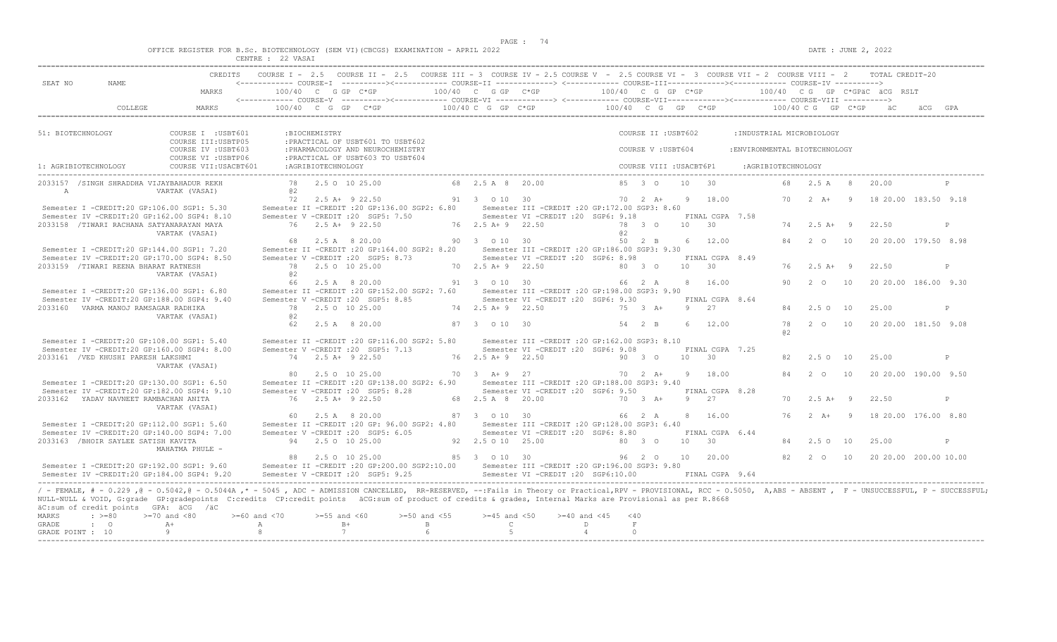|  | OFFICE REGISTER FOR B.Sc. BIOTECHNOLOGY (SEM VI)(CBCGS) EXAMINATION - APRIL 2022 |  |
|--|----------------------------------------------------------------------------------|--|
|  |                                                                                  |  |

|                              |                                                               |                                                                                                                                                                                                                                                                                                                                                                                                                | CENTRE : 22 VASAI       |                    |                                                                                                                                                    |                            |                                  |                                                                                         |                                                        |                         |                 |                        |                               |                    |                          |                |                                 |              |
|------------------------------|---------------------------------------------------------------|----------------------------------------------------------------------------------------------------------------------------------------------------------------------------------------------------------------------------------------------------------------------------------------------------------------------------------------------------------------------------------------------------------------|-------------------------|--------------------|----------------------------------------------------------------------------------------------------------------------------------------------------|----------------------------|----------------------------------|-----------------------------------------------------------------------------------------|--------------------------------------------------------|-------------------------|-----------------|------------------------|-------------------------------|--------------------|--------------------------|----------------|---------------------------------|--------------|
|                              |                                                               | CREDITS                                                                                                                                                                                                                                                                                                                                                                                                        |                         |                    | COURSE I - 2.5 COURSE II - 2.5 COURSE III - 3 COURSE IV - 2.5 COURSE V - 2.5 COURSE VI - 3 COURSE VII - 2 COURSE VIII - 2 TOTAL CREDIT-20          |                            |                                  |                                                                                         |                                                        |                         |                 |                        |                               |                    |                          |                |                                 |              |
| SEAT NO                      | NAME                                                          | MARKS                                                                                                                                                                                                                                                                                                                                                                                                          | $100/40$ C G GP C*GP    |                    | <------------ COURSE-T ----------><------------ COURSE-TT -------------> <------------ COURSE-TTT-------------><------------ COURSE-TV ----------> |                            | 100/40 C G GP C*GP               |                                                                                         | 100/40 C G GP C*GP                                     |                         |                 |                        |                               |                    |                          |                | $100/40$ C G GP C*GPAC ACG RSLT |              |
|                              |                                                               |                                                                                                                                                                                                                                                                                                                                                                                                                |                         |                    |                                                                                                                                                    |                            |                                  |                                                                                         |                                                        |                         |                 |                        |                               |                    |                          |                |                                 |              |
|                              | COLLEGE                                                       | MARKS                                                                                                                                                                                                                                                                                                                                                                                                          |                         |                    | 100/40 C G GP C*GP                                                                                                                                 |                            |                                  | $100/40$ C G GP $C*GP$                                                                  | $100/40$ C G GP C*GP $100/40$ C G GP C*GP $\ddot{a}$ C |                         |                 |                        |                               |                    |                          |                |                                 |              |
| 51: BIOTECHNOLOGY            |                                                               | COURSE I : USBT601                                                                                                                                                                                                                                                                                                                                                                                             |                         | :BIOCHEMISTRY      |                                                                                                                                                    |                            |                                  |                                                                                         |                                                        | COURSE II : USBT602     |                 |                        | : INDUSTRIAL MICROBIOLOGY     |                    |                          |                |                                 |              |
|                              |                                                               | COURSE III: USBTP05                                                                                                                                                                                                                                                                                                                                                                                            |                         |                    | : PRACTICAL OF USBT601 TO USBT602                                                                                                                  |                            |                                  |                                                                                         |                                                        |                         |                 |                        |                               |                    |                          |                |                                 |              |
|                              |                                                               | COURSE IV : USBT603<br>COURSE VI : USBTP06                                                                                                                                                                                                                                                                                                                                                                     |                         |                    | : PHARMACOLOGY AND NEUROCHEMISTRY<br>: PRACTICAL OF USBT603 TO USBT604                                                                             |                            |                                  |                                                                                         |                                                        | COURSE V: USBT604       |                 |                        | : ENVIRONMENTAL BIOTECHNOLOGY |                    |                          |                |                                 |              |
| 1: AGRIBIOTECHNOLOGY         |                                                               | COURSE VII: USACBT601                                                                                                                                                                                                                                                                                                                                                                                          |                         | :AGRIBIOTECHNOLOGY |                                                                                                                                                    |                            |                                  |                                                                                         |                                                        | COURSE VIII : USACBT6P1 |                 |                        |                               | :AGRIBIOTECHNOLOGY |                          |                |                                 |              |
| $\overline{A}$               |                                                               | 2033157 /SINGH SHRADDHA VIJAYBAHADUR REKH<br>VARTAK (VASAI)                                                                                                                                                                                                                                                                                                                                                    | a2                      |                    | 78 2.5 0 10 25.00                                                                                                                                  |                            | 68 2.5 A 8 20.00                 |                                                                                         |                                                        | 85 3 0                  | 10 <sub>1</sub> | 30                     |                               |                    | 68 2.5 A 8               |                | 20.00                           |              |
|                              |                                                               |                                                                                                                                                                                                                                                                                                                                                                                                                |                         |                    | 72 2.5 A+ 9 22.50                                                                                                                                  |                            | 91 3 0 10 30                     |                                                                                         |                                                        | $70 \t 2 \t A+$         | 9               | 18.00                  |                               | 70                 |                          |                | 2 A+ 9 18 20.00 183.50 9.18     |              |
|                              |                                                               | Semester I -CREDIT:20 GP:106.00 SGP1: 5.30                                                                                                                                                                                                                                                                                                                                                                     |                         |                    | Semester II -CREDIT :20 GP:136.00 SGP2: 6.80 Semester III -CREDIT :20 GP:172.00 SGP3: 8.60                                                         |                            |                                  |                                                                                         |                                                        |                         |                 |                        |                               |                    |                          |                |                                 |              |
|                              |                                                               | Semester IV -CREDIT:20 GP:162.00 SGP4: 8.10                                                                                                                                                                                                                                                                                                                                                                    |                         |                    | Semester V -CREDIT : 20 SGP5: 7.50                                                                                                                 |                            |                                  | Semester VI -CREDIT : 20 SGP6: 9.18                                                     |                                                        |                         |                 | FINAL CGPA 7.58        |                               |                    |                          |                |                                 |              |
|                              |                                                               | 2033158 /TIWARI RACHANA SATYANARAYAN MAYA<br>VARTAK (VASAI)                                                                                                                                                                                                                                                                                                                                                    |                         |                    | 76 2.5 A + 9 22.50                                                                                                                                 |                            | 76 2.5 A + 9 22.50               |                                                                                         | a2                                                     | 78 3 0                  | $10 \t 30$      |                        |                               | 74                 | $2.5 A+ 9$               |                | 22.50                           |              |
|                              |                                                               |                                                                                                                                                                                                                                                                                                                                                                                                                |                         |                    | 68  2.5  A   8  20.00                                                                                                                              |                            | 90 3 0 10 30                     |                                                                                         |                                                        | 50 2 B                  |                 | 6 12.00                |                               | 84                 | $2\degree$ 0             | 10             | 20 20 00 179 50 8.98            |              |
|                              |                                                               | Semester I -CREDIT:20 GP:144.00 SGP1: 7.20<br>Semester IV -CREDIT:20 GP:170.00 SGP4: 8.50                                                                                                                                                                                                                                                                                                                      |                         |                    | Semester II -CREDIT : 20 GP:164.00 SGP2: 8.20 Semester III -CREDIT : 20 GP:186.00 SGP3: 9.30<br>Semester V -CREDIT : 20 SGP5: 8.73                 |                            |                                  | Semester VI -CREDIT : 20 SGP6: 8.98                                                     |                                                        |                         |                 | FINAL CGPA 8.49        |                               |                    |                          |                |                                 |              |
|                              | 2033159 /TIWARI REENA BHARAT RATNESH                          |                                                                                                                                                                                                                                                                                                                                                                                                                |                         |                    | 78 2.5 0 10 25.00                                                                                                                                  |                            | 70 2.5 A + 9 22.50               |                                                                                         |                                                        | 80 3 0                  | 10 <sup>1</sup> | $\overline{30}$        |                               |                    | $76$ $2.5$ $\text{A}+$ 9 |                | 22.50                           | P            |
|                              |                                                               | VARTAK (VASAI)                                                                                                                                                                                                                                                                                                                                                                                                 | a2                      |                    |                                                                                                                                                    |                            |                                  |                                                                                         |                                                        |                         |                 |                        |                               |                    |                          |                |                                 |              |
|                              |                                                               |                                                                                                                                                                                                                                                                                                                                                                                                                |                         |                    | 66 2.5 A 8 20.00                                                                                                                                   |                            | 91 3 0 10 30                     |                                                                                         | 66 2 A                                                 |                         |                 | 8 16.00                |                               | 90                 | 2 0                      | 10             | 20 20.00 186.00 9.30            |              |
|                              |                                                               | Semester I -CREDIT:20 GP:136.00 SGP1: 6.80                                                                                                                                                                                                                                                                                                                                                                     |                         |                    | Semester II -CREDIT :20 GP:152.00 SGP2: 7.60 Semester III -CREDIT :20 GP:198.00 SGP3: 9.90                                                         |                            |                                  |                                                                                         |                                                        |                         |                 |                        |                               |                    |                          |                |                                 |              |
|                              | 2033160 VARMA MANOJ RAMSAGAR RADHIKA                          | Semester IV -CREDIT:20 GP:188.00 SGP4: 9.40                                                                                                                                                                                                                                                                                                                                                                    |                         |                    | Semester V -CREDIT : 20 SGP5: 8.85<br>78 2.5 0 10 25.00                                                                                            |                            | 74 2.5 A + 9 22.50               | Semester VI -CREDIT :20 SGP6: 9.30                                                      |                                                        | 75 3 A+                 | -9              | FINAL CGPA 8.64<br>2.7 |                               |                    | 84 2.5 0 10              |                | 25.00                           | P            |
|                              |                                                               | VARTAK (VASAI)                                                                                                                                                                                                                                                                                                                                                                                                 | @2                      |                    |                                                                                                                                                    |                            |                                  |                                                                                         |                                                        |                         |                 |                        |                               |                    |                          |                |                                 |              |
|                              |                                                               |                                                                                                                                                                                                                                                                                                                                                                                                                | 62                      |                    | 2.5 A 8 20.00                                                                                                                                      |                            | 87 3 0 10 30                     |                                                                                         |                                                        | 54 2 B                  | $6^{\circ}$     | 12.00                  |                               | 78<br>a2           | 2 0                      | 10             | 20 20.00 181.50 9.08            |              |
|                              |                                                               | Semester I -CREDIT:20 GP:108.00 SGP1: 5.40                                                                                                                                                                                                                                                                                                                                                                     |                         |                    | Semester II -CREDIT : 20 GP:116.00 SGP2: 5.80                                                                                                      |                            |                                  | Semester III -CREDIT :20 GP:162.00 SGP3: 8.10                                           |                                                        |                         |                 |                        |                               |                    |                          |                |                                 |              |
|                              |                                                               | Semester IV -CREDIT:20 GP:160.00 SGP4: 8.00                                                                                                                                                                                                                                                                                                                                                                    |                         |                    | Semester V -CREDIT : 20 SGP5: 7.13                                                                                                                 |                            |                                  | Semester VI -CREDIT : 20 SGP6: 9.08                                                     |                                                        |                         |                 | FINAL CGPA 7.25        |                               |                    |                          |                |                                 |              |
|                              | 2033161 / VED KHUSHI PARESH LAKSHMI                           | VARTAK (VASAI)                                                                                                                                                                                                                                                                                                                                                                                                 |                         |                    | 74 2.5 A+ 9 22.50                                                                                                                                  |                            | 76 2.5 A+ 9 22.50                |                                                                                         |                                                        | 90 3 0                  | 10              | 30                     |                               | 82                 | 2.5010                   |                | 25.00                           | $\mathsf{P}$ |
|                              |                                                               |                                                                                                                                                                                                                                                                                                                                                                                                                |                         |                    | 80 2.5 0 10 25.00                                                                                                                                  |                            | 70 3 A+ 9 27                     |                                                                                         | 70 2 A+                                                |                         |                 | 9 18.00                |                               |                    | 2 O                      | 10             | 20 20.00 190.00 9.50            |              |
|                              |                                                               | Semester I -CREDIT:20 GP:130.00 SGP1: 6.50                                                                                                                                                                                                                                                                                                                                                                     |                         |                    | Semester II -CREDIT : 20 GP: 138.00 SGP2: 6.90                                                                                                     |                            |                                  | Semester III -CREDIT : 20 GP: 188.00 SGP3: 9.40                                         |                                                        |                         |                 |                        |                               |                    |                          |                |                                 |              |
|                              |                                                               | Semester IV -CREDIT:20 GP:182.00 SGP4: 9.10                                                                                                                                                                                                                                                                                                                                                                    |                         |                    | Semester V -CREDIT : 20 SGP5: 8.28                                                                                                                 |                            |                                  | Semester VI - CREDIT : 20 SGP6: 9.50                                                    |                                                        |                         |                 | FINAL CGPA 8.28        |                               |                    |                          |                |                                 |              |
|                              | 2033162 YADAV NAVNEET RAMBACHAN ANITA                         |                                                                                                                                                                                                                                                                                                                                                                                                                |                         |                    | 76 2.5 A + 9 22.50                                                                                                                                 |                            | 68 2.5 A 8 20.00                 |                                                                                         |                                                        | $70 \t3 \tA+$           | 9 2.7           |                        |                               | 70                 | $2.5$ A+ 9               |                | 22.50                           | P            |
|                              |                                                               | VARTAK (VASAI)                                                                                                                                                                                                                                                                                                                                                                                                 |                         |                    | 60 2.5 A 8 20.00                                                                                                                                   |                            | 87 3 0 10 30                     |                                                                                         |                                                        | 66 2 A                  |                 | 8 16.00                |                               | 76                 | $2 \overline{A}$ +       | $\overline{9}$ | 18 20.00 176.00 8.80            |              |
|                              |                                                               | Semester I -CREDIT:20 GP:112.00 SGP1: 5.60                                                                                                                                                                                                                                                                                                                                                                     |                         |                    | Semester II -CREDIT : 20 GP: 96.00 SGP2: 4.80                                                                                                      |                            |                                  | Semester III -CREDIT :20 GP:128.00 SGP3: 6.40                                           |                                                        |                         |                 |                        |                               |                    |                          |                |                                 |              |
|                              |                                                               | Semester IV -CREDIT:20 GP:140.00 SGP4: 7.00                                                                                                                                                                                                                                                                                                                                                                    |                         |                    | Semester V -CREDIT : 20 SGP5: 6.05                                                                                                                 |                            |                                  | Semester VI -CREDIT : 20 SGP6: 8.80                                                     |                                                        |                         |                 | FINAL CGPA 6.44        |                               |                    |                          |                |                                 |              |
|                              | 2033163 /BHOIR SAYLEE SATISH KAVITA                           | MAHATMA PHULE -                                                                                                                                                                                                                                                                                                                                                                                                |                         |                    | 94 2.5 0 10 25.00                                                                                                                                  |                            | 92  2.5  0  10  25.00            |                                                                                         |                                                        | 80 3 0                  | 10 <sup>1</sup> | 30                     |                               | 84                 | 2.50                     | 10             | 25.00                           | P            |
|                              |                                                               |                                                                                                                                                                                                                                                                                                                                                                                                                |                         |                    | 88 2.5 0 10 25.00                                                                                                                                  |                            | 85 3 0 10 30                     |                                                                                         |                                                        | 96 2 0 10               |                 | 20.00                  |                               |                    | 82 2 0                   | 10             | 20 20.00 200.00 10.00           |              |
|                              |                                                               | Semester I -CREDIT:20 GP:192.00 SGP1: 9.60<br>Semester IV -CREDIT:20 GP:184.00 SGP4: 9.20                                                                                                                                                                                                                                                                                                                      |                         |                    | Semester II -CREDIT :20 GP:200.00 SGP2:10.00<br>Semester V -CREDIT : 20 SGP5: 9.25                                                                 |                            |                                  | Semester III - CREDIT : 20 GP: 196.00 SGP3: 9.80<br>Semester VI -CREDIT : 20 SGP6:10.00 |                                                        |                         |                 | FINAL CGPA 9.64        |                               |                    |                          |                |                                 |              |
| <b>MARKS</b><br><b>GRADE</b> | äC:sum of credit points GPA: äCG /äC<br>$: >=80$<br>$\cdot$ 0 | / - FEMALE, # - 0.229, @ - 0.5042, @ - 0.5044A, * - 5045, ADC - ADMISSION CANCELLED, RR-RESERVED, --:Fails in Theory or Practical, RPV - PROVISIONAL, RCC - 0.5050, A, ABS - ABSENT, F - UNSUCCESSFUL, P - SUCCESSFUL;<br>NULL-NULL & VOID, G:grade GP:gradepoints C:credits CP:credit points äCG:sum of product of credits & grades, Internal Marks are Provisional as per R.8668<br>$>=70$ and $<80$<br>$A+$ | $>= 60$ and $< 70$<br>A | $>=55$ and $<60$   | $B+$                                                                                                                                               | $>=50$ and $<55$<br>$\,$ B | $>=45$ and $<50$<br>$\mathsf{C}$ | $>= 40$ and $< 45$                                                                      | $<$ 40<br>$\,$ F $\,$<br>D                             |                         |                 |                        |                               |                    |                          |                |                                 |              |
| GRADE POINT : 10             |                                                               | $\theta$                                                                                                                                                                                                                                                                                                                                                                                                       | 8                       |                    | 7                                                                                                                                                  |                            | 5                                |                                                                                         | $\overline{4}$<br>$\Omega$                             |                         |                 |                        |                               |                    |                          |                |                                 |              |
|                              |                                                               |                                                                                                                                                                                                                                                                                                                                                                                                                |                         |                    |                                                                                                                                                    |                            |                                  |                                                                                         |                                                        |                         |                 |                        |                               |                    |                          |                |                                 |              |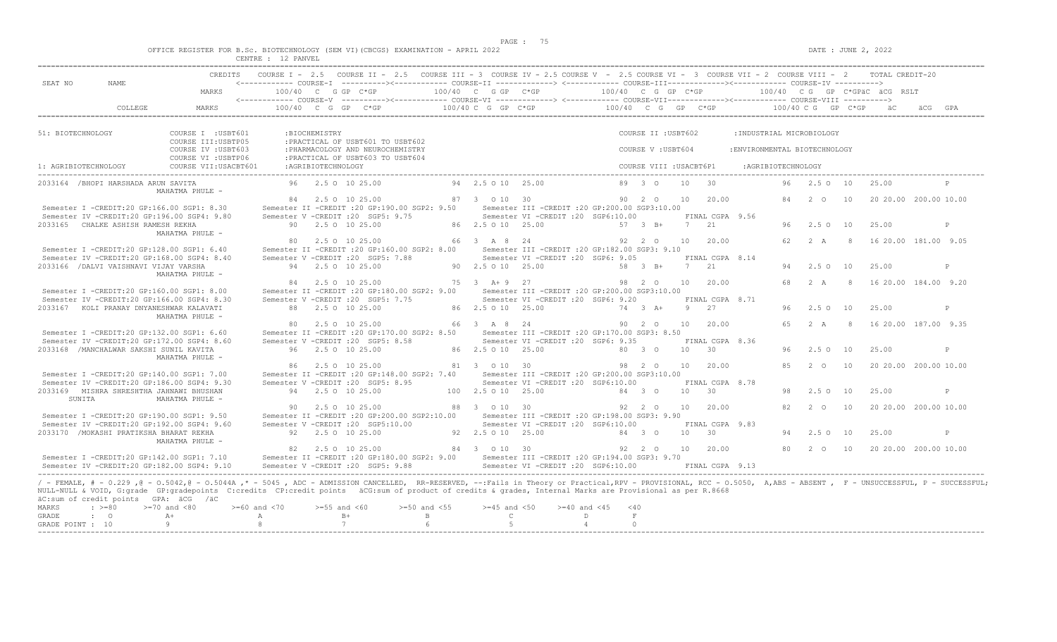|  |  |  |  |  | OFFICE REGISTER FOR B.SC. BIOTECHNOLOGY (SEM VI)(CBCGS) EXAMINATION - APRIL 2022 |  |  |
|--|--|--|--|--|----------------------------------------------------------------------------------|--|--|
|  |  |  |  |  |                                                                                  |  |  |

| SEAT NO<br>NAME                                    | MARKS                                                                                                                                                                                                             | $100/40$ C G GP C*GP |                     | <------------ COURSE-T ----------><----------- COURSE-TT -------------> <------------ COURSE-TTT----------><--------><--------- COURSE-TV ----------> |    | 100/40 C G GP C*GP    |                                                  | 100/40 C G GP C*GP |                         |                 |                 |                               |            |               |         | 100/40 CG GP C*GPÄC ÄCG RSLT |     |              |
|----------------------------------------------------|-------------------------------------------------------------------------------------------------------------------------------------------------------------------------------------------------------------------|----------------------|---------------------|-------------------------------------------------------------------------------------------------------------------------------------------------------|----|-----------------------|--------------------------------------------------|--------------------|-------------------------|-----------------|-----------------|-------------------------------|------------|---------------|---------|------------------------------|-----|--------------|
| COLLEGE                                            | MARKS                                                                                                                                                                                                             | 100/40 C G           |                     | GP<br>$C*GP$                                                                                                                                          |    | 100/40 C G GP C*GP    |                                                  | 100/40 C G         |                         | GP C*GP         |                 |                               | 100/40 C G |               | GP C*GP |                              | äCG | GPA          |
| 51: BIOTECHNOLOGY                                  | COURSE I : USBT601                                                                                                                                                                                                |                      | :BIOCHEMISTRY       |                                                                                                                                                       |    |                       |                                                  |                    | COURSE II : USBT602     |                 |                 | : INDUSTRIAL MICROBIOLOGY     |            |               |         |                              |     |              |
|                                                    | COURSE III: USBTP05                                                                                                                                                                                               |                      |                     | : PRACTICAL OF USBT601 TO USBT602                                                                                                                     |    |                       |                                                  |                    |                         |                 |                 |                               |            |               |         |                              |     |              |
|                                                    | COURSE IV : USBT603                                                                                                                                                                                               |                      |                     | : PHARMACOLOGY AND NEUROCHEMISTRY                                                                                                                     |    |                       |                                                  |                    | COURSE V: USBT604       |                 |                 | : ENVIRONMENTAL BIOTECHNOLOGY |            |               |         |                              |     |              |
|                                                    | COURSE VI : USBTP06                                                                                                                                                                                               |                      |                     | : PRACTICAL OF USBT603 TO USBT604                                                                                                                     |    |                       |                                                  |                    |                         |                 |                 |                               |            |               |         |                              |     |              |
| 1: AGRIBIOTECHNOLOGY                               | COURSE VII: USACBT601                                                                                                                                                                                             |                      | : AGRIBIOTECHNOLOGY |                                                                                                                                                       |    |                       |                                                  |                    | COURSE VIII : USACBT6P1 |                 |                 | :AGRIBIOTECHNOLOGY            |            |               |         |                              |     |              |
| 2033164 /BHOPI HARSHADA ARUN SAVITA                | MAHATMA PHULE -                                                                                                                                                                                                   |                      |                     | 96 2.5 0 10 25.00                                                                                                                                     |    | 94 2.5 0 10 2.5.00    |                                                  |                    | 89 3 0                  | 10              | 30              |                               | 96         | $2.5 \Omega$  | 10      | 25.00                        |     |              |
|                                                    |                                                                                                                                                                                                                   | 84                   |                     | 2.5 0 10 25.00                                                                                                                                        |    | 87 3 0 10 30          |                                                  |                    | 90 2 0                  | 10              | 20.00           |                               | 84         | 2 0           | 10      | 20 20.00 200.00 10.00        |     |              |
| Semester I -CREDIT:20 GP:166.00 SGP1: 8.30         |                                                                                                                                                                                                                   |                      |                     | Semester II -CREDIT : 20 GP:190.00 SGP2: 9.50                                                                                                         |    |                       | Semester III -CREDIT :20 GP:200.00 SGP3:10.00    |                    |                         |                 |                 |                               |            |               |         |                              |     |              |
| Semester IV -CREDIT:20 GP:196.00 SGP4: 9.80        |                                                                                                                                                                                                                   |                      |                     | Semester V -CREDIT : 20 SGP5: 9.75                                                                                                                    |    |                       | Semester VI -CREDIT :20 SGP6:10.00               |                    |                         |                 | FINAL CGPA 9.56 |                               |            |               |         |                              |     |              |
| 2033165 CHALKE ASHISH RAMESH REKHA                 |                                                                                                                                                                                                                   |                      |                     | 90 2.5 0 10 25.00                                                                                                                                     |    | 86 2.5 0 10 25.00     |                                                  |                    | 57 3 B+                 | 7               | 21              |                               | 96         | $2.5^\circ$   | 10      | 25.00                        |     | $\mathbb{P}$ |
|                                                    | MAHATMA PHULE -                                                                                                                                                                                                   |                      |                     |                                                                                                                                                       |    |                       |                                                  |                    |                         |                 |                 |                               |            |               |         |                              |     |              |
|                                                    |                                                                                                                                                                                                                   |                      |                     | 2.5 0 10 25.00                                                                                                                                        |    | 66 3 A 8 24           |                                                  |                    | 92 2 0                  | 10 <sup>1</sup> | 20.00           |                               | 62.        | 2 A           | - 8     | 16 20.00 181.00 9.05         |     |              |
| Semester I -CREDIT:20 GP:128.00 SGP1: 6.40         |                                                                                                                                                                                                                   |                      |                     | Semester II -CREDIT : 20 GP:160.00 SGP2: 8.00                                                                                                         |    |                       | Semester III -CREDIT : 20 GP:182.00 SGP3: 9.10   |                    |                         |                 |                 |                               |            |               |         |                              |     |              |
| Semester IV -CREDIT:20 GP:168.00 SGP4: 8.40        |                                                                                                                                                                                                                   |                      |                     | Semester V -CREDIT : 20 SGP5: 7.88                                                                                                                    |    |                       | Semester VI - CREDIT : 20 SGP6: 9.05             |                    |                         |                 | FINAL CGPA 8.14 |                               |            |               |         |                              |     |              |
| 2033166 / DALVI VAISHNAVI VIJAY VARSHA             |                                                                                                                                                                                                                   |                      |                     | 94 2.5 0 10 25.00                                                                                                                                     |    | 90 2.5 0 10 25.00     |                                                  |                    | 58 3 B+                 | $7\phantom{0}$  | 21              |                               | 94         | 2.5 0         | 10      | 25.00                        |     | P            |
|                                                    | MAHATMA PHULE -                                                                                                                                                                                                   |                      |                     | 84 2.5 0 10 25.00                                                                                                                                     |    | $75 \t3 \tA+9 \t27$   |                                                  |                    | 98 2 0                  | 10              | 20.00           |                               | 68         | 2A            | - 8     | 16 20 00 184 00 9 20         |     |              |
| Semester I -CREDIT:20 GP:160.00 SGP1: 8.00         |                                                                                                                                                                                                                   |                      |                     | Semester II -CREDIT :20 GP:180.00 SGP2: 9.00                                                                                                          |    |                       | Semester III -CREDIT :20 GP:200.00 SGP3:10.00    |                    |                         |                 |                 |                               |            |               |         |                              |     |              |
| Semester IV -CREDIT:20 GP:166.00 SGP4: 8.30        |                                                                                                                                                                                                                   |                      |                     | Semester V -CREDIT : 20 SGP5: 7.75                                                                                                                    |    |                       | Semester VI -CREDIT : 20 SGP6: 9.20              |                    |                         |                 | FINAL CGPA 8.71 |                               |            |               |         |                              |     |              |
| 2033167 KOLI PRANAY DNYANESHWAR KALAVATI           |                                                                                                                                                                                                                   |                      |                     | 88 2.5 0 10 25.00                                                                                                                                     |    | 86 2.5 0 10 25.00     |                                                  |                    | 74 3 A+                 | 9               | 27              |                               | 96         | 2.5 0 10      |         | 25.00                        |     | P            |
|                                                    | MAHATMA PHULE -                                                                                                                                                                                                   |                      |                     |                                                                                                                                                       |    |                       |                                                  |                    |                         |                 |                 |                               |            |               |         |                              |     |              |
|                                                    |                                                                                                                                                                                                                   | 80                   |                     | 2.5 0 10 25.00                                                                                                                                        |    | 66 3 A 8              | 24                                               |                    | 90 2 0                  | 10 <sub>1</sub> | 20.00           |                               | 65         | 2 A           | - 8     | 16 20.00 187.00 9.35         |     |              |
| Semester I -CREDIT:20 GP:132.00 SGP1: 6.60         |                                                                                                                                                                                                                   |                      |                     | Semester II -CREDIT : 20 GP:170.00 SGP2: 8.50                                                                                                         |    |                       | Semester III -CREDIT : 20 GP:170.00 SGP3: 8.50   |                    |                         |                 |                 |                               |            |               |         |                              |     |              |
| Semester IV -CREDIT:20 GP:172.00 SGP4: 8.60        |                                                                                                                                                                                                                   |                      |                     | Semester V -CREDIT : 20 SGP5: 8.58                                                                                                                    |    |                       | Semester VI -CREDIT : 20 SGP6: 9.35              |                    |                         |                 | FINAL CGPA 8.36 |                               |            |               |         |                              |     |              |
| 2033168 /MANCHALWAR SAKSHI SUNIL KAVITA            |                                                                                                                                                                                                                   |                      |                     | 96 2.5 0 10 25.00                                                                                                                                     |    | 86 2.5 0 10 25.00     |                                                  | 80 3 0             |                         | 10              | 30              |                               | 96         | $2.5^\circ$   | 10      | 25.00                        |     | $\mathbb{P}$ |
|                                                    | MAHATMA PHULE -                                                                                                                                                                                                   |                      |                     |                                                                                                                                                       |    |                       |                                                  |                    |                         |                 |                 |                               |            |               |         |                              |     |              |
|                                                    |                                                                                                                                                                                                                   |                      |                     | 86 2.5 0 10 25.00                                                                                                                                     |    | 81 3 0 10 30          |                                                  | 98 2 0             |                         | 10              | 20.00           |                               | 85         | $2^{\circ}$   | 10      | 20 20.00 200.00 10.00        |     |              |
| Semester I -CREDIT:20 GP:140.00 SGP1: 7.00         |                                                                                                                                                                                                                   |                      |                     | Semester II -CREDIT : 20 GP: 148.00 SGP2: 7.40                                                                                                        |    |                       | Semester III -CREDIT :20 GP:200.00 SGP3:10.00    |                    |                         |                 |                 |                               |            |               |         |                              |     |              |
| Semester IV -CREDIT:20 GP:186.00 SGP4: 9.30        |                                                                                                                                                                                                                   |                      |                     | Semester V - CREDIT : 20 SGP5: 8.95                                                                                                                   |    |                       | Semester VI -CREDIT : 20 SGP6:10.00              |                    |                         |                 | FINAL CGPA 8.78 |                               |            |               |         |                              |     |              |
| 2033169 MISHRA SHRESHTHA JAHNAWI BHUSHAN<br>SUNITA | MAHATMA PHULE -                                                                                                                                                                                                   |                      |                     | 94 2.5 0 10 25.00                                                                                                                                     |    | 100 2.5 0 10 25.00    |                                                  |                    | 84 3 0                  | 10 <sup>°</sup> | 30              |                               | 98         | $2.5^\circ$   | 10      | 25.00                        |     | P            |
|                                                    |                                                                                                                                                                                                                   | 90.                  |                     | 2.5 0 10 25.00                                                                                                                                        | 88 | 3 0 10 30             |                                                  |                    | 92 2 0                  | 10 <sub>1</sub> | 20.00           |                               | 82         | $2^{\circ}$ O | 10      | 20 20.00 200.00 10.00        |     |              |
| Semester I -CREDIT:20 GP:190.00 SGP1: 9.50         |                                                                                                                                                                                                                   |                      |                     | Semester II -CREDIT : 20 GP: 200.00 SGP2: 10.00                                                                                                       |    |                       | Semester III -CREDIT :20 GP:198.00 SGP3: 9.90    |                    |                         |                 |                 |                               |            |               |         |                              |     |              |
| Semester IV -CREDIT:20 GP:192.00 SGP4: 9.60        |                                                                                                                                                                                                                   |                      |                     | Semester V -CREDIT :20 SGP5:10.00                                                                                                                     |    |                       | Semester VI -CREDIT : 20 SGP6:10.00              |                    |                         |                 | FINAL CGPA 9.83 |                               |            |               |         |                              |     |              |
| 2033170 / MOKASHI PRATIKSHA BHARAT REKHA           |                                                                                                                                                                                                                   |                      |                     | 92 2.5 0 10 25.00                                                                                                                                     |    | 92  2.5  0  10  25.00 |                                                  | 84 3 0             |                         | 10              | 30              |                               | 94         | $2.5^\circ$   | 10      | 25.00                        |     | $\mathbb{P}$ |
|                                                    | MAHATMA PHULE -                                                                                                                                                                                                   |                      |                     |                                                                                                                                                       |    |                       |                                                  |                    |                         |                 |                 |                               |            |               |         |                              |     |              |
|                                                    |                                                                                                                                                                                                                   |                      |                     | 82 2.5 0 10 25.00                                                                                                                                     |    | 84 3 0 10 30          |                                                  |                    | 92 2 0                  | 10              | 20.00           |                               |            | 80  2  0  10  |         | 20 20.00 200.00 10.00        |     |              |
| Semester I -CREDIT:20 GP:142.00 SGP1: 7.10         |                                                                                                                                                                                                                   |                      |                     | Semester II -CREDIT : 20 GP:180.00 SGP2: 9.00                                                                                                         |    |                       | Semester III - CREDIT : 20 GP: 194.00 SGP3: 9.70 |                    |                         |                 |                 |                               |            |               |         |                              |     |              |
| Semester IV -CREDIT:20 GP:182.00 SGP4: 9.10        |                                                                                                                                                                                                                   |                      |                     | Semester V -CREDIT : 20 SGP5: 9.88                                                                                                                    |    |                       | Semester VI -CREDIT : 20 SGP6:10.00              |                    |                         |                 | FINAL CGPA 9.13 |                               |            |               |         |                              |     |              |
|                                                    |                                                                                                                                                                                                                   |                      |                     |                                                                                                                                                       |    |                       |                                                  |                    |                         |                 |                 |                               |            |               |         |                              |     |              |
|                                                    | / - FEMALE, # - 0.229,0 - 0.5042,0 - 0.5044A,* - 5045, ADC - ADMISSION CANCELLED, RR-RESERVED, --:Fails in Theory or Practical,RPV - PROVISIONAL, RCC - 0.5050, A,ABS - ABSENT, F - UNSUCCESSFUL, P - SUCCESSFUL, |                      |                     |                                                                                                                                                       |    |                       |                                                  |                    |                         |                 |                 |                               |            |               |         |                              |     |              |

| GRADE       |  |  |  |  |
|-------------|--|--|--|--|
| GRADE POINT |  |  |  |  |
|             |  |  |  |  |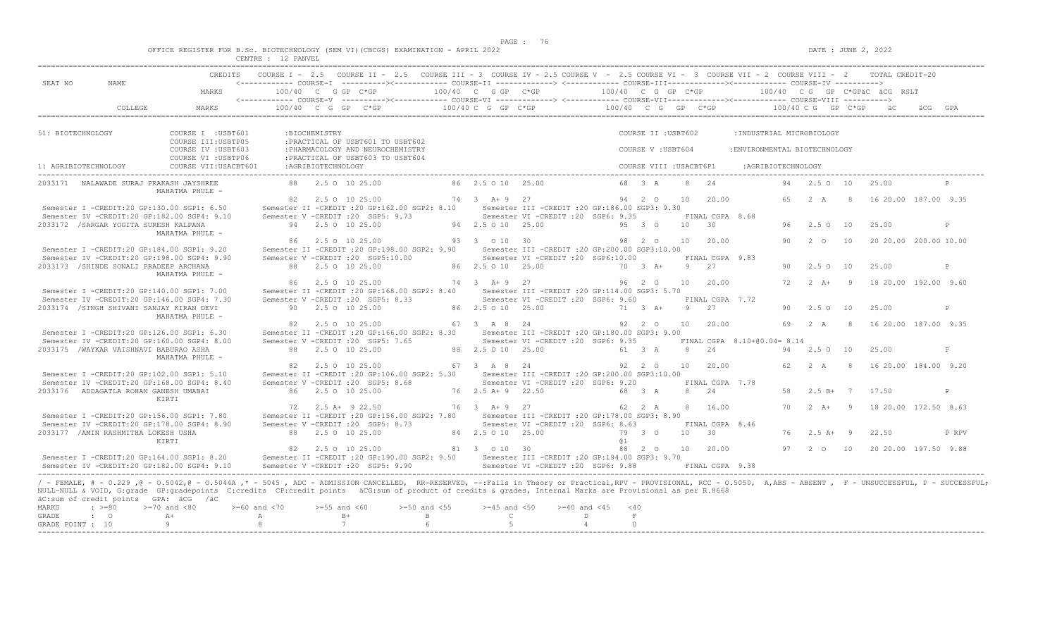$DATA: JUNE 2, 2022$ 

| OFFICE REGISTER FOR B.Sc. BIOTECHNOLOGY (SEM VI)(CBCGS) EXAMINATION - APRIL 2022 |  |                    |  |  |  |  |
|----------------------------------------------------------------------------------|--|--------------------|--|--|--|--|
|                                                                                  |  | CENTRE : 12 PANVEL |  |  |  |  |

| MARKS                                       | <------------ COURSE-I -----------><----------- COURSE-II --------------> <------------ COURSE-III-------------><-----------> COURSE-IV ---------->                                                                                                                                                                                                                                                                                                                                                                                                                                                                                                                                                                                                                                                                                                                                            |                                                                                                                                                                                                                                                        |                                                                                                                                                                                                                                                                                                                                                            | CREDITS COURSE I - 2.5 COURSE II - 2.5 COURSE III - 3 COURSE IV - 2.5 COURSE V - 2.5 COURSE VI - 3 COURSE VII - 2 COURSE VIII - 2 TOTAL CREDIT-20 |                                                                                                                                                                                                                                                 |                                                                                                                                                                                                                                                 |                                                                                                                                                                                                                                                                                                                                                                                                                                                                                                      |                                                                                                                                                                                            |                                                                                                                                            |                                                   |                                                                                    |                                                                                                                           |                                                                                                                                                                                                                 |
|---------------------------------------------|------------------------------------------------------------------------------------------------------------------------------------------------------------------------------------------------------------------------------------------------------------------------------------------------------------------------------------------------------------------------------------------------------------------------------------------------------------------------------------------------------------------------------------------------------------------------------------------------------------------------------------------------------------------------------------------------------------------------------------------------------------------------------------------------------------------------------------------------------------------------------------------------|--------------------------------------------------------------------------------------------------------------------------------------------------------------------------------------------------------------------------------------------------------|------------------------------------------------------------------------------------------------------------------------------------------------------------------------------------------------------------------------------------------------------------------------------------------------------------------------------------------------------------|---------------------------------------------------------------------------------------------------------------------------------------------------|-------------------------------------------------------------------------------------------------------------------------------------------------------------------------------------------------------------------------------------------------|-------------------------------------------------------------------------------------------------------------------------------------------------------------------------------------------------------------------------------------------------|------------------------------------------------------------------------------------------------------------------------------------------------------------------------------------------------------------------------------------------------------------------------------------------------------------------------------------------------------------------------------------------------------------------------------------------------------------------------------------------------------|--------------------------------------------------------------------------------------------------------------------------------------------------------------------------------------------|--------------------------------------------------------------------------------------------------------------------------------------------|---------------------------------------------------|------------------------------------------------------------------------------------|---------------------------------------------------------------------------------------------------------------------------|-----------------------------------------------------------------------------------------------------------------------------------------------------------------------------------------------------------------|
|                                             |                                                                                                                                                                                                                                                                                                                                                                                                                                                                                                                                                                                                                                                                                                                                                                                                                                                                                                |                                                                                                                                                                                                                                                        |                                                                                                                                                                                                                                                                                                                                                            |                                                                                                                                                   |                                                                                                                                                                                                                                                 |                                                                                                                                                                                                                                                 |                                                                                                                                                                                                                                                                                                                                                                                                                                                                                                      |                                                                                                                                                                                            |                                                                                                                                            |                                                   |                                                                                    |                                                                                                                           |                                                                                                                                                                                                                 |
|                                             |                                                                                                                                                                                                                                                                                                                                                                                                                                                                                                                                                                                                                                                                                                                                                                                                                                                                                                |                                                                                                                                                                                                                                                        |                                                                                                                                                                                                                                                                                                                                                            |                                                                                                                                                   |                                                                                                                                                                                                                                                 |                                                                                                                                                                                                                                                 |                                                                                                                                                                                                                                                                                                                                                                                                                                                                                                      |                                                                                                                                                                                            |                                                                                                                                            |                                                   |                                                                                    |                                                                                                                           |                                                                                                                                                                                                                 |
| <b>MARKS</b>                                | 100/40 C G GP C*GP $100/40$ C G GP C*GP $100/40$ C G GP C*GP $100/40$ C G GP C*GP $100/40$ C G GP C*GP aC $GPA$                                                                                                                                                                                                                                                                                                                                                                                                                                                                                                                                                                                                                                                                                                                                                                                |                                                                                                                                                                                                                                                        |                                                                                                                                                                                                                                                                                                                                                            |                                                                                                                                                   |                                                                                                                                                                                                                                                 |                                                                                                                                                                                                                                                 |                                                                                                                                                                                                                                                                                                                                                                                                                                                                                                      |                                                                                                                                                                                            |                                                                                                                                            |                                                   |                                                                                    |                                                                                                                           |                                                                                                                                                                                                                 |
| COURSE I : USBT601                          |                                                                                                                                                                                                                                                                                                                                                                                                                                                                                                                                                                                                                                                                                                                                                                                                                                                                                                |                                                                                                                                                                                                                                                        |                                                                                                                                                                                                                                                                                                                                                            |                                                                                                                                                   |                                                                                                                                                                                                                                                 |                                                                                                                                                                                                                                                 |                                                                                                                                                                                                                                                                                                                                                                                                                                                                                                      |                                                                                                                                                                                            |                                                                                                                                            |                                                   |                                                                                    |                                                                                                                           |                                                                                                                                                                                                                 |
|                                             |                                                                                                                                                                                                                                                                                                                                                                                                                                                                                                                                                                                                                                                                                                                                                                                                                                                                                                |                                                                                                                                                                                                                                                        |                                                                                                                                                                                                                                                                                                                                                            |                                                                                                                                                   |                                                                                                                                                                                                                                                 |                                                                                                                                                                                                                                                 |                                                                                                                                                                                                                                                                                                                                                                                                                                                                                                      |                                                                                                                                                                                            |                                                                                                                                            |                                                   |                                                                                    |                                                                                                                           |                                                                                                                                                                                                                 |
|                                             |                                                                                                                                                                                                                                                                                                                                                                                                                                                                                                                                                                                                                                                                                                                                                                                                                                                                                                |                                                                                                                                                                                                                                                        |                                                                                                                                                                                                                                                                                                                                                            |                                                                                                                                                   |                                                                                                                                                                                                                                                 |                                                                                                                                                                                                                                                 |                                                                                                                                                                                                                                                                                                                                                                                                                                                                                                      |                                                                                                                                                                                            |                                                                                                                                            |                                                   |                                                                                    |                                                                                                                           |                                                                                                                                                                                                                 |
|                                             |                                                                                                                                                                                                                                                                                                                                                                                                                                                                                                                                                                                                                                                                                                                                                                                                                                                                                                |                                                                                                                                                                                                                                                        |                                                                                                                                                                                                                                                                                                                                                            |                                                                                                                                                   |                                                                                                                                                                                                                                                 |                                                                                                                                                                                                                                                 |                                                                                                                                                                                                                                                                                                                                                                                                                                                                                                      |                                                                                                                                                                                            |                                                                                                                                            |                                                   |                                                                                    |                                                                                                                           | P                                                                                                                                                                                                               |
|                                             |                                                                                                                                                                                                                                                                                                                                                                                                                                                                                                                                                                                                                                                                                                                                                                                                                                                                                                |                                                                                                                                                                                                                                                        |                                                                                                                                                                                                                                                                                                                                                            |                                                                                                                                                   |                                                                                                                                                                                                                                                 |                                                                                                                                                                                                                                                 |                                                                                                                                                                                                                                                                                                                                                                                                                                                                                                      |                                                                                                                                                                                            |                                                                                                                                            |                                                   |                                                                                    |                                                                                                                           |                                                                                                                                                                                                                 |
|                                             |                                                                                                                                                                                                                                                                                                                                                                                                                                                                                                                                                                                                                                                                                                                                                                                                                                                                                                |                                                                                                                                                                                                                                                        |                                                                                                                                                                                                                                                                                                                                                            |                                                                                                                                                   |                                                                                                                                                                                                                                                 |                                                                                                                                                                                                                                                 |                                                                                                                                                                                                                                                                                                                                                                                                                                                                                                      |                                                                                                                                                                                            |                                                                                                                                            |                                                   | 25.00                                                                              |                                                                                                                           | P                                                                                                                                                                                                               |
|                                             |                                                                                                                                                                                                                                                                                                                                                                                                                                                                                                                                                                                                                                                                                                                                                                                                                                                                                                |                                                                                                                                                                                                                                                        |                                                                                                                                                                                                                                                                                                                                                            |                                                                                                                                                   |                                                                                                                                                                                                                                                 |                                                                                                                                                                                                                                                 |                                                                                                                                                                                                                                                                                                                                                                                                                                                                                                      |                                                                                                                                                                                            |                                                                                                                                            |                                                   |                                                                                    |                                                                                                                           |                                                                                                                                                                                                                 |
|                                             |                                                                                                                                                                                                                                                                                                                                                                                                                                                                                                                                                                                                                                                                                                                                                                                                                                                                                                |                                                                                                                                                                                                                                                        |                                                                                                                                                                                                                                                                                                                                                            |                                                                                                                                                   |                                                                                                                                                                                                                                                 |                                                                                                                                                                                                                                                 |                                                                                                                                                                                                                                                                                                                                                                                                                                                                                                      |                                                                                                                                                                                            |                                                                                                                                            |                                                   | 25.00                                                                              |                                                                                                                           | P                                                                                                                                                                                                               |
|                                             |                                                                                                                                                                                                                                                                                                                                                                                                                                                                                                                                                                                                                                                                                                                                                                                                                                                                                                |                                                                                                                                                                                                                                                        |                                                                                                                                                                                                                                                                                                                                                            |                                                                                                                                                   |                                                                                                                                                                                                                                                 |                                                                                                                                                                                                                                                 |                                                                                                                                                                                                                                                                                                                                                                                                                                                                                                      |                                                                                                                                                                                            |                                                                                                                                            |                                                   |                                                                                    |                                                                                                                           |                                                                                                                                                                                                                 |
|                                             |                                                                                                                                                                                                                                                                                                                                                                                                                                                                                                                                                                                                                                                                                                                                                                                                                                                                                                |                                                                                                                                                                                                                                                        |                                                                                                                                                                                                                                                                                                                                                            |                                                                                                                                                   |                                                                                                                                                                                                                                                 |                                                                                                                                                                                                                                                 |                                                                                                                                                                                                                                                                                                                                                                                                                                                                                                      |                                                                                                                                                                                            |                                                                                                                                            |                                                   |                                                                                    |                                                                                                                           | P                                                                                                                                                                                                               |
|                                             |                                                                                                                                                                                                                                                                                                                                                                                                                                                                                                                                                                                                                                                                                                                                                                                                                                                                                                |                                                                                                                                                                                                                                                        |                                                                                                                                                                                                                                                                                                                                                            |                                                                                                                                                   |                                                                                                                                                                                                                                                 |                                                                                                                                                                                                                                                 |                                                                                                                                                                                                                                                                                                                                                                                                                                                                                                      |                                                                                                                                                                                            |                                                                                                                                            |                                                   |                                                                                    |                                                                                                                           |                                                                                                                                                                                                                 |
|                                             |                                                                                                                                                                                                                                                                                                                                                                                                                                                                                                                                                                                                                                                                                                                                                                                                                                                                                                |                                                                                                                                                                                                                                                        |                                                                                                                                                                                                                                                                                                                                                            |                                                                                                                                                   |                                                                                                                                                                                                                                                 |                                                                                                                                                                                                                                                 |                                                                                                                                                                                                                                                                                                                                                                                                                                                                                                      |                                                                                                                                                                                            |                                                                                                                                            |                                                   |                                                                                    |                                                                                                                           |                                                                                                                                                                                                                 |
|                                             |                                                                                                                                                                                                                                                                                                                                                                                                                                                                                                                                                                                                                                                                                                                                                                                                                                                                                                |                                                                                                                                                                                                                                                        |                                                                                                                                                                                                                                                                                                                                                            |                                                                                                                                                   |                                                                                                                                                                                                                                                 |                                                                                                                                                                                                                                                 |                                                                                                                                                                                                                                                                                                                                                                                                                                                                                                      |                                                                                                                                                                                            |                                                                                                                                            |                                                   |                                                                                    |                                                                                                                           | P                                                                                                                                                                                                               |
|                                             |                                                                                                                                                                                                                                                                                                                                                                                                                                                                                                                                                                                                                                                                                                                                                                                                                                                                                                |                                                                                                                                                                                                                                                        |                                                                                                                                                                                                                                                                                                                                                            |                                                                                                                                                   |                                                                                                                                                                                                                                                 |                                                                                                                                                                                                                                                 |                                                                                                                                                                                                                                                                                                                                                                                                                                                                                                      |                                                                                                                                                                                            |                                                                                                                                            |                                                   |                                                                                    |                                                                                                                           |                                                                                                                                                                                                                 |
|                                             |                                                                                                                                                                                                                                                                                                                                                                                                                                                                                                                                                                                                                                                                                                                                                                                                                                                                                                |                                                                                                                                                                                                                                                        |                                                                                                                                                                                                                                                                                                                                                            |                                                                                                                                                   |                                                                                                                                                                                                                                                 |                                                                                                                                                                                                                                                 |                                                                                                                                                                                                                                                                                                                                                                                                                                                                                                      |                                                                                                                                                                                            |                                                                                                                                            |                                                   | 17.50                                                                              |                                                                                                                           | P                                                                                                                                                                                                               |
| Semester I -CREDIT:20 GP:156.00 SGP1: 7.80  | Semester II -CREDIT : 20 GP: 156.00 SGP2: 7.80<br>Semester V -CREDIT : 20 SGP5: 8.73                                                                                                                                                                                                                                                                                                                                                                                                                                                                                                                                                                                                                                                                                                                                                                                                           |                                                                                                                                                                                                                                                        |                                                                                                                                                                                                                                                                                                                                                            | Semester III - CREDIT : 20 GP: 178.00 SGP3: 8.90<br>Semester VI - CREDIT : 20 SGP6: 8.63                                                          |                                                                                                                                                                                                                                                 |                                                                                                                                                                                                                                                 |                                                                                                                                                                                                                                                                                                                                                                                                                                                                                                      |                                                                                                                                                                                            |                                                                                                                                            |                                                   |                                                                                    |                                                                                                                           |                                                                                                                                                                                                                 |
|                                             |                                                                                                                                                                                                                                                                                                                                                                                                                                                                                                                                                                                                                                                                                                                                                                                                                                                                                                |                                                                                                                                                                                                                                                        |                                                                                                                                                                                                                                                                                                                                                            |                                                                                                                                                   | @ 1                                                                                                                                                                                                                                             | 10 30                                                                                                                                                                                                                                           | FINAL CGPA 8.46                                                                                                                                                                                                                                                                                                                                                                                                                                                                                      |                                                                                                                                                                                            | $76$ $2.5$ $A+$ 9                                                                                                                          |                                                   | 22.50                                                                              |                                                                                                                           | P RPV                                                                                                                                                                                                           |
| Semester IV -CREDIT:20 GP:178.00 SGP4: 8.90 | 88 2.5 0 10 25.00                                                                                                                                                                                                                                                                                                                                                                                                                                                                                                                                                                                                                                                                                                                                                                                                                                                                              |                                                                                                                                                                                                                                                        |                                                                                                                                                                                                                                                                                                                                                            | 81 3 0 10 30                                                                                                                                      |                                                                                                                                                                                                                                                 |                                                                                                                                                                                                                                                 | 88  2  0  10  20.00                                                                                                                                                                                                                                                                                                                                                                                                                                                                                  |                                                                                                                                                                                            |                                                                                                                                            |                                                   | 97   2   0   10   20   20   00   197.50   9.88                                     |                                                                                                                           |                                                                                                                                                                                                                 |
| 2033172 / SARGAR YOGITA SURESH KALPANA      | COURSE III: USBTP05<br>COURSE IV : USBT603<br>COURSE VI : USBTP06<br>COURSE VII: USACBT601<br>2033171 NALAWADE SURAJ PRAKASH JAYSHREE<br>MAHATMA PHULE -<br>Semester I -CREDIT:20 GP:130.00 SGP1: 6.50<br>Semester IV -CREDIT:20 GP:182.00 SGP4: 9.10<br>MAHATMA PHULE -<br>Semester I -CREDIT:20 GP:184.00 SGP1: 9.20<br>Semester IV -CREDIT:20 GP:198.00 SGP4: 9.90<br>2033173 /SHINDE SONALI PRADEEP ARCHANA<br>MAHATMA PHULE -<br>Semester I -CREDIT:20 GP:140.00 SGP1: 7.00<br>Semester IV -CREDIT:20 GP:146.00 SGP4: 7.30<br>2033174 /SINGH SHIVANI SANJAY KIRAN DEVI<br>MAHATMA PHULE -<br>Semester I -CREDIT:20 GP:126.00 SGP1: 6.30<br>Semester IV -CREDIT:20 GP:160.00 SGP4: 8.00<br>2033175 /WAYKAR VAISHNAVI BABURAO ASHA<br>MAHATMA PHULE -<br>Semester I -CREDIT:20 GP:102.00 SGP1: 5.10<br>Semester IV -CREDIT:20 GP:168.00 SGP4: 8.40<br>2033176 ADDAGATLA ROHAN GANESH UMABAI | :BIOCHEMISTRY<br>:AGRIBIOTECHNOLOGY<br>94 2.5 0 10 25.00<br>86 2.5 0 10 25.00<br>88 2.5 0 10 25.00<br>86 2.5 0 10 25.00<br>90 2.5 0 10 25.00<br>82 2.5 0 10 25.00<br>88 2.5 0 10 25.00<br>82 2.5 0 10 25.00<br>86 2.5 0 10 25.00<br>72 2.5 A + 9 22.50 | :PRACTICAL OF USBT601 TO USBT602<br>: PHARMACOLOGY AND NEUROCHEMISTRY<br>:PRACTICAL OF USBT603 TO USBT604<br>Semester V -CREDIT : 20 SGP5: 9.73<br>Semester V -CREDIT : 20 SGP5:10.00<br>Semester II -CREDIT : 20 GP: 168.00 SGP2: 8.40<br>Semester V - CREDIT : 20 SGP5: 8.33<br>Semester V -CREDIT : 20 SGP5: 7.65<br>Semester V -CREDIT : 20 SGP5: 8.68 |                                                                                                                                                   | 88  2.5  0  10  25.00  86  2.5  0  10  25.00<br>94 2.5 0 10 25.00<br>93 3 0 10 30<br>86 2.5 0 10 25.00<br>$74$ 3 $\lambda + 9$ 27<br>86 2.5 0 10 25.00<br>67 3 A 8 24<br>88 2.5 0 10 25.00<br>67 3 A 8 24<br>76 2.5 A + 9 22.50<br>76 3 A+ 9 27 | Semester VI -CREDIT : 20 SGP6: 9.35<br>5 3 4 9 5 3 0<br>Semester VI -CREDIT : 20 SGP6:10.00<br>Semester VI -CREDIT : 20 SGP6: 9.60<br>71 3 A+<br>Semester VI -CREDIT : 20 SGP6: 9.35<br>61 3 A<br>Semester VI -CREDIT : 20 SGP6: 9.20<br>68 3 A | COURSE II : USBT602<br>COURSE V: USBT604<br>Semester II -CREDIT : 20 GP:162.00 SGP2: 8.10 Semester III -CREDIT : 20 GP:186.00 SGP3: 9.30<br>Semester II -CREDIT : 20 GP:198.00 SGP2: 9.90 Semester III -CREDIT : 20 GP:200.00 SGP3:10.00<br>Semester III -CREDIT : 20 GP:114.00 SGP3: 5.70<br>Semester II -CREDIT : 20 GP:166.00 SGP2: 8.30 Semester III -CREDIT : 20 GP:180.00 SGP3: 9.00<br>Semester II -CREDIT : 20 GP:106.00 SGP2: 5.30 Semester III -CREDIT : 20 GP:200.00 SGP3:10.00<br>62 2 A | COURSE VIII : USACBT6P1<br>68 3 A 8 24<br>10 30<br>98  2  0  10  20.00<br>70 3 A+ 9 27<br>96 2 0 10 20.00<br>9 27<br>92  2  0  10  20.00<br>8 24<br>92  2  0  10  20.00<br>8 24<br>8 16.00 | 82  2.5  0  10  25.00   74  3  A+  9  27   94  2  0  10  20.00<br>FINAL CGPA 8.68<br>FINAL CGPA 9.83<br>FINAL CGPA 7.72<br>FINAL CGPA 7.78 | :AGRIBIOTECHNOLOGY<br>FINAL CGPA 8.10+00.04= 8.14 | : INDUSTRIAL MICROBIOLOGY<br>:ENVIRONMENTAL BIOTECHNOLOGY<br>96 2.5 0 10<br>90 2 0 | 94  2.5  0  10  25.00<br>10<br>90 2.5 0 10<br>25.00<br>90 2.5 0 10<br>94  2.5  0  10  25.00<br>62  2  A  8<br>58 2.5 B+ 7 | 65  2  A  8  16  20.00  187.00  9.35<br>20 20.00 200.00 10.00<br>72   2   A+   9   18   20.00   192.00   9.60<br>69 2 A 8 16 20 00 187 00 9 35<br>16 20.00 184.00 9.20<br>70  2  A+  9  18  20.00  172.50  8.63 |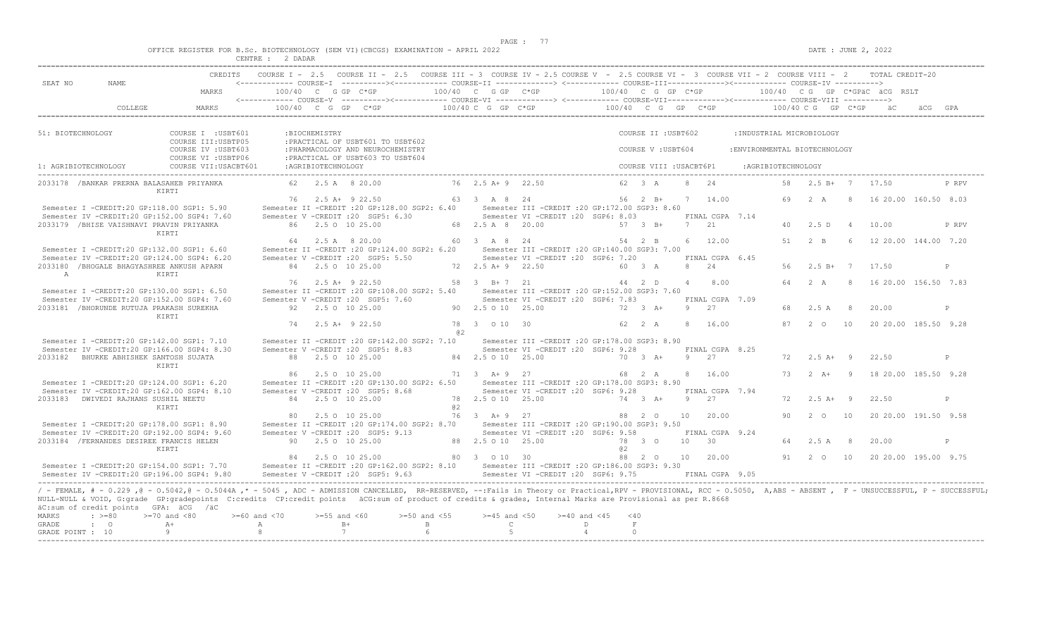|  |  |          |         |  | OFFICE REGISTER FOR B.Sc. BIOTECHNOLOGY (SEM VI)(CBCGS) EXAMINATION - APRIL 2022 |  |  |
|--|--|----------|---------|--|----------------------------------------------------------------------------------|--|--|
|  |  | CENTRE : | 2 DADAR |  |                                                                                  |  |  |

| SEAT NO<br>NAME.                                                                                                                                                                                                                                                                                                                                                                                                            |                                                                   |                     |                    | CREDITS COURSE I - 2.5 COURSE II - 2.5 COURSE III - 3 COURSE IV - 2.5 COURSE V - 2.5 COURSE VI - 3 COURSE VII - 2 COURSE VIII - 2 TOTAL CREDIT-20<br><------------ COURSE-T ----------><------------ COURSE-TT -------------> <------------ COURSE-TTT------------><------------- COURSE-TV ----------> |                             |                       |                                                                       |                |               |                     |                         |                               |                      |                |                                                |       |
|-----------------------------------------------------------------------------------------------------------------------------------------------------------------------------------------------------------------------------------------------------------------------------------------------------------------------------------------------------------------------------------------------------------------------------|-------------------------------------------------------------------|---------------------|--------------------|---------------------------------------------------------------------------------------------------------------------------------------------------------------------------------------------------------------------------------------------------------------------------------------------------------|-----------------------------|-----------------------|-----------------------------------------------------------------------|----------------|---------------|---------------------|-------------------------|-------------------------------|----------------------|----------------|------------------------------------------------|-------|
|                                                                                                                                                                                                                                                                                                                                                                                                                             | MARKS                                                             |                     |                    |                                                                                                                                                                                                                                                                                                         |                             |                       |                                                                       |                |               |                     |                         |                               |                      |                |                                                |       |
|                                                                                                                                                                                                                                                                                                                                                                                                                             |                                                                   |                     |                    |                                                                                                                                                                                                                                                                                                         |                             |                       |                                                                       |                |               |                     |                         |                               |                      |                |                                                |       |
|                                                                                                                                                                                                                                                                                                                                                                                                                             |                                                                   |                     |                    |                                                                                                                                                                                                                                                                                                         |                             |                       |                                                                       |                |               |                     |                         |                               |                      |                |                                                |       |
| 51: BIOTECHNOLOGY                                                                                                                                                                                                                                                                                                                                                                                                           | COURSE I : USBT601                                                |                     | :BIOCHEMISTRY      |                                                                                                                                                                                                                                                                                                         |                             |                       |                                                                       |                |               | COURSE II : USBT602 |                         | : INDUSTRIAL MICROBIOLOGY     |                      |                |                                                |       |
|                                                                                                                                                                                                                                                                                                                                                                                                                             | COURSE III: USBTP05<br>COURSE IV : USBT603<br>COURSE VI : USBTP06 |                     |                    | : PRACTICAL OF USBT601 TO USBT602<br>: PHARMACOLOGY AND NEUROCHEMISTRY                                                                                                                                                                                                                                  |                             |                       |                                                                       |                |               | COURSE V: USBT604   |                         | : ENVIRONMENTAL BIOTECHNOLOGY |                      |                |                                                |       |
| 1: AGRIBIOTECHNOLOGY                                                                                                                                                                                                                                                                                                                                                                                                        | COURSE VII:USACBT601                                              |                     | :AGRIBIOTECHNOLOGY | : PRACTICAL OF USBT603 TO USBT604                                                                                                                                                                                                                                                                       |                             |                       |                                                                       |                |               |                     | COURSE VIII : USACBT6P1 | :AGRIBIOTECHNOLOGY            |                      |                |                                                |       |
| 2033178 /BANKAR PRERNA BALASAHEB PRIYANKA                                                                                                                                                                                                                                                                                                                                                                                   |                                                                   |                     | 62 2.5 A 8 20.00   |                                                                                                                                                                                                                                                                                                         |                             | 76 2.5 A + 9 22.50    |                                                                       |                |               | 62 3 A              | 8 24                    |                               | 58  2.5 B+  7  17.50 |                |                                                | P RPV |
|                                                                                                                                                                                                                                                                                                                                                                                                                             | KIRTI                                                             |                     |                    | 76 2.5 A + 9 22.50                                                                                                                                                                                                                                                                                      |                             | 63 3 A 8 24           |                                                                       |                |               |                     | 56 2 B+ 7 14.00         |                               |                      |                | 69  2  A  8  16  20.00  160.50  8.03           |       |
| Semester I -CREDIT:20 GP:118.00 SGP1: 5.90                                                                                                                                                                                                                                                                                                                                                                                  |                                                                   |                     |                    | Semester II -CREDIT : 20 GP: 128.00 SGP2: 6.40                                                                                                                                                                                                                                                          |                             |                       | Semester III -CREDIT :20 GP:172.00 SGP3: 8.60                         |                |               |                     |                         |                               |                      |                |                                                |       |
| Semester IV -CREDIT:20 GP:152.00 SGP4: 7.60                                                                                                                                                                                                                                                                                                                                                                                 |                                                                   |                     |                    | Semester V -CREDIT : 20 SGP5: 6.30                                                                                                                                                                                                                                                                      |                             |                       | Semester VI - CREDIT : 20 SGP6: 8.03                                  |                |               |                     | FINAL CGPA 7.14         |                               |                      |                |                                                |       |
| 2033179 /BHISE VAISHNAVI PRAVIN PRIYANKA                                                                                                                                                                                                                                                                                                                                                                                    | KIRTI                                                             |                     | 86 2.5 0 10 25.00  |                                                                                                                                                                                                                                                                                                         |                             |                       | 68  2.5  A   8  20.00   57  3  B+                                     |                |               |                     | 7 21                    | 40                            | 2.5 D                | $\overline{4}$ | 10.00                                          | P RPV |
|                                                                                                                                                                                                                                                                                                                                                                                                                             |                                                                   |                     |                    | 64 2.5 A 8 20.00                                                                                                                                                                                                                                                                                        |                             | 60 3 A 8 24           |                                                                       |                |               | 54 2 B              | 6 12.00                 |                               |                      |                | 51 2 B 6 12 20.00 144.00 7.20                  |       |
| Semester I -CREDIT:20 GP:132.00 SGP1: 6.60                                                                                                                                                                                                                                                                                                                                                                                  |                                                                   |                     |                    | Semester II -CREDIT :20 GP:124.00 SGP2: 6.20 Semester III -CREDIT :20 GP:140.00 SGP3: 7.00                                                                                                                                                                                                              |                             |                       |                                                                       |                |               |                     |                         |                               |                      |                |                                                |       |
| Semester IV -CREDIT:20 GP:124.00 SGP4: 6.20<br>2033180 / BHOGALE BHAGYASHREE ANKUSH APARN                                                                                                                                                                                                                                                                                                                                   |                                                                   |                     | 84 2.5 0 10 25.00  | Semester V -CREDIT : 20 SGP5: 5.50                                                                                                                                                                                                                                                                      |                             |                       | Semester VI -CREDIT : 20 SGP6: 7.20<br>72  2.5 A + 9  22.50  60  3  A |                |               |                     | FINAL CGPA 6.45<br>8 24 | 56                            | 2.5 B+ 7 17.50       |                |                                                | P     |
| A                                                                                                                                                                                                                                                                                                                                                                                                                           | <b>KTRTT</b>                                                      |                     |                    |                                                                                                                                                                                                                                                                                                         |                             |                       |                                                                       |                |               |                     |                         |                               |                      |                |                                                |       |
|                                                                                                                                                                                                                                                                                                                                                                                                                             |                                                                   |                     | 76 2.5 A+ 9 22.50  |                                                                                                                                                                                                                                                                                                         |                             | 58 3 B+7 21           |                                                                       | $44$ 2 D       |               |                     | 4 8.00                  |                               |                      |                | 64  2  A  8  16  20  00  156  50  7.83         |       |
| Semester I -CREDIT:20 GP:130.00 SGP1: 6.50<br>Semester IV -CREDIT:20 GP:152.00 SGP4: 7.60                                                                                                                                                                                                                                                                                                                                   |                                                                   |                     |                    | Semester II -CREDIT : 20 GP:108.00 SGP2: 5.40 Semester III -CREDIT : 20 GP:152.00 SGP3: 7.60<br>Semester V -CREDIT : 20 SGP5: 7.60                                                                                                                                                                      |                             |                       | Semester VI - CREDIT : 20 SGP6: 7.83                                  |                |               |                     | FINAL CGPA 7.09         |                               |                      |                |                                                |       |
| 2033181 / BHORUNDE RUTUJA PRAKASH SUREKHA                                                                                                                                                                                                                                                                                                                                                                                   |                                                                   |                     | 92 2.5 0 10 25.00  |                                                                                                                                                                                                                                                                                                         | 90 2.5 0 10 25.00           |                       |                                                                       | 72 3 A+        |               |                     | 9 27                    | 68                            | 2.5A                 | 8 <sup>8</sup> | 20.00                                          | P     |
|                                                                                                                                                                                                                                                                                                                                                                                                                             | KIRTI                                                             |                     |                    |                                                                                                                                                                                                                                                                                                         |                             |                       |                                                                       |                |               |                     |                         |                               |                      |                |                                                |       |
|                                                                                                                                                                                                                                                                                                                                                                                                                             |                                                                   |                     | 74 2.5 A+ 9 22.50  |                                                                                                                                                                                                                                                                                                         | 82.                         | 78 3 0 10 30          |                                                                       |                | 62 2 A        |                     | 8 16.00                 |                               |                      |                | 87   2   0   10   20   20   00   185.50   9.28 |       |
| Semester I -CREDIT:20 GP:142.00 SGP1: 7.10                                                                                                                                                                                                                                                                                                                                                                                  |                                                                   |                     |                    | Semester II -CREDIT : 20 GP:142.00 SGP2: 7.10 Semester III -CREDIT : 20 GP:178.00 SGP3: 8.90                                                                                                                                                                                                            |                             |                       |                                                                       |                |               |                     |                         |                               |                      |                |                                                |       |
| Semester IV -CREDIT:20 GP:166.00 SGP4: 8.30                                                                                                                                                                                                                                                                                                                                                                                 |                                                                   |                     |                    | Semester V -CREDIT : 20 SGP5: 8.83                                                                                                                                                                                                                                                                      |                             |                       | Semester VI -CREDIT : 20 SGP6: 9.28                                   |                |               |                     | FINAL CGPA 8.25         |                               |                      |                |                                                |       |
| 2033182 BHURKE ABHISHEK SANTOSH SUJATA                                                                                                                                                                                                                                                                                                                                                                                      |                                                                   |                     | 88 2.5 0 10 25.00  |                                                                                                                                                                                                                                                                                                         |                             | 84  2.5  0  10  25.00 |                                                                       |                |               | 70 3 A+             | 9 27                    |                               | $72 \t 2.5 \t A+ 9$  |                | 22.50                                          | P     |
|                                                                                                                                                                                                                                                                                                                                                                                                                             | KIRTI                                                             |                     |                    | 86  2.5  0  10  25.00   71  3  A+   9  27   68  2  A                                                                                                                                                                                                                                                    |                             |                       |                                                                       |                |               |                     | 8 16.00                 |                               |                      |                | 73   2   A+   9   18   20.00   185.50   9.28   |       |
| Semester I -CREDIT:20 GP:124.00 SGP1: 6.20                                                                                                                                                                                                                                                                                                                                                                                  |                                                                   |                     |                    | Semester II -CREDIT :20 GP:130.00 SGP2: 6.50 Semester III -CREDIT :20 GP:178.00 SGP3: 8.90                                                                                                                                                                                                              |                             |                       |                                                                       |                |               |                     |                         |                               |                      |                |                                                |       |
| Semester IV -CREDIT:20 GP:162.00 SGP4: 8.10                                                                                                                                                                                                                                                                                                                                                                                 |                                                                   |                     |                    | Semester V -CREDIT : 20 SGP5: 8.68                                                                                                                                                                                                                                                                      |                             |                       | Semester VI - CREDIT : 20 SGP6: 9.28                                  |                |               |                     | FINAL CGPA 7.94         |                               |                      |                |                                                |       |
| 2033183 DWIVEDI RAJHANS SUSHIL NEETU                                                                                                                                                                                                                                                                                                                                                                                        |                                                                   |                     | 84 2.5 0 10 25.00  |                                                                                                                                                                                                                                                                                                         | a2                          |                       | 78  2.5  0  10  25.00  74  3  A+                                      |                |               |                     | 9 27                    |                               | $72 \t 2.5 \t A+ 9$  |                | 22.50                                          | P     |
|                                                                                                                                                                                                                                                                                                                                                                                                                             | KIRTI                                                             |                     | 80 2.5 0 10 25.00  |                                                                                                                                                                                                                                                                                                         |                             |                       | 76 3 A+9 27 388 2 0 10 20.00                                          |                |               |                     |                         | 90                            | $2\degree$ 0         | 10             | 20 20.00 191.50 9.58                           |       |
| Semester I -CREDIT:20 GP:178.00 SGP1: 8.90                                                                                                                                                                                                                                                                                                                                                                                  |                                                                   |                     |                    | Semester II -CREDIT :20 GP:174.00 SGP2: 8.70 Semester III -CREDIT :20 GP:190.00 SGP3: 9.50                                                                                                                                                                                                              |                             |                       |                                                                       |                |               |                     |                         |                               |                      |                |                                                |       |
| Semester IV -CREDIT:20 GP:192.00 SGP4: 9.60                                                                                                                                                                                                                                                                                                                                                                                 |                                                                   |                     |                    | Semester V -CREDIT : 20 SGP5: 9.13                                                                                                                                                                                                                                                                      |                             |                       | Semester VI - CREDIT : 20 SGP6: 9.58                                  |                |               |                     | FINAL CGPA 9.24         |                               |                      |                |                                                |       |
| 2033184 / FERNANDES DESIREE FRANCIS HELEN                                                                                                                                                                                                                                                                                                                                                                                   | KIRTI                                                             |                     | 90 2.5 0 10 25.00  |                                                                                                                                                                                                                                                                                                         |                             | 88 2.5 0 10 25.00     |                                                                       |                | <b>Q2</b>     |                     | 78 3 0 10 30            |                               | 64 2.5 A 8           |                | 20.00                                          | P     |
|                                                                                                                                                                                                                                                                                                                                                                                                                             |                                                                   |                     | 84 2.5 0 10 25.00  |                                                                                                                                                                                                                                                                                                         | 80 3 0 10 30                |                       |                                                                       |                |               |                     | 88  2  0  10  20.00     |                               |                      |                | 91  2  0  10  20  20  00  195.00  9.75         |       |
| Semester I -CREDIT:20 GP:154.00 SGP1: 7.70                                                                                                                                                                                                                                                                                                                                                                                  |                                                                   |                     |                    | Semester II -CREDIT :20 GP:162.00 SGP2: 8.10 Semester III -CREDIT :20 GP:186.00 SGP3: 9.30                                                                                                                                                                                                              |                             |                       |                                                                       |                |               |                     |                         |                               |                      |                |                                                |       |
| Semester IV -CREDIT:20 GP:196.00 SGP4: 9.80                                                                                                                                                                                                                                                                                                                                                                                 |                                                                   |                     |                    | Semester V -CREDIT :20 SGP5: 9.63 Semester VI -CREDIT :20 SGP6: 9.75 FINAL CGPA 9.05                                                                                                                                                                                                                    |                             |                       |                                                                       |                |               |                     |                         |                               |                      |                |                                                |       |
| / - FEMALE, # - 0.229, @ - 0.5042, @ - 0.5044A, * - 5045, ADC - ADMISSION CANCELLED, RR-RESERVED, --: Fails in Theory or Practical, RPV - PROVISIONAL, RCC - 0.5050, A, ABS - ABSENT, F - UNSUCCESSFUL, P - SUCCESSFUL;<br>NULL-NULL & VOID, G:grade GP:gradepoints C:credits CP:credit points äCG:sum of product of credits & grades, Internal Marks are Provisional as per R.8668<br>äC:sum of credit points GPA: äCG /äC |                                                                   |                     |                    |                                                                                                                                                                                                                                                                                                         |                             |                       |                                                                       |                |               |                     |                         |                               |                      |                |                                                |       |
| <b>MARKS</b><br>$: \; > = 80$                                                                                                                                                                                                                                                                                                                                                                                               | $>=70$ and $<80$<br>$A +$                                         | $>=60$ and $<70$    | $>=55$ and $<60$   | $B+$                                                                                                                                                                                                                                                                                                    | $>=50$ and $<55$<br>$B = 1$ |                       | $>=45$ and $<50$ $>=40$ and $<45$ $<40$                               | D              |               |                     |                         |                               |                      |                |                                                |       |
| $\cdot$ 0<br><b>GRADE</b><br>GRADE POINT : 10                                                                                                                                                                                                                                                                                                                                                                               | -9                                                                | A<br>8 <sup>1</sup> | $7\overline{ }$    |                                                                                                                                                                                                                                                                                                         | $6^{\circ}$                 | $\mathbb{C}$<br>5     |                                                                       | $\overline{4}$ | F<br>$\Omega$ |                     |                         |                               |                      |                |                                                |       |
|                                                                                                                                                                                                                                                                                                                                                                                                                             |                                                                   |                     |                    |                                                                                                                                                                                                                                                                                                         |                             |                       |                                                                       |                |               |                     |                         |                               |                      |                |                                                |       |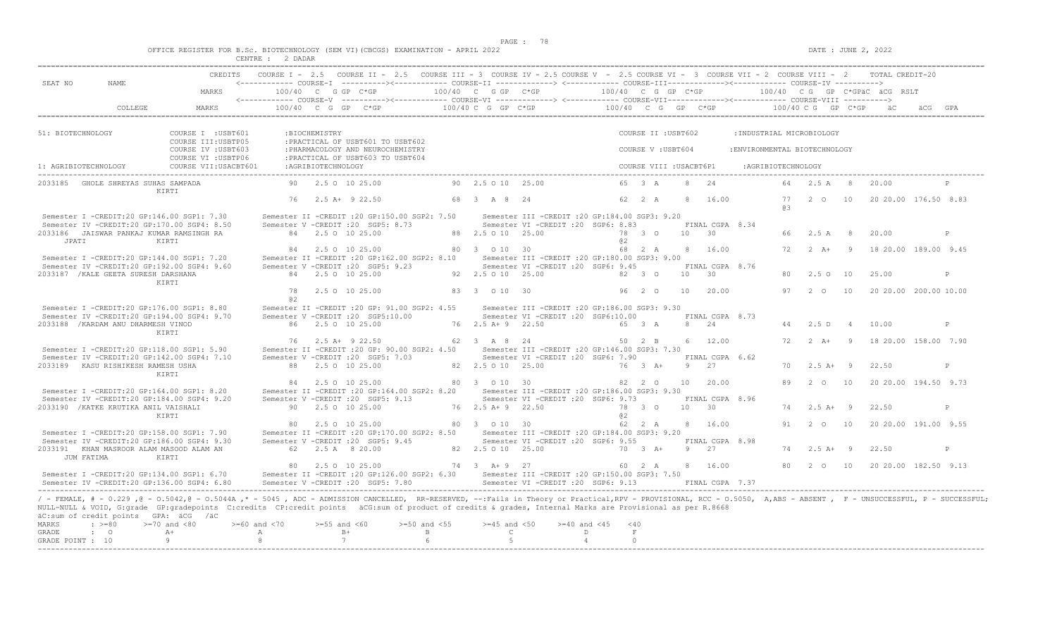|  |  |          |         |  | OFFICE REGISTER FOR B.Sc. BIOTECHNOLOGY (SEM VI)(CBCGS) EXAMINATION - APRIL 2022 |  |  |
|--|--|----------|---------|--|----------------------------------------------------------------------------------|--|--|
|  |  | CENTRE : | 2 DADAR |  |                                                                                  |  |  |

|                                                                                                                                                                                                                                                                                                                                                                                                                          |                                            | CREDITS COURSE I - 2.5 COURSE II - 2.5 COURSE III - 3 COURSE IV - 2.5 COURSE V - 2.5 COURSE VI - 3 COURSE VII - 2 COURSE VIII - 2 TOTAL CREDIT-20 |                           |                                                                        |                                                                                                                                                                                                         |                       |                                      |   |                        |                         |    |                            |                               |                    |                      |                |                                                |   |
|--------------------------------------------------------------------------------------------------------------------------------------------------------------------------------------------------------------------------------------------------------------------------------------------------------------------------------------------------------------------------------------------------------------------------|--------------------------------------------|---------------------------------------------------------------------------------------------------------------------------------------------------|---------------------------|------------------------------------------------------------------------|---------------------------------------------------------------------------------------------------------------------------------------------------------------------------------------------------------|-----------------------|--------------------------------------|---|------------------------|-------------------------|----|----------------------------|-------------------------------|--------------------|----------------------|----------------|------------------------------------------------|---|
| SEAT NO<br>NAME.                                                                                                                                                                                                                                                                                                                                                                                                         | MARKS                                      | $100/40$ C G GP C*GP $100/40$ C G GP C*GP $100/40$ C G GP C*GP $\overline{AC}$ RSLT $\overline{AC}$ $-$                                           |                           |                                                                        |                                                                                                                                                                                                         |                       |                                      |   |                        |                         |    |                            |                               |                    |                      |                |                                                |   |
| COLLEGE                                                                                                                                                                                                                                                                                                                                                                                                                  | MARKS                                      |                                                                                                                                                   |                           |                                                                        | 100/40 C G GP C*GP $100/40$ C G GP C*GP $100/40$ C G GP C*GP $100/40$ C G GP C*GP $100/40$ C G GP C*GP $100/40$ C G GP C*GP                                                                             |                       |                                      |   |                        |                         |    |                            |                               |                    |                      |                |                                                |   |
| 51: BIOTECHNOLOGY                                                                                                                                                                                                                                                                                                                                                                                                        | COURSE I : USBT601<br>COURSE III: USBTP05  |                                                                                                                                                   | :BIOCHEMISTRY             | : PRACTICAL OF USBT601 TO USBT602                                      |                                                                                                                                                                                                         |                       |                                      |   |                        | COURSE II : USBT602     |    |                            | : INDUSTRIAL MICROBIOLOGY     |                    |                      |                |                                                |   |
|                                                                                                                                                                                                                                                                                                                                                                                                                          | COURSE IV : USBT603<br>COURSE VI : USBTP06 |                                                                                                                                                   |                           | : PHARMACOLOGY AND NEUROCHEMISTRY<br>: PRACTICAL OF USBT603 TO USBT604 |                                                                                                                                                                                                         |                       |                                      |   |                        | COURSE V: USBT604       |    |                            | : ENVIRONMENTAL BIOTECHNOLOGY |                    |                      |                |                                                |   |
| 1: AGRIBIOTECHNOLOGY                                                                                                                                                                                                                                                                                                                                                                                                     | COURSE VII: USACBT601                      |                                                                                                                                                   | :AGRIBIOTECHNOLOGY        |                                                                        |                                                                                                                                                                                                         |                       |                                      |   |                        | COURSE VIII : USACBT6P1 |    |                            |                               | :AGRIBIOTECHNOLOGY |                      |                |                                                |   |
| 2033185 GHOLE SHREYAS SUHAS SAMPADA                                                                                                                                                                                                                                                                                                                                                                                      | KIRTI                                      |                                                                                                                                                   |                           | 90 2.5 0 10 25.00                                                      |                                                                                                                                                                                                         | 90 2.5 0 10 25.00     |                                      |   |                        | 65 3 A                  |    | 8 24                       |                               |                    | 64 2.5 A 8           |                | 20.00                                          |   |
|                                                                                                                                                                                                                                                                                                                                                                                                                          |                                            |                                                                                                                                                   | 76 2.5 A+ 9 22.50         |                                                                        |                                                                                                                                                                                                         | 68 3 A 8 24           |                                      |   |                        | 62 2 A                  |    | 8 16.00                    |                               | R B                |                      |                | 77   2   0   10   20   20.00   176.50   8.83   |   |
| Semester I -CREDIT:20 GP:146.00 SGP1: 7.30<br>Semester IV -CREDIT:20 GP:170.00 SGP4: 8.50                                                                                                                                                                                                                                                                                                                                |                                            | Semester V -CREDIT : 20 SGP5: 8.73                                                                                                                |                           |                                                                        | Semester II -CREDIT : 20 GP:150.00 SGP2: 7.50 Semester III -CREDIT : 20 GP:184.00 SGP3: 9.20                                                                                                            |                       | Semester VI - CREDIT : 20 SGP6: 8.83 |   |                        |                         |    | FINAL CGPA 8.34            |                               |                    |                      |                |                                                |   |
| 2033186 JAISWAR PANKAJ KUMAR RAMSINGH RA<br>JPATI                                                                                                                                                                                                                                                                                                                                                                        | KIRTI                                      |                                                                                                                                                   | 84 2.5 0 10 25.00         |                                                                        |                                                                                                                                                                                                         | 88 2.5 0 10 25.00     |                                      |   | 8 2                    | 78 3 0                  |    | $10 \t 30$                 |                               |                    | 66 2.5 A 8           |                | 20.00                                          | P |
| Semester I -CREDIT:20 GP:144.00 SGP1: 7.20                                                                                                                                                                                                                                                                                                                                                                               |                                            |                                                                                                                                                   |                           | 84 2.5 0 10 25.00                                                      | 80 3 0 10 30<br>Semester II -CREDIT :20 GP:162.00 SGP2: 8.10 Semester III -CREDIT :20 GP:180.00 SGP3: 9.00                                                                                              |                       |                                      |   |                        | 68 2 A                  |    | 8 16.00                    |                               |                    | $72 \t 2 \t A+ \t 9$ |                | 18 20.00 189.00 9.45                           |   |
| Semester IV -CREDIT:20 GP:192.00 SGP4: 9.60<br>2033187 / KALE GEETA SURESH DARSHANA                                                                                                                                                                                                                                                                                                                                      |                                            | Semester V -CREDIT : 20 SGP5: 9.23                                                                                                                | 84 2.5 0 10 25.00         |                                                                        |                                                                                                                                                                                                         | 92 2.5 0 10 25.00     | Semester VI - CREDIT : 20 SGP6: 9.45 |   | 82 3 0                 |                         | 10 | FINAL CGPA 8.76<br>30      |                               |                    | 80 2.5 0 10          |                | 25.00                                          | P |
|                                                                                                                                                                                                                                                                                                                                                                                                                          | KIRTI                                      | 78                                                                                                                                                | 2.5 0 10 25.00            |                                                                        |                                                                                                                                                                                                         | 83 3 0 10 30          |                                      |   |                        | 96 2 0                  | 10 | 20.00                      |                               | 97                 | $2\degree$ 0         | 10             | 20 20.00 200.00 10.00                          |   |
| Semester I -CREDIT:20 GP:176.00 SGP1: 8.80                                                                                                                                                                                                                                                                                                                                                                               |                                            | 0.2                                                                                                                                               |                           |                                                                        | Semester II -CREDIT :20 GP: 91.00 SGP2: 4.55 Semester III -CREDIT :20 GP:186.00 SGP3: 9.30                                                                                                              |                       |                                      |   |                        |                         |    |                            |                               |                    |                      |                |                                                |   |
| Semester IV -CREDIT:20 GP:194.00 SGP4: 9.70<br>2033188 / KARDAM ANU DHARMESH VINOD                                                                                                                                                                                                                                                                                                                                       |                                            | Semester V -CREDIT : 20 SGP5:10.00                                                                                                                | 86 2.5 0 10 25.00         |                                                                        |                                                                                                                                                                                                         | 76 2.5 A + 9 22.50    | Semester VI -CREDIT : 20 SGP6:10.00  |   |                        | 65 3 A                  |    | FINAL CGPA 8.73<br>8 24    |                               |                    | 44 2.5 D             | $\overline{4}$ | 10.00                                          | P |
|                                                                                                                                                                                                                                                                                                                                                                                                                          | KIRTI                                      |                                                                                                                                                   |                           | 76 2.5 A+ 9 22.50                                                      | 62 3 A 8 24 50 2 B                                                                                                                                                                                      |                       |                                      |   |                        |                         |    | 6 12.00                    |                               | 72                 | $2 A + 9$            |                | 18 20.00 158.00 7.90                           |   |
| Semester I -CREDIT:20 GP:118.00 SGP1: 5.90<br>Semester IV -CREDIT:20 GP:142.00 SGP4: 7.10<br>2033189 KASU RISHIKESH RAMESH USHA                                                                                                                                                                                                                                                                                          |                                            | Semester V - CREDIT : 20 SGP5: 7.03                                                                                                               | 88 2.5 0 10 25.00         |                                                                        | Semester II -CREDIT :20 GP: 90.00 SGP2: 4.50 Semester III -CREDIT :20 GP: 146.00 SGP3: 7.30                                                                                                             | 82  2.5  0  10  25.00 | Semester VI - CREDIT : 20 SGP6: 7.90 |   | 76 3 A+                |                         | -9 | FINAL CGPA 6.62<br>27      |                               |                    | $70 \t 2.5 \t A+ 9$  |                | 22.50                                          | P |
|                                                                                                                                                                                                                                                                                                                                                                                                                          | KIRTI                                      |                                                                                                                                                   | 84 2.5 0 10 25.00         |                                                                        |                                                                                                                                                                                                         | 80 3 0 10 30          |                                      |   |                        | 82  2  0  10            |    | 20.00                      |                               | 89                 | 2 0                  | 10             | 20 20.00 194.50 9.73                           |   |
| Semester I -CREDIT:20 GP:164.00 SGP1: 8.20<br>Semester IV -CREDIT:20 GP:184.00 SGP4: 9.20                                                                                                                                                                                                                                                                                                                                |                                            | Semester V - CREDIT : 20 SGP5: 9.13                                                                                                               |                           |                                                                        | Semester II -CREDIT :20 GP:164.00 SGP2: 8.20 Semester III -CREDIT :20 GP:186.00 SGP3: 9.30                                                                                                              |                       | Semester VI - CREDIT : 20 SGP6: 9.73 |   |                        |                         |    | FINAL CGPA 8.96            |                               |                    |                      |                |                                                |   |
| 2033190 / KATKE KRUTIKA ANIL VAISHALI                                                                                                                                                                                                                                                                                                                                                                                    | KIRTI                                      |                                                                                                                                                   | 90 2.5 0 10 25.00         |                                                                        |                                                                                                                                                                                                         | 76 2.5 A + 9 22.50    |                                      |   | a2                     | 78 3 0 10 30            |    |                            |                               |                    | $74$ 2.5 A+ 9        |                | 22.50                                          | P |
| Semester I -CREDIT:20 GP:158.00 SGP1: 7.90<br>Semester IV -CREDIT:20 GP:186.00 SGP4: 9.30                                                                                                                                                                                                                                                                                                                                |                                            |                                                                                                                                                   | 80 2.5 0 10 25.00         |                                                                        | Semester II -CREDIT : 20 GP:170.00 SGP2: 8.50 Semester III -CREDIT : 20 GP:184.00 SGP3: 9.20<br>Semester V - CREDIT : 20 SGP5: 9.45                                                                     | 80 3 0 10 30          | Semester VI - CREDIT : 20 SGP6: 9.55 |   |                        | 62 2 A                  |    | 8 16.00<br>FINAL CGPA 8.98 |                               |                    | 91 2 0 10            |                | 20 20.00 191.00 9.55                           |   |
| 2033191 KHAN MASROOR ALAM MASOOD ALAM AN<br>JUM FATIMA                                                                                                                                                                                                                                                                                                                                                                   | KIRTI                                      |                                                                                                                                                   | 62  2.5 A  8  20.00       |                                                                        | 82 2.5 0 10 25.00                                                                                                                                                                                       |                       |                                      |   |                        |                         |    | 70 3 A+ 9 27               |                               |                    | $74$ 2.5 A+ 9        |                | 22.50                                          | P |
| Semester I -CREDIT:20 GP:134.00 SGP1: 6.70<br>Semester IV -CREDIT:20 GP:136.00 SGP4: 6.80                                                                                                                                                                                                                                                                                                                                |                                            |                                                                                                                                                   |                           | 80 2.5 0 10 25.00                                                      | 74 3 A + 9 27<br>Semester II -CREDIT :20 GP:126.00 SGP2: 6.30 Semester III -CREDIT :20 GP:150.00 SGP3: 7.50<br>Semester V - CREDIT : 20 SGP5: 7.80 Semester VI - CREDIT : 20 SGP6: 9.13 FINAL CGPA 7.37 |                       |                                      |   |                        | 60 2 A                  |    | 8 16.00                    |                               |                    |                      |                | 80   2   0   10   20   20   00   182,50   9.13 |   |
| / - FEMALE, # - 0.229, @ - 0.5042, @ - 0.5044A, * - 5045, ADC - ADMISSION CANCELLED, RR-RESERVED, --:Fails in Theory or Practical,RPV - PROVISIONAL, RCC - 0.5050, A,ABS - ABSENT, F - UNSUCCESSFUL, P - SUCCESSFUL;<br>NULL-NULL & VOID, G:grade GP:gradepoints C:credits CP:credit points äCG:sum of product of credits & grades, Internal Marks are Provisional as per R.8668<br>äC:sum of credit points GPA: äCG /äC |                                            |                                                                                                                                                   |                           |                                                                        |                                                                                                                                                                                                         |                       |                                      |   |                        |                         |    |                            |                               |                    |                      |                |                                                |   |
| <b>MARKS</b><br>$: \ \ \>=80$<br>GRADE<br>$\cdot$ 0                                                                                                                                                                                                                                                                                                                                                                      | $>=70$ and $<80$<br>$A+$<br>A              | $>=60$ and $<70$                                                                                                                                  | $>=55$ and $<60$<br>$B +$ |                                                                        | $>=50$ and $<55$<br>$\mathbb B$                                                                                                                                                                         | $>=45$ and $<50$      | $\overline{C}$ and $\overline{C}$    | D | $>=40$ and $<45$ $<40$ | $\,$ F $\,$             |    |                            |                               |                    |                      |                |                                                |   |
| GRADE POINT : 10                                                                                                                                                                                                                                                                                                                                                                                                         | 9                                          | 8 <sup>1</sup>                                                                                                                                    | 7                         |                                                                        | $6\overline{6}$                                                                                                                                                                                         | 5 <sup>5</sup>        |                                      | 4 | $\circ$                |                         |    |                            |                               |                    |                      |                |                                                |   |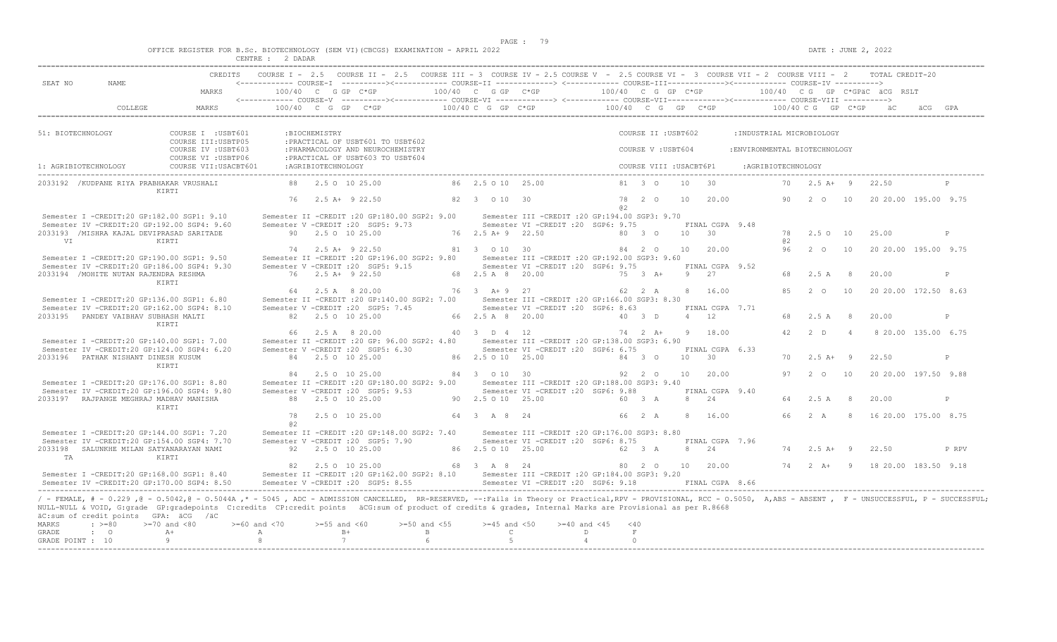|  |  |          |         |  | OFFICE REGISTER FOR B.SC. BIOTECHNOLOGY (SEM VI)(CBCGS) EXAMINATION - APRIL 2022 |  |  |
|--|--|----------|---------|--|----------------------------------------------------------------------------------|--|--|
|  |  | CENTRE : | ? DADAR |  |                                                                                  |  |  |

|                                                                                                                                                                                                                                                                                                               |                                                            |                                                                                                                                    |                                                                                                              |                                                                                                             | CREDITS COURSE I - 2.5 COURSE II - 2.5 COURSE III - 3 COURSE IV - 2.5 COURSE V - 2.5 COURSE VI - 3 COURSE VII - 2 COURSE VIII - 2 TOTAL CREDIT-20                                                                                                                                                                                                                                                                                                                                                  |
|---------------------------------------------------------------------------------------------------------------------------------------------------------------------------------------------------------------------------------------------------------------------------------------------------------------|------------------------------------------------------------|------------------------------------------------------------------------------------------------------------------------------------|--------------------------------------------------------------------------------------------------------------|-------------------------------------------------------------------------------------------------------------|----------------------------------------------------------------------------------------------------------------------------------------------------------------------------------------------------------------------------------------------------------------------------------------------------------------------------------------------------------------------------------------------------------------------------------------------------------------------------------------------------|
| SEAT NO<br>NAME.                                                                                                                                                                                                                                                                                              | MARKS                                                      |                                                                                                                                    |                                                                                                              |                                                                                                             | <------------ COURSE-T ----------><------------ COURSE-TT -------------> <------------ COURSE-TTT-------------><------------ COURSE-TV ---------->                                                                                                                                                                                                                                                                                                                                                 |
| COLLEGE                                                                                                                                                                                                                                                                                                       | MARKS                                                      |                                                                                                                                    |                                                                                                              |                                                                                                             | $100/40 \quad C \quad G \quad GP \qquad C \star GP \qquad 100/40 \quad C \quad G \quad P \quad C \star GP \qquad 100/40 \quad C \quad G \quad GP \qquad 100/40 \quad C \quad G \quad P \quad C \star GP \qquad 100/40 \quad C \quad G \quad P \quad C \star GP \quad 100/40 \quad C \quad F \quad C \star GP \quad 100/40 \quad C \quad F \quad C \star GP \quad 100/40 \quad C \quad F \quad C \star GP \quad 100/40 \quad C \quad F \quad C \star GP \quad 100/40 \quad C \quad F \quad C \star$ |
| 51: BIOTECHNOLOGY                                                                                                                                                                                                                                                                                             | COURSE I : USBT601<br>:BIOCHEMISTRY<br>COURSE III: USBTP05 | : PRACTICAL OF USBT601 TO USBT602                                                                                                  |                                                                                                              | COURSE II : USBT602                                                                                         | : INDUSTRIAL MICROBIOLOGY                                                                                                                                                                                                                                                                                                                                                                                                                                                                          |
|                                                                                                                                                                                                                                                                                                               | COURSE IV : USBT603<br>COURSE VI : USBTP06                 | : PHARMACOLOGY AND NEUROCHEMISTRY<br>: PRACTICAL OF USBT603 TO USBT604                                                             |                                                                                                              | COURSE V: USBT604                                                                                           | : ENVIRONMENTAL BIOTECHNOLOGY                                                                                                                                                                                                                                                                                                                                                                                                                                                                      |
| 1: AGRIBIOTECHNOLOGY                                                                                                                                                                                                                                                                                          | COURSE VII:USACBT601<br>:AGRIBIOTECHNOLOGY                 |                                                                                                                                    |                                                                                                              | COURSE VIII : USACBT6P1                                                                                     | :AGRIBIOTECHNOLOGY                                                                                                                                                                                                                                                                                                                                                                                                                                                                                 |
| 2033192 / KUDPANE RIYA PRABHAKAR VRUSHALI<br>KIRTI                                                                                                                                                                                                                                                            |                                                            | 88 2.5 0 10 25.00                                                                                                                  | 86 2.5 0 10 25.00                                                                                            | 81 3 0<br>$\overline{30}$<br>10                                                                             | 70  2.5 A + 9  22.50                                                                                                                                                                                                                                                                                                                                                                                                                                                                               |
|                                                                                                                                                                                                                                                                                                               | 76 2.5 A+ 9 22.50                                          |                                                                                                                                    | 82 3 0 10 30                                                                                                 | 78  2  0  10<br>20.00<br>a2                                                                                 | 90   2   0   10   20   20   00   195.00   9.75                                                                                                                                                                                                                                                                                                                                                                                                                                                     |
| Semester I -CREDIT:20 GP:182.00 SGP1: 9.10<br>Semester IV -CREDIT:20 GP:192.00 SGP4: 9.60                                                                                                                                                                                                                     |                                                            | Semester II -CREDIT : 20 GP:180.00 SGP2: 9.00 Semester III -CREDIT : 20 GP:194.00 SGP3: 9.70<br>Semester V -CREDIT : 20 SGP5: 9.73 | Semester VI -CREDIT : 20 SGP6: 9.75                                                                          | FINAL CGPA 9.48                                                                                             |                                                                                                                                                                                                                                                                                                                                                                                                                                                                                                    |
| 2033193 /MISHRA KAJAL DEVIPRASAD SARITADE<br><b>VT</b><br><b>Example 2018</b> KIRTI                                                                                                                                                                                                                           | 90 2.5 0 10 25.00                                          |                                                                                                                                    | 76 2.5 A + 9 22.50                                                                                           | 80 3 0<br>$10 \t 30$                                                                                        | 78 2.5 0 10<br>25.00<br>P<br>a2                                                                                                                                                                                                                                                                                                                                                                                                                                                                    |
| Semester I -CREDIT:20 GP:190.00 SGP1: 9.50                                                                                                                                                                                                                                                                    |                                                            | 74 2.5 A + 9 22.50<br>Semester II -CREDIT :20 GP:196.00 SGP2: 9.80 Semester III -CREDIT :20 GP:192.00 SGP3: 9.60                   |                                                                                                              | 81 3 0 10 30 84 2 0 10 20.00                                                                                | 96 2 0 10<br>20 20.00 195.00 9.75                                                                                                                                                                                                                                                                                                                                                                                                                                                                  |
| Semester IV -CREDIT:20 GP:186.00 SGP4: 9.30<br>2033194 / MOHITE NUTAN RAJENDRA RESHMA                                                                                                                                                                                                                         | 76 2.5 A+ 9 22.50                                          | Semester V -CREDIT : 20 SGP5: 9.15                                                                                                 | Semester VI - CREDIT : 20 SGP6: 9.75<br>68  2.5  A  8  20.00                                                 | FINAL CGPA 9.52<br>9 27<br>75 3 A+                                                                          | 68 2.5 A 8<br>20.00<br>P                                                                                                                                                                                                                                                                                                                                                                                                                                                                           |
| KIRTI                                                                                                                                                                                                                                                                                                         |                                                            | 64 2.5 A 8 20.00                                                                                                                   | 76 3 A + 9 27                                                                                                | 8 16.00<br>62 2 A                                                                                           | 8.5<br>$2\degree$ 0<br>20 20.00 172.50 8.63<br>10                                                                                                                                                                                                                                                                                                                                                                                                                                                  |
| Semester I -CREDIT:20 GP:136.00 SGP1: 6.80<br>Semester IV -CREDIT:20 GP:162.00 SGP4: 8.10<br>2033195 PANDEY VAIBHAV SUBHASH MALTI                                                                                                                                                                             | 82 2.5 0 10 25.00                                          | Semester II -CREDIT : 20 GP: 140.00 SGP2: 7.00<br>Semester V -CREDIT : 20 SGP5: 7.45                                               | Semester III - CREDIT : 20 GP: 166.00 SGP3: 8.30<br>Semester VI - CREDIT : 20 SGP6: 8.63<br>66 2.5 A 8 20.00 | FINAL CGPA 7.71<br>4 12<br>40 3 D                                                                           | 68<br>2.5 A<br>8 <sup>8</sup><br>20.00<br>P                                                                                                                                                                                                                                                                                                                                                                                                                                                        |
| KIRTI                                                                                                                                                                                                                                                                                                         | 66 2.5 A 8 20.00                                           |                                                                                                                                    | 40 3 D 4 12                                                                                                  | 18.00<br>$74$ 2 $\lambda$ +<br>Q                                                                            | 42<br>2 <sub>D</sub><br>8 20.00 135.00 6.75<br>$\overline{4}$                                                                                                                                                                                                                                                                                                                                                                                                                                      |
| Semester I -CREDIT:20 GP:140.00 SGP1: 7.00<br>Semester IV -CREDIT:20 GP:124.00 SGP4: 6.20                                                                                                                                                                                                                     |                                                            | Semester II -CREDIT : 20 GP: 96.00 SGP2: 4.80<br>Semester V -CREDIT : 20 SGP5: 6.30                                                | Semester III - CREDIT : 20 GP: 138.00 SGP3: 6.90<br>Semester VI -CREDIT : 20 SGP6: 6.75                      | FINAL CGPA 6.33                                                                                             |                                                                                                                                                                                                                                                                                                                                                                                                                                                                                                    |
| 2033196 PATHAK NISHANT DINESH KUSUM<br>KIRTI                                                                                                                                                                                                                                                                  | 84 2.5 0 10 25.00                                          |                                                                                                                                    | 86 2.5 0 10 25.00                                                                                            | 10 30<br>84 3 0                                                                                             | 22.50<br>$70 \t 2.5 \t A+ 9$<br>P                                                                                                                                                                                                                                                                                                                                                                                                                                                                  |
| Semester I -CREDIT:20 GP:176.00 SGP1: 8.80                                                                                                                                                                                                                                                                    |                                                            | 84 2.5 0 10 25.00<br>Semester II -CREDIT : 20 GP:180.00 SGP2: 9.00                                                                 | 84 3 0 10 30<br>Semester III - CREDIT : 20 GP: 188.00 SGP3: 9.40                                             | 92 2 0<br>10 20.00                                                                                          | 97   2   0   10   20   20   00   197.50   9.88                                                                                                                                                                                                                                                                                                                                                                                                                                                     |
| Semester IV -CREDIT:20 GP:196.00 SGP4: 9.80<br>2033197 RAJPANGE MEGHRAJ MADHAV MANISHA                                                                                                                                                                                                                        | 88 2.5 0 10 25.00                                          | Semester V - CREDIT : 20 SGP5: 9.53                                                                                                | Semester VI -CREDIT :20 SGP6: 9.88<br>90  2.5  0  10  25.00   60  3  A                                       | FINAL CGPA 9.40<br>8 2.4                                                                                    | 64 2.5 A 8<br>20.00<br>P                                                                                                                                                                                                                                                                                                                                                                                                                                                                           |
| KTRTT                                                                                                                                                                                                                                                                                                         | 78<br>a2                                                   | 2.5 0 10 25.00                                                                                                                     | 64 3 A 8 24                                                                                                  | 66 2 A<br>8 16.00                                                                                           | 66 2 A 8 16 20.00 175.00 8.75                                                                                                                                                                                                                                                                                                                                                                                                                                                                      |
| Semester I -CREDIT:20 GP:144.00 SGP1: 7.20<br>Semester IV -CREDIT:20 GP:154.00 SGP4: 7.70<br>2033198 SALUNKHE MILAN SATYANARAYAN NAMI<br>KIRTI                                                                                                                                                                | 92 2.5 0 10 25.00                                          | Semester II -CREDIT : 20 GP:148.00 SGP2: 7.40 Semester III -CREDIT : 20 GP:176.00 SGP3: 8.80<br>Semester V -CREDIT : 20 SGP5: 7.90 | Semester VI - CREDIT : 20 SGP6: 8.75<br>86 2.5 0 10 25.00                                                    | FINAL CGPA 7.96<br>62 3 A<br>8 24                                                                           | 22.50<br>$74$ 2.5 A+ 9<br>P RPV                                                                                                                                                                                                                                                                                                                                                                                                                                                                    |
| TA<br>Semester I -CREDIT:20 GP:168.00 SGP1: 8.40<br>Semester IV -CREDIT:20 GP:170.00 SGP4: 8.50                                                                                                                                                                                                               |                                                            | 82 2.5 0 10 25.00<br>Semester II -CREDIT : 20 GP:162.00 SGP2: 8.10 Semester III -CREDIT : 20 GP:184.00 SGP3: 9.20                  | 68 3 A 8 24                                                                                                  | 80  2  0  10  20.00<br>Semester V -CREDIT :20 SGP5: 8.55 Semester VI -CREDIT :20 SGP6: 9.18 FINAL CGPA 8.66 | 74   2   A+   9   18   20.00   183.50   9.18                                                                                                                                                                                                                                                                                                                                                                                                                                                       |
| NULL-NULL & VOID, G:grade GP:gradepoints C:credits CP:credit points äCG:sum of product of credits & grades, Internal Marks are Provisional as per R.8668<br>äC:sum of credit points GPA: äCG /äC<br>MARKS<br>$: >=80$<br>$>=70$ and $<80$<br>$A+$<br>GRADE<br>$\cdot$ 0<br>9 <sup>1</sup><br>GRADE POINT : 10 | $>=60$ and $<70$<br>A<br>8 <sup>1</sup>                    | $>=50$ and $<55$<br>$>=55$ and $<60$<br>$B+$<br>$\mathbf{B}$ and $\mathbf{B}$ and $\mathbf{B}$<br>7<br>$6\overline{6}$             | $>=45$ and $<50$ $>=40$ and $<45$ $<40$<br>$\mathbb{C}$ and $\mathbb{C}$<br>5 <sup>5</sup>                   | $\mathbf F$<br>D<br>4<br>$\circ$                                                                            | / - FEMALE, # - 0.229, @ - 0.5042, @ - 0.5044A, * - 5045, ADC - ADMISSION CANCELLED, RR-RESERVED, --:Fails in Theory or Practical,RPV - PROVISIONAL, RCC - 0.5050, A,ABS - ABSENT, F - UNSUCCESSFUL, P - SUCCESSFUL,                                                                                                                                                                                                                                                                               |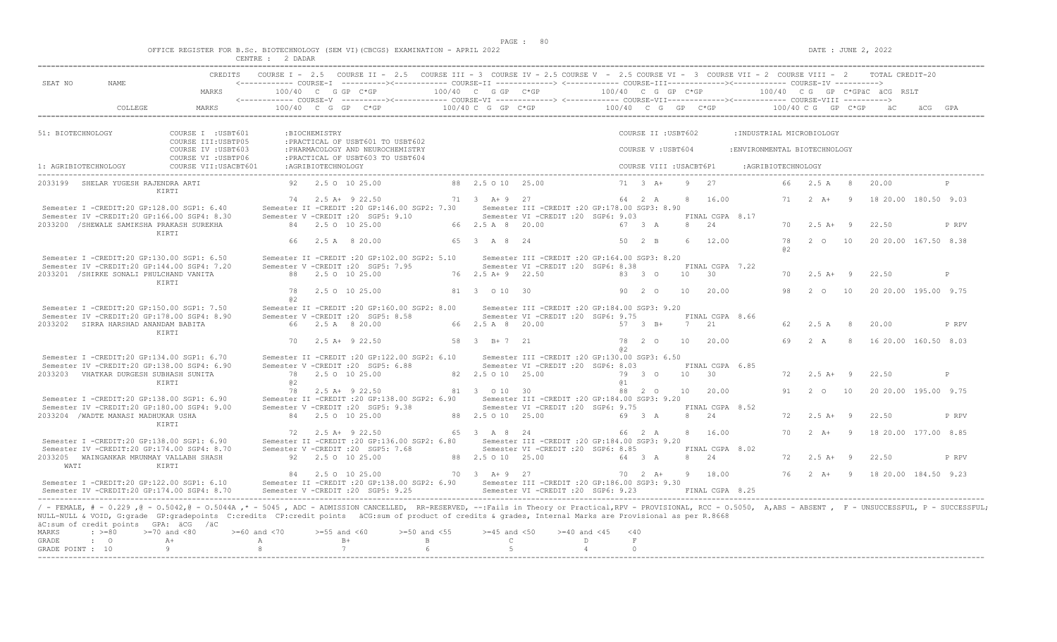|  |  |  |  |  | OFFICE REGISTER FOR B.SC. BIOTECHNOLOGY (SEM VI)(CBCGS) EXAMINATION - APRIL 2022 |  |  |
|--|--|--|--|--|----------------------------------------------------------------------------------|--|--|
|  |  |  |  |  |                                                                                  |  |  |

|                   |                                                                                           |                                                                                                                                                                                                                                                                                                                                                                                        | CENTRE : 2 DADAR  |                    |                                    |                                                                                                                                                                                                                                                                                                |                    |                                                                                       |                      |                |               |                         |                 |                       |                               |                    |                |                              |              |
|-------------------|-------------------------------------------------------------------------------------------|----------------------------------------------------------------------------------------------------------------------------------------------------------------------------------------------------------------------------------------------------------------------------------------------------------------------------------------------------------------------------------------|-------------------|--------------------|------------------------------------|------------------------------------------------------------------------------------------------------------------------------------------------------------------------------------------------------------------------------------------------------------------------------------------------|--------------------|---------------------------------------------------------------------------------------|----------------------|----------------|---------------|-------------------------|-----------------|-----------------------|-------------------------------|--------------------|----------------|------------------------------|--------------|
| SEAT NO           | <b>NAME</b>                                                                               |                                                                                                                                                                                                                                                                                                                                                                                        |                   |                    |                                    | COURSE I - 2.5 COURSE II - 2.5 COURSE III - 3 COURSE IV - 2.5 COURSE V - 2.5 COURSE VI - 3 COURSE VII - 2 COURSE VIII - 2 TOTAL CREDIT-20<br><------------ COURSE-I ----------><----------- COURSE-II --------------> <------------ COURSE-III------------><-----------> COURSE-IV ----------> |                    |                                                                                       |                      |                |               |                         |                 |                       |                               |                    |                |                              |              |
|                   |                                                                                           | MARKS                                                                                                                                                                                                                                                                                                                                                                                  |                   |                    | $100/40$ C G GP C*GP               |                                                                                                                                                                                                                                                                                                | 100/40 C G GP C*GP |                                                                                       | $100/40$ C G GP C*GP |                |               |                         |                 |                       |                               |                    |                | 100/40 CG GP C*GPäC äCG RSLT |              |
|                   | COLLEGE                                                                                   | MARKS                                                                                                                                                                                                                                                                                                                                                                                  |                   |                    | 100/40 C G GP C*GP                 | <------------ COURSE-V ----------><----------- COURSE-VI --------------> <------------ COURSE-VII---------------- COURSE-VIII ---------->                                                                                                                                                      | 100/40 C G GP C*GP |                                                                                       |                      |                |               |                         |                 | $100/40$ C G GP C*GP  | 100/40 C G GP C*GP            |                    |                | äC                           |              |
|                   |                                                                                           |                                                                                                                                                                                                                                                                                                                                                                                        |                   |                    |                                    |                                                                                                                                                                                                                                                                                                |                    |                                                                                       |                      |                |               |                         |                 |                       |                               |                    |                |                              |              |
| 51: BIOTECHNOLOGY |                                                                                           | COURSE I : USBT601<br>COURSE III: USBTP05                                                                                                                                                                                                                                                                                                                                              |                   | :BIOCHEMISTRY      | : PRACTICAL OF USBT601 TO USBT602  |                                                                                                                                                                                                                                                                                                |                    |                                                                                       |                      |                |               | COURSE II : USBT602     |                 |                       | :INDUSTRIAL MICROBIOLOGY      |                    |                |                              |              |
|                   |                                                                                           | COURSE IV : USBT603                                                                                                                                                                                                                                                                                                                                                                    |                   |                    | : PHARMACOLOGY AND NEUROCHEMISTRY  |                                                                                                                                                                                                                                                                                                |                    |                                                                                       |                      |                |               | COURSE V : USBT604      |                 |                       | : ENVIRONMENTAL BIOTECHNOLOGY |                    |                |                              |              |
|                   |                                                                                           | COURSE VI : USBTP06                                                                                                                                                                                                                                                                                                                                                                    |                   |                    | :PRACTICAL OF USBT603 TO USBT604   |                                                                                                                                                                                                                                                                                                |                    |                                                                                       |                      |                |               |                         |                 |                       |                               |                    |                |                              |              |
|                   | 1: AGRIBIOTECHNOLOGY                                                                      | COURSE VII: USACBT601                                                                                                                                                                                                                                                                                                                                                                  |                   | :AGRIBIOTECHNOLOGY |                                    |                                                                                                                                                                                                                                                                                                |                    |                                                                                       |                      |                |               | COURSE VIII : USACBT6P1 |                 |                       | : AGRIBIOTECHNOLOGY           |                    |                |                              |              |
| 2033199           | SHELAR YUGESH RAJENDRA ARTI                                                               | KIRTI                                                                                                                                                                                                                                                                                                                                                                                  |                   |                    | 92 2.5 0 10 25.00                  |                                                                                                                                                                                                                                                                                                | 88 2.5 0 10 25.00  |                                                                                       |                      |                |               | $71 \t3 \tA+$           | Q               | 27                    | 66.                           | 2.5A               |                | 20.00                        |              |
|                   |                                                                                           |                                                                                                                                                                                                                                                                                                                                                                                        |                   |                    | 74 2.5 A+ 9 22.50                  |                                                                                                                                                                                                                                                                                                | 71 3 A+ 9 27       |                                                                                       |                      |                | 64 2 A        |                         | $\mathcal{R}$   | 16.00                 | 71                            | $2 \overline{A}$ + | $\overline{9}$ | 18 20.00 180.50 9.03         |              |
|                   | Semester I -CREDIT:20 GP:128.00 SGP1: 6.40                                                |                                                                                                                                                                                                                                                                                                                                                                                        |                   |                    |                                    | Semester II -CREDIT : 20 GP: 146.00 SGP2: 7.30                                                                                                                                                                                                                                                 |                    | Semester III -CREDIT : 20 GP: 178.00 SGP3: 8.90                                       |                      |                |               |                         |                 |                       |                               |                    |                |                              |              |
|                   | Semester TV -CREDIT:20 GP:166.00 SGP4: 8.30                                               |                                                                                                                                                                                                                                                                                                                                                                                        |                   |                    | Semester V -CREDIT : 20 SGP5: 9.10 |                                                                                                                                                                                                                                                                                                |                    | Semester VI -CREDIT : 20 SGP6: 9.03                                                   |                      |                |               |                         |                 | FINAL CGPA 8.17       |                               |                    |                |                              |              |
|                   | 2033200 / SHEWALE SAMIKSHA PRAKASH SUREKHA                                                | KIRTI                                                                                                                                                                                                                                                                                                                                                                                  |                   |                    | 84 2.5 0 10 25.00                  |                                                                                                                                                                                                                                                                                                | 66 2.5 A 8 20.00   |                                                                                       |                      |                | 67 3 A        |                         | 8               | 24                    | 70                            | $2.5 A+ 9$         |                | 22.50                        | P RPV        |
|                   |                                                                                           |                                                                                                                                                                                                                                                                                                                                                                                        | 66                |                    | 2.5 A 8 20.00                      |                                                                                                                                                                                                                                                                                                | 65 3 A 8 24        |                                                                                       |                      |                | 50 2 B        |                         | 6               | 12.00                 | 78<br>a2                      | $2^{\circ}$        | 10             | 20 20.00 167.50 8.38         |              |
|                   | Semester I -CREDIT:20 GP:130.00 SGP1: 6.50                                                |                                                                                                                                                                                                                                                                                                                                                                                        |                   |                    |                                    | Semester II -CREDIT : 20 GP: 102.00 SGP2: 5.10                                                                                                                                                                                                                                                 |                    | Semester III -CREDIT : 20 GP: 164.00 SGP3: 8.20                                       |                      |                |               |                         |                 |                       |                               |                    |                |                              |              |
|                   |                                                                                           | Semester IV -CREDIT:20 GP:144.00 SGP4: 7.20                                                                                                                                                                                                                                                                                                                                            |                   |                    | Semester V -CREDIT : 20 SGP5: 7.95 |                                                                                                                                                                                                                                                                                                |                    | Semester VI -CREDIT : 20 SGP6: 8.38                                                   |                      |                |               |                         |                 | FINAL CGPA 7.22       |                               |                    |                |                              |              |
|                   | 2033201 /SHIRKE SONALI PHULCHAND VANITA                                                   | KIRTI                                                                                                                                                                                                                                                                                                                                                                                  |                   |                    | 88 2.5 0 10 25.00                  |                                                                                                                                                                                                                                                                                                | 76 2.5 A + 9 22.50 |                                                                                       |                      |                | 83 3 0        |                         | 10 <sup>1</sup> | 30                    | 70                            | $2.5 A+ 9$         |                | 22.50                        | P            |
|                   |                                                                                           |                                                                                                                                                                                                                                                                                                                                                                                        | 78<br>a2          |                    | 2.5 0 10 25.00                     |                                                                                                                                                                                                                                                                                                | 81 3 0 10 30       |                                                                                       |                      |                | $90 \quad 20$ |                         | 10              | 20.00                 | 98                            | $2^{\circ}$ 0      | 10             | 20 20.00 195.00 9.75         |              |
|                   | Semester I -CREDIT:20 GP:150.00 SGP1: 7.50                                                |                                                                                                                                                                                                                                                                                                                                                                                        |                   |                    |                                    | Semester II -CREDIT : 20 GP:160.00 SGP2: 8.00                                                                                                                                                                                                                                                  |                    | Semester III -CREDIT :20 GP:184.00 SGP3: 9.20                                         |                      |                |               |                         |                 |                       |                               |                    |                |                              |              |
|                   | Semester IV -CREDIT:20 GP:178.00 SGP4: 8.90                                               |                                                                                                                                                                                                                                                                                                                                                                                        |                   |                    | Semester V -CREDIT : 20 SGP5: 8.58 |                                                                                                                                                                                                                                                                                                |                    | Semester VI - CREDIT : 20 SGP6: 9.75                                                  |                      |                |               |                         |                 | FINAL CGPA 8.66       |                               |                    |                |                              |              |
|                   | 2033202 SIRRA HARSHAD ANANDAM BABITA                                                      |                                                                                                                                                                                                                                                                                                                                                                                        |                   |                    | 66 2.5 A 8 20.00                   |                                                                                                                                                                                                                                                                                                | 66 2.5 A 8 20.00   |                                                                                       |                      |                |               | $57 \t3 \t B+$          | 7               | 21                    | 62                            | 2.5A               | $\mathcal{R}$  | 20.00                        | P RPV        |
|                   |                                                                                           | KIRTI                                                                                                                                                                                                                                                                                                                                                                                  | 70                |                    | $2.5 A+ 9 22.50$                   |                                                                                                                                                                                                                                                                                                | 58 3 B+7 21        |                                                                                       |                      |                | 78 2 0        |                         | 10              | 20.00                 | 69                            | 2A                 |                | 16 20.00 160.50 8.03         |              |
|                   |                                                                                           |                                                                                                                                                                                                                                                                                                                                                                                        |                   |                    |                                    |                                                                                                                                                                                                                                                                                                |                    |                                                                                       |                      | a2             |               |                         |                 |                       |                               |                    |                |                              |              |
|                   | Semester I -CREDIT:20 GP:134.00 SGP1: 6.70                                                |                                                                                                                                                                                                                                                                                                                                                                                        |                   |                    |                                    | Semester II -CREDIT :20 GP:122.00 SGP2: 6.10                                                                                                                                                                                                                                                   |                    | Semester III -CREDIT :20 GP:130.00 SGP3: 6.50                                         |                      |                |               |                         |                 |                       |                               |                    |                |                              |              |
|                   | Semester IV -CREDIT:20 GP:138.00 SGP4: 6.90                                               |                                                                                                                                                                                                                                                                                                                                                                                        |                   |                    | Semester V -CREDIT : 20 SGP5: 6.88 |                                                                                                                                                                                                                                                                                                |                    | Semester VI -CREDIT : 20 SGP6: 8.03                                                   |                      |                |               |                         |                 | FINAL CGPA 6.85       |                               |                    |                |                              |              |
|                   | 2033203 VHATKAR DURGESH SUBHASH SUNITA                                                    |                                                                                                                                                                                                                                                                                                                                                                                        |                   |                    | 78 2.5 0 10 25.00                  |                                                                                                                                                                                                                                                                                                | 82 2.5 0 10 25.00  |                                                                                       |                      |                | 79 3 0        |                         | 10              | 30                    | 72                            | $2.5A+$            |                | 22.50                        | $\mathbb{P}$ |
|                   |                                                                                           | KIRTI                                                                                                                                                                                                                                                                                                                                                                                  | a2                |                    |                                    |                                                                                                                                                                                                                                                                                                |                    |                                                                                       |                      | a <sub>1</sub> |               |                         |                 |                       |                               |                    |                |                              |              |
|                   | Semester I -CREDIT:20 GP:138.00 SGP1: 6.90                                                |                                                                                                                                                                                                                                                                                                                                                                                        | 78                |                    | $2.5$ A+ 9 22.50                   | Semester II -CREDIT : 20 GP:138.00 SGP2: 6.90                                                                                                                                                                                                                                                  | 81 3 0 10 30       | Semester III -CREDIT : 20 GP:184.00 SGP3: 9.20                                        |                      |                | 88 2 0        |                         | 10              | 20.00                 | 91                            | $2\degree$ 0       | 10             | 20 20.00 195.00 9.75         |              |
|                   | Semester IV -CREDIT:20 GP:180.00 SGP4: 9.00                                               |                                                                                                                                                                                                                                                                                                                                                                                        |                   |                    | Semester V -CREDIT : 20 SGP5: 9.38 |                                                                                                                                                                                                                                                                                                |                    | Semester VI -CREDIT : 20 SGP6: 9.75                                                   |                      |                |               |                         |                 | FINAL CGPA 8.52       |                               |                    |                |                              |              |
|                   | 2033204 /WADTE MANASI MADHUKAR USHA                                                       |                                                                                                                                                                                                                                                                                                                                                                                        |                   |                    | 84 2.5 0 10 25.00                  |                                                                                                                                                                                                                                                                                                | 88 2.5 0 10 25.00  |                                                                                       |                      |                | 69 3 A        |                         | 8               | 2.4                   | 72                            | $2.5 A+$           | - 9            | 22.50                        | P RPV        |
|                   |                                                                                           | KIRTI                                                                                                                                                                                                                                                                                                                                                                                  |                   |                    |                                    |                                                                                                                                                                                                                                                                                                |                    |                                                                                       |                      |                |               |                         |                 |                       |                               |                    |                |                              |              |
|                   |                                                                                           |                                                                                                                                                                                                                                                                                                                                                                                        | 72                |                    | $2.5$ A+ 9 22.50                   |                                                                                                                                                                                                                                                                                                | 65 3 A 8 24        |                                                                                       |                      |                | 66 2 A        |                         | 8               | 16.00                 | 70                            | $2 \overline{A}$ + | 9              | 18 20.00 177.00 8.85         |              |
|                   | Semester I -CREDIT:20 GP:138.00 SGP1: 6.90<br>Semester IV -CREDIT:20 GP:174.00 SGP4: 8.70 |                                                                                                                                                                                                                                                                                                                                                                                        |                   |                    | Semester V -CREDIT : 20 SGP5: 7.68 | Semester II -CREDIT : 20 GP: 136.00 SGP2: 6.80                                                                                                                                                                                                                                                 |                    | Semester III -CREDIT : 20 GP:184.00 SGP3: 9.20<br>Semester VI -CREDIT : 20 SGP6: 8.85 |                      |                |               |                         |                 |                       |                               |                    |                |                              |              |
|                   | 2033205 WAINGANKAR MRUNMAY VALLABH SHASH                                                  |                                                                                                                                                                                                                                                                                                                                                                                        |                   |                    | 92 2.5 0 10 25.00                  |                                                                                                                                                                                                                                                                                                | 88 2.5 0 10 25.00  |                                                                                       |                      |                | 64 3 A        |                         | 8               | FINAL CGPA 8.02<br>24 | 72                            | $2.5 A+$           | $\overline{9}$ | 22.50                        | P RPV        |
| WATI              |                                                                                           | KIRTI                                                                                                                                                                                                                                                                                                                                                                                  |                   |                    |                                    |                                                                                                                                                                                                                                                                                                |                    |                                                                                       |                      |                |               |                         |                 |                       |                               |                    |                |                              |              |
|                   |                                                                                           |                                                                                                                                                                                                                                                                                                                                                                                        |                   |                    | 84 2.5 0 10 25.00                  |                                                                                                                                                                                                                                                                                                | 70 3 A + 9 27      |                                                                                       |                      |                |               | $70 \t 2 \t A+$         |                 | 9 18.00               | 76                            | $2 \overline{A}$ + |                | 9 18 20.00 184.50 9.23       |              |
|                   | Semester I -CREDIT:20 GP:122.00 SGP1: 6.10                                                | Semester IV -CREDIT:20 GP:174.00 SGP4: 8.70                                                                                                                                                                                                                                                                                                                                            |                   |                    | Semester V -CREDIT : 20 SGP5: 9.25 | Semester II -CREDIT :20 GP:138.00 SGP2: 6.90                                                                                                                                                                                                                                                   |                    | Semester III -CREDIT :20 GP:186.00 SGP3: 9.30<br>Semester VI - CREDIT : 20 SGP6: 9.23 |                      |                |               |                         |                 | FINAL CGPA 8.25       |                               |                    |                |                              |              |
|                   |                                                                                           |                                                                                                                                                                                                                                                                                                                                                                                        |                   |                    |                                    |                                                                                                                                                                                                                                                                                                |                    |                                                                                       |                      |                |               |                         |                 |                       |                               |                    |                |                              |              |
|                   |                                                                                           | / - FEMALE, # - 0.229 , @ - 0.5042, @ - 0.5044A ,* - 5045 , ADC - ADMISSION CANCELLED, RR-RESERVED, --: Fails in Theory or Practical, RPV - PROVISIONAL, RCC - 0.5050, A, ABS - ABSENT , F - UNSUCCESSFUL, P - SUCCESSFUL;<br>NULL-NULL & VOID, G:grade GP:gradepoints C:credits CP:credit points äCG:sum of product of credits & grades, Internal Marks are Provisional as per R.8668 |                   |                    |                                    |                                                                                                                                                                                                                                                                                                |                    |                                                                                       |                      |                |               |                         |                 |                       |                               |                    |                |                              |              |
| MARKS             | äC:sum of credit points GPA: äCG /äC<br>$\div$ >=80                                       | $>=70$ and $< 80$                                                                                                                                                                                                                                                                                                                                                                      | $>=60$ and $< 70$ |                    | $>= 55$ and $< 60$                 | $>= 50$ and $< 55$                                                                                                                                                                                                                                                                             | $>=45$ and $<50$   |                                                                                       | $>=40$ and $<45$     |                | < 40          |                         |                 |                       |                               |                    |                |                              |              |
| GRADE             | $\cdot$ 0                                                                                 | $A +$                                                                                                                                                                                                                                                                                                                                                                                  | $\mathbb{A}$      |                    | $B+$                               | $\mathbf{B}$                                                                                                                                                                                                                                                                                   | $\mathsf{C}$       |                                                                                       | D                    |                | $\mathbf{F}$  |                         |                 |                       |                               |                    |                |                              |              |
| GRADE POINT : 10  |                                                                                           | $\overline{9}$                                                                                                                                                                                                                                                                                                                                                                         | $\mathcal{R}$     |                    | 7                                  | $\kappa$                                                                                                                                                                                                                                                                                       | -5                 |                                                                                       | $\overline{4}$       |                | $\Omega$      |                         |                 |                       |                               |                    |                |                              |              |
|                   | --------------------                                                                      |                                                                                                                                                                                                                                                                                                                                                                                        |                   |                    |                                    |                                                                                                                                                                                                                                                                                                |                    |                                                                                       |                      |                |               |                         |                 |                       |                               |                    |                |                              |              |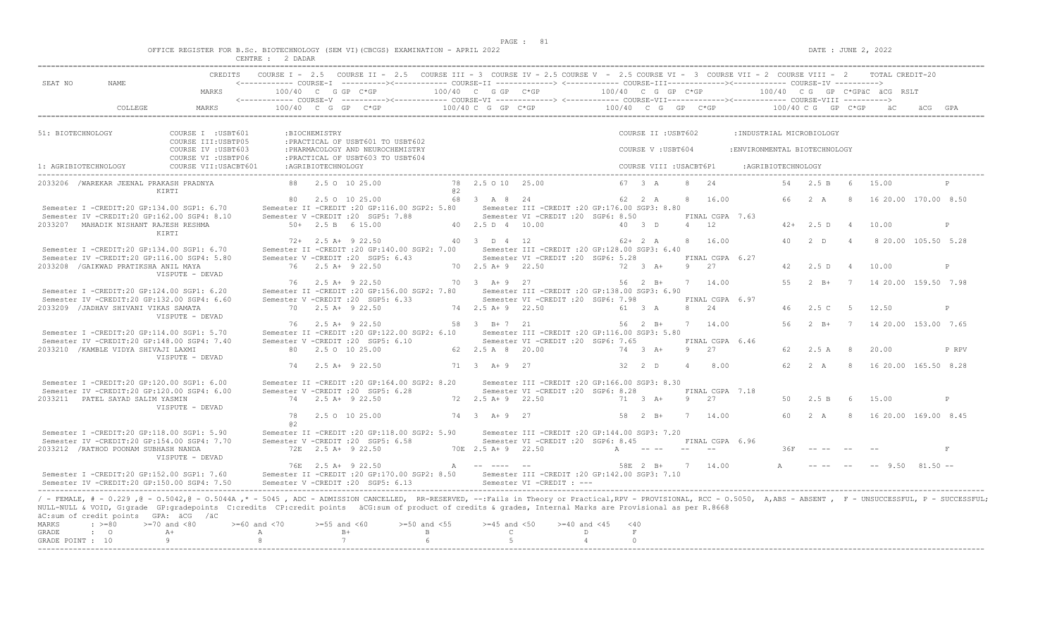|  |  |          |         |  | OFFICE REGISTER FOR B.Sc. BIOTECHNOLOGY (SEM VI)(CBCGS) EXAMINATION - APRIL 2022 |  |  |
|--|--|----------|---------|--|----------------------------------------------------------------------------------|--|--|
|  |  | CENTRE : | ? DADAR |  |                                                                                  |  |  |

|                                           |                                         |                                                                                                                                                                                                                                                                                                                                                                                 |                                    |                               |                                                                                                            | CREDITS COURSE I - 2.5 COURSE II - 2.5 COURSE III - 3 COURSE IV - 2.5 COURSE V - 2.5 COURSE VI - 3 COURSE VII - 2 COURSE VIII - 2 TOTAL CREDIT-20          |                      |                                                                                                                    |                     |                                  |                         |                |                          |                               |                    |                      |                |                                       |       |
|-------------------------------------------|-----------------------------------------|---------------------------------------------------------------------------------------------------------------------------------------------------------------------------------------------------------------------------------------------------------------------------------------------------------------------------------------------------------------------------------|------------------------------------|-------------------------------|------------------------------------------------------------------------------------------------------------|------------------------------------------------------------------------------------------------------------------------------------------------------------|----------------------|--------------------------------------------------------------------------------------------------------------------|---------------------|----------------------------------|-------------------------|----------------|--------------------------|-------------------------------|--------------------|----------------------|----------------|---------------------------------------|-------|
| SEAT NO                                   | NAME.                                   |                                                                                                                                                                                                                                                                                                                                                                                 |                                    |                               |                                                                                                            | <------------ COURSE-T ----------><------------ COURSE-TT -------------> <------------- COURSE-TTT-------------><------------ COURSE-TV ---------->        |                      |                                                                                                                    |                     |                                  |                         |                |                          |                               |                    |                      |                |                                       |       |
|                                           |                                         | MARKS                                                                                                                                                                                                                                                                                                                                                                           |                                    |                               |                                                                                                            |                                                                                                                                                            |                      |                                                                                                                    |                     |                                  |                         |                |                          |                               |                    |                      |                |                                       |       |
|                                           |                                         |                                                                                                                                                                                                                                                                                                                                                                                 |                                    |                               |                                                                                                            |                                                                                                                                                            |                      |                                                                                                                    |                     |                                  |                         |                |                          |                               |                    |                      |                |                                       |       |
| 51: BIOTECHNOLOGY                         |                                         | COURSE I : USBT601                                                                                                                                                                                                                                                                                                                                                              |                                    | : BIOCHEMISTRY                |                                                                                                            |                                                                                                                                                            |                      |                                                                                                                    |                     |                                  | COURSE II : USBT602     |                |                          | : INDUSTRIAL MICROBIOLOGY     |                    |                      |                |                                       |       |
|                                           |                                         | COURSE III: USBTP05<br>COURSE IV : USBT603<br>COURSE VI : USBTP06                                                                                                                                                                                                                                                                                                               |                                    |                               | :PRACTICAL OF USBT601 TO USBT602<br>: PHARMACOLOGY AND NEUROCHEMISTRY<br>: PRACTICAL OF USBT603 TO USBT604 |                                                                                                                                                            |                      |                                                                                                                    |                     |                                  | COURSE V: USBT604       |                |                          | : ENVIRONMENTAL BIOTECHNOLOGY |                    |                      |                |                                       |       |
| 1: AGRIBIOTECHNOLOGY                      |                                         | COURSE VII: USACBT601                                                                                                                                                                                                                                                                                                                                                           |                                    | : AGRIBIOTECHNOLOGY           |                                                                                                            |                                                                                                                                                            |                      |                                                                                                                    |                     |                                  | COURSE VIII : USACBT6P1 |                |                          |                               | :AGRIBIOTECHNOLOGY |                      |                |                                       |       |
|                                           | 2033206 /WAREKAR JEENAL PRAKASH PRADNYA | KIRTI                                                                                                                                                                                                                                                                                                                                                                           |                                    | 88 2.5 0 10 25.00             |                                                                                                            | 0.2                                                                                                                                                        | 78 2.5 0 10 25.00    |                                                                                                                    |                     |                                  | 67 3 A                  |                | 8 2.4                    |                               |                    | 54  2.5  B  6  15.00 |                |                                       | P     |
|                                           |                                         | Semester I -CREDIT:20 GP:134.00 SGP1: 6.70                                                                                                                                                                                                                                                                                                                                      |                                    | 80 2.5 0 10 25.00             |                                                                                                            | Semester II -CREDIT :20 GP:116.00 SGP2: 5.80 Semester III -CREDIT :20 GP:176.00 SGP3: 8.80                                                                 | 68 3 A 8 24          |                                                                                                                    |                     |                                  | 62 2 A                  |                | 8 16.00                  |                               |                    | 66 2 A               |                | 8 16 20.00 170.00 8.50                |       |
|                                           | 2033207 MAHADIK NISHANT RAJESH RESHMA   | Semester IV -CREDIT:20 GP:162.00 SGP4: 8.10                                                                                                                                                                                                                                                                                                                                     | Semester V -CREDIT : 20 SGP5: 7.88 | $50+$ 2.5 B 6 15.00           |                                                                                                            |                                                                                                                                                            | 40  2.5  D  4  10.00 | Semester VI -CREDIT : 20 SGP6: 8.50                                                                                |                     |                                  | 40 3 D                  |                | FINAL CGPA 7.63<br>4 12  |                               |                    | $42+$ 2.5 D 4 10.00  |                |                                       | P     |
|                                           |                                         | KIRTI<br>Semester I -CREDIT:20 GP:134.00 SGP1: 6.70                                                                                                                                                                                                                                                                                                                             |                                    | $72+$ 2.5 A+ 9 22.50          |                                                                                                            | Semester II -CREDIT : 20 GP: 140.00 SGP2: 7.00                                                                                                             | 40 3 D 4 12          | Semester III - CREDIT : 20 GP: 128.00 SGP3: 6.40                                                                   |                     |                                  | $62+2 A$                |                | 8 16.00                  |                               | 40                 | $2$ D                | $\overline{4}$ | 8 20.00 105.50 5.28                   |       |
|                                           | 2033208 / GAIKWAD PRATIKSHA ANIL MAYA   | Semester IV -CREDIT:20 GP:116.00 SGP4: 5.80                                                                                                                                                                                                                                                                                                                                     | Semester V -CREDIT : 20 SGP5: 6.43 | 76 2.5 A+ 9 22.50             |                                                                                                            |                                                                                                                                                            | 70 2.5 A + 9 22.50   | Semester VI - CREDIT : 20 SGP6: 5.28                                                                               |                     |                                  | $72 \t3 \tA+$           |                | FINAL CGPA 6.27<br>9 27  |                               | 42                 | 2.5D                 | $\overline{4}$ | 10.00                                 | P     |
|                                           |                                         | VISPUTE - DEVAD<br>Semester I -CREDIT:20 GP:124.00 SGP1: 6.20                                                                                                                                                                                                                                                                                                                   |                                    | 76 2.5 A + 9 22.50            |                                                                                                            | Semester II -CREDIT : 20 GP: 156.00 SGP2: 7.80                                                                                                             | 70 3 A + 9 27        | Semester III -CREDIT : 20 GP: 138.00 SGP3: 6.90                                                                    |                     |                                  | $56 \t 2 \t B+$         |                | 7 14.00                  |                               | 55                 |                      |                | 2 B+ 7 14 20.00 159.50 7.98           |       |
|                                           | 2033209 / JADHAV SHIVANI VIKAS SAMATA   | Semester IV -CREDIT:20 GP:132.00 SGP4: 6.60                                                                                                                                                                                                                                                                                                                                     | Semester V -CREDIT : 20 SGP5: 6.33 | 70 2.5 A+ 9 22.50             |                                                                                                            |                                                                                                                                                            | 74 2.5 A + 9 22.50   | Semester VI - CREDIT : 20 SGP6: 7.98                                                                               |                     |                                  | 61 3 A                  |                | FINAL CGPA 6.97<br>8 2.4 |                               |                    | 46 2.5 C             | $5^{\circ}$    | 12.50                                 | P     |
|                                           |                                         | VISPUTE - DEVAD<br>Semester I -CREDIT:20 GP:114.00 SGP1: 5.70                                                                                                                                                                                                                                                                                                                   |                                    | 76 2.5 A+ 9 22.50             |                                                                                                            | Semester II -CREDIT : 20 GP:122.00 SGP2: 6.10 Semester III -CREDIT : 20 GP:116.00 SGP3: 5.80                                                               | 58 3 B+7 21          |                                                                                                                    |                     |                                  |                         |                | 56 2 B+ 7 14.00          |                               |                    |                      |                | 56  2  B+  7  14  20.00  153.00  7.65 |       |
|                                           | 2033210 / KAMBLE VIDYA SHIVAJI LAXMI    | Semester IV -CREDIT:20 GP:148.00 SGP4: 7.40                                                                                                                                                                                                                                                                                                                                     | Semester V -CREDIT : 20 SGP5: 6.10 | 80 2.5 0 10 25.00             |                                                                                                            |                                                                                                                                                            | 62 2.5 A 8 20.00     | Semester VI -CREDIT : 20 SGP6: 7.65                                                                                |                     |                                  | 74 3 A+                 |                | FINAL CGPA 6.46<br>9 27  |                               | 62                 | $2.5 A$ 8            |                | 20.00                                 | P RPV |
|                                           |                                         | VISPUTE - DEVAD                                                                                                                                                                                                                                                                                                                                                                 |                                    | 74 2.5 A + 9 22.50            |                                                                                                            |                                                                                                                                                            | 71 3 A + 9 27        |                                                                                                                    |                     |                                  | 32 2 D                  | $\overline{4}$ | 8.00                     |                               |                    | 62 2 A               |                | 8 16 20.00 165.50 8.28                |       |
|                                           |                                         | Semester I -CREDIT:20 GP:120.00 SGP1: 6.00<br>Semester IV -CREDIT:20 GP:120.00 SGP4: 6.00                                                                                                                                                                                                                                                                                       | Semester V -CREDIT : 20 SGP5: 6.28 |                               |                                                                                                            | Semester II -CREDIT : 20 GP:164.00 SGP2: 8.20                                                                                                              |                      | Semester III -CREDIT : 20 GP: 166.00 SGP3: 8.30<br>Semester VI -CREDIT : 20 SGP6: 8.28                             |                     |                                  |                         |                | FINAL CGPA 7.18          |                               |                    |                      |                |                                       |       |
|                                           | 2033211 PATEL SAYAD SALIM YASMIN        | VISPUTE - DEVAD                                                                                                                                                                                                                                                                                                                                                                 |                                    | 74 2.5 A + 9 22.50            |                                                                                                            |                                                                                                                                                            | 72 2.5 A + 9 22.50   |                                                                                                                    | 71 3 A+             |                                  |                         |                | 9 27                     |                               | 50                 | 2.5 B                | 6              | 15.00                                 | P     |
|                                           |                                         |                                                                                                                                                                                                                                                                                                                                                                                 | a2                                 | 78 2.5 0 10 25.00             |                                                                                                            |                                                                                                                                                            | 74 3 A + 9 27        |                                                                                                                    |                     |                                  | $58$ 2 B+               |                | 7 14.00                  |                               |                    | 60 2 A               |                | 8 16 20.00 169.00 8.45                |       |
|                                           | 2033212 / RATHOD POONAM SUBHASH NANDA   | Semester I -CREDIT:20 GP:118.00 SGP1: 5.90<br>Semester IV -CREDIT:20 GP:154.00 SGP4: 7.70<br>VISPUTE - DEVAD                                                                                                                                                                                                                                                                    |                                    | 72E 2.5 A+ 9 22.50            |                                                                                                            | Semester II -CREDIT : 20 GP:118.00 SGP2: 5.90 Semester III -CREDIT : 20 GP:144.00 SGP3: 7.20<br>Semester V - CREDIT : 20 SGP5: 6.58<br>70E 2.5 A + 9 22.50 |                      | Semester VI - CREDIT : 20 SGP6: 8.45 FINAL CGPA 6.96                                                               |                     |                                  | $A$ $ -$                |                |                          |                               | 36F                |                      |                |                                       | F     |
|                                           |                                         | Semester I -CREDIT:20 GP:152.00 SGP1: 7.60<br>Semester IV -CREDIT:20 GP:150.00 SGP4: 7.50                                                                                                                                                                                                                                                                                       |                                    | 76E 2.5 A+ 9 22.50            |                                                                                                            | Semester II -CREDIT :20 GP:170.00 SGP2: 8.50 Semester III -CREDIT :20 GP:142.00 SGP3: 7.10<br>Semester V -CREDIT : 20 SGP5: 6.13 Semester VI -CREDIT : --- |                      | $\mathbf{A}$ and $\mathbf{A}$ and $\mathbf{A}$ and $\mathbf{A}$ and $\mathbf{A}$ and $\mathbf{A}$ and $\mathbf{A}$ |                     |                                  |                         |                | 58E 2 B+ 7 14.00         |                               | $A$ and $A$        |                      |                | $- - --$ 9.50 81.50 $--$              |       |
|                                           | äC:sum of credit points GPA: äCG /äC    | / - FEMALE, # - 0.229, @ - 0.5042, @ - 0.5044A,* - 5045, ADC - ADMISSION CANCELLED, RR-RESERVED, --:Fails in Theory or Practical,RPV - PROVISIONAL, RCC - 0.5050, A,ABS - ABSENT, F - UNSUCCESSFUL, P - SUCCESSFUL;<br>NULL-NULL & VOID, G:grade GP:gradepoints C:credits CP:credit points äCG:sum of product of credits & grades, Internal Marks are Provisional as per R.8668 |                                    |                               |                                                                                                            |                                                                                                                                                            |                      |                                                                                                                    |                     |                                  |                         |                |                          |                               |                    |                      |                |                                       |       |
| <b>MARKS</b><br>GRADE<br>GRADE POINT : 10 | $: \ \ \>=80$<br>$\cdot$ 0              | $>=70$ and $<80$<br>$A+$<br>9 <sup>1</sup>                                                                                                                                                                                                                                                                                                                                      | $>=60$ and $<70$<br>A<br>8         | $>=55$ and $<60$<br>$B+$<br>7 |                                                                                                            | $>=50$ and $<55$<br>$\mathbb B$<br>6                                                                                                                       | $\mathbb{C}$<br>5    | $>=45$ and $<50$ $>=40$ and $<45$                                                                                  | D<br>$\overline{4}$ | $<$ 40<br>$\mathbf F$<br>$\circ$ |                         |                |                          |                               |                    |                      |                |                                       |       |
|                                           |                                         |                                                                                                                                                                                                                                                                                                                                                                                 |                                    |                               |                                                                                                            |                                                                                                                                                            |                      |                                                                                                                    |                     |                                  |                         |                |                          |                               |                    |                      |                |                                       |       |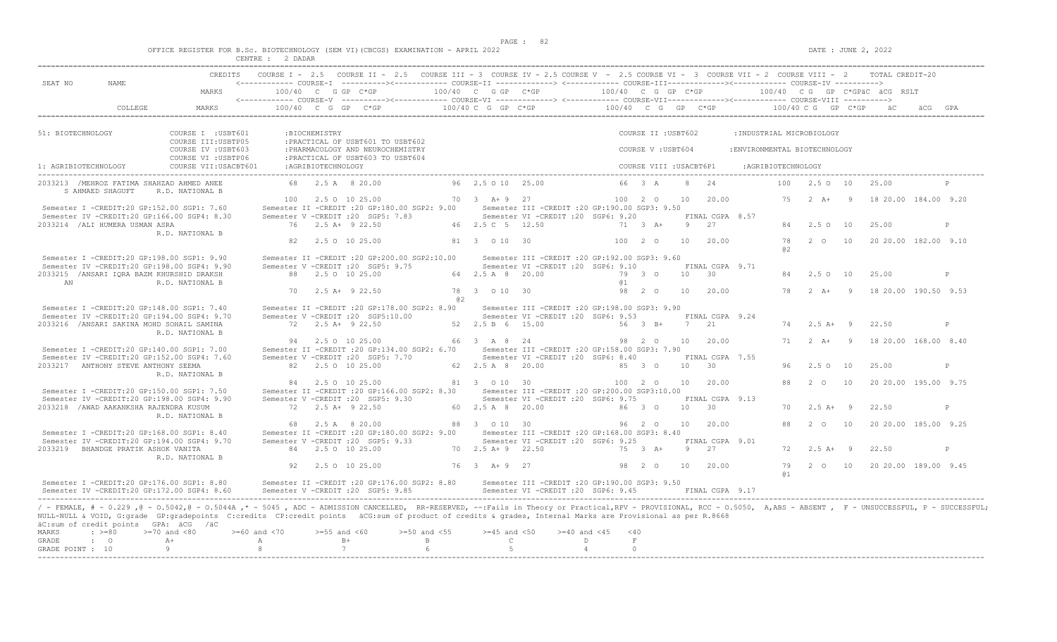$DATE: JUNE 2, 2022$ 

|  | _________ | . |                                                                                  |  |
|--|-----------|---|----------------------------------------------------------------------------------|--|
|  |           |   | OFFICE REGISTER FOR B.Sc. BIOTECHNOLOGY (SEM VI)(CBCGS) EXAMINATION - APRIL 2022 |  |

|                      |                                     |                                                                                                                                                                                                                                                                                                                                                                                                                                                     |                         |               | CREDITS COURSE I - 2.5 COURSE II - 2.5 COURSE III - 3 COURSE IV - 2.5 COURSE V - 2.5 COURSE VI - 3 COURSE VII - 2 COURSE VIII - 2 TOTAL CREDIT-20 |                                 |                                    |                                                                                                         |                         |           |                         |                 |                                    |                               |                    |                |                               |         |   |
|----------------------|-------------------------------------|-----------------------------------------------------------------------------------------------------------------------------------------------------------------------------------------------------------------------------------------------------------------------------------------------------------------------------------------------------------------------------------------------------------------------------------------------------|-------------------------|---------------|---------------------------------------------------------------------------------------------------------------------------------------------------|---------------------------------|------------------------------------|---------------------------------------------------------------------------------------------------------|-------------------------|-----------|-------------------------|-----------------|------------------------------------|-------------------------------|--------------------|----------------|-------------------------------|---------|---|
| SEAT NO              | NAME.                               |                                                                                                                                                                                                                                                                                                                                                                                                                                                     |                         |               |                                                                                                                                                   |                                 |                                    |                                                                                                         |                         |           |                         |                 |                                    |                               |                    |                |                               |         |   |
|                      |                                     | MARKS                                                                                                                                                                                                                                                                                                                                                                                                                                               |                         |               | $100/40$ C G GP C*GP                                                                                                                              |                                 | 100/40 C G GP C*GP                 |                                                                                                         | 100/40 C G GP C*GP      |           |                         |                 |                                    |                               |                    |                | 100/40 CG GP C*GPäC äCG RSLT  |         |   |
|                      | COLLEGE                             | MARKS                                                                                                                                                                                                                                                                                                                                                                                                                                               |                         |               | 100/40 C G GP C*GP at 200/40 C G GP C*GP 200/40 C G GP C*GP 200/40 C G GP C*GP 5C                                                                 |                                 |                                    |                                                                                                         |                         |           |                         |                 |                                    |                               |                    |                |                               | äCG GPA |   |
| 51: BIOTECHNOLOGY    |                                     | COURSE I : USBT601                                                                                                                                                                                                                                                                                                                                                                                                                                  |                         | :BIOCHEMISTRY |                                                                                                                                                   |                                 |                                    |                                                                                                         |                         |           | COURSE II : USBT602     |                 |                                    | : INDUSTRIAL MICROBIOLOGY     |                    |                |                               |         |   |
|                      |                                     | COURSE III:USBTP05<br>COURSE IV : USBT603                                                                                                                                                                                                                                                                                                                                                                                                           |                         |               | : PRACTICAL OF USBT601 TO USBT602<br>: PHARMACOLOGY AND NEUROCHEMISTRY                                                                            |                                 |                                    |                                                                                                         |                         |           | COURSE V: USBT604       |                 |                                    | : ENVIRONMENTAL BIOTECHNOLOGY |                    |                |                               |         |   |
| 1: AGRIBIOTECHNOLOGY |                                     | COURSE VI : USBTP06<br>COURSE VII: USACBT601                                                                                                                                                                                                                                                                                                                                                                                                        | : AGRIBIOTECHNOLOGY     |               | :PRACTICAL OF USBT603 TO USBT604                                                                                                                  |                                 |                                    |                                                                                                         |                         |           | COURSE VIII : USACBT6P1 |                 |                                    | : AGRIBIOTECHNOLOGY           |                    |                |                               |         |   |
|                      | S AHMAED SHAGUFT                    | 2033213 / MEHROZ FATIMA SHAHZAD AHMED ANEE<br>R.D. NATIONAL B                                                                                                                                                                                                                                                                                                                                                                                       |                         |               | 68 2.5 A 8 20.00                                                                                                                                  |                                 | 96 2.5 0 10 25.00                  |                                                                                                         |                         |           | 66 3 A                  | 8               | 2.4                                | 100                           | 2.50 10            |                | 25.00                         |         |   |
|                      |                                     | Semester I -CREDIT:20 GP:152.00 SGP1: 7.60                                                                                                                                                                                                                                                                                                                                                                                                          |                         |               | 100 2.5 0 10 25.00<br>Semester II -CREDIT : 20 GP:180.00 SGP2: 9.00                                                                               |                                 | $70 \t3 \tA+9 \t27$                | Semester III - CREDIT : 20 GP: 190.00 SGP3: 9.50                                                        |                         |           | 100 2 0                 | 10              | 20.00                              | 75                            | $2 A + 9$          |                | 18 20.00 184.00 9.20          |         |   |
|                      | 2033214 / ALI HUMERA USMAN ASRA     | Semester IV -CREDIT:20 GP:166.00 SGP4: 8.30                                                                                                                                                                                                                                                                                                                                                                                                         |                         |               | Semester V -CREDIT : 20 SGP5: 7.83<br>76 2.5 A+ 9 22.50                                                                                           |                                 | 46 2.5 C 5 12.50                   | Semester VI - CREDIT : 20 SGP6: 9.20                                                                    |                         |           | 71 3 A+                 |                 | FINAL CGPA 8.57<br>9 2.7           | 84                            | 2.5010             |                | 25.00                         |         | P |
|                      |                                     | R.D. NATIONAL B                                                                                                                                                                                                                                                                                                                                                                                                                                     | 82                      |               | 2.5 0 10 25.00                                                                                                                                    |                                 | 81 3 0 10 30                       |                                                                                                         |                         |           | 100 2 0                 | 10              | 20.00                              | 78<br>a2                      |                    | 2 0 10         | 20 20.00 182.00 9.10          |         |   |
|                      |                                     | Semester I -CREDIT:20 GP:198.00 SGP1: 9.90<br>Semester IV -CREDIT:20 GP:198.00 SGP4: 9.90<br>2033215 / ANSARI IORA BAZM KHURSHID DRAKSH                                                                                                                                                                                                                                                                                                             |                         |               | Semester II -CREDIT : 20 GP: 200.00 SGP2: 10.00<br>Semester V - CREDIT : 20 SGP5: 9.75<br>88 2.5 0 10 25.00                                       |                                 | 64 2.5 A 8 20.00                   | Semester III -CREDIT : 20 GP: 192.00 SGP3: 9.60<br>Semester VI -CREDIT : 20 SGP6: 9.10                  |                         |           | 79 3 0                  | 10              | FINAL CGPA 9.71<br>$\overline{30}$ | 84                            | 2.5 0 10           |                | 25.00                         |         | P |
| AN                   |                                     | R.D. NATIONAL B                                                                                                                                                                                                                                                                                                                                                                                                                                     | 70                      |               | 2.5 A+ 9 22.50                                                                                                                                    | @ 2                             | 78 3 0 10 30                       |                                                                                                         | <b>a</b> 1              |           | 98 2 0                  | 10              | 20.00                              | 78                            | $2 \overline{A}$ + | $\overline{9}$ | 18 20.00 190.50 9.53          |         |   |
|                      |                                     | Semester I -CREDIT:20 GP:148.00 SGP1: 7.40<br>Semester IV -CREDIT:20 GP:194.00 SGP4: 9.70<br>2033216 / ANSARI SAKINA MOHD SOHAIL SAMINA<br>R.D. NATIONAL B                                                                                                                                                                                                                                                                                          |                         |               | Semester II -CREDIT : 20 GP: 178.00 SGP2: 8.90<br>Semester V -CREDIT : 20 SGP5:10.00<br>72 2.5 A+ 9 22.50                                         |                                 | 52 2.5 B 6 15.00                   | Semester III - CREDIT : 20 GP: 198.00 SGP3: 9.90<br>Semester VI - CREDIT : 20 SGP6: 9.53                |                         |           | 56 3 B+                 |                 | FINAL CGPA 9.24<br>7 21            |                               | $74$ 2.5 A+ 9      |                | 22.50                         |         | P |
|                      |                                     | Semester I -CREDIT:20 GP:140.00 SGP1: 7.00<br>Semester IV -CREDIT:20 GP:152.00 SGP4: 7.60                                                                                                                                                                                                                                                                                                                                                           |                         |               | 94 2.5 0 10 25.00<br>Semester II -CREDIT : 20 GP:134.00 SGP2: 6.70<br>Semester V -CREDIT : 20 SGP5: 7.70                                          |                                 | 66 3 A 8 24                        | Semester III - CREDIT : 20 GP: 158.00 SGP3: 7.90<br>Semester VI - CREDIT : 20 SGP6: 8.40                |                         |           | 98 2 0                  | 10 <sup>1</sup> | 20.00<br>FINAL CGPA 7.55           | 71                            | $2 \overline{A}$   | $\overline{9}$ | 18 20.00 168.00 8.40          |         |   |
|                      | 2033217 ANTHONY STEVE ANTHONY SEEMA | R.D. NATIONAL B                                                                                                                                                                                                                                                                                                                                                                                                                                     |                         |               | 82 2.5 0 10 25.00                                                                                                                                 |                                 | 62 2.5 A 8 20.00                   |                                                                                                         |                         |           | 85 3 0                  |                 | 10 30                              | 96                            | 2.5 0 10           |                | 25.00                         |         | P |
|                      |                                     | Semester I -CREDIT:20 GP:150.00 SGP1: 7.50<br>Semester IV -CREDIT:20 GP:198.00 SGP4: 9.90                                                                                                                                                                                                                                                                                                                                                           |                         |               | 84 2.5 0 10 25.00<br>Semester II -CREDIT : 20 GP:166.00 SGP2: 8.30<br>Semester V - CREDIT : 20 SGP5: 9.30                                         |                                 | 81 3 0 10 30                       | Semester III - CREDIT : 20 GP: 200.00 SGP3: 10.00<br>Semester VI -CREDIT : 20 SGP6: 9.75                |                         |           | 100 2 0 10              |                 | 20.00<br>FINAL CGPA 9.13           | 88                            | $2\degree$ 0       | 10             | 20 20.00 195.00 9.75          |         |   |
|                      |                                     | 2033218 / AWAD AAKANKSHA RAJENDRA KUSUM<br>R.D. NATIONAL B                                                                                                                                                                                                                                                                                                                                                                                          |                         |               | 72 2.5 A+ 9 22.50                                                                                                                                 |                                 | 60 2.5 A 8 20.00                   |                                                                                                         |                         |           | 86 3 0                  | 10<br>10        | 30<br>20.00                        | 70<br>88                      | $2.5 A+ 9$         | 2 0 10         | 22.50                         |         | P |
|                      | 2033219 BHANDGE PRATIK ASHOK VANITA | Semester I -CREDIT:20 GP:168.00 SGP1: 8.40<br>Semester IV -CREDIT:20 GP:194.00 SGP4: 9.70                                                                                                                                                                                                                                                                                                                                                           | 68                      |               | 2.5 A 8 20.00<br>Semester II -CREDIT : 20 GP:180.00 SGP2: 9.00<br>Semester V -CREDIT : 20 SGP5: 9.33<br>84 2.5 0 10 25.00                         |                                 | 88 3 0 10 30<br>70 2.5 A + 9 22.50 | Semester III - CREDIT : 20 GP: 168.00 SGP3: 8.40<br>Semester VI - CREDIT : 20 SGP6: 9.25                |                         |           | 96 2 0<br>75 3 A+       |                 | FINAL CGPA 9.01<br>9 27            | 72                            | $2.5 A+ 9$         |                | 20 20.00 185.00 9.25<br>22.50 |         | P |
|                      |                                     | R.D. NATIONAL B                                                                                                                                                                                                                                                                                                                                                                                                                                     | 92                      |               | 2.5 0 10 25.00                                                                                                                                    |                                 | 76 3 A + 9 27                      |                                                                                                         |                         |           | 98 2 0 10               |                 | 20.00                              | 79                            |                    |                | 2 0 10 20 20 00 189 00 9 45   |         |   |
|                      |                                     | Semester I -CREDIT:20 GP:176.00 SGP1: 8.80<br>Semester IV -CREDIT:20 GP:172.00 SGP4: 8.60                                                                                                                                                                                                                                                                                                                                                           |                         |               | Semester II -CREDIT : 20 GP: 176.00 SGP2: 8.80<br>Semester V -CREDIT : 20 SGP5: 9.85                                                              |                                 |                                    | Semester III - CREDIT : 20 GP: 190.00 SGP3: 9.50<br>Semester VI -CREDIT : 20 SGP6: 9.45 FINAL CGPA 9.17 |                         |           |                         |                 |                                    | <b>a</b> 1                    |                    |                |                               |         |   |
| MARKS<br>GRADE       | $\div$ >=80<br>$\cdot$ 0            | / - FEMALE, # - 0.229, @ - 0.5042, @ - 0.5044A,* - 5045, ADC - ADMISSION CANCELLED, RR-RESERVED, --:Fails in Theory or Practical,RPV - PROVISIONAL, RCC - 0.5050, A,ABS - ABSENT, F - UNSUCCESSFUL, P - SUCCESSFUL;<br>NULL-NULL & VOID, G:grade GP:gradepoints C:credits CP:credit points äCG:sum of product of credits & grades, Internal Marks are Provisional as per R.8668<br>äC:sum of credit points GPA: äCG /äC<br>$>=70$ and $<80$<br>$A+$ | $>= 60$ and $< 70$<br>A |               | $>=55$ and $<60$<br>$B+$                                                                                                                          | $>=50$ and $<55$<br>$\mathbb B$ | $>=45$ and $<50$<br>$\mathbb{C}$   |                                                                                                         | $>= 40$ and $< 45$<br>D | < 40<br>F |                         |                 |                                    |                               |                    |                |                               |         |   |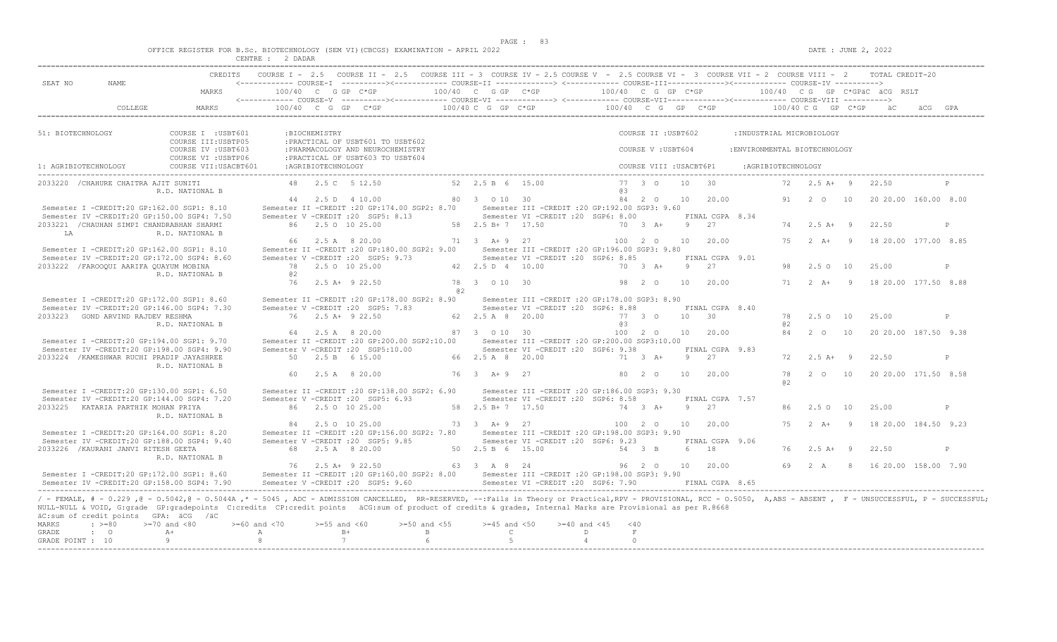$DATE: JUNE 2, 2022$ 

|  |  |  |         |  | OFFICE REGISTER FOR B.Sc. BIOTECHNOLOGY (SEM VI)(CBCGS) EXAMINATION - APRIL 2022 |  |  |
|--|--|--|---------|--|----------------------------------------------------------------------------------|--|--|
|  |  |  | 2 DADAR |  |                                                                                  |  |  |

| SEAT NO<br>NAME.                                                                                                                                                                                                                                                                                                                                                                                                                                                                              |                                                                   |                  |                    | CREDITS COURSE I - 2.5 COURSE II - 2.5 COURSE III - 3 COURSE IV - 2.5 COURSE V - 2.5 COURSE VI - 3 COURSE VII - 2 COURSE VIII - 2 TOTAL CREDIT-20<br><------------ COURSE-T -----------><------------ COURSE-TT -------------> <------------- COURSE-TU COURSE-TV -----------> |                               |                                                        |                  |                         |                 |                               |     |                       |                                                |   |
|-----------------------------------------------------------------------------------------------------------------------------------------------------------------------------------------------------------------------------------------------------------------------------------------------------------------------------------------------------------------------------------------------------------------------------------------------------------------------------------------------|-------------------------------------------------------------------|------------------|--------------------|--------------------------------------------------------------------------------------------------------------------------------------------------------------------------------------------------------------------------------------------------------------------------------|-------------------------------|--------------------------------------------------------|------------------|-------------------------|-----------------|-------------------------------|-----|-----------------------|------------------------------------------------|---|
|                                                                                                                                                                                                                                                                                                                                                                                                                                                                                               | MARKS                                                             |                  |                    |                                                                                                                                                                                                                                                                                |                               |                                                        |                  |                         |                 |                               |     |                       |                                                |   |
|                                                                                                                                                                                                                                                                                                                                                                                                                                                                                               |                                                                   |                  |                    |                                                                                                                                                                                                                                                                                |                               |                                                        |                  |                         |                 |                               |     |                       |                                                |   |
| 51: BIOTECHNOLOGY                                                                                                                                                                                                                                                                                                                                                                                                                                                                             | COURSE I : USBT601                                                |                  | :BIOCHEMISTRY      |                                                                                                                                                                                                                                                                                |                               |                                                        |                  | COURSE II : USBT602     |                 | : INDUSTRIAL MICROBIOLOGY     |     |                       |                                                |   |
|                                                                                                                                                                                                                                                                                                                                                                                                                                                                                               | COURSE III: USBTP05<br>COURSE IV : USBT603<br>COURSE VI : USBTP06 |                  |                    | : PRACTICAL OF USBT601 TO USBT602<br>: PHARMACOLOGY AND NEUROCHEMISTRY<br>: PRACTICAL OF USBT603 TO USBT604                                                                                                                                                                    |                               |                                                        |                  | COURSE V : USBT604      |                 | : ENVIRONMENTAL BIOTECHNOLOGY |     |                       |                                                |   |
| 1: AGRIBIOTECHNOLOGY                                                                                                                                                                                                                                                                                                                                                                                                                                                                          | COURSE VII:USACBT601                                              |                  | :AGRIBIOTECHNOLOGY |                                                                                                                                                                                                                                                                                |                               |                                                        |                  | COURSE VIII : USACBT6P1 |                 | : AGRIBIOTECHNOLOGY           |     |                       |                                                |   |
| 2033220 / CHAHURE CHAITRA AJIT SUNITI                                                                                                                                                                                                                                                                                                                                                                                                                                                         | R.D. NATIONAL B                                                   |                  |                    | 48  2.5  C  5  12.50  52  2.5  B  6  15.00                                                                                                                                                                                                                                     |                               |                                                        | 63               |                         | 77 3 0 10 30    |                               |     | 72  2.5 A+ 9  22.50   |                                                |   |
| Semester I -CREDIT:20 GP:162.00 SGP1: 8.10                                                                                                                                                                                                                                                                                                                                                                                                                                                    |                                                                   |                  |                    | Semester II -CREDIT : 20 GP: 174.00 SGP2: 8.70 Semester III -CREDIT : 20 GP: 192.00 SGP3: 9.60                                                                                                                                                                                 |                               |                                                        |                  |                         |                 |                               |     |                       |                                                |   |
| Semester IV -CREDIT:20 GP:150.00 SGP4: 7.50                                                                                                                                                                                                                                                                                                                                                                                                                                                   |                                                                   |                  |                    | Semester V -CREDIT :20 SGP5: 8.13 Semester VI -CREDIT :20 SGP6: 8.00 FINAL CGPA 8.34                                                                                                                                                                                           |                               |                                                        |                  |                         |                 |                               |     |                       |                                                |   |
| 2033221 / CHAUHAN SIMPI CHANDRABHAN SHARMI<br>LA R.D. NATIONAL B                                                                                                                                                                                                                                                                                                                                                                                                                              |                                                                   |                  |                    |                                                                                                                                                                                                                                                                                |                               |                                                        |                  |                         |                 |                               |     | 74  2.5 A + 9  22.50  |                                                | P |
| Semester I -CREDIT:20 GP:162.00 SGP1: 8.10                                                                                                                                                                                                                                                                                                                                                                                                                                                    |                                                                   |                  |                    | Semester II -CREDIT :20 GP:180.00 SGP2: 9.00 Semester III -CREDIT :20 GP:196.00 SGP3: 9.80                                                                                                                                                                                     |                               |                                                        |                  |                         |                 |                               |     |                       | 75  2  A+  9  18  20.00  177.00  8.85          |   |
| Semester IV -CREDIT:20 GP:172.00 SGP4: 8.60                                                                                                                                                                                                                                                                                                                                                                                                                                                   |                                                                   |                  |                    | Semester V - CREDIT : 20 SGP5: 9.73 Semester VI - CREDIT : 20 SGP6: 8.85 FINAL CGPA 9.01                                                                                                                                                                                       |                               |                                                        |                  |                         |                 |                               |     |                       |                                                |   |
| 2033222 / FAROOQUI AARIFA QUAYUM MOBINA                                                                                                                                                                                                                                                                                                                                                                                                                                                       | R.D. NATIONAL B                                                   | a2               |                    | 78  2.5  0  10  25.00  42  2.5  D  4  10.00  70  3  A +  9  27<br>76 2.5 A+ 9 22.50                                                                                                                                                                                            |                               | 78 3 0 10 30 30 38 2 0 10 20.00                        |                  |                         |                 |                               |     | 98 2.5 0 10           | 25.00<br>71  2  A+  9  18  20.00  177.50  8.88 | P |
|                                                                                                                                                                                                                                                                                                                                                                                                                                                                                               |                                                                   |                  |                    |                                                                                                                                                                                                                                                                                | 82.                           |                                                        |                  |                         |                 |                               |     |                       |                                                |   |
| Semester I -CREDIT:20 GP:172.00 SGP1: 8.60<br>Semester IV -CREDIT:20 GP:146.00 SGP4: 7.30                                                                                                                                                                                                                                                                                                                                                                                                     |                                                                   |                  |                    | Semester II -CREDIT :20 GP:178.00 SGP2: 8.90 Semester III -CREDIT :20 GP:178.00 SGP3: 8.90<br>Semester V - CREDIT : 20 SGP5: 7.83 Semester VI - CREDIT : 20 SGP6: 8.88 FINAL CGPA 8.40                                                                                         |                               |                                                        |                  |                         |                 |                               |     |                       |                                                |   |
| 2033223 GOND ARVIND RAJDEV RESHMA                                                                                                                                                                                                                                                                                                                                                                                                                                                             | R.D. NATIONAL B                                                   |                  |                    | 76  2.5 A+  9  22.50   62  2.5 A  8  20.00   77  3  0  10  30                                                                                                                                                                                                                  |                               |                                                        | 63               |                         |                 |                               | 0.2 | 78  2.5  0  10  25.00 |                                                | P |
|                                                                                                                                                                                                                                                                                                                                                                                                                                                                                               |                                                                   |                  |                    |                                                                                                                                                                                                                                                                                |                               |                                                        |                  |                         |                 |                               |     |                       | 84   2   0   10   20   20   00   187.50   9.38 |   |
| Semester I -CREDIT:20 GP:194.00 SGP1: 9.70                                                                                                                                                                                                                                                                                                                                                                                                                                                    |                                                                   |                  |                    | Semester II -CREDIT :20 GP:200.00 SGP2:10.00 Semester III -CREDIT :20 GP:200.00 SGP3:10.00                                                                                                                                                                                     |                               |                                                        |                  |                         |                 |                               |     |                       |                                                |   |
| Semester IV -CREDIT:20 GP:198.00 SGP4: 9.90                                                                                                                                                                                                                                                                                                                                                                                                                                                   |                                                                   |                  |                    | Semester V - CREDIT : 20 SGP5:10.00 Semester VI - CREDIT : 20 SGP6: 9.38 FINAL CGPA 9.83                                                                                                                                                                                       |                               |                                                        |                  |                         |                 |                               |     |                       |                                                |   |
| 2033224 / KAMESHWAR RUCHI PRADIP JAYASHREE                                                                                                                                                                                                                                                                                                                                                                                                                                                    | R.D. NATIONAL B                                                   | 50 2.5 B 6 15.00 |                    |                                                                                                                                                                                                                                                                                |                               | 76 3 A + 9 27 30 30 2 0 10 20.00                       |                  |                         |                 |                               |     | $72 \t2.5 \tA+ 9$     | 22.50<br>78 2 0 10 20 20 00 171 50 8 58        | P |
|                                                                                                                                                                                                                                                                                                                                                                                                                                                                                               |                                                                   |                  |                    | 60 2.5 A 8 20.00                                                                                                                                                                                                                                                               |                               |                                                        |                  |                         |                 |                               | a2  |                       |                                                |   |
| Semester I -CREDIT:20 GP:130.00 SGP1: 6.50                                                                                                                                                                                                                                                                                                                                                                                                                                                    |                                                                   |                  |                    | Semester II -CREDIT : 20 GP:138.00 SGP2: 6.90 Semester III -CREDIT : 20 GP:186.00 SGP3: 9.30                                                                                                                                                                                   |                               |                                                        |                  |                         |                 |                               |     |                       |                                                |   |
| Semester IV -CREDIT:20 GP:144.00 SGP4: 7.20                                                                                                                                                                                                                                                                                                                                                                                                                                                   |                                                                   |                  |                    | Semester V -CREDIT : 20 SGP5: 6.93 Semester VI -CREDIT : 20 SGP6: 8.58                                                                                                                                                                                                         |                               |                                                        |                  |                         | FINAL CGPA 7.57 |                               |     |                       |                                                |   |
| 2033225 KATARIA PARTHIK MOHAN PRIYA<br>R.D. NATIONAL B                                                                                                                                                                                                                                                                                                                                                                                                                                        |                                                                   |                  |                    | 86  2.5  0  10  25  00           58  2.5    B+    7     17.50           74   3  A+    9    27                                                                                                                                                                                  |                               |                                                        |                  |                         |                 |                               |     | 86  2.5  0  10  25.00 |                                                | P |
| Semester I -CREDIT:20 GP:164.00 SGP1: 8.20                                                                                                                                                                                                                                                                                                                                                                                                                                                    |                                                                   |                  |                    | 84  2.5  0  10  25.00   73  3  A+  9  27   100  2  0  10  20.00<br>Semester II -CREDIT :20 GP:156.00 SGP2: 7.80 Semester III -CREDIT :20 GP:198.00 SGP3: 9.90                                                                                                                  |                               |                                                        |                  |                         |                 |                               |     |                       | 75  2  A+  9  18  20.00  184.50  9.23          |   |
| Semester IV -CREDIT:20 GP:188.00 SGP4: 9.40                                                                                                                                                                                                                                                                                                                                                                                                                                                   |                                                                   |                  |                    | Semester V - CREDIT : 20 SGP5: 9.85 Semester VI - CREDIT : 20 SGP6: 9.23 FINAL CGPA 9.06                                                                                                                                                                                       |                               |                                                        |                  |                         |                 |                               |     |                       |                                                |   |
| 2033226 / KAURANI JANVI RITESH GEETA                                                                                                                                                                                                                                                                                                                                                                                                                                                          | R.D. NATIONAL B                                                   |                  |                    | 68  2.5 A  8  20.00                                                                                                                                                                                                                                                            |                               | 50 2.5 B 6 15.00 54 3 B                                |                  |                         | 6 18 3          |                               |     | 76 2.5 A+ 9           | 22.50                                          | P |
|                                                                                                                                                                                                                                                                                                                                                                                                                                                                                               |                                                                   |                  |                    | 76  2.5 A + 9 22.50  63  3  A 8  24  96  2  0  10  20.00  69  2  A  8  16  20.00  158.00  7.90                                                                                                                                                                                 |                               |                                                        |                  |                         |                 |                               |     |                       |                                                |   |
| Semester I -CREDIT:20 GP:172.00 SGP1: 8.60<br>Semester IV -CREDIT:20 GP:158.00 SGP4: 7.90 Semester V -CREDIT :20 SGP5: 9.60 Semester VI -CREDIT :20 SGP6: 7.90 FINAL CGPA 8.65 FINAL CGPA 9.65                                                                                                                                                                                                                                                                                                |                                                                   |                  |                    | Semester II -CREDIT :20 GP:160.00 SGP2: 8.00 Semester III -CREDIT :20 GP:198.00 SGP3: 9.90                                                                                                                                                                                     |                               |                                                        |                  |                         |                 |                               |     |                       |                                                |   |
| / - FEMALE, # - 0.229, @ - 0.5042, @ - 0.5044A, * - 5045, ADC - ADMISSION CANCELLED, RR-RESERVED, --:Fails in Theory or Practical,RPV - PROVISIONAL, RCC - 0.5050, A,ABS - ABSENT, F - UNSUCCESSFUL, P - SUCCESSFUL,<br>NULL-NULL & VOID, G:grade GP:gradepoints C:credits CP:credit points äCG:sum of product of credits & grades, Internal Marks are Provisional as per R.8668<br>äC:sum of credit points GPA: äCG /äC<br>MARKS<br>$\approx$ $> = 80$<br>GRADE<br>$\cdot$ $\cdot$ 0<br>$A+$ | $>=70$ and $<80$ $>=60$ and $<70$ $>=55$ and $<60$                | $\mathbb A$      |                    | $>=50$ and $<55$<br>$B+$                                                                                                                                                                                                                                                       | $\mathbf{B}$ and $\mathbf{B}$ | $>=45$ and $<50$ $>=40$ and $<45$ $<40$<br>$\mathbb C$ | D<br>$\mathbb F$ |                         |                 |                               |     |                       |                                                |   |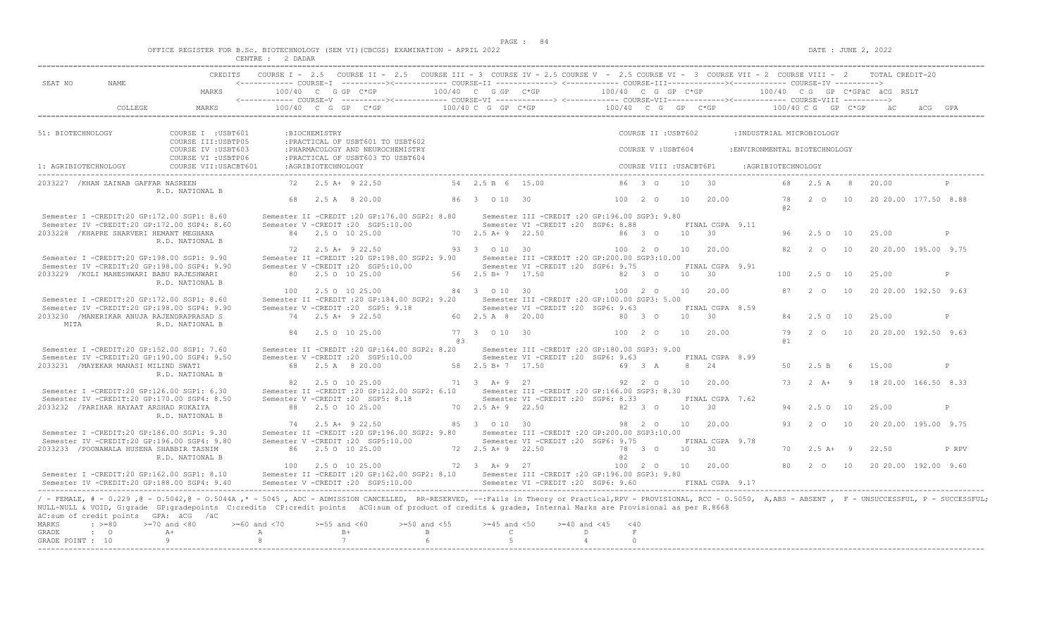$DATE: JUNE 2, 2022$ 

|  |  |  |  |  | OFFICE REGISTER FOR B.Sc. BIOTECHNOLOGY (SEM VI)(CBCGS) EXAMINATION - APRIL 2022 |  |  |
|--|--|--|--|--|----------------------------------------------------------------------------------|--|--|
|  |  |  |  |  |                                                                                  |  |  |

|                      |                                                     |                                                                                                                                                                                                                                                                                                                                                                                 | CENTRE : 2 DADAR   |                    |                                                                                                                                                    |                  |                          |                                                                                          |                            |                         |            |                               |                               |                    |                       |     |                                                |       |
|----------------------|-----------------------------------------------------|---------------------------------------------------------------------------------------------------------------------------------------------------------------------------------------------------------------------------------------------------------------------------------------------------------------------------------------------------------------------------------|--------------------|--------------------|----------------------------------------------------------------------------------------------------------------------------------------------------|------------------|--------------------------|------------------------------------------------------------------------------------------|----------------------------|-------------------------|------------|-------------------------------|-------------------------------|--------------------|-----------------------|-----|------------------------------------------------|-------|
|                      |                                                     |                                                                                                                                                                                                                                                                                                                                                                                 |                    |                    | CREDITS COURSE I - 2.5 COURSE II - 2.5 COURSE III - 3 COURSE IV - 2.5 COURSE V - 2.5 COURSE VII - 3 COURSE VII - 2 COURSE VIII - 2 TOTAL CREDIT-20 |                  |                          |                                                                                          |                            |                         |            |                               |                               |                    |                       |     |                                                |       |
| SEAT NO              | NAME                                                | MARKS                                                                                                                                                                                                                                                                                                                                                                           |                    |                    | $100/40$ C G GP C*GP                                                                                                                               |                  | 100/40 C G GP C*GP       |                                                                                          | 100/40 C G GP C*GP         |                         |            |                               |                               |                    |                       |     | 100/40 CG GP C*GPÄC ÄCG RSLT                   |       |
|                      |                                                     |                                                                                                                                                                                                                                                                                                                                                                                 |                    |                    | <------------ COURSE-V -----------><----------- COURSE-VI -------------> <------------ COURSE-VIII------------> COURSE-VIII ---------->            |                  |                          |                                                                                          |                            |                         |            |                               |                               |                    |                       |     |                                                |       |
|                      | COLLEGE                                             | MARKS                                                                                                                                                                                                                                                                                                                                                                           |                    |                    |                                                                                                                                                    |                  |                          |                                                                                          |                            |                         |            |                               |                               |                    |                       |     |                                                |       |
| 51: BIOTECHNOLOGY    |                                                     | COURSE I : USBT601                                                                                                                                                                                                                                                                                                                                                              |                    | :BIOCHEMISTRY      |                                                                                                                                                    |                  |                          |                                                                                          |                            | COURSE II : USBT602     |            |                               | :INDUSTRIAL MICROBIOLOGY      |                    |                       |     |                                                |       |
|                      |                                                     | COURSE III: USBTP05<br>COURSE IV : USBT603                                                                                                                                                                                                                                                                                                                                      |                    |                    | : PRACTICAL OF USBT601 TO USBT602<br>: PHARMACOLOGY AND NEUROCHEMISTRY                                                                             |                  |                          |                                                                                          |                            | COURSE V: USBT604       |            |                               | : ENVIRONMENTAL BIOTECHNOLOGY |                    |                       |     |                                                |       |
| 1: AGRIBIOTECHNOLOGY |                                                     | COURSE VI : USBTP06<br>COURSE VII: USACBT601                                                                                                                                                                                                                                                                                                                                    |                    | :AGRIBIOTECHNOLOGY | : PRACTICAL OF USBT603 TO USBT604                                                                                                                  |                  |                          |                                                                                          |                            | COURSE VIII : USACBT6P1 |            |                               |                               | :AGRIBIOTECHNOLOGY |                       |     |                                                |       |
|                      |                                                     |                                                                                                                                                                                                                                                                                                                                                                                 |                    |                    |                                                                                                                                                    |                  |                          |                                                                                          |                            |                         |            | 30                            |                               |                    |                       |     |                                                |       |
|                      | 2033227 / KHAN ZAINAB GAFFAR NASREEN                | R.D. NATIONAL B                                                                                                                                                                                                                                                                                                                                                                 |                    |                    | 72 2.5 A+ 9 22.50                                                                                                                                  |                  | 54 2.5 B 6 15.00         |                                                                                          |                            | 86 3 0                  | 10         |                               |                               |                    | 68  2.5  A   8  20.00 |     |                                                |       |
|                      |                                                     |                                                                                                                                                                                                                                                                                                                                                                                 |                    |                    | 68 2.5 A 8 20.00                                                                                                                                   |                  | 86 3 0 10 30             |                                                                                          |                            | 100 2 0                 | 10         | 20.00                         |                               | a2                 |                       |     | 78   2   0   10   20   20   00   177.50   8.88 |       |
|                      | Semester I -CREDIT:20 GP:172.00 SGP1: 8.60          |                                                                                                                                                                                                                                                                                                                                                                                 |                    |                    | Semester II -CREDIT :20 GP:176.00 SGP2: 8.80 Semester III -CREDIT :20 GP:196.00 SGP3: 9.80                                                         |                  |                          |                                                                                          |                            |                         |            |                               |                               |                    |                       |     |                                                |       |
|                      | 2033228 / KHAPRE SHARVERI HEMANT MEGHANA            | Semester IV -CREDIT:20 GP:172.00 SGP4: 8.60                                                                                                                                                                                                                                                                                                                                     |                    |                    | Semester V -CREDIT : 20 SGP5:10.00<br>84 2.5 0 10 25.00                                                                                            |                  | 70 2.5 A + 9 22.50       | Semester VI - CREDIT : 20 SGP6: 8.88                                                     |                            | 86 3 0                  | $10 \t 30$ | FINAL CGPA 9.11               |                               |                    | 96 2.5 0 10           |     | 25.00                                          | P     |
|                      |                                                     | R.D. NATIONAL B                                                                                                                                                                                                                                                                                                                                                                 |                    |                    |                                                                                                                                                    |                  |                          |                                                                                          |                            |                         |            |                               |                               |                    |                       |     |                                                |       |
|                      |                                                     |                                                                                                                                                                                                                                                                                                                                                                                 |                    |                    | 72 2.5 A+ 9 22.50                                                                                                                                  |                  | 93 3 0 10 30             |                                                                                          |                            | 100 2 0                 |            | 10 20.00                      |                               |                    | 82 2 0 10             |     | 20 20.00 195.00 9.75                           |       |
|                      | Semester I -CREDIT:20 GP:198.00 SGP1: 9.90          | Semester IV -CREDIT:20 GP:198.00 SGP4: 9.90                                                                                                                                                                                                                                                                                                                                     |                    |                    | Semester II -CREDIT : 20 GP: 198.00 SGP2: 9.90<br>Semester V -CREDIT : 20 SGP5:10.00                                                               |                  |                          | Semester III -CREDIT : 20 GP: 200.00 SGP3: 10.00<br>Semester VI - CREDIT : 20 SGP6: 9.75 |                            |                         |            | FINAL CGPA 9.91               |                               |                    |                       |     |                                                |       |
|                      | 2033229 / KOLI MAHESHWARI BABU RAJESHWARI           |                                                                                                                                                                                                                                                                                                                                                                                 |                    |                    | 80 2.5 0 10 25.00                                                                                                                                  |                  | 56 2.5 B + 7 17.50       |                                                                                          | 82 3 0                     |                         |            | 10 30                         |                               |                    | 100 2.5 0 10          |     | 25.00                                          | P     |
|                      |                                                     | R.D. NATIONAL B                                                                                                                                                                                                                                                                                                                                                                 |                    |                    |                                                                                                                                                    |                  |                          |                                                                                          |                            |                         |            |                               |                               |                    |                       |     |                                                |       |
|                      |                                                     |                                                                                                                                                                                                                                                                                                                                                                                 |                    |                    | 100 2.5 0 10 25.00                                                                                                                                 |                  | 84 3 0 10 30             |                                                                                          | 100 2 0                    |                         |            | 10 20.00                      |                               |                    | 87 2 0 10             |     | 20 20.00 192.50 9.63                           |       |
|                      | Semester I -CREDIT:20 GP:172.00 SGP1: 8.60          |                                                                                                                                                                                                                                                                                                                                                                                 |                    |                    | Semester II -CREDIT :20 GP:184.00 SGP2: 9.20 Semester III -CREDIT :20 GP:100.00 SGP3: 5.00                                                         |                  |                          |                                                                                          |                            |                         |            |                               |                               |                    |                       |     |                                                |       |
|                      | 2033230 /MANERIKAR ANUJA RAJENDRAPRASAD S           | Semester IV -CREDIT:20 GP:198.00 SGP4: 9.90                                                                                                                                                                                                                                                                                                                                     |                    |                    | Semester V - CREDIT : 20 SGP5: 9.18<br>74 2.5 A+ 9 22.50                                                                                           |                  | 60 2.5 A 8 20.00         | Semester VI - CREDIT : 20 SGP6: 9.63                                                     | 80 3 0                     |                         |            | FINAL CGPA 8.59<br>$10 \t 30$ |                               |                    | 84 2.5 0 10           |     | 25.00                                          | P     |
| MITA                 |                                                     | R.D. NATIONAL B                                                                                                                                                                                                                                                                                                                                                                 |                    |                    |                                                                                                                                                    |                  |                          |                                                                                          |                            |                         |            |                               |                               |                    |                       |     |                                                |       |
|                      |                                                     |                                                                                                                                                                                                                                                                                                                                                                                 |                    |                    | 84 2.5 0 10 25.00                                                                                                                                  |                  | 77 3 0 10 30             |                                                                                          |                            | 100 2 0                 |            | 10 20.00                      |                               |                    |                       |     | 79   2   0   10   20   20   00   192.50   9.63 |       |
|                      | Semester I -CREDIT:20 GP:152.00 SGP1: 7.60          |                                                                                                                                                                                                                                                                                                                                                                                 |                    |                    |                                                                                                                                                    | @3               |                          | Semester III - CREDIT : 20 GP: 180.00 SGP3: 9.00                                         |                            |                         |            |                               |                               | <b>a</b> 1         |                       |     |                                                |       |
|                      |                                                     | Semester IV -CREDIT:20 GP:190.00 SGP4: 9.50                                                                                                                                                                                                                                                                                                                                     |                    |                    | Semester II -CREDIT : 20 GP:164.00 SGP2: 8.20<br>Semester V -CREDIT : 20 SGP5:10.00                                                                |                  |                          | Semester VI - CREDIT : 20 SGP6: 9.63                                                     |                            |                         |            | FINAL CGPA 8.99               |                               |                    |                       |     |                                                |       |
|                      | 2033231 / MAYEKAR MANASI MILIND SWATI               |                                                                                                                                                                                                                                                                                                                                                                                 |                    |                    | 68 2.5 A 8 20.00                                                                                                                                   |                  | 58  2.5 B + 7  17.50     |                                                                                          | 69 3 A                     |                         |            | 8 24                          |                               | 50                 | 2.5 B                 | - 6 | 15.00                                          | P     |
|                      |                                                     | R.D. NATIONAL B                                                                                                                                                                                                                                                                                                                                                                 |                    |                    |                                                                                                                                                    |                  |                          |                                                                                          |                            |                         |            |                               |                               |                    |                       |     |                                                |       |
|                      | Semester I -CREDIT:20 GP:126.00 SGP1: 6.30          |                                                                                                                                                                                                                                                                                                                                                                                 |                    |                    | 82 2.5 0 10 25.00<br>Semester II -CREDIT :20 GP:122.00 SGP2: 6.10 Semester III -CREDIT :20 GP:166.00 SGP3: 8.30                                    |                  | 71 3 A + 9 27            |                                                                                          |                            | 92 2 0                  |            | 10 20.00                      |                               |                    |                       |     | 73   2   A+   9   18   20.00   166.50   8.33   |       |
|                      |                                                     | Semester IV -CREDIT:20 GP:170.00 SGP4: 8.50                                                                                                                                                                                                                                                                                                                                     |                    |                    | Semester V -CREDIT : 20 SGP5: 8.18                                                                                                                 |                  |                          | Semester VI - CREDIT : 20 SGP6: 8.33                                                     |                            |                         |            | FINAL CGPA 7.62               |                               |                    |                       |     |                                                |       |
|                      | 2033232 / PARIHAR HAYAAT ARSHAD RUKAIYA             |                                                                                                                                                                                                                                                                                                                                                                                 |                    |                    | 88 2.5 0 10 25.00                                                                                                                                  |                  | 70 2.5 A + 9 22.50       |                                                                                          |                            | 82 3 0                  |            | $10 \t 30$                    |                               | 94                 | 2.5 0 10              |     | 25.00                                          | P     |
|                      |                                                     | R.D. NATIONAL B                                                                                                                                                                                                                                                                                                                                                                 |                    |                    |                                                                                                                                                    |                  |                          |                                                                                          |                            |                         |            |                               |                               |                    |                       |     |                                                |       |
|                      | Semester I -CREDIT:20 GP:186.00 SGP1: 9.30          |                                                                                                                                                                                                                                                                                                                                                                                 |                    |                    | 74 2.5 A+ 9 22.50                                                                                                                                  |                  | 85 3 0 10 30             |                                                                                          |                            | 98 2 0                  |            | 10 20.00                      |                               |                    | 93 2 0 10             |     | 20 20 00 195 00 9.75                           |       |
|                      |                                                     | Semester IV -CREDIT:20 GP:196.00 SGP4: 9.80                                                                                                                                                                                                                                                                                                                                     |                    |                    | Semester II -CREDIT :20 GP:196.00 SGP2: 9.80 Semester III -CREDIT :20 GP:200.00 SGP3:10.00<br>Semester V -CREDIT : 20 SGP5:10.00                   |                  |                          | Semester VI - CREDIT : 20 SGP6: 9.75                                                     |                            |                         |            | FINAL CGPA 9.78               |                               |                    |                       |     |                                                |       |
|                      | 2033233 / POONAWALA HUSENA SHABBIR TASNIM           |                                                                                                                                                                                                                                                                                                                                                                                 |                    |                    | 86 2.5 0 10 25.00                                                                                                                                  |                  | $72 \t2.5 \tA+9 \t22.50$ |                                                                                          |                            | 78 3 0                  | 10 30      |                               |                               |                    | $70 \t 2.5 \t A+ 9$   |     | 22.50                                          | P RPV |
|                      |                                                     | R.D. NATIONAL B                                                                                                                                                                                                                                                                                                                                                                 |                    |                    |                                                                                                                                                    |                  |                          |                                                                                          | 0.2                        |                         |            |                               |                               |                    |                       |     |                                                |       |
|                      |                                                     |                                                                                                                                                                                                                                                                                                                                                                                 |                    |                    | 100 2.5 0 10 25.00                                                                                                                                 |                  | 72 3 A+ 9 27             |                                                                                          |                            | 100 2 0                 |            | 10 20.00                      |                               | 80                 | 2 0 10                |     | 20 20 00 192 00 9.60                           |       |
|                      |                                                     | Semester I -CREDIT:20 GP:162.00 SGP1: 8.10<br>Semester TV -CREDIT: 20 GP: 188.00 SGP4: 9.40                                                                                                                                                                                                                                                                                     |                    |                    | Semester II -CREDIT : 20 GP:162.00 SGP2: 8.10 Semester III -CREDIT : 20 GP:196.00 SGP3: 9.80<br>Semester V -CREDIT : 20 SGP5:10.00                 |                  |                          | Semester VI - CREDIT : 20 SGP6: 9.60                                                     |                            |                         |            | FINAL CGPA 9.17               |                               |                    |                       |     |                                                |       |
|                      |                                                     |                                                                                                                                                                                                                                                                                                                                                                                 |                    |                    |                                                                                                                                                    |                  |                          |                                                                                          |                            |                         |            |                               |                               |                    |                       |     |                                                |       |
|                      |                                                     | / - FEMALE, # - 0.229, @ - 0.5042, @ - 0.5044A,* - 5045, ADC - ADMISSION CANCELLED, RR-RESERVED, --:Fails in Theory or Practical,RPV - PROVISIONAL, RCC - 0.5050, A,ABS - ABSENT, F - UNSUCCESSFUL, P - SUCCESSFUL;<br>NULL-NULL & VOID, G:grade GP:gradepoints C:credits CP:credit points äCG:sum of product of credits & grades, Internal Marks are Provisional as per R.8668 |                    |                    |                                                                                                                                                    |                  |                          |                                                                                          |                            |                         |            |                               |                               |                    |                       |     |                                                |       |
| MARKS                | äC:sum of credit points GPA: äCG /äC<br>$\div$ >=80 | $>=70$ and $<80$                                                                                                                                                                                                                                                                                                                                                                | $>= 60$ and $< 70$ | $>=55$ and $<60$   |                                                                                                                                                    | $>=50$ and $<55$ | $>=45$ and $<50$         | $>= 40$ and $< 45$                                                                       | < 40                       |                         |            |                               |                               |                    |                       |     |                                                |       |
| GRADE                | $\cdot$ 0                                           | $A+$                                                                                                                                                                                                                                                                                                                                                                            | A                  |                    | $B+$                                                                                                                                               | $\mathbf{B}$     |                          | $\mathbb{C}$                                                                             | D<br>$\;$ F $\;$           |                         |            |                               |                               |                    |                       |     |                                                |       |
| GRADE POINT : 10     |                                                     | -9                                                                                                                                                                                                                                                                                                                                                                              | -8                 |                    | $\overline{7}$                                                                                                                                     | $6^{\circ}$      | -5                       |                                                                                          | $\Omega$<br>$\overline{4}$ |                         |            |                               |                               |                    |                       |     |                                                |       |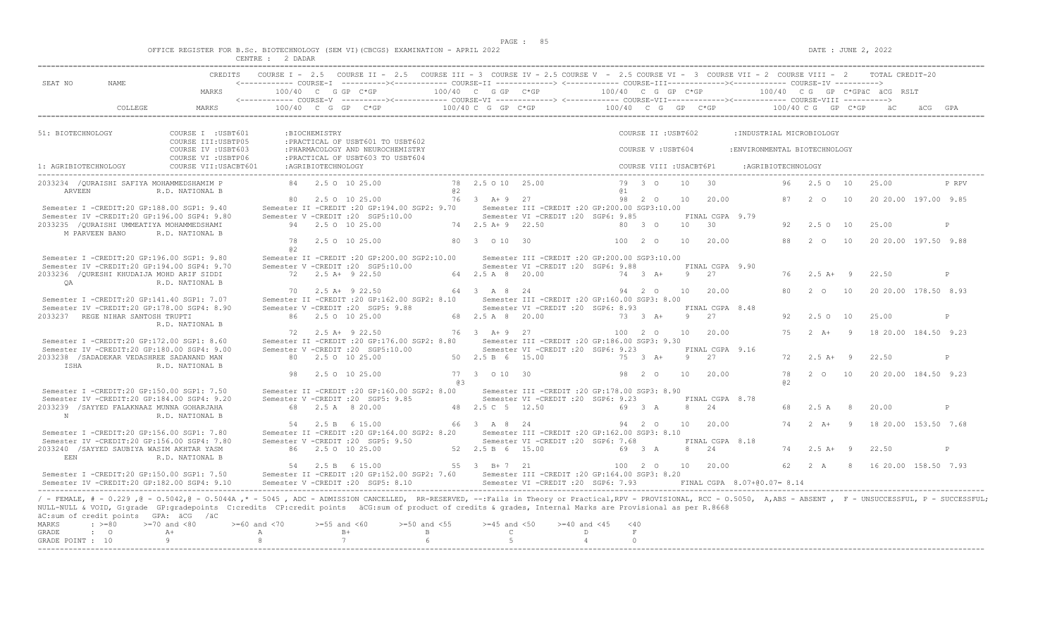|  |  |  |         |  | OFFICE REGISTER FOR B.Sc. BIOTECHNOLOGY (SEM VI)(CBCGS) EXAMINATION - APRIL 2022 |  |  |
|--|--|--|---------|--|----------------------------------------------------------------------------------|--|--|
|  |  |  | 2 DADAR |  |                                                                                  |  |  |

| SEAT NO<br>NAME.                                                                                                                                                                                                                                                                                                                                                                                                        |                                            |                       |                                         |                                                                                       | CREDITS COURSE I - 2.5 COURSE II - 2.5 COURSE III - 3 COURSE IV - 2.5 COURSE V - 2.5 COURSE VI - 3 COURSE VII - 2 COURSE VIII - 2 TOTAL CREDIT-20                                                                                                 |                                  |                                                                                          |                         |                       |                         |                 |                                    |                               |                    |                                 |                |                                      |              |
|-------------------------------------------------------------------------------------------------------------------------------------------------------------------------------------------------------------------------------------------------------------------------------------------------------------------------------------------------------------------------------------------------------------------------|--------------------------------------------|-----------------------|-----------------------------------------|---------------------------------------------------------------------------------------|---------------------------------------------------------------------------------------------------------------------------------------------------------------------------------------------------------------------------------------------------|----------------------------------|------------------------------------------------------------------------------------------|-------------------------|-----------------------|-------------------------|-----------------|------------------------------------|-------------------------------|--------------------|---------------------------------|----------------|--------------------------------------|--------------|
|                                                                                                                                                                                                                                                                                                                                                                                                                         | MARKS                                      |                       |                                         |                                                                                       | 100/40 C G GP C*GP $100/40$ C G GP C*GP $100/40$ C G GP C*GP $100/40$ C G GP C*GPäC äCG RSLT                                                                                                                                                      |                                  |                                                                                          |                         |                       |                         |                 |                                    |                               |                    |                                 |                |                                      |              |
| COLLEGE                                                                                                                                                                                                                                                                                                                                                                                                                 | MARKS                                      |                       |                                         |                                                                                       | 100/40 C G GP C*GP $100/40$ C G GP C*GP $100/40$ C G GP C*GP $100/40$ C G GP C*GP $100/40$ C G GP C*GP $\frac{100}{40}$ C G GP C*GP $\frac{100}{40}$ C G GP C*GP $\frac{100}{40}$ C G GP C*GP $\frac{100}{40}$ C G GP C*GP $\frac{100}{40}$ C G G |                                  |                                                                                          |                         |                       |                         |                 |                                    |                               |                    |                                 |                |                                      |              |
| 51: BIOTECHNOLOGY                                                                                                                                                                                                                                                                                                                                                                                                       | COURSE I : USBT601<br>COURSE III: USBTP05  |                       | :BIOCHEMISTRY                           | : PRACTICAL OF USBT601 TO USBT602                                                     |                                                                                                                                                                                                                                                   |                                  |                                                                                          |                         |                       | COURSE II : USBT602     |                 |                                    | : INDUSTRIAL MICROBIOLOGY     |                    |                                 |                |                                      |              |
|                                                                                                                                                                                                                                                                                                                                                                                                                         | COURSE IV : USBT603<br>COURSE VI : USBTP06 |                       |                                         | : PHARMACOLOGY AND NEUROCHEMISTRY<br>: PRACTICAL OF USBT603 TO USBT604                |                                                                                                                                                                                                                                                   |                                  |                                                                                          |                         |                       | COURSE V: USBT604       |                 |                                    | : ENVIRONMENTAL BIOTECHNOLOGY |                    |                                 |                |                                      |              |
| 1: AGRIBIOTECHNOLOGY                                                                                                                                                                                                                                                                                                                                                                                                    | COURSE VII: USACBT601                      |                       | :AGRIBIOTECHNOLOGY                      |                                                                                       |                                                                                                                                                                                                                                                   |                                  |                                                                                          |                         |                       | COURSE VIII : USACBT6P1 |                 |                                    |                               | :AGRIBIOTECHNOLOGY |                                 |                |                                      |              |
| 2033234 / OURAISHI SAFIYA MOHAMMEDSHAMIM P<br>ARVEEN                                                                                                                                                                                                                                                                                                                                                                    | R.D. NATIONAL B                            |                       | 84 2.5 0 10 25.00                       |                                                                                       | 02                                                                                                                                                                                                                                                | 78 2.5 0 10 25.00                |                                                                                          |                         | 79 3 0<br>@ 1         |                         | 10 <sup>°</sup> | $\overline{30}$                    |                               |                    | 96 2.5 0 10                     |                | 25.00                                | P RPV        |
| Semester I -CREDIT:20 GP:188.00 SGP1: 9.40                                                                                                                                                                                                                                                                                                                                                                              |                                            |                       | 80 2.5 0 10 25.00                       |                                                                                       | Semester II -CREDIT : 20 GP:194.00 SGP2: 9.70 Semester III -CREDIT : 20 GP:200.00 SGP3:10.00                                                                                                                                                      | 76 3 A+ 9 27                     |                                                                                          |                         |                       | 98  2  0  10            |                 | 20.00                              |                               |                    | 87 2 0                          | 10             | 20 20.00 197.00 9.85                 |              |
| Semester IV -CREDIT:20 GP:196.00 SGP4: 9.80<br>2033235 / OURAISHI UMMEATIYA MOHAMMEDSHAMI<br>M PARVEEN BANO                                                                                                                                                                                                                                                                                                             | R.D. NATIONAL B                            |                       | 94 2.5 0 10 25.00                       | Semester V -CREDIT : 20 SGP5:10.00                                                    |                                                                                                                                                                                                                                                   | 74 2.5 A + 9 22.50               | Semester VI - CREDIT : 20 SGP6: 9.85                                                     |                         | 80 3 0                |                         | 10              | FINAL CGPA 9.79<br>$\overline{30}$ |                               |                    | 92 2.5 0 10                     |                | 25.00                                | P            |
|                                                                                                                                                                                                                                                                                                                                                                                                                         |                                            | 78<br>a2              | 2.5 0 10 25.00                          |                                                                                       |                                                                                                                                                                                                                                                   | 80 3 0 10 30                     |                                                                                          |                         | 100 2 0               |                         | 10              | 20.00                              |                               |                    | 88 2 0 10                       |                | 20 20.00 197.50 9.88                 |              |
| Semester I -CREDIT:20 GP:196.00 SGP1: 9.80<br>Semester IV -CREDIT:20 GP:194.00 SGP4: 9.70                                                                                                                                                                                                                                                                                                                               |                                            |                       |                                         | Semester II -CREDIT : 20 GP: 200.00 SGP2: 10.00<br>Semester V -CREDIT : 20 SGP5:10.00 |                                                                                                                                                                                                                                                   |                                  | Semester III -CREDIT :20 GP:200.00 SGP3:10.00<br>Semester VI -CREDIT : 20 SGP6: 9.88     |                         |                       |                         | $\overline{9}$  | FINAL CGPA 9.90                    |                               |                    |                                 |                |                                      |              |
| 2033236 / OURESHI KHUDAIJA MOHD ARIF SIDDI<br>OA                                                                                                                                                                                                                                                                                                                                                                        | R.D. NATIONAL B                            |                       | 72 2.5 A+ 9 22.50<br>70 2.5 A + 9 22.50 |                                                                                       |                                                                                                                                                                                                                                                   | 64 2.5 A 8 20.00<br>64 3 A 8 24  |                                                                                          |                         | 74 3 A+               | 94 2 0                  | 10              | 2.7<br>20.00                       |                               | 80                 | $76$ $2.5$ $\text{A}+$ 9<br>2 O | 10             | 22.50<br>20 20.00 178.50 8.93        | P            |
| Semester I -CREDIT:20 GP:141.40 SGP1: 7.07<br>Semester IV -CREDIT:20 GP:178.00 SGP4: 8.90                                                                                                                                                                                                                                                                                                                               |                                            |                       |                                         | Semester II -CREDIT : 20 GP:162.00 SGP2: 8.10<br>Semester V - CREDIT : 20 SGP5: 9.88  |                                                                                                                                                                                                                                                   |                                  | Semester III - CREDIT : 20 GP: 160.00 SGP3: 8.00<br>Semester VI - CREDIT : 20 SGP6: 8.93 |                         |                       |                         |                 | FINAL CGPA 8.48                    |                               |                    |                                 |                |                                      |              |
| 2033237 REGE NIHAR SANTOSH TRUPTI                                                                                                                                                                                                                                                                                                                                                                                       | R.D. NATIONAL B                            |                       | 86 2.5 0 10 25.00                       |                                                                                       |                                                                                                                                                                                                                                                   | 68 2.5 A 8 20.00                 |                                                                                          |                         | $73 \t 3 \t A+$       |                         |                 | 9 27                               |                               | 92.                | 2.50 10                         |                | 25.00                                | P            |
| Semester I -CREDIT:20 GP:172.00 SGP1: 8.60<br>Semester IV -CREDIT:20 GP:180.00 SGP4: 9.00                                                                                                                                                                                                                                                                                                                               |                                            |                       | 72 2.5 A+ 9 22.50                       | Semester II -CREDIT : 20 GP: 176.00 SGP2: 8.80<br>Semester V -CREDIT : 20 SGP5:10.00  |                                                                                                                                                                                                                                                   | 76 3 A+ 9 27                     | Semester III - CREDIT : 20 GP: 186.00 SGP3: 9.30<br>Semester VI -CREDIT : 20 SGP6: 9.23  |                         | 100 2 0               |                         | 10              | 20.00<br>FINAL CGPA 9.16           |                               | 75                 | $2 \overline{A}$ +              | $\overline{9}$ | 18 20.00 184.50 9.23                 |              |
| 2033238 / SADADEKAR VEDASHREE SADANAND MAN<br>ISHA                                                                                                                                                                                                                                                                                                                                                                      | R.D. NATIONAL B                            |                       | 80 2.5 0 10 25.00                       |                                                                                       |                                                                                                                                                                                                                                                   | 50 2.5 B 6 15.00                 |                                                                                          |                         | 75 3 A+               |                         |                 | 9 27                               |                               |                    | $72 \t 2.5 \t A+ 9$             |                | 22.50                                | P            |
|                                                                                                                                                                                                                                                                                                                                                                                                                         |                                            | 98                    | 2.5 0 10 25.00                          |                                                                                       | @ 3                                                                                                                                                                                                                                               | 77 3 0 10 30                     |                                                                                          |                         | 98 2 0                |                         | 10              | 20.00                              |                               | 78<br>a2           |                                 |                | 2 0 10 20 20 00 184.50 9.23          |              |
| Semester I -CREDIT:20 GP:150.00 SGP1: 7.50<br>Semester IV -CREDIT:20 GP:184.00 SGP4: 9.20<br>2033239 / SAYYED FALAKNAAZ MUNNA GOHARJAHA                                                                                                                                                                                                                                                                                 |                                            |                       | 68 2.5 A 8 20.00                        | Semester V -CREDIT : 20 SGP5: 9.85                                                    | Semester II -CREDIT : 20 GP:160.00 SGP2: 8.00                                                                                                                                                                                                     | 48  2.5  C  5  12.50             | Semester III - CREDIT : 20 GP: 178.00 SGP3: 8.90<br>Semester VI - CREDIT : 20 SGP6: 9.23 |                         | 69 3 A                |                         |                 | FINAL CGPA 8.78<br>8 24            |                               | 68                 | 2.5 A                           | 8 <sup>8</sup> | 20.00                                | $\mathbb{D}$ |
| N                                                                                                                                                                                                                                                                                                                                                                                                                       | R.D. NATIONAL B                            |                       | 54 2.5 B 6 15.00                        |                                                                                       |                                                                                                                                                                                                                                                   | 66 3 A 8 24                      |                                                                                          |                         | 94 2 0                |                         | 10              | 20.00                              |                               | 74                 | 2 $\lambda$ +                   | $\overline{9}$ | 18 20.00 153.50 7.68                 |              |
| Semester I -CREDIT:20 GP:156.00 SGP1: 7.80<br>Semester IV -CREDIT:20 GP:156.00 SGP4: 7.80<br>2033240 /SAYYED SAUBIYA WASIM AKHTAR YASM                                                                                                                                                                                                                                                                                  |                                            |                       | 86 2.5 0 10 25.00                       | Semester II -CREDIT : 20 GP:164.00 SGP2: 8.20<br>Semester V -CREDIT : 20 SGP5: 9.50   | 52 2.5 B 6 15.00                                                                                                                                                                                                                                  |                                  | Semester III -CREDIT : 20 GP:162.00 SGP3: 8.10<br>Semester VI -CREDIT : 20 SGP6: 7.68    |                         | 69 3 A                |                         |                 | FINAL CGPA 8.18<br>8 24            |                               |                    | 74 2.5 A+ 9                     |                | 22.50                                | P            |
| EEN                                                                                                                                                                                                                                                                                                                                                                                                                     | R.D. NATIONAL B                            |                       | 54 2.5 B 6 15.00                        |                                                                                       | $55 \t3 \tB+7 \t21$                                                                                                                                                                                                                               |                                  |                                                                                          |                         |                       |                         |                 | 100 2 0 10 20.00                   |                               |                    |                                 |                | 62  2  A  8  16  20.00  158.50  7.93 |              |
| Semester I -CREDIT:20 GP:150.00 SGP1: 7.50<br>Semester IV -CREDIT:20 GP:182.00 SGP4: 9.10                                                                                                                                                                                                                                                                                                                               |                                            |                       |                                         | Semester V -CREDIT : 20 SGP5: 8.10                                                    | Semester II -CREDIT : 20 GP:152.00 SGP2: 7.60 Semester III -CREDIT : 20 GP:164.00 SGP3: 8.20                                                                                                                                                      |                                  | Semester VI - CREDIT : 20 SGP6: 7.93                                                     |                         |                       |                         |                 |                                    | FINAL CGPA 8.07+00.07= 8.14   |                    |                                 |                |                                      |              |
| / - FEMALE, # - 0.229, @ - 0.5042, @ - 0.5044A,* - 5045, ADC - ADMISSION CANCELLED, RR-RESERVED, --:Fails in Theory or Practical,RPV - PROVISIONAL, RCC - 0.5050, A,ABS - ABSENT, F - UNSUCCESSFUL, P - SUCCESSFUL,<br>NULL-NULL & VOID, G:grade GP:gradepoints C:credits CP:credit points äCG:sum of product of credits & grades, Internal Marks are Provisional as per R.8668<br>äC:sum of credit points GPA: äCG /äC |                                            |                       |                                         |                                                                                       |                                                                                                                                                                                                                                                   |                                  |                                                                                          |                         |                       |                         |                 |                                    |                               |                    |                                 |                |                                      |              |
| MARKS<br>$: >=80$<br>GRADE<br>$\cdot$ 0                                                                                                                                                                                                                                                                                                                                                                                 | $>=70$ and $<80$<br>$A +$                  | $>=60$ and $<70$<br>A | $>=55$ and $<60$<br>$B+$                |                                                                                       | $>=50$ and $<55$<br>$\mathbb B$                                                                                                                                                                                                                   | $>=45$ and $<50$<br>$\mathbb{C}$ |                                                                                          | $>= 40$ and $< 45$<br>D | $<$ 40<br>$\mathbf F$ |                         |                 |                                    |                               |                    |                                 |                |                                      |              |
| GRADE POINT : 10                                                                                                                                                                                                                                                                                                                                                                                                        | $\overline{9}$                             | 8 <sup>1</sup>        | 7                                       |                                                                                       | 6                                                                                                                                                                                                                                                 | 5                                |                                                                                          | $\overline{4}$          | $\circ$               |                         |                 |                                    |                               |                    |                                 |                |                                      |              |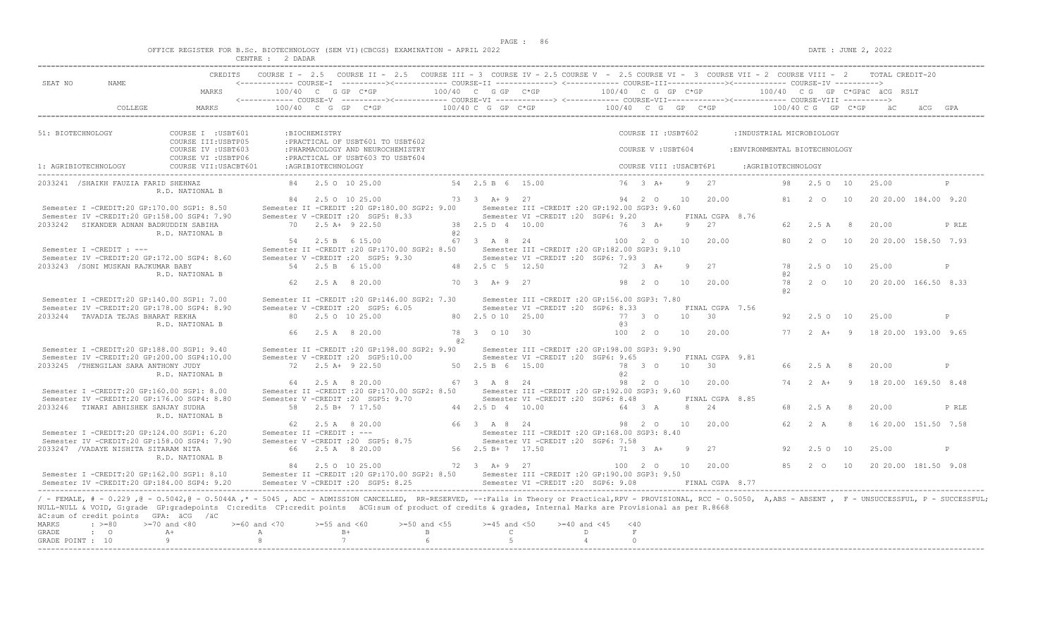$DATE: JUNE 2, 2022$ 

|  |  |  |         |  | OFFICE REGISTER FOR B.Sc. BIOTECHNOLOGY (SEM VI)(CBCGS) EXAMINATION - APRIL 2022 |  |  |
|--|--|--|---------|--|----------------------------------------------------------------------------------|--|--|
|  |  |  | 2 DADAR |  |                                                                                  |  |  |

| SEAT NO              | NAME.                                            |                                                                                                                                                                                                                                                                                                                                                                                                             |                         |                    | CREDITS COURSE I - 2.5 COURSE II - 2.5 COURSE III - 3 COURSE IV - 2.5 COURSE V - 2.5 COURSE VI - 3 COURSE VII - 2 COURSE VIII - 2 TOTAL CREDIT-20<br><------------ COURSE-T ----------><------------ COURSE-TT -------------> <------------ COURSE-TTT------------><------------ COURSE-TV ----------> |                                 |                                  |                                                                                          |                       |                         |    |                 |                              |          |                       |    |                                                |              |
|----------------------|--------------------------------------------------|-------------------------------------------------------------------------------------------------------------------------------------------------------------------------------------------------------------------------------------------------------------------------------------------------------------------------------------------------------------------------------------------------------------|-------------------------|--------------------|--------------------------------------------------------------------------------------------------------------------------------------------------------------------------------------------------------------------------------------------------------------------------------------------------------|---------------------------------|----------------------------------|------------------------------------------------------------------------------------------|-----------------------|-------------------------|----|-----------------|------------------------------|----------|-----------------------|----|------------------------------------------------|--------------|
|                      |                                                  | MARKS                                                                                                                                                                                                                                                                                                                                                                                                       |                         |                    | $100/40$ C G GP C*GP $100/40$ C G GP C*GP $100/40$ C G GP C*GP $100/40$ C G GP C*GPäC äCG RSLT                                                                                                                                                                                                         |                                 |                                  |                                                                                          |                       |                         |    |                 |                              |          |                       |    |                                                |              |
|                      | COLLEGE                                          | MARKS                                                                                                                                                                                                                                                                                                                                                                                                       |                         |                    | 100/40 C G GP C*GP 100/40 C G GP C*GP 100/40 C G GP C*GP 100/40 C G GP C*GP aC & GPA                                                                                                                                                                                                                   |                                 |                                  |                                                                                          |                       |                         |    |                 |                              |          |                       |    |                                                |              |
| 51: BIOTECHNOLOGY    |                                                  | COURSE I : USBT601                                                                                                                                                                                                                                                                                                                                                                                          |                         | : BIOCHEMISTRY     |                                                                                                                                                                                                                                                                                                        |                                 |                                  |                                                                                          |                       | COURSE II : USBT602     |    |                 | : INDUSTRIAL MICROBIOLOGY    |          |                       |    |                                                |              |
|                      |                                                  | COURSE III: USBTP05<br>COURSE IV : USBT603<br>COURSE VI : USBTP06                                                                                                                                                                                                                                                                                                                                           |                         |                    | : PRACTICAL OF USBT601 TO USBT602<br>: PHARMACOLOGY AND NEUROCHEMISTRY<br>:PRACTICAL OF USBT603 TO USBT604                                                                                                                                                                                             |                                 |                                  |                                                                                          |                       | COURSE V: USBT604       |    |                 | :ENVIRONMENTAL BIOTECHNOLOGY |          |                       |    |                                                |              |
| 1: AGRIBIOTECHNOLOGY |                                                  | COURSE VII: USACBT601                                                                                                                                                                                                                                                                                                                                                                                       |                         | :AGRIBIOTECHNOLOGY |                                                                                                                                                                                                                                                                                                        |                                 |                                  |                                                                                          |                       | COURSE VIII : USACBT6P1 |    |                 | :AGRIBIOTECHNOLOGY           |          |                       |    |                                                |              |
|                      | 2033241 / SHAIKH FAUZIA FARID SHEHNAZ            | R.D. NATIONAL B                                                                                                                                                                                                                                                                                                                                                                                             |                         |                    | 84 2.5 0 10 25.00                                                                                                                                                                                                                                                                                      |                                 | 54 2.5 B 6 15.00                 |                                                                                          |                       | $76 \t3 \tA+$           |    | 9 27            |                              |          | 98  2.5  0  10  25.00 |    |                                                | $\mathbb{P}$ |
|                      |                                                  | Semester I -CREDIT:20 GP:170.00 SGP1: 8.50                                                                                                                                                                                                                                                                                                                                                                  |                         |                    | 84 2.5 0 10 25.00<br>Semester II -CREDIT : 20 GP:180.00 SGP2: 9.00                                                                                                                                                                                                                                     |                                 | 73 3 A + 9 27                    | Semester III - CREDIT : 20 GP: 192.00 SGP3: 9.60                                         |                       | 94 2 0                  | 10 | 20.00           |                              |          |                       |    | 81  2  0  10  20  20  00  184  00  9.20        |              |
|                      |                                                  | Semester IV -CREDIT:20 GP:158.00 SGP4: 7.90                                                                                                                                                                                                                                                                                                                                                                 |                         |                    | Semester V - CREDIT : 20 SGP5: 8.33                                                                                                                                                                                                                                                                    |                                 |                                  | Semester VI -CREDIT : 20 SGP6: 9.20                                                      |                       |                         |    | FINAL CGPA 8.76 |                              |          |                       |    |                                                |              |
|                      | 2033242 SIKANDER ADNAN BADRUDDIN SABIHA          |                                                                                                                                                                                                                                                                                                                                                                                                             |                         |                    | 70 2.5 A+ 9 22.50                                                                                                                                                                                                                                                                                      |                                 | 38  2.5  D  4  10.00             |                                                                                          | 76 3 A+               |                         |    | $9 \t 27$       |                              |          | 62 2.5 A 8            |    | 20.00                                          | P RLE        |
|                      |                                                  | R.D. NATIONAL B                                                                                                                                                                                                                                                                                                                                                                                             |                         |                    | 54 2.5 B 6 15.00                                                                                                                                                                                                                                                                                       | a2                              | 67 3 A 8 24                      |                                                                                          |                       | 100 2 0 10              |    | 20.00           |                              |          | 80  2  0  10          |    | 20 20.00 158.50 7.93                           |              |
|                      | Semester I -CREDIT : ---                         | Semester IV -CREDIT:20 GP:172.00 SGP4: 8.60                                                                                                                                                                                                                                                                                                                                                                 |                         |                    | Semester II -CREDIT : 20 GP: 170.00 SGP2: 8.50<br>Semester V - CREDIT : 20 SGP5: 9.30                                                                                                                                                                                                                  |                                 |                                  | Semester III - CREDIT : 20 GP: 182.00 SGP3: 9.10<br>Semester VI - CREDIT : 20 SGP6: 7.93 |                       |                         |    |                 |                              |          |                       |    |                                                |              |
|                      | 2033243 / SONI MUSKAN RAJKUMAR BABY              |                                                                                                                                                                                                                                                                                                                                                                                                             |                         |                    | 54 2.5 B 6 15.00                                                                                                                                                                                                                                                                                       |                                 | 48 2.5 C 5 12.50                 |                                                                                          | 72 3 A+               |                         | 9  | 27              |                              | 78       | 2.50 10               |    | 25.00                                          | P            |
|                      |                                                  | R.D. NATIONAL B                                                                                                                                                                                                                                                                                                                                                                                             |                         |                    | 62 2.5 A 8 20.00                                                                                                                                                                                                                                                                                       |                                 | 70 3 A + 9 27                    |                                                                                          |                       | 98 2 0                  | 10 | 20.00           |                              | 82<br>a2 |                       |    | 78   2   0   10   20   20   00   166.50   8.33 |              |
|                      |                                                  | Semester I -CREDIT:20 GP:140.00 SGP1: 7.00                                                                                                                                                                                                                                                                                                                                                                  |                         |                    | Semester II -CREDIT : 20 GP: 146.00 SGP2: 7.30                                                                                                                                                                                                                                                         |                                 |                                  | Semester III -CREDIT : 20 GP:156.00 SGP3: 7.80                                           |                       |                         |    |                 |                              |          |                       |    |                                                |              |
|                      |                                                  | Semester IV -CREDIT:20 GP:178.00 SGP4: 8.90                                                                                                                                                                                                                                                                                                                                                                 |                         |                    | Semester V -CREDIT : 20 SGP5: 6.05                                                                                                                                                                                                                                                                     |                                 |                                  | Semester VI - CREDIT : 20 SGP6: 8.33                                                     |                       |                         |    | FINAL CGPA 7.56 |                              |          |                       |    |                                                |              |
|                      | 2033244 TAVADIA TEJAS BHARAT REKHA               | R.D. NATIONAL B                                                                                                                                                                                                                                                                                                                                                                                             |                         |                    | 80 2.5 0 10 25.00                                                                                                                                                                                                                                                                                      |                                 | 80 2.5 0 10 25.00                |                                                                                          | 77 3 0<br>@ 3         |                         |    | $10 \t 30$      |                              | 92.      | 2.5 0 10              |    | 25.00                                          | P            |
|                      |                                                  |                                                                                                                                                                                                                                                                                                                                                                                                             |                         |                    | 66 2.5 A 8 20.00                                                                                                                                                                                                                                                                                       | 82.                             | 78 3 0 10 30                     |                                                                                          |                       | 10020                   | 10 | 20.00           |                              |          |                       |    | 77   2   A+   9   18   20.00   193.00   9.65   |              |
|                      |                                                  | Semester I -CREDIT:20 GP:188.00 SGP1: 9.40                                                                                                                                                                                                                                                                                                                                                                  |                         |                    | Semester II -CREDIT : 20 GP: 198.00 SGP2: 9.90                                                                                                                                                                                                                                                         |                                 |                                  | Semester III -CREDIT :20 GP:198.00 SGP3: 9.90                                            |                       |                         |    |                 |                              |          |                       |    |                                                |              |
|                      |                                                  | Semester IV -CREDIT:20 GP:200.00 SGP4:10.00                                                                                                                                                                                                                                                                                                                                                                 |                         |                    | Semester V -CREDIT : 20 SGP5:10.00                                                                                                                                                                                                                                                                     |                                 |                                  | Semester VI - CREDIT : 20 SGP6: 9.65                                                     |                       |                         |    | FINAL CGPA 9.81 |                              |          |                       |    |                                                |              |
|                      | 2033245 /THENGILAN SARA ANTHONY JUDY             | R.D. NATIONAL B                                                                                                                                                                                                                                                                                                                                                                                             |                         |                    | 72 2.5 A+ 9 22.50                                                                                                                                                                                                                                                                                      |                                 | 50 2.5 B 6 15.00                 |                                                                                          | 82 Q                  | 78 3 0                  |    | 10 30           |                              |          | 66 2.5 A 8            |    | 20.00                                          | P            |
|                      |                                                  |                                                                                                                                                                                                                                                                                                                                                                                                             |                         |                    | 64 2.5 A 8 20.00                                                                                                                                                                                                                                                                                       |                                 | 67 3 A 8 24                      |                                                                                          |                       | 98 2 0                  | 10 | 20.00           |                              |          |                       |    | 74   2   A+   9   18   20.00   169.50   8.48   |              |
|                      |                                                  | Semester I -CREDIT:20 GP:160.00 SGP1: 8.00                                                                                                                                                                                                                                                                                                                                                                  |                         |                    | Semester II -CREDIT : 20 GP:170.00 SGP2: 8.50<br>Semester V - CREDIT : 20 SGP5: 9.70                                                                                                                                                                                                                   |                                 |                                  | Semester III - CREDIT : 20 GP: 192.00 SGP3: 9.60<br>Semester VI -CREDIT : 20 SGP6: 8.48  |                       |                         |    | FINAL CGPA 8.85 |                              |          |                       |    |                                                |              |
|                      | 2033246 TIWARI ABHISHEK SANJAY SUDHA             | Semester IV -CREDIT:20 GP:176.00 SGP4: 8.80                                                                                                                                                                                                                                                                                                                                                                 |                         |                    | 58 2.5 B+ 7 17.50                                                                                                                                                                                                                                                                                      |                                 | 44  2.5  D  4  10.00             |                                                                                          | 64 3 A                |                         |    | 8 24            |                              |          | 68 2.5 A 8            |    | 20.00                                          | P RLE        |
|                      |                                                  | R.D. NATIONAL B                                                                                                                                                                                                                                                                                                                                                                                             |                         |                    |                                                                                                                                                                                                                                                                                                        |                                 |                                  |                                                                                          |                       |                         |    |                 |                              |          |                       |    |                                                |              |
|                      |                                                  |                                                                                                                                                                                                                                                                                                                                                                                                             |                         |                    | 62 2.5 A 8 20.00                                                                                                                                                                                                                                                                                       |                                 | 66 3 A 8 24                      |                                                                                          |                       | 98 2 0 10               |    | 20.00           |                              |          |                       |    | 62  2  A  8  16  20  00  151.50  7.58          |              |
|                      |                                                  | Semester I -CREDIT:20 GP:124.00 SGP1: 6.20<br>Semester IV -CREDIT:20 GP:158.00 SGP4: 7.90                                                                                                                                                                                                                                                                                                                   |                         |                    | Semester II -CREDIT : ---<br>Semester V -CREDIT : 20 SGP5: 8.75                                                                                                                                                                                                                                        |                                 |                                  | Semester III -CREDIT : 20 GP: 168.00 SGP3: 8.40<br>Semester VI -CREDIT : 20 SGP6: 7.58   |                       |                         |    |                 |                              |          |                       |    |                                                |              |
|                      | 2033247 / VADAYE NISHITA SITARAM NITA            | R.D. NATIONAL B                                                                                                                                                                                                                                                                                                                                                                                             |                         |                    | 66 2.5 A 8 20.00                                                                                                                                                                                                                                                                                       |                                 | 56 2.5 B + 7 17.50               |                                                                                          |                       | 71 3 A+                 | 9  | 27              |                              | 92       | 2.50                  | 10 | 25.00                                          | P            |
|                      |                                                  |                                                                                                                                                                                                                                                                                                                                                                                                             |                         |                    | 84 2.5 0 10 25.00                                                                                                                                                                                                                                                                                      |                                 | 72 3 A + 9 27                    |                                                                                          | 100 2 0 10 20.00      |                         |    |                 |                              |          |                       |    | 85   2   0   10   20   20   00   181.50   9.08 |              |
|                      |                                                  | Semester I -CREDIT:20 GP:162.00 SGP1: 8.10<br>Semester IV -CREDIT:20 GP:184.00 SGP4: 9.20                                                                                                                                                                                                                                                                                                                   |                         |                    | Semester II -CREDIT :20 GP:170.00 SGP2: 8.50 Semester III -CREDIT :20 GP:190.00 SGP3: 9.50<br>Semester V -CREDIT : 20 SGP5: 8.25                                                                                                                                                                       |                                 |                                  | Semester VI - CREDIT : 20 SGP6: 9.08                                                     |                       |                         |    | FINAL CGPA 8.77 |                              |          |                       |    |                                                |              |
| <b>MARKS</b>         | äC:sum of credit points GPA: äCG /äC<br>$: >=80$ | / - FEMALE, # - 0.229, @ - 0.5042, @ - 0.5044A,* - 5045, ADC - ADMISSION CANCELLED, RR-RESERVED, --:Fails in Theory or Practical,RPV - PROVISIONAL, RCC - 0.5050, A,ABS - ABSENT, F - UNSUCCESSFUL, P - SUCCESSFUL,<br>NULL-NULL & VOID, G:grade GP:gradepoints C:credits CP:credit points äCG:sum of product of credits & grades, Internal Marks are Provisional as per R.8668<br>$>=70$ and $<80$<br>$A+$ | $>= 60$ and $< 70$<br>A | $>=55$ and $<60$   | $B+$                                                                                                                                                                                                                                                                                                   | $>=50$ and $<55$<br>$\mathbb B$ | $>=45$ and $<50$<br>$\mathbb{C}$ | $>= 40$ and $< 45$                                                                       | $<$ 40<br>D<br>$\;$ F |                         |    |                 |                              |          |                       |    |                                                |              |
| <b>GRADE</b>         | $\cdot$ 0                                        |                                                                                                                                                                                                                                                                                                                                                                                                             |                         |                    |                                                                                                                                                                                                                                                                                                        |                                 |                                  |                                                                                          |                       |                         |    |                 |                              |          |                       |    |                                                |              |